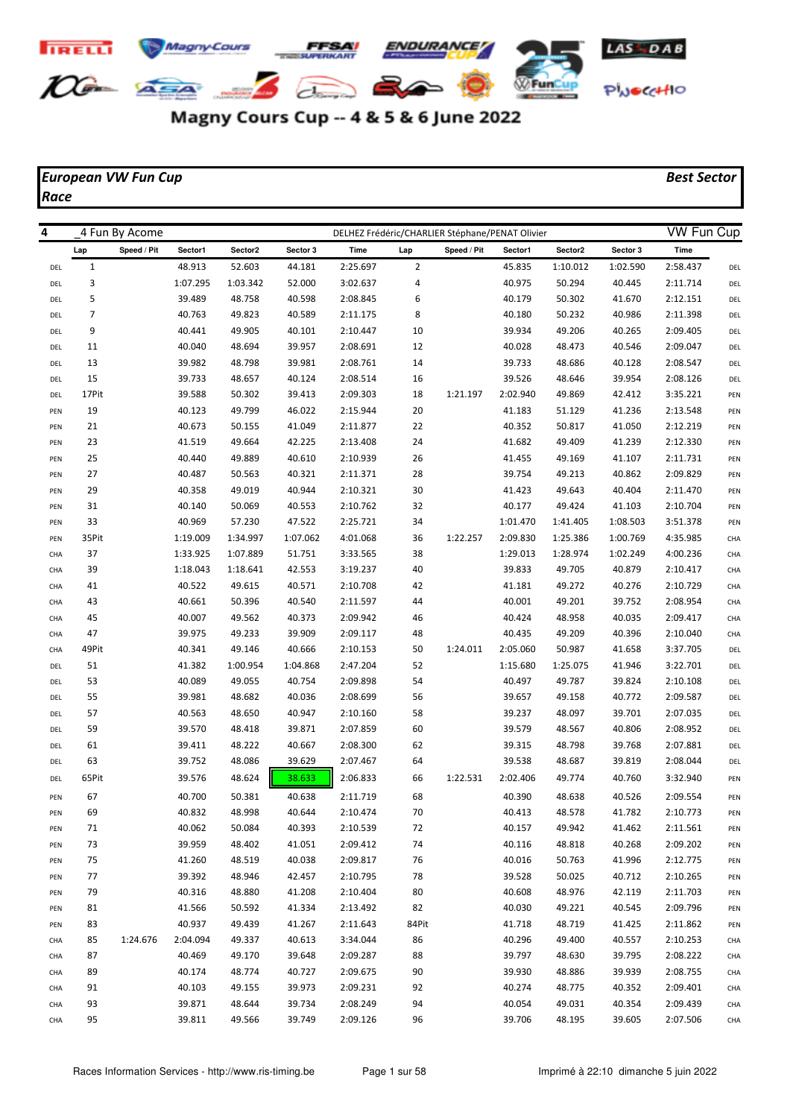

## Magny Cours Cup -- 4 & 5 & 6 June 2022

## *European VW Fun Cup Best Sector Race*

| 4   |              | 4 Fun By Acome |          |          |          | DELHEZ Frédéric/CHARLIER Stéphane/PENAT Olivier |                |             |          |          |          | <b>VW Fun Cup</b> |     |
|-----|--------------|----------------|----------|----------|----------|-------------------------------------------------|----------------|-------------|----------|----------|----------|-------------------|-----|
|     | Lap          | Speed / Pit    | Sector1  | Sector2  | Sector 3 | Time                                            | Lap            | Speed / Pit | Sector1  | Sector2  | Sector 3 | Time              |     |
| DEL | $\mathbf{1}$ |                | 48.913   | 52.603   | 44.181   | 2:25.697                                        | $\overline{2}$ |             | 45.835   | 1:10.012 | 1:02.590 | 2:58.437          | DEL |
| DEL | 3            |                | 1:07.295 | 1:03.342 | 52.000   | 3:02.637                                        | 4              |             | 40.975   | 50.294   | 40.445   | 2:11.714          | DEL |
| DEL | 5            |                | 39.489   | 48.758   | 40.598   | 2:08.845                                        | 6              |             | 40.179   | 50.302   | 41.670   | 2:12.151          | DEL |
| DEL | 7            |                | 40.763   | 49.823   | 40.589   | 2:11.175                                        | 8              |             | 40.180   | 50.232   | 40.986   | 2:11.398          | DEL |
| DEL | 9            |                | 40.441   | 49.905   | 40.101   | 2:10.447                                        | 10             |             | 39.934   | 49.206   | 40.265   | 2:09.405          | DEL |
| DEL | 11           |                | 40.040   | 48.694   | 39.957   | 2:08.691                                        | 12             |             | 40.028   | 48.473   | 40.546   | 2:09.047          | DEL |
| DEL | 13           |                | 39.982   | 48.798   | 39.981   | 2:08.761                                        | 14             |             | 39.733   | 48.686   | 40.128   | 2:08.547          | DEL |
| DEL | 15           |                | 39.733   | 48.657   | 40.124   | 2:08.514                                        | 16             |             | 39.526   | 48.646   | 39.954   | 2:08.126          | DEL |
| DEL | 17Pit        |                | 39.588   | 50.302   | 39.413   | 2:09.303                                        | 18             | 1:21.197    | 2:02.940 | 49.869   | 42.412   | 3:35.221          | PEN |
| PEN | 19           |                | 40.123   | 49.799   | 46.022   | 2:15.944                                        | 20             |             | 41.183   | 51.129   | 41.236   | 2:13.548          | PEN |
| PEN | 21           |                | 40.673   | 50.155   | 41.049   | 2:11.877                                        | 22             |             | 40.352   | 50.817   | 41.050   | 2:12.219          | PEN |
| PEN | 23           |                | 41.519   | 49.664   | 42.225   | 2:13.408                                        | 24             |             | 41.682   | 49.409   | 41.239   | 2:12.330          | PEN |
| PEN | 25           |                | 40.440   | 49.889   | 40.610   | 2:10.939                                        | 26             |             | 41.455   | 49.169   | 41.107   | 2:11.731          | PEN |
| PEN | 27           |                | 40.487   | 50.563   | 40.321   | 2:11.371                                        | 28             |             | 39.754   | 49.213   | 40.862   | 2:09.829          | PEN |
| PEN | 29           |                | 40.358   | 49.019   | 40.944   | 2:10.321                                        | 30             |             | 41.423   | 49.643   | 40.404   | 2:11.470          | PEN |
| PEN | 31           |                | 40.140   | 50.069   | 40.553   | 2:10.762                                        | 32             |             | 40.177   | 49.424   | 41.103   | 2:10.704          | PEN |
| PEN | 33           |                | 40.969   | 57.230   | 47.522   | 2:25.721                                        | 34             |             | 1:01.470 | 1:41.405 | 1:08.503 | 3:51.378          | PEN |
| PEN | 35Pit        |                | 1:19.009 | 1:34.997 | 1:07.062 | 4:01.068                                        | 36             | 1:22.257    | 2:09.830 | 1:25.386 | 1:00.769 | 4:35.985          | CHA |
| CHA | 37           |                | 1:33.925 | 1:07.889 | 51.751   | 3:33.565                                        | 38             |             | 1:29.013 | 1:28.974 | 1:02.249 | 4:00.236          | CHA |
| CHA | 39           |                | 1:18.043 | 1:18.641 | 42.553   | 3:19.237                                        | 40             |             | 39.833   | 49.705   | 40.879   | 2:10.417          | CHA |
| CHA | 41           |                | 40.522   | 49.615   | 40.571   | 2:10.708                                        | 42             |             | 41.181   | 49.272   | 40.276   | 2:10.729          | CHA |
| CHA | 43           |                | 40.661   | 50.396   | 40.540   | 2:11.597                                        | 44             |             | 40.001   | 49.201   | 39.752   | 2:08.954          | CHA |
| CHA | 45           |                | 40.007   | 49.562   | 40.373   | 2:09.942                                        | 46             |             | 40.424   | 48.958   | 40.035   | 2:09.417          | CHA |
| CHA | 47           |                | 39.975   | 49.233   | 39.909   | 2:09.117                                        | 48             |             | 40.435   | 49.209   | 40.396   | 2:10.040          | CHA |
| CHA | 49Pit        |                | 40.341   | 49.146   | 40.666   | 2:10.153                                        | 50             | 1:24.011    | 2:05.060 | 50.987   | 41.658   | 3:37.705          | DEL |
| DEL | 51           |                | 41.382   | 1:00.954 | 1:04.868 | 2:47.204                                        | 52             |             | 1:15.680 | 1:25.075 | 41.946   | 3:22.701          | DEL |
| DEL | 53           |                | 40.089   | 49.055   | 40.754   | 2:09.898                                        | 54             |             | 40.497   | 49.787   | 39.824   | 2:10.108          | DEL |
| DEL | 55           |                | 39.981   | 48.682   | 40.036   | 2:08.699                                        | 56             |             | 39.657   | 49.158   | 40.772   | 2:09.587          | DEL |
| DEL | 57           |                | 40.563   | 48.650   | 40.947   | 2:10.160                                        | 58             |             | 39.237   | 48.097   | 39.701   | 2:07.035          | DEL |
| DEL | 59           |                | 39.570   | 48.418   | 39.871   | 2:07.859                                        | 60             |             | 39.579   | 48.567   | 40.806   | 2:08.952          | DEL |
| DEL | 61           |                | 39.411   | 48.222   | 40.667   | 2:08.300                                        | 62             |             | 39.315   | 48.798   | 39.768   | 2:07.881          | DEL |
| DEL | 63           |                | 39.752   | 48.086   | 39.629   | 2:07.467                                        | 64             |             | 39.538   | 48.687   | 39.819   | 2:08.044          | DEL |
| DEL | 65Pit        |                | 39.576   | 48.624   | 38.633   | 2:06.833                                        | 66             | 1:22.531    | 2:02.406 | 49.774   | 40.760   | 3:32.940          | PEN |
| PEN | 67           |                | 40.700   | 50.381   | 40.638   | 2:11.719                                        | 68             |             | 40.390   | 48.638   | 40.526   | 2:09.554          | PEN |
| PEN | 69           |                | 40.832   | 48.998   | 40.644   | 2:10.474                                        | 70             |             | 40.413   | 48.578   | 41.782   | 2:10.773          | PEN |
| PEN | 71           |                | 40.062   | 50.084   | 40.393   | 2:10.539                                        | 72             |             | 40.157   | 49.942   | 41.462   | 2:11.561          | PEN |
| PEN | 73           |                | 39.959   | 48.402   | 41.051   | 2:09.412                                        | 74             |             | 40.116   | 48.818   | 40.268   | 2:09.202          | PEN |
| PEN | 75           |                | 41.260   | 48.519   | 40.038   | 2:09.817                                        | 76             |             | 40.016   | 50.763   | 41.996   | 2:12.775          | PEN |
| PEN | 77           |                | 39.392   | 48.946   | 42.457   | 2:10.795                                        | 78             |             | 39.528   | 50.025   | 40.712   | 2:10.265          | PEN |
| PEN | 79           |                | 40.316   | 48.880   | 41.208   | 2:10.404                                        | 80             |             | 40.608   | 48.976   | 42.119   | 2:11.703          | PEN |
| PEN | 81           |                | 41.566   | 50.592   | 41.334   | 2:13.492                                        | 82             |             | 40.030   | 49.221   | 40.545   | 2:09.796          | PEN |
| PEN | 83           |                | 40.937   | 49.439   | 41.267   | 2:11.643                                        | 84Pit          |             | 41.718   | 48.719   | 41.425   | 2:11.862          | PEN |
| CHA | 85           | 1:24.676       | 2:04.094 | 49.337   | 40.613   | 3:34.044                                        | 86             |             | 40.296   | 49.400   | 40.557   | 2:10.253          | CHA |
| CHA | 87           |                | 40.469   | 49.170   | 39.648   | 2:09.287                                        | 88             |             | 39.797   | 48.630   | 39.795   | 2:08.222          | CHA |
| CHA | 89           |                | 40.174   | 48.774   | 40.727   | 2:09.675                                        | 90             |             | 39.930   | 48.886   | 39.939   | 2:08.755          | CHA |
| CHA | 91           |                | 40.103   | 49.155   | 39.973   | 2:09.231                                        | 92             |             | 40.274   | 48.775   | 40.352   | 2:09.401          | CHA |
| CHA | 93           |                | 39.871   | 48.644   | 39.734   | 2:08.249                                        | 94             |             | 40.054   | 49.031   | 40.354   | 2:09.439          | CHA |
| CHA | 95           |                | 39.811   | 49.566   | 39.749   | 2:09.126                                        | 96             |             | 39.706   | 48.195   | 39.605   | 2:07.506          | CHA |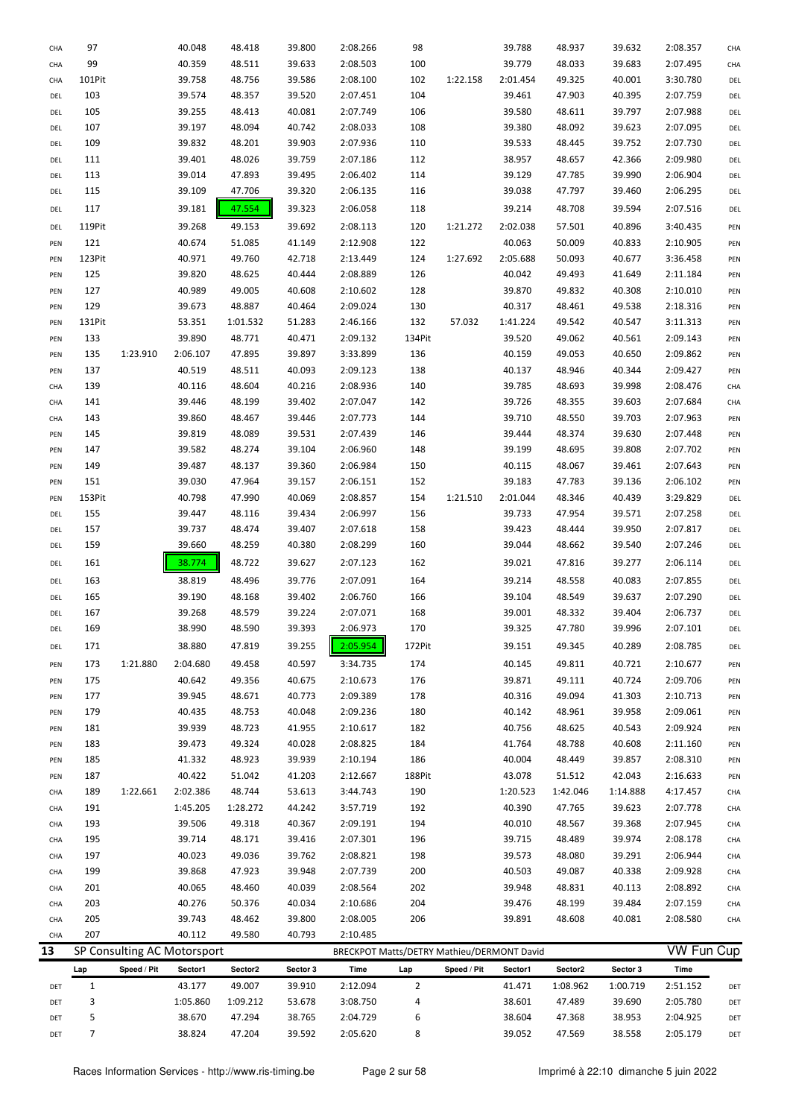| CHA        | 97           |             | 40.048                      | 48.418   | 39.800   | 2:08.266                                   | 98             |             | 39.788   | 48.937   | 39.632   | 2:08.357          | CHA |
|------------|--------------|-------------|-----------------------------|----------|----------|--------------------------------------------|----------------|-------------|----------|----------|----------|-------------------|-----|
| CHA        | 99           |             | 40.359                      | 48.511   | 39.633   | 2:08.503                                   | 100            |             | 39.779   | 48.033   | 39.683   | 2:07.495          | CHA |
| CHA        | 101Pit       |             | 39.758                      | 48.756   | 39.586   | 2:08.100                                   | 102            | 1:22.158    | 2:01.454 | 49.325   | 40.001   | 3:30.780          | DEL |
| <b>DEL</b> | 103          |             | 39.574                      | 48.357   | 39.520   | 2:07.451                                   | 104            |             | 39.461   | 47.903   | 40.395   | 2:07.759          | DEL |
| <b>DEL</b> | 105          |             | 39.255                      | 48.413   | 40.081   | 2:07.749                                   | 106            |             | 39.580   | 48.611   | 39.797   | 2:07.988          | DEL |
|            |              |             |                             |          |          |                                            |                |             |          |          |          |                   |     |
| <b>DEL</b> | 107          |             | 39.197                      | 48.094   | 40.742   | 2:08.033                                   | 108            |             | 39.380   | 48.092   | 39.623   | 2:07.095          | DEL |
| DEL        | 109          |             | 39.832                      | 48.201   | 39.903   | 2:07.936                                   | 110            |             | 39.533   | 48.445   | 39.752   | 2:07.730          | DEL |
| DEL        | 111          |             | 39.401                      | 48.026   | 39.759   | 2:07.186                                   | 112            |             | 38.957   | 48.657   | 42.366   | 2:09.980          | DEL |
| DEL        | 113          |             | 39.014                      | 47.893   | 39.495   | 2:06.402                                   | 114            |             | 39.129   | 47.785   | 39.990   | 2:06.904          | DEL |
| <b>DEL</b> | 115          |             | 39.109                      | 47.706   | 39.320   | 2:06.135                                   | 116            |             | 39.038   | 47.797   | 39.460   | 2:06.295          | DEL |
| DEL        | 117          |             | 39.181                      | 47.554   | 39.323   | 2:06.058                                   | 118            |             | 39.214   | 48.708   | 39.594   | 2:07.516          | DEL |
| DEL        | 119Pit       |             | 39.268                      | 49.153   | 39.692   | 2:08.113                                   | 120            | 1:21.272    | 2:02.038 | 57.501   | 40.896   | 3:40.435          | PEN |
| PEN        | 121          |             | 40.674                      | 51.085   | 41.149   | 2:12.908                                   | 122            |             | 40.063   | 50.009   | 40.833   | 2:10.905          | PEN |
| PEN        | 123Pit       |             | 40.971                      | 49.760   | 42.718   | 2:13.449                                   | 124            | 1:27.692    | 2:05.688 | 50.093   | 40.677   | 3:36.458          | PEN |
| PEN        | 125          |             | 39.820                      | 48.625   | 40.444   | 2:08.889                                   | 126            |             | 40.042   | 49.493   | 41.649   | 2:11.184          | PEN |
|            | 127          |             | 40.989                      | 49.005   | 40.608   |                                            | 128            |             |          |          |          |                   |     |
| PEN        |              |             |                             |          |          | 2:10.602                                   |                |             | 39.870   | 49.832   | 40.308   | 2:10.010          | PEN |
| PEN        | 129          |             | 39.673                      | 48.887   | 40.464   | 2:09.024                                   | 130            |             | 40.317   | 48.461   | 49.538   | 2:18.316          | PEN |
| PEN        | 131Pit       |             | 53.351                      | 1:01.532 | 51.283   | 2:46.166                                   | 132            | 57.032      | 1:41.224 | 49.542   | 40.547   | 3:11.313          | PEN |
| PEN        | 133          |             | 39.890                      | 48.771   | 40.471   | 2:09.132                                   | 134Pit         |             | 39.520   | 49.062   | 40.561   | 2:09.143          | PEN |
| PEN        | 135          | 1:23.910    | 2:06.107                    | 47.895   | 39.897   | 3:33.899                                   | 136            |             | 40.159   | 49.053   | 40.650   | 2:09.862          | PEN |
| PEN        | 137          |             | 40.519                      | 48.511   | 40.093   | 2:09.123                                   | 138            |             | 40.137   | 48.946   | 40.344   | 2:09.427          | PEN |
| CHA        | 139          |             | 40.116                      | 48.604   | 40.216   | 2:08.936                                   | 140            |             | 39.785   | 48.693   | 39.998   | 2:08.476          | CHA |
| CHA        | 141          |             | 39.446                      | 48.199   | 39.402   | 2:07.047                                   | 142            |             | 39.726   | 48.355   | 39.603   | 2:07.684          | CHA |
| CHA        | 143          |             | 39.860                      | 48.467   | 39.446   | 2:07.773                                   | 144            |             | 39.710   | 48.550   | 39.703   | 2:07.963          | PEN |
| PEN        | 145          |             | 39.819                      | 48.089   | 39.531   | 2:07.439                                   | 146            |             | 39.444   | 48.374   | 39.630   | 2:07.448          | PEN |
| PEN        | 147          |             | 39.582                      | 48.274   | 39.104   | 2:06.960                                   | 148            |             | 39.199   | 48.695   | 39.808   | 2:07.702          | PEN |
| PEN        | 149          |             | 39.487                      | 48.137   | 39.360   | 2:06.984                                   | 150            |             | 40.115   | 48.067   | 39.461   | 2:07.643          | PEN |
| PEN        | 151          |             | 39.030                      | 47.964   | 39.157   | 2:06.151                                   | 152            |             | 39.183   | 47.783   | 39.136   | 2:06.102          | PEN |
| PEN        | 153Pit       |             | 40.798                      | 47.990   | 40.069   | 2:08.857                                   | 154            | 1:21.510    | 2:01.044 | 48.346   | 40.439   | 3:29.829          | DEL |
| DEL        | 155          |             | 39.447                      | 48.116   | 39.434   | 2:06.997                                   | 156            |             | 39.733   | 47.954   | 39.571   | 2:07.258          | DEL |
|            | 157          |             | 39.737                      | 48.474   | 39.407   |                                            |                |             |          |          |          |                   |     |
| <b>DEL</b> |              |             |                             |          |          | 2:07.618                                   | 158            |             | 39.423   | 48.444   | 39.950   | 2:07.817          | DEL |
| <b>DEL</b> | 159          |             | 39.660                      | 48.259   | 40.380   | 2:08.299                                   | 160            |             | 39.044   | 48.662   | 39.540   | 2:07.246          | DEL |
| DEL        | 161          |             | 38.774                      | 48.722   | 39.627   | 2:07.123                                   | 162            |             | 39.021   | 47.816   | 39.277   | 2:06.114          | DEL |
| DEL        | 163          |             | 38.819                      | 48.496   | 39.776   | 2:07.091                                   | 164            |             | 39.214   | 48.558   | 40.083   | 2:07.855          | DEL |
| <b>DEL</b> | 165          |             | 39.190                      | 48.168   | 39.402   | 2:06.760                                   | 166            |             | 39.104   | 48.549   | 39.637   | 2:07.290          | DEL |
| <b>DEL</b> | 167          |             | 39.268                      | 48.579   | 39.224   | 2:07.071                                   | 168            |             | 39.001   | 48.332   | 39.404   | 2:06.737          | DEL |
| DEL        | 169          |             | 38.990                      | 48.590   | 39.393   | 2:06.973                                   | 170            |             | 39.325   | 47.780   | 39.996   | 2:07.101          | DEL |
| <b>DEL</b> | 171          |             | 38.880                      | 47.819   | 39.255   | 2:05.954                                   | 172Pit         |             | 39.151   | 49.345   | 40.289   | 2:08.785          | DEL |
|            | 173          | 1:21.880    | 2:04.680                    | 49.458   | 40.597   | 3:34.735                                   | 174            |             | 40.145   | 49.811   | 40.721   | 2:10.677          | PEN |
| PEN        |              |             |                             |          |          |                                            |                |             |          |          |          |                   |     |
| PEN        | 175          |             | 40.642                      | 49.356   | 40.675   | 2:10.673                                   | 176            |             | 39.871   | 49.111   | 40.724   | 2:09.706          | PEN |
| PEN        | 177          |             | 39.945                      | 48.671   | 40.773   | 2:09.389                                   | 178            |             | 40.316   | 49.094   | 41.303   | 2:10.713          | PEN |
| PEN        | 179          |             | 40.435                      | 48.753   | 40.048   | 2:09.236                                   | 180            |             | 40.142   | 48.961   | 39.958   | 2:09.061          | PEN |
| PEN        | 181          |             | 39.939                      | 48.723   | 41.955   | 2:10.617                                   | 182            |             | 40.756   | 48.625   | 40.543   | 2:09.924          | PEN |
| PEN        | 183          |             | 39.473                      | 49.324   | 40.028   | 2:08.825                                   | 184            |             | 41.764   | 48.788   | 40.608   | 2:11.160          | PEN |
| PEN        | 185          |             | 41.332                      | 48.923   | 39.939   | 2:10.194                                   | 186            |             | 40.004   | 48.449   | 39.857   | 2:08.310          | PEN |
| PEN        | 187          |             | 40.422                      | 51.042   | 41.203   | 2:12.667                                   | 188Pit         |             | 43.078   | 51.512   | 42.043   | 2:16.633          | PEN |
| CHA        | 189          | 1:22.661    | 2:02.386                    | 48.744   | 53.613   | 3:44.743                                   | 190            |             | 1:20.523 | 1:42.046 | 1:14.888 | 4:17.457          | CHA |
| CHA        | 191          |             | 1:45.205                    | 1:28.272 | 44.242   | 3:57.719                                   | 192            |             | 40.390   | 47.765   | 39.623   | 2:07.778          | CHA |
| CHA        | 193          |             | 39.506                      | 49.318   | 40.367   | 2:09.191                                   | 194            |             | 40.010   | 48.567   | 39.368   | 2:07.945          | CHA |
| CHA        | 195          |             | 39.714                      | 48.171   | 39.416   | 2:07.301                                   | 196            |             | 39.715   | 48.489   | 39.974   | 2:08.178          | CHA |
| CHA        | 197          |             | 40.023                      | 49.036   | 39.762   | 2:08.821                                   | 198            |             | 39.573   | 48.080   | 39.291   | 2:06.944          | CHA |
| CHA        | 199          |             | 39.868                      | 47.923   | 39.948   | 2:07.739                                   | 200            |             | 40.503   | 49.087   | 40.338   | 2:09.928          | CHA |
| CHA        | 201          |             | 40.065                      | 48.460   | 40.039   | 2:08.564                                   | 202            |             | 39.948   | 48.831   | 40.113   | 2:08.892          | CHA |
|            | 203          |             | 40.276                      | 50.376   | 40.034   | 2:10.686                                   | 204            |             | 39.476   | 48.199   | 39.484   | 2:07.159          |     |
| CHA        |              |             |                             |          |          |                                            |                |             |          |          |          |                   | CHA |
| CHA        | 205          |             | 39.743                      | 48.462   | 39.800   | 2:08.005                                   | 206            |             | 39.891   | 48.608   | 40.081   | 2:08.580          | CHA |
| CHA        | 207          |             | 40.112                      | 49.580   | 40.793   | 2:10.485                                   |                |             |          |          |          |                   |     |
| 13         |              |             | SP Consulting AC Motorsport |          |          | BRECKPOT Matts/DETRY Mathieu/DERMONT David |                |             |          |          |          | <b>VW Fun Cup</b> |     |
|            | Lap          | Speed / Pit | Sector1                     | Sector2  | Sector 3 | Time                                       | Lap            | Speed / Pit | Sector1  | Sector2  | Sector 3 | Time              |     |
| DET        | $\mathbf{1}$ |             | 43.177                      | 49.007   | 39.910   | 2:12.094                                   | $\overline{2}$ |             | 41.471   | 1:08.962 | 1:00.719 | 2:51.152          | DET |
| DET        | 3            |             | 1:05.860                    | 1:09.212 | 53.678   | 3:08.750                                   | 4              |             | 38.601   | 47.489   | 39.690   | 2:05.780          | DET |
| DET        | 5            |             | 38.670                      | 47.294   | 38.765   | 2:04.729                                   | 6              |             | 38.604   | 47.368   | 38.953   | 2:04.925          | DET |
|            | 7            |             | 38.824                      | 47.204   | 39.592   | 2:05.620                                   | 8              |             | 39.052   | 47.569   | 38.558   | 2:05.179          | DET |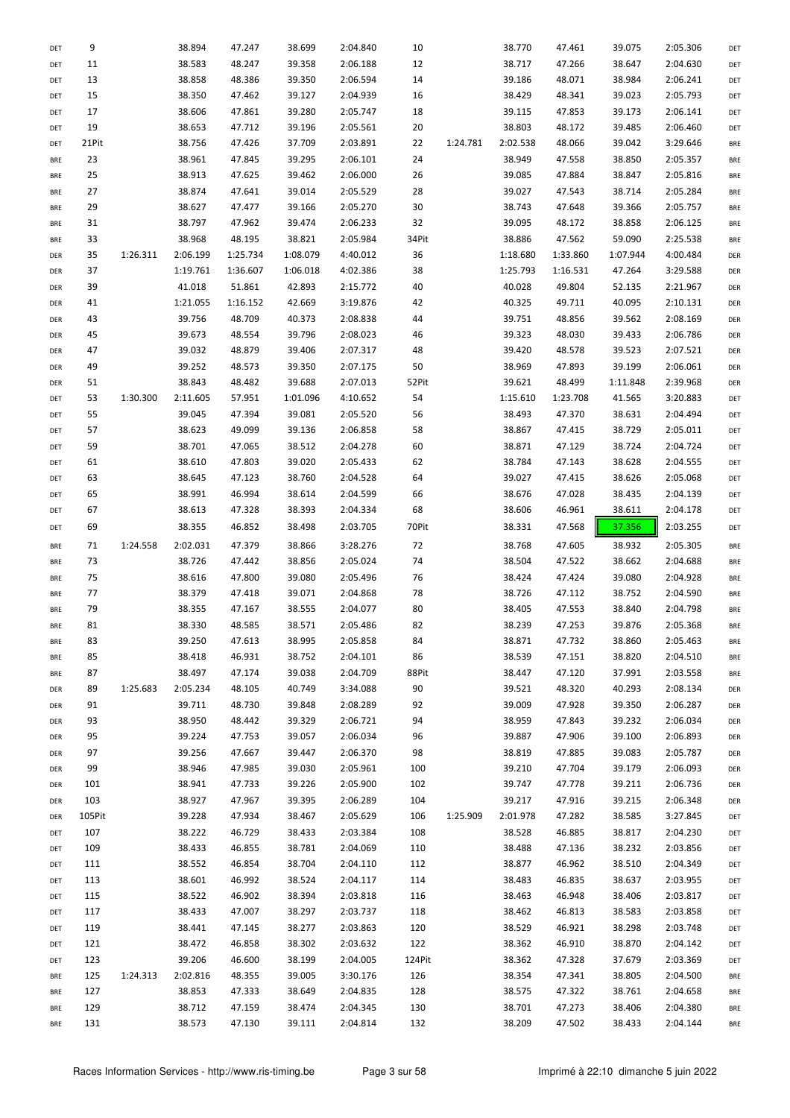| DET | 9      |          | 38.894   | 47.247   | 38.699   | 2:04.840 | 10     |          | 38.770   | 47.461   | 39.075   | 2:05.306 | DET        |
|-----|--------|----------|----------|----------|----------|----------|--------|----------|----------|----------|----------|----------|------------|
| DET | 11     |          | 38.583   | 48.247   | 39.358   | 2:06.188 | 12     |          | 38.717   | 47.266   | 38.647   | 2:04.630 | DET        |
| DET | 13     |          | 38.858   | 48.386   | 39.350   | 2:06.594 | 14     |          | 39.186   | 48.071   | 38.984   | 2:06.241 | DET        |
| DET | 15     |          | 38.350   | 47.462   | 39.127   | 2:04.939 | 16     |          | 38.429   | 48.341   | 39.023   | 2:05.793 | DET        |
| DET | 17     |          | 38.606   | 47.861   | 39.280   | 2:05.747 | 18     |          | 39.115   | 47.853   | 39.173   | 2:06.141 | DET        |
| DET | 19     |          | 38.653   | 47.712   | 39.196   | 2:05.561 | 20     |          | 38.803   | 48.172   | 39.485   | 2:06.460 | DET        |
| DET | 21Pit  |          | 38.756   | 47.426   | 37.709   | 2:03.891 | 22     | 1:24.781 | 2:02.538 | 48.066   | 39.042   | 3:29.646 | <b>BRE</b> |
|     |        |          |          |          |          |          |        |          |          |          |          |          |            |
| BRE | 23     |          | 38.961   | 47.845   | 39.295   | 2:06.101 | 24     |          | 38.949   | 47.558   | 38.850   | 2:05.357 | <b>BRE</b> |
| BRE | 25     |          | 38.913   | 47.625   | 39.462   | 2:06.000 | 26     |          | 39.085   | 47.884   | 38.847   | 2:05.816 | <b>BRE</b> |
| BRE | 27     |          | 38.874   | 47.641   | 39.014   | 2:05.529 | 28     |          | 39.027   | 47.543   | 38.714   | 2:05.284 | <b>BRE</b> |
| BRE | 29     |          | 38.627   | 47.477   | 39.166   | 2:05.270 | 30     |          | 38.743   | 47.648   | 39.366   | 2:05.757 | <b>BRE</b> |
| BRE | 31     |          | 38.797   | 47.962   | 39.474   | 2:06.233 | 32     |          | 39.095   | 48.172   | 38.858   | 2:06.125 | <b>BRE</b> |
| BRE | 33     |          | 38.968   | 48.195   | 38.821   | 2:05.984 | 34Pit  |          | 38.886   | 47.562   | 59.090   | 2:25.538 | <b>BRE</b> |
| DER | 35     | 1:26.311 | 2:06.199 | 1:25.734 | 1:08.079 | 4:40.012 | 36     |          | 1:18.680 | 1:33.860 | 1:07.944 | 4:00.484 | DER        |
| DER | 37     |          | 1:19.761 | 1:36.607 | 1:06.018 | 4:02.386 | 38     |          | 1:25.793 | 1:16.531 | 47.264   | 3:29.588 | DER        |
|     | 39     |          | 41.018   | 51.861   | 42.893   | 2:15.772 | 40     |          | 40.028   | 49.804   | 52.135   |          |            |
| DER |        |          |          |          |          |          |        |          |          |          |          | 2:21.967 | DER        |
| DER | 41     |          | 1:21.055 | 1:16.152 | 42.669   | 3:19.876 | 42     |          | 40.325   | 49.711   | 40.095   | 2:10.131 | DER        |
| DER | 43     |          | 39.756   | 48.709   | 40.373   | 2:08.838 | 44     |          | 39.751   | 48.856   | 39.562   | 2:08.169 | DER        |
| DER | 45     |          | 39.673   | 48.554   | 39.796   | 2:08.023 | 46     |          | 39.323   | 48.030   | 39.433   | 2:06.786 | DER        |
| DER | 47     |          | 39.032   | 48.879   | 39.406   | 2:07.317 | 48     |          | 39.420   | 48.578   | 39.523   | 2:07.521 | DER        |
| DER | 49     |          | 39.252   | 48.573   | 39.350   | 2:07.175 | 50     |          | 38.969   | 47.893   | 39.199   | 2:06.061 | DER        |
| DER | 51     |          | 38.843   | 48.482   | 39.688   | 2:07.013 | 52Pit  |          | 39.621   | 48.499   | 1:11.848 | 2:39.968 | DER        |
| DET | 53     | 1:30.300 | 2:11.605 | 57.951   | 1:01.096 | 4:10.652 | 54     |          | 1:15.610 | 1:23.708 | 41.565   | 3:20.883 | DET        |
| DET | 55     |          | 39.045   | 47.394   | 39.081   | 2:05.520 | 56     |          | 38.493   | 47.370   | 38.631   | 2:04.494 | DET        |
|     | 57     |          | 38.623   | 49.099   | 39.136   | 2:06.858 | 58     |          | 38.867   | 47.415   | 38.729   | 2:05.011 | DET        |
| DET |        |          |          |          |          |          |        |          |          |          |          |          |            |
| DET | 59     |          | 38.701   | 47.065   | 38.512   | 2:04.278 | 60     |          | 38.871   | 47.129   | 38.724   | 2:04.724 | DET        |
| DET | 61     |          | 38.610   | 47.803   | 39.020   | 2:05.433 | 62     |          | 38.784   | 47.143   | 38.628   | 2:04.555 | DET        |
| DET | 63     |          | 38.645   | 47.123   | 38.760   | 2:04.528 | 64     |          | 39.027   | 47.415   | 38.626   | 2:05.068 | DET        |
| DET | 65     |          | 38.991   | 46.994   | 38.614   | 2:04.599 | 66     |          | 38.676   | 47.028   | 38.435   | 2:04.139 | DET        |
| DET | 67     |          | 38.613   | 47.328   | 38.393   | 2:04.334 | 68     |          | 38.606   | 46.961   | 38.611   | 2:04.178 | DET        |
| DET | 69     |          | 38.355   | 46.852   | 38.498   | 2:03.705 | 70Pit  |          | 38.331   | 47.568   | 37.356   | 2:03.255 | DET        |
| BRE | 71     | 1:24.558 | 2:02.031 | 47.379   | 38.866   | 3:28.276 | 72     |          | 38.768   | 47.605   | 38.932   | 2:05.305 | <b>BRE</b> |
|     | 73     |          | 38.726   | 47.442   | 38.856   | 2:05.024 | 74     |          | 38.504   | 47.522   | 38.662   | 2:04.688 |            |
| BRE |        |          |          |          |          |          |        |          |          |          |          |          | <b>BRE</b> |
| BRE | 75     |          | 38.616   | 47.800   | 39.080   | 2:05.496 | 76     |          | 38.424   | 47.424   | 39.080   | 2:04.928 | <b>BRE</b> |
| BRE | 77     |          | 38.379   | 47.418   | 39.071   | 2:04.868 | 78     |          | 38.726   | 47.112   | 38.752   | 2:04.590 | <b>BRE</b> |
| BRE | 79     |          | 38.355   | 47.167   | 38.555   | 2:04.077 | 80     |          | 38.405   | 47.553   | 38.840   | 2:04.798 | <b>BRE</b> |
| BRE | 81     |          | 38.330   | 48.585   | 38.571   | 2:05.486 | 82     |          | 38.239   | 47.253   | 39.876   | 2:05.368 | <b>BRE</b> |
| BRE | 83     |          | 39.250   | 47.613   | 38.995   | 2:05.858 | 84     |          | 38.871   | 47.732   | 38.860   | 2:05.463 | <b>BRE</b> |
| BRE | 85     |          | 38.418   | 46.931   | 38.752   | 2:04.101 | 86     |          | 38.539   | 47.151   | 38.820   | 2:04.510 | <b>BRE</b> |
| BRE | 87     |          | 38.497   | 47.174   | 39.038   | 2:04.709 | 88Pit  |          | 38.447   | 47.120   | 37.991   | 2:03.558 | <b>BRE</b> |
| DER | 89     | 1:25.683 | 2:05.234 | 48.105   | 40.749   | 3:34.088 | 90     |          | 39.521   | 48.320   | 40.293   | 2:08.134 | DER        |
| DER | 91     |          | 39.711   | 48.730   | 39.848   | 2:08.289 | 92     |          | 39.009   | 47.928   | 39.350   | 2:06.287 | DER        |
|     | 93     |          | 38.950   | 48.442   | 39.329   | 2:06.721 | 94     |          | 38.959   | 47.843   | 39.232   | 2:06.034 |            |
| DER |        |          |          |          |          |          |        |          |          |          |          |          | DER        |
| DER | 95     |          | 39.224   | 47.753   | 39.057   | 2:06.034 | 96     |          | 39.887   | 47.906   | 39.100   | 2:06.893 | DER        |
| DER | 97     |          | 39.256   | 47.667   | 39.447   | 2:06.370 | 98     |          | 38.819   | 47.885   | 39.083   | 2:05.787 | DER        |
| DER | 99     |          | 38.946   | 47.985   | 39.030   | 2:05.961 | 100    |          | 39.210   | 47.704   | 39.179   | 2:06.093 | DER        |
| DER | 101    |          | 38.941   | 47.733   | 39.226   | 2:05.900 | 102    |          | 39.747   | 47.778   | 39.211   | 2:06.736 | DER        |
| DER | 103    |          | 38.927   | 47.967   | 39.395   | 2:06.289 | 104    |          | 39.217   | 47.916   | 39.215   | 2:06.348 | DER        |
| DER | 105Pit |          | 39.228   | 47.934   | 38.467   | 2:05.629 | 106    | 1:25.909 | 2:01.978 | 47.282   | 38.585   | 3:27.845 | DET        |
| DET | 107    |          | 38.222   | 46.729   | 38.433   | 2:03.384 | 108    |          | 38.528   | 46.885   | 38.817   | 2:04.230 | DET        |
| DET | 109    |          | 38.433   | 46.855   | 38.781   | 2:04.069 | 110    |          | 38.488   | 47.136   | 38.232   | 2:03.856 | DET        |
| DET | 111    |          | 38.552   | 46.854   | 38.704   | 2:04.110 | 112    |          | 38.877   | 46.962   | 38.510   | 2:04.349 | DET        |
|     |        |          |          |          |          |          |        |          |          |          |          |          |            |
| DET | 113    |          | 38.601   | 46.992   | 38.524   | 2:04.117 | 114    |          | 38.483   | 46.835   | 38.637   | 2:03.955 | DET        |
| DET | 115    |          | 38.522   | 46.902   | 38.394   | 2:03.818 | 116    |          | 38.463   | 46.948   | 38.406   | 2:03.817 | DET        |
| DET | 117    |          | 38.433   | 47.007   | 38.297   | 2:03.737 | 118    |          | 38.462   | 46.813   | 38.583   | 2:03.858 | DET        |
| DET | 119    |          | 38.441   | 47.145   | 38.277   | 2:03.863 | 120    |          | 38.529   | 46.921   | 38.298   | 2:03.748 | DET        |
| DET | 121    |          | 38.472   | 46.858   | 38.302   | 2:03.632 | 122    |          | 38.362   | 46.910   | 38.870   | 2:04.142 | DET        |
| DET | 123    |          | 39.206   | 46.600   | 38.199   | 2:04.005 | 124Pit |          | 38.362   | 47.328   | 37.679   | 2:03.369 | DET        |
| BRE | 125    | 1:24.313 | 2:02.816 | 48.355   | 39.005   | 3:30.176 | 126    |          | 38.354   | 47.341   | 38.805   | 2:04.500 | <b>BRE</b> |
| BRE | 127    |          | 38.853   | 47.333   | 38.649   | 2:04.835 | 128    |          | 38.575   | 47.322   | 38.761   | 2:04.658 | <b>BRE</b> |
| BRE | 129    |          | 38.712   | 47.159   | 38.474   | 2:04.345 | 130    |          | 38.701   | 47.273   | 38.406   | 2:04.380 | <b>BRE</b> |
|     | 131    |          | 38.573   | 47.130   | 39.111   | 2:04.814 |        |          | 38.209   | 47.502   | 38.433   | 2:04.144 |            |
| BRE |        |          |          |          |          |          | 132    |          |          |          |          |          | <b>BRE</b> |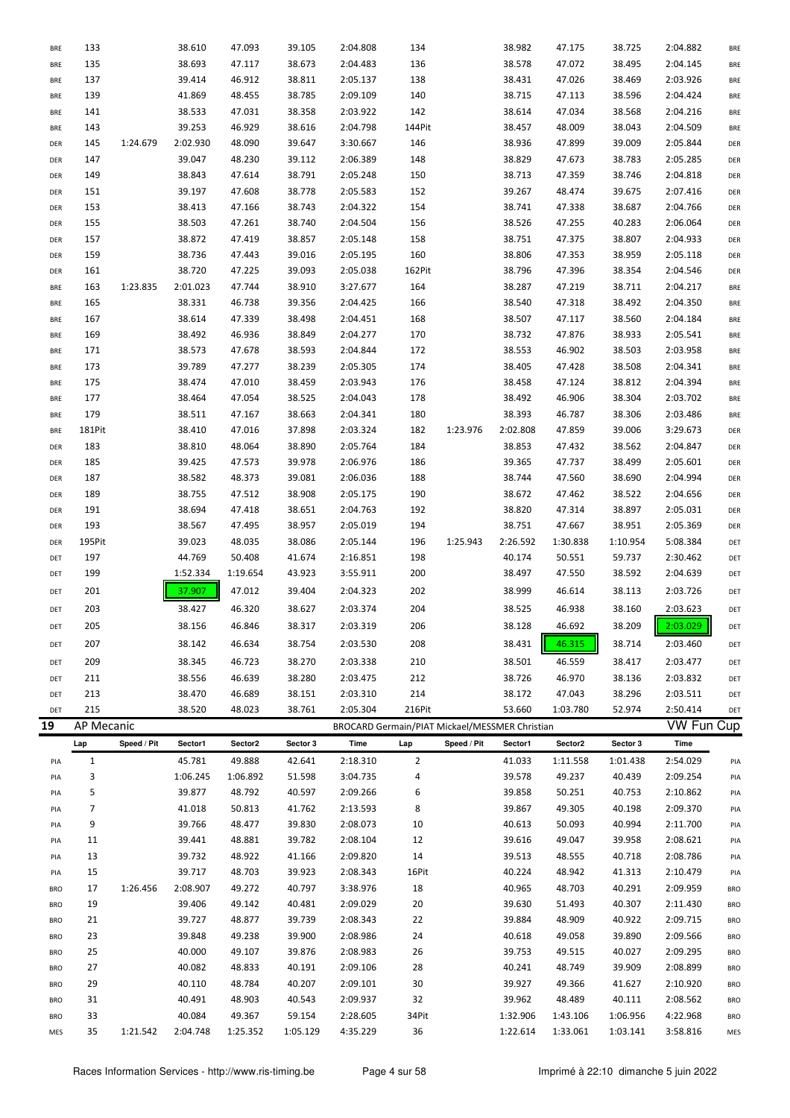| BRE        | 133          |             | 38.610             | 47.093             | 39.105             | 2:04.808                                       | 134            |             | 38.982               | 47.175               | 38.725               | 2:04.882             | <b>BRE</b> |
|------------|--------------|-------------|--------------------|--------------------|--------------------|------------------------------------------------|----------------|-------------|----------------------|----------------------|----------------------|----------------------|------------|
| BRE        | 135          |             | 38.693             | 47.117             | 38.673             | 2:04.483                                       | 136            |             | 38.578               | 47.072               | 38.495               | 2:04.145             | <b>BRE</b> |
| BRE        | 137          |             | 39.414             | 46.912             | 38.811             | 2:05.137                                       | 138            |             | 38.431               | 47.026               | 38.469               | 2:03.926             | <b>BRE</b> |
| BRE        | 139          |             | 41.869             | 48.455             | 38.785             | 2:09.109                                       | 140            |             | 38.715               | 47.113               | 38.596               | 2:04.424             | <b>BRE</b> |
| BRE        | 141          |             | 38.533             | 47.031             | 38.358             | 2:03.922                                       | 142            |             | 38.614               | 47.034               | 38.568               | 2:04.216             | <b>BRE</b> |
| BRE        | 143          |             | 39.253             | 46.929             | 38.616             | 2:04.798                                       | 144Pit         |             | 38.457               | 48.009               | 38.043               | 2:04.509             | <b>BRE</b> |
| DER        | 145          | 1:24.679    | 2:02.930           | 48.090             | 39.647             | 3:30.667                                       | 146            |             | 38.936               | 47.899               | 39.009               | 2:05.844             | DER        |
| DER        | 147          |             | 39.047             | 48.230             | 39.112             | 2:06.389                                       | 148            |             | 38.829               | 47.673               | 38.783               | 2:05.285             | DER        |
| DER        | 149          |             | 38.843             | 47.614             | 38.791             | 2:05.248                                       | 150            |             | 38.713               | 47.359               | 38.746               | 2:04.818             | DER        |
| DER        | 151          |             | 39.197             | 47.608             | 38.778             | 2:05.583                                       | 152            |             | 39.267               | 48.474               | 39.675               | 2:07.416             | DER        |
| DER        | 153          |             | 38.413             | 47.166             | 38.743             | 2:04.322                                       | 154            |             | 38.741               | 47.338               | 38.687               | 2:04.766             | DER        |
| DER        | 155          |             | 38.503             | 47.261             | 38.740             | 2:04.504                                       | 156            |             | 38.526               | 47.255               | 40.283               | 2:06.064             | DER        |
| DER        | 157          |             | 38.872             | 47.419             | 38.857             | 2:05.148                                       | 158            |             | 38.751               | 47.375               | 38.807               | 2:04.933             | DER        |
| DER        | 159          |             | 38.736             | 47.443             | 39.016             | 2:05.195                                       | 160            |             | 38.806               | 47.353               | 38.959               | 2:05.118             | DER        |
| DER        | 161          |             | 38.720             | 47.225             | 39.093             | 2:05.038                                       | 162Pit         |             | 38.796               | 47.396               | 38.354               | 2:04.546             | DER        |
|            | 163          | 1:23.835    | 2:01.023           | 47.744             | 38.910             | 3:27.677                                       | 164            |             | 38.287               | 47.219               | 38.711               | 2:04.217             |            |
| BRE        |              |             |                    |                    |                    |                                                |                |             |                      |                      |                      |                      | <b>BRE</b> |
| BRE        | 165          |             | 38.331             | 46.738             | 39.356             | 2:04.425                                       | 166            |             | 38.540               | 47.318               | 38.492               | 2:04.350             | <b>BRE</b> |
| BRE        | 167          |             | 38.614             | 47.339             | 38.498             | 2:04.451                                       | 168            |             | 38.507               | 47.117               | 38.560               | 2:04.184             | <b>BRE</b> |
| BRE        | 169          |             | 38.492             | 46.936             | 38.849             | 2:04.277                                       | 170            |             | 38.732               | 47.876               | 38.933               | 2:05.541             | <b>BRE</b> |
| BRE        | 171          |             | 38.573             | 47.678             | 38.593             | 2:04.844                                       | 172            |             | 38.553               | 46.902               | 38.503               | 2:03.958             | <b>BRE</b> |
| BRE        | 173          |             | 39.789             | 47.277             | 38.239             | 2:05.305                                       | 174            |             | 38.405               | 47.428               | 38.508               | 2:04.341             | <b>BRE</b> |
| BRE        | 175          |             | 38.474             | 47.010             | 38.459             | 2:03.943                                       | 176            |             | 38.458               | 47.124               | 38.812               | 2:04.394             | <b>BRE</b> |
| BRE        | 177          |             | 38.464             | 47.054             | 38.525             | 2:04.043                                       | 178            |             | 38.492               | 46.906               | 38.304               | 2:03.702             | <b>BRE</b> |
| BRE        | 179          |             | 38.511             | 47.167             | 38.663             | 2:04.341                                       | 180            |             | 38.393               | 46.787               | 38.306               | 2:03.486             | <b>BRE</b> |
| BRE        | 181Pit       |             | 38.410             | 47.016             | 37.898             | 2:03.324                                       | 182            | 1:23.976    | 2:02.808             | 47.859               | 39.006               | 3:29.673             | DER        |
| DER        | 183          |             | 38.810             | 48.064             | 38.890             | 2:05.764                                       | 184            |             | 38.853               | 47.432               | 38.562               | 2:04.847             | DER        |
| DER        | 185          |             | 39.425             | 47.573             | 39.978             | 2:06.976                                       | 186            |             | 39.365               | 47.737               | 38.499               | 2:05.601             | DER        |
| DER        | 187          |             | 38.582             | 48.373             | 39.081             | 2:06.036                                       | 188            |             | 38.744               | 47.560               | 38.690               | 2:04.994             | DER        |
| DER        | 189          |             | 38.755             | 47.512             | 38.908             | 2:05.175                                       | 190            |             | 38.672               | 47.462               | 38.522               | 2:04.656             | DER        |
| DER        | 191          |             | 38.694             | 47.418             | 38.651             | 2:04.763                                       | 192            |             | 38.820               | 47.314               | 38.897               | 2:05.031             | DER        |
| DER        | 193          |             | 38.567             | 47.495             | 38.957             | 2:05.019                                       | 194            |             | 38.751               | 47.667               | 38.951               | 2:05.369             | DER        |
|            |              |             |                    |                    |                    |                                                |                |             |                      |                      |                      |                      |            |
| DER        | 195Pit       |             | 39.023             | 48.035             | 38.086             | 2:05.144                                       | 196            | 1:25.943    | 2:26.592             | 1:30.838             | 1:10.954             | 5:08.384             | DET        |
| DET        | 197          |             | 44.769             | 50.408             | 41.674             | 2:16.851                                       | 198            |             | 40.174               | 50.551               | 59.737               | 2:30.462             | DET        |
| DET        | 199          |             | 1:52.334           | 1:19.654           | 43.923             | 3:55.911                                       | 200            |             | 38.497               | 47.550               | 38.592               | 2:04.639             | DET        |
|            |              |             |                    |                    |                    |                                                |                |             |                      |                      |                      |                      |            |
| DET        | 201          |             | 37.907             | 47.012             | 39.404             | 2:04.323                                       | 202            |             | 38.999               | 46.614               | 38.113               | 2:03.726             | DET        |
| DET        | 203          |             | 38.427             | 46.320             | 38.627             | 2:03.374                                       | 204            |             | 38.525               | 46.938               | 38.160               | 2:03.623             | DET        |
| DET        | 205          |             | 38.156             | 46.846             | 38.317             | 2:03.319                                       | 206            |             | 38.128               | 46.692               | 38.209               | 2:03.029             | DET        |
| DET        | 207          |             | 38.142             | 46.634             | 38.754             | 2:03.530                                       | 208            |             | 38.431               | 46.315               | 38.714               | 2:03.460             | DET        |
| DET        | 209          |             | 38.345             | 46.723             | 38.270             | 2:03.338                                       | 210            |             | 38.501               | 46.559               | 38.417               | 2:03.477             | DET        |
| DET        | 211          |             | 38.556             | 46.639             | 38.280             | 2:03.475                                       | 212            |             | 38.726               | 46.970               | 38.136               | 2:03.832             | DET        |
| DET        | 213          |             | 38.470             | 46.689             | 38.151             | 2:03.310                                       | 214            |             | 38.172               | 47.043               | 38.296               | 2:03.511             | DET        |
| DET        | 215          |             | 38.520             | 48.023             | 38.761             | 2:05.304                                       | 216Pit         |             | 53.660               | 1:03.780             | 52.974               | 2:50.414             | DET        |
| 19         | AP Mecanic   |             |                    |                    |                    | BROCARD Germain/PIAT Mickael/MESSMER Christian |                |             |                      |                      |                      | <b>VW Fun Cup</b>    |            |
|            | Lap          | Speed / Pit | Sector1            | Sector2            | Sector 3           | Time                                           | Lap            | Speed / Pit | Sector1              | Sector2              | Sector 3             | Time                 |            |
| PIA        | $\mathbf{1}$ |             | 45.781             | 49.888             | 42.641             | 2:18.310                                       | $\overline{2}$ |             | 41.033               | 1:11.558             | 1:01.438             | 2:54.029             | PIA        |
| PIA        | 3            |             | 1:06.245           | 1:06.892           | 51.598             | 3:04.735                                       | 4              |             | 39.578               | 49.237               | 40.439               | 2:09.254             | PIA        |
| PIA        | 5            |             | 39.877             | 48.792             | 40.597             | 2:09.266                                       | 6              |             | 39.858               | 50.251               | 40.753               | 2:10.862             | PIA        |
|            | 7            |             |                    |                    |                    |                                                |                |             |                      |                      |                      |                      |            |
| PIA        |              |             | 41.018             | 50.813             | 41.762             | 2:13.593                                       | 8              |             | 39.867               | 49.305               | 40.198               | 2:09.370             | PIA        |
| PIA        | 9            |             | 39.766             | 48.477             | 39.830             | 2:08.073                                       | 10             |             | 40.613               | 50.093               | 40.994               | 2:11.700             | PIA        |
| PIA        | 11           |             | 39.441             | 48.881             | 39.782             | 2:08.104                                       | 12             |             | 39.616               | 49.047               | 39.958               | 2:08.621             | PIA        |
| PIA        | 13           |             | 39.732             | 48.922             | 41.166             | 2:09.820                                       | 14             |             | 39.513               | 48.555               | 40.718               | 2:08.786             | PIA        |
| PIA        | 15           |             | 39.717             | 48.703             | 39.923             | 2:08.343                                       | 16Pit          |             | 40.224               | 48.942               | 41.313               | 2:10.479             | PIA        |
| <b>BRO</b> | 17           | 1:26.456    | 2:08.907           | 49.272             | 40.797             | 3:38.976                                       | 18             |             | 40.965               | 48.703               | 40.291               | 2:09.959             | <b>BRO</b> |
| <b>BRO</b> | 19           |             | 39.406             | 49.142             | 40.481             | 2:09.029                                       | 20             |             | 39.630               | 51.493               | 40.307               | 2:11.430             | <b>BRO</b> |
| <b>BRO</b> | 21           |             | 39.727             | 48.877             | 39.739             | 2:08.343                                       | 22             |             | 39.884               | 48.909               | 40.922               | 2:09.715             | <b>BRO</b> |
| <b>BRO</b> | 23           |             | 39.848             | 49.238             | 39.900             | 2:08.986                                       | 24             |             | 40.618               | 49.058               | 39.890               | 2:09.566             | <b>BRO</b> |
| <b>BRO</b> | 25           |             | 40.000             | 49.107             | 39.876             | 2:08.983                                       | 26             |             | 39.753               | 49.515               | 40.027               | 2:09.295             | <b>BRO</b> |
| <b>BRO</b> | 27           |             | 40.082             | 48.833             | 40.191             | 2:09.106                                       | 28             |             | 40.241               | 48.749               | 39.909               | 2:08.899             | <b>BRO</b> |
| <b>BRO</b> | 29           |             | 40.110             | 48.784             | 40.207             | 2:09.101                                       | 30             |             | 39.927               | 49.366               | 41.627               | 2:10.920             | <b>BRO</b> |
| <b>BRO</b> | 31           |             | 40.491             | 48.903             | 40.543             | 2:09.937                                       | 32             |             | 39.962               | 48.489               | 40.111               | 2:08.562             | <b>BRO</b> |
| <b>BRO</b> | 33<br>35     | 1:21.542    | 40.084<br>2:04.748 | 49.367<br>1:25.352 | 59.154<br>1:05.129 | 2:28.605<br>4:35.229                           | 34Pit<br>36    |             | 1:32.906<br>1:22.614 | 1:43.106<br>1:33.061 | 1:06.956<br>1:03.141 | 4:22.968<br>3:58.816 | <b>BRO</b> |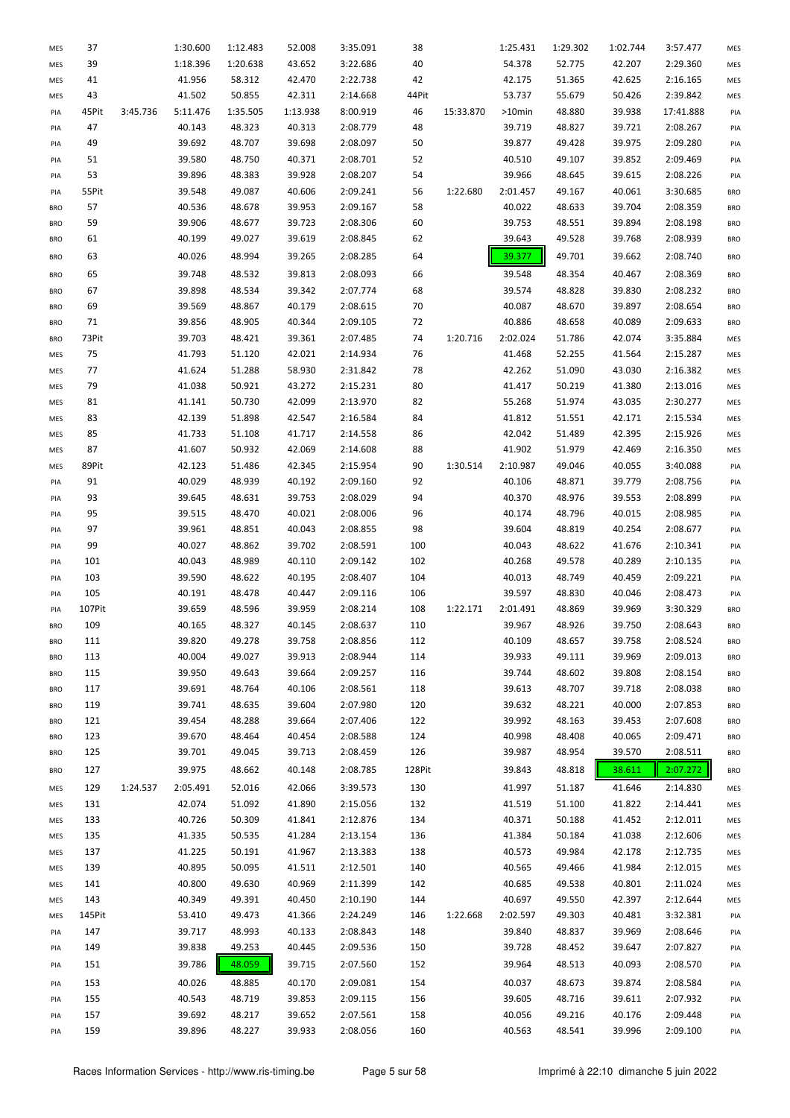| MES        | 37     |          | 1:30.600 | 1:12.483 | 52.008   | 3:35.091 | 38     |           | 1:25.431 | 1:29.302 | 1:02.744 | 3:57.477  | MES        |
|------------|--------|----------|----------|----------|----------|----------|--------|-----------|----------|----------|----------|-----------|------------|
| MES        | 39     |          | 1:18.396 | 1:20.638 | 43.652   | 3:22.686 | 40     |           | 54.378   | 52.775   | 42.207   | 2:29.360  | MES        |
| MES        | 41     |          | 41.956   | 58.312   | 42.470   | 2:22.738 | 42     |           | 42.175   | 51.365   | 42.625   | 2:16.165  | MES        |
| MES        | 43     |          | 41.502   | 50.855   | 42.311   | 2:14.668 | 44Pit  |           | 53.737   | 55.679   | 50.426   | 2:39.842  | MES        |
|            |        |          |          |          |          |          |        |           |          |          |          |           |            |
| PIA        | 45Pit  | 3:45.736 | 5:11.476 | 1:35.505 | 1:13.938 | 8:00.919 | 46     | 15:33.870 | >10min   | 48.880   | 39.938   | 17:41.888 | PIA        |
| PIA        | 47     |          | 40.143   | 48.323   | 40.313   | 2:08.779 | 48     |           | 39.719   | 48.827   | 39.721   | 2:08.267  | PIA        |
| PIA        | 49     |          | 39.692   | 48.707   | 39.698   | 2:08.097 | 50     |           | 39.877   | 49.428   | 39.975   | 2:09.280  | PIA        |
| PIA        | 51     |          | 39.580   | 48.750   | 40.371   | 2:08.701 | 52     |           | 40.510   | 49.107   | 39.852   | 2:09.469  | PIA        |
| PIA        | 53     |          | 39.896   | 48.383   | 39.928   | 2:08.207 | 54     |           | 39.966   | 48.645   | 39.615   | 2:08.226  | PIA        |
| PIA        | 55Pit  |          | 39.548   | 49.087   | 40.606   | 2:09.241 | 56     | 1:22.680  | 2:01.457 | 49.167   | 40.061   | 3:30.685  | <b>BRO</b> |
| <b>BRO</b> | 57     |          | 40.536   | 48.678   | 39.953   | 2:09.167 | 58     |           | 40.022   | 48.633   | 39.704   | 2:08.359  | <b>BRO</b> |
| <b>BRO</b> | 59     |          | 39.906   | 48.677   | 39.723   | 2:08.306 | 60     |           | 39.753   | 48.551   | 39.894   | 2:08.198  | <b>BRO</b> |
| <b>BRO</b> | 61     |          | 40.199   | 49.027   | 39.619   | 2:08.845 | 62     |           | 39.643   | 49.528   | 39.768   | 2:08.939  | <b>BRO</b> |
| <b>BRO</b> | 63     |          | 40.026   | 48.994   | 39.265   | 2:08.285 | 64     |           | 39.377   | 49.701   | 39.662   | 2:08.740  | <b>BRO</b> |
| <b>BRO</b> | 65     |          | 39.748   | 48.532   | 39.813   | 2:08.093 | 66     |           | 39.548   | 48.354   | 40.467   | 2:08.369  | <b>BRO</b> |
| <b>BRO</b> | 67     |          | 39.898   | 48.534   | 39.342   | 2:07.774 | 68     |           | 39.574   | 48.828   | 39.830   | 2:08.232  | <b>BRO</b> |
| <b>BRO</b> | 69     |          | 39.569   | 48.867   | 40.179   | 2:08.615 | 70     |           | 40.087   | 48.670   | 39.897   | 2:08.654  | <b>BRO</b> |
|            | 71     |          | 39.856   | 48.905   | 40.344   | 2:09.105 | 72     |           | 40.886   | 48.658   | 40.089   | 2:09.633  |            |
| <b>BRO</b> |        |          |          |          |          |          |        |           |          |          |          |           | <b>BRO</b> |
| <b>BRO</b> | 73Pit  |          | 39.703   | 48.421   | 39.361   | 2:07.485 | 74     | 1:20.716  | 2:02.024 | 51.786   | 42.074   | 3:35.884  | MES        |
| MES        | 75     |          | 41.793   | 51.120   | 42.021   | 2:14.934 | 76     |           | 41.468   | 52.255   | 41.564   | 2:15.287  | MES        |
| MES        | 77     |          | 41.624   | 51.288   | 58.930   | 2:31.842 | 78     |           | 42.262   | 51.090   | 43.030   | 2:16.382  | MES        |
| MES        | 79     |          | 41.038   | 50.921   | 43.272   | 2:15.231 | 80     |           | 41.417   | 50.219   | 41.380   | 2:13.016  | MES        |
| MES        | 81     |          | 41.141   | 50.730   | 42.099   | 2:13.970 | 82     |           | 55.268   | 51.974   | 43.035   | 2:30.277  | MES        |
| MES        | 83     |          | 42.139   | 51.898   | 42.547   | 2:16.584 | 84     |           | 41.812   | 51.551   | 42.171   | 2:15.534  | MES        |
| MES        | 85     |          | 41.733   | 51.108   | 41.717   | 2:14.558 | 86     |           | 42.042   | 51.489   | 42.395   | 2:15.926  | MES        |
| MES        | 87     |          | 41.607   | 50.932   | 42.069   | 2:14.608 | 88     |           | 41.902   | 51.979   | 42.469   | 2:16.350  | MES        |
| MES        | 89Pit  |          | 42.123   | 51.486   | 42.345   | 2:15.954 | 90     | 1:30.514  | 2:10.987 | 49.046   | 40.055   | 3:40.088  | PIA        |
| PIA        | 91     |          | 40.029   | 48.939   | 40.192   | 2:09.160 | 92     |           | 40.106   | 48.871   | 39.779   | 2:08.756  | PIA        |
| PIA        | 93     |          | 39.645   | 48.631   | 39.753   | 2:08.029 | 94     |           | 40.370   | 48.976   | 39.553   | 2:08.899  | PIA        |
| PIA        | 95     |          | 39.515   | 48.470   | 40.021   | 2:08.006 | 96     |           | 40.174   | 48.796   | 40.015   | 2:08.985  | PIA        |
| PIA        | 97     |          | 39.961   | 48.851   | 40.043   | 2:08.855 | 98     |           | 39.604   | 48.819   | 40.254   | 2:08.677  | PIA        |
| PIA        | 99     |          | 40.027   | 48.862   | 39.702   | 2:08.591 | 100    |           | 40.043   | 48.622   | 41.676   | 2:10.341  | PIA        |
| PIA        | 101    |          | 40.043   | 48.989   | 40.110   | 2:09.142 | 102    |           | 40.268   | 49.578   | 40.289   | 2:10.135  | PIA        |
| PIA        | 103    |          | 39.590   | 48.622   | 40.195   | 2:08.407 | 104    |           | 40.013   | 48.749   | 40.459   | 2:09.221  | PIA        |
| PIA        | 105    |          | 40.191   | 48.478   | 40.447   | 2:09.116 | 106    |           | 39.597   | 48.830   | 40.046   | 2:08.473  | PIA        |
| PIA        | 107Pit |          | 39.659   | 48.596   | 39.959   | 2:08.214 | 108    | 1:22.171  | 2:01.491 | 48.869   | 39.969   | 3:30.329  | <b>BRO</b> |
| <b>BRO</b> | 109    |          | 40.165   | 48.327   | 40.145   | 2:08.637 | 110    |           | 39.967   | 48.926   | 39.750   | 2:08.643  | <b>BRO</b> |
| <b>BRO</b> | 111    |          | 39.820   | 49.278   | 39.758   | 2:08.856 | 112    |           | 40.109   | 48.657   | 39.758   | 2:08.524  | <b>BRO</b> |
| <b>BRO</b> | 113    |          | 40.004   | 49.027   | 39.913   | 2:08.944 | 114    |           | 39.933   | 49.111   | 39.969   | 2:09.013  | <b>BRO</b> |
|            | 115    |          | 39.950   | 49.643   | 39.664   |          |        |           |          |          |          |           |            |
| <b>BRO</b> |        |          |          |          |          | 2:09.257 | 116    |           | 39.744   | 48.602   | 39.808   | 2:08.154  | <b>BRO</b> |
| <b>BRO</b> | 117    |          | 39.691   | 48.764   | 40.106   | 2:08.561 | 118    |           | 39.613   | 48.707   | 39.718   | 2:08.038  | <b>BRO</b> |
| <b>BRO</b> | 119    |          | 39.741   | 48.635   | 39.604   | 2:07.980 | 120    |           | 39.632   | 48.221   | 40.000   | 2:07.853  | <b>BRO</b> |
| <b>BRO</b> | 121    |          | 39.454   | 48.288   | 39.664   | 2:07.406 | 122    |           | 39.992   | 48.163   | 39.453   | 2:07.608  | <b>BRO</b> |
| <b>BRO</b> | 123    |          | 39.670   | 48.464   | 40.454   | 2:08.588 | 124    |           | 40.998   | 48.408   | 40.065   | 2:09.471  | <b>BRO</b> |
| <b>BRO</b> | 125    |          | 39.701   | 49.045   | 39.713   | 2:08.459 | 126    |           | 39.987   | 48.954   | 39.570   | 2:08.511  | <b>BRO</b> |
| <b>BRO</b> | 127    |          | 39.975   | 48.662   | 40.148   | 2:08.785 | 128Pit |           | 39.843   | 48.818   | 38.611   | 2:07.272  | <b>BRO</b> |
| MES        | 129    | 1:24.537 | 2:05.491 | 52.016   | 42.066   | 3:39.573 | 130    |           | 41.997   | 51.187   | 41.646   | 2:14.830  | MES        |
| MES        | 131    |          | 42.074   | 51.092   | 41.890   | 2:15.056 | 132    |           | 41.519   | 51.100   | 41.822   | 2:14.441  | MES        |
| MES        | 133    |          | 40.726   | 50.309   | 41.841   | 2:12.876 | 134    |           | 40.371   | 50.188   | 41.452   | 2:12.011  | MES        |
| MES        | 135    |          | 41.335   | 50.535   | 41.284   | 2:13.154 | 136    |           | 41.384   | 50.184   | 41.038   | 2:12.606  | MES        |
| MES        | 137    |          | 41.225   | 50.191   | 41.967   | 2:13.383 | 138    |           | 40.573   | 49.984   | 42.178   | 2:12.735  | MES        |
| MES        | 139    |          | 40.895   | 50.095   | 41.511   | 2:12.501 | 140    |           | 40.565   | 49.466   | 41.984   | 2:12.015  | MES        |
| MES        | 141    |          | 40.800   | 49.630   | 40.969   | 2:11.399 | 142    |           | 40.685   | 49.538   | 40.801   | 2:11.024  | MES        |
| MES        | 143    |          | 40.349   | 49.391   | 40.450   | 2:10.190 | 144    |           | 40.697   | 49.550   | 42.397   | 2:12.644  | MES        |
| MES        | 145Pit |          | 53.410   | 49.473   | 41.366   | 2:24.249 | 146    | 1:22.668  | 2:02.597 | 49.303   | 40.481   | 3:32.381  | PIA        |
| PIA        | 147    |          | 39.717   | 48.993   | 40.133   | 2:08.843 | 148    |           | 39.840   | 48.837   | 39.969   | 2:08.646  | PIA        |
| PIA        | 149    |          | 39.838   | 49.253   | 40.445   | 2:09.536 | 150    |           | 39.728   | 48.452   | 39.647   | 2:07.827  | PIA        |
| PIA        | 151    |          | 39.786   | 48.059   | 39.715   | 2:07.560 | 152    |           | 39.964   | 48.513   | 40.093   | 2:08.570  | PIA        |
|            |        |          |          |          |          |          |        |           |          |          |          |           |            |
| PIA        | 153    |          | 40.026   | 48.885   | 40.170   | 2:09.081 | 154    |           | 40.037   | 48.673   | 39.874   | 2:08.584  | PIA        |
| PIA        | 155    |          | 40.543   | 48.719   | 39.853   | 2:09.115 | 156    |           | 39.605   | 48.716   | 39.611   | 2:07.932  | PIA        |
| PIA        | 157    |          | 39.692   | 48.217   | 39.652   | 2:07.561 | 158    |           | 40.056   | 49.216   | 40.176   | 2:09.448  | PIA        |
| PIA        | 159    |          | 39.896   | 48.227   | 39.933   | 2:08.056 | 160    |           | 40.563   | 48.541   | 39.996   | 2:09.100  | PIA        |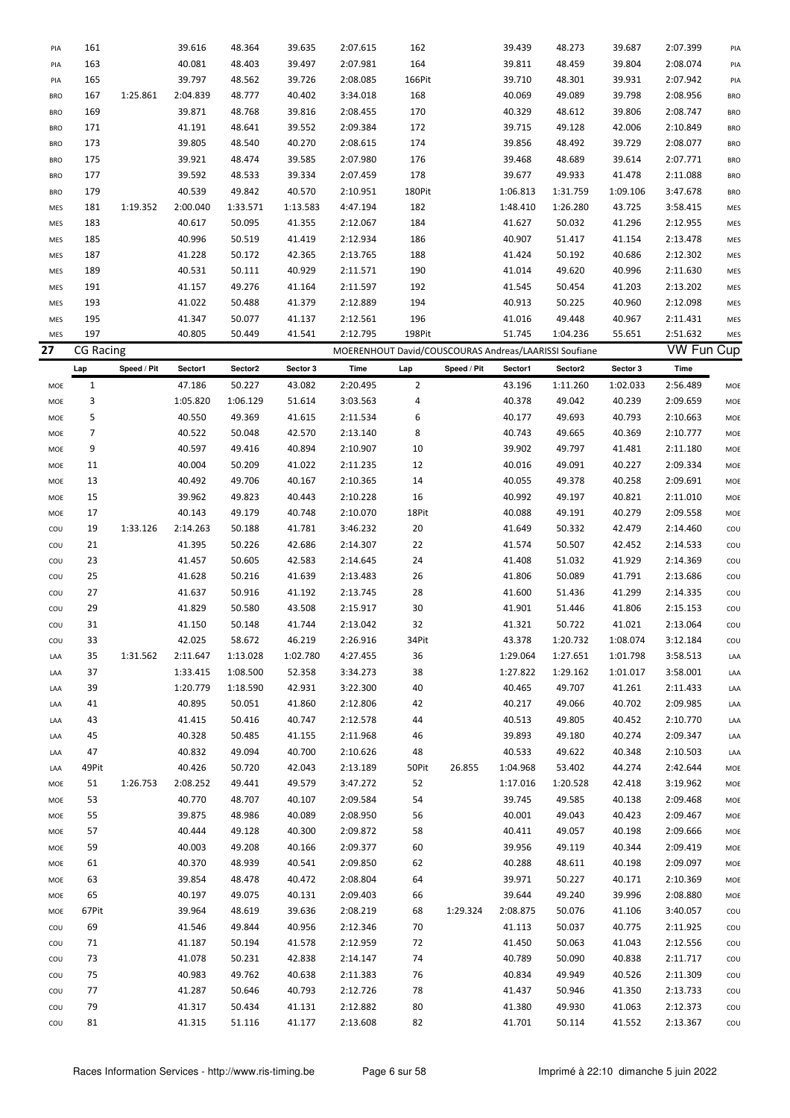| PIA        | 161       |             | 39.616   | 48.364   | 39.635   | 2:07.615                                              | 162            |             | 39.439   | 48.273   | 39.687   | 2:07.399          | PIA        |
|------------|-----------|-------------|----------|----------|----------|-------------------------------------------------------|----------------|-------------|----------|----------|----------|-------------------|------------|
| PIA        | 163       |             | 40.081   | 48.403   | 39.497   | 2:07.981                                              | 164            |             | 39.811   | 48.459   | 39.804   | 2:08.074          | PIA        |
| PIA        | 165       |             | 39.797   | 48.562   | 39.726   | 2:08.085                                              | 166Pit         |             | 39.710   | 48.301   | 39.931   | 2:07.942          | PIA        |
| <b>BRO</b> | 167       | 1:25.861    | 2:04.839 | 48.777   | 40.402   | 3:34.018                                              | 168            |             | 40.069   | 49.089   | 39.798   | 2:08.956          | <b>BRO</b> |
| <b>BRO</b> | 169       |             | 39.871   | 48.768   | 39.816   | 2:08.455                                              | 170            |             | 40.329   | 48.612   | 39.806   | 2:08.747          | <b>BRO</b> |
| <b>BRO</b> | 171       |             | 41.191   | 48.641   | 39.552   | 2:09.384                                              | 172            |             | 39.715   | 49.128   | 42.006   | 2:10.849          | <b>BRO</b> |
| <b>BRO</b> | 173       |             | 39.805   | 48.540   | 40.270   | 2:08.615                                              | 174            |             | 39.856   | 48.492   | 39.729   | 2:08.077          | <b>BRO</b> |
| <b>BRO</b> | 175       |             | 39.921   | 48.474   | 39.585   | 2:07.980                                              | 176            |             | 39.468   | 48.689   | 39.614   | 2:07.771          | <b>BRO</b> |
| <b>BRO</b> | 177       |             | 39.592   | 48.533   | 39.334   | 2:07.459                                              | 178            |             | 39.677   | 49.933   | 41.478   | 2:11.088          | <b>BRO</b> |
| <b>BRO</b> | 179       |             | 40.539   | 49.842   | 40.570   | 2:10.951                                              | 180Pit         |             | 1:06.813 | 1:31.759 | 1:09.106 | 3:47.678          | <b>BRO</b> |
| MES        | 181       | 1:19.352    | 2:00.040 | 1:33.571 | 1:13.583 | 4:47.194                                              | 182            |             | 1:48.410 | 1:26.280 | 43.725   | 3:58.415          | MES        |
| MES        | 183       |             | 40.617   | 50.095   | 41.355   | 2:12.067                                              | 184            |             | 41.627   | 50.032   | 41.296   | 2:12.955          | MES        |
|            | 185       |             | 40.996   | 50.519   | 41.419   | 2:12.934                                              | 186            |             | 40.907   | 51.417   | 41.154   | 2:13.478          |            |
| MES        | 187       |             | 41.228   | 50.172   |          |                                                       |                |             | 41.424   |          |          |                   | MES        |
| MES        |           |             |          |          | 42.365   | 2:13.765                                              | 188            |             |          | 50.192   | 40.686   | 2:12.302          | MES        |
| MES        | 189       |             | 40.531   | 50.111   | 40.929   | 2:11.571                                              | 190            |             | 41.014   | 49.620   | 40.996   | 2:11.630          | MES        |
| MES        | 191       |             | 41.157   | 49.276   | 41.164   | 2:11.597                                              | 192            |             | 41.545   | 50.454   | 41.203   | 2:13.202          | MES        |
| MES        | 193       |             | 41.022   | 50.488   | 41.379   | 2:12.889                                              | 194            |             | 40.913   | 50.225   | 40.960   | 2:12.098          | MES        |
| MES        | 195       |             | 41.347   | 50.077   | 41.137   | 2:12.561                                              | 196            |             | 41.016   | 49.448   | 40.967   | 2:11.431          | MES        |
| MES        | 197       |             | 40.805   | 50.449   | 41.541   | 2:12.795                                              | 198Pit         |             | 51.745   | 1:04.236 | 55.651   | 2:51.632          | MES        |
| 27         | CG Racing |             |          |          |          | MOERENHOUT David/COUSCOURAS Andreas/LAARISSI Soufiane |                |             |          |          |          | <b>VW Fun Cup</b> |            |
|            | Lap       | Speed / Pit | Sector1  | Sector2  | Sector 3 | Time                                                  | Lap            | Speed / Pit | Sector1  | Sector2  | Sector 3 | Time              |            |
| MOE        | 1         |             | 47.186   | 50.227   | 43.082   | 2:20.495                                              | $\overline{2}$ |             | 43.196   | 1:11.260 | 1:02.033 | 2:56.489          | MOE        |
| MOE        | 3         |             | 1:05.820 | 1:06.129 | 51.614   | 3:03.563                                              | 4              |             | 40.378   | 49.042   | 40.239   | 2:09.659          | MOE        |
| MOE        | 5         |             | 40.550   | 49.369   | 41.615   | 2:11.534                                              | 6              |             | 40.177   | 49.693   | 40.793   | 2:10.663          | MOE        |
| MOE        | 7         |             | 40.522   | 50.048   | 42.570   | 2:13.140                                              | 8              |             | 40.743   | 49.665   | 40.369   | 2:10.777          | MOE        |
| MOE        | 9         |             | 40.597   | 49.416   | 40.894   | 2:10.907                                              | 10             |             | 39.902   | 49.797   | 41.481   | 2:11.180          | MOE        |
| MOE        | 11        |             | 40.004   | 50.209   | 41.022   | 2:11.235                                              | 12             |             | 40.016   | 49.091   | 40.227   | 2:09.334          | MOE        |
| MOE        | 13        |             | 40.492   | 49.706   | 40.167   | 2:10.365                                              | 14             |             | 40.055   | 49.378   | 40.258   | 2:09.691          | MOE        |
| MOE        | 15        |             | 39.962   | 49.823   | 40.443   | 2:10.228                                              | 16             |             | 40.992   | 49.197   | 40.821   | 2:11.010          | MOE        |
| MOE        | 17        |             | 40.143   | 49.179   | 40.748   | 2:10.070                                              | 18Pit          |             | 40.088   | 49.191   | 40.279   | 2:09.558          | MOE        |
| COU        | 19        | 1:33.126    | 2:14.263 | 50.188   | 41.781   | 3:46.232                                              | 20             |             | 41.649   | 50.332   | 42.479   | 2:14.460          | COU        |
| COU        | 21        |             | 41.395   | 50.226   | 42.686   | 2:14.307                                              | 22             |             | 41.574   | 50.507   | 42.452   | 2:14.533          | COU        |
| COU        | 23        |             | 41.457   | 50.605   | 42.583   | 2:14.645                                              | 24             |             | 41.408   | 51.032   | 41.929   | 2:14.369          | COU        |
| COU        | 25        |             | 41.628   | 50.216   | 41.639   | 2:13.483                                              | 26             |             | 41.806   | 50.089   | 41.791   | 2:13.686          | COU        |
| COU        | 27        |             | 41.637   | 50.916   | 41.192   | 2:13.745                                              | 28             |             | 41.600   | 51.436   | 41.299   | 2:14.335          | COU        |
| COU        | 29        |             | 41.829   | 50.580   | 43.508   | 2:15.917                                              | 30             |             | 41.901   | 51.446   | 41.806   | 2:15.153          | COU        |
| COU        | 31        |             | 41.150   | 50.148   | 41.744   | 2:13.042                                              | 32             |             | 41.321   | 50.722   | 41.021   | 2:13.064          | COU        |
| COU        | 33        |             | 42.025   | 58.672   | 46.219   | 2:26.916                                              | 34Pit          |             | 43.378   | 1:20.732 | 1:08.074 | 3:12.184          | cou        |
|            | 35        | 1:31.562    | 2:11.647 |          |          |                                                       | 36             |             | 1:29.064 |          | 1:01.798 | 3:58.513          |            |
| LAA        |           |             |          | 1:13.028 | 1:02.780 | 4:27.455                                              |                |             |          | 1:27.651 |          |                   | LAA        |
| LAA        | 37        |             | 1:33.415 | 1:08.500 | 52.358   | 3:34.273                                              | 38             |             | 1:27.822 | 1:29.162 | 1:01.017 | 3:58.001          | LAA        |
| LAA        | 39        |             | 1:20.779 | 1:18.590 | 42.931   | 3:22.300                                              | 40             |             | 40.465   | 49.707   | 41.261   | 2:11.433          | LAA        |
| LAA        | 41        |             | 40.895   | 50.051   | 41.860   | 2:12.806                                              | 42             |             | 40.217   | 49.066   | 40.702   | 2:09.985          | LAA        |
| LAA        | 43        |             | 41.415   | 50.416   | 40.747   | 2:12.578                                              | 44             |             | 40.513   | 49.805   | 40.452   | 2:10.770          | LAA        |
| LAA        | 45        |             | 40.328   | 50.485   | 41.155   | 2:11.968                                              | 46             |             | 39.893   | 49.180   | 40.274   | 2:09.347          | LAA        |
| LAA        | 47        |             | 40.832   | 49.094   | 40.700   | 2:10.626                                              | 48             |             | 40.533   | 49.622   | 40.348   | 2:10.503          | LAA        |
| LAA        | 49Pit     |             | 40.426   | 50.720   | 42.043   | 2:13.189                                              | 50Pit          | 26.855      | 1:04.968 | 53.402   | 44.274   | 2:42.644          | MOE        |
| MOE        | 51        | 1:26.753    | 2:08.252 | 49.441   | 49.579   | 3:47.272                                              | 52             |             | 1:17.016 | 1:20.528 | 42.418   | 3:19.962          | MOE        |
| MOE        | 53        |             | 40.770   | 48.707   | 40.107   | 2:09.584                                              | 54             |             | 39.745   | 49.585   | 40.138   | 2:09.468          | MOE        |
| MOE        | 55        |             | 39.875   | 48.986   | 40.089   | 2:08.950                                              | 56             |             | 40.001   | 49.043   | 40.423   | 2:09.467          | MOE        |
| MOE        | 57        |             | 40.444   | 49.128   | 40.300   | 2:09.872                                              | 58             |             | 40.411   | 49.057   | 40.198   | 2:09.666          | MOE        |
| MOE        | 59        |             | 40.003   | 49.208   | 40.166   | 2:09.377                                              | 60             |             | 39.956   | 49.119   | 40.344   | 2:09.419          | MOE        |
| MOE        | 61        |             | 40.370   | 48.939   | 40.541   | 2:09.850                                              | 62             |             | 40.288   | 48.611   | 40.198   | 2:09.097          | MOE        |
| MOE        | 63        |             | 39.854   | 48.478   | 40.472   | 2:08.804                                              | 64             |             | 39.971   | 50.227   | 40.171   | 2:10.369          | MOE        |
| MOE        | 65        |             | 40.197   | 49.075   | 40.131   | 2:09.403                                              | 66             |             | 39.644   | 49.240   | 39.996   | 2:08.880          | MOE        |
| MOE        | 67Pit     |             | 39.964   | 48.619   | 39.636   | 2:08.219                                              | 68             | 1:29.324    | 2:08.875 | 50.076   | 41.106   | 3:40.057          | COU        |
| COU        | 69        |             | 41.546   | 49.844   | 40.956   | 2:12.346                                              | 70             |             | 41.113   | 50.037   | 40.775   | 2:11.925          | COU        |
| COU        | 71        |             | 41.187   | 50.194   | 41.578   | 2:12.959                                              | 72             |             | 41.450   | 50.063   | 41.043   | 2:12.556          | COU        |
| COU        | 73        |             | 41.078   | 50.231   | 42.838   | 2:14.147                                              | 74             |             | 40.789   | 50.090   | 40.838   | 2:11.717          | COU        |
| COU        | 75        |             | 40.983   | 49.762   | 40.638   | 2:11.383                                              | 76             |             | 40.834   | 49.949   | 40.526   | 2:11.309          | COU        |
| COU        | 77        |             | 41.287   | 50.646   | 40.793   | 2:12.726                                              | 78             |             | 41.437   | 50.946   | 41.350   | 2:13.733          | COU        |
| COU        | 79        |             | 41.317   | 50.434   | 41.131   | 2:12.882                                              | 80             |             | 41.380   | 49.930   | 41.063   | 2:12.373          | COU        |
| COU        | 81        |             | 41.315   | 51.116   | 41.177   | 2:13.608                                              | 82             |             | 41.701   | 50.114   | 41.552   | 2:13.367          | COU        |
|            |           |             |          |          |          |                                                       |                |             |          |          |          |                   |            |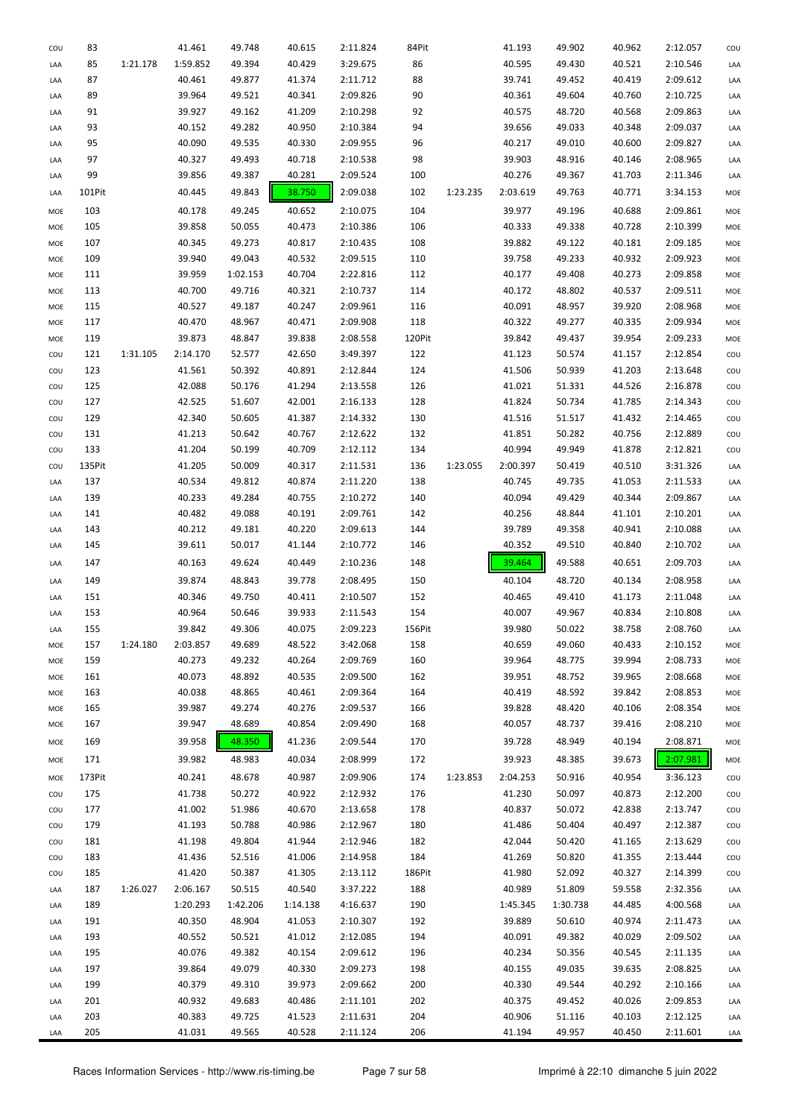| COU | 83     |          | 41.461   | 49.748   | 40.615   | 2:11.824 | 84Pit  |          | 41.193   | 49.902   | 40.962 | 2:12.057 | cou |
|-----|--------|----------|----------|----------|----------|----------|--------|----------|----------|----------|--------|----------|-----|
| LAA | 85     | 1:21.178 | 1:59.852 | 49.394   | 40.429   | 3:29.675 | 86     |          | 40.595   | 49.430   | 40.521 | 2:10.546 | LAA |
| LAA | 87     |          | 40.461   | 49.877   | 41.374   | 2:11.712 | 88     |          | 39.741   | 49.452   | 40.419 | 2:09.612 | LAA |
| LAA | 89     |          | 39.964   | 49.521   | 40.341   | 2:09.826 | 90     |          | 40.361   | 49.604   | 40.760 | 2:10.725 | LAA |
| LAA | 91     |          | 39.927   | 49.162   | 41.209   | 2:10.298 | 92     |          | 40.575   | 48.720   | 40.568 | 2:09.863 | LAA |
| LAA | 93     |          | 40.152   | 49.282   | 40.950   | 2:10.384 | 94     |          | 39.656   | 49.033   | 40.348 | 2:09.037 | LAA |
| LAA | 95     |          | 40.090   | 49.535   | 40.330   | 2:09.955 | 96     |          | 40.217   | 49.010   | 40.600 | 2:09.827 | LAA |
| LAA | 97     |          | 40.327   | 49.493   | 40.718   | 2:10.538 | 98     |          | 39.903   | 48.916   | 40.146 | 2:08.965 | LAA |
| LAA | 99     |          | 39.856   | 49.387   | 40.281   | 2:09.524 | 100    |          | 40.276   | 49.367   | 41.703 | 2:11.346 | LAA |
| LAA | 101Pit |          | 40.445   | 49.843   | 38.750   | 2:09.038 | 102    | 1:23.235 | 2:03.619 | 49.763   | 40.771 | 3:34.153 | MOE |
| MOE | 103    |          | 40.178   | 49.245   | 40.652   | 2:10.075 | 104    |          | 39.977   | 49.196   | 40.688 | 2:09.861 | MOE |
| MOE | 105    |          | 39.858   | 50.055   | 40.473   | 2:10.386 | 106    |          | 40.333   | 49.338   | 40.728 | 2:10.399 | MOE |
| MOE | 107    |          | 40.345   | 49.273   | 40.817   | 2:10.435 | 108    |          | 39.882   | 49.122   | 40.181 | 2:09.185 | MOE |
| MOE | 109    |          | 39.940   | 49.043   | 40.532   | 2:09.515 | 110    |          | 39.758   | 49.233   | 40.932 | 2:09.923 | MOE |
| MOE | 111    |          | 39.959   | 1:02.153 | 40.704   | 2:22.816 | 112    |          | 40.177   | 49.408   | 40.273 | 2:09.858 | MOE |
| MOE | 113    |          | 40.700   | 49.716   | 40.321   | 2:10.737 | 114    |          | 40.172   | 48.802   | 40.537 | 2:09.511 | MOE |
| MOE | 115    |          | 40.527   | 49.187   | 40.247   | 2:09.961 | 116    |          | 40.091   | 48.957   | 39.920 | 2:08.968 | MOE |
| MOE | 117    |          | 40.470   | 48.967   | 40.471   | 2:09.908 | 118    |          | 40.322   | 49.277   | 40.335 | 2:09.934 | MOE |
| MOE | 119    |          | 39.873   | 48.847   | 39.838   | 2:08.558 | 120Pit |          | 39.842   | 49.437   | 39.954 | 2:09.233 | MOE |
| COU | 121    | 1:31.105 | 2:14.170 | 52.577   | 42.650   | 3:49.397 | 122    |          | 41.123   | 50.574   | 41.157 | 2:12.854 | cou |
| COU | 123    |          | 41.561   | 50.392   | 40.891   | 2:12.844 | 124    |          | 41.506   | 50.939   | 41.203 | 2:13.648 | COU |
| COU | 125    |          | 42.088   | 50.176   | 41.294   | 2:13.558 | 126    |          | 41.021   | 51.331   | 44.526 | 2:16.878 | COU |
| COU | 127    |          | 42.525   | 51.607   | 42.001   | 2:16.133 | 128    |          | 41.824   | 50.734   | 41.785 | 2:14.343 | COU |
| COU | 129    |          | 42.340   | 50.605   | 41.387   | 2:14.332 | 130    |          | 41.516   | 51.517   | 41.432 | 2:14.465 | COU |
| COU | 131    |          | 41.213   | 50.642   | 40.767   | 2:12.622 | 132    |          | 41.851   | 50.282   | 40.756 | 2:12.889 | COU |
| COU | 133    |          | 41.204   | 50.199   | 40.709   | 2:12.112 | 134    |          | 40.994   | 49.949   | 41.878 | 2:12.821 | COU |
| COU | 135Pit |          | 41.205   | 50.009   | 40.317   | 2:11.531 | 136    | 1:23.055 | 2:00.397 | 50.419   | 40.510 | 3:31.326 | LAA |
| LAA | 137    |          | 40.534   | 49.812   | 40.874   | 2:11.220 | 138    |          | 40.745   | 49.735   | 41.053 | 2:11.533 | LAA |
| LAA | 139    |          | 40.233   | 49.284   | 40.755   | 2:10.272 | 140    |          | 40.094   | 49.429   | 40.344 | 2:09.867 | LAA |
| LAA | 141    |          | 40.482   | 49.088   | 40.191   | 2:09.761 | 142    |          | 40.256   | 48.844   | 41.101 | 2:10.201 | LAA |
| LAA | 143    |          | 40.212   | 49.181   | 40.220   | 2:09.613 | 144    |          | 39.789   | 49.358   | 40.941 | 2:10.088 | LAA |
| LAA | 145    |          | 39.611   | 50.017   | 41.144   | 2:10.772 | 146    |          | 40.352   | 49.510   | 40.840 | 2:10.702 | LAA |
|     |        |          |          |          |          |          |        |          | 39.464   |          |        |          |     |
| LAA | 147    |          | 40.163   | 49.624   | 40.449   | 2:10.236 | 148    |          |          | 49.588   | 40.651 | 2:09.703 | LAA |
| LAA | 149    |          | 39.874   | 48.843   | 39.778   | 2:08.495 | 150    |          | 40.104   | 48.720   | 40.134 | 2:08.958 | LAA |
| LAA | 151    |          | 40.346   | 49.750   | 40.411   | 2:10.507 | 152    |          | 40.465   | 49.410   | 41.173 | 2:11.048 | LAA |
| LAA | 153    |          | 40.964   | 50.646   | 39.933   | 2:11.543 | 154    |          | 40.007   | 49.967   | 40.834 | 2:10.808 | LAA |
| LAA | 155    |          | 39.842   | 49.306   | 40.075   | 2:09.223 | 156Pit |          | 39.980   | 50.022   | 38.758 | 2:08.760 | LAA |
| MOE | 157    | 1:24.180 | 2:03.857 | 49.689   | 48.522   | 3:42.068 | 158    |          | 40.659   | 49.060   | 40.433 | 2:10.152 | MOE |
| MOE | 159    |          | 40.273   | 49.232   | 40.264   | 2:09.769 | 160    |          | 39.964   | 48.775   | 39.994 | 2:08.733 | MOE |
| MOE | 161    |          | 40.073   | 48.892   | 40.535   | 2:09.500 | 162    |          | 39.951   | 48.752   | 39.965 | 2:08.668 | MOE |
| MOE | 163    |          | 40.038   | 48.865   | 40.461   | 2:09.364 | 164    |          | 40.419   | 48.592   | 39.842 | 2:08.853 | MOE |
| MOE | 165    |          | 39.987   | 49.274   | 40.276   | 2:09.537 | 166    |          | 39.828   | 48.420   | 40.106 | 2:08.354 | MOE |
| MOE | 167    |          | 39.947   | 48.689   | 40.854   | 2:09.490 | 168    |          | 40.057   | 48.737   | 39.416 | 2:08.210 | MOE |
| MOE | 169    |          | 39.958   | 48.350   | 41.236   | 2:09.544 | 170    |          | 39.728   | 48.949   | 40.194 | 2:08.871 | MOE |
| MOE | 171    |          | 39.982   | 48.983   | 40.034   | 2:08.999 | 172    |          | 39.923   | 48.385   | 39.673 | 2:07.981 | MOE |
| MOE | 173Pit |          | 40.241   | 48.678   | 40.987   | 2:09.906 | 174    | 1:23.853 | 2:04.253 | 50.916   | 40.954 | 3:36.123 | COU |
| COU | 175    |          | 41.738   | 50.272   | 40.922   | 2:12.932 | 176    |          | 41.230   | 50.097   | 40.873 | 2:12.200 | COU |
| COU | 177    |          | 41.002   | 51.986   | 40.670   | 2:13.658 | 178    |          | 40.837   | 50.072   | 42.838 | 2:13.747 | COU |
| COU | 179    |          | 41.193   | 50.788   | 40.986   | 2:12.967 | 180    |          | 41.486   | 50.404   | 40.497 | 2:12.387 | COU |
| COU | 181    |          | 41.198   | 49.804   | 41.944   | 2:12.946 | 182    |          | 42.044   | 50.420   | 41.165 | 2:13.629 | COU |
| COU | 183    |          | 41.436   | 52.516   | 41.006   | 2:14.958 | 184    |          | 41.269   | 50.820   | 41.355 | 2:13.444 | COU |
| COU | 185    |          | 41.420   | 50.387   | 41.305   | 2:13.112 | 186Pit |          | 41.980   | 52.092   | 40.327 | 2:14.399 | COU |
| LAA | 187    | 1:26.027 | 2:06.167 | 50.515   | 40.540   | 3:37.222 | 188    |          | 40.989   | 51.809   | 59.558 | 2:32.356 | LAA |
| LAA | 189    |          | 1:20.293 | 1:42.206 | 1:14.138 | 4:16.637 | 190    |          | 1:45.345 | 1:30.738 | 44.485 | 4:00.568 | LAA |
| LAA | 191    |          | 40.350   | 48.904   | 41.053   | 2:10.307 | 192    |          | 39.889   | 50.610   | 40.974 | 2:11.473 | LAA |
| LAA | 193    |          | 40.552   | 50.521   | 41.012   | 2:12.085 | 194    |          | 40.091   | 49.382   | 40.029 | 2:09.502 | LAA |
| LAA | 195    |          | 40.076   | 49.382   | 40.154   | 2:09.612 | 196    |          | 40.234   | 50.356   | 40.545 | 2:11.135 | LAA |
| LAA | 197    |          | 39.864   | 49.079   | 40.330   | 2:09.273 | 198    |          | 40.155   | 49.035   | 39.635 | 2:08.825 | LAA |
| LAA | 199    |          | 40.379   | 49.310   | 39.973   | 2:09.662 | 200    |          | 40.330   | 49.544   | 40.292 | 2:10.166 | LAA |
| LAA | 201    |          | 40.932   | 49.683   | 40.486   | 2:11.101 | 202    |          | 40.375   | 49.452   | 40.026 | 2:09.853 | LAA |
| LAA | 203    |          | 40.383   | 49.725   | 41.523   | 2:11.631 | 204    |          | 40.906   | 51.116   | 40.103 | 2:12.125 | LAA |
| LAA | 205    |          | 41.031   | 49.565   | 40.528   | 2:11.124 | 206    |          | 41.194   | 49.957   | 40.450 | 2:11.601 | LAA |
|     |        |          |          |          |          |          |        |          |          |          |        |          |     |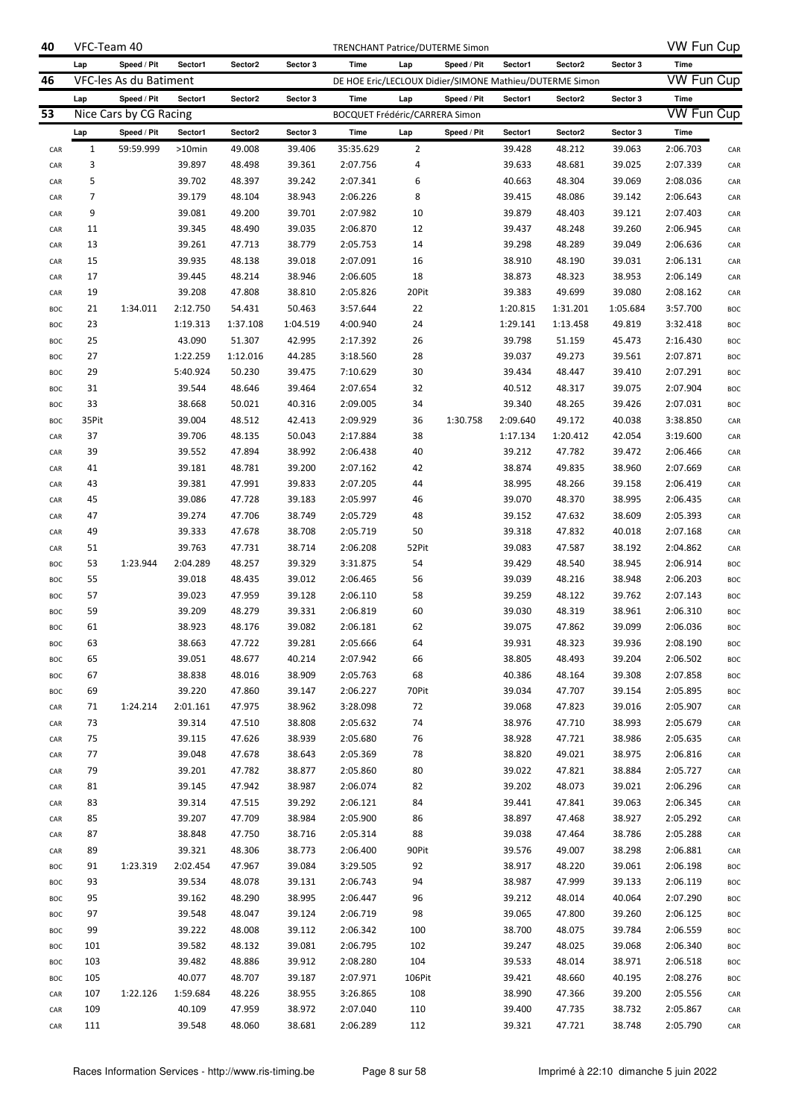| 40  | VFC-Team 40  |                        |           |          |          |                                       |                | TRENCHANT Patrice/DUTERME Simon |          |                                                         |          | VW Fun Cup        |            |
|-----|--------------|------------------------|-----------|----------|----------|---------------------------------------|----------------|---------------------------------|----------|---------------------------------------------------------|----------|-------------------|------------|
|     | Lap          | Speed / Pit            | Sector1   | Sector2  | Sector 3 | Time                                  | Lap            | Speed / Pit                     | Sector1  | Sector2                                                 | Sector 3 | Time              |            |
| 46  |              | VFC-les As du Batiment |           |          |          |                                       |                |                                 |          | DE HOE Eric/LECLOUX Didier/SIMONE Mathieu/DUTERME Simon |          | <b>VW Fun Cup</b> |            |
|     | Lap          | Speed / Pit            | Sector1   | Sector2  | Sector 3 | Time                                  | Lap            | Speed / Pit                     | Sector1  | Sector2                                                 | Sector 3 | Time              |            |
| 53  |              | Nice Cars by CG Racing |           |          |          | <b>BOCQUET Frédéric/CARRERA Simon</b> |                |                                 |          |                                                         |          | <b>VW Fun Cup</b> |            |
|     | Lap          | Speed / Pit            | Sector1   | Sector2  | Sector 3 | Time                                  | Lap            | Speed / Pit                     | Sector1  | Sector2                                                 | Sector 3 | Time              |            |
| CAR | $\mathbf{1}$ | 59:59.999              | $>10$ min | 49.008   | 39.406   | 35:35.629                             | $\overline{2}$ |                                 | 39.428   | 48.212                                                  | 39.063   | 2:06.703          | CAR        |
| CAR | 3            |                        | 39.897    | 48.498   | 39.361   | 2:07.756                              | 4              |                                 | 39.633   | 48.681                                                  | 39.025   | 2:07.339          | CAR        |
| CAR | 5            |                        | 39.702    | 48.397   | 39.242   | 2:07.341                              | 6              |                                 | 40.663   | 48.304                                                  | 39.069   | 2:08.036          | CAR        |
| CAR | 7            |                        | 39.179    | 48.104   | 38.943   | 2:06.226                              | 8              |                                 | 39.415   | 48.086                                                  | 39.142   | 2:06.643          | CAR        |
| CAR | 9            |                        | 39.081    | 49.200   | 39.701   | 2:07.982                              | 10             |                                 | 39.879   | 48.403                                                  | 39.121   | 2:07.403          | CAR        |
| CAR | 11           |                        | 39.345    | 48.490   | 39.035   | 2:06.870                              | 12             |                                 | 39.437   | 48.248                                                  | 39.260   | 2:06.945          | CAR        |
| CAR | 13           |                        | 39.261    | 47.713   | 38.779   | 2:05.753                              | 14             |                                 | 39.298   | 48.289                                                  | 39.049   | 2:06.636          | CAR        |
| CAR | 15           |                        | 39.935    | 48.138   | 39.018   | 2:07.091                              | 16             |                                 | 38.910   | 48.190                                                  | 39.031   | 2:06.131          | CAR        |
| CAR | 17           |                        | 39.445    | 48.214   | 38.946   | 2:06.605                              | 18             |                                 | 38.873   | 48.323                                                  | 38.953   | 2:06.149          | CAR        |
| CAR | 19           |                        | 39.208    | 47.808   | 38.810   | 2:05.826                              | 20Pit          |                                 | 39.383   | 49.699                                                  | 39.080   | 2:08.162          | CAR        |
| BOC | 21           | 1:34.011               | 2:12.750  | 54.431   | 50.463   | 3:57.644                              | 22             |                                 | 1:20.815 | 1:31.201                                                | 1:05.684 | 3:57.700          | <b>BOC</b> |
| BOC | 23           |                        | 1:19.313  | 1:37.108 | 1:04.519 | 4:00.940                              | 24             |                                 | 1:29.141 | 1:13.458                                                | 49.819   | 3:32.418          | <b>BOC</b> |
| BOC | 25           |                        | 43.090    | 51.307   | 42.995   | 2:17.392                              | 26             |                                 | 39.798   | 51.159                                                  | 45.473   | 2:16.430          | <b>BOC</b> |
| BOC | 27           |                        | 1:22.259  | 1:12.016 | 44.285   | 3:18.560                              | 28             |                                 | 39.037   | 49.273                                                  | 39.561   | 2:07.871          | <b>BOC</b> |
| BOC | 29           |                        | 5:40.924  | 50.230   | 39.475   | 7:10.629                              | 30             |                                 | 39.434   | 48.447                                                  | 39.410   | 2:07.291          | <b>BOC</b> |
| BOC | 31           |                        | 39.544    | 48.646   | 39.464   | 2:07.654                              | 32             |                                 | 40.512   | 48.317                                                  | 39.075   | 2:07.904          | <b>BOC</b> |
| BOC | 33           |                        | 38.668    | 50.021   | 40.316   | 2:09.005                              | 34             |                                 | 39.340   | 48.265                                                  | 39.426   | 2:07.031          | <b>BOC</b> |
| BOC | 35Pit        |                        | 39.004    | 48.512   | 42.413   | 2:09.929                              | 36             | 1:30.758                        | 2:09.640 | 49.172                                                  | 40.038   | 3:38.850          | CAR        |
| CAR | 37           |                        | 39.706    | 48.135   | 50.043   | 2:17.884                              | 38             |                                 | 1:17.134 | 1:20.412                                                | 42.054   | 3:19.600          | CAR        |
| CAR | 39           |                        | 39.552    | 47.894   | 38.992   | 2:06.438                              | 40             |                                 | 39.212   | 47.782                                                  | 39.472   | 2:06.466          | CAR        |
| CAR | 41           |                        | 39.181    | 48.781   | 39.200   | 2:07.162                              | 42             |                                 | 38.874   | 49.835                                                  | 38.960   | 2:07.669          | CAR        |
| CAR | 43           |                        | 39.381    | 47.991   | 39.833   | 2:07.205                              | 44             |                                 | 38.995   | 48.266                                                  | 39.158   | 2:06.419          | CAR        |
| CAR | 45           |                        | 39.086    | 47.728   | 39.183   | 2:05.997                              | 46             |                                 | 39.070   | 48.370                                                  | 38.995   | 2:06.435          | CAR        |
| CAR | 47           |                        | 39.274    | 47.706   | 38.749   | 2:05.729                              | 48             |                                 | 39.152   | 47.632                                                  | 38.609   | 2:05.393          | CAR        |
| CAR | 49           |                        | 39.333    | 47.678   | 38.708   | 2:05.719                              | 50             |                                 | 39.318   | 47.832                                                  | 40.018   | 2:07.168          | CAR        |
| CAR | 51           |                        | 39.763    | 47.731   | 38.714   | 2:06.208                              | 52Pit          |                                 | 39.083   | 47.587                                                  | 38.192   | 2:04.862          | CAR        |
| BOC | 53           | 1:23.944               | 2:04.289  | 48.257   | 39.329   | 3:31.875                              | 54             |                                 | 39.429   | 48.540                                                  | 38.945   | 2:06.914          | <b>BOC</b> |
| BOC | 55           |                        | 39.018    | 48.435   | 39.012   | 2:06.465                              | 56             |                                 | 39.039   | 48.216                                                  | 38.948   | 2:06.203          | <b>BOC</b> |
| BOC | 57           |                        | 39.023    | 47.959   | 39.128   | 2:06.110                              | 58             |                                 | 39.259   | 48.122                                                  | 39.762   | 2:07.143          | <b>BOC</b> |
| BOC | 59           |                        | 39.209    | 48.279   | 39.331   | 2:06.819                              | 60             |                                 | 39.030   | 48.319                                                  | 38.961   | 2:06.310          | <b>BOC</b> |
| BOC | 61           |                        | 38.923    | 48.176   | 39.082   | 2:06.181                              | 62             |                                 | 39.075   | 47.862                                                  | 39.099   | 2:06.036          | <b>BOC</b> |
| BOC | 63           |                        | 38.663    | 47.722   | 39.281   | 2:05.666                              | 64             |                                 | 39.931   | 48.323                                                  | 39.936   | 2:08.190          | <b>BOC</b> |
| BOC | 65           |                        | 39.051    | 48.677   | 40.214   | 2:07.942                              | 66             |                                 | 38.805   | 48.493                                                  | 39.204   | 2:06.502          | <b>BOC</b> |
| BOC | 67           |                        | 38.838    | 48.016   | 38.909   | 2:05.763                              | 68             |                                 | 40.386   | 48.164                                                  | 39.308   | 2:07.858          | <b>BOC</b> |
| BOC | 69           |                        | 39.220    | 47.860   | 39.147   | 2:06.227                              | 70Pit          |                                 | 39.034   | 47.707                                                  | 39.154   | 2:05.895          | <b>BOC</b> |
| CAR | 71           | 1:24.214               | 2:01.161  | 47.975   | 38.962   | 3:28.098                              | 72             |                                 | 39.068   | 47.823                                                  | 39.016   | 2:05.907          | CAR        |
| CAR | 73           |                        | 39.314    | 47.510   | 38.808   | 2:05.632                              | 74             |                                 | 38.976   | 47.710                                                  | 38.993   | 2:05.679          | CAR        |
| CAR | 75           |                        | 39.115    | 47.626   | 38.939   | 2:05.680                              | 76             |                                 | 38.928   | 47.721                                                  | 38.986   | 2:05.635          | CAR        |
| CAR | 77           |                        | 39.048    | 47.678   | 38.643   | 2:05.369                              | 78             |                                 | 38.820   | 49.021                                                  | 38.975   | 2:06.816          | CAR        |
| CAR | 79           |                        | 39.201    | 47.782   | 38.877   | 2:05.860                              | 80             |                                 | 39.022   | 47.821                                                  | 38.884   | 2:05.727          | CAR        |
| CAR | 81           |                        | 39.145    | 47.942   | 38.987   | 2:06.074                              | 82             |                                 | 39.202   | 48.073                                                  | 39.021   | 2:06.296          | CAR        |
| CAR | 83           |                        | 39.314    | 47.515   | 39.292   | 2:06.121                              | 84             |                                 | 39.441   | 47.841                                                  | 39.063   | 2:06.345          | CAR        |
| CAR | 85           |                        | 39.207    | 47.709   | 38.984   | 2:05.900                              | 86             |                                 | 38.897   | 47.468                                                  | 38.927   | 2:05.292          | CAR        |
| CAR | 87           |                        | 38.848    | 47.750   | 38.716   | 2:05.314                              | 88             |                                 | 39.038   | 47.464                                                  | 38.786   | 2:05.288          | CAR        |
| CAR | 89           |                        | 39.321    | 48.306   | 38.773   | 2:06.400                              | 90Pit          |                                 | 39.576   | 49.007                                                  | 38.298   | 2:06.881          | CAR        |
| BOC | 91           | 1:23.319               | 2:02.454  | 47.967   | 39.084   | 3:29.505                              | 92             |                                 | 38.917   | 48.220                                                  | 39.061   | 2:06.198          | <b>BOC</b> |
| BOC | 93           |                        | 39.534    | 48.078   | 39.131   | 2:06.743                              | 94             |                                 | 38.987   | 47.999                                                  | 39.133   | 2:06.119          | <b>BOC</b> |
| BOC | 95           |                        | 39.162    | 48.290   | 38.995   | 2:06.447                              | 96             |                                 | 39.212   | 48.014                                                  | 40.064   | 2:07.290          | <b>BOC</b> |
| BOC | 97           |                        | 39.548    | 48.047   | 39.124   | 2:06.719                              | 98             |                                 | 39.065   | 47.800                                                  | 39.260   | 2:06.125          | <b>BOC</b> |
| BOC | 99           |                        | 39.222    | 48.008   | 39.112   | 2:06.342                              | 100            |                                 | 38.700   | 48.075                                                  | 39.784   | 2:06.559          | <b>BOC</b> |
| BOC | 101          |                        | 39.582    | 48.132   | 39.081   | 2:06.795                              | 102            |                                 | 39.247   | 48.025                                                  | 39.068   | 2:06.340          | <b>BOC</b> |
| BOC | 103          |                        | 39.482    | 48.886   | 39.912   | 2:08.280                              | 104            |                                 | 39.533   | 48.014                                                  | 38.971   | 2:06.518          | <b>BOC</b> |
| BOC | 105          |                        | 40.077    | 48.707   | 39.187   | 2:07.971                              | 106Pit         |                                 | 39.421   | 48.660                                                  | 40.195   | 2:08.276          | <b>BOC</b> |
| CAR | 107          | 1:22.126               | 1:59.684  | 48.226   | 38.955   | 3:26.865                              | 108            |                                 | 38.990   | 47.366                                                  | 39.200   | 2:05.556          | CAR        |
| CAR | 109          |                        | 40.109    | 47.959   | 38.972   | 2:07.040                              | 110            |                                 | 39.400   | 47.735                                                  | 38.732   | 2:05.867          | CAR        |
| CAR | 111          |                        | 39.548    | 48.060   | 38.681   | 2:06.289                              | 112            |                                 | 39.321   | 47.721                                                  | 38.748   | 2:05.790          | CAR        |
|     |              |                        |           |          |          |                                       |                |                                 |          |                                                         |          |                   |            |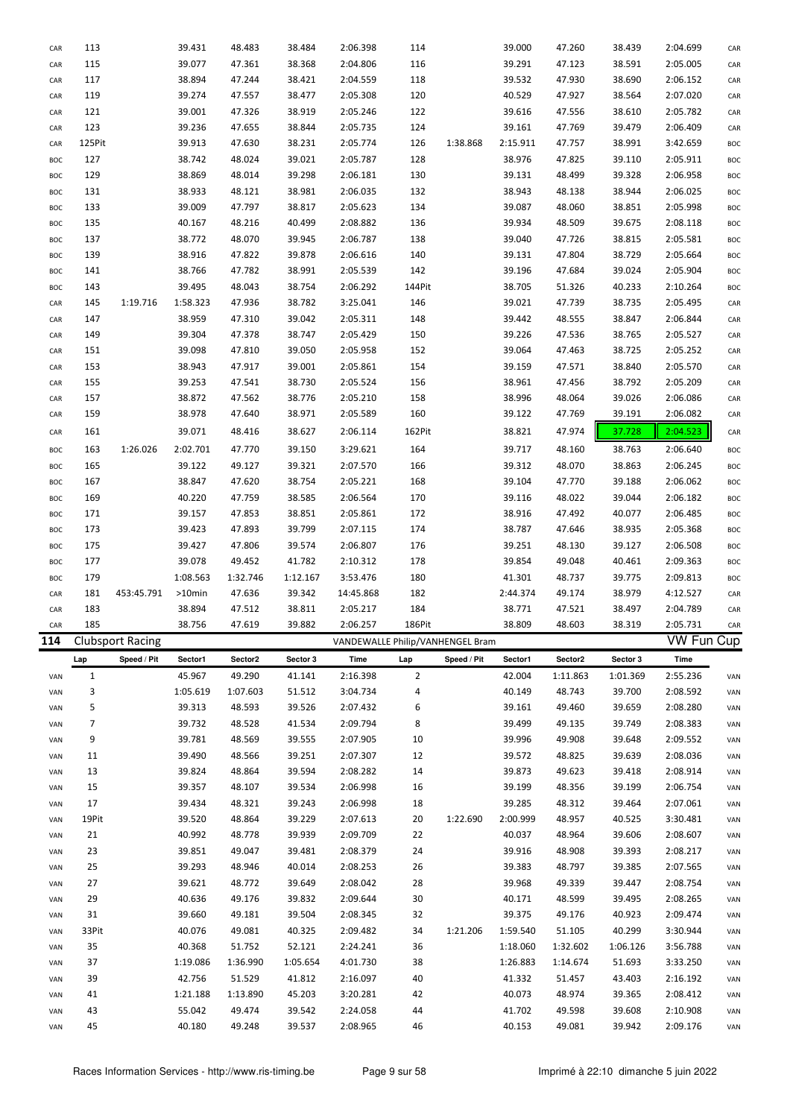| CAR        | 113          |                         | 39.431           | 48.483           | 38.484           | 2:06.398                         | 114      |             | 39.000           | 47.260           | 38.439           | 2:04.699             | CAR        |
|------------|--------------|-------------------------|------------------|------------------|------------------|----------------------------------|----------|-------------|------------------|------------------|------------------|----------------------|------------|
| CAR        | 115          |                         | 39.077           | 47.361           | 38.368           | 2:04.806                         | 116      |             | 39.291           | 47.123           | 38.591           | 2:05.005             | CAR        |
| CAR        | 117          |                         | 38.894           | 47.244           | 38.421           | 2:04.559                         | 118      |             | 39.532           | 47.930           | 38.690           | 2:06.152             | CAR        |
| CAR        | 119          |                         | 39.274           | 47.557           | 38.477           | 2:05.308                         | 120      |             | 40.529           | 47.927           | 38.564           | 2:07.020             | CAR        |
| CAR        | 121          |                         | 39.001           | 47.326           | 38.919           | 2:05.246                         | 122      |             | 39.616           | 47.556           | 38.610           | 2:05.782             | CAR        |
| CAR        | 123          |                         | 39.236           | 47.655           | 38.844           | 2:05.735                         | 124      |             | 39.161           | 47.769           | 39.479           | 2:06.409             | CAR        |
| CAR        | 125Pit       |                         | 39.913           | 47.630           | 38.231           | 2:05.774                         | 126      | 1:38.868    | 2:15.911         | 47.757           | 38.991           | 3:42.659             | BOC        |
| BOC        | 127          |                         | 38.742           | 48.024           | 39.021           | 2:05.787                         | 128      |             | 38.976           | 47.825           | 39.110           | 2:05.911             | BOC        |
| BOC        | 129          |                         | 38.869           | 48.014           | 39.298           | 2:06.181                         | 130      |             | 39.131           | 48.499           | 39.328           | 2:06.958             | <b>BOC</b> |
| BOC        | 131          |                         | 38.933           | 48.121           | 38.981           | 2:06.035                         | 132      |             | 38.943           | 48.138           | 38.944           | 2:06.025             | BOC        |
| BOC        | 133          |                         | 39.009           | 47.797           | 38.817           | 2:05.623                         | 134      |             | 39.087           | 48.060           | 38.851           | 2:05.998             | <b>BOC</b> |
| BOC        | 135          |                         | 40.167           | 48.216           | 40.499           | 2:08.882                         | 136      |             | 39.934           | 48.509           | 39.675           | 2:08.118             | BOC        |
|            | 137          |                         | 38.772           | 48.070           | 39.945           | 2:06.787                         | 138      |             | 39.040           | 47.726           | 38.815           | 2:05.581             |            |
| BOC        |              |                         |                  |                  |                  |                                  |          |             |                  |                  |                  |                      | BOC        |
| BOC        | 139          |                         | 38.916           | 47.822           | 39.878           | 2:06.616                         | 140      |             | 39.131           | 47.804           | 38.729           | 2:05.664             | BOC        |
| BOC        | 141          |                         | 38.766           | 47.782           | 38.991           | 2:05.539                         | 142      |             | 39.196           | 47.684           | 39.024           | 2:05.904             | BOC        |
| BOC        | 143          |                         | 39.495           | 48.043           | 38.754           | 2:06.292                         | 144Pit   |             | 38.705           | 51.326           | 40.233           | 2:10.264             | BOC        |
| CAR        | 145          | 1:19.716                | 1:58.323         | 47.936           | 38.782           | 3:25.041                         | 146      |             | 39.021           | 47.739           | 38.735           | 2:05.495             | CAR        |
| CAR        | 147          |                         | 38.959           | 47.310           | 39.042           | 2:05.311                         | 148      |             | 39.442           | 48.555           | 38.847           | 2:06.844             | CAR        |
| CAR        | 149          |                         | 39.304           | 47.378           | 38.747           | 2:05.429                         | 150      |             | 39.226           | 47.536           | 38.765           | 2:05.527             | CAR        |
| CAR        | 151          |                         | 39.098           | 47.810           | 39.050           | 2:05.958                         | 152      |             | 39.064           | 47.463           | 38.725           | 2:05.252             | CAR        |
| CAR        | 153          |                         | 38.943           | 47.917           | 39.001           | 2:05.861                         | 154      |             | 39.159           | 47.571           | 38.840           | 2:05.570             | CAR        |
| CAR        | 155          |                         | 39.253           | 47.541           | 38.730           | 2:05.524                         | 156      |             | 38.961           | 47.456           | 38.792           | 2:05.209             | CAR        |
| CAR        | 157          |                         | 38.872           | 47.562           | 38.776           | 2:05.210                         | 158      |             | 38.996           | 48.064           | 39.026           | 2:06.086             | CAR        |
| CAR        | 159          |                         | 38.978           | 47.640           | 38.971           | 2:05.589                         | 160      |             | 39.122           | 47.769           | 39.191           | 2:06.082             | CAR        |
| CAR        | 161          |                         | 39.071           | 48.416           | 38.627           | 2:06.114                         | 162Pit   |             | 38.821           | 47.974           | 37.728           | 2:04.523             | CAR        |
|            |              |                         |                  |                  |                  |                                  |          |             |                  |                  |                  |                      |            |
| BOC        | 163          | 1:26.026                | 2:02.701         | 47.770           | 39.150           | 3:29.621                         | 164      |             | 39.717           | 48.160           | 38.763           | 2:06.640             | BOC        |
| BOC        | 165          |                         | 39.122           | 49.127           | 39.321           | 2:07.570                         | 166      |             | 39.312           | 48.070           | 38.863           | 2:06.245             | BOC        |
| BOC        | 167          |                         | 38.847           | 47.620           | 38.754           | 2:05.221                         | 168      |             | 39.104           | 47.770           | 39.188           | 2:06.062             | BOC        |
| BOC        | 169          |                         | 40.220           | 47.759           | 38.585           | 2:06.564                         | 170      |             | 39.116           | 48.022           | 39.044           | 2:06.182             | BOC        |
| BOC        | 171          |                         | 39.157           | 47.853           | 38.851           | 2:05.861                         | 172      |             | 38.916           | 47.492           | 40.077           | 2:06.485             | BOC        |
|            |              |                         |                  | 47.893           | 39.799           | 2:07.115                         | 174      |             | 38.787           | 47.646           | 38.935           | 2:05.368             | BOC        |
| BOC        | 173          |                         | 39.423           |                  |                  |                                  |          |             |                  |                  |                  |                      |            |
| BOC        | 175          |                         | 39.427           | 47.806           | 39.574           | 2:06.807                         | 176      |             | 39.251           | 48.130           | 39.127           | 2:06.508             | BOC        |
| BOC        | 177          |                         | 39.078           | 49.452           | 41.782           | 2:10.312                         | 178      |             | 39.854           | 49.048           | 40.461           | 2:09.363             | BOC        |
| BOC        | 179          |                         | 1:08.563         | 1:32.746         | 1:12.167         | 3:53.476                         | 180      |             | 41.301           | 48.737           | 39.775           | 2:09.813             | BOC        |
| CAR        | 181          | 453:45.791              | $>10$ min        | 47.636           | 39.342           | 14:45.868                        | 182      |             | 2:44.374         | 49.174           | 38.979           | 4:12.527             | CAR        |
| CAR        | 183          |                         | 38.894           | 47.512           | 38.811           | 2:05.217                         | 184      |             | 38.771           | 47.521           | 38.497           | 2:04.789             | CAR        |
| CAR        | 185          |                         | 38.756           | 47.619           | 39.882           | 2:06.257                         | 186Pit   |             | 38.809           | 48.603           | 38.319           | 2:05.731             | CAR        |
| 114        |              |                         |                  |                  |                  |                                  |          |             |                  |                  |                  |                      |            |
|            |              | <b>Clubsport Racing</b> |                  |                  |                  | VANDEWALLE Philip/VANHENGEL Bram |          |             |                  |                  |                  | VW Fun Cup           |            |
|            | Lap          | Speed / Pit             | Sector1          | Sector2          | Sector 3         | Time                             | Lap      | Speed / Pit | Sector1          | Sector2          | Sector 3         | Time                 |            |
| VAN        | $\mathbf{1}$ |                         | 45.967           | 49.290           | 41.141           | 2:16.398                         | 2        |             | 42.004           | 1:11.863         | 1:01.369         | 2:55.236             | VAN        |
| VAN        | 3            |                         | 1:05.619         | 1:07.603         | 51.512           | 3:04.734                         | 4        |             | 40.149           | 48.743           | 39.700           | 2:08.592             | VAN        |
| VAN        | 5            |                         | 39.313           | 48.593           | 39.526           | 2:07.432                         | 6        |             | 39.161           | 49.460           | 39.659           | 2:08.280             | VAN        |
| VAN        | 7            |                         | 39.732           | 48.528           | 41.534           | 2:09.794                         | 8        |             | 39.499           | 49.135           | 39.749           | 2:08.383             | VAN        |
| VAN        | 9            |                         | 39.781           | 48.569           | 39.555           | 2:07.905                         | 10       |             | 39.996           | 49.908           | 39.648           | 2:09.552             | VAN        |
| VAN        | 11           |                         | 39.490           | 48.566           | 39.251           | 2:07.307                         | 12       |             | 39.572           | 48.825           | 39.639           | 2:08.036             | VAN        |
| VAN        | 13           |                         | 39.824           | 48.864           | 39.594           | 2:08.282                         | 14       |             | 39.873           | 49.623           | 39.418           | 2:08.914             | VAN        |
| VAN        | 15           |                         | 39.357           | 48.107           | 39.534           | 2:06.998                         | 16       |             | 39.199           | 48.356           | 39.199           | 2:06.754             | VAN        |
| VAN        | 17           |                         | 39.434           | 48.321           | 39.243           | 2:06.998                         | 18       |             | 39.285           | 48.312           | 39.464           | 2:07.061             | VAN        |
| VAN        | 19Pit        |                         | 39.520           | 48.864           | 39.229           | 2:07.613                         | 20       | 1:22.690    | 2:00.999         | 48.957           | 40.525           | 3:30.481             | VAN        |
| VAN        | 21           |                         | 40.992           | 48.778           | 39.939           | 2:09.709                         | 22       |             | 40.037           | 48.964           | 39.606           | 2:08.607             | VAN        |
| VAN        | 23           |                         | 39.851           | 49.047           | 39.481           | 2:08.379                         | 24       |             | 39.916           | 48.908           | 39.393           | 2:08.217             | VAN        |
| VAN        | 25           |                         | 39.293           | 48.946           | 40.014           | 2:08.253                         | 26       |             | 39.383           | 48.797           | 39.385           | 2:07.565             | VAN        |
| VAN        | 27           |                         | 39.621           | 48.772           | 39.649           | 2:08.042                         | 28       |             | 39.968           | 49.339           | 39.447           | 2:08.754             | VAN        |
| VAN        | 29           |                         | 40.636           | 49.176           | 39.832           | 2:09.644                         | 30       |             | 40.171           | 48.599           | 39.495           | 2:08.265             | VAN        |
| VAN        | 31           |                         | 39.660           | 49.181           | 39.504           | 2:08.345                         | 32       |             | 39.375           | 49.176           | 40.923           | 2:09.474             | VAN        |
| VAN        | 33Pit        |                         | 40.076           | 49.081           | 40.325           | 2:09.482                         | 34       | 1:21.206    | 1:59.540         | 51.105           | 40.299           | 3:30.944             | VAN        |
|            |              |                         |                  |                  |                  |                                  |          |             |                  |                  |                  |                      |            |
| VAN        | 35           |                         | 40.368           | 51.752           | 52.121           | 2:24.241                         | 36       |             | 1:18.060         | 1:32.602         | 1:06.126         | 3:56.788             | VAN        |
| VAN        | 37           |                         | 1:19.086         | 1:36.990         | 1:05.654         | 4:01.730                         | 38       |             | 1:26.883         | 1:14.674         | 51.693           | 3:33.250             | VAN        |
| VAN        | 39           |                         | 42.756           | 51.529           | 41.812           | 2:16.097                         | 40       |             | 41.332           | 51.457           | 43.403           | 2:16.192             | VAN        |
| VAN        | 41           |                         | 1:21.188         | 1:13.890         | 45.203           | 3:20.281                         | 42       |             | 40.073           | 48.974           | 39.365           | 2:08.412             | VAN        |
| VAN<br>VAN | 43<br>45     |                         | 55.042<br>40.180 | 49.474<br>49.248 | 39.542<br>39.537 | 2:24.058<br>2:08.965             | 44<br>46 |             | 41.702<br>40.153 | 49.598<br>49.081 | 39.608<br>39.942 | 2:10.908<br>2:09.176 | VAN<br>VAN |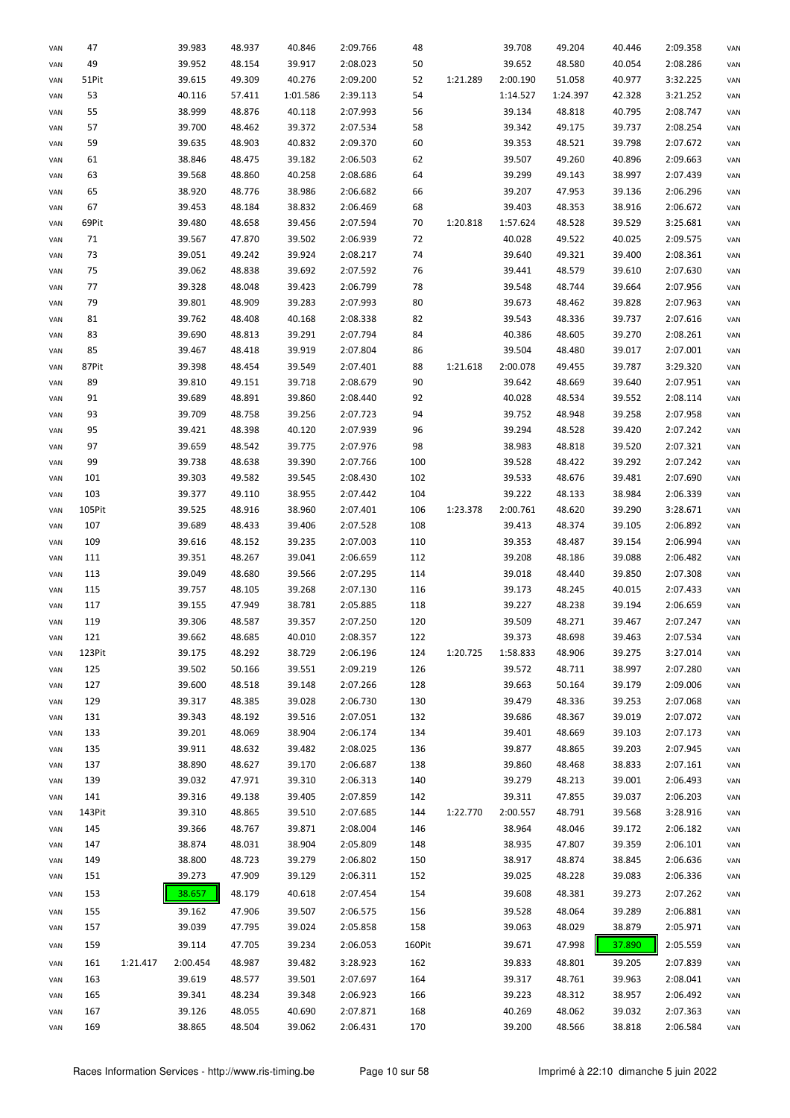| VAN | 47     |          | 39.983   | 48.937 | 40.846   | 2:09.766 | 48     |          | 39.708   | 49.204   | 40.446 | 2:09.358 | VAN |
|-----|--------|----------|----------|--------|----------|----------|--------|----------|----------|----------|--------|----------|-----|
| VAN | 49     |          | 39.952   | 48.154 | 39.917   | 2:08.023 | 50     |          | 39.652   | 48.580   | 40.054 | 2:08.286 | VAN |
| VAN | 51Pit  |          | 39.615   | 49.309 | 40.276   | 2:09.200 | 52     | 1:21.289 | 2:00.190 | 51.058   | 40.977 | 3:32.225 | VAN |
| VAN | 53     |          | 40.116   | 57.411 | 1:01.586 | 2:39.113 | 54     |          | 1:14.527 | 1:24.397 | 42.328 | 3:21.252 | VAN |
| VAN | 55     |          | 38.999   | 48.876 | 40.118   | 2:07.993 | 56     |          | 39.134   | 48.818   | 40.795 | 2:08.747 | VAN |
| VAN | 57     |          | 39.700   | 48.462 | 39.372   | 2:07.534 | 58     |          | 39.342   | 49.175   | 39.737 | 2:08.254 | VAN |
| VAN | 59     |          | 39.635   | 48.903 | 40.832   | 2:09.370 | 60     |          | 39.353   | 48.521   | 39.798 | 2:07.672 | VAN |
| VAN | 61     |          | 38.846   | 48.475 | 39.182   | 2:06.503 | 62     |          | 39.507   | 49.260   | 40.896 | 2:09.663 | VAN |
| VAN | 63     |          | 39.568   | 48.860 | 40.258   | 2:08.686 | 64     |          | 39.299   | 49.143   | 38.997 | 2:07.439 | VAN |
| VAN | 65     |          | 38.920   | 48.776 | 38.986   | 2:06.682 | 66     |          | 39.207   | 47.953   | 39.136 | 2:06.296 | VAN |
| VAN | 67     |          | 39.453   | 48.184 | 38.832   | 2:06.469 | 68     |          | 39.403   | 48.353   | 38.916 | 2:06.672 | VAN |
| VAN | 69Pit  |          | 39.480   | 48.658 | 39.456   | 2:07.594 | 70     | 1:20.818 | 1:57.624 | 48.528   | 39.529 | 3:25.681 | VAN |
| VAN | 71     |          | 39.567   | 47.870 | 39.502   | 2:06.939 | 72     |          | 40.028   | 49.522   | 40.025 | 2:09.575 | VAN |
| VAN | 73     |          | 39.051   | 49.242 | 39.924   | 2:08.217 | 74     |          | 39.640   | 49.321   | 39.400 | 2:08.361 | VAN |
| VAN | 75     |          | 39.062   | 48.838 | 39.692   | 2:07.592 | 76     |          | 39.441   | 48.579   | 39.610 | 2:07.630 | VAN |
| VAN | 77     |          | 39.328   | 48.048 | 39.423   | 2:06.799 | 78     |          | 39.548   | 48.744   | 39.664 | 2:07.956 | VAN |
| VAN | 79     |          | 39.801   | 48.909 | 39.283   | 2:07.993 | 80     |          | 39.673   | 48.462   | 39.828 | 2:07.963 | VAN |
| VAN | 81     |          | 39.762   | 48.408 | 40.168   | 2:08.338 | 82     |          | 39.543   | 48.336   | 39.737 | 2:07.616 | VAN |
|     | 83     |          | 39.690   | 48.813 | 39.291   | 2:07.794 | 84     |          | 40.386   | 48.605   | 39.270 | 2:08.261 | VAN |
| VAN | 85     |          | 39.467   | 48.418 | 39.919   | 2:07.804 | 86     |          | 39.504   | 48.480   | 39.017 | 2:07.001 |     |
| VAN | 87Pit  |          |          |        | 39.549   |          | 88     | 1:21.618 |          |          |        |          | VAN |
| VAN |        |          | 39.398   | 48.454 |          | 2:07.401 | 90     |          | 2:00.078 | 49.455   | 39.787 | 3:29.320 | VAN |
| VAN | 89     |          | 39.810   | 49.151 | 39.718   | 2:08.679 |        |          | 39.642   | 48.669   | 39.640 | 2:07.951 | VAN |
| VAN | 91     |          | 39.689   | 48.891 | 39.860   | 2:08.440 | 92     |          | 40.028   | 48.534   | 39.552 | 2:08.114 | VAN |
| VAN | 93     |          | 39.709   | 48.758 | 39.256   | 2:07.723 | 94     |          | 39.752   | 48.948   | 39.258 | 2:07.958 | VAN |
| VAN | 95     |          | 39.421   | 48.398 | 40.120   | 2:07.939 | 96     |          | 39.294   | 48.528   | 39.420 | 2:07.242 | VAN |
| VAN | 97     |          | 39.659   | 48.542 | 39.775   | 2:07.976 | 98     |          | 38.983   | 48.818   | 39.520 | 2:07.321 | VAN |
| VAN | 99     |          | 39.738   | 48.638 | 39.390   | 2:07.766 | 100    |          | 39.528   | 48.422   | 39.292 | 2:07.242 | VAN |
| VAN | 101    |          | 39.303   | 49.582 | 39.545   | 2:08.430 | 102    |          | 39.533   | 48.676   | 39.481 | 2:07.690 | VAN |
| VAN | 103    |          | 39.377   | 49.110 | 38.955   | 2:07.442 | 104    |          | 39.222   | 48.133   | 38.984 | 2:06.339 | VAN |
| VAN | 105Pit |          | 39.525   | 48.916 | 38.960   | 2:07.401 | 106    | 1:23.378 | 2:00.761 | 48.620   | 39.290 | 3:28.671 | VAN |
| VAN | 107    |          | 39.689   | 48.433 | 39.406   | 2:07.528 | 108    |          | 39.413   | 48.374   | 39.105 | 2:06.892 | VAN |
| VAN | 109    |          | 39.616   | 48.152 | 39.235   | 2:07.003 | 110    |          | 39.353   | 48.487   | 39.154 | 2:06.994 | VAN |
| VAN | 111    |          | 39.351   | 48.267 | 39.041   | 2:06.659 | 112    |          | 39.208   | 48.186   | 39.088 | 2:06.482 | VAN |
| VAN | 113    |          | 39.049   | 48.680 | 39.566   | 2:07.295 | 114    |          | 39.018   | 48.440   | 39.850 | 2:07.308 | VAN |
| VAN | 115    |          | 39.757   | 48.105 | 39.268   | 2:07.130 | 116    |          | 39.173   | 48.245   | 40.015 | 2:07.433 | VAN |
| VAN | 117    |          | 39.155   | 47.949 | 38.781   | 2:05.885 | 118    |          | 39.227   | 48.238   | 39.194 | 2:06.659 | VAN |
| VAN | 119    |          | 39.306   | 48.587 | 39.357   | 2:07.250 | 120    |          | 39.509   | 48.271   | 39.467 | 2:07.247 | VAN |
| VAN | 121    |          | 39.662   | 48.685 | 40.010   | 2:08.357 | 122    |          | 39.373   | 48.698   | 39.463 | 2:07.534 | VAN |
| VAN | 123Pit |          | 39.175   | 48.292 | 38.729   | 2:06.196 | 124    | 1:20.725 | 1:58.833 | 48.906   | 39.275 | 3:27.014 | VAN |
| VAN | 125    |          | 39.502   | 50.166 | 39.551   | 2:09.219 | 126    |          | 39.572   | 48.711   | 38.997 | 2:07.280 | VAN |
| VAN | 127    |          | 39.600   | 48.518 | 39.148   | 2:07.266 | 128    |          | 39.663   | 50.164   | 39.179 | 2:09.006 | VAN |
| VAN | 129    |          | 39.317   | 48.385 | 39.028   | 2:06.730 | 130    |          | 39.479   | 48.336   | 39.253 | 2:07.068 | VAN |
| VAN | 131    |          | 39.343   | 48.192 | 39.516   | 2:07.051 | 132    |          | 39.686   | 48.367   | 39.019 | 2:07.072 | VAN |
| VAN | 133    |          | 39.201   | 48.069 | 38.904   | 2:06.174 | 134    |          | 39.401   | 48.669   | 39.103 | 2:07.173 | VAN |
| VAN | 135    |          | 39.911   | 48.632 | 39.482   | 2:08.025 | 136    |          | 39.877   | 48.865   | 39.203 | 2:07.945 | VAN |
| VAN | 137    |          | 38.890   | 48.627 | 39.170   | 2:06.687 | 138    |          | 39.860   | 48.468   | 38.833 | 2:07.161 | VAN |
| VAN | 139    |          | 39.032   | 47.971 | 39.310   | 2:06.313 | 140    |          | 39.279   | 48.213   | 39.001 | 2:06.493 | VAN |
| VAN | 141    |          | 39.316   | 49.138 | 39.405   | 2:07.859 | 142    |          | 39.311   | 47.855   | 39.037 | 2:06.203 | VAN |
| VAN | 143Pit |          | 39.310   | 48.865 | 39.510   | 2:07.685 | 144    | 1:22.770 | 2:00.557 | 48.791   | 39.568 | 3:28.916 | VAN |
| VAN | 145    |          | 39.366   | 48.767 | 39.871   | 2:08.004 | 146    |          | 38.964   | 48.046   | 39.172 | 2:06.182 | VAN |
| VAN | 147    |          | 38.874   | 48.031 | 38.904   | 2:05.809 | 148    |          | 38.935   | 47.807   | 39.359 | 2:06.101 | VAN |
| VAN | 149    |          | 38.800   | 48.723 | 39.279   | 2:06.802 | 150    |          | 38.917   | 48.874   | 38.845 | 2:06.636 | VAN |
| VAN | 151    |          | 39.273   | 47.909 | 39.129   | 2:06.311 | 152    |          | 39.025   | 48.228   | 39.083 | 2:06.336 | VAN |
| VAN | 153    |          | 38.657   | 48.179 | 40.618   | 2:07.454 | 154    |          | 39.608   | 48.381   | 39.273 | 2:07.262 | VAN |
| VAN | 155    |          | 39.162   | 47.906 | 39.507   | 2:06.575 | 156    |          | 39.528   | 48.064   | 39.289 | 2:06.881 | VAN |
| VAN | 157    |          | 39.039   | 47.795 | 39.024   | 2:05.858 | 158    |          | 39.063   | 48.029   | 38.879 | 2:05.971 | VAN |
| VAN | 159    |          | 39.114   | 47.705 | 39.234   | 2:06.053 | 160Pit |          | 39.671   | 47.998   | 37.890 | 2:05.559 | VAN |
|     |        |          |          |        |          |          |        |          |          |          |        |          |     |
| VAN | 161    | 1:21.417 | 2:00.454 | 48.987 | 39.482   | 3:28.923 | 162    |          | 39.833   | 48.801   | 39.205 | 2:07.839 | VAN |
| VAN | 163    |          | 39.619   | 48.577 | 39.501   | 2:07.697 | 164    |          | 39.317   | 48.761   | 39.963 | 2:08.041 | VAN |
| VAN | 165    |          | 39.341   | 48.234 | 39.348   | 2:06.923 | 166    |          | 39.223   | 48.312   | 38.957 | 2:06.492 | VAN |
| VAN | 167    |          | 39.126   | 48.055 | 40.690   | 2:07.871 | 168    |          | 40.269   | 48.062   | 39.032 | 2:07.363 | VAN |
| VAN | 169    |          | 38.865   | 48.504 | 39.062   | 2:06.431 | 170    |          | 39.200   | 48.566   | 38.818 | 2:06.584 | VAN |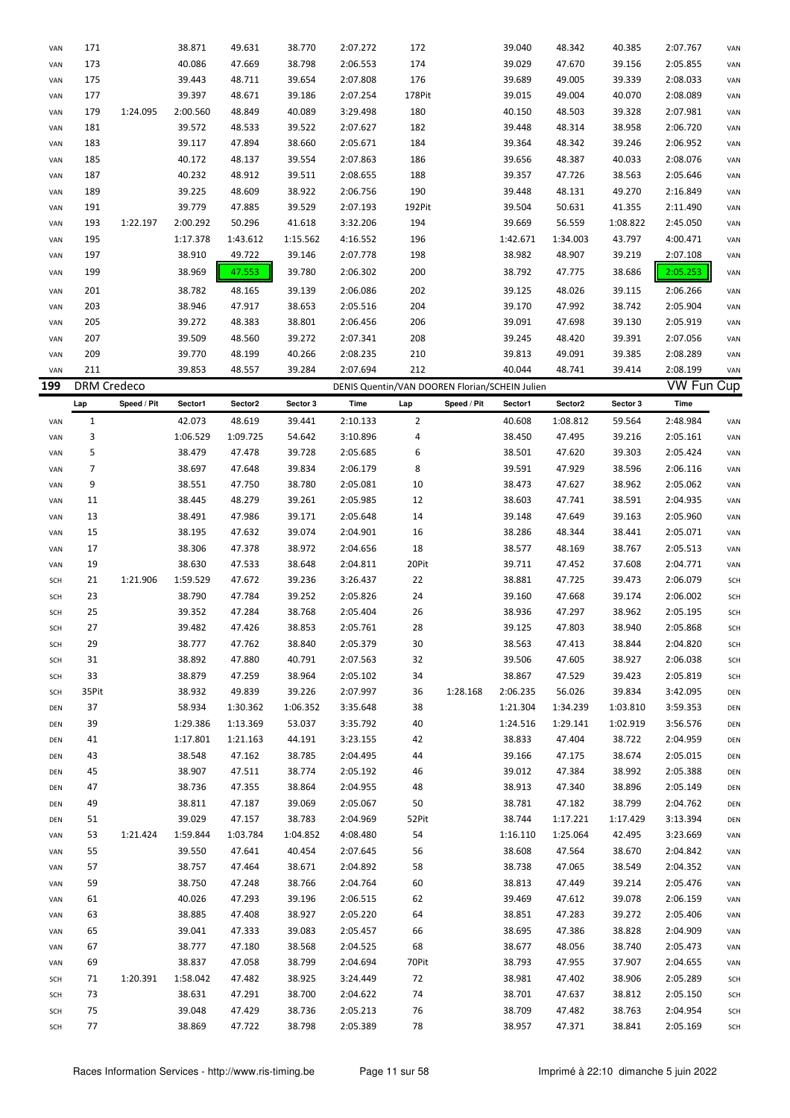| VAN | 171                |             | 38.871   | 49.631   | 38.770   | 2:07.272                                       | 172            |             | 39.040   | 48.342   | 40.385   | 2:07.767          | VAN        |
|-----|--------------------|-------------|----------|----------|----------|------------------------------------------------|----------------|-------------|----------|----------|----------|-------------------|------------|
| VAN | 173                |             | 40.086   | 47.669   | 38.798   | 2:06.553                                       | 174            |             | 39.029   | 47.670   | 39.156   | 2:05.855          | VAN        |
| VAN | 175                |             | 39.443   | 48.711   | 39.654   | 2:07.808                                       | 176            |             | 39.689   | 49.005   | 39.339   | 2:08.033          | VAN        |
| VAN | 177                |             | 39.397   | 48.671   | 39.186   | 2:07.254                                       | 178Pit         |             | 39.015   | 49.004   | 40.070   | 2:08.089          | VAN        |
| VAN | 179                | 1:24.095    | 2:00.560 | 48.849   | 40.089   | 3:29.498                                       | 180            |             | 40.150   | 48.503   | 39.328   | 2:07.981          | VAN        |
| VAN | 181                |             | 39.572   | 48.533   | 39.522   | 2:07.627                                       | 182            |             | 39.448   | 48.314   | 38.958   | 2:06.720          | VAN        |
| VAN | 183                |             | 39.117   | 47.894   | 38.660   | 2:05.671                                       | 184            |             | 39.364   | 48.342   | 39.246   | 2:06.952          | VAN        |
|     |                    |             |          |          |          |                                                |                |             |          |          |          |                   |            |
| VAN | 185                |             | 40.172   | 48.137   | 39.554   | 2:07.863                                       | 186            |             | 39.656   | 48.387   | 40.033   | 2:08.076          | VAN        |
| VAN | 187                |             | 40.232   | 48.912   | 39.511   | 2:08.655                                       | 188            |             | 39.357   | 47.726   | 38.563   | 2:05.646          | VAN        |
| VAN | 189                |             | 39.225   | 48.609   | 38.922   | 2:06.756                                       | 190            |             | 39.448   | 48.131   | 49.270   | 2:16.849          | VAN        |
| VAN | 191                |             | 39.779   | 47.885   | 39.529   | 2:07.193                                       | 192Pit         |             | 39.504   | 50.631   | 41.355   | 2:11.490          | VAN        |
| VAN | 193                | 1:22.197    | 2:00.292 | 50.296   | 41.618   | 3:32.206                                       | 194            |             | 39.669   | 56.559   | 1:08.822 | 2:45.050          | VAN        |
| VAN | 195                |             | 1:17.378 | 1:43.612 | 1:15.562 | 4:16.552                                       | 196            |             | 1:42.671 | 1:34.003 | 43.797   | 4:00.471          | VAN        |
| VAN | 197                |             | 38.910   | 49.722   | 39.146   | 2:07.778                                       | 198            |             | 38.982   | 48.907   | 39.219   | 2:07.108          | VAN        |
| VAN | 199                |             | 38.969   | 47.553   | 39.780   | 2:06.302                                       | 200            |             | 38.792   | 47.775   | 38.686   | 2:05.253          | VAN        |
|     |                    |             |          |          |          |                                                |                |             |          |          |          |                   |            |
| VAN | 201                |             | 38.782   | 48.165   | 39.139   | 2:06.086                                       | 202            |             | 39.125   | 48.026   | 39.115   | 2:06.266          | VAN        |
| VAN | 203                |             | 38.946   | 47.917   | 38.653   | 2:05.516                                       | 204            |             | 39.170   | 47.992   | 38.742   | 2:05.904          | VAN        |
| VAN | 205                |             | 39.272   | 48.383   | 38.801   | 2:06.456                                       | 206            |             | 39.091   | 47.698   | 39.130   | 2:05.919          | VAN        |
| VAN | 207                |             | 39.509   | 48.560   | 39.272   | 2:07.341                                       | 208            |             | 39.245   | 48.420   | 39.391   | 2:07.056          | VAN        |
| VAN | 209                |             | 39.770   | 48.199   | 40.266   | 2:08.235                                       | 210            |             | 39.813   | 49.091   | 39.385   | 2:08.289          | VAN        |
| VAN | 211                |             | 39.853   | 48.557   | 39.284   | 2:07.694                                       | 212            |             | 40.044   | 48.741   | 39.414   | 2:08.199          | VAN        |
| 199 | <b>DRM Credeco</b> |             |          |          |          | DENIS Quentin/VAN DOOREN Florian/SCHEIN Julien |                |             |          |          |          | <b>VW Fun Cup</b> |            |
|     | Lap                | Speed / Pit | Sector1  | Sector2  | Sector 3 | Time                                           | Lap            | Speed / Pit | Sector1  | Sector2  | Sector 3 | Time              |            |
| VAN | $\mathbf{1}$       |             | 42.073   | 48.619   | 39.441   | 2:10.133                                       | $\overline{2}$ |             | 40.608   | 1:08.812 | 59.564   | 2:48.984          | VAN        |
| VAN | 3                  |             | 1:06.529 | 1:09.725 | 54.642   | 3:10.896                                       | 4              |             | 38.450   | 47.495   | 39.216   | 2:05.161          | VAN        |
|     |                    |             |          |          |          |                                                |                |             |          |          |          |                   |            |
| VAN | 5                  |             | 38.479   | 47.478   | 39.728   | 2:05.685                                       | 6              |             | 38.501   | 47.620   | 39.303   | 2:05.424          | VAN        |
| VAN | 7                  |             | 38.697   | 47.648   | 39.834   | 2:06.179                                       | 8              |             | 39.591   | 47.929   | 38.596   | 2:06.116          | VAN        |
| VAN | 9                  |             | 38.551   | 47.750   | 38.780   | 2:05.081                                       | 10             |             | 38.473   | 47.627   | 38.962   | 2:05.062          | VAN        |
| VAN | 11                 |             | 38.445   | 48.279   | 39.261   | 2:05.985                                       | 12             |             | 38.603   | 47.741   | 38.591   | 2:04.935          | VAN        |
| VAN | 13                 |             | 38.491   | 47.986   | 39.171   | 2:05.648                                       | 14             |             | 39.148   | 47.649   | 39.163   | 2:05.960          | VAN        |
| VAN | 15                 |             | 38.195   | 47.632   | 39.074   | 2:04.901                                       | 16             |             | 38.286   | 48.344   | 38.441   | 2:05.071          | VAN        |
| VAN | 17                 |             | 38.306   | 47.378   | 38.972   | 2:04.656                                       | 18             |             | 38.577   | 48.169   | 38.767   | 2:05.513          | VAN        |
| VAN | 19                 |             | 38.630   | 47.533   | 38.648   | 2:04.811                                       | 20Pit          |             | 39.711   | 47.452   | 37.608   | 2:04.771          | VAN        |
| SCH | 21                 | 1:21.906    | 1:59.529 | 47.672   | 39.236   | 3:26.437                                       | 22             |             | 38.881   | 47.725   | 39.473   | 2:06.079          | <b>SCH</b> |
| SCH | 23                 |             | 38.790   | 47.784   | 39.252   | 2:05.826                                       | 24             |             | 39.160   | 47.668   | 39.174   | 2:06.002          | <b>SCH</b> |
| SCH | 25                 |             | 39.352   | 47.284   | 38.768   | 2:05.404                                       | 26             |             | 38.936   | 47.297   | 38.962   | 2:05.195          | <b>SCH</b> |
|     |                    |             |          |          |          |                                                |                |             |          |          |          |                   |            |
| SCH | 27                 |             | 39.482   | 47.426   | 38.853   | 2:05.761                                       | 28             |             | 39.125   | 47.803   | 38.940   | 2:05.868          | <b>SCH</b> |
| SCH | 29                 |             | 38.777   | 47.762   | 38.840   | 2:05.379                                       | 30             |             | 38.563   | 47.413   | 38.844   | 2:04.820          | <b>SCH</b> |
| SCH | 31                 |             | 38.892   | 47.880   | 40.791   | 2:07.563                                       | 32             |             | 39.506   | 47.605   | 38.927   | 2:06.038          | <b>SCH</b> |
| SCH | 33                 |             | 38.879   | 47.259   | 38.964   | 2:05.102                                       | 34             |             | 38.867   | 47.529   | 39.423   | 2:05.819          | SCH        |
| SCH | 35Pit              |             | 38.932   | 49.839   | 39.226   | 2:07.997                                       | 36             | 1:28.168    | 2:06.235 | 56.026   | 39.834   | 3:42.095          | DEN        |
| DEN | 37                 |             | 58.934   | 1:30.362 | 1:06.352 | 3:35.648                                       | 38             |             | 1:21.304 | 1:34.239 | 1:03.810 | 3:59.353          | DEN        |
| DEN | 39                 |             | 1:29.386 | 1:13.369 | 53.037   | 3:35.792                                       | 40             |             | 1:24.516 | 1:29.141 | 1:02.919 | 3:56.576          | DEN        |
| DEN | 41                 |             | 1:17.801 | 1:21.163 | 44.191   | 3:23.155                                       | 42             |             | 38.833   | 47.404   | 38.722   | 2:04.959          | DEN        |
| DEN | 43                 |             | 38.548   | 47.162   | 38.785   | 2:04.495                                       | 44             |             | 39.166   | 47.175   | 38.674   | 2:05.015          | DEN        |
| DEN | 45                 |             | 38.907   | 47.511   | 38.774   | 2:05.192                                       | 46             |             | 39.012   | 47.384   | 38.992   | 2:05.388          | DEN        |
|     | 47                 |             | 38.736   |          | 38.864   |                                                | 48             |             | 38.913   |          |          |                   |            |
| DEN |                    |             |          | 47.355   |          | 2:04.955                                       |                |             |          | 47.340   | 38.896   | 2:05.149          | DEN        |
| DEN | 49                 |             | 38.811   | 47.187   | 39.069   | 2:05.067                                       | 50             |             | 38.781   | 47.182   | 38.799   | 2:04.762          | DEN        |
| DEN | 51                 |             | 39.029   | 47.157   | 38.783   | 2:04.969                                       | 52Pit          |             | 38.744   | 1:17.221 | 1:17.429 | 3:13.394          | DEN        |
| VAN | 53                 | 1:21.424    | 1:59.844 | 1:03.784 | 1:04.852 | 4:08.480                                       | 54             |             | 1:16.110 | 1:25.064 | 42.495   | 3:23.669          | VAN        |
| VAN | 55                 |             | 39.550   | 47.641   | 40.454   | 2:07.645                                       | 56             |             | 38.608   | 47.564   | 38.670   | 2:04.842          | VAN        |
| VAN | 57                 |             | 38.757   | 47.464   | 38.671   | 2:04.892                                       | 58             |             | 38.738   | 47.065   | 38.549   | 2:04.352          | VAN        |
| VAN | 59                 |             | 38.750   | 47.248   | 38.766   | 2:04.764                                       | 60             |             | 38.813   | 47.449   | 39.214   | 2:05.476          | VAN        |
| VAN | 61                 |             | 40.026   | 47.293   | 39.196   | 2:06.515                                       | 62             |             | 39.469   | 47.612   | 39.078   | 2:06.159          | VAN        |
| VAN | 63                 |             | 38.885   | 47.408   | 38.927   | 2:05.220                                       | 64             |             | 38.851   | 47.283   | 39.272   | 2:05.406          | VAN        |
| VAN | 65                 |             | 39.041   | 47.333   | 39.083   | 2:05.457                                       | 66             |             | 38.695   | 47.386   | 38.828   | 2:04.909          | VAN        |
| VAN | 67                 |             | 38.777   | 47.180   | 38.568   | 2:04.525                                       | 68             |             | 38.677   | 48.056   | 38.740   | 2:05.473          | VAN        |
|     | 69                 |             | 38.837   |          | 38.799   |                                                |                |             |          |          |          |                   |            |
| VAN |                    |             |          | 47.058   |          | 2:04.694                                       | 70Pit          |             | 38.793   | 47.955   | 37.907   | 2:04.655          | VAN        |
| SCH | 71                 | 1:20.391    | 1:58.042 | 47.482   | 38.925   | 3:24.449                                       | 72             |             | 38.981   | 47.402   | 38.906   | 2:05.289          | SCH        |
| SCH | 73                 |             | 38.631   | 47.291   | 38.700   | 2:04.622                                       | 74             |             | 38.701   | 47.637   | 38.812   | 2:05.150          | SCH        |
| SCH | 75                 |             | 39.048   | 47.429   | 38.736   | 2:05.213                                       | 76             |             | 38.709   | 47.482   | 38.763   | 2:04.954          | <b>SCH</b> |
| SCH | 77                 |             | 38.869   | 47.722   | 38.798   | 2:05.389                                       | 78             |             | 38.957   | 47.371   | 38.841   | 2:05.169          | <b>SCH</b> |
|     |                    |             |          |          |          |                                                |                |             |          |          |          |                   |            |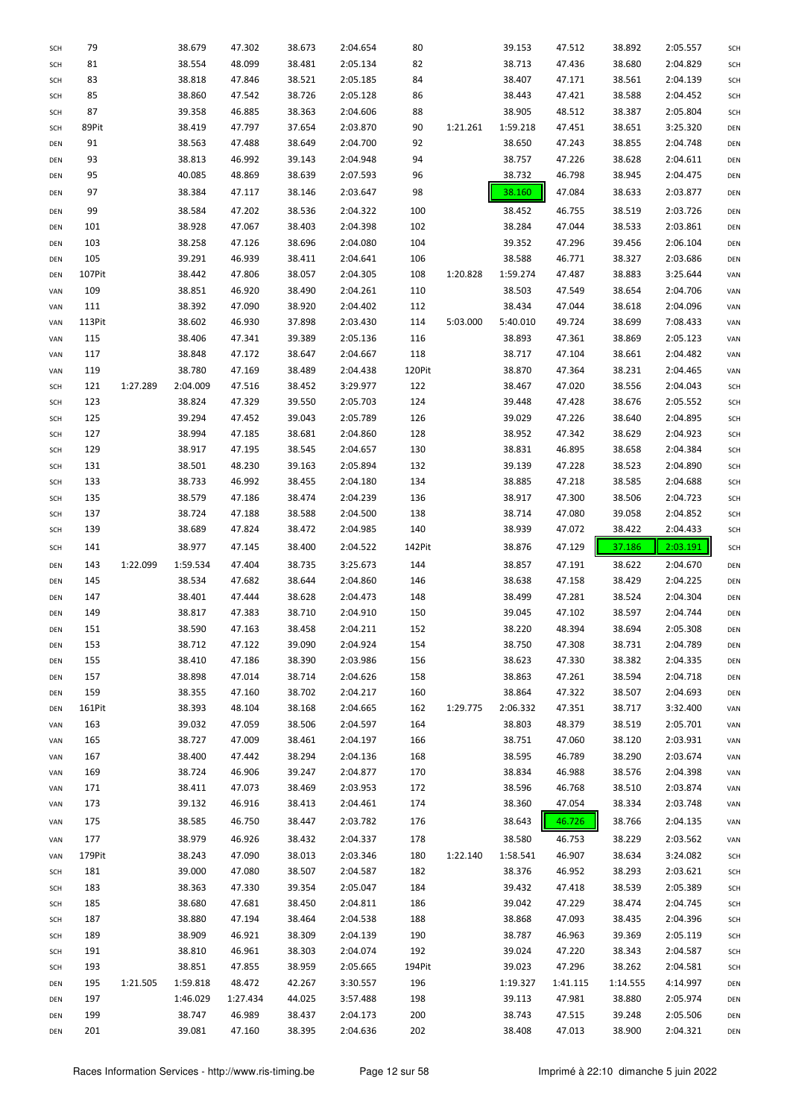| SCH        | 79     |          | 38.679   | 47.302   | 38.673 | 2:04.654 | 80     |          | 39.153   | 47.512   | 38.892   | 2:05.557 | SCH        |
|------------|--------|----------|----------|----------|--------|----------|--------|----------|----------|----------|----------|----------|------------|
| SCH        | 81     |          | 38.554   | 48.099   | 38.481 | 2:05.134 | 82     |          | 38.713   | 47.436   | 38.680   | 2:04.829 | SCH        |
| SCH        | 83     |          | 38.818   | 47.846   | 38.521 | 2:05.185 | 84     |          | 38.407   | 47.171   | 38.561   | 2:04.139 | SCH        |
| SCH        | 85     |          | 38.860   | 47.542   | 38.726 | 2:05.128 | 86     |          | 38.443   | 47.421   | 38.588   | 2:04.452 | SCH        |
| SCH        | 87     |          | 39.358   | 46.885   | 38.363 | 2:04.606 | 88     |          | 38.905   | 48.512   | 38.387   | 2:05.804 | SCH        |
| SCH        | 89Pit  |          | 38.419   | 47.797   | 37.654 | 2:03.870 | 90     | 1:21.261 | 1:59.218 | 47.451   | 38.651   | 3:25.320 | DEN        |
| DEN        | 91     |          | 38.563   | 47.488   | 38.649 | 2:04.700 | 92     |          | 38.650   | 47.243   | 38.855   | 2:04.748 | DEN        |
| DEN        | 93     |          | 38.813   | 46.992   | 39.143 | 2:04.948 | 94     |          | 38.757   | 47.226   | 38.628   | 2:04.611 | DEN        |
| DEN        | 95     |          | 40.085   | 48.869   | 38.639 | 2:07.593 | 96     |          | 38.732   | 46.798   | 38.945   | 2:04.475 | DEN        |
|            |        |          |          |          |        |          |        |          |          |          |          |          |            |
| DEN        | 97     |          | 38.384   | 47.117   | 38.146 | 2:03.647 | 98     |          | 38.160   | 47.084   | 38.633   | 2:03.877 | DEN        |
| DEN        | 99     |          | 38.584   | 47.202   | 38.536 | 2:04.322 | 100    |          | 38.452   | 46.755   | 38.519   | 2:03.726 | DEN        |
| DEN        | 101    |          | 38.928   | 47.067   | 38.403 | 2:04.398 | 102    |          | 38.284   | 47.044   | 38.533   | 2:03.861 | DEN        |
| DEN        | 103    |          | 38.258   | 47.126   | 38.696 | 2:04.080 | 104    |          | 39.352   | 47.296   | 39.456   | 2:06.104 | DEN        |
| DEN        | 105    |          | 39.291   | 46.939   | 38.411 | 2:04.641 | 106    |          | 38.588   | 46.771   | 38.327   | 2:03.686 | DEN        |
| DEN        | 107Pit |          | 38.442   | 47.806   | 38.057 | 2:04.305 | 108    | 1:20.828 | 1:59.274 | 47.487   | 38.883   | 3:25.644 | VAN        |
| VAN        | 109    |          | 38.851   | 46.920   | 38.490 | 2:04.261 | 110    |          | 38.503   | 47.549   | 38.654   | 2:04.706 | VAN        |
| VAN        | 111    |          | 38.392   | 47.090   | 38.920 | 2:04.402 | 112    |          | 38.434   | 47.044   | 38.618   | 2:04.096 | VAN        |
| VAN        | 113Pit |          | 38.602   | 46.930   | 37.898 | 2:03.430 | 114    | 5:03.000 | 5:40.010 | 49.724   | 38.699   | 7:08.433 | VAN        |
| VAN        | 115    |          | 38.406   | 47.341   | 39.389 | 2:05.136 | 116    |          | 38.893   | 47.361   | 38.869   | 2:05.123 | VAN        |
| VAN        | 117    |          | 38.848   | 47.172   | 38.647 | 2:04.667 | 118    |          | 38.717   | 47.104   | 38.661   | 2:04.482 | VAN        |
| VAN        | 119    |          | 38.780   | 47.169   | 38.489 | 2:04.438 | 120Pit |          | 38.870   | 47.364   | 38.231   | 2:04.465 | VAN        |
| SCH        | 121    | 1:27.289 | 2:04.009 | 47.516   | 38.452 | 3:29.977 | 122    |          | 38.467   | 47.020   | 38.556   | 2:04.043 | SCH        |
|            |        |          | 38.824   | 47.329   | 39.550 | 2:05.703 |        |          |          |          |          |          |            |
| SCH        | 123    |          |          |          |        |          | 124    |          | 39.448   | 47.428   | 38.676   | 2:05.552 | SCH        |
| SCH        | 125    |          | 39.294   | 47.452   | 39.043 | 2:05.789 | 126    |          | 39.029   | 47.226   | 38.640   | 2:04.895 | SCH        |
| SCH        | 127    |          | 38.994   | 47.185   | 38.681 | 2:04.860 | 128    |          | 38.952   | 47.342   | 38.629   | 2:04.923 | SCH        |
| SCH        | 129    |          | 38.917   | 47.195   | 38.545 | 2:04.657 | 130    |          | 38.831   | 46.895   | 38.658   | 2:04.384 | SCH        |
| SCH        | 131    |          | 38.501   | 48.230   | 39.163 | 2:05.894 | 132    |          | 39.139   | 47.228   | 38.523   | 2:04.890 | SCH        |
| SCH        | 133    |          | 38.733   | 46.992   | 38.455 | 2:04.180 | 134    |          | 38.885   | 47.218   | 38.585   | 2:04.688 | SCH        |
| SCH        | 135    |          | 38.579   | 47.186   | 38.474 | 2:04.239 | 136    |          | 38.917   | 47.300   | 38.506   | 2:04.723 | SCH        |
| SCH        | 137    |          | 38.724   | 47.188   | 38.588 | 2:04.500 | 138    |          | 38.714   | 47.080   | 39.058   | 2:04.852 | SCH        |
| SCH        | 139    |          | 38.689   | 47.824   | 38.472 | 2:04.985 | 140    |          | 38.939   | 47.072   | 38.422   | 2:04.433 | SCH        |
|            |        |          |          |          | 38.400 |          |        |          |          | 47.129   | 37.186   | 2:03.191 | SCH        |
| <b>SCH</b> | 141    |          | 38.977   | 47.145   |        | 2:04.522 | 142Pit |          | 38.876   |          |          |          |            |
| DEN        | 143    | 1:22.099 | 1:59.534 | 47.404   | 38.735 | 3:25.673 | 144    |          | 38.857   | 47.191   | 38.622   | 2:04.670 | DEN        |
|            |        |          |          |          |        |          |        |          |          |          |          |          |            |
| DEN        | 145    |          | 38.534   | 47.682   | 38.644 | 2:04.860 | 146    |          | 38.638   | 47.158   | 38.429   | 2:04.225 | DEN        |
| DEN        | 147    |          | 38.401   | 47.444   | 38.628 | 2:04.473 | 148    |          | 38.499   | 47.281   | 38.524   | 2:04.304 | DEN        |
| DEN        | 149    |          | 38.817   | 47.383   | 38.710 | 2:04.910 | 150    |          | 39.045   | 47.102   | 38.597   | 2:04.744 | DEN        |
| DEN        | 151    |          | 38.590   | 47.163   | 38.458 | 2:04.211 | 152    |          | 38.220   | 48.394   | 38.694   | 2:05.308 | DEN        |
| DEN        | 153    |          | 38.712   | 47.122   | 39.090 | 2:04.924 | 154    |          | 38.750   | 47.308   | 38.731   | 2:04.789 | DEN        |
| DEN        | 155    |          | 38.410   | 47.186   | 38.390 | 2:03.986 | 156    |          | 38.623   | 47.330   | 38.382   | 2:04.335 | DEN        |
| DEN        | 157    |          | 38.898   | 47.014   | 38.714 | 2:04.626 | 158    |          | 38.863   | 47.261   | 38.594   | 2:04.718 | DEN        |
| DEN        | 159    |          | 38.355   | 47.160   | 38.702 | 2:04.217 | 160    |          | 38.864   | 47.322   | 38.507   | 2:04.693 | DEN        |
| DEN        | 161Pit |          | 38.393   | 48.104   | 38.168 | 2:04.665 | 162    | 1:29.775 | 2:06.332 | 47.351   | 38.717   | 3:32.400 | VAN        |
| VAN        | 163    |          | 39.032   | 47.059   | 38.506 | 2:04.597 | 164    |          | 38.803   | 48.379   | 38.519   | 2:05.701 | VAN        |
| VAN        | 165    |          | 38.727   | 47.009   | 38.461 | 2:04.197 | 166    |          | 38.751   | 47.060   | 38.120   | 2:03.931 | VAN        |
| VAN        | 167    |          | 38.400   | 47.442   | 38.294 | 2:04.136 | 168    |          | 38.595   | 46.789   | 38.290   | 2:03.674 | VAN        |
| VAN        | 169    |          | 38.724   | 46.906   | 39.247 | 2:04.877 | 170    |          | 38.834   | 46.988   | 38.576   | 2:04.398 | VAN        |
| VAN        | 171    |          | 38.411   | 47.073   | 38.469 | 2:03.953 | 172    |          | 38.596   | 46.768   | 38.510   | 2:03.874 | VAN        |
| VAN        | 173    |          | 39.132   | 46.916   | 38.413 | 2:04.461 | 174    |          | 38.360   | 47.054   | 38.334   | 2:03.748 | VAN        |
| VAN        | 175    |          | 38.585   | 46.750   | 38.447 | 2:03.782 | 176    |          | 38.643   | 46.726   | 38.766   | 2:04.135 | VAN        |
| VAN        | 177    |          | 38.979   | 46.926   | 38.432 | 2:04.337 | 178    |          |          |          |          |          |            |
|            |        |          |          |          |        |          |        |          | 38.580   | 46.753   | 38.229   | 2:03.562 | VAN        |
| VAN        | 179Pit |          | 38.243   | 47.090   | 38.013 | 2:03.346 | 180    | 1:22.140 | 1:58.541 | 46.907   | 38.634   | 3:24.082 | SCH        |
| SCH        | 181    |          | 39.000   | 47.080   | 38.507 | 2:04.587 | 182    |          | 38.376   | 46.952   | 38.293   | 2:03.621 | SCH        |
| SCH        | 183    |          | 38.363   | 47.330   | 39.354 | 2:05.047 | 184    |          | 39.432   | 47.418   | 38.539   | 2:05.389 | SCH        |
| SCH        | 185    |          | 38.680   | 47.681   | 38.450 | 2:04.811 | 186    |          | 39.042   | 47.229   | 38.474   | 2:04.745 | SCH        |
| <b>SCH</b> | 187    |          | 38.880   | 47.194   | 38.464 | 2:04.538 | 188    |          | 38.868   | 47.093   | 38.435   | 2:04.396 | SCH        |
| <b>SCH</b> | 189    |          | 38.909   | 46.921   | 38.309 | 2:04.139 | 190    |          | 38.787   | 46.963   | 39.369   | 2:05.119 | SCH        |
| SCH        | 191    |          | 38.810   | 46.961   | 38.303 | 2:04.074 | 192    |          | 39.024   | 47.220   | 38.343   | 2:04.587 | SCH        |
| <b>SCH</b> | 193    |          | 38.851   | 47.855   | 38.959 | 2:05.665 | 194Pit |          | 39.023   | 47.296   | 38.262   | 2:04.581 | <b>SCH</b> |
| DEN        | 195    | 1:21.505 | 1:59.818 | 48.472   | 42.267 | 3:30.557 | 196    |          | 1:19.327 | 1:41.115 | 1:14.555 | 4:14.997 | DEN        |
| DEN        | 197    |          | 1:46.029 | 1:27.434 | 44.025 | 3:57.488 | 198    |          | 39.113   | 47.981   | 38.880   | 2:05.974 | DEN        |
| DEN        | 199    |          | 38.747   | 46.989   | 38.437 | 2:04.173 | 200    |          | 38.743   | 47.515   | 39.248   | 2:05.506 | DEN        |
| DEN        | 201    |          | 39.081   | 47.160   | 38.395 | 2:04.636 | 202    |          | 38.408   | 47.013   | 38.900   | 2:04.321 | DEN        |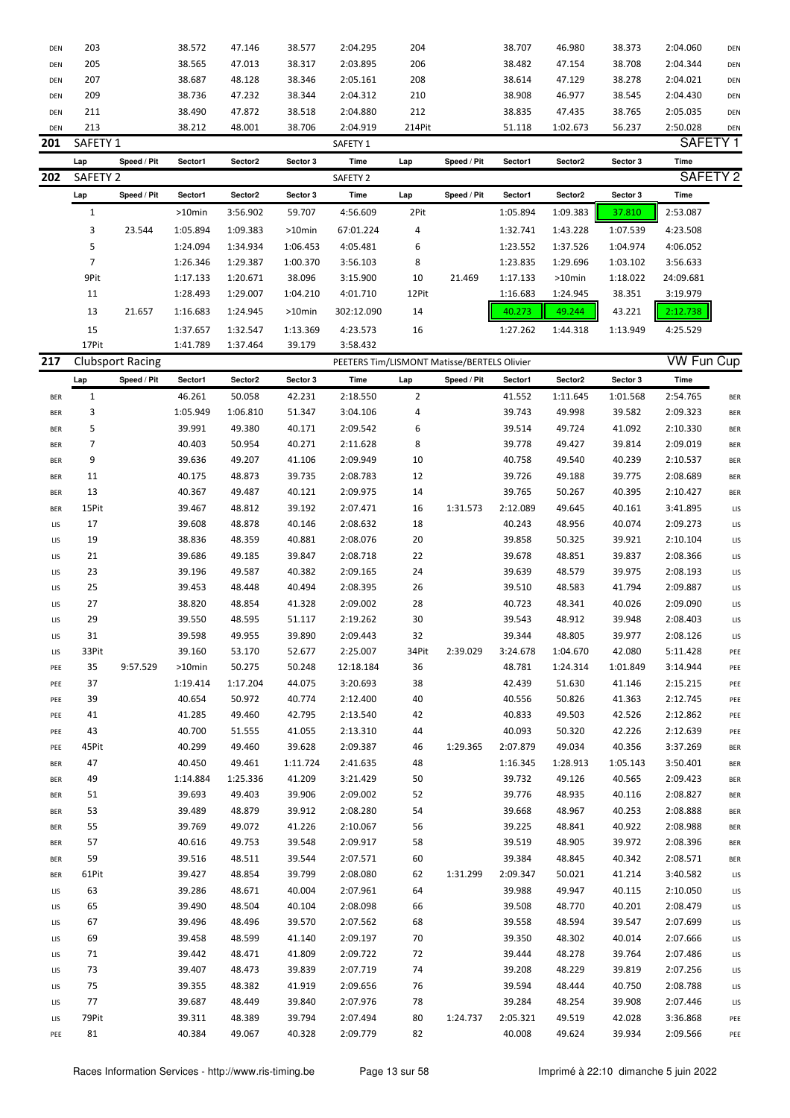| DEN        | 203                 |                         | 38.572   | 47.146   | 38.577   | 2:04.295                                    | 204            |             | 38.707   | 46.980    | 38.373   | 2:04.060            | DEN        |
|------------|---------------------|-------------------------|----------|----------|----------|---------------------------------------------|----------------|-------------|----------|-----------|----------|---------------------|------------|
| DEN        | 205                 |                         | 38.565   | 47.013   | 38.317   | 2:03.895                                    | 206            |             | 38.482   | 47.154    | 38.708   | 2:04.344            | DEN        |
| DEN        | 207                 |                         | 38.687   | 48.128   | 38.346   | 2:05.161                                    | 208            |             | 38.614   | 47.129    | 38.278   | 2:04.021            | DEN        |
| DEN        | 209                 |                         | 38.736   | 47.232   | 38.344   | 2:04.312                                    | 210            |             | 38.908   | 46.977    | 38.545   | 2:04.430            | DEN        |
| DEN        | 211                 |                         | 38.490   | 47.872   | 38.518   | 2:04.880                                    | 212            |             | 38.835   | 47.435    | 38.765   | 2:05.035            | DEN        |
| DEN        | 213                 |                         | 38.212   | 48.001   | 38.706   | 2:04.919                                    | 214Pit         |             | 51.118   | 1:02.673  | 56.237   | 2:50.028            | DEN        |
| 201        | SAFETY 1            |                         |          |          |          | SAFETY 1                                    |                |             |          |           |          | SAFETY <sub>1</sub> |            |
|            | Lap                 | Speed / Pit             | Sector1  | Sector2  | Sector 3 | Time                                        | Lap            | Speed / Pit | Sector1  | Sector2   | Sector 3 | <b>Time</b>         |            |
| 202        | SAFETY <sub>2</sub> |                         |          |          |          | SAFETY <sub>2</sub>                         |                |             |          |           |          | <b>SAFETY 2</b>     |            |
|            | Lap                 | Speed / Pit             | Sector1  | Sector2  | Sector 3 | Time                                        | Lap            | Speed / Pit | Sector1  | Sector2   | Sector 3 | Time                |            |
|            |                     |                         |          |          |          |                                             |                |             |          |           |          |                     |            |
|            | $\mathbf{1}$        |                         | >10min   | 3:56.902 | 59.707   | 4:56.609                                    | 2Pit           |             | 1:05.894 | 1:09.383  | 37.810   | 2:53.087            |            |
|            | 3                   | 23.544                  | 1:05.894 | 1:09.383 | >10min   | 67:01.224                                   | 4              |             | 1:32.741 | 1:43.228  | 1:07.539 | 4:23.508            |            |
|            | 5                   |                         | 1:24.094 | 1:34.934 | 1:06.453 | 4:05.481                                    | 6              |             | 1:23.552 | 1:37.526  | 1:04.974 | 4:06.052            |            |
|            | $\overline{7}$      |                         | 1:26.346 | 1:29.387 | 1:00.370 | 3:56.103                                    | 8              |             | 1:23.835 | 1:29.696  | 1:03.102 | 3:56.633            |            |
|            | 9Pit                |                         | 1:17.133 | 1:20.671 | 38.096   | 3:15.900                                    | 10             | 21.469      | 1:17.133 | $>10$ min | 1:18.022 | 24:09.681           |            |
|            | 11                  |                         | 1:28.493 | 1:29.007 | 1:04.210 | 4:01.710                                    | 12Pit          |             | 1:16.683 | 1:24.945  | 38.351   | 3:19.979            |            |
|            | 13                  | 21.657                  | 1:16.683 | 1:24.945 | >10min   | 302:12.090                                  | 14             |             | 40.273   | 49.244    | 43.221   | 2:12.738            |            |
|            | 15                  |                         | 1:37.657 | 1:32.547 | 1:13.369 | 4:23.573                                    | 16             |             | 1:27.262 | 1:44.318  | 1:13.949 | 4:25.529            |            |
|            | 17Pit               |                         | 1:41.789 | 1:37.464 | 39.179   | 3:58.432                                    |                |             |          |           |          |                     |            |
| 217        |                     | <b>Clubsport Racing</b> |          |          |          | PEETERS Tim/LISMONT Matisse/BERTELS Olivier |                |             |          |           |          | <b>VW Fun Cup</b>   |            |
|            |                     |                         |          |          | Sector 3 | Time                                        |                |             | Sector1  |           |          |                     |            |
|            | Lap                 | Speed / Pit             | Sector1  | Sector2  |          |                                             | Lap            | Speed / Pit |          | Sector2   | Sector 3 | Time                |            |
| <b>BER</b> | $\mathbf{1}$        |                         | 46.261   | 50.058   | 42.231   | 2:18.550                                    | $\overline{2}$ |             | 41.552   | 1:11.645  | 1:01.568 | 2:54.765            | <b>BER</b> |
| <b>BER</b> | 3                   |                         | 1:05.949 | 1:06.810 | 51.347   | 3:04.106                                    | 4              |             | 39.743   | 49.998    | 39.582   | 2:09.323            | <b>BER</b> |
| <b>BER</b> | 5                   |                         | 39.991   | 49.380   | 40.171   | 2:09.542                                    | 6              |             | 39.514   | 49.724    | 41.092   | 2:10.330            | <b>BER</b> |
| <b>BER</b> | 7                   |                         | 40.403   | 50.954   | 40.271   | 2:11.628                                    | 8              |             | 39.778   | 49.427    | 39.814   | 2:09.019            | <b>BER</b> |
| <b>BER</b> | 9                   |                         | 39.636   | 49.207   | 41.106   | 2:09.949                                    | 10             |             | 40.758   | 49.540    | 40.239   | 2:10.537            | <b>BER</b> |
| <b>BER</b> | 11                  |                         | 40.175   | 48.873   | 39.735   | 2:08.783                                    | 12             |             | 39.726   | 49.188    | 39.775   | 2:08.689            | <b>BER</b> |
| <b>BER</b> | 13                  |                         | 40.367   | 49.487   | 40.121   | 2:09.975                                    | 14             |             | 39.765   | 50.267    | 40.395   | 2:10.427            | <b>BER</b> |
| <b>BER</b> | 15Pit               |                         | 39.467   | 48.812   | 39.192   | 2:07.471                                    | 16             | 1:31.573    | 2:12.089 | 49.645    | 40.161   | 3:41.895            | LIS        |
| LIS        | 17                  |                         | 39.608   | 48.878   | 40.146   | 2:08.632                                    | 18             |             | 40.243   | 48.956    | 40.074   | 2:09.273            | LIS        |
| LIS        | 19                  |                         | 38.836   | 48.359   | 40.881   | 2:08.076                                    | 20             |             | 39.858   | 50.325    | 39.921   | 2:10.104            | LIS        |
| LIS        | 21                  |                         | 39.686   | 49.185   | 39.847   | 2:08.718                                    | 22             |             | 39.678   | 48.851    | 39.837   | 2:08.366            | LIS        |
| LIS        | 23                  |                         | 39.196   | 49.587   | 40.382   | 2:09.165                                    | 24             |             | 39.639   | 48.579    | 39.975   | 2:08.193            | LIS        |
| LIS        | 25                  |                         | 39.453   | 48.448   | 40.494   | 2:08.395                                    | 26             |             | 39.510   | 48.583    | 41.794   | 2:09.887            | LIS        |
| LIS        | 27                  |                         | 38.820   | 48.854   | 41.328   | 2:09.002                                    | 28             |             | 40.723   | 48.341    | 40.026   | 2:09.090            | LIS        |
| LIS        | 29                  |                         | 39.550   | 48.595   | 51.117   | 2:19.262                                    | 30             |             | 39.543   | 48.912    | 39.948   | 2:08.403            | LIS        |
| LIS        | 31                  |                         | 39.598   | 49.955   | 39.890   | 2:09.443                                    | 32             |             | 39.344   | 48.805    | 39.977   | 2:08.126            | LIS        |
| LIS        | 33Pit               |                         | 39.160   | 53.170   | 52.677   | 2:25.007                                    | 34Pit          | 2:39.029    | 3:24.678 | 1:04.670  | 42.080   | 5:11.428            | PEE        |
| PEE        | 35                  | 9:57.529                | >10min   | 50.275   | 50.248   | 12:18.184                                   | 36             |             | 48.781   | 1:24.314  | 1:01.849 | 3:14.944            | PEE        |
| PEE        | 37                  |                         | 1:19.414 | 1:17.204 | 44.075   | 3:20.693                                    | 38             |             | 42.439   | 51.630    | 41.146   | 2:15.215            | PEE        |
| PEE        | 39                  |                         | 40.654   | 50.972   | 40.774   | 2:12.400                                    | 40             |             | 40.556   | 50.826    | 41.363   | 2:12.745            | PEE        |
| PEE        | 41                  |                         | 41.285   | 49.460   | 42.795   | 2:13.540                                    | 42             |             | 40.833   | 49.503    | 42.526   | 2:12.862            | PEE        |
| PEE        | 43                  |                         | 40.700   | 51.555   | 41.055   | 2:13.310                                    | 44             |             | 40.093   | 50.320    | 42.226   | 2:12.639            | PEE        |
| PEE        | 45Pit               |                         | 40.299   | 49.460   | 39.628   | 2:09.387                                    | 46             | 1:29.365    | 2:07.879 | 49.034    | 40.356   | 3:37.269            | <b>BER</b> |
| <b>BER</b> | 47                  |                         | 40.450   | 49.461   | 1:11.724 | 2:41.635                                    | 48             |             | 1:16.345 | 1:28.913  | 1:05.143 | 3:50.401            | <b>BER</b> |
| <b>BER</b> | 49                  |                         | 1:14.884 | 1:25.336 | 41.209   | 3:21.429                                    | 50             |             | 39.732   | 49.126    | 40.565   | 2:09.423            | <b>BER</b> |
| <b>BER</b> | 51                  |                         | 39.693   | 49.403   | 39.906   | 2:09.002                                    | 52             |             | 39.776   | 48.935    | 40.116   | 2:08.827            | <b>BER</b> |
|            |                     |                         | 39.489   |          |          |                                             |                |             |          |           |          |                     |            |
| <b>BER</b> | 53                  |                         |          | 48.879   | 39.912   | 2:08.280                                    | 54             |             | 39.668   | 48.967    | 40.253   | 2:08.888            | <b>BER</b> |
| <b>BER</b> | 55                  |                         | 39.769   | 49.072   | 41.226   | 2:10.067                                    | 56             |             | 39.225   | 48.841    | 40.922   | 2:08.988            | <b>BER</b> |
| <b>BER</b> | 57                  |                         | 40.616   | 49.753   | 39.548   | 2:09.917                                    | 58             |             | 39.519   | 48.905    | 39.972   | 2:08.396            | <b>BER</b> |
| BER        | 59                  |                         | 39.516   | 48.511   | 39.544   | 2:07.571                                    | 60             |             | 39.384   | 48.845    | 40.342   | 2:08.571            | <b>BER</b> |
| <b>BER</b> | 61Pit               |                         | 39.427   | 48.854   | 39.799   | 2:08.080                                    | 62             | 1:31.299    | 2:09.347 | 50.021    | 41.214   | 3:40.582            | LIS        |
| LIS        | 63                  |                         | 39.286   | 48.671   | 40.004   | 2:07.961                                    | 64             |             | 39.988   | 49.947    | 40.115   | 2:10.050            | LIS        |
| LIS        | 65                  |                         | 39.490   | 48.504   | 40.104   | 2:08.098                                    | 66             |             | 39.508   | 48.770    | 40.201   | 2:08.479            | LIS        |
| LIS        | 67                  |                         | 39.496   | 48.496   | 39.570   | 2:07.562                                    | 68             |             | 39.558   | 48.594    | 39.547   | 2:07.699            | LIS        |
| LIS        | 69                  |                         | 39.458   | 48.599   | 41.140   | 2:09.197                                    | 70             |             | 39.350   | 48.302    | 40.014   | 2:07.666            | LIS        |
| LIS        | 71                  |                         | 39.442   | 48.471   | 41.809   | 2:09.722                                    | 72             |             | 39.444   | 48.278    | 39.764   | 2:07.486            | LIS        |
| LIS        | 73                  |                         | 39.407   | 48.473   | 39.839   | 2:07.719                                    | 74             |             | 39.208   | 48.229    | 39.819   | 2:07.256            | LIS        |
| LIS        | 75                  |                         | 39.355   | 48.382   | 41.919   | 2:09.656                                    | 76             |             | 39.594   | 48.444    | 40.750   | 2:08.788            | LIS        |
| LIS        | 77                  |                         | 39.687   | 48.449   | 39.840   | 2:07.976                                    | 78             |             | 39.284   | 48.254    | 39.908   | 2:07.446            | LIS        |
| LIS        | 79Pit               |                         | 39.311   | 48.389   | 39.794   | 2:07.494                                    | 80             | 1:24.737    | 2:05.321 | 49.519    | 42.028   | 3:36.868            | PEE        |
| PEE        | 81                  |                         | 40.384   | 49.067   | 40.328   | 2:09.779                                    | 82             |             | 40.008   | 49.624    | 39.934   | 2:09.566            | PEE        |
|            |                     |                         |          |          |          |                                             |                |             |          |           |          |                     |            |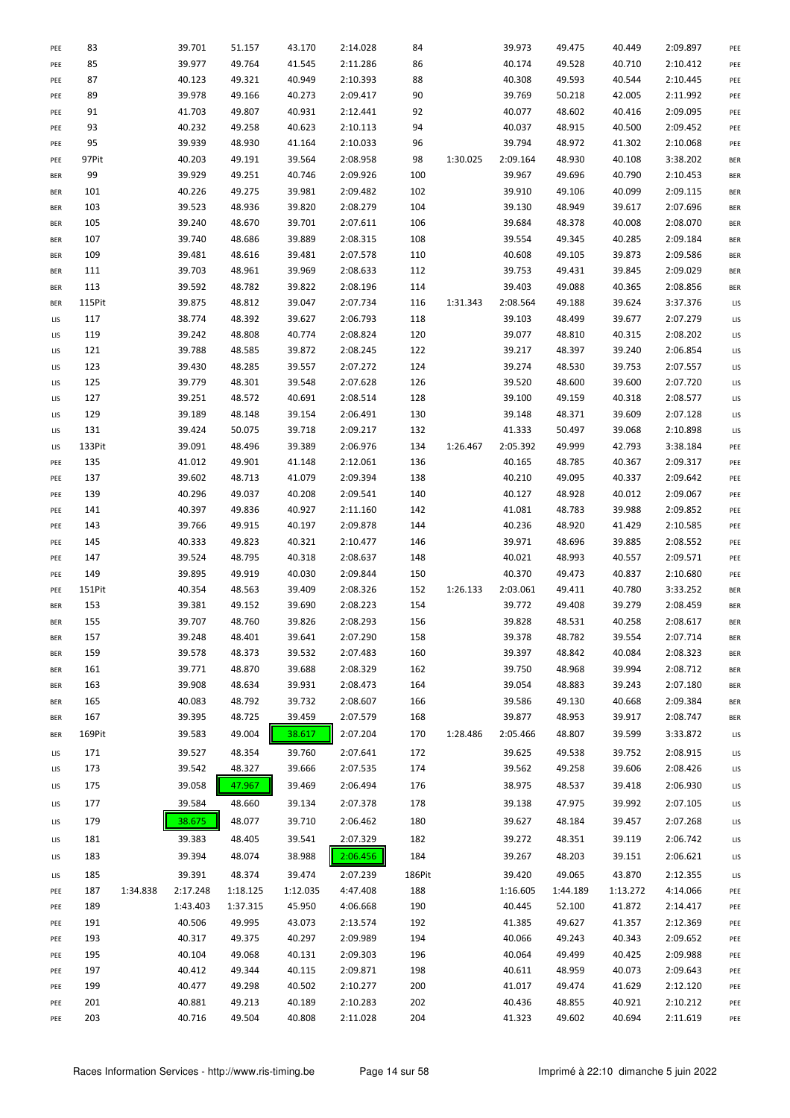| PEE        | 83     |          | 39.701   | 51.157   | 43.170   | 2:14.028 | 84     |          | 39.973   | 49.475   | 40.449   | 2:09.897 | PEE        |
|------------|--------|----------|----------|----------|----------|----------|--------|----------|----------|----------|----------|----------|------------|
| PEE        | 85     |          | 39.977   | 49.764   | 41.545   | 2:11.286 | 86     |          | 40.174   | 49.528   | 40.710   | 2:10.412 | PEE        |
| PEE        | 87     |          | 40.123   | 49.321   | 40.949   | 2:10.393 | 88     |          | 40.308   | 49.593   | 40.544   | 2:10.445 | PEE        |
| PEE        | 89     |          | 39.978   | 49.166   | 40.273   | 2:09.417 | 90     |          | 39.769   | 50.218   | 42.005   | 2:11.992 | PEE        |
| PEE        | 91     |          | 41.703   | 49.807   | 40.931   | 2:12.441 | 92     |          | 40.077   | 48.602   | 40.416   | 2:09.095 | PEE        |
| PEE        | 93     |          | 40.232   | 49.258   | 40.623   | 2:10.113 | 94     |          | 40.037   | 48.915   | 40.500   | 2:09.452 | PEE        |
| PEE        | 95     |          | 39.939   | 48.930   | 41.164   | 2:10.033 | 96     |          | 39.794   | 48.972   | 41.302   | 2:10.068 | PEE        |
|            | 97Pit  |          | 40.203   | 49.191   | 39.564   | 2:08.958 | 98     | 1:30.025 | 2:09.164 | 48.930   | 40.108   | 3:38.202 |            |
| PEE        |        |          |          |          |          |          |        |          |          |          |          |          | <b>BER</b> |
| BER        | 99     |          | 39.929   | 49.251   | 40.746   | 2:09.926 | 100    |          | 39.967   | 49.696   | 40.790   | 2:10.453 | <b>BER</b> |
| BER        | 101    |          | 40.226   | 49.275   | 39.981   | 2:09.482 | 102    |          | 39.910   | 49.106   | 40.099   | 2:09.115 | <b>BER</b> |
| <b>BER</b> | 103    |          | 39.523   | 48.936   | 39.820   | 2:08.279 | 104    |          | 39.130   | 48.949   | 39.617   | 2:07.696 | <b>BER</b> |
| BER        | 105    |          | 39.240   | 48.670   | 39.701   | 2:07.611 | 106    |          | 39.684   | 48.378   | 40.008   | 2:08.070 | <b>BER</b> |
| BER        | 107    |          | 39.740   | 48.686   | 39.889   | 2:08.315 | 108    |          | 39.554   | 49.345   | 40.285   | 2:09.184 | <b>BER</b> |
| <b>BER</b> | 109    |          | 39.481   | 48.616   | 39.481   | 2:07.578 | 110    |          | 40.608   | 49.105   | 39.873   | 2:09.586 | <b>BER</b> |
| BER        | 111    |          | 39.703   | 48.961   | 39.969   | 2:08.633 | 112    |          | 39.753   | 49.431   | 39.845   | 2:09.029 | <b>BER</b> |
|            | 113    |          | 39.592   | 48.782   | 39.822   | 2:08.196 | 114    |          | 39.403   | 49.088   | 40.365   | 2:08.856 |            |
| <b>BER</b> |        |          |          |          |          |          |        |          |          |          |          |          | <b>BER</b> |
| <b>BER</b> | 115Pit |          | 39.875   | 48.812   | 39.047   | 2:07.734 | 116    | 1:31.343 | 2:08.564 | 49.188   | 39.624   | 3:37.376 | LIS        |
| LIS        | 117    |          | 38.774   | 48.392   | 39.627   | 2:06.793 | 118    |          | 39.103   | 48.499   | 39.677   | 2:07.279 | LIS        |
| LIS        | 119    |          | 39.242   | 48.808   | 40.774   | 2:08.824 | 120    |          | 39.077   | 48.810   | 40.315   | 2:08.202 | LIS        |
| LIS        | 121    |          | 39.788   | 48.585   | 39.872   | 2:08.245 | 122    |          | 39.217   | 48.397   | 39.240   | 2:06.854 | LIS        |
| LIS        | 123    |          | 39.430   | 48.285   | 39.557   | 2:07.272 | 124    |          | 39.274   | 48.530   | 39.753   | 2:07.557 | LIS        |
| LIS        | 125    |          | 39.779   | 48.301   | 39.548   | 2:07.628 | 126    |          | 39.520   | 48.600   | 39.600   | 2:07.720 | LIS        |
| LIS        | 127    |          | 39.251   | 48.572   | 40.691   | 2:08.514 | 128    |          | 39.100   | 49.159   | 40.318   | 2:08.577 | LIS        |
| LIS        | 129    |          | 39.189   | 48.148   | 39.154   | 2:06.491 | 130    |          | 39.148   | 48.371   | 39.609   | 2:07.128 | LIS        |
| LIS        | 131    |          | 39.424   | 50.075   | 39.718   | 2:09.217 | 132    |          | 41.333   | 50.497   | 39.068   | 2:10.898 | LIS        |
|            |        |          |          |          |          |          |        |          |          |          |          |          |            |
| LIS        | 133Pit |          | 39.091   | 48.496   | 39.389   | 2:06.976 | 134    | 1:26.467 | 2:05.392 | 49.999   | 42.793   | 3:38.184 | PEE        |
| PEE        | 135    |          | 41.012   | 49.901   | 41.148   | 2:12.061 | 136    |          | 40.165   | 48.785   | 40.367   | 2:09.317 | PEE        |
| PEE        | 137    |          | 39.602   | 48.713   | 41.079   | 2:09.394 | 138    |          | 40.210   | 49.095   | 40.337   | 2:09.642 | PEE        |
| PEE        | 139    |          | 40.296   | 49.037   | 40.208   | 2:09.541 | 140    |          | 40.127   | 48.928   | 40.012   | 2:09.067 | PEE        |
| PEE        | 141    |          | 40.397   | 49.836   | 40.927   | 2:11.160 | 142    |          | 41.081   | 48.783   | 39.988   | 2:09.852 | PEE        |
| PEE        | 143    |          | 39.766   | 49.915   | 40.197   | 2:09.878 | 144    |          | 40.236   | 48.920   | 41.429   | 2:10.585 | PEE        |
| PEE        | 145    |          | 40.333   | 49.823   | 40.321   | 2:10.477 | 146    |          | 39.971   | 48.696   | 39.885   | 2:08.552 | PEE        |
| PEE        | 147    |          | 39.524   | 48.795   | 40.318   | 2:08.637 | 148    |          | 40.021   | 48.993   | 40.557   | 2:09.571 | PEE        |
| PEE        | 149    |          | 39.895   | 49.919   | 40.030   | 2:09.844 | 150    |          | 40.370   | 49.473   | 40.837   | 2:10.680 | PEE        |
|            |        |          |          |          |          |          |        |          |          |          |          |          |            |
| PEE        | 151Pit |          | 40.354   | 48.563   | 39.409   | 2:08.326 | 152    | 1:26.133 | 2:03.061 | 49.411   | 40.780   | 3:33.252 | <b>BER</b> |
| BER        | 153    |          | 39.381   | 49.152   | 39.690   | 2:08.223 | 154    |          | 39.772   | 49.408   | 39.279   | 2:08.459 | <b>BER</b> |
| BER        | 155    |          | 39.707   | 48.760   | 39.826   | 2:08.293 | 156    |          | 39.828   | 48.531   | 40.258   | 2:08.617 | <b>BER</b> |
| BER        | 157    |          | 39.248   | 48.401   | 39.641   | 2:07.290 | 158    |          | 39.378   | 48.782   | 39.554   | 2:07.714 | <b>BER</b> |
| <b>BER</b> | 159    |          | 39.578   | 48.373   | 39.532   | 2:07.483 | 160    |          | 39.397   | 48.842   | 40.084   | 2:08.323 | <b>BER</b> |
| BER        | 161    |          | 39.771   | 48.870   | 39.688   | 2:08.329 | 162    |          | 39.750   | 48.968   | 39.994   | 2:08.712 | <b>BER</b> |
| BER        | 163    |          | 39.908   | 48.634   | 39.931   | 2:08.473 | 164    |          | 39.054   | 48.883   | 39.243   | 2:07.180 | <b>BER</b> |
| BER        | 165    |          | 40.083   | 48.792   | 39.732   | 2:08.607 | 166    |          | 39.586   | 49.130   | 40.668   | 2:09.384 | <b>BER</b> |
| BER        | 167    |          | 39.395   | 48.725   | 39.459   | 2:07.579 | 168    |          | 39.877   | 48.953   | 39.917   | 2:08.747 | <b>BER</b> |
|            | 169Pit |          | 39.583   | 49.004   | 38.617   | 2:07.204 | 170    | 1:28.486 |          |          |          |          |            |
| BER        |        |          |          |          |          |          |        |          | 2:05.466 | 48.807   | 39.599   | 3:33.872 | LIS        |
| LIS        | 171    |          | 39.527   | 48.354   | 39.760   | 2:07.641 | 172    |          | 39.625   | 49.538   | 39.752   | 2:08.915 | LIS        |
| LIS        | 173    |          | 39.542   | 48.327   | 39.666   | 2:07.535 | 174    |          | 39.562   | 49.258   | 39.606   | 2:08.426 | LIS        |
| LIS        | 175    |          | 39.058   | 47.967   | 39.469   | 2:06.494 | 176    |          | 38.975   | 48.537   | 39.418   | 2:06.930 | LIS        |
| LIS        | 177    |          | 39.584   | 48.660   | 39.134   | 2:07.378 | 178    |          | 39.138   | 47.975   | 39.992   | 2:07.105 | LIS        |
|            | 179    |          |          |          |          |          | 180    |          |          |          |          |          |            |
| LIS        |        |          | 38.675   | 48.077   | 39.710   | 2:06.462 |        |          | 39.627   | 48.184   | 39.457   | 2:07.268 | LIS        |
| LIS        | 181    |          | 39.383   | 48.405   | 39.541   | 2:07.329 | 182    |          | 39.272   | 48.351   | 39.119   | 2:06.742 | LIS        |
| LIS        | 183    |          | 39.394   | 48.074   | 38.988   | 2:06.456 | 184    |          | 39.267   | 48.203   | 39.151   | 2:06.621 | LIS        |
| LIS        | 185    |          | 39.391   | 48.374   | 39.474   | 2:07.239 | 186Pit |          | 39.420   | 49.065   | 43.870   | 2:12.355 | LIS        |
| PEE        | 187    | 1:34.838 | 2:17.248 | 1:18.125 | 1:12.035 | 4:47.408 | 188    |          | 1:16.605 | 1:44.189 | 1:13.272 | 4:14.066 | PEE        |
| PEE        | 189    |          | 1:43.403 | 1:37.315 | 45.950   | 4:06.668 | 190    |          | 40.445   | 52.100   | 41.872   | 2:14.417 | PEE        |
|            |        |          |          |          |          |          |        |          |          |          |          |          |            |
| PEE        | 191    |          | 40.506   | 49.995   | 43.073   | 2:13.574 | 192    |          | 41.385   | 49.627   | 41.357   | 2:12.369 | PEE        |
| PEE        | 193    |          | 40.317   | 49.375   | 40.297   | 2:09.989 | 194    |          | 40.066   | 49.243   | 40.343   | 2:09.652 | PEE        |
| PEE        | 195    |          | 40.104   | 49.068   | 40.131   | 2:09.303 | 196    |          | 40.064   | 49.499   | 40.425   | 2:09.988 | PEE        |
| PEE        | 197    |          | 40.412   | 49.344   | 40.115   | 2:09.871 | 198    |          | 40.611   | 48.959   | 40.073   | 2:09.643 | PEE        |
| PEE        | 199    |          | 40.477   | 49.298   | 40.502   | 2:10.277 | 200    |          | 41.017   | 49.474   | 41.629   | 2:12.120 | PEE        |
| PEE        | 201    |          | 40.881   | 49.213   | 40.189   | 2:10.283 | 202    |          | 40.436   | 48.855   | 40.921   | 2:10.212 | PEE        |
| PEE        | 203    |          | 40.716   | 49.504   | 40.808   | 2:11.028 | 204    |          | 41.323   | 49.602   | 40.694   | 2:11.619 | PEE        |
|            |        |          |          |          |          |          |        |          |          |          |          |          |            |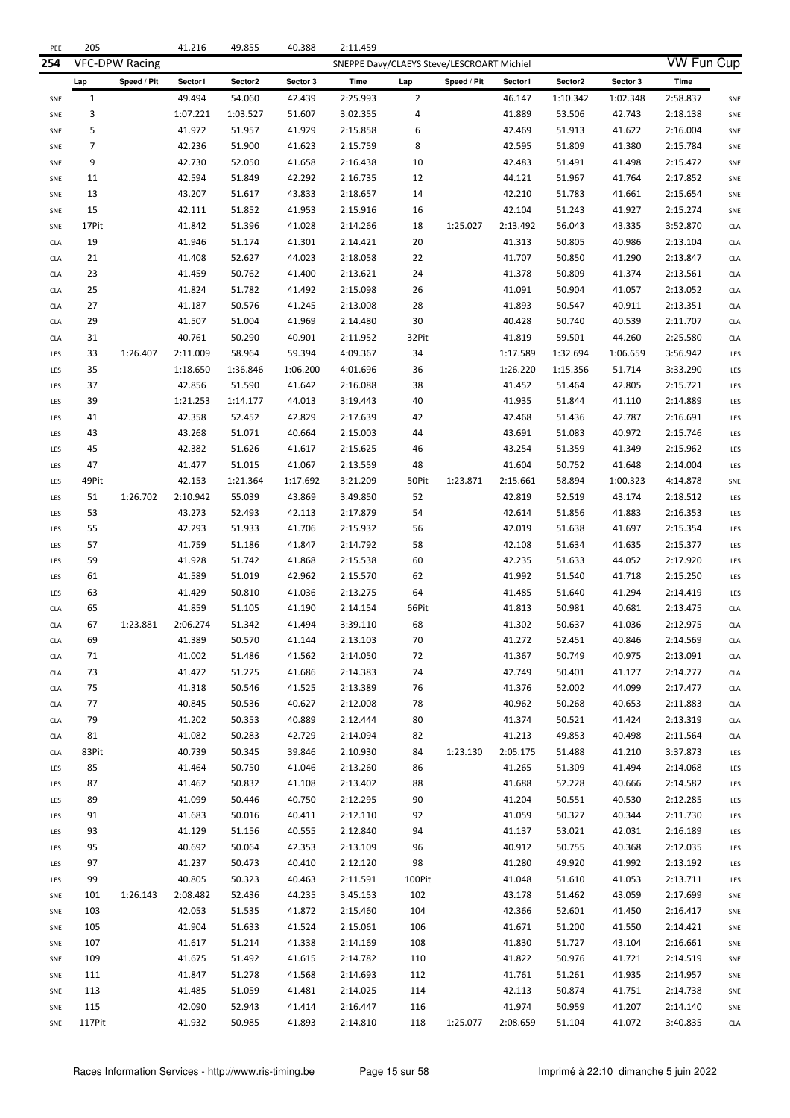| PEE        | 205          |                       | 41.216   | 49.855   | 40.388   | 2:11.459                                   |                |             |          |          |          |                   |            |
|------------|--------------|-----------------------|----------|----------|----------|--------------------------------------------|----------------|-------------|----------|----------|----------|-------------------|------------|
| 254        |              | <b>VFC-DPW Racing</b> |          |          |          | SNEPPE Davy/CLAEYS Steve/LESCROART Michiel |                |             |          |          |          | <b>VW Fun Cup</b> |            |
|            | Lap          | Speed / Pit           | Sector1  | Sector2  | Sector 3 | Time                                       | Lap            | Speed / Pit | Sector1  | Sector2  | Sector 3 | <b>Time</b>       |            |
| SNE        | $\mathbf{1}$ |                       | 49.494   | 54.060   | 42.439   | 2:25.993                                   | $\overline{2}$ |             | 46.147   | 1:10.342 | 1:02.348 | 2:58.837          | SNE        |
| SNE        | 3            |                       | 1:07.221 | 1:03.527 | 51.607   | 3:02.355                                   | 4              |             | 41.889   | 53.506   | 42.743   | 2:18.138          | SNE        |
| SNE        | 5            |                       | 41.972   | 51.957   | 41.929   | 2:15.858                                   | 6              |             | 42.469   | 51.913   | 41.622   | 2:16.004          | SNE        |
| SNE        | 7            |                       | 42.236   | 51.900   | 41.623   | 2:15.759                                   | 8              |             | 42.595   | 51.809   | 41.380   | 2:15.784          | SNE        |
| SNE        | 9            |                       | 42.730   | 52.050   | 41.658   | 2:16.438                                   | 10             |             | 42.483   | 51.491   | 41.498   | 2:15.472          | SNE        |
| SNE        | 11           |                       | 42.594   | 51.849   | 42.292   | 2:16.735                                   | 12             |             | 44.121   | 51.967   | 41.764   | 2:17.852          | SNE        |
|            |              |                       |          |          |          |                                            |                |             |          |          |          |                   |            |
| SNE        | 13           |                       | 43.207   | 51.617   | 43.833   | 2:18.657                                   | 14             |             | 42.210   | 51.783   | 41.661   | 2:15.654          | SNE        |
| SNE        | 15           |                       | 42.111   | 51.852   | 41.953   | 2:15.916                                   | 16             |             | 42.104   | 51.243   | 41.927   | 2:15.274          | SNE        |
| SNE        | 17Pit        |                       | 41.842   | 51.396   | 41.028   | 2:14.266                                   | 18             | 1:25.027    | 2:13.492 | 56.043   | 43.335   | 3:52.870          | <b>CLA</b> |
| <b>CLA</b> | 19           |                       | 41.946   | 51.174   | 41.301   | 2:14.421                                   | 20             |             | 41.313   | 50.805   | 40.986   | 2:13.104          | <b>CLA</b> |
| <b>CLA</b> | 21           |                       | 41.408   | 52.627   | 44.023   | 2:18.058                                   | 22             |             | 41.707   | 50.850   | 41.290   | 2:13.847          | <b>CLA</b> |
| <b>CLA</b> | 23           |                       | 41.459   | 50.762   | 41.400   | 2:13.621                                   | 24             |             | 41.378   | 50.809   | 41.374   | 2:13.561          | <b>CLA</b> |
| <b>CLA</b> | 25           |                       | 41.824   | 51.782   | 41.492   | 2:15.098                                   | 26             |             | 41.091   | 50.904   | 41.057   | 2:13.052          | <b>CLA</b> |
| <b>CLA</b> | 27           |                       | 41.187   | 50.576   | 41.245   | 2:13.008                                   | 28             |             | 41.893   | 50.547   | 40.911   | 2:13.351          | <b>CLA</b> |
| <b>CLA</b> | 29           |                       | 41.507   | 51.004   | 41.969   | 2:14.480                                   | 30             |             | 40.428   | 50.740   | 40.539   | 2:11.707          | <b>CLA</b> |
| <b>CLA</b> | 31           |                       | 40.761   | 50.290   | 40.901   | 2:11.952                                   | 32Pit          |             | 41.819   | 59.501   | 44.260   | 2:25.580          | <b>CLA</b> |
| LES        | 33           | 1:26.407              | 2:11.009 | 58.964   | 59.394   | 4:09.367                                   | 34             |             | 1:17.589 | 1:32.694 | 1:06.659 | 3:56.942          | LES        |
| LES        | 35           |                       | 1:18.650 | 1:36.846 | 1:06.200 | 4:01.696                                   | 36             |             | 1:26.220 | 1:15.356 | 51.714   | 3:33.290          | LES        |
| LES        | 37           |                       | 42.856   | 51.590   | 41.642   | 2:16.088                                   | 38             |             | 41.452   | 51.464   | 42.805   | 2:15.721          | LES        |
| LES        | 39           |                       | 1:21.253 | 1:14.177 | 44.013   | 3:19.443                                   | 40             |             | 41.935   | 51.844   | 41.110   | 2:14.889          | LES        |
|            |              |                       | 42.358   |          | 42.829   |                                            |                |             |          |          |          |                   |            |
| LES        | 41           |                       |          | 52.452   |          | 2:17.639                                   | 42             |             | 42.468   | 51.436   | 42.787   | 2:16.691          | LES        |
| LES        | 43           |                       | 43.268   | 51.071   | 40.664   | 2:15.003                                   | 44             |             | 43.691   | 51.083   | 40.972   | 2:15.746          | LES        |
| LES        | 45           |                       | 42.382   | 51.626   | 41.617   | 2:15.625                                   | 46             |             | 43.254   | 51.359   | 41.349   | 2:15.962          | LES        |
| LES        | 47           |                       | 41.477   | 51.015   | 41.067   | 2:13.559                                   | 48             |             | 41.604   | 50.752   | 41.648   | 2:14.004          | LES        |
| LES        | 49Pit        |                       | 42.153   | 1:21.364 | 1:17.692 | 3:21.209                                   | 50Pit          | 1:23.871    | 2:15.661 | 58.894   | 1:00.323 | 4:14.878          | SNE        |
| LES        | 51           | 1:26.702              | 2:10.942 | 55.039   | 43.869   | 3:49.850                                   | 52             |             | 42.819   | 52.519   | 43.174   | 2:18.512          | LES        |
| LES        | 53           |                       | 43.273   | 52.493   | 42.113   | 2:17.879                                   | 54             |             | 42.614   | 51.856   | 41.883   | 2:16.353          | LES        |
| LES        | 55           |                       | 42.293   | 51.933   | 41.706   | 2:15.932                                   | 56             |             | 42.019   | 51.638   | 41.697   | 2:15.354          | LES        |
| LES        | 57           |                       | 41.759   | 51.186   | 41.847   | 2:14.792                                   | 58             |             | 42.108   | 51.634   | 41.635   | 2:15.377          | LES        |
| LES        | 59           |                       | 41.928   | 51.742   | 41.868   | 2:15.538                                   | 60             |             | 42.235   | 51.633   | 44.052   | 2:17.920          | LES        |
| LES        | 61           |                       | 41.589   | 51.019   | 42.962   | 2:15.570                                   | 62             |             | 41.992   | 51.540   | 41.718   | 2:15.250          | LES        |
| LES        | 63           |                       | 41.429   | 50.810   | 41.036   | 2:13.275                                   | 64             |             | 41.485   | 51.640   | 41.294   | 2:14.419          | LES        |
| <b>CLA</b> | 65           |                       | 41.859   | 51.105   | 41.190   | 2:14.154                                   | 66Pit          |             | 41.813   | 50.981   | 40.681   | 2:13.475          | <b>CLA</b> |
| <b>CLA</b> | 67           | 1:23.881              | 2:06.274 | 51.342   | 41.494   | 3:39.110                                   | 68             |             | 41.302   | 50.637   | 41.036   | 2:12.975          | <b>CLA</b> |
| <b>CLA</b> | 69           |                       | 41.389   | 50.570   | 41.144   | 2:13.103                                   | 70             |             | 41.272   | 52.451   | 40.846   | 2:14.569          | <b>CLA</b> |
| <b>CLA</b> | 71           |                       | 41.002   | 51.486   | 41.562   | 2:14.050                                   | 72             |             | 41.367   | 50.749   | 40.975   | 2:13.091          | <b>CLA</b> |
|            | 73           |                       | 41.472   | 51.225   | 41.686   | 2:14.383                                   | 74             |             | 42.749   | 50.401   | 41.127   | 2:14.277          |            |
| <b>CLA</b> |              |                       |          |          |          |                                            |                |             |          |          |          |                   | <b>CLA</b> |
| <b>CLA</b> | 75           |                       | 41.318   | 50.546   | 41.525   | 2:13.389                                   | 76             |             | 41.376   | 52.002   | 44.099   | 2:17.477          | <b>CLA</b> |
| <b>CLA</b> | 77           |                       | 40.845   | 50.536   | 40.627   | 2:12.008                                   | 78             |             | 40.962   | 50.268   | 40.653   | 2:11.883          | <b>CLA</b> |
| <b>CLA</b> | 79           |                       | 41.202   | 50.353   | 40.889   | 2:12.444                                   | 80             |             | 41.374   | 50.521   | 41.424   | 2:13.319          | <b>CLA</b> |
| <b>CLA</b> | 81           |                       | 41.082   | 50.283   | 42.729   | 2:14.094                                   | 82             |             | 41.213   | 49.853   | 40.498   | 2:11.564          | <b>CLA</b> |
| <b>CLA</b> | 83Pit        |                       | 40.739   | 50.345   | 39.846   | 2:10.930                                   | 84             | 1:23.130    | 2:05.175 | 51.488   | 41.210   | 3:37.873          | LES        |
| LES        | 85           |                       | 41.464   | 50.750   | 41.046   | 2:13.260                                   | 86             |             | 41.265   | 51.309   | 41.494   | 2:14.068          | LES        |
| LES        | 87           |                       | 41.462   | 50.832   | 41.108   | 2:13.402                                   | 88             |             | 41.688   | 52.228   | 40.666   | 2:14.582          | LES        |
| LES        | 89           |                       | 41.099   | 50.446   | 40.750   | 2:12.295                                   | 90             |             | 41.204   | 50.551   | 40.530   | 2:12.285          | LES        |
| LES        | 91           |                       | 41.683   | 50.016   | 40.411   | 2:12.110                                   | 92             |             | 41.059   | 50.327   | 40.344   | 2:11.730          | LES        |
| LES        | 93           |                       | 41.129   | 51.156   | 40.555   | 2:12.840                                   | 94             |             | 41.137   | 53.021   | 42.031   | 2:16.189          | LES        |
| LES        | 95           |                       | 40.692   | 50.064   | 42.353   | 2:13.109                                   | 96             |             | 40.912   | 50.755   | 40.368   | 2:12.035          | LES        |
| LES        | 97           |                       | 41.237   | 50.473   | 40.410   | 2:12.120                                   | 98             |             | 41.280   | 49.920   | 41.992   | 2:13.192          | LES        |
| LES        | 99           |                       | 40.805   | 50.323   | 40.463   | 2:11.591                                   | 100Pit         |             | 41.048   | 51.610   | 41.053   | 2:13.711          | LES        |
| SNE        | 101          | 1:26.143              | 2:08.482 | 52.436   | 44.235   | 3:45.153                                   | 102            |             | 43.178   | 51.462   | 43.059   | 2:17.699          | SNE        |
| SNE        | 103          |                       | 42.053   | 51.535   | 41.872   | 2:15.460                                   | 104            |             | 42.366   | 52.601   | 41.450   | 2:16.417          | SNE        |
|            | 105          |                       | 41.904   | 51.633   | 41.524   | 2:15.061                                   | 106            |             | 41.671   | 51.200   | 41.550   |                   |            |
| SNE        |              |                       |          |          |          |                                            |                |             |          |          |          | 2:14.421          | SNE        |
| SNE        | 107          |                       | 41.617   | 51.214   | 41.338   | 2:14.169                                   | 108            |             | 41.830   | 51.727   | 43.104   | 2:16.661          | SNE        |
| SNE        | 109          |                       | 41.675   | 51.492   | 41.615   | 2:14.782                                   | 110            |             | 41.822   | 50.976   | 41.721   | 2:14.519          | SNE        |
| SNE        | 111          |                       | 41.847   | 51.278   | 41.568   | 2:14.693                                   | 112            |             | 41.761   | 51.261   | 41.935   | 2:14.957          | SNE        |
| SNE        | 113          |                       | 41.485   | 51.059   | 41.481   | 2:14.025                                   | 114            |             | 42.113   | 50.874   | 41.751   | 2:14.738          | SNE        |
| SNE        | 115          |                       | 42.090   | 52.943   | 41.414   | 2:16.447                                   | 116            |             | 41.974   | 50.959   | 41.207   | 2:14.140          | SNE        |
| SNE        | 117Pit       |                       | 41.932   | 50.985   | 41.893   | 2:14.810                                   | 118            | 1:25.077    | 2:08.659 | 51.104   | 41.072   | 3:40.835          | <b>CLA</b> |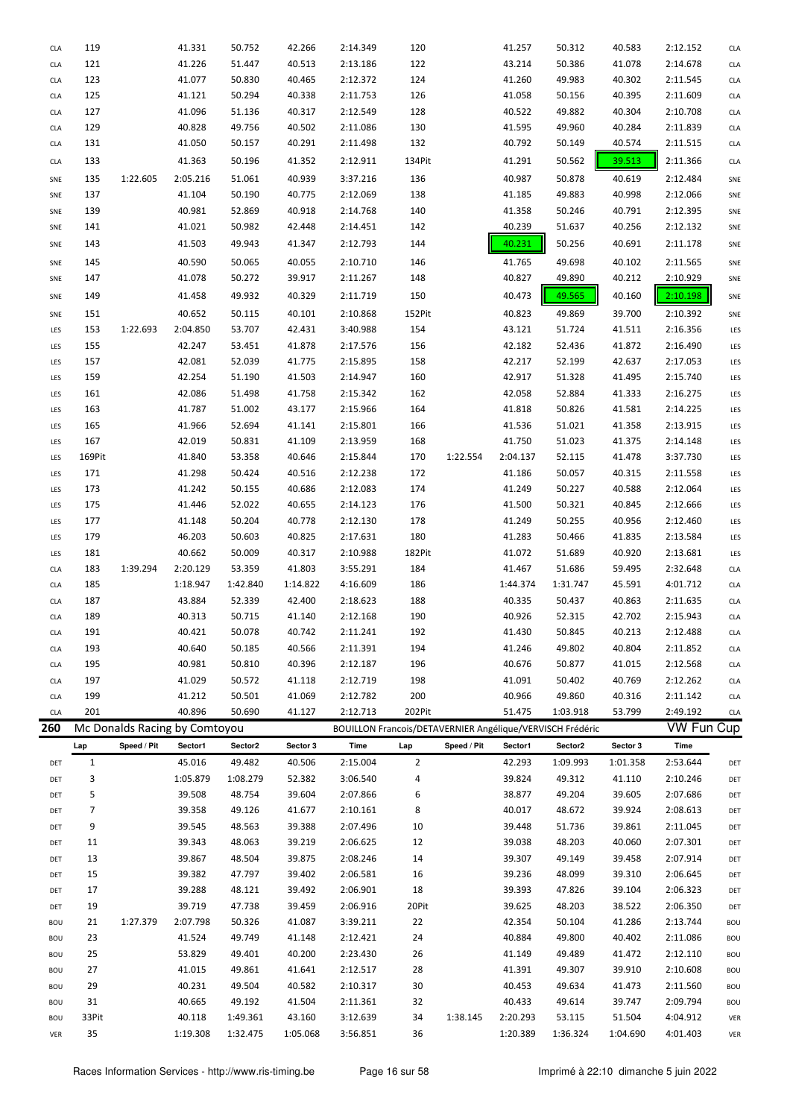| <b>CLA</b> | 119          |                               | 41.331             | 50.752               | 42.266             | 2:14.349             | 120            |             | 41.257               | 50.312                                                    | 40.583             | 2:12.152             | <b>CLA</b> |
|------------|--------------|-------------------------------|--------------------|----------------------|--------------------|----------------------|----------------|-------------|----------------------|-----------------------------------------------------------|--------------------|----------------------|------------|
| <b>CLA</b> | 121          |                               | 41.226             | 51.447               | 40.513             | 2:13.186             | 122            |             | 43.214               | 50.386                                                    | 41.078             | 2:14.678             | <b>CLA</b> |
| <b>CLA</b> | 123          |                               | 41.077             | 50.830               | 40.465             | 2:12.372             | 124            |             | 41.260               | 49.983                                                    | 40.302             | 2:11.545             | <b>CLA</b> |
| <b>CLA</b> | 125          |                               | 41.121             | 50.294               | 40.338             | 2:11.753             | 126            |             | 41.058               | 50.156                                                    | 40.395             | 2:11.609             | <b>CLA</b> |
| <b>CLA</b> | 127          |                               | 41.096             | 51.136               | 40.317             | 2:12.549             | 128            |             | 40.522               | 49.882                                                    | 40.304             | 2:10.708             | <b>CLA</b> |
| <b>CLA</b> | 129          |                               | 40.828             | 49.756               | 40.502             | 2:11.086             | 130            |             | 41.595               | 49.960                                                    | 40.284             | 2:11.839             | <b>CLA</b> |
| CLA        | 131          |                               | 41.050             | 50.157               | 40.291             | 2:11.498             | 132            |             | 40.792               | 50.149                                                    | 40.574             | 2:11.515             | CLA        |
| <b>CLA</b> | 133          |                               | 41.363             | 50.196               | 41.352             | 2:12.911             | 134Pit         |             | 41.291               | 50.562                                                    | 39.513             | 2:11.366             | CLA        |
| SNE        | 135          | 1:22.605                      | 2:05.216           | 51.061               | 40.939             | 3:37.216             | 136            |             | 40.987               | 50.878                                                    | 40.619             | 2:12.484             | SNE        |
| SNE        | 137          |                               | 41.104             | 50.190               | 40.775             | 2:12.069             | 138            |             | 41.185               | 49.883                                                    | 40.998             | 2:12.066             | SNE        |
| SNE        | 139          |                               | 40.981             | 52.869               | 40.918             | 2:14.768             | 140            |             | 41.358               | 50.246                                                    | 40.791             | 2:12.395             | SNE        |
| SNE        | 141          |                               | 41.021             | 50.982               | 42.448             | 2:14.451             | 142            |             | 40.239               | 51.637                                                    | 40.256             | 2:12.132             | SNE        |
| SNE        | 143          |                               | 41.503             | 49.943               | 41.347             | 2:12.793             | 144            |             | 40.231               | 50.256                                                    | 40.691             | 2:11.178             | SNE        |
| SNE        | 145          |                               | 40.590             | 50.065               | 40.055             | 2:10.710             | 146            |             | 41.765               | 49.698                                                    | 40.102             | 2:11.565             | SNE        |
| SNE        | 147          |                               | 41.078             | 50.272               | 39.917             | 2:11.267             | 148            |             | 40.827               | 49.890                                                    | 40.212             | 2:10.929             | SNE        |
|            | 149          |                               |                    | 49.932               | 40.329             |                      |                |             | 40.473               |                                                           | 40.160             |                      |            |
| SNE        |              |                               | 41.458             |                      |                    | 2:11.719             | 150            |             |                      | 49.565                                                    |                    | 2:10.198             | SNE        |
| SNE        | 151          |                               | 40.652             | 50.115               | 40.101             | 2:10.868             | 152Pit         |             | 40.823               | 49.869                                                    | 39.700             | 2:10.392             | SNE        |
| LES        | 153          | 1:22.693                      | 2:04.850           | 53.707               | 42.431             | 3:40.988             | 154            |             | 43.121               | 51.724                                                    | 41.511             | 2:16.356             | LES        |
| LES        | 155          |                               | 42.247             | 53.451               | 41.878             | 2:17.576             | 156            |             | 42.182               | 52.436                                                    | 41.872             | 2:16.490             | LES        |
| LES        | 157          |                               | 42.081             | 52.039               | 41.775             | 2:15.895             | 158            |             | 42.217               | 52.199                                                    | 42.637             | 2:17.053             | LES        |
| LES        | 159          |                               | 42.254             | 51.190               | 41.503             | 2:14.947             | 160            |             | 42.917               | 51.328                                                    | 41.495             | 2:15.740             | LES        |
| LES        | 161          |                               | 42.086             | 51.498               | 41.758             | 2:15.342             | 162            |             | 42.058               | 52.884                                                    | 41.333             | 2:16.275             | LES        |
| LES        | 163          |                               | 41.787             | 51.002               | 43.177             | 2:15.966             | 164            |             | 41.818               | 50.826                                                    | 41.581             | 2:14.225             | LES        |
| LES        | 165          |                               | 41.966             | 52.694               | 41.141             | 2:15.801             | 166            |             | 41.536               | 51.021                                                    | 41.358             | 2:13.915             | LES        |
| LES        | 167          |                               | 42.019             | 50.831               | 41.109             | 2:13.959             | 168            |             | 41.750               | 51.023                                                    | 41.375             | 2:14.148             | LES        |
| LES        | 169Pit       |                               | 41.840             | 53.358               | 40.646             | 2:15.844             | 170            | 1:22.554    | 2:04.137             | 52.115                                                    | 41.478             | 3:37.730             | LES        |
| LES        | 171          |                               | 41.298             | 50.424               | 40.516             | 2:12.238             | 172            |             | 41.186               | 50.057                                                    | 40.315             | 2:11.558             | LES        |
| LES        | 173          |                               | 41.242             | 50.155               | 40.686             | 2:12.083             | 174            |             | 41.249               | 50.227                                                    | 40.588             | 2:12.064             | LES        |
| LES        | 175          |                               | 41.446             | 52.022               | 40.655             | 2:14.123             | 176            |             | 41.500               | 50.321                                                    | 40.845             | 2:12.666             | LES        |
| LES        | 177          |                               | 41.148             | 50.204               | 40.778             | 2:12.130             | 178            |             | 41.249               | 50.255                                                    | 40.956             | 2:12.460             | LES        |
| LES        | 179          |                               | 46.203             | 50.603               | 40.825             | 2:17.631             | 180            |             | 41.283               | 50.466                                                    | 41.835             | 2:13.584             | LES        |
| LES        | 181          |                               | 40.662             | 50.009               | 40.317             | 2:10.988             | 182Pit         |             | 41.072               | 51.689                                                    | 40.920             | 2:13.681             | LES        |
| CLA        | 183          | 1:39.294                      | 2:20.129           | 53.359               | 41.803             | 3:55.291             | 184            |             | 41.467               | 51.686                                                    | 59.495             | 2:32.648             | <b>CLA</b> |
| CLA        | 185          |                               | 1:18.947           | 1:42.840             | 1:14.822           | 4:16.609             | 186            |             | 1:44.374             | 1:31.747                                                  | 45.591             | 4:01.712             | <b>CLA</b> |
| CLA        | 187          |                               | 43.884             | 52.339               | 42.400             | 2:18.623             | 188            |             | 40.335               | 50.437                                                    | 40.863             | 2:11.635             |            |
|            |              |                               | 40.313             | 50.715               | 41.140             |                      |                |             | 40.926               |                                                           |                    |                      | <b>CLA</b> |
| <b>CLA</b> | 189          |                               |                    |                      |                    | 2:12.168             | 190            |             |                      | 52.315                                                    | 42.702             | 2:15.943             | <b>CLA</b> |
| CLA        | 191          |                               | 40.421             | 50.078               | 40.742             | 2:11.241             | 192            |             | 41.430               | 50.845                                                    | 40.213             | 2:12.488             | <b>CLA</b> |
| <b>CLA</b> | 193          |                               | 40.640             | 50.185               | 40.566             | 2:11.391             | 194            |             | 41.246               | 49.802                                                    | 40.804             | 2:11.852             | <b>CLA</b> |
| CLA        | 195          |                               | 40.981             | 50.810               | 40.396             | 2:12.187             |                |             | 40.676               | 50.877                                                    |                    |                      | CLA        |
| CLA        | 197          |                               |                    |                      |                    |                      | 196            |             |                      |                                                           | 41.015             | 2:12.568             |            |
| <b>CLA</b> |              |                               | 41.029             | 50.572               | 41.118             | 2:12.719             | 198            |             | 41.091               | 50.402                                                    | 40.769             | 2:12.262             | CLA        |
| <b>CLA</b> | 199          |                               | 41.212             | 50.501               | 41.069             | 2:12.782             | 200            |             | 40.966               | 49.860                                                    | 40.316             | 2:11.142             | CLA        |
|            | 201          |                               | 40.896             | 50.690               | 41.127             | 2:12.713             | 202Pit         |             | 51.475               | 1:03.918                                                  | 53.799             | 2:49.192             | <b>CLA</b> |
| 260        |              | Mc Donalds Racing by Comtoyou |                    |                      |                    |                      |                |             |                      | BOUILLON Francois/DETAVERNIER Angélique/VERVISCH Frédéric |                    | <b>VW Fun Cup</b>    |            |
|            | Lap          | Speed / Pit                   | Sector1            | Sector2              | Sector 3           | Time                 | Lap            | Speed / Pit | Sector1              | Sector2                                                   | Sector 3           | Time                 |            |
| DET        | $\mathbf{1}$ |                               | 45.016             | 49.482               | 40.506             | 2:15.004             | $\overline{2}$ |             | 42.293               | 1:09.993                                                  | 1:01.358           | 2:53.644             | DET        |
| DET        | 3            |                               | 1:05.879           | 1:08.279             | 52.382             | 3:06.540             | 4              |             | 39.824               | 49.312                                                    | 41.110             | 2:10.246             | DET        |
| DET        | 5            |                               | 39.508             | 48.754               | 39.604             | 2:07.866             | 6              |             | 38.877               | 49.204                                                    | 39.605             | 2:07.686             | DET        |
| DET        | 7            |                               | 39.358             | 49.126               | 41.677             | 2:10.161             | 8              |             | 40.017               | 48.672                                                    | 39.924             | 2:08.613             | DET        |
| DET        | 9            |                               | 39.545             | 48.563               | 39.388             | 2:07.496             | 10             |             | 39.448               | 51.736                                                    | 39.861             | 2:11.045             | DET        |
| DET        | 11           |                               | 39.343             | 48.063               | 39.219             | 2:06.625             | 12             |             | 39.038               | 48.203                                                    | 40.060             | 2:07.301             | DET        |
| DET        | 13           |                               | 39.867             | 48.504               | 39.875             | 2:08.246             | 14             |             | 39.307               | 49.149                                                    | 39.458             | 2:07.914             | DET        |
| DET        | 15           |                               | 39.382             | 47.797               | 39.402             | 2:06.581             | 16             |             | 39.236               | 48.099                                                    | 39.310             | 2:06.645             | DET        |
| DET        | 17           |                               | 39.288             | 48.121               | 39.492             | 2:06.901             | 18             |             | 39.393               | 47.826                                                    | 39.104             | 2:06.323             | DET        |
| DET        | 19           |                               | 39.719             | 47.738               | 39.459             | 2:06.916             | 20Pit          |             | 39.625               | 48.203                                                    | 38.522             | 2:06.350             | DET        |
| <b>BOU</b> | 21           | 1:27.379                      | 2:07.798           | 50.326               | 41.087             | 3:39.211             | 22             |             | 42.354               | 50.104                                                    | 41.286             | 2:13.744             | <b>BOU</b> |
| <b>BOU</b> | 23           |                               | 41.524             | 49.749               | 41.148             | 2:12.421             | 24             |             | 40.884               | 49.800                                                    | 40.402             | 2:11.086             | <b>BOU</b> |
| <b>BOU</b> | 25           |                               | 53.829             | 49.401               | 40.200             | 2:23.430             | 26             |             | 41.149               | 49.489                                                    | 41.472             | 2:12.110             | <b>BOU</b> |
| <b>BOU</b> | 27           |                               | 41.015             | 49.861               | 41.641             | 2:12.517             | 28             |             | 41.391               | 49.307                                                    | 39.910             | 2:10.608             | <b>BOU</b> |
| <b>BOU</b> | 29           |                               | 40.231             |                      | 40.582             |                      | 30             |             | 40.453               | 49.634                                                    |                    | 2:11.560             | <b>BOU</b> |
| <b>BOU</b> | 31           |                               |                    | 49.504               |                    | 2:10.317             |                |             |                      |                                                           | 41.473             |                      |            |
| <b>BOU</b> | 33Pit        |                               | 40.665             | 49.192               | 41.504             | 2:11.361             | 32             |             | 40.433               | 49.614                                                    | 39.747             | 2:09.794             | <b>BOU</b> |
| VER        | 35           |                               | 40.118<br>1:19.308 | 1:49.361<br>1:32.475 | 43.160<br>1:05.068 | 3:12.639<br>3:56.851 | 34<br>36       | 1:38.145    | 2:20.293<br>1:20.389 | 53.115<br>1:36.324                                        | 51.504<br>1:04.690 | 4:04.912<br>4:01.403 | VER<br>VER |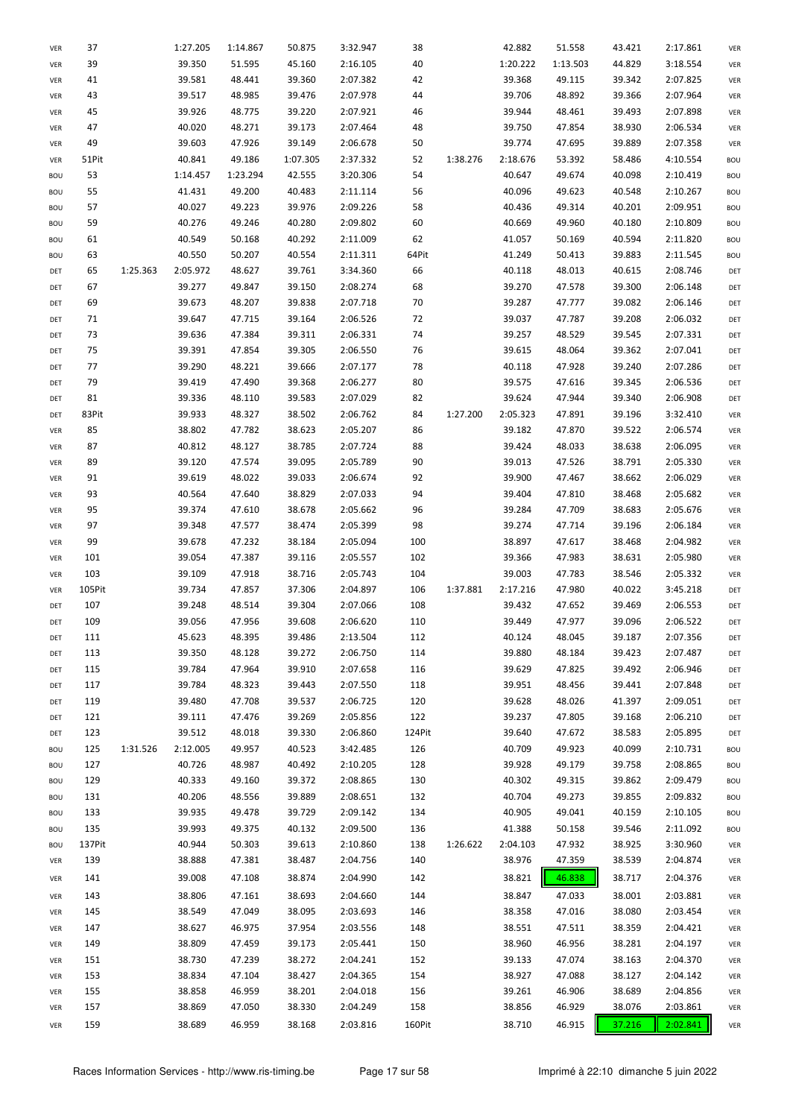| VER | 37     |          | 1:27.205 | 1:14.867 | 50.875   | 3:32.947 | 38     |          | 42.882   | 51.558   | 43.421 | 2:17.861 | VER        |
|-----|--------|----------|----------|----------|----------|----------|--------|----------|----------|----------|--------|----------|------------|
| VER | 39     |          | 39.350   | 51.595   | 45.160   | 2:16.105 | 40     |          | 1:20.222 | 1:13.503 | 44.829 | 3:18.554 | VER        |
| VER | 41     |          | 39.581   | 48.441   | 39.360   | 2:07.382 | 42     |          | 39.368   | 49.115   | 39.342 | 2:07.825 | VER        |
| VER | 43     |          | 39.517   | 48.985   | 39.476   | 2:07.978 | 44     |          | 39.706   | 48.892   | 39.366 | 2:07.964 | VER        |
| VER | 45     |          | 39.926   | 48.775   | 39.220   | 2:07.921 | 46     |          | 39.944   | 48.461   | 39.493 | 2:07.898 | VER        |
| VER | 47     |          | 40.020   | 48.271   | 39.173   | 2:07.464 | 48     |          | 39.750   | 47.854   | 38.930 | 2:06.534 | VER        |
| VER | 49     |          | 39.603   | 47.926   | 39.149   | 2:06.678 | 50     |          | 39.774   | 47.695   | 39.889 | 2:07.358 | VER        |
| VER | 51Pit  |          | 40.841   | 49.186   | 1:07.305 | 2:37.332 | 52     | 1:38.276 | 2:18.676 | 53.392   | 58.486 | 4:10.554 | <b>BOU</b> |
| BOU | 53     |          | 1:14.457 | 1:23.294 | 42.555   | 3:20.306 | 54     |          | 40.647   | 49.674   | 40.098 | 2:10.419 | <b>BOU</b> |
| BOU | 55     |          | 41.431   | 49.200   | 40.483   | 2:11.114 | 56     |          | 40.096   | 49.623   | 40.548 | 2:10.267 | <b>BOU</b> |
| BOU | 57     |          | 40.027   | 49.223   | 39.976   | 2:09.226 | 58     |          | 40.436   | 49.314   | 40.201 | 2:09.951 | <b>BOU</b> |
| BOU | 59     |          | 40.276   | 49.246   | 40.280   | 2:09.802 | 60     |          | 40.669   | 49.960   | 40.180 | 2:10.809 | <b>BOU</b> |
| BOU | 61     |          | 40.549   | 50.168   | 40.292   | 2:11.009 | 62     |          | 41.057   | 50.169   | 40.594 | 2:11.820 | <b>BOU</b> |
| BOU | 63     |          | 40.550   | 50.207   | 40.554   | 2:11.311 | 64Pit  |          | 41.249   | 50.413   | 39.883 | 2:11.545 | <b>BOU</b> |
| DET | 65     | 1:25.363 | 2:05.972 | 48.627   | 39.761   | 3:34.360 | 66     |          | 40.118   | 48.013   | 40.615 | 2:08.746 | DET        |
|     | 67     |          | 39.277   | 49.847   | 39.150   | 2:08.274 | 68     |          | 39.270   | 47.578   | 39.300 | 2:06.148 |            |
| DET |        |          |          |          |          |          |        |          |          |          |        |          | DET        |
| DET | 69     |          | 39.673   | 48.207   | 39.838   | 2:07.718 | 70     |          | 39.287   | 47.777   | 39.082 | 2:06.146 | DET        |
| DET | 71     |          | 39.647   | 47.715   | 39.164   | 2:06.526 | 72     |          | 39.037   | 47.787   | 39.208 | 2:06.032 | DET        |
| DET | 73     |          | 39.636   | 47.384   | 39.311   | 2:06.331 | 74     |          | 39.257   | 48.529   | 39.545 | 2:07.331 | DET        |
| DET | 75     |          | 39.391   | 47.854   | 39.305   | 2:06.550 | 76     |          | 39.615   | 48.064   | 39.362 | 2:07.041 | DET        |
| DET | 77     |          | 39.290   | 48.221   | 39.666   | 2:07.177 | 78     |          | 40.118   | 47.928   | 39.240 | 2:07.286 | DET        |
| DET | 79     |          | 39.419   | 47.490   | 39.368   | 2:06.277 | 80     |          | 39.575   | 47.616   | 39.345 | 2:06.536 | DET        |
| DET | 81     |          | 39.336   | 48.110   | 39.583   | 2:07.029 | 82     |          | 39.624   | 47.944   | 39.340 | 2:06.908 | DET        |
| DET | 83Pit  |          | 39.933   | 48.327   | 38.502   | 2:06.762 | 84     | 1:27.200 | 2:05.323 | 47.891   | 39.196 | 3:32.410 | VER        |
| VER | 85     |          | 38.802   | 47.782   | 38.623   | 2:05.207 | 86     |          | 39.182   | 47.870   | 39.522 | 2:06.574 | VER        |
| VER | 87     |          | 40.812   | 48.127   | 38.785   | 2:07.724 | 88     |          | 39.424   | 48.033   | 38.638 | 2:06.095 | VER        |
| VER | 89     |          | 39.120   | 47.574   | 39.095   | 2:05.789 | 90     |          | 39.013   | 47.526   | 38.791 | 2:05.330 | VER        |
| VER | 91     |          | 39.619   | 48.022   | 39.033   | 2:06.674 | 92     |          | 39.900   | 47.467   | 38.662 | 2:06.029 | VER        |
| VER | 93     |          | 40.564   | 47.640   | 38.829   | 2:07.033 | 94     |          | 39.404   | 47.810   | 38.468 | 2:05.682 | VER        |
| VER | 95     |          | 39.374   | 47.610   | 38.678   | 2:05.662 | 96     |          | 39.284   | 47.709   | 38.683 | 2:05.676 | VER        |
| VER | 97     |          | 39.348   | 47.577   | 38.474   | 2:05.399 | 98     |          | 39.274   | 47.714   | 39.196 | 2:06.184 | VER        |
| VER | 99     |          | 39.678   | 47.232   | 38.184   | 2:05.094 | 100    |          | 38.897   | 47.617   | 38.468 | 2:04.982 | VER        |
| VER | 101    |          | 39.054   | 47.387   | 39.116   | 2:05.557 | 102    |          | 39.366   | 47.983   | 38.631 | 2:05.980 | VER        |
| VER | 103    |          | 39.109   | 47.918   | 38.716   | 2:05.743 | 104    |          | 39.003   | 47.783   | 38.546 | 2:05.332 | VER        |
| VER | 105Pit |          | 39.734   | 47.857   | 37.306   | 2:04.897 | 106    | 1:37.881 | 2:17.216 | 47.980   | 40.022 | 3:45.218 | DET        |
| DET | 107    |          | 39.248   | 48.514   | 39.304   | 2:07.066 | 108    |          | 39.432   | 47.652   | 39.469 | 2:06.553 | DET        |
| DET | 109    |          | 39.056   | 47.956   | 39.608   | 2:06.620 | 110    |          | 39.449   | 47.977   | 39.096 | 2:06.522 | DET        |
| DET | 111    |          | 45.623   | 48.395   | 39.486   | 2:13.504 | 112    |          | 40.124   | 48.045   | 39.187 | 2:07.356 | DET        |
| DET | 113    |          | 39.350   | 48.128   | 39.272   | 2:06.750 | 114    |          | 39.880   | 48.184   | 39.423 | 2:07.487 | DET        |
| DET | 115    |          | 39.784   | 47.964   | 39.910   | 2:07.658 | 116    |          | 39.629   | 47.825   | 39.492 | 2:06.946 | DET        |
| DET | 117    |          | 39.784   | 48.323   | 39.443   | 2:07.550 | 118    |          | 39.951   | 48.456   | 39.441 | 2:07.848 | DET        |
| DET | 119    |          | 39.480   | 47.708   | 39.537   | 2:06.725 | 120    |          | 39.628   | 48.026   | 41.397 | 2:09.051 | DET        |
|     |        |          |          |          |          |          |        |          |          |          |        |          |            |
| DET | 121    |          | 39.111   | 47.476   | 39.269   | 2:05.856 | 122    |          | 39.237   | 47.805   | 39.168 | 2:06.210 | DET        |
| DET | 123    |          | 39.512   | 48.018   | 39.330   | 2:06.860 | 124Pit |          | 39.640   | 47.672   | 38.583 | 2:05.895 | DET        |
| BOU | 125    | 1:31.526 | 2:12.005 | 49.957   | 40.523   | 3:42.485 | 126    |          | 40.709   | 49.923   | 40.099 | 2:10.731 | BOU        |
| BOU | 127    |          | 40.726   | 48.987   | 40.492   | 2:10.205 | 128    |          | 39.928   | 49.179   | 39.758 | 2:08.865 | <b>BOU</b> |
| BOU | 129    |          | 40.333   | 49.160   | 39.372   | 2:08.865 | 130    |          | 40.302   | 49.315   | 39.862 | 2:09.479 | <b>BOU</b> |
| BOU | 131    |          | 40.206   | 48.556   | 39.889   | 2:08.651 | 132    |          | 40.704   | 49.273   | 39.855 | 2:09.832 | BOU        |
| BOU | 133    |          | 39.935   | 49.478   | 39.729   | 2:09.142 | 134    |          | 40.905   | 49.041   | 40.159 | 2:10.105 | <b>BOU</b> |
| BOU | 135    |          | 39.993   | 49.375   | 40.132   | 2:09.500 | 136    |          | 41.388   | 50.158   | 39.546 | 2:11.092 | BOU        |
| BOU | 137Pit |          | 40.944   | 50.303   | 39.613   | 2:10.860 | 138    | 1:26.622 | 2:04.103 | 47.932   | 38.925 | 3:30.960 | VER        |
| VER | 139    |          | 38.888   | 47.381   | 38.487   | 2:04.756 | 140    |          | 38.976   | 47.359   | 38.539 | 2:04.874 | VER        |
| VER | 141    |          | 39.008   | 47.108   | 38.874   | 2:04.990 | 142    |          | 38.821   | 46.838   | 38.717 | 2:04.376 | VER        |
| VER | 143    |          | 38.806   | 47.161   | 38.693   | 2:04.660 | 144    |          | 38.847   | 47.033   | 38.001 | 2:03.881 | VER        |
| VER | 145    |          | 38.549   | 47.049   | 38.095   | 2:03.693 | 146    |          | 38.358   | 47.016   | 38.080 | 2:03.454 | VER        |
| VER | 147    |          | 38.627   | 46.975   | 37.954   | 2:03.556 | 148    |          | 38.551   | 47.511   | 38.359 | 2:04.421 | VER        |
| VER | 149    |          | 38.809   | 47.459   | 39.173   | 2:05.441 | 150    |          | 38.960   | 46.956   | 38.281 | 2:04.197 | VER        |
| VER | 151    |          | 38.730   | 47.239   | 38.272   | 2:04.241 | 152    |          | 39.133   | 47.074   | 38.163 | 2:04.370 | VER        |
| VER | 153    |          | 38.834   | 47.104   | 38.427   | 2:04.365 | 154    |          | 38.927   | 47.088   | 38.127 | 2:04.142 | VER        |
| VER | 155    |          | 38.858   | 46.959   | 38.201   | 2:04.018 | 156    |          | 39.261   | 46.906   | 38.689 | 2:04.856 | VER        |
| VER | 157    |          | 38.869   | 47.050   | 38.330   | 2:04.249 | 158    |          | 38.856   | 46.929   | 38.076 | 2:03.861 | VER        |
|     | 159    |          | 38.689   | 46.959   | 38.168   | 2:03.816 | 160Pit |          | 38.710   | 46.915   |        |          |            |
| VER |        |          |          |          |          |          |        |          |          |          | 37.216 | 2:02.841 | VER        |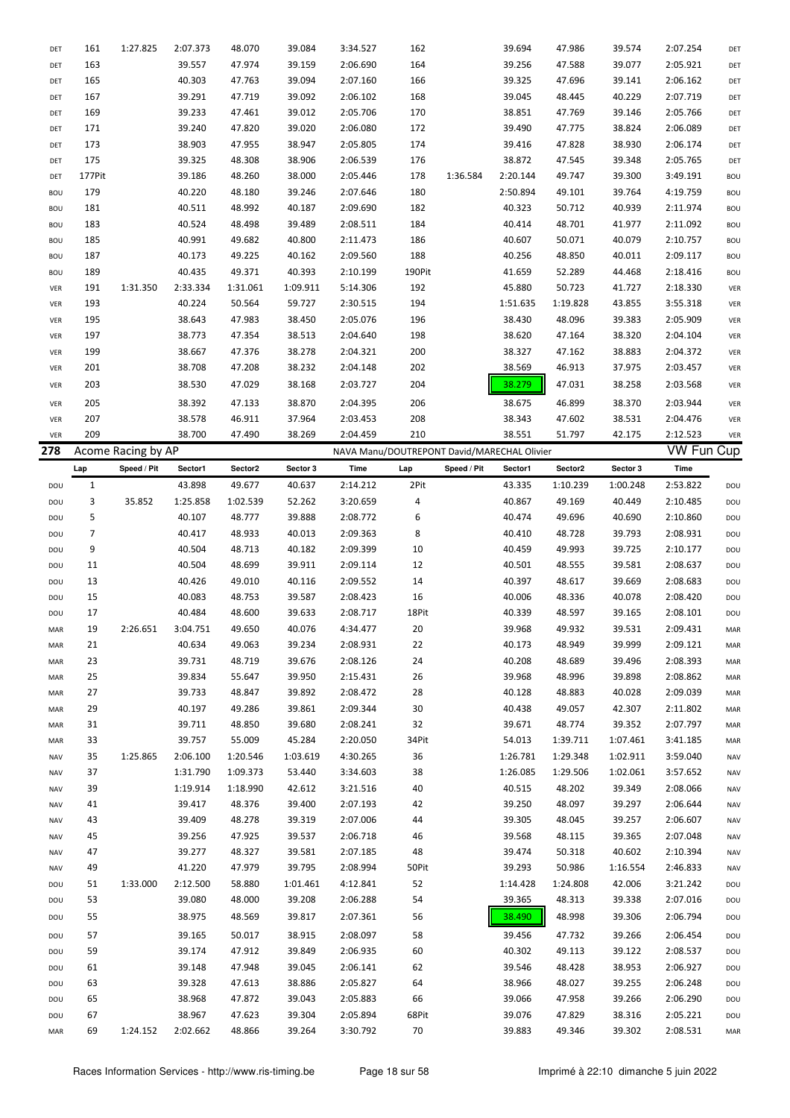| DET        | 161          | 1:27.825           | 2:07.373 | 48.070   | 39.084   | 3:34.527 | 162    |             | 39.694                                      | 47.986   | 39.574   | 2:07.254          | DET        |
|------------|--------------|--------------------|----------|----------|----------|----------|--------|-------------|---------------------------------------------|----------|----------|-------------------|------------|
| DET        | 163          |                    | 39.557   | 47.974   | 39.159   | 2:06.690 | 164    |             | 39.256                                      | 47.588   | 39.077   | 2:05.921          | DET        |
| DET        | 165          |                    | 40.303   | 47.763   | 39.094   | 2:07.160 | 166    |             | 39.325                                      | 47.696   | 39.141   | 2:06.162          | DET        |
| DET        | 167          |                    | 39.291   | 47.719   | 39.092   | 2:06.102 | 168    |             | 39.045                                      | 48.445   | 40.229   | 2:07.719          | DET        |
| DET        | 169          |                    | 39.233   | 47.461   | 39.012   | 2:05.706 | 170    |             | 38.851                                      | 47.769   | 39.146   | 2:05.766          | DET        |
| DET        | 171          |                    | 39.240   | 47.820   | 39.020   | 2:06.080 | 172    |             | 39.490                                      | 47.775   | 38.824   | 2:06.089          | DET        |
| DET        | 173          |                    | 38.903   | 47.955   | 38.947   | 2:05.805 | 174    |             | 39.416                                      | 47.828   | 38.930   | 2:06.174          | DET        |
| DET        | 175          |                    | 39.325   | 48.308   | 38.906   | 2:06.539 | 176    |             | 38.872                                      | 47.545   | 39.348   | 2:05.765          | DET        |
| DET        | 177Pit       |                    | 39.186   | 48.260   | 38.000   | 2:05.446 | 178    | 1:36.584    | 2:20.144                                    | 49.747   | 39.300   | 3:49.191          | <b>BOU</b> |
| <b>BOU</b> | 179          |                    | 40.220   | 48.180   | 39.246   | 2:07.646 | 180    |             | 2:50.894                                    | 49.101   | 39.764   | 4:19.759          | <b>BOU</b> |
| <b>BOU</b> | 181          |                    | 40.511   | 48.992   | 40.187   | 2:09.690 | 182    |             | 40.323                                      | 50.712   | 40.939   | 2:11.974          | <b>BOU</b> |
| <b>BOU</b> | 183          |                    | 40.524   | 48.498   | 39.489   | 2:08.511 | 184    |             | 40.414                                      | 48.701   | 41.977   | 2:11.092          | <b>BOU</b> |
| <b>BOU</b> | 185          |                    | 40.991   | 49.682   | 40.800   | 2:11.473 | 186    |             | 40.607                                      | 50.071   | 40.079   | 2:10.757          | <b>BOU</b> |
| <b>BOU</b> | 187          |                    | 40.173   | 49.225   | 40.162   | 2:09.560 | 188    |             | 40.256                                      | 48.850   | 40.011   | 2:09.117          | <b>BOU</b> |
| <b>BOU</b> | 189          |                    | 40.435   | 49.371   | 40.393   | 2:10.199 | 190Pit |             | 41.659                                      | 52.289   | 44.468   | 2:18.416          | <b>BOU</b> |
| VER        | 191          | 1:31.350           | 2:33.334 | 1:31.061 | 1:09.911 | 5:14.306 | 192    |             | 45.880                                      | 50.723   | 41.727   | 2:18.330          | VER        |
| VER        | 193          |                    | 40.224   | 50.564   | 59.727   | 2:30.515 | 194    |             | 1:51.635                                    | 1:19.828 | 43.855   | 3:55.318          | VER        |
| VER        | 195          |                    | 38.643   | 47.983   | 38.450   | 2:05.076 | 196    |             | 38.430                                      | 48.096   | 39.383   | 2:05.909          | VER        |
| VER        | 197          |                    | 38.773   | 47.354   | 38.513   | 2:04.640 | 198    |             | 38.620                                      | 47.164   | 38.320   | 2:04.104          | VER        |
| VER        | 199          |                    | 38.667   | 47.376   | 38.278   | 2:04.321 | 200    |             | 38.327                                      | 47.162   | 38.883   | 2:04.372          | VER        |
|            | 201          |                    | 38.708   | 47.208   | 38.232   | 2:04.148 | 202    |             | 38.569                                      | 46.913   | 37.975   | 2:03.457          | VER        |
| VER        |              |                    |          |          |          |          |        |             |                                             |          |          |                   |            |
| VER        | 203          |                    | 38.530   | 47.029   | 38.168   | 2:03.727 | 204    |             | 38.279                                      | 47.031   | 38.258   | 2:03.568          | VER        |
| VER        | 205          |                    | 38.392   | 47.133   | 38.870   | 2:04.395 | 206    |             | 38.675                                      | 46.899   | 38.370   | 2:03.944          | VER        |
| VER        | 207          |                    | 38.578   | 46.911   | 37.964   | 2:03.453 | 208    |             | 38.343                                      | 47.602   | 38.531   | 2:04.476          | VER        |
| VER        | 209          |                    | 38.700   | 47.490   | 38.269   | 2:04.459 | 210    |             | 38.551                                      | 51.797   | 42.175   | 2:12.523          | VER        |
| 278        |              | Acome Racing by AP |          |          |          |          |        |             | NAVA Manu/DOUTREPONT David/MARECHAL Olivier |          |          | <b>VW Fun Cup</b> |            |
|            | Lap          | Speed / Pit        | Sector1  | Sector2  | Sector 3 | Time     | Lap    | Speed / Pit | Sector1                                     | Sector2  | Sector 3 | Time              |            |
| DOU        | $\mathbf{1}$ |                    | 43.898   | 49.677   | 40.637   | 2:14.212 | 2Pit   |             | 43.335                                      | 1:10.239 | 1:00.248 | 2:53.822          | DOU        |
| DOU        | 3            | 35.852             | 1:25.858 | 1:02.539 | 52.262   | 3:20.659 | 4      |             | 40.867                                      | 49.169   | 40.449   | 2:10.485          | DOU        |
| DOU        | 5            |                    | 40.107   | 48.777   | 39.888   | 2:08.772 | 6      |             | 40.474                                      | 49.696   | 40.690   | 2:10.860          | DOU        |
| DOU        | 7            |                    | 40.417   | 48.933   | 40.013   | 2:09.363 | 8      |             | 40.410                                      | 48.728   | 39.793   | 2:08.931          | DOU        |
| DOU        | 9            |                    | 40.504   | 48.713   | 40.182   | 2:09.399 | 10     |             | 40.459                                      | 49.993   | 39.725   | 2:10.177          | DOU        |
| DOU        | 11           |                    | 40.504   | 48.699   | 39.911   | 2:09.114 | 12     |             | 40.501                                      | 48.555   | 39.581   | 2:08.637          | DOU        |
| DOU        | 13           |                    | 40.426   | 49.010   | 40.116   | 2:09.552 | 14     |             | 40.397                                      | 48.617   | 39.669   | 2:08.683          | DOU        |
| DOU        | 15           |                    | 40.083   | 48.753   | 39.587   | 2:08.423 | 16     |             | 40.006                                      | 48.336   | 40.078   | 2:08.420          | DOU        |
| DOU        | 17           |                    | 40.484   | 48.600   | 39.633   | 2:08.717 | 18Pit  |             | 40.339                                      | 48.597   | 39.165   | 2:08.101          | DOU        |
| MAR        | 19           | 2:26.651           | 3:04.751 | 49.650   | 40.076   | 4:34.477 | 20     |             | 39.968                                      | 49.932   | 39.531   | 2:09.431          | MAR        |
| MAR        | 21           |                    | 40.634   | 49.063   | 39.234   | 2:08.931 | 22     |             | 40.173                                      | 48.949   | 39.999   | 2:09.121          | MAR        |
| MAR        | 23           |                    | 39.731   | 48.719   | 39.676   | 2:08.126 | 24     |             | 40.208                                      | 48.689   | 39.496   | 2:08.393          | MAR        |
|            | 25           |                    | 39.834   | 55.647   | 39.950   | 2:15.431 | 26     |             | 39.968                                      | 48.996   | 39.898   | 2:08.862          | MAR        |
| MAR        | 27           |                    | 39.733   | 48.847   | 39.892   | 2:08.472 | 28     |             | 40.128                                      | 48.883   | 40.028   | 2:09.039          |            |
| MAR        | 29           |                    | 40.197   | 49.286   | 39.861   |          | 30     |             |                                             | 49.057   | 42.307   |                   | MAR        |
| MAR        |              |                    |          |          |          | 2:09.344 | 32     |             | 40.438                                      | 48.774   |          | 2:11.802          | MAR        |
| MAR        | 31           |                    | 39.711   | 48.850   | 39.680   | 2:08.241 |        |             | 39.671                                      |          | 39.352   | 2:07.797          | MAR        |
| MAR        | 33           |                    | 39.757   | 55.009   | 45.284   | 2:20.050 | 34Pit  |             | 54.013                                      | 1:39.711 | 1:07.461 | 3:41.185          | MAR        |
| <b>NAV</b> | 35           | 1:25.865           | 2:06.100 | 1:20.546 | 1:03.619 | 4:30.265 | 36     |             | 1:26.781                                    | 1:29.348 | 1:02.911 | 3:59.040          | <b>NAV</b> |
| <b>NAV</b> | 37           |                    | 1:31.790 | 1:09.373 | 53.440   | 3:34.603 | 38     |             | 1:26.085                                    | 1:29.506 | 1:02.061 | 3:57.652          | <b>NAV</b> |
| <b>NAV</b> | 39           |                    | 1:19.914 | 1:18.990 | 42.612   | 3:21.516 | 40     |             | 40.515                                      | 48.202   | 39.349   | 2:08.066          | <b>NAV</b> |
| <b>NAV</b> | 41           |                    | 39.417   | 48.376   | 39.400   | 2:07.193 | 42     |             | 39.250                                      | 48.097   | 39.297   | 2:06.644          | <b>NAV</b> |
| <b>NAV</b> | 43           |                    | 39.409   | 48.278   | 39.319   | 2:07.006 | 44     |             | 39.305                                      | 48.045   | 39.257   | 2:06.607          | <b>NAV</b> |
| <b>NAV</b> | 45           |                    | 39.256   | 47.925   | 39.537   | 2:06.718 | 46     |             | 39.568                                      | 48.115   | 39.365   | 2:07.048          | <b>NAV</b> |
| <b>NAV</b> | 47           |                    | 39.277   | 48.327   | 39.581   | 2:07.185 | 48     |             | 39.474                                      | 50.318   | 40.602   | 2:10.394          | <b>NAV</b> |
| <b>NAV</b> | 49           |                    | 41.220   | 47.979   | 39.795   | 2:08.994 | 50Pit  |             | 39.293                                      | 50.986   | 1:16.554 | 2:46.833          | <b>NAV</b> |
| DOU        | 51           | 1:33.000           | 2:12.500 | 58.880   | 1:01.461 | 4:12.841 | 52     |             | 1:14.428                                    | 1:24.808 | 42.006   | 3:21.242          | DOU        |
| DOU        |              |                    |          |          |          |          |        |             |                                             |          |          |                   |            |
| DOU        | 53           |                    | 39.080   | 48.000   | 39.208   | 2:06.288 | 54     |             | 39.365                                      | 48.313   | 39.338   | 2:07.016          | DOU        |
| DOU        | 55           |                    | 38.975   | 48.569   | 39.817   | 2:07.361 | 56     |             | 38.490                                      | 48.998   | 39.306   | 2:06.794          | DOU        |
| DOU        | 57           |                    | 39.165   | 50.017   | 38.915   | 2:08.097 | 58     |             | 39.456                                      | 47.732   | 39.266   | 2:06.454          | DOU        |
|            | 59           |                    | 39.174   | 47.912   | 39.849   | 2:06.935 | 60     |             | 40.302                                      | 49.113   | 39.122   | 2:08.537          | DOU        |
| DOU        | 61           |                    | 39.148   | 47.948   | 39.045   | 2:06.141 | 62     |             | 39.546                                      | 48.428   | 38.953   | 2:06.927          | DOU        |
| DOU        | 63           |                    | 39.328   | 47.613   | 38.886   | 2:05.827 | 64     |             | 38.966                                      | 48.027   | 39.255   | 2:06.248          | DOU        |
| DOU        | 65           |                    | 38.968   | 47.872   | 39.043   | 2:05.883 | 66     |             | 39.066                                      | 47.958   | 39.266   | 2:06.290          | DOU        |
| DOU        | 67           |                    | 38.967   | 47.623   | 39.304   | 2:05.894 | 68Pit  |             | 39.076                                      | 47.829   | 38.316   | 2:05.221          | DOU        |
| MAR        | 69           | 1:24.152           | 2:02.662 | 48.866   | 39.264   | 3:30.792 | 70     |             | 39.883                                      | 49.346   | 39.302   | 2:08.531          | MAR        |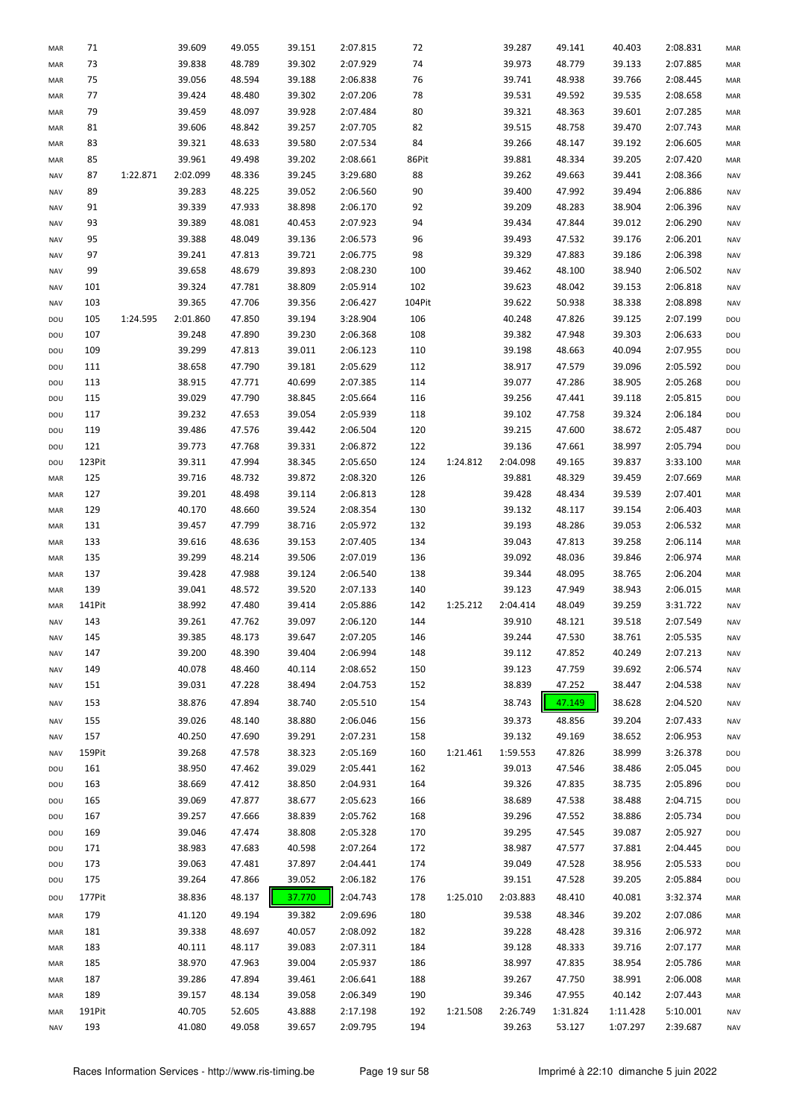| MAR        | 71     |          | 39.609   | 49.055 | 39.151 | 2:07.815 | 72     |          | 39.287   | 49.141   | 40.403   | 2:08.831 | MAR        |
|------------|--------|----------|----------|--------|--------|----------|--------|----------|----------|----------|----------|----------|------------|
|            | 73     |          | 39.838   | 48.789 | 39.302 | 2:07.929 | 74     |          | 39.973   | 48.779   | 39.133   | 2:07.885 | MAR        |
| MAR        |        |          |          |        |        |          |        |          |          |          |          |          |            |
| MAR        | 75     |          | 39.056   | 48.594 | 39.188 | 2:06.838 | 76     |          | 39.741   | 48.938   | 39.766   | 2:08.445 | MAR        |
| MAR        | 77     |          | 39.424   | 48.480 | 39.302 | 2:07.206 | 78     |          | 39.531   | 49.592   | 39.535   | 2:08.658 | MAR        |
| MAR        | 79     |          | 39.459   | 48.097 | 39.928 | 2:07.484 | 80     |          | 39.321   | 48.363   | 39.601   | 2:07.285 | MAR        |
| MAR        | 81     |          | 39.606   | 48.842 | 39.257 | 2:07.705 | 82     |          | 39.515   | 48.758   | 39.470   | 2:07.743 | MAR        |
| MAR        | 83     |          | 39.321   | 48.633 | 39.580 | 2:07.534 | 84     |          | 39.266   | 48.147   | 39.192   | 2:06.605 | MAR        |
| MAR        | 85     |          | 39.961   | 49.498 | 39.202 | 2:08.661 | 86Pit  |          | 39.881   | 48.334   | 39.205   | 2:07.420 | MAR        |
| <b>NAV</b> | 87     | 1:22.871 | 2:02.099 | 48.336 | 39.245 | 3:29.680 | 88     |          | 39.262   | 49.663   | 39.441   | 2:08.366 | <b>NAV</b> |
| <b>NAV</b> | 89     |          | 39.283   | 48.225 | 39.052 | 2:06.560 | 90     |          | 39.400   | 47.992   | 39.494   | 2:06.886 | <b>NAV</b> |
|            | 91     |          |          | 47.933 | 38.898 |          |        |          |          |          |          |          |            |
| <b>NAV</b> |        |          | 39.339   |        |        | 2:06.170 | 92     |          | 39.209   | 48.283   | 38.904   | 2:06.396 | <b>NAV</b> |
| <b>NAV</b> | 93     |          | 39.389   | 48.081 | 40.453 | 2:07.923 | 94     |          | 39.434   | 47.844   | 39.012   | 2:06.290 | <b>NAV</b> |
| <b>NAV</b> | 95     |          | 39.388   | 48.049 | 39.136 | 2:06.573 | 96     |          | 39.493   | 47.532   | 39.176   | 2:06.201 | <b>NAV</b> |
| <b>NAV</b> | 97     |          | 39.241   | 47.813 | 39.721 | 2:06.775 | 98     |          | 39.329   | 47.883   | 39.186   | 2:06.398 | <b>NAV</b> |
| <b>NAV</b> | 99     |          | 39.658   | 48.679 | 39.893 | 2:08.230 | 100    |          | 39.462   | 48.100   | 38.940   | 2:06.502 | <b>NAV</b> |
| <b>NAV</b> | 101    |          | 39.324   | 47.781 | 38.809 | 2:05.914 | 102    |          | 39.623   | 48.042   | 39.153   | 2:06.818 | <b>NAV</b> |
| <b>NAV</b> | 103    |          | 39.365   | 47.706 | 39.356 | 2:06.427 | 104Pit |          | 39.622   | 50.938   | 38.338   | 2:08.898 | <b>NAV</b> |
| DOU        | 105    | 1:24.595 | 2:01.860 | 47.850 | 39.194 | 3:28.904 | 106    |          | 40.248   | 47.826   | 39.125   | 2:07.199 | DOU        |
| DOU        | 107    |          | 39.248   | 47.890 | 39.230 | 2:06.368 | 108    |          | 39.382   | 47.948   | 39.303   | 2:06.633 | DOU        |
|            |        |          |          |        |        |          |        |          |          |          |          |          |            |
| DOU        | 109    |          | 39.299   | 47.813 | 39.011 | 2:06.123 | 110    |          | 39.198   | 48.663   | 40.094   | 2:07.955 | DOU        |
| DOU        | 111    |          | 38.658   | 47.790 | 39.181 | 2:05.629 | 112    |          | 38.917   | 47.579   | 39.096   | 2:05.592 | DOU        |
| DOU        | 113    |          | 38.915   | 47.771 | 40.699 | 2:07.385 | 114    |          | 39.077   | 47.286   | 38.905   | 2:05.268 | DOU        |
| DOU        | 115    |          | 39.029   | 47.790 | 38.845 | 2:05.664 | 116    |          | 39.256   | 47.441   | 39.118   | 2:05.815 | DOU        |
| DOU        | 117    |          | 39.232   | 47.653 | 39.054 | 2:05.939 | 118    |          | 39.102   | 47.758   | 39.324   | 2:06.184 | DOU        |
| DOU        | 119    |          | 39.486   | 47.576 | 39.442 | 2:06.504 | 120    |          | 39.215   | 47.600   | 38.672   | 2:05.487 | DOU        |
| DOU        | 121    |          | 39.773   | 47.768 | 39.331 | 2:06.872 | 122    |          | 39.136   | 47.661   | 38.997   | 2:05.794 | DOU        |
| DOU        | 123Pit |          | 39.311   | 47.994 | 38.345 | 2:05.650 | 124    | 1:24.812 | 2:04.098 | 49.165   | 39.837   | 3:33.100 | MAR        |
| MAR        | 125    |          | 39.716   | 48.732 | 39.872 | 2:08.320 | 126    |          | 39.881   | 48.329   | 39.459   | 2:07.669 | MAR        |
|            |        |          |          |        |        |          |        |          |          |          |          |          |            |
| MAR        | 127    |          | 39.201   | 48.498 | 39.114 | 2:06.813 | 128    |          | 39.428   | 48.434   | 39.539   | 2:07.401 | MAR        |
| MAR        | 129    |          | 40.170   | 48.660 | 39.524 | 2:08.354 | 130    |          | 39.132   | 48.117   | 39.154   | 2:06.403 | MAR        |
| MAR        | 131    |          | 39.457   | 47.799 | 38.716 | 2:05.972 | 132    |          | 39.193   | 48.286   | 39.053   | 2:06.532 | MAR        |
| MAR        | 133    |          | 39.616   | 48.636 | 39.153 | 2:07.405 | 134    |          | 39.043   | 47.813   | 39.258   | 2:06.114 | MAR        |
| MAR        | 135    |          | 39.299   | 48.214 | 39.506 | 2:07.019 | 136    |          | 39.092   | 48.036   | 39.846   | 2:06.974 | MAR        |
| MAR        | 137    |          | 39.428   | 47.988 | 39.124 | 2:06.540 | 138    |          | 39.344   | 48.095   | 38.765   | 2:06.204 | MAR        |
| MAR        | 139    |          | 39.041   | 48.572 | 39.520 | 2:07.133 | 140    |          | 39.123   | 47.949   | 38.943   | 2:06.015 | MAR        |
| MAR        | 141Pit |          | 38.992   | 47.480 | 39.414 | 2:05.886 | 142    | 1:25.212 | 2:04.414 | 48.049   | 39.259   | 3:31.722 | <b>NAV</b> |
| <b>NAV</b> | 143    |          | 39.261   | 47.762 | 39.097 | 2:06.120 | 144    |          | 39.910   | 48.121   | 39.518   | 2:07.549 | <b>NAV</b> |
|            |        |          |          |        |        |          | 146    |          |          |          |          |          |            |
| NAV        | 145    |          | 39.385   | 48.173 | 39.647 | 2:07.205 |        |          | 39.244   | 47.530   | 38.761   | 2:05.535 | NAV        |
| <b>NAV</b> | 147    |          | 39.200   | 48.390 | 39.404 | 2:06.994 | 148    |          | 39.112   | 47.852   | 40.249   | 2:07.213 | <b>NAV</b> |
| <b>NAV</b> | 149    |          | 40.078   | 48.460 | 40.114 | 2:08.652 | 150    |          | 39.123   | 47.759   | 39.692   | 2:06.574 | <b>NAV</b> |
| <b>NAV</b> | 151    |          | 39.031   | 47.228 | 38.494 | 2:04.753 | 152    |          | 38.839   | 47.252   | 38.447   | 2:04.538 | <b>NAV</b> |
| <b>NAV</b> | 153    |          | 38.876   | 47.894 | 38.740 | 2:05.510 | 154    |          | 38.743   | 47.149   | 38.628   | 2:04.520 | <b>NAV</b> |
| <b>NAV</b> | 155    |          | 39.026   | 48.140 | 38.880 | 2:06.046 | 156    |          | 39.373   | 48.856   | 39.204   | 2:07.433 | <b>NAV</b> |
| <b>NAV</b> | 157    |          | 40.250   | 47.690 | 39.291 | 2:07.231 | 158    |          | 39.132   | 49.169   | 38.652   | 2:06.953 | <b>NAV</b> |
|            | 159Pit |          |          | 47.578 |        |          | 160    | 1:21.461 |          |          |          |          |            |
| <b>NAV</b> |        |          | 39.268   |        | 38.323 | 2:05.169 |        |          | 1:59.553 | 47.826   | 38.999   | 3:26.378 | DOU        |
| DOU        | 161    |          | 38.950   | 47.462 | 39.029 | 2:05.441 | 162    |          | 39.013   | 47.546   | 38.486   | 2:05.045 | DOU        |
| DOU        | 163    |          | 38.669   | 47.412 | 38.850 | 2:04.931 | 164    |          | 39.326   | 47.835   | 38.735   | 2:05.896 | DOU        |
| DOU        | 165    |          | 39.069   | 47.877 | 38.677 | 2:05.623 | 166    |          | 38.689   | 47.538   | 38.488   | 2:04.715 | DOU        |
| DOU        | 167    |          | 39.257   | 47.666 | 38.839 | 2:05.762 | 168    |          | 39.296   | 47.552   | 38.886   | 2:05.734 | DOU        |
| DOU        | 169    |          | 39.046   | 47.474 | 38.808 | 2:05.328 | 170    |          | 39.295   | 47.545   | 39.087   | 2:05.927 | DOU        |
| DOU        | 171    |          | 38.983   | 47.683 | 40.598 | 2:07.264 | 172    |          | 38.987   | 47.577   | 37.881   | 2:04.445 | DOU        |
| DOU        | 173    |          | 39.063   | 47.481 | 37.897 | 2:04.441 | 174    |          | 39.049   | 47.528   | 38.956   | 2:05.533 | DOU        |
| DOU        | 175    |          | 39.264   | 47.866 | 39.052 | 2:06.182 | 176    |          | 39.151   | 47.528   | 39.205   | 2:05.884 | DOU        |
|            |        |          | 38.836   | 48.137 |        | 2:04.743 |        |          |          |          |          |          |            |
| DOU        | 177Pit |          |          |        | 37.770 |          | 178    | 1:25.010 | 2:03.883 | 48.410   | 40.081   | 3:32.374 | MAR        |
| MAR        | 179    |          | 41.120   | 49.194 | 39.382 | 2:09.696 | 180    |          | 39.538   | 48.346   | 39.202   | 2:07.086 | MAR        |
| MAR        | 181    |          | 39.338   | 48.697 | 40.057 | 2:08.092 | 182    |          | 39.228   | 48.428   | 39.316   | 2:06.972 | MAR        |
| MAR        | 183    |          | 40.111   | 48.117 | 39.083 | 2:07.311 | 184    |          | 39.128   | 48.333   | 39.716   | 2:07.177 | MAR        |
| MAR        | 185    |          | 38.970   | 47.963 | 39.004 | 2:05.937 | 186    |          | 38.997   | 47.835   | 38.954   | 2:05.786 | MAR        |
| MAR        | 187    |          | 39.286   | 47.894 | 39.461 | 2:06.641 | 188    |          | 39.267   | 47.750   | 38.991   | 2:06.008 | MAR        |
| MAR        | 189    |          | 39.157   | 48.134 | 39.058 | 2:06.349 | 190    |          | 39.346   | 47.955   | 40.142   | 2:07.443 | MAR        |
| MAR        | 191Pit |          | 40.705   | 52.605 | 43.888 | 2:17.198 | 192    | 1:21.508 | 2:26.749 | 1:31.824 | 1:11.428 | 5:10.001 | <b>NAV</b> |
|            |        |          |          |        |        |          |        |          |          |          |          |          |            |
| <b>NAV</b> | 193    |          | 41.080   | 49.058 | 39.657 | 2:09.795 | 194    |          | 39.263   | 53.127   | 1:07.297 | 2:39.687 | <b>NAV</b> |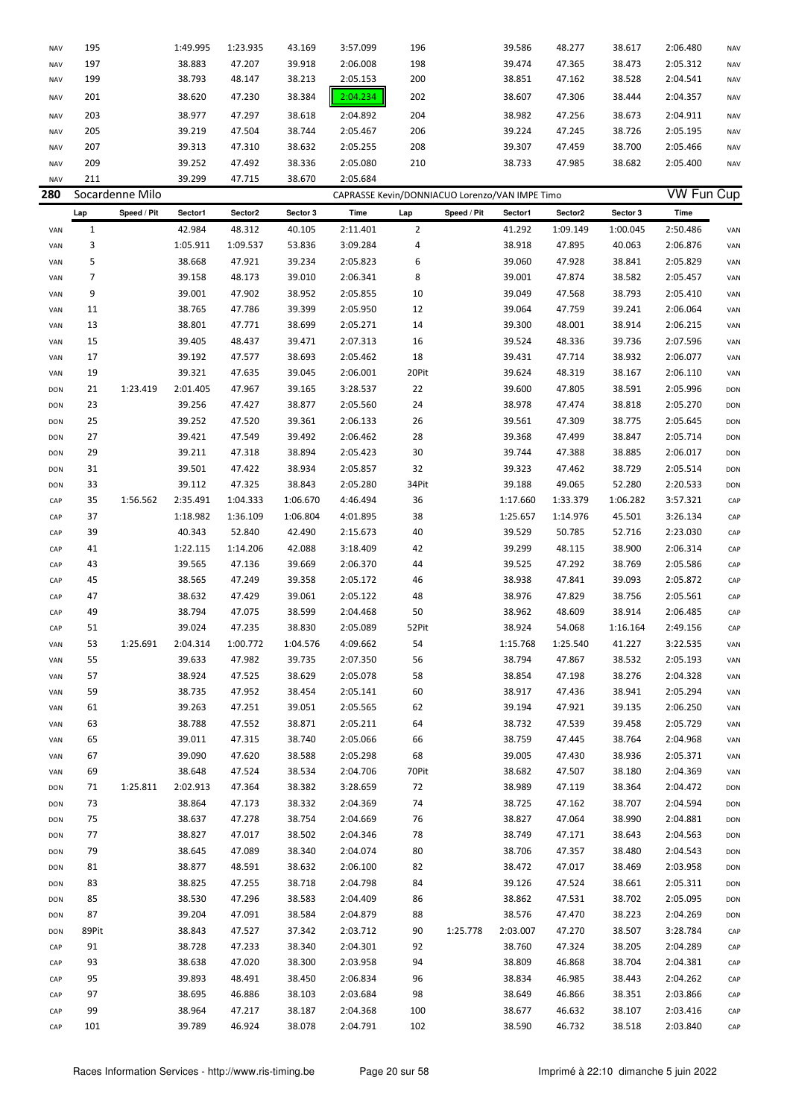| <b>NAV</b> | 195          |                 | 1:49.995         | 1:23.935         | 43.169           | 3:57.099                                       | 196            |             | 39.586           | 48.277           | 38.617           | 2:06.480             | <b>NAV</b> |
|------------|--------------|-----------------|------------------|------------------|------------------|------------------------------------------------|----------------|-------------|------------------|------------------|------------------|----------------------|------------|
| <b>NAV</b> | 197          |                 | 38.883           | 47.207           | 39.918           | 2:06.008                                       | 198            |             | 39.474           | 47.365           | 38.473           | 2:05.312             | <b>NAV</b> |
| <b>NAV</b> | 199          |                 | 38.793           | 48.147           | 38.213           | 2:05.153                                       | 200            |             | 38.851           | 47.162           | 38.528           | 2:04.541             | <b>NAV</b> |
| <b>NAV</b> | 201          |                 | 38.620           | 47.230           | 38.384           | 2:04.234                                       | 202            |             | 38.607           | 47.306           | 38.444           | 2:04.357             | <b>NAV</b> |
| <b>NAV</b> | 203          |                 | 38.977           | 47.297           | 38.618           | 2:04.892                                       | 204            |             | 38.982           | 47.256           | 38.673           | 2:04.911             | <b>NAV</b> |
| <b>NAV</b> | 205          |                 | 39.219           | 47.504           | 38.744           | 2:05.467                                       | 206            |             | 39.224           | 47.245           | 38.726           | 2:05.195             | <b>NAV</b> |
| <b>NAV</b> | 207          |                 | 39.313           | 47.310           | 38.632           | 2:05.255                                       | 208            |             | 39.307           | 47.459           | 38.700           | 2:05.466             | <b>NAV</b> |
| <b>NAV</b> | 209          |                 | 39.252           | 47.492           | 38.336           | 2:05.080                                       | 210            |             | 38.733           | 47.985           | 38.682           | 2:05.400             | <b>NAV</b> |
| <b>NAV</b> | 211          |                 | 39.299           | 47.715           | 38.670           | 2:05.684                                       |                |             |                  |                  |                  |                      |            |
| 280        |              | Socardenne Milo |                  |                  |                  | CAPRASSE Kevin/DONNIACUO Lorenzo/VAN IMPE Timo |                |             |                  |                  |                  | VW Fun Cup           |            |
|            | Lap          | Speed / Pit     | Sector1          | Sector2          | Sector 3         | Time                                           | Lap            | Speed / Pit | Sector1          | Sector2          | Sector 3         | Time                 |            |
| VAN        | $\mathbf{1}$ |                 | 42.984           | 48.312           | 40.105           | 2:11.401                                       | $\overline{2}$ |             | 41.292           | 1:09.149         | 1:00.045         | 2:50.486             | VAN        |
| VAN        | 3            |                 | 1:05.911         | 1:09.537         | 53.836           | 3:09.284                                       | 4              |             | 38.918           | 47.895           | 40.063           | 2:06.876             | VAN        |
| VAN        | 5            |                 | 38.668           | 47.921           | 39.234           | 2:05.823                                       | 6              |             | 39.060           | 47.928           | 38.841           | 2:05.829             | VAN        |
| VAN        | 7            |                 | 39.158           | 48.173           | 39.010           | 2:06.341                                       | 8              |             | 39.001           | 47.874           | 38.582           | 2:05.457             | VAN        |
| VAN        | 9            |                 | 39.001           | 47.902           | 38.952           | 2:05.855                                       | 10             |             | 39.049           | 47.568           | 38.793           | 2:05.410             | VAN        |
| VAN        | 11           |                 | 38.765           | 47.786           | 39.399           | 2:05.950                                       | 12             |             | 39.064           | 47.759           | 39.241           | 2:06.064             | VAN        |
| VAN        | 13           |                 | 38.801           | 47.771           | 38.699           | 2:05.271                                       | 14             |             | 39.300           | 48.001           | 38.914           | 2:06.215             | VAN        |
| VAN        | 15           |                 | 39.405           | 48.437           | 39.471           | 2:07.313                                       | 16             |             | 39.524           | 48.336           | 39.736           | 2:07.596             | VAN        |
| VAN        | 17           |                 | 39.192           | 47.577           | 38.693           | 2:05.462                                       | 18             |             | 39.431           | 47.714           | 38.932           | 2:06.077             | VAN        |
| VAN        | 19           |                 | 39.321           | 47.635           | 39.045           | 2:06.001                                       | 20Pit          |             | 39.624           | 48.319           | 38.167           | 2:06.110             | VAN        |
| DON        | 21           | 1:23.419        | 2:01.405         | 47.967           | 39.165           | 3:28.537                                       | 22             |             | 39.600           | 47.805           | 38.591           | 2:05.996             | <b>DON</b> |
| DON        | 23           |                 | 39.256           | 47.427           | 38.877           | 2:05.560                                       | 24             |             | 38.978           | 47.474           | 38.818           | 2:05.270             | <b>DON</b> |
| DON        | 25           |                 | 39.252           | 47.520           | 39.361           | 2:06.133                                       | 26             |             | 39.561           | 47.309           | 38.775           | 2:05.645             | <b>DON</b> |
| DON        | 27           |                 | 39.421           | 47.549           | 39.492           | 2:06.462                                       | 28             |             | 39.368           | 47.499           | 38.847           | 2:05.714             | <b>DON</b> |
| DON        | 29           |                 | 39.211           | 47.318           | 38.894           | 2:05.423                                       | 30             |             | 39.744           | 47.388           | 38.885           | 2:06.017             | <b>DON</b> |
| DON        | 31           |                 | 39.501           | 47.422           | 38.934           | 2:05.857                                       | 32             |             | 39.323           | 47.462           | 38.729           | 2:05.514             | DON        |
| DON        | 33           |                 | 39.112           | 47.325           | 38.843           | 2:05.280                                       | 34Pit          |             | 39.188           | 49.065           | 52.280           | 2:20.533             | <b>DON</b> |
| CAP        | 35           | 1:56.562        | 2:35.491         | 1:04.333         | 1:06.670         | 4:46.494                                       | 36             |             | 1:17.660         | 1:33.379         | 1:06.282         | 3:57.321             | CAP        |
| CAP        | 37           |                 | 1:18.982         | 1:36.109         | 1:06.804         | 4:01.895                                       | 38             |             | 1:25.657         | 1:14.976         | 45.501           | 3:26.134             | CAP        |
| CAP        | 39           |                 | 40.343           | 52.840           | 42.490           | 2:15.673                                       | 40             |             | 39.529           | 50.785           | 52.716           | 2:23.030             | CAP        |
| CAP        | 41           |                 | 1:22.115         | 1:14.206         | 42.088           | 3:18.409                                       | 42             |             | 39.299           | 48.115           | 38.900           | 2:06.314             | CAP        |
| CAP        | 43           |                 | 39.565           | 47.136           | 39.669           | 2:06.370                                       | 44             |             | 39.525           | 47.292           | 38.769           | 2:05.586             | CAP        |
| CAP        | 45           |                 | 38.565           | 47.249           | 39.358           | 2:05.172                                       | 46             |             | 38.938           | 47.841           | 39.093           | 2:05.872             | CAP        |
| CAP        | 47           |                 | 38.632           | 47.429           | 39.061           | 2:05.122                                       | 48             |             | 38.976           | 47.829           | 38.756           | 2:05.561             | CAP        |
| CAP        | 49           |                 | 38.794           | 47.075           | 38.599           | 2:04.468                                       | 50             |             | 38.962           | 48.609           | 38.914           | 2:06.485             | CAP        |
| CAP        | 51           |                 | 39.024           | 47.235           | 38.830           | 2:05.089                                       | 52Pit          |             | 38.924           | 54.068           | 1:16.164         | 2:49.156             | CAP        |
| VAN        | 53           | 1:25.691        | 2:04.314         | 1:00.772         | 1:04.576         | 4:09.662                                       | 54             |             | 1:15.768         | 1:25.540         | 41.227           | 3:22.535             | VAN        |
| VAN        | 55           |                 | 39.633           | 47.982           | 39.735           | 2:07.350                                       | 56             |             | 38.794           | 47.867           | 38.532           | 2:05.193             | VAN        |
| VAN        | 57           |                 | 38.924           | 47.525           | 38.629           | 2:05.078                                       | 58             |             | 38.854           | 47.198           | 38.276           | 2:04.328             | VAN        |
| VAN        | 59           |                 | 38.735           | 47.952           | 38.454           | 2:05.141                                       | 60             |             | 38.917           | 47.436           | 38.941           | 2:05.294             | VAN        |
| VAN        | 61           |                 | 39.263           | 47.251           | 39.051           | 2:05.565                                       | 62             |             | 39.194           | 47.921           | 39.135           | 2:06.250             | VAN        |
| VAN        | 63           |                 | 38.788           | 47.552           | 38.871           | 2:05.211                                       | 64             |             | 38.732           | 47.539           | 39.458           | 2:05.729             | VAN        |
| VAN        | 65           |                 | 39.011           | 47.315           | 38.740           | 2:05.066                                       | 66             |             | 38.759           | 47.445           | 38.764           | 2:04.968             | VAN        |
| VAN        | 67           |                 | 39.090           | 47.620           | 38.588           | 2:05.298                                       | 68             |             | 39.005           | 47.430           | 38.936           | 2:05.371             | VAN        |
| VAN        | 69           |                 | 38.648           | 47.524           | 38.534           | 2:04.706                                       | 70Pit          |             | 38.682           | 47.507           | 38.180           | 2:04.369             | VAN        |
| DON        | 71           | 1:25.811        | 2:02.913         | 47.364           | 38.382           | 3:28.659                                       | 72             |             | 38.989           | 47.119           | 38.364           | 2:04.472             | DON        |
| DON        | 73           |                 | 38.864           | 47.173           | 38.332           | 2:04.369                                       | 74             |             | 38.725           | 47.162           | 38.707           | 2:04.594             | DON        |
| DON        | 75           |                 | 38.637           | 47.278           | 38.754           | 2:04.669                                       | 76             |             | 38.827           | 47.064           | 38.990           | 2:04.881             | DON        |
| DON        | 77           |                 | 38.827           | 47.017           | 38.502           | 2:04.346                                       | 78             |             | 38.749           | 47.171           | 38.643           | 2:04.563             | DON        |
| DON        | 79           |                 | 38.645           | 47.089           | 38.340           | 2:04.074                                       | 80             |             | 38.706           | 47.357           | 38.480           | 2:04.543             | DON        |
| DON        | 81           |                 | 38.877           | 48.591           | 38.632           | 2:06.100                                       | 82             |             | 38.472           | 47.017           | 38.469           | 2:03.958             | DON        |
| DON        | 83           |                 | 38.825           | 47.255           | 38.718           | 2:04.798                                       | 84             |             | 39.126           | 47.524           | 38.661           | 2:05.311             | DON        |
| DON        | 85           |                 | 38.530           | 47.296           | 38.583           | 2:04.409                                       | 86             |             | 38.862           | 47.531           | 38.702           | 2:05.095             | DON        |
| DON        | 87           |                 | 39.204           | 47.091           | 38.584           | 2:04.879                                       | 88             |             | 38.576           | 47.470           | 38.223           | 2:04.269             | DON        |
| DON        | 89Pit        |                 | 38.843           | 47.527           | 37.342           | 2:03.712                                       | 90             | 1:25.778    | 2:03.007         | 47.270           | 38.507           | 3:28.784             | CAP        |
| CAP        | 91           |                 | 38.728           | 47.233           | 38.340           | 2:04.301                                       | 92             |             | 38.760           | 47.324           | 38.205           | 2:04.289             | CAP        |
| CAP        | 93<br>95     |                 | 38.638<br>39.893 | 47.020           | 38.300           | 2:03.958                                       | 94<br>96       |             | 38.809<br>38.834 | 46.868           | 38.704           | 2:04.381             | CAP        |
| CAP        | 97           |                 | 38.695           | 48.491<br>46.886 | 38.450<br>38.103 | 2:06.834<br>2:03.684                           | 98             |             | 38.649           | 46.985<br>46.866 | 38.443<br>38.351 | 2:04.262<br>2:03.866 | CAP        |
| CAP<br>CAP | 99           |                 | 38.964           | 47.217           | 38.187           | 2:04.368                                       | 100            |             | 38.677           | 46.632           | 38.107           | 2:03.416             | CAP        |
| CAP        | 101          |                 | 39.789           | 46.924           | 38.078           | 2:04.791                                       | 102            |             | 38.590           | 46.732           | 38.518           | 2:03.840             | CAP<br>CAP |
|            |              |                 |                  |                  |                  |                                                |                |             |                  |                  |                  |                      |            |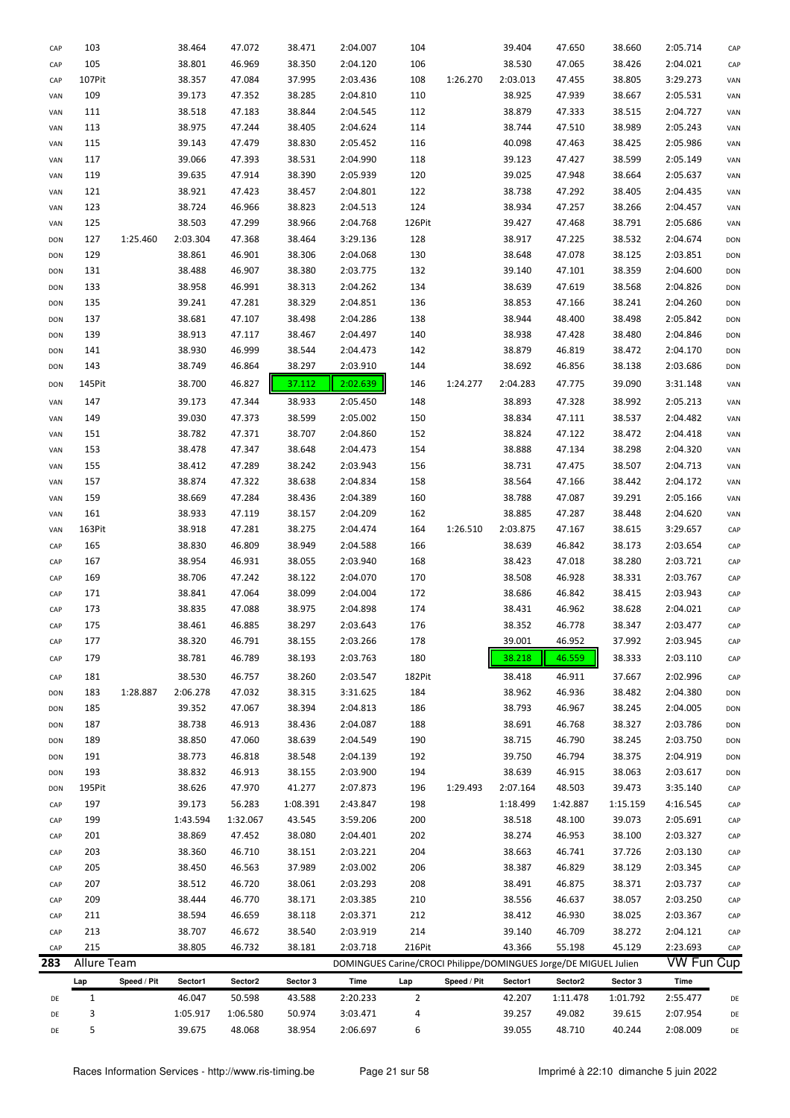| DE         | 5             |             | 39.675             | 48.068           | 38.954           | 2:06.697                                                         | 6                     |             | 39.055             | 48.710              | 40.244           | 2:08.009             | DE                |
|------------|---------------|-------------|--------------------|------------------|------------------|------------------------------------------------------------------|-----------------------|-------------|--------------------|---------------------|------------------|----------------------|-------------------|
| DE         | 3             |             | 1:05.917           | 1:06.580         | 50.974           | 3:03.471                                                         | 4                     |             | 39.257             | 49.082              | 39.615           | 2:07.954             | DE                |
| DE         | Lap<br>1      | Speed / Pit | Sector1<br>46.047  | 50.598           | 43.588           | 2:20.233                                                         | Lap<br>$\overline{2}$ | Speed / Pit | Sector1<br>42.207  | Sector2<br>1:11.478 | 1:01.792         | Time<br>2:55.477     | DE                |
|            |               |             |                    | Sector2          | Sector 3         | Time                                                             |                       |             |                    |                     | Sector 3         |                      |                   |
| 283        | Allure Team   |             |                    |                  |                  | DOMINGUES Carine/CROCI Philippe/DOMINGUES Jorge/DE MIGUEL Julien |                       |             |                    |                     |                  | <b>VW Fun Cup</b>    |                   |
| CAP        | 215           |             | 38.805             | 46.732           | 38.181           | 2:03.718                                                         | 216Pit                |             | 43.366             | 55.198              | 45.129           | 2:23.693             | CAP               |
| CAP        | 213           |             | 38.707             | 46.672           | 38.540           | 2:03.919                                                         | 214                   |             | 39.140             | 46.709              | 38.272           | 2:04.121             | CAP               |
| CAP<br>CAP | 211           |             | 38.594             | 46.659           | 38.118           | 2:03.371                                                         | 212                   |             | 38.412             | 46.930              | 38.025           | 2:03.367             | CAP               |
| CAP        | 207<br>209    |             | 38.512<br>38.444   | 46.720<br>46.770 | 38.061<br>38.171 | 2:03.293<br>2:03.385                                             | 208<br>210            |             | 38.491<br>38.556   | 46.875<br>46.637    | 38.371<br>38.057 | 2:03.737<br>2:03.250 | CAP<br>CAP        |
| CAP        | 205           |             | 38.450             | 46.563           | 37.989           | 2:03.002                                                         | 206                   |             | 38.387             | 46.829              | 38.129           | 2:03.345             | CAP               |
| CAP        | 203           |             | 38.360             | 46.710           | 38.151           | 2:03.221                                                         | 204                   |             | 38.663             | 46.741              | 37.726           | 2:03.130             | CAP               |
| CAP        | 201           |             | 38.869             | 47.452           | 38.080           | 2:04.401                                                         | 202                   |             | 38.274             | 46.953              | 38.100           | 2:03.327             | CAP               |
| CAP        | 199           |             | 1:43.594           | 1:32.067         | 43.545           | 3:59.206                                                         | 200                   |             | 38.518             | 48.100              | 39.073           | 2:05.691             | CAP               |
| CAP        | 197           |             | 39.173             | 56.283           | 1:08.391         | 2:43.847                                                         | 198                   |             | 1:18.499           | 1:42.887            | 1:15.159         | 4:16.545             | CAP               |
| DON        | 195Pit        |             | 38.626             | 47.970           | 41.277           | 2:07.873                                                         | 196                   | 1:29.493    | 2:07.164           | 48.503              | 39.473           | 3:35.140             | CAP               |
| DON        | 193           |             | 38.832             | 46.913           | 38.155           | 2:03.900                                                         | 194                   |             | 38.639             | 46.915              | 38.063           | 2:03.617             | <b>DON</b>        |
| DON        | 191           |             | 38.773             | 46.818           | 38.548           | 2:04.139                                                         | 192                   |             | 39.750             | 46.794              | 38.375           | 2:04.919             | DON               |
| DON        |               |             | 38.850             |                  | 38.639           | 2:04.549                                                         | 190                   |             | 38.715             |                     | 38.245           |                      | DON               |
| DON        | 189           |             |                    | 47.060           |                  |                                                                  |                       |             |                    | 46.790              |                  | 2:03.750             |                   |
|            | 187           |             | 38.738             | 46.913           | 38.436           | 2:04.087                                                         | 188                   |             | 38.691             | 46.768              | 38.327           | 2:03.786             | DON               |
| DON<br>DON | 183<br>185    | 1:28.887    | 2:06.278<br>39.352 | 47.032<br>47.067 | 38.315<br>38.394 | 3:31.625<br>2:04.813                                             | 184<br>186            |             | 38.962<br>38.793   | 46.936<br>46.967    | 38.482<br>38.245 | 2:04.380<br>2:04.005 | <b>DON</b><br>DON |
| CAP        | 181           |             | 38.530             | 46.757           | 38.260           | 2:03.547                                                         | 182Pit                |             | 38.418             | 46.911              | 37.667           | 2:02.996             | CAP               |
|            |               |             |                    |                  |                  |                                                                  |                       |             |                    |                     |                  |                      |                   |
| CAP        | 179           |             | 38.781             | 46.789           | 38.193           | 2:03.763                                                         | 180                   |             | 38.218             | 46.559              | 38.333           | 2:03.110             | CAP               |
| CAP        | 177           |             | 38.320             | 46.791           | 38.155           | 2:03.266                                                         | 178                   |             | 39.001             | 46.952              | 37.992           | 2:03.945             | CAP               |
| CAP        | 175           |             | 38.461             | 46.885           | 38.297           | 2:03.643                                                         | 176                   |             | 38.352             | 46.778              | 38.347           | 2:03.477             | CAP               |
| CAP<br>CAP | 171<br>173    |             | 38.841<br>38.835   | 47.064<br>47.088 | 38.099<br>38.975 | 2:04.004<br>2:04.898                                             | 172<br>174            |             | 38.686<br>38.431   | 46.842<br>46.962    | 38.415<br>38.628 | 2:03.943<br>2:04.021 | CAP<br>CAP        |
| CAP        | 169           |             | 38.706             | 47.242           | 38.122           | 2:04.070                                                         | 170                   |             | 38.508             | 46.928              | 38.331           | 2:03.767             | CAP               |
| CAP        | 167           |             | 38.954             | 46.931           | 38.055           | 2:03.940                                                         | 168                   |             | 38.423             | 47.018              | 38.280           | 2:03.721             | CAP               |
| CAP        |               |             |                    |                  |                  |                                                                  |                       |             |                    |                     |                  |                      | CAP               |
| VAN        | 163Pit<br>165 |             | 38.918<br>38.830   | 47.281<br>46.809 | 38.275<br>38.949 | 2:04.474<br>2:04.588                                             | 164<br>166            | 1:26.510    | 2:03.875<br>38.639 | 47.167<br>46.842    | 38.615<br>38.173 | 3:29.657<br>2:03.654 | CAP               |
| VAN        | 161           |             | 38.933             | 47.119           | 38.157           | 2:04.209                                                         | 162                   |             | 38.885             | 47.287              | 38.448           | 2:04.620             | VAN               |
| VAN        | 159           |             | 38.669             | 47.284           | 38.436           | 2:04.389                                                         | 160                   |             | 38.788             | 47.087              | 39.291           | 2:05.166             | VAN               |
| VAN        | 157           |             | 38.874             | 47.322           | 38.638           | 2:04.834                                                         | 158                   |             | 38.564             | 47.166              | 38.442           | 2:04.172             | VAN               |
| VAN        | 155           |             | 38.412             | 47.289           | 38.242           | 2:03.943                                                         | 156                   |             | 38.731             | 47.475              | 38.507           | 2:04.713             | VAN               |
| VAN        | 153           |             | 38.478             | 47.347           | 38.648           | 2:04.473                                                         | 154                   |             | 38.888             | 47.134              | 38.298           | 2:04.320             | VAN               |
| VAN        | 151           |             | 38.782             | 47.371           | 38.707           | 2:04.860                                                         | 152                   |             | 38.824             | 47.122              | 38.472           | 2:04.418             | VAN               |
| VAN        | 149           |             | 39.030             | 47.373           | 38.599           | 2:05.002                                                         | 150                   |             | 38.834             | 47.111              | 38.537           | 2:04.482             | VAN               |
| VAN        | 147           |             | 39.173             | 47.344           | 38.933           | 2:05.450                                                         | 148                   |             | 38.893             | 47.328              | 38.992           | 2:05.213             | VAN               |
| DON        | 145Pit        |             | 38.700             | 46.827           | 37.112           | 2:02.639                                                         | 146                   | 1:24.277    | 2:04.283           | 47.775              | 39.090           | 3:31.148             | VAN               |
| DON        | 143           |             | 38.749             | 46.864           | 38.297           | 2:03.910                                                         | 144                   |             | 38.692             | 46.856              | 38.138           | 2:03.686             | <b>DON</b>        |
| DON        | 141           |             | 38.930             | 46.999           | 38.544           | 2:04.473                                                         | 142                   |             | 38.879             | 46.819              | 38.472           | 2:04.170             | DON               |
| DON        | 139           |             | 38.913             | 47.117           | 38.467           | 2:04.497                                                         | 140                   |             | 38.938             | 47.428              | 38.480           | 2:04.846             | DON               |
| DON        | 137           |             | 38.681             | 47.107           | 38.498           | 2:04.286                                                         | 138                   |             | 38.944             | 48.400              | 38.498           | 2:05.842             | DON               |
| DON        | 135           |             | 39.241             | 47.281           | 38.329           | 2:04.851                                                         | 136                   |             | 38.853             | 47.166              | 38.241           | 2:04.260             | DON               |
| DON        | 133           |             | 38.958             | 46.991           | 38.313           | 2:04.262                                                         | 134                   |             | 38.639             | 47.619              | 38.568           | 2:04.826             | DON               |
| DON        | 131           |             | 38.488             | 46.907           | 38.380           | 2:03.775                                                         | 132                   |             | 39.140             | 47.101              | 38.359           | 2:04.600             | DON               |
| DON        | 129           |             | 38.861             | 46.901           | 38.306           | 2:04.068                                                         | 130                   |             | 38.648             | 47.078              | 38.125           | 2:03.851             | DON               |
| DON        | 127           | 1:25.460    | 2:03.304           | 47.368           | 38.464           | 3:29.136                                                         | 128                   |             | 38.917             | 47.225              | 38.532           | 2:04.674             | DON               |
| VAN        | 125           |             | 38.503             | 47.299           | 38.966           | 2:04.768                                                         | 126Pit                |             | 39.427             | 47.468              | 38.791           | 2:05.686             | VAN               |
| VAN        | 123           |             | 38.724             | 46.966           | 38.823           | 2:04.513                                                         | 124                   |             | 38.934             | 47.257              | 38.266           | 2:04.457             | VAN               |
| VAN        | 121           |             | 38.921             | 47.423           | 38.457           | 2:04.801                                                         | 122                   |             | 38.738             | 47.292              | 38.405           | 2:04.435             | VAN               |
| VAN        | 119           |             | 39.635             | 47.914           | 38.390           | 2:05.939                                                         | 120                   |             | 39.025             | 47.948              | 38.664           | 2:05.637             | VAN               |
| VAN        | 117           |             | 39.066             | 47.393           | 38.531           | 2:04.990                                                         | 118                   |             | 39.123             | 47.427              | 38.599           | 2:05.149             | VAN               |
| VAN        | 115           |             | 39.143             | 47.479           | 38.830           | 2:05.452                                                         | 116                   |             | 40.098             | 47.463              | 38.425           | 2:05.986             | VAN               |
| VAN        | 113           |             | 38.975             | 47.244           | 38.405           | 2:04.624                                                         | 114                   |             | 38.744             | 47.510              | 38.989           | 2:05.243             | VAN               |
| VAN        | 111           |             | 38.518             | 47.183           | 38.844           | 2:04.545                                                         | 112                   |             | 38.879             | 47.333              | 38.515           | 2:04.727             | VAN               |
| VAN        | 109           |             | 39.173             | 47.352           | 38.285           | 2:04.810                                                         | 110                   |             | 38.925             | 47.939              | 38.667           | 2:05.531             | VAN               |
| CAP        | 107Pit        |             | 38.357             | 47.084           | 37.995           | 2:03.436                                                         | 108                   | 1:26.270    | 2:03.013           | 47.455              | 38.805           | 3:29.273             | VAN               |
| CAP        | 105           |             | 38.801             | 46.969           | 38.350           | 2:04.120                                                         | 106                   |             | 38.530             | 47.065              | 38.426           | 2:04.021             | CAP               |
| CAP        | 103           |             | 38.464             | 47.072           | 38.471           | 2:04.007                                                         | 104                   |             | 39.404             | 47.650              | 38.660           | 2:05.714             | CAP               |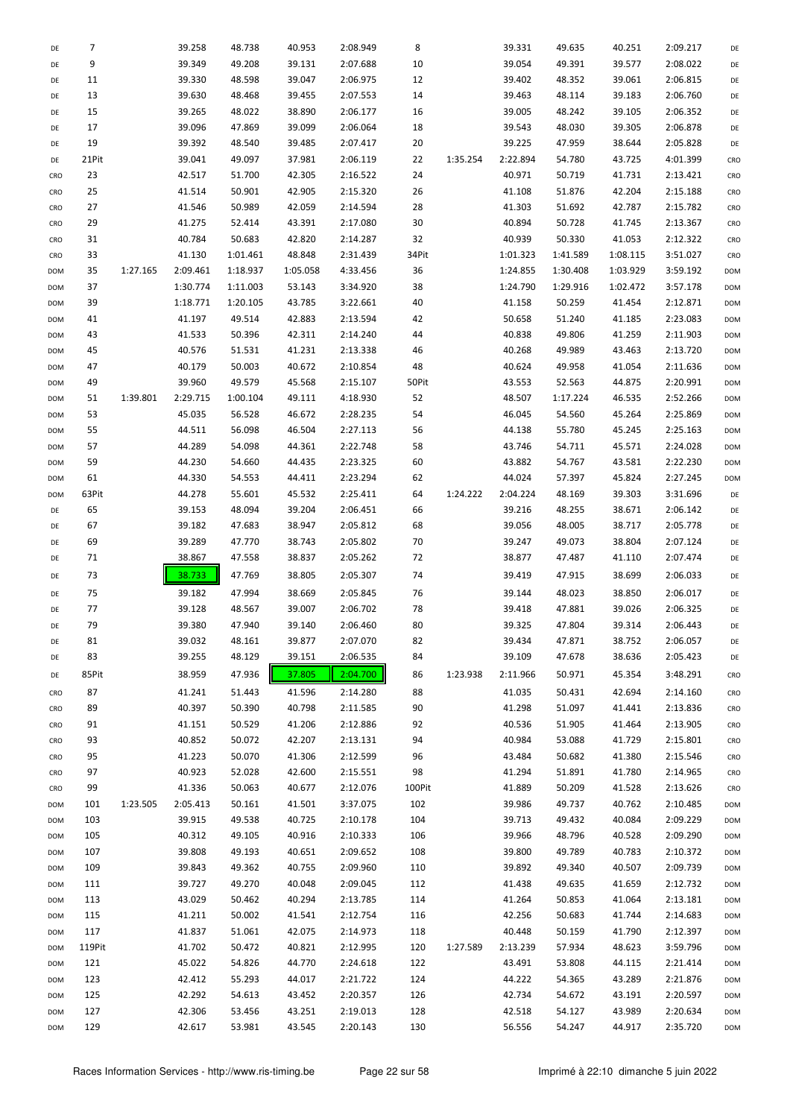| DE         | 7      |          | 39.258   | 48.738   | 40.953   | 2:08.949 | 8      |          | 39.331   | 49.635   | 40.251   | 2:09.217 | DE         |
|------------|--------|----------|----------|----------|----------|----------|--------|----------|----------|----------|----------|----------|------------|
|            |        |          |          |          |          |          |        |          |          |          |          |          |            |
| DE         | 9      |          | 39.349   | 49.208   | 39.131   | 2:07.688 | 10     |          | 39.054   | 49.391   | 39.577   | 2:08.022 | DE         |
| DE         | 11     |          | 39.330   | 48.598   | 39.047   | 2:06.975 | 12     |          | 39.402   | 48.352   | 39.061   | 2:06.815 | DE         |
| DE         | 13     |          | 39.630   | 48.468   | 39.455   | 2:07.553 | 14     |          | 39.463   | 48.114   | 39.183   | 2:06.760 | DE         |
| DE         | 15     |          | 39.265   | 48.022   | 38.890   | 2:06.177 | 16     |          | 39.005   | 48.242   | 39.105   | 2:06.352 | DE         |
| DE         | 17     |          | 39.096   | 47.869   | 39.099   | 2:06.064 | 18     |          | 39.543   | 48.030   | 39.305   | 2:06.878 | DE         |
| DE         | 19     |          | 39.392   | 48.540   | 39.485   | 2:07.417 | 20     |          | 39.225   | 47.959   | 38.644   | 2:05.828 | DE         |
| DE         | 21Pit  |          | 39.041   | 49.097   | 37.981   | 2:06.119 | 22     | 1:35.254 | 2:22.894 | 54.780   | 43.725   | 4:01.399 | CRO        |
|            |        |          |          |          |          |          |        |          |          |          |          |          |            |
| CRO        | 23     |          | 42.517   | 51.700   | 42.305   | 2:16.522 | 24     |          | 40.971   | 50.719   | 41.731   | 2:13.421 | CRO        |
| CRO        | 25     |          | 41.514   | 50.901   | 42.905   | 2:15.320 | 26     |          | 41.108   | 51.876   | 42.204   | 2:15.188 | CRO        |
| CRO        | 27     |          | 41.546   | 50.989   | 42.059   | 2:14.594 | 28     |          | 41.303   | 51.692   | 42.787   | 2:15.782 | CRO        |
| CRO        | 29     |          | 41.275   | 52.414   | 43.391   | 2:17.080 | 30     |          | 40.894   | 50.728   | 41.745   | 2:13.367 | CRO        |
| CRO        | 31     |          | 40.784   | 50.683   | 42.820   | 2:14.287 | 32     |          | 40.939   | 50.330   | 41.053   | 2:12.322 | CRO        |
| CRO        | 33     |          | 41.130   | 1:01.461 | 48.848   | 2:31.439 | 34Pit  |          | 1:01.323 | 1:41.589 | 1:08.115 | 3:51.027 | CRO        |
| <b>DOM</b> | 35     | 1:27.165 | 2:09.461 | 1:18.937 | 1:05.058 | 4:33.456 | 36     |          | 1:24.855 | 1:30.408 | 1:03.929 | 3:59.192 | <b>DOM</b> |
|            | 37     |          | 1:30.774 | 1:11.003 | 53.143   | 3:34.920 | 38     |          | 1:24.790 | 1:29.916 | 1:02.472 | 3:57.178 |            |
| <b>DOM</b> |        |          |          |          |          |          |        |          |          |          |          |          | <b>DOM</b> |
| <b>DOM</b> | 39     |          | 1:18.771 | 1:20.105 | 43.785   | 3:22.661 | 40     |          | 41.158   | 50.259   | 41.454   | 2:12.871 | <b>DOM</b> |
| <b>DOM</b> | 41     |          | 41.197   | 49.514   | 42.883   | 2:13.594 | 42     |          | 50.658   | 51.240   | 41.185   | 2:23.083 | <b>DOM</b> |
| <b>DOM</b> | 43     |          | 41.533   | 50.396   | 42.311   | 2:14.240 | 44     |          | 40.838   | 49.806   | 41.259   | 2:11.903 | <b>DOM</b> |
| <b>DOM</b> | 45     |          | 40.576   | 51.531   | 41.231   | 2:13.338 | 46     |          | 40.268   | 49.989   | 43.463   | 2:13.720 | <b>DOM</b> |
| <b>DOM</b> | 47     |          | 40.179   | 50.003   | 40.672   | 2:10.854 | 48     |          | 40.624   | 49.958   | 41.054   | 2:11.636 | <b>DOM</b> |
| <b>DOM</b> | 49     |          | 39.960   | 49.579   | 45.568   | 2:15.107 | 50Pit  |          | 43.553   | 52.563   | 44.875   | 2:20.991 | <b>DOM</b> |
| <b>DOM</b> | 51     | 1:39.801 | 2:29.715 | 1:00.104 | 49.111   | 4:18.930 | 52     |          | 48.507   | 1:17.224 | 46.535   | 2:52.266 | <b>DOM</b> |
|            |        |          |          |          |          |          |        |          | 46.045   |          |          |          |            |
| <b>DOM</b> | 53     |          | 45.035   | 56.528   | 46.672   | 2:28.235 | 54     |          |          | 54.560   | 45.264   | 2:25.869 | <b>DOM</b> |
| <b>DOM</b> | 55     |          | 44.511   | 56.098   | 46.504   | 2:27.113 | 56     |          | 44.138   | 55.780   | 45.245   | 2:25.163 | <b>DOM</b> |
| <b>DOM</b> | 57     |          | 44.289   | 54.098   | 44.361   | 2:22.748 | 58     |          | 43.746   | 54.711   | 45.571   | 2:24.028 | <b>DOM</b> |
| <b>DOM</b> | 59     |          | 44.230   | 54.660   | 44.435   | 2:23.325 | 60     |          | 43.882   | 54.767   | 43.581   | 2:22.230 | <b>DOM</b> |
| <b>DOM</b> | 61     |          | 44.330   | 54.553   | 44.411   | 2:23.294 | 62     |          | 44.024   | 57.397   | 45.824   | 2:27.245 | <b>DOM</b> |
| <b>DOM</b> | 63Pit  |          | 44.278   | 55.601   | 45.532   | 2:25.411 | 64     | 1:24.222 | 2:04.224 | 48.169   | 39.303   | 3:31.696 | DE         |
| DE         | 65     |          | 39.153   | 48.094   | 39.204   | 2:06.451 | 66     |          | 39.216   | 48.255   | 38.671   | 2:06.142 | DE         |
| DE         | 67     |          | 39.182   | 47.683   | 38.947   | 2:05.812 | 68     |          | 39.056   | 48.005   | 38.717   | 2:05.778 | DE         |
|            |        |          |          |          |          |          |        |          |          |          |          |          |            |
| DE         | 69     |          | 39.289   | 47.770   | 38.743   | 2:05.802 | 70     |          | 39.247   | 49.073   | 38.804   | 2:07.124 | DE         |
| DE         | 71     |          | 38.867   | 47.558   | 38.837   | 2:05.262 | 72     |          | 38.877   | 47.487   | 41.110   | 2:07.474 | DE         |
| DE         | 73     |          | 38.733   | 47.769   | 38.805   | 2:05.307 | 74     |          | 39.419   | 47.915   | 38.699   | 2:06.033 | DE         |
| DE         | 75     |          | 39.182   | 47.994   | 38.669   | 2:05.845 | 76     |          | 39.144   | 48.023   | 38.850   | 2:06.017 | DE         |
| DE         | 77     |          | 39.128   | 48.567   | 39.007   | 2:06.702 | 78     |          | 39.418   | 47.881   | 39.026   | 2:06.325 | DE         |
| DE         | 79     |          | 39.380   | 47.940   | 39.140   | 2:06.460 | 80     |          | 39.325   | 47.804   | 39.314   | 2:06.443 | DE         |
|            | 81     |          | 39.032   | 48.161   | 39.877   | 2:07.070 | 82     |          | 39.434   | 47.871   | 38.752   | 2:06.057 |            |
| DE         |        |          |          |          |          |          |        |          |          |          |          |          | DE         |
| DE         | 83     |          | 39.255   | 48.129   | 39.151   | 2:06.535 | 84     |          | 39.109   | 47.678   | 38.636   | 2:05.423 | DE         |
| DE         | 85Pit  |          | 38.959   | 47.936   | 37.805   | 2:04.700 | 86     | 1:23.938 | 2:11.966 | 50.971   | 45.354   | 3:48.291 | CRO        |
| CRO        | 87     |          | 41.241   | 51.443   | 41.596   | 2:14.280 | 88     |          | 41.035   | 50.431   | 42.694   | 2:14.160 | CRO        |
| CRO        | 89     |          | 40.397   | 50.390   | 40.798   | 2:11.585 | 90     |          | 41.298   | 51.097   | 41.441   | 2:13.836 | CRO        |
| CRO        | 91     |          | 41.151   | 50.529   | 41.206   | 2:12.886 | 92     |          | 40.536   | 51.905   | 41.464   | 2:13.905 | CRO        |
| CRO        | 93     |          | 40.852   | 50.072   | 42.207   | 2:13.131 | 94     |          | 40.984   | 53.088   | 41.729   | 2:15.801 | CRO        |
|            |        |          |          |          |          |          |        |          |          |          |          |          |            |
| CRO        | 95     |          | 41.223   | 50.070   | 41.306   | 2:12.599 | 96     |          | 43.484   | 50.682   | 41.380   | 2:15.546 | CRO        |
| CRO        | 97     |          | 40.923   | 52.028   | 42.600   | 2:15.551 | 98     |          | 41.294   | 51.891   | 41.780   | 2:14.965 | CRO        |
| CRO        | 99     |          | 41.336   | 50.063   | 40.677   | 2:12.076 | 100Pit |          | 41.889   | 50.209   | 41.528   | 2:13.626 | CRO        |
| DOM        | 101    | 1:23.505 | 2:05.413 | 50.161   | 41.501   | 3:37.075 | 102    |          | 39.986   | 49.737   | 40.762   | 2:10.485 | <b>DOM</b> |
| DOM        | 103    |          | 39.915   | 49.538   | 40.725   | 2:10.178 | 104    |          | 39.713   | 49.432   | 40.084   | 2:09.229 | <b>DOM</b> |
| DOM        | 105    |          | 40.312   | 49.105   | 40.916   | 2:10.333 | 106    |          | 39.966   | 48.796   | 40.528   | 2:09.290 | <b>DOM</b> |
| DOM        | 107    |          | 39.808   | 49.193   | 40.651   | 2:09.652 | 108    |          | 39.800   | 49.789   | 40.783   | 2:10.372 | <b>DOM</b> |
| DOM        | 109    |          | 39.843   | 49.362   | 40.755   | 2:09.960 | 110    |          | 39.892   | 49.340   | 40.507   | 2:09.739 | <b>DOM</b> |
|            |        |          |          |          |          |          |        |          |          |          |          |          |            |
| DOM        | 111    |          | 39.727   | 49.270   | 40.048   | 2:09.045 | 112    |          | 41.438   | 49.635   | 41.659   | 2:12.732 | <b>DOM</b> |
| DOM        | 113    |          | 43.029   | 50.462   | 40.294   | 2:13.785 | 114    |          | 41.264   | 50.853   | 41.064   | 2:13.181 | <b>DOM</b> |
| DOM        | 115    |          | 41.211   | 50.002   | 41.541   | 2:12.754 | 116    |          | 42.256   | 50.683   | 41.744   | 2:14.683 | <b>DOM</b> |
| DOM        | 117    |          | 41.837   | 51.061   | 42.075   | 2:14.973 | 118    |          | 40.448   | 50.159   | 41.790   | 2:12.397 | <b>DOM</b> |
| DOM        | 119Pit |          | 41.702   | 50.472   | 40.821   | 2:12.995 | 120    | 1:27.589 | 2:13.239 | 57.934   | 48.623   | 3:59.796 | <b>DOM</b> |
| DOM        | 121    |          | 45.022   | 54.826   | 44.770   | 2:24.618 | 122    |          | 43.491   | 53.808   | 44.115   | 2:21.414 | <b>DOM</b> |
| DOM        | 123    |          | 42.412   | 55.293   | 44.017   | 2:21.722 | 124    |          | 44.222   | 54.365   | 43.289   | 2:21.876 | <b>DOM</b> |
|            | 125    |          | 42.292   | 54.613   | 43.452   | 2:20.357 | 126    |          | 42.734   | 54.672   | 43.191   | 2:20.597 |            |
| DOM        |        |          |          |          |          |          |        |          |          |          |          |          | <b>DOM</b> |
| DOM        | 127    |          | 42.306   | 53.456   | 43.251   | 2:19.013 | 128    |          | 42.518   | 54.127   | 43.989   | 2:20.634 | <b>DOM</b> |
| DOM        | 129    |          | 42.617   | 53.981   | 43.545   | 2:20.143 | 130    |          | 56.556   | 54.247   | 44.917   | 2:35.720 | DOM        |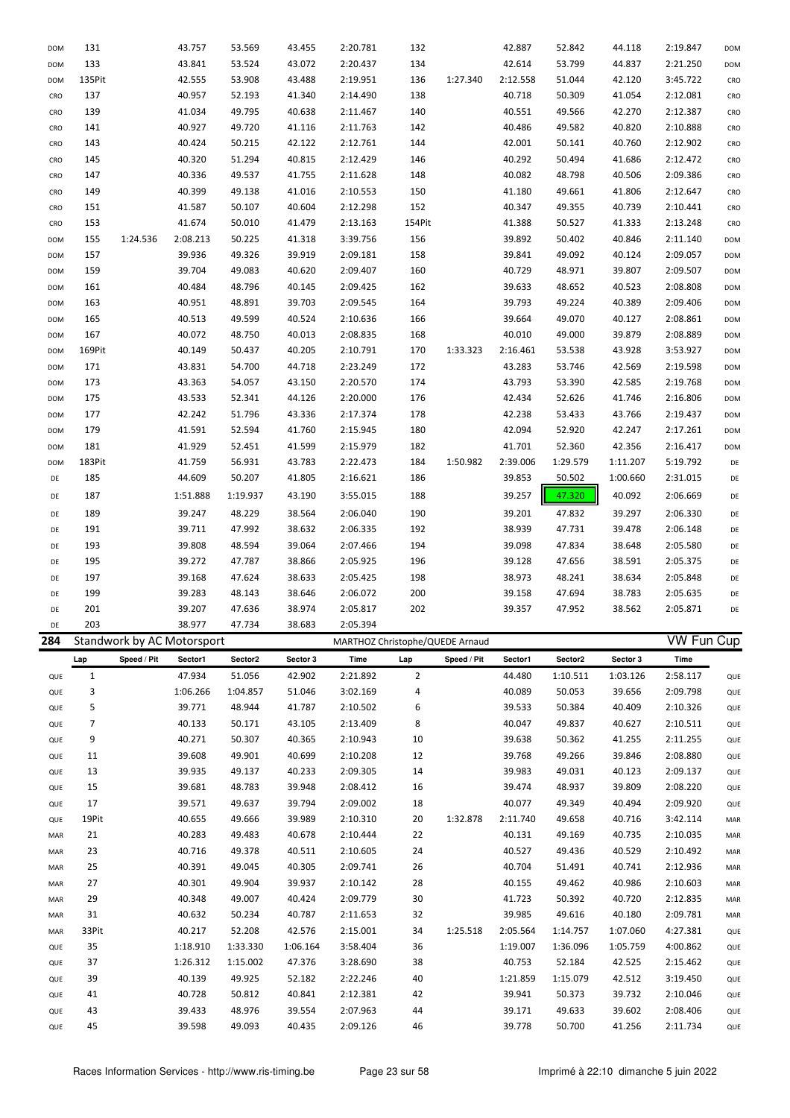| DOM        | 131          |                            | 43.757   | 53.569   | 43.455   | 2:20.781                        | 132            |             | 42.887   | 52.842   | 44.118   | 2:19.847   | <b>DOM</b> |
|------------|--------------|----------------------------|----------|----------|----------|---------------------------------|----------------|-------------|----------|----------|----------|------------|------------|
| DOM        | 133          |                            | 43.841   | 53.524   | 43.072   | 2:20.437                        | 134            |             | 42.614   | 53.799   | 44.837   | 2:21.250   | <b>DOM</b> |
| <b>DOM</b> | 135Pit       |                            | 42.555   | 53.908   | 43.488   | 2:19.951                        | 136            | 1:27.340    | 2:12.558 | 51.044   | 42.120   | 3:45.722   | CRO        |
| CRO        | 137          |                            | 40.957   | 52.193   | 41.340   | 2:14.490                        | 138            |             | 40.718   | 50.309   | 41.054   | 2:12.081   | CRO        |
| CRO        | 139          |                            | 41.034   | 49.795   | 40.638   | 2:11.467                        | 140            |             | 40.551   | 49.566   | 42.270   | 2:12.387   | CRO        |
| CRO        | 141          |                            | 40.927   | 49.720   | 41.116   | 2:11.763                        | 142            |             | 40.486   | 49.582   | 40.820   | 2:10.888   | CRO        |
| CRO        | 143          |                            | 40.424   | 50.215   | 42.122   | 2:12.761                        | 144            |             | 42.001   | 50.141   | 40.760   | 2:12.902   | CRO        |
| CRO        | 145          |                            | 40.320   | 51.294   | 40.815   | 2:12.429                        | 146            |             | 40.292   | 50.494   | 41.686   | 2:12.472   | CRO        |
| CRO        | 147          |                            | 40.336   | 49.537   | 41.755   | 2:11.628                        | 148            |             | 40.082   | 48.798   | 40.506   | 2:09.386   | CRO        |
| CRO        | 149          |                            | 40.399   | 49.138   | 41.016   | 2:10.553                        | 150            |             | 41.180   | 49.661   | 41.806   | 2:12.647   | CRO        |
|            | 151          |                            | 41.587   | 50.107   | 40.604   | 2:12.298                        | 152            |             | 40.347   | 49.355   | 40.739   | 2:10.441   |            |
| CRO        |              |                            |          |          |          |                                 |                |             |          |          |          |            | CRO        |
| CRO        | 153          |                            | 41.674   | 50.010   | 41.479   | 2:13.163                        | 154Pit         |             | 41.388   | 50.527   | 41.333   | 2:13.248   | CRO        |
| DOM        | 155          | 1:24.536                   | 2:08.213 | 50.225   | 41.318   | 3:39.756                        | 156            |             | 39.892   | 50.402   | 40.846   | 2:11.140   | <b>DOM</b> |
| DOM        | 157          |                            | 39.936   | 49.326   | 39.919   | 2:09.181                        | 158            |             | 39.841   | 49.092   | 40.124   | 2:09.057   | <b>DOM</b> |
| DOM        | 159          |                            | 39.704   | 49.083   | 40.620   | 2:09.407                        | 160            |             | 40.729   | 48.971   | 39.807   | 2:09.507   | <b>DOM</b> |
| DOM        | 161          |                            | 40.484   | 48.796   | 40.145   | 2:09.425                        | 162            |             | 39.633   | 48.652   | 40.523   | 2:08.808   | <b>DOM</b> |
| DOM        | 163          |                            | 40.951   | 48.891   | 39.703   | 2:09.545                        | 164            |             | 39.793   | 49.224   | 40.389   | 2:09.406   | <b>DOM</b> |
| DOM        | 165          |                            | 40.513   | 49.599   | 40.524   | 2:10.636                        | 166            |             | 39.664   | 49.070   | 40.127   | 2:08.861   | <b>DOM</b> |
| DOM        | 167          |                            | 40.072   | 48.750   | 40.013   | 2:08.835                        | 168            |             | 40.010   | 49.000   | 39.879   | 2:08.889   | <b>DOM</b> |
| <b>DOM</b> | 169Pit       |                            | 40.149   | 50.437   | 40.205   | 2:10.791                        | 170            | 1:33.323    | 2:16.461 | 53.538   | 43.928   | 3:53.927   | <b>DOM</b> |
| DOM        | 171          |                            | 43.831   | 54.700   | 44.718   | 2:23.249                        | 172            |             | 43.283   | 53.746   | 42.569   | 2:19.598   | <b>DOM</b> |
| DOM        | 173          |                            | 43.363   | 54.057   | 43.150   | 2:20.570                        | 174            |             | 43.793   | 53.390   | 42.585   | 2:19.768   | <b>DOM</b> |
| DOM        | 175          |                            | 43.533   | 52.341   | 44.126   | 2:20.000                        | 176            |             | 42.434   | 52.626   | 41.746   | 2:16.806   | <b>DOM</b> |
| DOM        | 177          |                            | 42.242   | 51.796   | 43.336   | 2:17.374                        | 178            |             | 42.238   | 53.433   | 43.766   | 2:19.437   | <b>DOM</b> |
| DOM        | 179          |                            | 41.591   | 52.594   | 41.760   | 2:15.945                        | 180            |             | 42.094   | 52.920   | 42.247   | 2:17.261   | <b>DOM</b> |
|            |              |                            |          |          |          |                                 |                |             |          |          |          |            |            |
| DOM        | 181          |                            | 41.929   | 52.451   | 41.599   | 2:15.979                        | 182            |             | 41.701   | 52.360   | 42.356   | 2:16.417   | <b>DOM</b> |
| <b>DOM</b> | 183Pit       |                            | 41.759   | 56.931   | 43.783   | 2:22.473                        | 184            | 1:50.982    | 2:39.006 | 1:29.579 | 1:11.207 | 5:19.792   | DE         |
| DE         | 185          |                            | 44.609   | 50.207   | 41.805   | 2:16.621                        | 186            |             | 39.853   | 50.502   | 1:00.660 | 2:31.015   | DE         |
| DE         | 187          |                            | 1:51.888 | 1:19.937 | 43.190   | 3:55.015                        | 188            |             | 39.257   | 47.320   | 40.092   | 2:06.669   | DE         |
| DE         | 189          |                            | 39.247   | 48.229   | 38.564   | 2:06.040                        | 190            |             | 39.201   | 47.832   | 39.297   | 2:06.330   | DE         |
|            |              |                            |          |          |          |                                 |                |             |          | 47.731   |          |            | DE         |
| DE         | 191          |                            | 39.711   | 47.992   | 38.632   | 2:06.335                        | 192            |             | 38.939   |          | 39.478   | 2:06.148   |            |
| DE         | 193          |                            | 39.808   | 48.594   | 39.064   | 2:07.466                        | 194            |             | 39.098   | 47.834   | 38.648   | 2:05.580   | DE         |
| DE         | 195          |                            | 39.272   | 47.787   | 38.866   | 2:05.925                        | 196            |             | 39.128   | 47.656   | 38.591   | 2:05.375   | DE         |
| DE         | 197          |                            |          |          |          |                                 |                |             |          |          |          |            |            |
|            |              |                            | 39.168   | 47.624   | 38.633   | 2:05.425                        | 198            |             | 38.973   | 48.241   | 38.634   | 2:05.848   | DE         |
| DE         | 199          |                            | 39.283   | 48.143   | 38.646   | 2:06.072                        | 200            |             | 39.158   | 47.694   | 38.783   | 2:05.635   | DE         |
| DE         | 201          |                            | 39.207   | 47.636   | 38.974   | 2:05.817                        | 202            |             | 39.357   | 47.952   | 38.562   | 2:05.871   | DE         |
| DE         | 203          |                            | 38.977   | 47.734   | 38.683   | 2:05.394                        |                |             |          |          |          |            |            |
| 284        |              | Standwork by AC Motorsport |          |          |          | MARTHOZ Christophe/QUEDE Arnaud |                |             |          |          |          | VW Fun Cup |            |
|            | Lap          | Speed / Pit                | Sector1  | Sector2  | Sector 3 | Time                            | Lap            | Speed / Pit | Sector1  | Sector2  | Sector 3 | Time       |            |
| QUE        | $\mathbf{1}$ |                            | 47.934   | 51.056   | 42.902   | 2:21.892                        | $\overline{2}$ |             | 44.480   | 1:10.511 | 1:03.126 | 2:58.117   | QUE        |
| QUE        | 3            |                            | 1:06.266 | 1:04.857 | 51.046   | 3:02.169                        | 4              |             | 40.089   | 50.053   | 39.656   | 2:09.798   | QUE        |
| QUE        | 5            |                            | 39.771   | 48.944   | 41.787   | 2:10.502                        | 6              |             | 39.533   | 50.384   | 40.409   | 2:10.326   | QUE        |
| QUE        | 7            |                            | 40.133   | 50.171   | 43.105   | 2:13.409                        | 8              |             | 40.047   | 49.837   | 40.627   | 2:10.511   | QUE        |
| QUE        | 9            |                            | 40.271   | 50.307   | 40.365   | 2:10.943                        | 10             |             | 39.638   | 50.362   | 41.255   | 2:11.255   | QUE        |
| QUE        | 11           |                            | 39.608   | 49.901   | 40.699   | 2:10.208                        | 12             |             | 39.768   | 49.266   | 39.846   | 2:08.880   | QUE        |
| QUE        | 13           |                            | 39.935   | 49.137   | 40.233   | 2:09.305                        | 14             |             | 39.983   | 49.031   | 40.123   | 2:09.137   | QUE        |
| QUE        | 15           |                            | 39.681   | 48.783   | 39.948   | 2:08.412                        | 16             |             | 39.474   | 48.937   | 39.809   | 2:08.220   | QUE        |
| QUE        | 17           |                            | 39.571   | 49.637   | 39.794   | 2:09.002                        | 18             |             | 40.077   | 49.349   | 40.494   | 2:09.920   | QUE        |
| QUE        | 19Pit        |                            | 40.655   | 49.666   | 39.989   | 2:10.310                        | 20             | 1:32.878    | 2:11.740 | 49.658   | 40.716   | 3:42.114   | MAR        |
| MAR        | 21           |                            | 40.283   | 49.483   | 40.678   | 2:10.444                        | 22             |             | 40.131   | 49.169   | 40.735   | 2:10.035   | MAR        |
|            |              |                            |          |          |          |                                 |                |             |          |          |          |            |            |
| MAR        | 23           |                            | 40.716   | 49.378   | 40.511   | 2:10.605                        | 24             |             | 40.527   | 49.436   | 40.529   | 2:10.492   | MAR        |
| MAR        | 25           |                            | 40.391   | 49.045   | 40.305   | 2:09.741                        | 26             |             | 40.704   | 51.491   | 40.741   | 2:12.936   | MAR        |
| MAR        | 27           |                            | 40.301   | 49.904   | 39.937   | 2:10.142                        | 28             |             | 40.155   | 49.462   | 40.986   | 2:10.603   | MAR        |
| MAR        | 29           |                            | 40.348   | 49.007   | 40.424   | 2:09.779                        | 30             |             | 41.723   | 50.392   | 40.720   | 2:12.835   | MAR        |
| MAR        | 31           |                            | 40.632   | 50.234   | 40.787   | 2:11.653                        | 32             |             | 39.985   | 49.616   | 40.180   | 2:09.781   | MAR        |
| MAR        | 33Pit        |                            | 40.217   | 52.208   | 42.576   | 2:15.001                        | 34             | 1:25.518    | 2:05.564 | 1:14.757 | 1:07.060 | 4:27.381   | QUE        |
| QUE        | 35           |                            | 1:18.910 | 1:33.330 | 1:06.164 | 3:58.404                        | 36             |             | 1:19.007 | 1:36.096 | 1:05.759 | 4:00.862   | QUE        |
| QUE        | 37           |                            | 1:26.312 | 1:15.002 | 47.376   | 3:28.690                        | 38             |             | 40.753   | 52.184   | 42.525   | 2:15.462   | QUE        |
| QUE        | 39           |                            | 40.139   | 49.925   | 52.182   | 2:22.246                        | 40             |             | 1:21.859 | 1:15.079 | 42.512   | 3:19.450   | QUE        |
| QUE        | 41           |                            | 40.728   | 50.812   | 40.841   | 2:12.381                        | 42             |             | 39.941   | 50.373   | 39.732   | 2:10.046   | QUE        |
| QUE        | 43           |                            | 39.433   | 48.976   | 39.554   | 2:07.963                        | 44             |             | 39.171   | 49.633   | 39.602   | 2:08.406   | QUE        |
| QUE        | 45           |                            | 39.598   | 49.093   | 40.435   | 2:09.126                        | 46             |             | 39.778   | 50.700   | 41.256   | 2:11.734   | QUE        |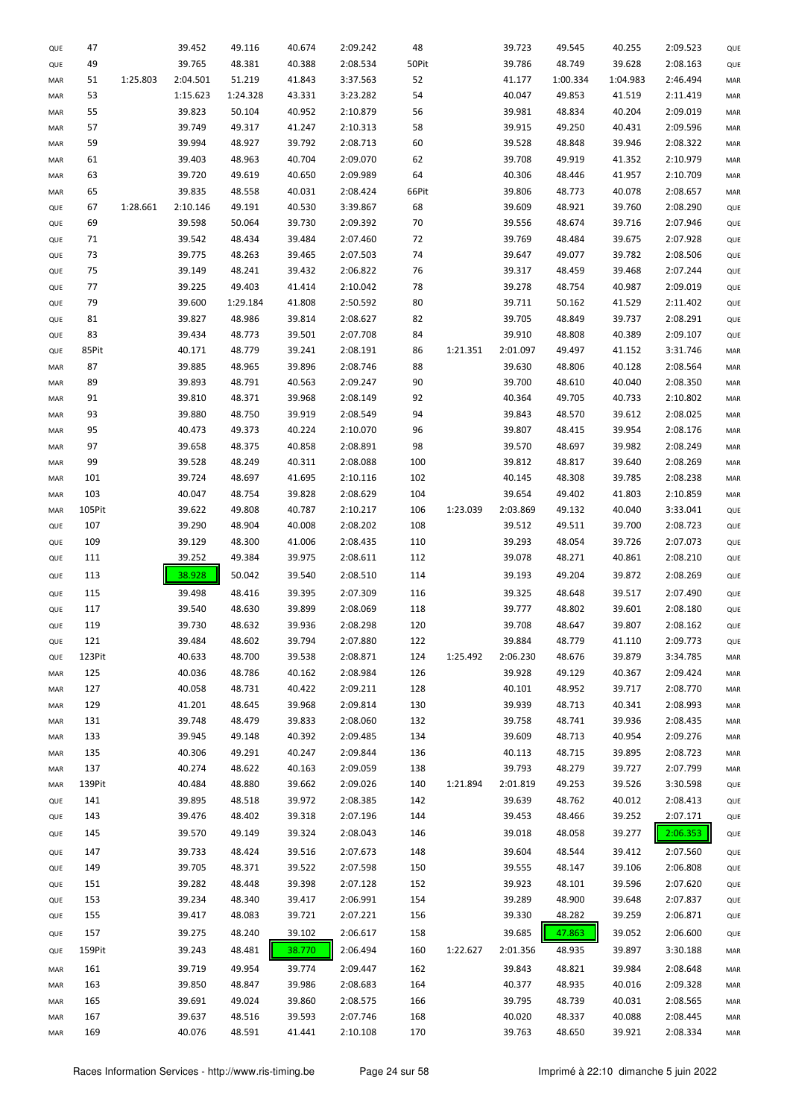| QUE | 47     |          | 39.452   | 49.116   | 40.674 | 2:09.242 | 48    |          | 39.723   | 49.545   | 40.255   | 2:09.523 | QUE |
|-----|--------|----------|----------|----------|--------|----------|-------|----------|----------|----------|----------|----------|-----|
| QUE | 49     |          | 39.765   | 48.381   | 40.388 | 2:08.534 | 50Pit |          | 39.786   | 48.749   | 39.628   | 2:08.163 | QUE |
| MAR | 51     | 1:25.803 | 2:04.501 | 51.219   | 41.843 | 3:37.563 | 52    |          | 41.177   | 1:00.334 | 1:04.983 | 2:46.494 | MAR |
|     | 53     |          |          |          |        |          |       |          | 40.047   | 49.853   |          |          |     |
| MAR |        |          | 1:15.623 | 1:24.328 | 43.331 | 3:23.282 | 54    |          |          |          | 41.519   | 2:11.419 | MAR |
| MAR | 55     |          | 39.823   | 50.104   | 40.952 | 2:10.879 | 56    |          | 39.981   | 48.834   | 40.204   | 2:09.019 | MAR |
| MAR | 57     |          | 39.749   | 49.317   | 41.247 | 2:10.313 | 58    |          | 39.915   | 49.250   | 40.431   | 2:09.596 | MAR |
| MAR | 59     |          | 39.994   | 48.927   | 39.792 | 2:08.713 | 60    |          | 39.528   | 48.848   | 39.946   | 2:08.322 | MAR |
| MAR | 61     |          | 39.403   | 48.963   | 40.704 | 2:09.070 | 62    |          | 39.708   | 49.919   | 41.352   | 2:10.979 | MAR |
| MAR | 63     |          | 39.720   | 49.619   | 40.650 | 2:09.989 | 64    |          | 40.306   | 48.446   | 41.957   | 2:10.709 | MAR |
| MAR | 65     |          | 39.835   | 48.558   | 40.031 | 2:08.424 | 66Pit |          | 39.806   | 48.773   | 40.078   | 2:08.657 | MAR |
| QUE | 67     | 1:28.661 | 2:10.146 | 49.191   | 40.530 | 3:39.867 | 68    |          | 39.609   | 48.921   | 39.760   | 2:08.290 | QUE |
| QUE | 69     |          | 39.598   | 50.064   | 39.730 | 2:09.392 | 70    |          | 39.556   | 48.674   | 39.716   | 2:07.946 | QUE |
| QUE | 71     |          | 39.542   | 48.434   | 39.484 | 2:07.460 | 72    |          | 39.769   | 48.484   | 39.675   | 2:07.928 | QUE |
|     | 73     |          | 39.775   | 48.263   | 39.465 | 2:07.503 | 74    |          | 39.647   | 49.077   | 39.782   | 2:08.506 |     |
| QUE |        |          |          |          |        |          |       |          |          |          |          |          | QUE |
| QUE | 75     |          | 39.149   | 48.241   | 39.432 | 2:06.822 | 76    |          | 39.317   | 48.459   | 39.468   | 2:07.244 | QUE |
| QUE | 77     |          | 39.225   | 49.403   | 41.414 | 2:10.042 | 78    |          | 39.278   | 48.754   | 40.987   | 2:09.019 | QUE |
| QUE | 79     |          | 39.600   | 1:29.184 | 41.808 | 2:50.592 | 80    |          | 39.711   | 50.162   | 41.529   | 2:11.402 | QUE |
| QUE | 81     |          | 39.827   | 48.986   | 39.814 | 2:08.627 | 82    |          | 39.705   | 48.849   | 39.737   | 2:08.291 | QUE |
| QUE | 83     |          | 39.434   | 48.773   | 39.501 | 2:07.708 | 84    |          | 39.910   | 48.808   | 40.389   | 2:09.107 | QUE |
| QUE | 85Pit  |          | 40.171   | 48.779   | 39.241 | 2:08.191 | 86    | 1:21.351 | 2:01.097 | 49.497   | 41.152   | 3:31.746 | MAR |
| MAR | 87     |          | 39.885   | 48.965   | 39.896 | 2:08.746 | 88    |          | 39.630   | 48.806   | 40.128   | 2:08.564 | MAR |
| MAR | 89     |          | 39.893   | 48.791   | 40.563 | 2:09.247 | 90    |          | 39.700   | 48.610   | 40.040   | 2:08.350 | MAR |
| MAR | 91     |          | 39.810   | 48.371   | 39.968 | 2:08.149 | 92    |          | 40.364   | 49.705   | 40.733   | 2:10.802 | MAR |
| MAR | 93     |          | 39.880   | 48.750   | 39.919 | 2:08.549 | 94    |          | 39.843   | 48.570   | 39.612   | 2:08.025 | MAR |
| MAR | 95     |          | 40.473   | 49.373   | 40.224 | 2:10.070 | 96    |          | 39.807   | 48.415   | 39.954   | 2:08.176 | MAR |
|     | 97     |          | 39.658   | 48.375   | 40.858 | 2:08.891 | 98    |          | 39.570   | 48.697   | 39.982   | 2:08.249 | MAR |
| MAR | 99     |          | 39.528   | 48.249   |        |          |       |          | 39.812   |          |          |          |     |
| MAR |        |          |          |          | 40.311 | 2:08.088 | 100   |          |          | 48.817   | 39.640   | 2:08.269 | MAR |
| MAR | 101    |          | 39.724   | 48.697   | 41.695 | 2:10.116 | 102   |          | 40.145   | 48.308   | 39.785   | 2:08.238 | MAR |
| MAR | 103    |          | 40.047   | 48.754   | 39.828 | 2:08.629 | 104   |          | 39.654   | 49.402   | 41.803   | 2:10.859 | MAR |
| MAR | 105Pit |          | 39.622   | 49.808   | 40.787 | 2:10.217 | 106   | 1:23.039 | 2:03.869 | 49.132   | 40.040   | 3:33.041 | QUE |
| QUE | 107    |          | 39.290   | 48.904   | 40.008 | 2:08.202 | 108   |          | 39.512   | 49.511   | 39.700   | 2:08.723 | QUE |
| QUE | 109    |          | 39.129   | 48.300   | 41.006 | 2:08.435 | 110   |          | 39.293   | 48.054   | 39.726   | 2:07.073 | QUE |
| QUE | 111    |          | 39.252   | 49.384   | 39.975 | 2:08.611 | 112   |          | 39.078   | 48.271   | 40.861   | 2:08.210 | QUE |
| QUE | 113    |          | 38.928   | 50.042   | 39.540 | 2:08.510 | 114   |          | 39.193   | 49.204   | 39.872   | 2:08.269 | QUE |
| QUE | 115    |          | 39.498   | 48.416   | 39.395 | 2:07.309 | 116   |          | 39.325   | 48.648   | 39.517   | 2:07.490 | QUE |
| QUE | 117    |          | 39.540   | 48.630   | 39.899 | 2:08.069 | 118   |          | 39.777   | 48.802   | 39.601   | 2:08.180 | QUE |
| QUE | 119    |          | 39.730   | 48.632   | 39.936 | 2:08.298 | 120   |          | 39.708   | 48.647   | 39.807   | 2:08.162 | QUE |
|     | 121    |          | 39.484   | 48.602   | 39.794 | 2:07.880 | 122   |          | 39.884   | 48.779   | 41.110   | 2:09.773 |     |
| QUE |        |          |          |          |        |          |       |          |          |          |          |          | QUE |
| QUE | 123Pit |          | 40.633   | 48.700   | 39.538 | 2:08.871 | 124   | 1:25.492 | 2:06.230 | 48.676   | 39.879   | 3:34.785 | MAR |
| MAR | 125    |          | 40.036   | 48.786   | 40.162 | 2:08.984 | 126   |          | 39.928   | 49.129   | 40.367   | 2:09.424 | MAR |
| MAR | 127    |          | 40.058   | 48.731   | 40.422 | 2:09.211 | 128   |          | 40.101   | 48.952   | 39.717   | 2:08.770 | MAR |
| MAR | 129    |          | 41.201   | 48.645   | 39.968 | 2:09.814 | 130   |          | 39.939   | 48.713   | 40.341   | 2:08.993 | MAR |
| MAR | 131    |          | 39.748   | 48.479   | 39.833 | 2:08.060 | 132   |          | 39.758   | 48.741   | 39.936   | 2:08.435 | MAR |
| MAR | 133    |          | 39.945   | 49.148   | 40.392 | 2:09.485 | 134   |          | 39.609   | 48.713   | 40.954   | 2:09.276 | MAR |
| MAR | 135    |          | 40.306   | 49.291   | 40.247 | 2:09.844 | 136   |          | 40.113   | 48.715   | 39.895   | 2:08.723 | MAR |
| MAR | 137    |          | 40.274   | 48.622   | 40.163 | 2:09.059 | 138   |          | 39.793   | 48.279   | 39.727   | 2:07.799 | MAR |
| MAR | 139Pit |          | 40.484   | 48.880   | 39.662 | 2:09.026 | 140   | 1:21.894 | 2:01.819 | 49.253   | 39.526   | 3:30.598 | QUE |
| QUE | 141    |          | 39.895   | 48.518   | 39.972 | 2:08.385 | 142   |          | 39.639   | 48.762   | 40.012   | 2:08.413 | QUE |
| QUE | 143    |          | 39.476   | 48.402   | 39.318 | 2:07.196 | 144   |          | 39.453   | 48.466   | 39.252   | 2:07.171 | QUE |
| QUE | 145    |          | 39.570   | 49.149   | 39.324 | 2:08.043 | 146   |          | 39.018   | 48.058   | 39.277   | 2:06.353 |     |
|     |        |          |          |          |        |          |       |          |          |          |          |          | QUE |
| QUE | 147    |          | 39.733   | 48.424   | 39.516 | 2:07.673 | 148   |          | 39.604   | 48.544   | 39.412   | 2:07.560 | QUE |
| QUE | 149    |          | 39.705   | 48.371   | 39.522 | 2:07.598 | 150   |          | 39.555   | 48.147   | 39.106   | 2:06.808 | QUE |
| QUE | 151    |          | 39.282   | 48.448   | 39.398 | 2:07.128 | 152   |          | 39.923   | 48.101   | 39.596   | 2:07.620 | QUE |
| QUE | 153    |          | 39.234   | 48.340   | 39.417 | 2:06.991 | 154   |          | 39.289   | 48.900   | 39.648   | 2:07.837 | QUE |
| QUE | 155    |          | 39.417   | 48.083   | 39.721 | 2:07.221 | 156   |          | 39.330   | 48.282   | 39.259   | 2:06.871 | QUE |
| QUE | 157    |          | 39.275   | 48.240   | 39.102 | 2:06.617 | 158   |          | 39.685   | 47.863   | 39.052   | 2:06.600 | QUE |
| QUE | 159Pit |          | 39.243   | 48.481   | 38.770 | 2:06.494 | 160   | 1:22.627 | 2:01.356 | 48.935   | 39.897   | 3:30.188 | MAR |
|     |        |          |          |          |        |          |       |          |          |          |          |          |     |
| MAR | 161    |          | 39.719   | 49.954   | 39.774 | 2:09.447 | 162   |          | 39.843   | 48.821   | 39.984   | 2:08.648 | MAR |
| MAR | 163    |          | 39.850   | 48.847   | 39.986 | 2:08.683 | 164   |          | 40.377   | 48.935   | 40.016   | 2:09.328 | MAR |
| MAR | 165    |          | 39.691   | 49.024   | 39.860 | 2:08.575 | 166   |          | 39.795   | 48.739   | 40.031   | 2:08.565 | MAR |
| MAR | 167    |          | 39.637   | 48.516   | 39.593 | 2:07.746 | 168   |          | 40.020   | 48.337   | 40.088   | 2:08.445 | MAR |
| MAR | 169    |          | 40.076   | 48.591   | 41.441 | 2:10.108 | 170   |          | 39.763   | 48.650   | 39.921   | 2:08.334 | MAR |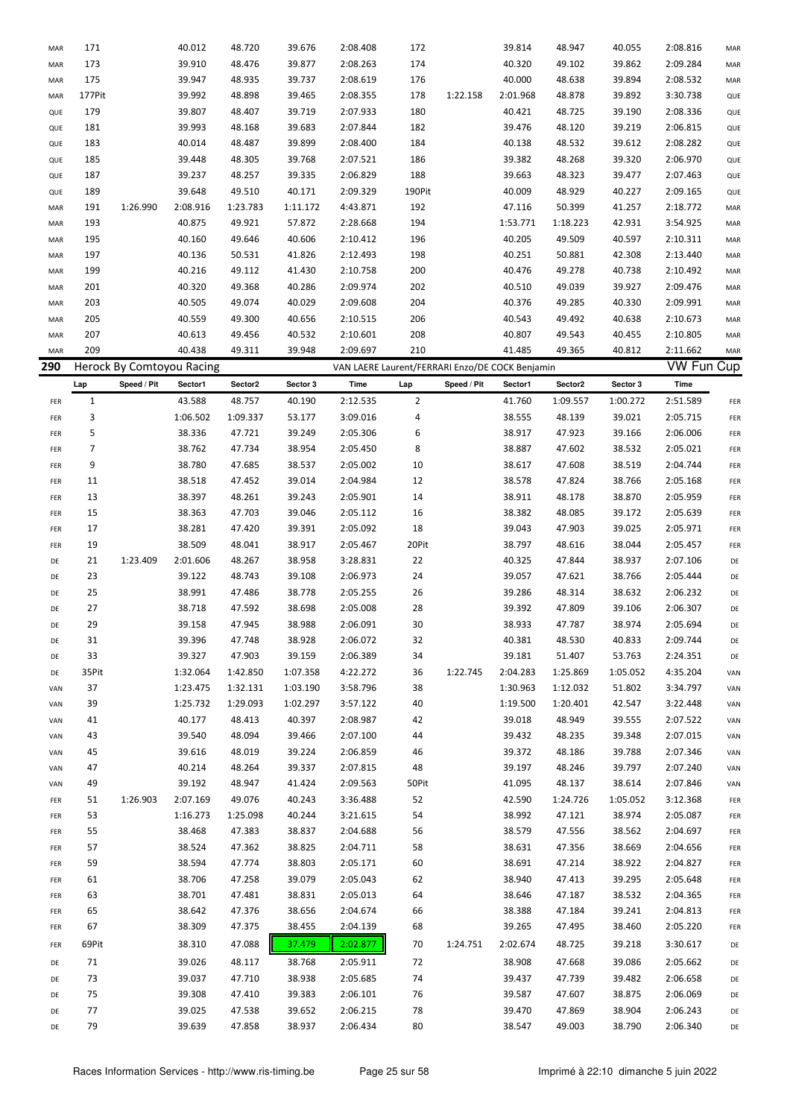| MAR | 171          |                                  | 40.012   | 48.720   | 39.676   | 2:08.408                                        | 172    |             | 39.814   | 48.947   | 40.055   | 2:08.816          | MAR |
|-----|--------------|----------------------------------|----------|----------|----------|-------------------------------------------------|--------|-------------|----------|----------|----------|-------------------|-----|
|     | 173          |                                  | 39.910   |          | 39.877   | 2:08.263                                        | 174    |             |          | 49.102   | 39.862   | 2:09.284          |     |
| MAR |              |                                  |          | 48.476   |          |                                                 |        |             | 40.320   |          |          |                   | MAR |
| MAR | 175          |                                  | 39.947   | 48.935   | 39.737   | 2:08.619                                        | 176    |             | 40.000   | 48.638   | 39.894   | 2:08.532          | MAR |
| MAR | 177Pit       |                                  | 39.992   | 48.898   | 39.465   | 2:08.355                                        | 178    | 1:22.158    | 2:01.968 | 48.878   | 39.892   | 3:30.738          | QUE |
| QUE | 179          |                                  | 39.807   | 48.407   | 39.719   | 2:07.933                                        | 180    |             | 40.421   | 48.725   | 39.190   | 2:08.336          | QUE |
| QUE | 181          |                                  | 39.993   | 48.168   | 39.683   | 2:07.844                                        | 182    |             | 39.476   | 48.120   | 39.219   | 2:06.815          | QUE |
| QUE | 183          |                                  | 40.014   | 48.487   | 39.899   | 2:08.400                                        | 184    |             | 40.138   | 48.532   | 39.612   | 2:08.282          | QUE |
| QUE | 185          |                                  | 39.448   | 48.305   | 39.768   | 2:07.521                                        | 186    |             | 39.382   | 48.268   | 39.320   | 2:06.970          | QUE |
|     |              |                                  |          |          |          |                                                 |        |             |          |          |          |                   |     |
| QUE | 187          |                                  | 39.237   | 48.257   | 39.335   | 2:06.829                                        | 188    |             | 39.663   | 48.323   | 39.477   | 2:07.463          | QUE |
| QUE | 189          |                                  | 39.648   | 49.510   | 40.171   | 2:09.329                                        | 190Pit |             | 40.009   | 48.929   | 40.227   | 2:09.165          | QUE |
| MAR | 191          | 1:26.990                         | 2:08.916 | 1:23.783 | 1:11.172 | 4:43.871                                        | 192    |             | 47.116   | 50.399   | 41.257   | 2:18.772          | MAR |
| MAR | 193          |                                  | 40.875   | 49.921   | 57.872   | 2:28.668                                        | 194    |             | 1:53.771 | 1:18.223 | 42.931   | 3:54.925          | MAR |
| MAR | 195          |                                  | 40.160   | 49.646   | 40.606   | 2:10.412                                        | 196    |             | 40.205   | 49.509   | 40.597   | 2:10.311          | MAR |
| MAR | 197          |                                  | 40.136   | 50.531   | 41.826   | 2:12.493                                        | 198    |             | 40.251   | 50.881   | 42.308   | 2:13.440          | MAR |
|     | 199          |                                  | 40.216   |          |          |                                                 |        |             | 40.476   | 49.278   |          |                   |     |
| MAR |              |                                  |          | 49.112   | 41.430   | 2:10.758                                        | 200    |             |          |          | 40.738   | 2:10.492          | MAR |
| MAR | 201          |                                  | 40.320   | 49.368   | 40.286   | 2:09.974                                        | 202    |             | 40.510   | 49.039   | 39.927   | 2:09.476          | MAR |
| MAR | 203          |                                  | 40.505   | 49.074   | 40.029   | 2:09.608                                        | 204    |             | 40.376   | 49.285   | 40.330   | 2:09.991          | MAR |
| MAR | 205          |                                  | 40.559   | 49.300   | 40.656   | 2:10.515                                        | 206    |             | 40.543   | 49.492   | 40.638   | 2:10.673          | MAR |
| MAR | 207          |                                  | 40.613   | 49.456   | 40.532   | 2:10.601                                        | 208    |             | 40.807   | 49.543   | 40.455   | 2:10.805          | MAR |
| MAR | 209          |                                  | 40.438   | 49.311   | 39.948   | 2:09.697                                        | 210    |             | 41.485   | 49.365   | 40.812   | 2:11.662          | MAR |
| 290 |              | <b>Herock By Comtoyou Racing</b> |          |          |          |                                                 |        |             |          |          |          | <b>VW Fun Cup</b> |     |
|     |              |                                  |          |          |          | VAN LAERE Laurent/FERRARI Enzo/DE COCK Benjamin |        |             |          |          |          |                   |     |
|     | Lap          | Speed / Pit                      | Sector1  | Sector2  | Sector 3 | Time                                            | Lap    | Speed / Pit | Sector1  | Sector2  | Sector 3 | <b>Time</b>       |     |
| FER | $\mathbf{1}$ |                                  | 43.588   | 48.757   | 40.190   | 2:12.535                                        | 2      |             | 41.760   | 1:09.557 | 1:00.272 | 2:51.589          | FER |
| FER | 3            |                                  | 1:06.502 | 1:09.337 | 53.177   | 3:09.016                                        | 4      |             | 38.555   | 48.139   | 39.021   | 2:05.715          | FER |
| FER | 5            |                                  | 38.336   | 47.721   | 39.249   | 2:05.306                                        | 6      |             | 38.917   | 47.923   | 39.166   | 2:06.006          | FER |
| FER | 7            |                                  | 38.762   | 47.734   | 38.954   | 2:05.450                                        | 8      |             | 38.887   | 47.602   | 38.532   | 2:05.021          | FER |
|     |              |                                  |          |          |          |                                                 |        |             |          |          |          |                   |     |
| FER | 9            |                                  | 38.780   | 47.685   | 38.537   | 2:05.002                                        | 10     |             | 38.617   | 47.608   | 38.519   | 2:04.744          | FER |
| FER | 11           |                                  | 38.518   | 47.452   | 39.014   | 2:04.984                                        | 12     |             | 38.578   | 47.824   | 38.766   | 2:05.168          | FER |
| FER | 13           |                                  | 38.397   | 48.261   | 39.243   | 2:05.901                                        | 14     |             | 38.911   | 48.178   | 38.870   | 2:05.959          | FER |
| FER | 15           |                                  | 38.363   | 47.703   | 39.046   | 2:05.112                                        | 16     |             | 38.382   | 48.085   | 39.172   | 2:05.639          | FER |
| FER | 17           |                                  | 38.281   | 47.420   | 39.391   | 2:05.092                                        | 18     |             | 39.043   | 47.903   | 39.025   | 2:05.971          | FER |
| FER | 19           |                                  | 38.509   | 48.041   | 38.917   | 2:05.467                                        | 20Pit  |             | 38.797   | 48.616   | 38.044   | 2:05.457          | FER |
|     | 21           |                                  |          | 48.267   |          |                                                 |        |             |          | 47.844   |          | 2:07.106          |     |
| DE  |              | 1:23.409                         | 2:01.606 |          | 38.958   | 3:28.831                                        | 22     |             | 40.325   |          | 38.937   |                   | DE  |
| DE  | 23           |                                  | 39.122   | 48.743   | 39.108   | 2:06.973                                        | 24     |             | 39.057   | 47.621   | 38.766   | 2:05.444          | DE  |
| DE  | 25           |                                  | 38.991   | 47.486   | 38.778   | 2:05.255                                        | 26     |             | 39.286   | 48.314   | 38.632   | 2:06.232          | DE  |
| DE  | 27           |                                  | 38.718   | 47.592   | 38.698   | 2:05.008                                        | 28     |             | 39.392   | 47.809   | 39.106   | 2:06.307          | DE  |
| DE  | 29           |                                  | 39.158   | 47.945   | 38.988   | 2:06.091                                        | 30     |             | 38.933   | 47.787   | 38.974   | 2:05.694          | DE  |
| DE  | 31           |                                  | 39.396   | 47.748   | 38.928   | 2:06.072                                        | 32     |             | 40.381   | 48.530   | 40.833   | 2:09.744          | DE  |
| DE  | 33           |                                  | 39.327   | 47.903   | 39.159   | 2:06.389                                        | 34     |             | 39.181   | 51.407   | 53.763   | 2:24.351          | DE  |
|     |              |                                  |          |          |          |                                                 |        |             |          |          |          |                   |     |
| DE  | 35Pit        |                                  | 1:32.064 | 1:42.850 | 1:07.358 | 4:22.272                                        | 36     | 1:22.745    | 2:04.283 | 1:25.869 | 1:05.052 | 4:35.204          | VAN |
| VAN | 37           |                                  | 1:23.475 | 1:32.131 | 1:03.190 | 3:58.796                                        | 38     |             | 1:30.963 | 1:12.032 | 51.802   | 3:34.797          | VAN |
| VAN | 39           |                                  | 1:25.732 | 1:29.093 | 1:02.297 | 3:57.122                                        | 40     |             | 1:19.500 | 1:20.401 | 42.547   | 3:22.448          | VAN |
| VAN | 41           |                                  | 40.177   | 48.413   | 40.397   | 2:08.987                                        | 42     |             | 39.018   | 48.949   | 39.555   | 2:07.522          | VAN |
| VAN | 43           |                                  | 39.540   | 48.094   | 39.466   | 2:07.100                                        | 44     |             | 39.432   | 48.235   | 39.348   | 2:07.015          | VAN |
| VAN | 45           |                                  | 39.616   | 48.019   | 39.224   | 2:06.859                                        | 46     |             | 39.372   | 48.186   | 39.788   | 2:07.346          | VAN |
| VAN | 47           |                                  | 40.214   | 48.264   | 39.337   | 2:07.815                                        | 48     |             | 39.197   | 48.246   | 39.797   | 2:07.240          | VAN |
|     |              |                                  |          |          |          |                                                 |        |             |          |          |          |                   |     |
| VAN | 49           |                                  | 39.192   | 48.947   | 41.424   | 2:09.563                                        | 50Pit  |             | 41.095   | 48.137   | 38.614   | 2:07.846          | VAN |
| FER | 51           | 1:26.903                         | 2:07.169 | 49.076   | 40.243   | 3:36.488                                        | 52     |             | 42.590   | 1:24.726 | 1:05.052 | 3:12.368          | FER |
| FER | 53           |                                  | 1:16.273 | 1:25.098 | 40.244   | 3:21.615                                        | 54     |             | 38.992   | 47.121   | 38.974   | 2:05.087          | FER |
| FER | 55           |                                  | 38.468   | 47.383   | 38.837   | 2:04.688                                        | 56     |             | 38.579   | 47.556   | 38.562   | 2:04.697          | FER |
| FER | 57           |                                  | 38.524   | 47.362   | 38.825   | 2:04.711                                        | 58     |             | 38.631   | 47.356   | 38.669   | 2:04.656          | FER |
| FER | 59           |                                  | 38.594   | 47.774   | 38.803   | 2:05.171                                        | 60     |             | 38.691   | 47.214   | 38.922   | 2:04.827          | FER |
|     |              |                                  |          |          |          |                                                 |        |             |          |          |          |                   |     |
| FER | 61           |                                  | 38.706   | 47.258   | 39.079   | 2:05.043                                        | 62     |             | 38.940   | 47.413   | 39.295   | 2:05.648          | FER |
| FER | 63           |                                  | 38.701   | 47.481   | 38.831   | 2:05.013                                        | 64     |             | 38.646   | 47.187   | 38.532   | 2:04.365          | FER |
| FER | 65           |                                  | 38.642   | 47.376   | 38.656   | 2:04.674                                        | 66     |             | 38.388   | 47.184   | 39.241   | 2:04.813          | FER |
| FER | 67           |                                  | 38.309   | 47.375   | 38.455   | 2:04.139                                        | 68     |             | 39.265   | 47.495   | 38.460   | 2:05.220          | FER |
| FER | 69Pit        |                                  | 38.310   | 47.088   | 37.479   | 2:02.877                                        | 70     | 1:24.751    | 2:02.674 | 48.725   | 39.218   | 3:30.617          | DE  |
|     |              |                                  |          |          |          |                                                 |        |             |          |          |          |                   |     |
| DE  | 71           |                                  | 39.026   | 48.117   | 38.768   | 2:05.911                                        | 72     |             | 38.908   | 47.668   | 39.086   | 2:05.662          | DE  |
| DE  | 73           |                                  | 39.037   | 47.710   | 38.938   | 2:05.685                                        | 74     |             | 39.437   | 47.739   | 39.482   | 2:06.658          | DE  |
| DE  | 75           |                                  | 39.308   | 47.410   | 39.383   | 2:06.101                                        | 76     |             | 39.587   | 47.607   | 38.875   | 2:06.069          | DE  |
| DE  | 77           |                                  | 39.025   | 47.538   | 39.652   | 2:06.215                                        | 78     |             | 39.470   | 47.869   | 38.904   | 2:06.243          | DE  |
| DE  | 79           |                                  | 39.639   | 47.858   | 38.937   | 2:06.434                                        | 80     |             | 38.547   | 49.003   | 38.790   | 2:06.340          | DE  |
|     |              |                                  |          |          |          |                                                 |        |             |          |          |          |                   |     |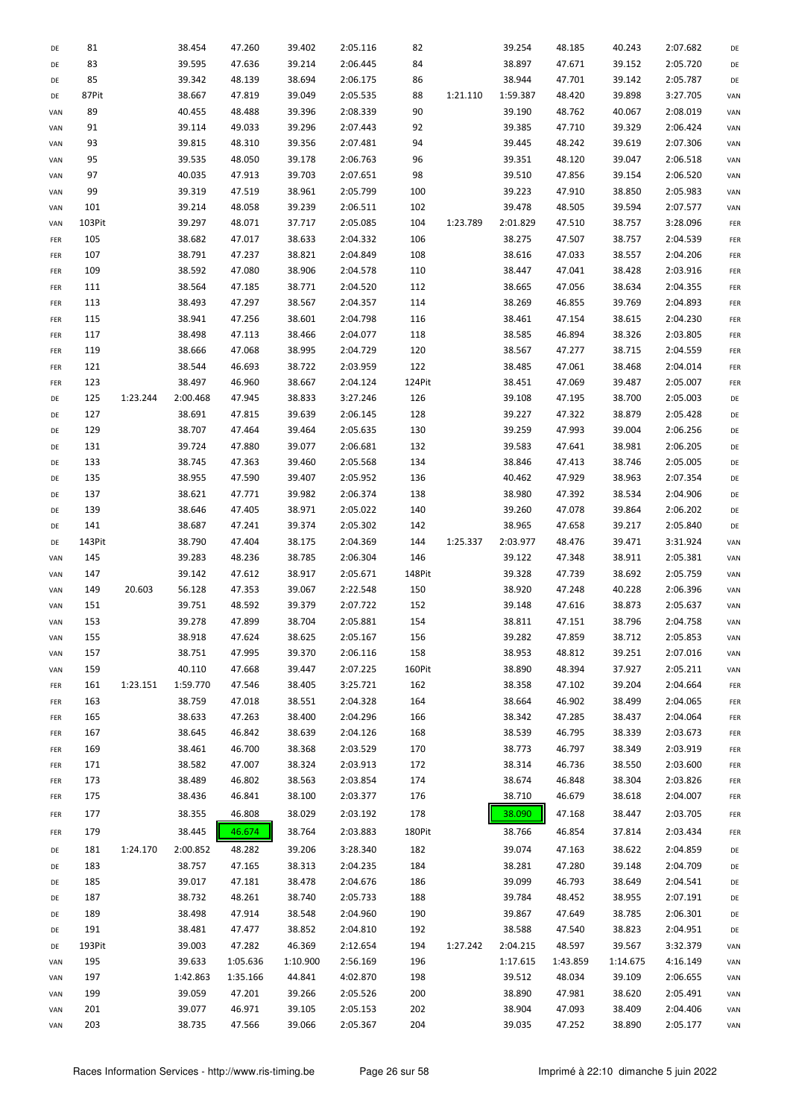| DE  | 81     |          | 38.454   | 47.260   | 39.402   | 2:05.116 | 82     |          | 39.254   | 48.185   | 40.243   | 2:07.682 | DE  |
|-----|--------|----------|----------|----------|----------|----------|--------|----------|----------|----------|----------|----------|-----|
| DE  | 83     |          | 39.595   | 47.636   | 39.214   | 2:06.445 | 84     |          | 38.897   | 47.671   | 39.152   | 2:05.720 | DE  |
| DE  | 85     |          | 39.342   | 48.139   | 38.694   | 2:06.175 | 86     |          | 38.944   | 47.701   | 39.142   | 2:05.787 | DE  |
| DE  | 87Pit  |          | 38.667   | 47.819   | 39.049   | 2:05.535 | 88     | 1:21.110 | 1:59.387 | 48.420   | 39.898   | 3:27.705 | VAN |
| VAN | 89     |          | 40.455   | 48.488   | 39.396   | 2:08.339 | 90     |          | 39.190   | 48.762   | 40.067   | 2:08.019 | VAN |
| VAN | 91     |          | 39.114   | 49.033   | 39.296   | 2:07.443 | 92     |          | 39.385   | 47.710   | 39.329   | 2:06.424 | VAN |
| VAN | 93     |          | 39.815   | 48.310   | 39.356   | 2:07.481 | 94     |          | 39.445   | 48.242   | 39.619   | 2:07.306 | VAN |
|     | 95     |          |          |          |          |          |        |          |          |          |          |          |     |
| VAN |        |          | 39.535   | 48.050   | 39.178   | 2:06.763 | 96     |          | 39.351   | 48.120   | 39.047   | 2:06.518 | VAN |
| VAN | 97     |          | 40.035   | 47.913   | 39.703   | 2:07.651 | 98     |          | 39.510   | 47.856   | 39.154   | 2:06.520 | VAN |
| VAN | 99     |          | 39.319   | 47.519   | 38.961   | 2:05.799 | 100    |          | 39.223   | 47.910   | 38.850   | 2:05.983 | VAN |
| VAN | 101    |          | 39.214   | 48.058   | 39.239   | 2:06.511 | 102    |          | 39.478   | 48.505   | 39.594   | 2:07.577 | VAN |
| VAN | 103Pit |          | 39.297   | 48.071   | 37.717   | 2:05.085 | 104    | 1:23.789 | 2:01.829 | 47.510   | 38.757   | 3:28.096 | FER |
| FER | 105    |          | 38.682   | 47.017   | 38.633   | 2:04.332 | 106    |          | 38.275   | 47.507   | 38.757   | 2:04.539 | FER |
| FER | 107    |          | 38.791   | 47.237   | 38.821   | 2:04.849 | 108    |          | 38.616   | 47.033   | 38.557   | 2:04.206 | FER |
| FER | 109    |          | 38.592   | 47.080   | 38.906   | 2:04.578 | 110    |          | 38.447   | 47.041   | 38.428   | 2:03.916 | FER |
| FER | 111    |          | 38.564   | 47.185   | 38.771   | 2:04.520 | 112    |          | 38.665   | 47.056   | 38.634   | 2:04.355 | FER |
| FER | 113    |          | 38.493   | 47.297   | 38.567   | 2:04.357 | 114    |          | 38.269   | 46.855   | 39.769   | 2:04.893 | FER |
| FER | 115    |          | 38.941   | 47.256   | 38.601   | 2:04.798 | 116    |          | 38.461   | 47.154   | 38.615   | 2:04.230 | FER |
| FER | 117    |          | 38.498   | 47.113   | 38.466   | 2:04.077 | 118    |          | 38.585   | 46.894   | 38.326   | 2:03.805 | FER |
| FER | 119    |          | 38.666   | 47.068   | 38.995   | 2:04.729 | 120    |          | 38.567   | 47.277   | 38.715   | 2:04.559 | FER |
| FER | 121    |          | 38.544   | 46.693   | 38.722   | 2:03.959 | 122    |          | 38.485   | 47.061   | 38.468   | 2:04.014 | FER |
|     |        |          |          |          |          |          |        |          |          |          |          |          |     |
| FER | 123    |          | 38.497   | 46.960   | 38.667   | 2:04.124 | 124Pit |          | 38.451   | 47.069   | 39.487   | 2:05.007 | FER |
| DE  | 125    | 1:23.244 | 2:00.468 | 47.945   | 38.833   | 3:27.246 | 126    |          | 39.108   | 47.195   | 38.700   | 2:05.003 | DE  |
| DE  | 127    |          | 38.691   | 47.815   | 39.639   | 2:06.145 | 128    |          | 39.227   | 47.322   | 38.879   | 2:05.428 | DE  |
| DE  | 129    |          | 38.707   | 47.464   | 39.464   | 2:05.635 | 130    |          | 39.259   | 47.993   | 39.004   | 2:06.256 | DE  |
| DE  | 131    |          | 39.724   | 47.880   | 39.077   | 2:06.681 | 132    |          | 39.583   | 47.641   | 38.981   | 2:06.205 | DE  |
| DE  | 133    |          | 38.745   | 47.363   | 39.460   | 2:05.568 | 134    |          | 38.846   | 47.413   | 38.746   | 2:05.005 | DE  |
| DE  | 135    |          | 38.955   | 47.590   | 39.407   | 2:05.952 | 136    |          | 40.462   | 47.929   | 38.963   | 2:07.354 | DE  |
| DE  | 137    |          | 38.621   | 47.771   | 39.982   | 2:06.374 | 138    |          | 38.980   | 47.392   | 38.534   | 2:04.906 | DE  |
| DE  | 139    |          | 38.646   | 47.405   | 38.971   | 2:05.022 | 140    |          | 39.260   | 47.078   | 39.864   | 2:06.202 | DE  |
| DE  | 141    |          | 38.687   | 47.241   | 39.374   | 2:05.302 | 142    |          | 38.965   | 47.658   | 39.217   | 2:05.840 | DE  |
| DE  | 143Pit |          | 38.790   | 47.404   | 38.175   | 2:04.369 | 144    | 1:25.337 | 2:03.977 | 48.476   | 39.471   | 3:31.924 | VAN |
| VAN | 145    |          | 39.283   | 48.236   | 38.785   | 2:06.304 | 146    |          | 39.122   | 47.348   | 38.911   | 2:05.381 | VAN |
| VAN | 147    |          | 39.142   | 47.612   | 38.917   | 2:05.671 | 148Pit |          | 39.328   | 47.739   | 38.692   | 2:05.759 | VAN |
| VAN | 149    | 20.603   | 56.128   | 47.353   | 39.067   | 2:22.548 | 150    |          | 38.920   | 47.248   | 40.228   | 2:06.396 | VAN |
| VAN | 151    |          | 39.751   | 48.592   | 39.379   | 2:07.722 | 152    |          | 39.148   | 47.616   | 38.873   | 2:05.637 | VAN |
| VAN | 153    |          | 39.278   | 47.899   | 38.704   | 2:05.881 | 154    |          | 38.811   | 47.151   | 38.796   | 2:04.758 | VAN |
| VAN | 155    |          | 38.918   | 47.624   | 38.625   | 2:05.167 | 156    |          | 39.282   | 47.859   | 38.712   | 2:05.853 | VAN |
| VAN | 157    |          | 38.751   | 47.995   | 39.370   | 2:06.116 | 158    |          | 38.953   | 48.812   | 39.251   | 2:07.016 | VAN |
|     |        |          |          |          |          |          |        |          |          |          |          |          |     |
| VAN | 159    |          | 40.110   | 47.668   | 39.447   | 2:07.225 | 160Pit |          | 38.890   | 48.394   | 37.927   | 2:05.211 | VAN |
| FER | 161    | 1:23.151 | 1:59.770 | 47.546   | 38.405   | 3:25.721 | 162    |          | 38.358   | 47.102   | 39.204   | 2:04.664 | FER |
| FER | 163    |          | 38.759   | 47.018   | 38.551   | 2:04.328 | 164    |          | 38.664   | 46.902   | 38.499   | 2:04.065 | FER |
| FER | 165    |          | 38.633   | 47.263   | 38.400   | 2:04.296 | 166    |          | 38.342   | 47.285   | 38.437   | 2:04.064 | FER |
| FER | 167    |          | 38.645   | 46.842   | 38.639   | 2:04.126 | 168    |          | 38.539   | 46.795   | 38.339   | 2:03.673 | FER |
| FER | 169    |          | 38.461   | 46.700   | 38.368   | 2:03.529 | 170    |          | 38.773   | 46.797   | 38.349   | 2:03.919 | FER |
| FER | 171    |          | 38.582   | 47.007   | 38.324   | 2:03.913 | 172    |          | 38.314   | 46.736   | 38.550   | 2:03.600 | FER |
| FER | 173    |          | 38.489   | 46.802   | 38.563   | 2:03.854 | 174    |          | 38.674   | 46.848   | 38.304   | 2:03.826 | FER |
| FER | 175    |          | 38.436   | 46.841   | 38.100   | 2:03.377 | 176    |          | 38.710   | 46.679   | 38.618   | 2:04.007 | FER |
| FER | 177    |          | 38.355   | 46.808   | 38.029   | 2:03.192 | 178    |          | 38.090   | 47.168   | 38.447   | 2:03.705 | FER |
| FER | 179    |          | 38.445   | 46.674   | 38.764   | 2:03.883 | 180Pit |          | 38.766   | 46.854   | 37.814   | 2:03.434 | FER |
| DE  | 181    | 1:24.170 | 2:00.852 | 48.282   | 39.206   | 3:28.340 | 182    |          | 39.074   | 47.163   | 38.622   | 2:04.859 | DE  |
|     |        |          |          |          |          |          |        |          |          |          |          |          |     |
| DE  | 183    |          | 38.757   | 47.165   | 38.313   | 2:04.235 | 184    |          | 38.281   | 47.280   | 39.148   | 2:04.709 | DE  |
| DE  | 185    |          | 39.017   | 47.181   | 38.478   | 2:04.676 | 186    |          | 39.099   | 46.793   | 38.649   | 2:04.541 | DE  |
| DE  | 187    |          | 38.732   | 48.261   | 38.740   | 2:05.733 | 188    |          | 39.784   | 48.452   | 38.955   | 2:07.191 | DE  |
| DE  | 189    |          | 38.498   | 47.914   | 38.548   | 2:04.960 | 190    |          | 39.867   | 47.649   | 38.785   | 2:06.301 | DE  |
| DE  | 191    |          | 38.481   | 47.477   | 38.852   | 2:04.810 | 192    |          | 38.588   | 47.540   | 38.823   | 2:04.951 | DE  |
| DE  | 193Pit |          | 39.003   | 47.282   | 46.369   | 2:12.654 | 194    | 1:27.242 | 2:04.215 | 48.597   | 39.567   | 3:32.379 | VAN |
| VAN | 195    |          | 39.633   | 1:05.636 | 1:10.900 | 2:56.169 | 196    |          | 1:17.615 | 1:43.859 | 1:14.675 | 4:16.149 | VAN |
| VAN | 197    |          | 1:42.863 | 1:35.166 | 44.841   | 4:02.870 | 198    |          | 39.512   | 48.034   | 39.109   | 2:06.655 | VAN |
| VAN | 199    |          | 39.059   | 47.201   | 39.266   | 2:05.526 | 200    |          | 38.890   | 47.981   | 38.620   | 2:05.491 | VAN |
| VAN | 201    |          | 39.077   | 46.971   | 39.105   | 2:05.153 | 202    |          | 38.904   | 47.093   | 38.409   | 2:04.406 | VAN |
| VAN | 203    |          | 38.735   | 47.566   | 39.066   | 2:05.367 | 204    |          | 39.035   | 47.252   | 38.890   | 2:05.177 | VAN |
|     |        |          |          |          |          |          |        |          |          |          |          |          |     |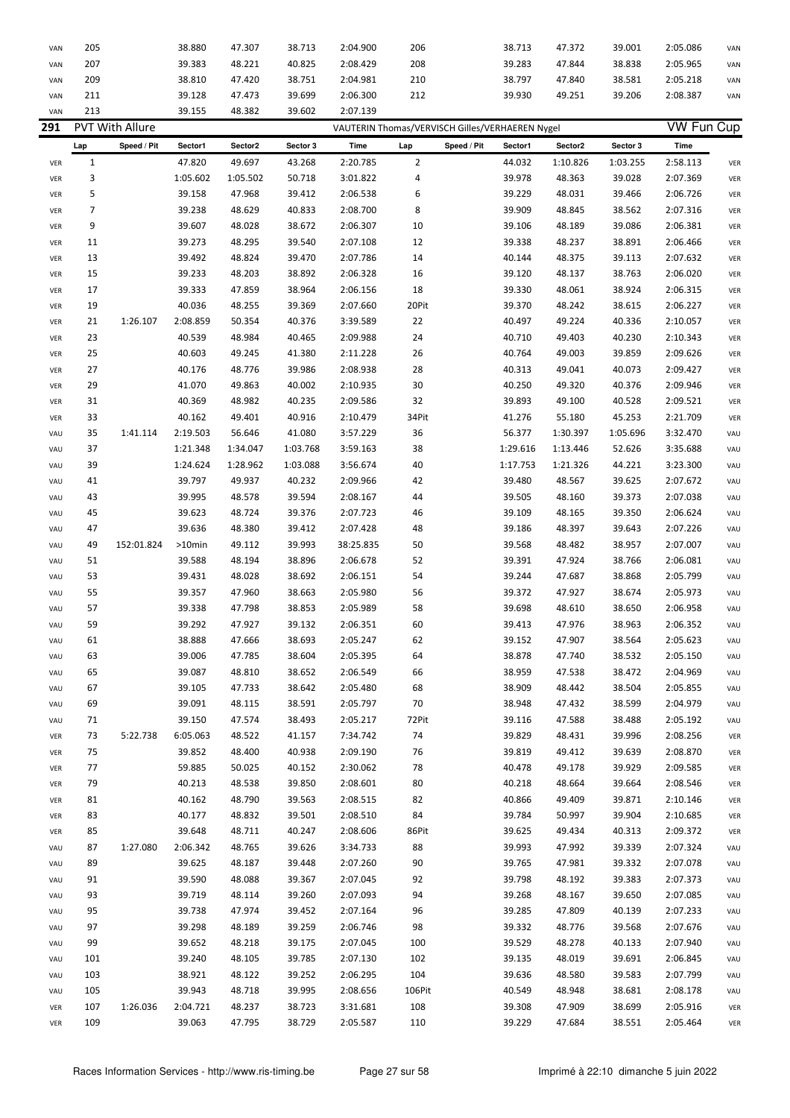| VAN | 205 |                 | 38.880    | 47.307           | 38.713   | 2:04.900                                        | 206            |             | 38.713   | 47.372   | 39.001   | 2:05.086          | VAN |
|-----|-----|-----------------|-----------|------------------|----------|-------------------------------------------------|----------------|-------------|----------|----------|----------|-------------------|-----|
| VAN | 207 |                 | 39.383    | 48.221           | 40.825   | 2:08.429                                        | 208            |             | 39.283   | 47.844   | 38.838   | 2:05.965          | VAN |
| VAN | 209 |                 | 38.810    | 47.420           | 38.751   | 2:04.981                                        | 210            |             | 38.797   | 47.840   | 38.581   | 2:05.218          | VAN |
| VAN | 211 |                 | 39.128    | 47.473           | 39.699   | 2:06.300                                        | 212            |             | 39.930   | 49.251   | 39.206   | 2:08.387          | VAN |
| VAN | 213 |                 | 39.155    | 48.382           | 39.602   | 2:07.139                                        |                |             |          |          |          |                   |     |
| 291 |     | PVT With Allure |           |                  |          | VAUTERIN Thomas/VERVISCH Gilles/VERHAEREN Nygel |                |             |          |          |          | <b>VW Fun Cup</b> |     |
|     | Lap | Speed / Pit     | Sector1   | Sector2          | Sector 3 | Time                                            | Lap            | Speed / Pit | Sector1  | Sector2  | Sector 3 | Time              |     |
| VER | 1   |                 | 47.820    | 49.697           | 43.268   | 2:20.785                                        | $\overline{2}$ |             | 44.032   | 1:10.826 | 1:03.255 | 2:58.113          | VER |
| VER | 3   |                 | 1:05.602  | 1:05.502         | 50.718   | 3:01.822                                        | 4              |             | 39.978   | 48.363   | 39.028   | 2:07.369          | VER |
| VER | 5   |                 | 39.158    | 47.968           | 39.412   | 2:06.538                                        | 6              |             | 39.229   | 48.031   | 39.466   | 2:06.726          | VER |
| VER | 7   |                 | 39.238    | 48.629           | 40.833   | 2:08.700                                        | 8              |             | 39.909   | 48.845   | 38.562   | 2:07.316          | VER |
| VER | 9   |                 | 39.607    | 48.028           | 38.672   | 2:06.307                                        | 10             |             | 39.106   | 48.189   | 39.086   | 2:06.381          | VER |
| VER | 11  |                 | 39.273    | 48.295           | 39.540   | 2:07.108                                        | 12             |             | 39.338   | 48.237   | 38.891   | 2:06.466          | VER |
| VER | 13  |                 | 39.492    | 48.824           | 39.470   | 2:07.786                                        | 14             |             | 40.144   | 48.375   | 39.113   | 2:07.632          | VER |
| VER | 15  |                 | 39.233    | 48.203           | 38.892   | 2:06.328                                        | 16             |             | 39.120   | 48.137   | 38.763   | 2:06.020          | VER |
|     | 17  |                 | 39.333    | 47.859           | 38.964   | 2:06.156                                        |                |             | 39.330   |          |          |                   |     |
| VER | 19  |                 | 40.036    |                  | 39.369   | 2:07.660                                        | 18             |             | 39.370   | 48.061   | 38.924   | 2:06.315          | VER |
| VER |     | 1:26.107        | 2:08.859  | 48.255<br>50.354 | 40.376   |                                                 | 20Pit<br>22    |             | 40.497   | 48.242   | 38.615   | 2:06.227          | VER |
| VER | 21  |                 | 40.539    | 48.984           | 40.465   | 3:39.589<br>2:09.988                            |                |             | 40.710   | 49.224   | 40.336   | 2:10.057          | VER |
| VER | 23  |                 |           |                  |          |                                                 | 24             |             |          | 49.403   | 40.230   | 2:10.343          | VER |
| VER | 25  |                 | 40.603    | 49.245           | 41.380   | 2:11.228                                        | 26             |             | 40.764   | 49.003   | 39.859   | 2:09.626          | VER |
| VER | 27  |                 | 40.176    | 48.776           | 39.986   | 2:08.938                                        | 28             |             | 40.313   | 49.041   | 40.073   | 2:09.427          | VER |
| VER | 29  |                 | 41.070    | 49.863           | 40.002   | 2:10.935                                        | 30             |             | 40.250   | 49.320   | 40.376   | 2:09.946          | VER |
| VER | 31  |                 | 40.369    | 48.982           | 40.235   | 2:09.586                                        | 32             |             | 39.893   | 49.100   | 40.528   | 2:09.521          | VER |
| VER | 33  |                 | 40.162    | 49.401           | 40.916   | 2:10.479                                        | 34Pit          |             | 41.276   | 55.180   | 45.253   | 2:21.709          | VER |
| VAU | 35  | 1:41.114        | 2:19.503  | 56.646           | 41.080   | 3:57.229                                        | 36             |             | 56.377   | 1:30.397 | 1:05.696 | 3:32.470          | VAU |
| VAU | 37  |                 | 1:21.348  | 1:34.047         | 1:03.768 | 3:59.163                                        | 38             |             | 1:29.616 | 1:13.446 | 52.626   | 3:35.688          | VAU |
| VAU | 39  |                 | 1:24.624  | 1:28.962         | 1:03.088 | 3:56.674                                        | 40             |             | 1:17.753 | 1:21.326 | 44.221   | 3:23.300          | VAU |
| VAU | 41  |                 | 39.797    | 49.937           | 40.232   | 2:09.966                                        | 42             |             | 39.480   | 48.567   | 39.625   | 2:07.672          | VAU |
| VAU | 43  |                 | 39.995    | 48.578           | 39.594   | 2:08.167                                        | 44             |             | 39.505   | 48.160   | 39.373   | 2:07.038          | VAU |
| VAU | 45  |                 | 39.623    | 48.724           | 39.376   | 2:07.723                                        | 46             |             | 39.109   | 48.165   | 39.350   | 2:06.624          | VAU |
| VAU | 47  |                 | 39.636    | 48.380           | 39.412   | 2:07.428                                        | 48             |             | 39.186   | 48.397   | 39.643   | 2:07.226          | VAU |
| VAU | 49  | 152:01.824      | $>10$ min | 49.112           | 39.993   | 38:25.835                                       | 50             |             | 39.568   | 48.482   | 38.957   | 2:07.007          | VAU |
| VAU | 51  |                 | 39.588    | 48.194           | 38.896   | 2:06.678                                        | 52             |             | 39.391   | 47.924   | 38.766   | 2:06.081          | VAU |
| VAU | 53  |                 | 39.431    | 48.028           | 38.692   | 2:06.151                                        | 54             |             | 39.244   | 47.687   | 38.868   | 2:05.799          | VAU |
| VAU | 55  |                 | 39.357    | 47.960           | 38.663   | 2:05.980                                        | 56             |             | 39.372   | 47.927   | 38.674   | 2:05.973          | VAU |
| VAU | 57  |                 | 39.338    | 47.798           | 38.853   | 2:05.989                                        | 58             |             | 39.698   | 48.610   | 38.650   | 2:06.958          | VAU |
| VAU | 59  |                 | 39.292    | 47.927           | 39.132   | 2:06.351                                        | 60             |             | 39.413   | 47.976   | 38.963   | 2:06.352          | VAU |
| VAU | 61  |                 | 38.888    | 47.666           | 38.693   | 2:05.247                                        | 62             |             | 39.152   | 47.907   | 38.564   | 2:05.623          | VAU |
| VAU | 63  |                 | 39.006    | 47.785           | 38.604   | 2:05.395                                        | 64             |             | 38.878   | 47.740   | 38.532   | 2:05.150          | VAU |
| VAU | 65  |                 | 39.087    | 48.810           | 38.652   | 2:06.549                                        | 66             |             | 38.959   | 47.538   | 38.472   | 2:04.969          | VAU |
| VAU | 67  |                 | 39.105    | 47.733           | 38.642   | 2:05.480                                        | 68             |             | 38.909   | 48.442   | 38.504   | 2:05.855          | VAU |
| VAU | 69  |                 | 39.091    | 48.115           | 38.591   | 2:05.797                                        | 70             |             | 38.948   | 47.432   | 38.599   | 2:04.979          | VAU |
| VAU | 71  |                 | 39.150    | 47.574           | 38.493   | 2:05.217                                        | 72Pit          |             | 39.116   | 47.588   | 38.488   | 2:05.192          | VAU |
| VER | 73  | 5:22.738        | 6:05.063  | 48.522           | 41.157   | 7:34.742                                        | 74             |             | 39.829   | 48.431   | 39.996   | 2:08.256          | VER |
| VER | 75  |                 | 39.852    | 48.400           | 40.938   | 2:09.190                                        | 76             |             | 39.819   | 49.412   | 39.639   | 2:08.870          | VER |
| VER | 77  |                 | 59.885    | 50.025           | 40.152   | 2:30.062                                        | 78             |             | 40.478   | 49.178   | 39.929   | 2:09.585          | VER |
| VER | 79  |                 | 40.213    | 48.538           | 39.850   | 2:08.601                                        | 80             |             | 40.218   | 48.664   | 39.664   | 2:08.546          | VER |
| VER | 81  |                 | 40.162    | 48.790           | 39.563   | 2:08.515                                        | 82             |             | 40.866   | 49.409   | 39.871   | 2:10.146          | VER |
| VER | 83  |                 | 40.177    | 48.832           | 39.501   | 2:08.510                                        | 84             |             | 39.784   | 50.997   | 39.904   | 2:10.685          | VER |
| VER | 85  |                 | 39.648    | 48.711           | 40.247   | 2:08.606                                        | 86Pit          |             | 39.625   | 49.434   | 40.313   | 2:09.372          | VER |
| VAU | 87  | 1:27.080        | 2:06.342  | 48.765           | 39.626   | 3:34.733                                        | 88             |             | 39.993   | 47.992   | 39.339   | 2:07.324          | VAU |
| VAU | 89  |                 | 39.625    | 48.187           | 39.448   | 2:07.260                                        | 90             |             | 39.765   | 47.981   | 39.332   | 2:07.078          | VAU |
| VAU | 91  |                 | 39.590    | 48.088           | 39.367   | 2:07.045                                        | 92             |             | 39.798   | 48.192   | 39.383   | 2:07.373          | VAU |
| VAU | 93  |                 | 39.719    | 48.114           | 39.260   | 2:07.093                                        | 94             |             | 39.268   | 48.167   | 39.650   | 2:07.085          | VAU |
| VAU | 95  |                 | 39.738    | 47.974           | 39.452   | 2:07.164                                        | 96             |             | 39.285   | 47.809   | 40.139   | 2:07.233          | VAU |
| VAU | 97  |                 | 39.298    | 48.189           | 39.259   | 2:06.746                                        | 98             |             | 39.332   | 48.776   | 39.568   | 2:07.676          | VAU |
| VAU | 99  |                 | 39.652    | 48.218           | 39.175   | 2:07.045                                        | 100            |             | 39.529   | 48.278   | 40.133   | 2:07.940          | VAU |
| VAU | 101 |                 | 39.240    | 48.105           | 39.785   | 2:07.130                                        | 102            |             | 39.135   | 48.019   | 39.691   | 2:06.845          | VAU |
| VAU | 103 |                 | 38.921    | 48.122           | 39.252   | 2:06.295                                        | 104            |             | 39.636   | 48.580   | 39.583   | 2:07.799          | VAU |
| VAU | 105 |                 | 39.943    | 48.718           | 39.995   | 2:08.656                                        | 106Pit         |             | 40.549   | 48.948   | 38.681   | 2:08.178          | VAU |
| VER | 107 | 1:26.036        | 2:04.721  | 48.237           | 38.723   | 3:31.681                                        | 108            |             | 39.308   | 47.909   | 38.699   | 2:05.916          | VER |
| VER | 109 |                 | 39.063    | 47.795           | 38.729   | 2:05.587                                        | 110            |             | 39.229   | 47.684   | 38.551   | 2:05.464          | VER |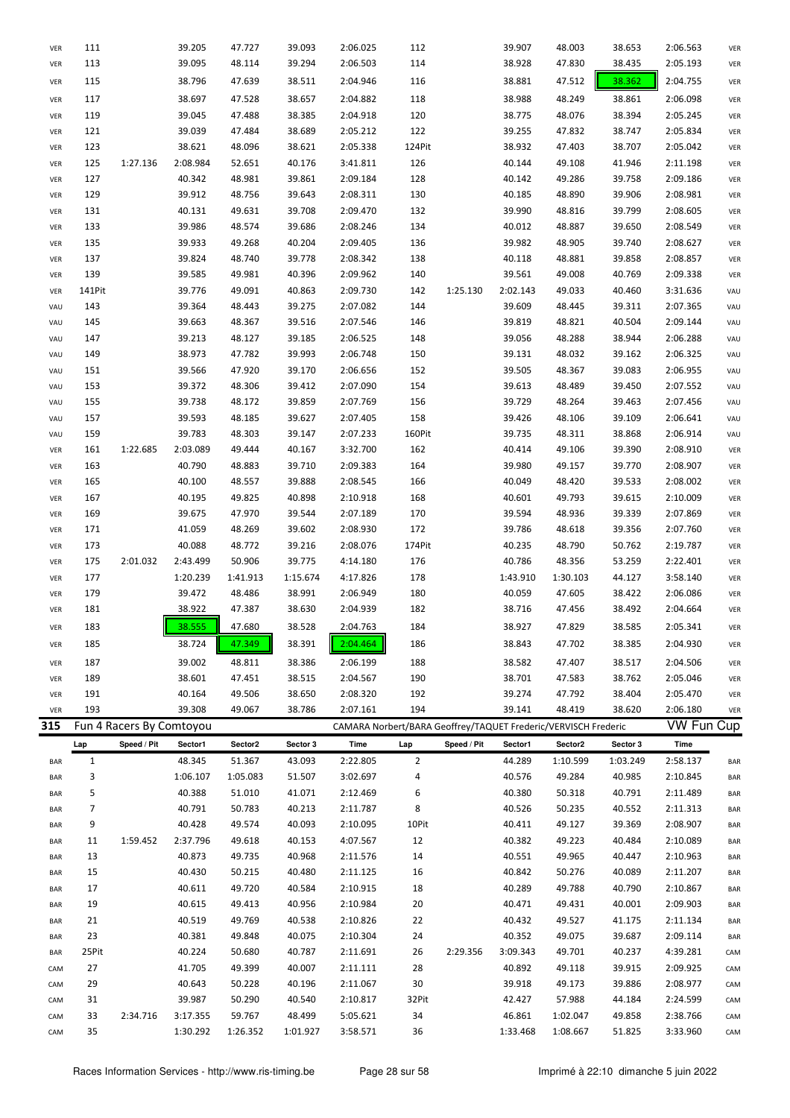| VER | 111          |                          | 39.205   | 47.727   | 39.093   | 2:06.025                                                       | 112            |             | 39.907   | 48.003   | 38.653   | 2:06.563          | VER        |
|-----|--------------|--------------------------|----------|----------|----------|----------------------------------------------------------------|----------------|-------------|----------|----------|----------|-------------------|------------|
| VER | 113          |                          | 39.095   | 48.114   | 39.294   | 2:06.503                                                       | 114            |             | 38.928   | 47.830   | 38.435   | 2:05.193          | VER        |
| VER | 115          |                          | 38.796   | 47.639   | 38.511   | 2:04.946                                                       | 116            |             | 38.881   | 47.512   | 38.362   | 2:04.755          | VER        |
| VER | 117          |                          | 38.697   | 47.528   | 38.657   | 2:04.882                                                       | 118            |             | 38.988   | 48.249   | 38.861   | 2:06.098          | VER        |
| VER | 119          |                          | 39.045   | 47.488   | 38.385   | 2:04.918                                                       | 120            |             | 38.775   | 48.076   | 38.394   | 2:05.245          | VER        |
| VER | 121          |                          | 39.039   | 47.484   | 38.689   | 2:05.212                                                       | 122            |             | 39.255   | 47.832   | 38.747   | 2:05.834          | VER        |
| VER | 123          |                          | 38.621   | 48.096   | 38.621   | 2:05.338                                                       | 124Pit         |             | 38.932   | 47.403   | 38.707   | 2:05.042          | VER        |
| VER | 125          | 1:27.136                 | 2:08.984 | 52.651   | 40.176   | 3:41.811                                                       | 126            |             | 40.144   | 49.108   | 41.946   | 2:11.198          | VER        |
| VER | 127          |                          | 40.342   | 48.981   | 39.861   | 2:09.184                                                       | 128            |             | 40.142   | 49.286   | 39.758   | 2:09.186          | VER        |
| VER | 129          |                          | 39.912   | 48.756   | 39.643   | 2:08.311                                                       | 130            |             | 40.185   | 48.890   | 39.906   | 2:08.981          | VER        |
| VER | 131          |                          | 40.131   | 49.631   | 39.708   | 2:09.470                                                       | 132            |             | 39.990   | 48.816   | 39.799   | 2:08.605          | VER        |
| VER | 133          |                          | 39.986   | 48.574   | 39.686   | 2:08.246                                                       | 134            |             | 40.012   | 48.887   | 39.650   | 2:08.549          | VER        |
| VER | 135          |                          | 39.933   | 49.268   | 40.204   | 2:09.405                                                       | 136            |             | 39.982   | 48.905   | 39.740   | 2:08.627          | <b>VER</b> |
| VER | 137          |                          | 39.824   | 48.740   | 39.778   | 2:08.342                                                       | 138            |             | 40.118   | 48.881   | 39.858   | 2:08.857          | <b>VER</b> |
| VER | 139          |                          | 39.585   | 49.981   | 40.396   | 2:09.962                                                       | 140            |             | 39.561   | 49.008   | 40.769   | 2:09.338          | VER        |
| VER | 141Pit       |                          | 39.776   | 49.091   | 40.863   | 2:09.730                                                       | 142            | 1:25.130    | 2:02.143 | 49.033   | 40.460   | 3:31.636          | VAU        |
| VAU | 143          |                          | 39.364   | 48.443   | 39.275   | 2:07.082                                                       | 144            |             | 39.609   | 48.445   | 39.311   | 2:07.365          | VAU        |
| VAU | 145          |                          | 39.663   | 48.367   | 39.516   | 2:07.546                                                       | 146            |             | 39.819   | 48.821   | 40.504   | 2:09.144          | VAU        |
| VAU | 147          |                          | 39.213   | 48.127   | 39.185   | 2:06.525                                                       | 148            |             | 39.056   | 48.288   | 38.944   | 2:06.288          | VAU        |
| VAU | 149          |                          | 38.973   | 47.782   | 39.993   | 2:06.748                                                       | 150            |             | 39.131   | 48.032   | 39.162   | 2:06.325          | VAU        |
| VAU | 151          |                          | 39.566   | 47.920   | 39.170   | 2:06.656                                                       | 152            |             | 39.505   | 48.367   | 39.083   | 2:06.955          | VAU        |
| VAU | 153          |                          | 39.372   | 48.306   | 39.412   | 2:07.090                                                       | 154            |             | 39.613   | 48.489   | 39.450   | 2:07.552          | VAU        |
| VAU | 155          |                          | 39.738   | 48.172   | 39.859   | 2:07.769                                                       | 156            |             | 39.729   | 48.264   | 39.463   | 2:07.456          | VAU        |
| VAU | 157          |                          | 39.593   | 48.185   | 39.627   | 2:07.405                                                       | 158            |             | 39.426   | 48.106   | 39.109   | 2:06.641          | VAU        |
| VAU | 159          |                          | 39.783   | 48.303   | 39.147   | 2:07.233                                                       | 160Pit         |             | 39.735   | 48.311   | 38.868   | 2:06.914          | VAU        |
| VER | 161          | 1:22.685                 | 2:03.089 | 49.444   | 40.167   | 3:32.700                                                       | 162            |             | 40.414   | 49.106   | 39.390   | 2:08.910          | VER        |
| VER | 163          |                          | 40.790   | 48.883   | 39.710   | 2:09.383                                                       | 164            |             | 39.980   | 49.157   | 39.770   | 2:08.907          | VER        |
| VER | 165          |                          | 40.100   | 48.557   | 39.888   | 2:08.545                                                       | 166            |             | 40.049   | 48.420   | 39.533   | 2:08.002          | <b>VER</b> |
| VER | 167          |                          | 40.195   | 49.825   | 40.898   | 2:10.918                                                       | 168            |             | 40.601   | 49.793   | 39.615   | 2:10.009          | <b>VER</b> |
| VER | 169          |                          | 39.675   | 47.970   | 39.544   | 2:07.189                                                       | 170            |             | 39.594   | 48.936   | 39.339   | 2:07.869          | VER        |
| VER | 171          |                          | 41.059   | 48.269   | 39.602   | 2:08.930                                                       | 172            |             | 39.786   | 48.618   | 39.356   | 2:07.760          | VER        |
| VER | 173          |                          | 40.088   | 48.772   | 39.216   | 2:08.076                                                       | 174Pit         |             | 40.235   | 48.790   | 50.762   | 2:19.787          | <b>VER</b> |
| VER | 175          | 2:01.032                 | 2:43.499 | 50.906   | 39.775   | 4:14.180                                                       | 176            |             | 40.786   | 48.356   | 53.259   | 2:22.401          | VER        |
| VER | 177          |                          | 1:20.239 | 1:41.913 | 1:15.674 | 4:17.826                                                       | 178            |             | 1:43.910 | 1:30.103 | 44.127   | 3:58.140          | VER        |
| VER | 179          |                          | 39.472   | 48.486   | 38.991   | 2:06.949                                                       | 180            |             | 40.059   | 47.605   | 38.422   | 2:06.086          | VER        |
| VER | 181          |                          | 38.922   | 47.387   | 38.630   | 2:04.939                                                       | 182            |             | 38.716   | 47.456   | 38.492   | 2:04.664          | VER        |
| VER | 183          |                          | 38.555   | 47.680   | 38.528   | 2:04.763                                                       | 184            |             | 38.927   | 47.829   | 38.585   | 2:05.341          | VER        |
| VER | 185          |                          | 38.724   | 47.349   | 38.391   | 2:04.464                                                       | 186            |             | 38.843   | 47.702   | 38.385   | 2:04.930          | VER        |
| VER | 187          |                          | 39.002   | 48.811   | 38.386   | 2:06.199                                                       | 188            |             | 38.582   | 47.407   | 38.517   | 2:04.506          | VER        |
| VER | 189          |                          | 38.601   | 47.451   | 38.515   | 2:04.567                                                       | 190            |             | 38.701   | 47.583   | 38.762   | 2:05.046          | VER        |
| VER | 191          |                          | 40.164   | 49.506   | 38.650   | 2:08.320                                                       | 192            |             | 39.274   | 47.792   | 38.404   | 2:05.470          | VER        |
| VER | 193          |                          | 39.308   | 49.067   | 38.786   | 2:07.161                                                       | 194            |             | 39.141   | 48.419   | 38.620   | 2:06.180          | VER        |
| 315 |              | Fun 4 Racers By Comtoyou |          |          |          | CAMARA Norbert/BARA Geoffrey/TAQUET Frederic/VERVISCH Frederic |                |             |          |          |          | <b>VW Fun Cup</b> |            |
|     | Lap          | Speed / Pit              | Sector1  | Sector2  | Sector 3 | Time                                                           | Lap            | Speed / Pit | Sector1  | Sector2  | Sector 3 | <b>Time</b>       |            |
| BAR | $\mathbf{1}$ |                          | 48.345   | 51.367   | 43.093   | 2:22.805                                                       | $\overline{2}$ |             | 44.289   | 1:10.599 | 1:03.249 | 2:58.137          | <b>BAR</b> |
| BAR | 3            |                          | 1:06.107 | 1:05.083 | 51.507   | 3:02.697                                                       | 4              |             | 40.576   | 49.284   | 40.985   | 2:10.845          | <b>BAR</b> |
| BAR | 5            |                          | 40.388   | 51.010   | 41.071   | 2:12.469                                                       | 6              |             | 40.380   | 50.318   | 40.791   | 2:11.489          | <b>BAR</b> |
| BAR | 7            |                          | 40.791   | 50.783   | 40.213   | 2:11.787                                                       | 8              |             | 40.526   | 50.235   | 40.552   | 2:11.313          | <b>BAR</b> |
| BAR | 9            |                          | 40.428   | 49.574   | 40.093   | 2:10.095                                                       | 10Pit          |             | 40.411   | 49.127   | 39.369   | 2:08.907          | <b>BAR</b> |
| BAR | 11           | 1:59.452                 | 2:37.796 | 49.618   | 40.153   | 4:07.567                                                       | 12             |             | 40.382   | 49.223   | 40.484   | 2:10.089          | <b>BAR</b> |
| BAR | 13           |                          | 40.873   | 49.735   | 40.968   | 2:11.576                                                       | 14             |             | 40.551   | 49.965   | 40.447   | 2:10.963          | <b>BAR</b> |
| BAR | 15           |                          | 40.430   | 50.215   | 40.480   | 2:11.125                                                       | 16             |             | 40.842   | 50.276   | 40.089   | 2:11.207          | <b>BAR</b> |
| BAR | 17           |                          | 40.611   | 49.720   | 40.584   | 2:10.915                                                       | 18             |             | 40.289   | 49.788   | 40.790   | 2:10.867          | <b>BAR</b> |
| BAR | 19           |                          | 40.615   | 49.413   | 40.956   | 2:10.984                                                       | 20             |             | 40.471   | 49.431   | 40.001   | 2:09.903          | <b>BAR</b> |
| BAR | 21           |                          | 40.519   | 49.769   | 40.538   | 2:10.826                                                       | 22             |             | 40.432   | 49.527   | 41.175   | 2:11.134          | <b>BAR</b> |
| BAR | 23           |                          | 40.381   | 49.848   | 40.075   | 2:10.304                                                       | 24             |             | 40.352   | 49.075   | 39.687   | 2:09.114          | <b>BAR</b> |
| BAR | 25Pit        |                          | 40.224   | 50.680   | 40.787   | 2:11.691                                                       | 26             | 2:29.356    | 3:09.343 | 49.701   | 40.237   | 4:39.281          | CAM        |
| CAM | 27           |                          | 41.705   | 49.399   | 40.007   | 2:11.111                                                       | 28             |             | 40.892   | 49.118   | 39.915   | 2:09.925          | CAM        |
| CAM | 29           |                          | 40.643   | 50.228   | 40.196   | 2:11.067                                                       | 30             |             | 39.918   | 49.173   | 39.886   | 2:08.977          | CAM        |
| CAM |              |                          |          |          |          |                                                                |                |             |          |          |          |                   | CAM        |
|     | 31           |                          | 39.987   | 50.290   | 40.540   | 2:10.817                                                       | 32Pit          |             | 42.427   | 57.988   | 44.184   | 2:24.599          |            |
| CAM | 33           | 2:34.716                 | 3:17.355 | 59.767   | 48.499   | 5:05.621                                                       | 34             |             | 46.861   | 1:02.047 | 49.858   | 2:38.766          | CAM        |
| CAM | 35           |                          | 1:30.292 | 1:26.352 | 1:01.927 | 3:58.571                                                       | 36             |             | 1:33.468 | 1:08.667 | 51.825   | 3:33.960          |            |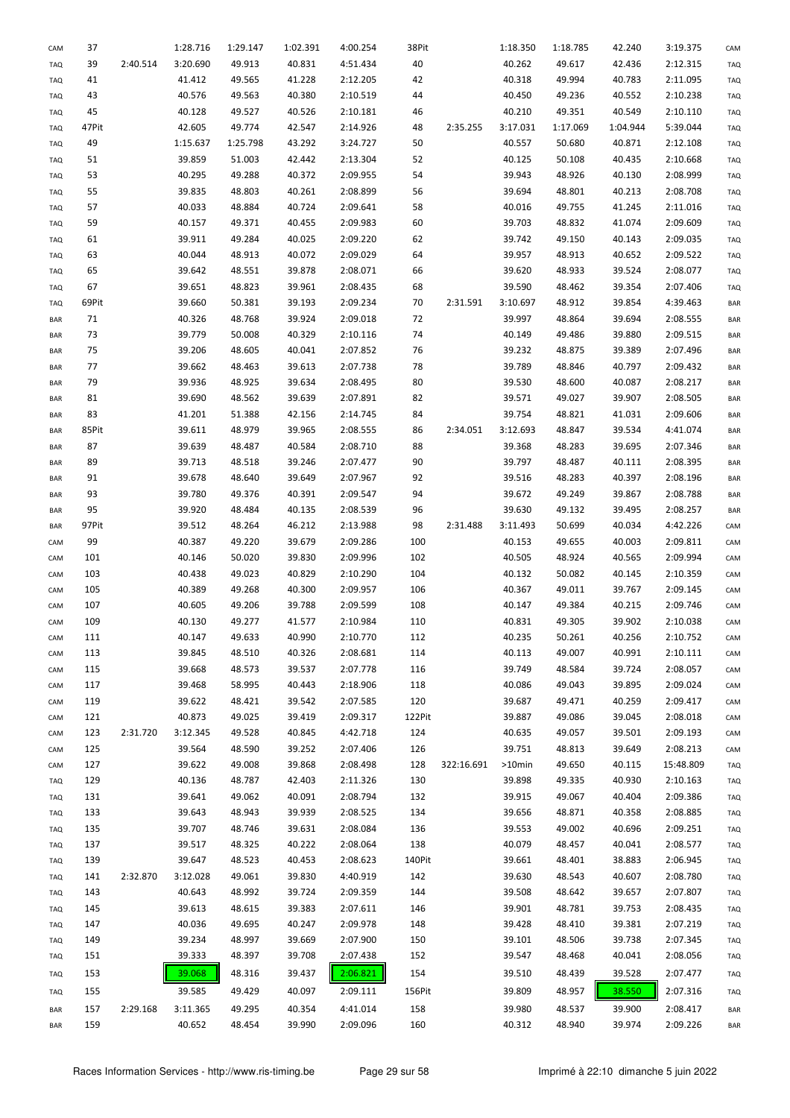| CAM        | 37    |          | 1:28.716 | 1:29.147 | 1:02.391 | 4:00.254 | 38Pit  |            | 1:18.350 | 1:18.785 | 42.240   | 3:19.375  | CAM        |
|------------|-------|----------|----------|----------|----------|----------|--------|------------|----------|----------|----------|-----------|------------|
| <b>TAQ</b> | 39    | 2:40.514 | 3:20.690 | 49.913   | 40.831   | 4:51.434 | 40     |            | 40.262   | 49.617   | 42.436   | 2:12.315  | <b>TAQ</b> |
| TAQ        | 41    |          | 41.412   | 49.565   | 41.228   | 2:12.205 | 42     |            | 40.318   | 49.994   | 40.783   | 2:11.095  | <b>TAQ</b> |
| <b>TAQ</b> | 43    |          | 40.576   | 49.563   | 40.380   | 2:10.519 | 44     |            | 40.450   | 49.236   | 40.552   | 2:10.238  | <b>TAQ</b> |
| <b>TAQ</b> | 45    |          | 40.128   | 49.527   | 40.526   | 2:10.181 | 46     |            | 40.210   | 49.351   | 40.549   | 2:10.110  | <b>TAQ</b> |
| <b>TAQ</b> | 47Pit |          | 42.605   | 49.774   | 42.547   | 2:14.926 | 48     | 2:35.255   | 3:17.031 | 1:17.069 | 1:04.944 | 5:39.044  | <b>TAQ</b> |
| TAQ        | 49    |          | 1:15.637 | 1:25.798 | 43.292   | 3:24.727 | 50     |            | 40.557   | 50.680   | 40.871   | 2:12.108  | <b>TAQ</b> |
| <b>TAQ</b> | 51    |          | 39.859   | 51.003   | 42.442   | 2:13.304 | 52     |            | 40.125   | 50.108   | 40.435   | 2:10.668  | <b>TAQ</b> |
| <b>TAQ</b> | 53    |          | 40.295   | 49.288   | 40.372   | 2:09.955 | 54     |            | 39.943   | 48.926   | 40.130   | 2:08.999  | <b>TAQ</b> |
| TAQ        | 55    |          | 39.835   | 48.803   | 40.261   | 2:08.899 | 56     |            | 39.694   | 48.801   | 40.213   | 2:08.708  | <b>TAQ</b> |
| TAQ        | 57    |          | 40.033   | 48.884   | 40.724   | 2:09.641 | 58     |            | 40.016   | 49.755   | 41.245   | 2:11.016  | <b>TAQ</b> |
| <b>TAQ</b> | 59    |          | 40.157   | 49.371   | 40.455   | 2:09.983 | 60     |            | 39.703   | 48.832   | 41.074   | 2:09.609  | <b>TAQ</b> |
| TAQ        | 61    |          | 39.911   | 49.284   | 40.025   | 2:09.220 | 62     |            | 39.742   | 49.150   | 40.143   | 2:09.035  | <b>TAQ</b> |
|            | 63    |          | 40.044   |          |          |          |        |            | 39.957   |          |          |           |            |
| <b>TAQ</b> |       |          |          | 48.913   | 40.072   | 2:09.029 | 64     |            |          | 48.913   | 40.652   | 2:09.522  | <b>TAQ</b> |
| TAQ        | 65    |          | 39.642   | 48.551   | 39.878   | 2:08.071 | 66     |            | 39.620   | 48.933   | 39.524   | 2:08.077  | <b>TAQ</b> |
| TAQ        | 67    |          | 39.651   | 48.823   | 39.961   | 2:08.435 | 68     |            | 39.590   | 48.462   | 39.354   | 2:07.406  | <b>TAQ</b> |
| TAQ        | 69Pit |          | 39.660   | 50.381   | 39.193   | 2:09.234 | 70     | 2:31.591   | 3:10.697 | 48.912   | 39.854   | 4:39.463  | <b>BAR</b> |
| BAR        | 71    |          | 40.326   | 48.768   | 39.924   | 2:09.018 | 72     |            | 39.997   | 48.864   | 39.694   | 2:08.555  | <b>BAR</b> |
| BAR        | 73    |          | 39.779   | 50.008   | 40.329   | 2:10.116 | 74     |            | 40.149   | 49.486   | 39.880   | 2:09.515  | <b>BAR</b> |
| BAR        | 75    |          | 39.206   | 48.605   | 40.041   | 2:07.852 | 76     |            | 39.232   | 48.875   | 39.389   | 2:07.496  | <b>BAR</b> |
| BAR        | 77    |          | 39.662   | 48.463   | 39.613   | 2:07.738 | 78     |            | 39.789   | 48.846   | 40.797   | 2:09.432  | <b>BAR</b> |
| BAR        | 79    |          | 39.936   | 48.925   | 39.634   | 2:08.495 | 80     |            | 39.530   | 48.600   | 40.087   | 2:08.217  | <b>BAR</b> |
| BAR        | 81    |          | 39.690   | 48.562   | 39.639   | 2:07.891 | 82     |            | 39.571   | 49.027   | 39.907   | 2:08.505  | <b>BAR</b> |
| BAR        | 83    |          | 41.201   | 51.388   | 42.156   | 2:14.745 | 84     |            | 39.754   | 48.821   | 41.031   | 2:09.606  | <b>BAR</b> |
| BAR        | 85Pit |          | 39.611   | 48.979   | 39.965   | 2:08.555 | 86     | 2:34.051   | 3:12.693 | 48.847   | 39.534   | 4:41.074  | <b>BAR</b> |
| BAR        | 87    |          | 39.639   | 48.487   | 40.584   | 2:08.710 | 88     |            | 39.368   | 48.283   | 39.695   | 2:07.346  | <b>BAR</b> |
| BAR        | 89    |          | 39.713   | 48.518   | 39.246   | 2:07.477 | 90     |            | 39.797   | 48.487   | 40.111   | 2:08.395  | <b>BAR</b> |
| BAR        | 91    |          | 39.678   | 48.640   | 39.649   | 2:07.967 | 92     |            | 39.516   | 48.283   | 40.397   | 2:08.196  | <b>BAR</b> |
| BAR        | 93    |          | 39.780   | 49.376   | 40.391   | 2:09.547 | 94     |            | 39.672   | 49.249   | 39.867   | 2:08.788  | <b>BAR</b> |
| BAR        | 95    |          | 39.920   | 48.484   | 40.135   | 2:08.539 | 96     |            | 39.630   | 49.132   | 39.495   | 2:08.257  | <b>BAR</b> |
| BAR        | 97Pit |          | 39.512   | 48.264   | 46.212   | 2:13.988 | 98     | 2:31.488   | 3:11.493 | 50.699   | 40.034   | 4:42.226  | CAM        |
|            | 99    |          | 40.387   |          |          |          |        |            | 40.153   |          |          |           |            |
| CAM        |       |          |          | 49.220   | 39.679   | 2:09.286 | 100    |            |          | 49.655   | 40.003   | 2:09.811  | CAM        |
| CAM        | 101   |          | 40.146   | 50.020   | 39.830   | 2:09.996 | 102    |            | 40.505   | 48.924   | 40.565   | 2:09.994  | CAM        |
| CAM        | 103   |          | 40.438   | 49.023   | 40.829   | 2:10.290 | 104    |            | 40.132   | 50.082   | 40.145   | 2:10.359  | CAM        |
| CAM        | 105   |          | 40.389   | 49.268   | 40.300   | 2:09.957 | 106    |            | 40.367   | 49.011   | 39.767   | 2:09.145  | CAM        |
| CAM        | 107   |          | 40.605   | 49.206   | 39.788   | 2:09.599 | 108    |            | 40.147   | 49.384   | 40.215   | 2:09.746  | CAM        |
| CAM        | 109   |          | 40.130   | 49.277   | 41.577   | 2:10.984 | 110    |            | 40.831   | 49.305   | 39.902   | 2:10.038  | CAM        |
| CAM        | 111   |          | 40.147   | 49.633   | 40.990   | 2:10.770 | 112    |            | 40.235   | 50.261   | 40.256   | 2:10.752  | CAM        |
| CAM        | 113   |          | 39.845   | 48.510   | 40.326   | 2:08.681 | 114    |            | 40.113   | 49.007   | 40.991   | 2:10.111  | CAM        |
| CAM        | 115   |          | 39.668   | 48.573   | 39.537   | 2:07.778 | 116    |            | 39.749   | 48.584   | 39.724   | 2:08.057  | CAM        |
| CAM        | 117   |          | 39.468   | 58.995   | 40.443   | 2:18.906 | 118    |            | 40.086   | 49.043   | 39.895   | 2:09.024  | CAM        |
| CAM        | 119   |          | 39.622   | 48.421   | 39.542   | 2:07.585 | 120    |            | 39.687   | 49.471   | 40.259   | 2:09.417  | CAM        |
| CAM        | 121   |          | 40.873   | 49.025   | 39.419   | 2:09.317 | 122Pit |            | 39.887   | 49.086   | 39.045   | 2:08.018  | CAM        |
| CAM        | 123   | 2:31.720 | 3:12.345 | 49.528   | 40.845   | 4:42.718 | 124    |            | 40.635   | 49.057   | 39.501   | 2:09.193  | CAM        |
| CAM        | 125   |          | 39.564   | 48.590   | 39.252   | 2:07.406 | 126    |            | 39.751   | 48.813   | 39.649   | 2:08.213  | CAM        |
| CAM        | 127   |          | 39.622   | 49.008   | 39.868   | 2:08.498 | 128    | 322:16.691 | >10min   | 49.650   | 40.115   | 15:48.809 | <b>TAQ</b> |
| TAQ        | 129   |          | 40.136   | 48.787   | 42.403   | 2:11.326 | 130    |            | 39.898   | 49.335   | 40.930   | 2:10.163  | <b>TAQ</b> |
| TAQ        | 131   |          | 39.641   | 49.062   | 40.091   | 2:08.794 | 132    |            | 39.915   | 49.067   | 40.404   | 2:09.386  | <b>TAQ</b> |
| TAQ        | 133   |          | 39.643   | 48.943   | 39.939   | 2:08.525 | 134    |            | 39.656   | 48.871   | 40.358   | 2:08.885  | <b>TAQ</b> |
| TAQ        | 135   |          | 39.707   | 48.746   | 39.631   | 2:08.084 | 136    |            | 39.553   | 49.002   | 40.696   | 2:09.251  | <b>TAQ</b> |
| <b>TAQ</b> | 137   |          | 39.517   | 48.325   | 40.222   | 2:08.064 | 138    |            | 40.079   | 48.457   | 40.041   | 2:08.577  | <b>TAQ</b> |
|            | 139   |          | 39.647   | 48.523   | 40.453   | 2:08.623 | 140Pit |            | 39.661   | 48.401   | 38.883   | 2:06.945  |            |
| <b>TAQ</b> |       |          |          |          |          |          |        |            |          |          |          |           | <b>TAQ</b> |
| <b>TAQ</b> | 141   | 2:32.870 | 3:12.028 | 49.061   | 39.830   | 4:40.919 | 142    |            | 39.630   | 48.543   | 40.607   | 2:08.780  | <b>TAQ</b> |
| <b>TAQ</b> | 143   |          | 40.643   | 48.992   | 39.724   | 2:09.359 | 144    |            | 39.508   | 48.642   | 39.657   | 2:07.807  | <b>TAQ</b> |
| <b>TAQ</b> | 145   |          | 39.613   | 48.615   | 39.383   | 2:07.611 | 146    |            | 39.901   | 48.781   | 39.753   | 2:08.435  | <b>TAQ</b> |
| <b>TAQ</b> | 147   |          | 40.036   | 49.695   | 40.247   | 2:09.978 | 148    |            | 39.428   | 48.410   | 39.381   | 2:07.219  | <b>TAQ</b> |
| <b>TAQ</b> | 149   |          | 39.234   | 48.997   | 39.669   | 2:07.900 | 150    |            | 39.101   | 48.506   | 39.738   | 2:07.345  | <b>TAQ</b> |
| <b>TAQ</b> | 151   |          | 39.333   | 48.397   | 39.708   | 2:07.438 | 152    |            | 39.547   | 48.468   | 40.041   | 2:08.056  | <b>TAQ</b> |
| TAQ        | 153   |          | 39.068   | 48.316   | 39.437   | 2:06.821 | 154    |            | 39.510   | 48.439   | 39.528   | 2:07.477  | <b>TAQ</b> |
| TAQ        | 155   |          | 39.585   | 49.429   | 40.097   | 2:09.111 | 156Pit |            | 39.809   | 48.957   | 38.550   | 2:07.316  | <b>TAQ</b> |
| BAR        | 157   | 2:29.168 | 3:11.365 | 49.295   | 40.354   | 4:41.014 | 158    |            | 39.980   | 48.537   | 39.900   | 2:08.417  | <b>BAR</b> |
| BAR        | 159   |          | 40.652   | 48.454   | 39.990   | 2:09.096 | 160    |            | 40.312   | 48.940   | 39.974   | 2:09.226  | <b>BAR</b> |
|            |       |          |          |          |          |          |        |            |          |          |          |           |            |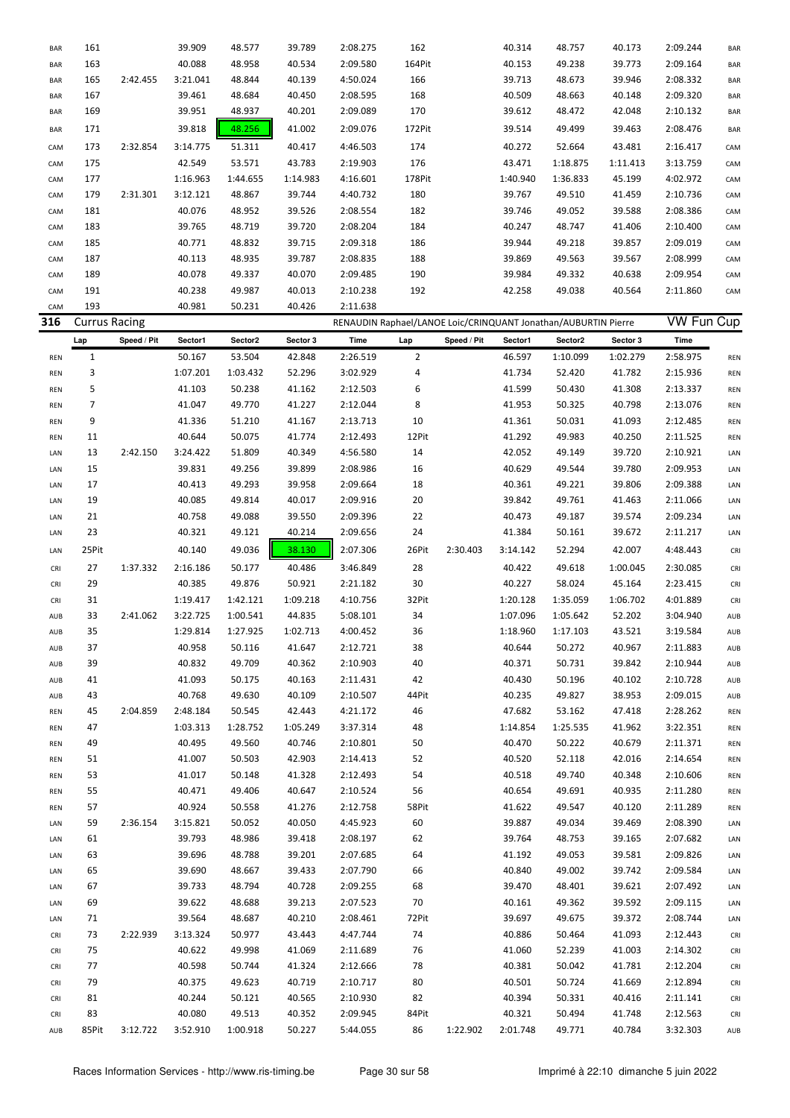| BAR        | 161                  |             | 39.909   | 48.577   | 39.789   | 2:08.275                                                       | 162            |             | 40.314   | 48.757   | 40.173   | 2:09.244          | <b>BAR</b> |
|------------|----------------------|-------------|----------|----------|----------|----------------------------------------------------------------|----------------|-------------|----------|----------|----------|-------------------|------------|
| BAR        | 163                  |             | 40.088   | 48.958   | 40.534   | 2:09.580                                                       | 164Pit         |             | 40.153   | 49.238   | 39.773   | 2:09.164          | <b>BAR</b> |
| <b>BAR</b> | 165                  | 2:42.455    | 3:21.041 | 48.844   | 40.139   | 4:50.024                                                       | 166            |             | 39.713   | 48.673   | 39.946   | 2:08.332          | <b>BAR</b> |
| <b>BAR</b> | 167                  |             | 39.461   | 48.684   | 40.450   | 2:08.595                                                       | 168            |             | 40.509   | 48.663   | 40.148   | 2:09.320          | <b>BAR</b> |
| <b>BAR</b> | 169                  |             | 39.951   | 48.937   | 40.201   | 2:09.089                                                       | 170            |             | 39.612   | 48.472   | 42.048   | 2:10.132          | <b>BAR</b> |
| <b>BAR</b> | 171                  |             | 39.818   | 48.256   | 41.002   | 2:09.076                                                       | 172Pit         |             | 39.514   | 49.499   | 39.463   | 2:08.476          | <b>BAR</b> |
| CAM        | 173                  | 2:32.854    | 3:14.775 | 51.311   | 40.417   | 4:46.503                                                       | 174            |             | 40.272   | 52.664   | 43.481   | 2:16.417          | CAM        |
| CAM        | 175                  |             | 42.549   | 53.571   | 43.783   | 2:19.903                                                       | 176            |             | 43.471   | 1:18.875 | 1:11.413 | 3:13.759          | CAM        |
| CAM        | 177                  |             | 1:16.963 | 1:44.655 | 1:14.983 | 4:16.601                                                       | 178Pit         |             | 1:40.940 | 1:36.833 | 45.199   | 4:02.972          | CAM        |
| CAM        | 179                  | 2:31.301    | 3:12.121 | 48.867   | 39.744   | 4:40.732                                                       | 180            |             | 39.767   | 49.510   | 41.459   | 2:10.736          | CAM        |
| CAM        | 181                  |             | 40.076   | 48.952   | 39.526   | 2:08.554                                                       | 182            |             | 39.746   | 49.052   | 39.588   | 2:08.386          | CAM        |
|            |                      |             | 39.765   | 48.719   | 39.720   | 2:08.204                                                       | 184            |             |          | 48.747   |          |                   |            |
| CAM        | 183                  |             |          |          |          |                                                                |                |             | 40.247   |          | 41.406   | 2:10.400          | CAM        |
| CAM        | 185                  |             | 40.771   | 48.832   | 39.715   | 2:09.318                                                       | 186            |             | 39.944   | 49.218   | 39.857   | 2:09.019          | CAM        |
| CAM        | 187                  |             | 40.113   | 48.935   | 39.787   | 2:08.835                                                       | 188            |             | 39.869   | 49.563   | 39.567   | 2:08.999          | CAM        |
| CAM        | 189                  |             | 40.078   | 49.337   | 40.070   | 2:09.485                                                       | 190            |             | 39.984   | 49.332   | 40.638   | 2:09.954          | CAM        |
| CAM        | 191                  |             | 40.238   | 49.987   | 40.013   | 2:10.238                                                       | 192            |             | 42.258   | 49.038   | 40.564   | 2:11.860          | CAM        |
| CAM        | 193                  |             | 40.981   | 50.231   | 40.426   | 2:11.638                                                       |                |             |          |          |          |                   |            |
| 316        | <b>Currus Racing</b> |             |          |          |          | RENAUDIN Raphael/LANOE Loic/CRINQUANT Jonathan/AUBURTIN Pierre |                |             |          |          |          | <b>VW Fun Cup</b> |            |
|            | Lap                  | Speed / Pit | Sector1  | Sector2  | Sector 3 | Time                                                           | Lap            | Speed / Pit | Sector1  | Sector2  | Sector 3 | Time              |            |
| <b>REN</b> | $\mathbf{1}$         |             | 50.167   | 53.504   | 42.848   | 2:26.519                                                       | $\overline{2}$ |             | 46.597   | 1:10.099 | 1:02.279 | 2:58.975          | <b>REN</b> |
| <b>REN</b> | 3                    |             | 1:07.201 | 1:03.432 | 52.296   | 3:02.929                                                       | 4              |             | 41.734   | 52.420   | 41.782   | 2:15.936          | <b>REN</b> |
| <b>REN</b> | 5                    |             | 41.103   | 50.238   | 41.162   | 2:12.503                                                       | 6              |             | 41.599   | 50.430   | 41.308   | 2:13.337          | <b>REN</b> |
| <b>REN</b> | 7                    |             | 41.047   | 49.770   | 41.227   | 2:12.044                                                       | 8              |             | 41.953   | 50.325   | 40.798   | 2:13.076          | <b>REN</b> |
| <b>REN</b> | 9                    |             | 41.336   | 51.210   | 41.167   | 2:13.713                                                       | 10             |             | 41.361   | 50.031   | 41.093   | 2:12.485          | <b>REN</b> |
| <b>REN</b> | 11                   |             | 40.644   | 50.075   | 41.774   | 2:12.493                                                       | 12Pit          |             | 41.292   | 49.983   | 40.250   | 2:11.525          | <b>REN</b> |
| LAN        | 13                   | 2:42.150    | 3:24.422 | 51.809   | 40.349   | 4:56.580                                                       | 14             |             | 42.052   | 49.149   | 39.720   | 2:10.921          | LAN        |
| LAN        | 15                   |             | 39.831   | 49.256   | 39.899   | 2:08.986                                                       | 16             |             | 40.629   | 49.544   | 39.780   | 2:09.953          | LAN        |
| LAN        | 17                   |             | 40.413   | 49.293   | 39.958   | 2:09.664                                                       | 18             |             | 40.361   | 49.221   | 39.806   | 2:09.388          | LAN        |
| LAN        | 19                   |             | 40.085   | 49.814   | 40.017   | 2:09.916                                                       | 20             |             | 39.842   | 49.761   | 41.463   | 2:11.066          | LAN        |
| LAN        | 21                   |             | 40.758   | 49.088   | 39.550   | 2:09.396                                                       | 22             |             | 40.473   | 49.187   | 39.574   | 2:09.234          | LAN        |
| LAN        | 23                   |             | 40.321   | 49.121   | 40.214   | 2:09.656                                                       | 24             |             | 41.384   | 50.161   | 39.672   | 2:11.217          | LAN        |
| LAN        | 25Pit                |             | 40.140   | 49.036   | 38.130   | 2:07.306                                                       | 26Pit          | 2:30.403    | 3:14.142 | 52.294   | 42.007   | 4:48.443          | CRI        |
|            |                      |             |          |          |          |                                                                |                |             |          |          |          |                   |            |
| CRI        | 27                   | 1:37.332    | 2:16.186 | 50.177   | 40.486   | 3:46.849                                                       | 28             |             | 40.422   | 49.618   | 1:00.045 | 2:30.085          | CRI        |
| CRI        | 29                   |             | 40.385   | 49.876   | 50.921   | 2:21.182                                                       | 30             |             | 40.227   | 58.024   | 45.164   | 2:23.415          | CRI        |
| CRI        | 31                   |             | 1:19.417 | 1:42.121 | 1:09.218 | 4:10.756                                                       | 32Pit          |             | 1:20.128 | 1:35.059 | 1:06.702 | 4:01.889          | CRI        |
| AUB        | 33                   | 2:41.062    | 3:22.725 | 1:00.541 | 44.835   | 5:08.101                                                       | 34             |             | 1:07.096 | 1:05.642 | 52.202   | 3:04.940          | <b>AUB</b> |
| <b>AUB</b> | 35                   |             | 1:29.814 | 1:27.925 | 1:02.713 | 4:00.452                                                       | 36             |             | 1:18.960 | 1:17.103 | 43.521   | 3:19.584          | <b>AUB</b> |
| AUB        | 37                   |             | 40.958   | 50.116   | 41.647   | 2:12.721                                                       | 38             |             | 40.644   | 50.272   | 40.967   | 2:11.883          | <b>AUB</b> |
| AUB        | 39                   |             | 40.832   | 49.709   | 40.362   | 2:10.903                                                       | 40             |             | 40.371   | 50.731   | 39.842   | 2:10.944          | <b>AUB</b> |
| <b>AUB</b> | 41                   |             | 41.093   | 50.175   | 40.163   | 2:11.431                                                       | 42             |             | 40.430   | 50.196   | 40.102   | 2:10.728          | AUB        |
| <b>AUB</b> | 43                   |             | 40.768   | 49.630   | 40.109   | 2:10.507                                                       | 44Pit          |             | 40.235   | 49.827   | 38.953   | 2:09.015          | <b>AUB</b> |
| <b>REN</b> | 45                   | 2:04.859    | 2:48.184 | 50.545   | 42.443   | 4:21.172                                                       | 46             |             | 47.682   | 53.162   | 47.418   | 2:28.262          | <b>REN</b> |
| <b>REN</b> | 47                   |             | 1:03.313 | 1:28.752 | 1:05.249 | 3:37.314                                                       | 48             |             | 1:14.854 | 1:25.535 | 41.962   | 3:22.351          | <b>REN</b> |
| <b>REN</b> | 49                   |             | 40.495   | 49.560   | 40.746   | 2:10.801                                                       | 50             |             | 40.470   | 50.222   | 40.679   | 2:11.371          | <b>REN</b> |
| <b>REN</b> | 51                   |             | 41.007   | 50.503   | 42.903   | 2:14.413                                                       | 52             |             | 40.520   | 52.118   | 42.016   | 2:14.654          | <b>REN</b> |
| <b>REN</b> | 53                   |             | 41.017   | 50.148   | 41.328   | 2:12.493                                                       | 54             |             | 40.518   | 49.740   | 40.348   | 2:10.606          | <b>REN</b> |
| <b>REN</b> | 55                   |             | 40.471   | 49.406   | 40.647   | 2:10.524                                                       | 56             |             | 40.654   | 49.691   | 40.935   | 2:11.280          | <b>REN</b> |
| <b>REN</b> | 57                   |             | 40.924   | 50.558   | 41.276   | 2:12.758                                                       | 58Pit          |             | 41.622   | 49.547   | 40.120   | 2:11.289          | <b>REN</b> |
| LAN        | 59                   | 2:36.154    | 3:15.821 | 50.052   | 40.050   | 4:45.923                                                       | 60             |             | 39.887   | 49.034   | 39.469   | 2:08.390          | LAN        |
| LAN        | 61                   |             | 39.793   | 48.986   | 39.418   | 2:08.197                                                       | 62             |             | 39.764   | 48.753   | 39.165   | 2:07.682          | LAN        |
| LAN        | 63                   |             | 39.696   | 48.788   | 39.201   | 2:07.685                                                       | 64             |             | 41.192   | 49.053   | 39.581   | 2:09.826          | LAN        |
| LAN        | 65                   |             | 39.690   | 48.667   | 39.433   | 2:07.790                                                       | 66             |             | 40.840   | 49.002   | 39.742   | 2:09.584          | LAN        |
| LAN        | 67                   |             | 39.733   | 48.794   | 40.728   | 2:09.255                                                       | 68             |             | 39.470   | 48.401   | 39.621   | 2:07.492          | LAN        |
| LAN        | 69                   |             | 39.622   | 48.688   | 39.213   | 2:07.523                                                       | 70             |             | 40.161   | 49.362   | 39.592   | 2:09.115          | LAN        |
| LAN        | 71                   |             | 39.564   | 48.687   | 40.210   | 2:08.461                                                       | 72Pit          |             | 39.697   | 49.675   | 39.372   | 2:08.744          | LAN        |
| CRI        | 73                   | 2:22.939    | 3:13.324 | 50.977   | 43.443   | 4:47.744                                                       | 74             |             | 40.886   | 50.464   | 41.093   | 2:12.443          | CRI        |
| CRI        | 75                   |             | 40.622   | 49.998   | 41.069   | 2:11.689                                                       | 76             |             | 41.060   | 52.239   | 41.003   | 2:14.302          | CRI        |
| CRI        | 77                   |             | 40.598   | 50.744   | 41.324   | 2:12.666                                                       | 78             |             | 40.381   | 50.042   | 41.781   | 2:12.204          | CRI        |
| CRI        | 79                   |             | 40.375   | 49.623   | 40.719   | 2:10.717                                                       | 80             |             | 40.501   | 50.724   | 41.669   | 2:12.894          | CRI        |
| CRI        | 81                   |             | 40.244   | 50.121   | 40.565   | 2:10.930                                                       | 82             |             | 40.394   | 50.331   | 40.416   | 2:11.141          | CRI        |
| CRI        | 83                   |             | 40.080   | 49.513   | 40.352   | 2:09.945                                                       | 84Pit          |             | 40.321   | 50.494   | 41.748   | 2:12.563          | CRI        |
| AUB        | 85Pit                | 3:12.722    | 3:52.910 | 1:00.918 | 50.227   | 5:44.055                                                       | 86             | 1:22.902    | 2:01.748 | 49.771   | 40.784   | 3:32.303          | AUB        |
|            |                      |             |          |          |          |                                                                |                |             |          |          |          |                   |            |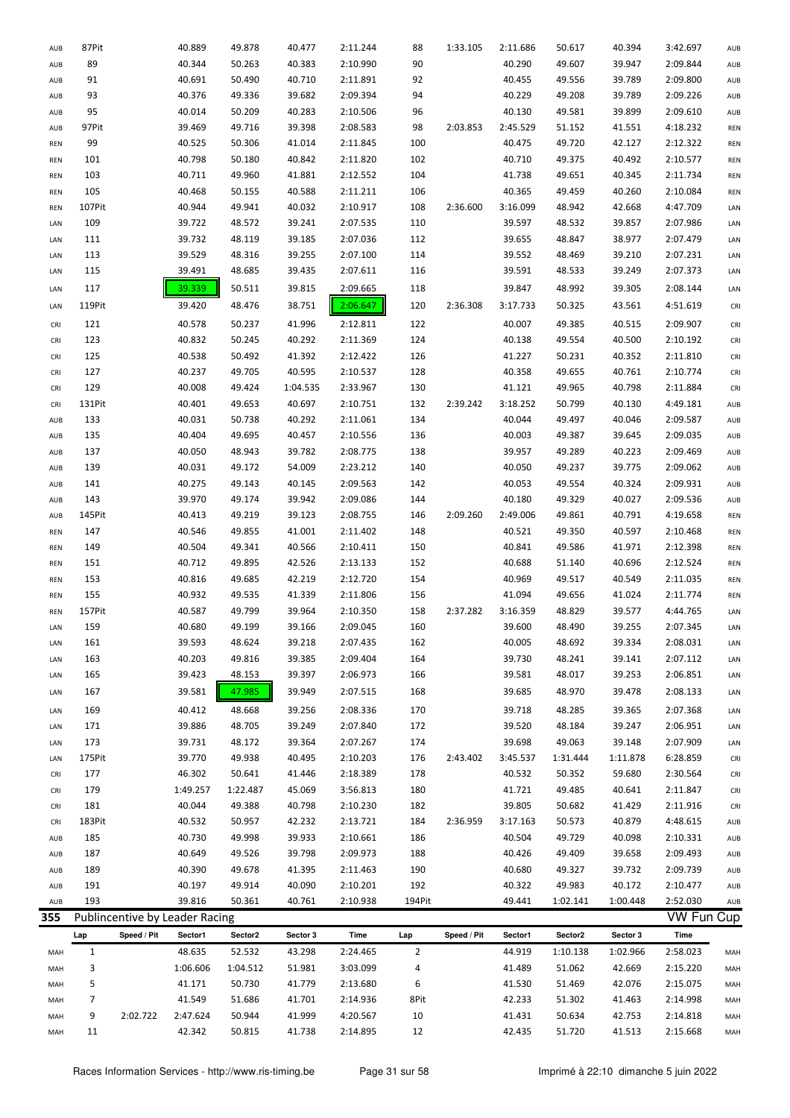| AUB        | 87Pit        |             | 40.889                         | 49.878           | 40.477           | 2:11.244             | 88             | 1:33.105    | 2:11.686         | 50.617           | 40.394           | 3:42.697             | AUB        |
|------------|--------------|-------------|--------------------------------|------------------|------------------|----------------------|----------------|-------------|------------------|------------------|------------------|----------------------|------------|
| AUB        | 89           |             | 40.344                         | 50.263           | 40.383           | 2:10.990             | 90             |             | 40.290           | 49.607           | 39.947           | 2:09.844             | AUB        |
| AUB        | 91           |             | 40.691                         | 50.490           | 40.710           | 2:11.891             | 92             |             | 40.455           | 49.556           | 39.789           | 2:09.800             | AUB        |
| AUB        | 93           |             | 40.376                         | 49.336           | 39.682           | 2:09.394             | 94             |             | 40.229           | 49.208           | 39.789           | 2:09.226             | AUB        |
| AUB        | 95           |             | 40.014                         | 50.209           | 40.283           | 2:10.506             | 96             |             | 40.130           | 49.581           | 39.899           | 2:09.610             | AUB        |
|            |              |             |                                |                  |                  |                      |                |             |                  |                  |                  |                      |            |
| AUB        | 97Pit        |             | 39.469                         | 49.716           | 39.398           | 2:08.583             | 98             | 2:03.853    | 2:45.529         | 51.152           | 41.551           | 4:18.232             | <b>REN</b> |
| REN        | 99           |             | 40.525                         | 50.306           | 41.014           | 2:11.845             | 100            |             | 40.475           | 49.720           | 42.127           | 2:12.322             | <b>REN</b> |
| REN        | 101          |             | 40.798                         | 50.180           | 40.842           | 2:11.820             | 102            |             | 40.710           | 49.375           | 40.492           | 2:10.577             | <b>REN</b> |
| REN        | 103          |             | 40.711                         | 49.960           | 41.881           | 2:12.552             | 104            |             | 41.738           | 49.651           | 40.345           | 2:11.734             | <b>REN</b> |
| REN        | 105          |             | 40.468                         | 50.155           | 40.588           | 2:11.211             | 106            |             | 40.365           | 49.459           | 40.260           | 2:10.084             | <b>REN</b> |
| REN        | 107Pit       |             | 40.944                         | 49.941           | 40.032           | 2:10.917             | 108            | 2:36.600    | 3:16.099         | 48.942           | 42.668           | 4:47.709             | LAN        |
| LAN        | 109          |             | 39.722                         | 48.572           | 39.241           | 2:07.535             | 110            |             | 39.597           | 48.532           | 39.857           | 2:07.986             | LAN        |
| LAN        | 111          |             | 39.732                         | 48.119           | 39.185           | 2:07.036             | 112            |             | 39.655           | 48.847           | 38.977           | 2:07.479             | LAN        |
| LAN        | 113          |             | 39.529                         | 48.316           | 39.255           | 2:07.100             | 114            |             | 39.552           | 48.469           | 39.210           | 2:07.231             | LAN        |
| LAN        | 115          |             | 39.491                         | 48.685           | 39.435           | 2:07.611             | 116            |             | 39.591           | 48.533           | 39.249           | 2:07.373             | LAN        |
| LAN        | 117          |             | 39.339                         | 50.511           | 39.815           | 2:09.665             | 118            |             | 39.847           | 48.992           | 39.305           | 2:08.144             | LAN        |
| LAN        | 119Pit       |             | 39.420                         | 48.476           | 38.751           | 2:06.647             | 120            | 2:36.308    | 3:17.733         | 50.325           | 43.561           | 4:51.619             | CRI        |
|            |              |             |                                |                  |                  |                      |                |             |                  |                  |                  |                      |            |
| CRI        | 121          |             | 40.578                         | 50.237           | 41.996           | 2:12.811             | 122            |             | 40.007           | 49.385           | 40.515           | 2:09.907             | CRI        |
| CRI        | 123          |             | 40.832                         | 50.245           | 40.292           | 2:11.369             | 124            |             | 40.138           | 49.554           | 40.500           | 2:10.192             | CRI        |
| CRI        | 125          |             | 40.538                         | 50.492           | 41.392           | 2:12.422             | 126            |             | 41.227           | 50.231           | 40.352           | 2:11.810             | CRI        |
| CRI        | 127          |             | 40.237                         | 49.705           | 40.595           | 2:10.537             | 128            |             | 40.358           | 49.655           | 40.761           | 2:10.774             | CRI        |
| CRI        | 129          |             | 40.008                         | 49.424           | 1:04.535         | 2:33.967             | 130            |             | 41.121           | 49.965           | 40.798           | 2:11.884             | CRI        |
| CRI        | 131Pit       |             | 40.401                         | 49.653           | 40.697           | 2:10.751             | 132            | 2:39.242    | 3:18.252         | 50.799           | 40.130           | 4:49.181             | AUB        |
| AUB        | 133          |             | 40.031                         | 50.738           | 40.292           | 2:11.061             | 134            |             | 40.044           | 49.497           | 40.046           | 2:09.587             | AUB        |
| AUB        | 135          |             | 40.404                         | 49.695           | 40.457           | 2:10.556             | 136            |             | 40.003           | 49.387           | 39.645           | 2:09.035             | AUB        |
| AUB        | 137          |             | 40.050                         | 48.943           | 39.782           | 2:08.775             | 138            |             | 39.957           | 49.289           | 40.223           | 2:09.469             | AUB        |
| AUB        | 139          |             | 40.031                         | 49.172           | 54.009           | 2:23.212             | 140            |             | 40.050           | 49.237           | 39.775           | 2:09.062             | AUB        |
| AUB        | 141          |             | 40.275                         | 49.143           | 40.145           | 2:09.563             | 142            |             | 40.053           | 49.554           | 40.324           | 2:09.931             | AUB        |
| AUB        | 143          |             | 39.970                         | 49.174           | 39.942           | 2:09.086             | 144            |             | 40.180           | 49.329           | 40.027           | 2:09.536             | AUB        |
| AUB        | 145Pit       |             | 40.413                         | 49.219           | 39.123           | 2:08.755             | 146            | 2:09.260    | 2:49.006         | 49.861           | 40.791           | 4:19.658             | <b>REN</b> |
| REN        | 147          |             | 40.546                         | 49.855           | 41.001           | 2:11.402             | 148            |             | 40.521           | 49.350           | 40.597           | 2:10.468             | <b>REN</b> |
| REN        | 149          |             | 40.504                         | 49.341           | 40.566           | 2:10.411             | 150            |             | 40.841           | 49.586           | 41.971           | 2:12.398             | <b>REN</b> |
| REN        | 151          |             | 40.712                         | 49.895           | 42.526           | 2:13.133             | 152            |             | 40.688           | 51.140           | 40.696           | 2:12.524             | <b>REN</b> |
| REN        | 153          |             | 40.816                         | 49.685           | 42.219           | 2:12.720             | 154            |             | 40.969           | 49.517           | 40.549           | 2:11.035             | <b>REN</b> |
| REN        | 155          |             | 40.932                         | 49.535           | 41.339           | 2:11.806             | 156            |             | 41.094           | 49.656           | 41.024           | 2:11.774             | <b>REN</b> |
|            |              |             |                                |                  |                  |                      |                |             |                  |                  |                  |                      |            |
|            |              |             |                                |                  |                  |                      |                |             |                  |                  |                  |                      |            |
| REN        | 157Pit       |             | 40.587                         | 49.799           | 39.964           | 2:10.350             | 158            | 2:37.282    | 3:16.359         | 48.829           | 39.577           | 4:44.765             | LAN        |
| LAN        | 159          |             | 40.680                         | 49.199           | 39.166           | 2:09.045             | 160            |             | 39.600           | 48.490           | 39.255           | 2:07.345             | LAN        |
| LAN        | 161          |             | 39.593                         | 48.624           | 39.218           | 2:07.435             | 162            |             | 40.005           | 48.692           | 39.334           | 2:08.031             | LAN        |
| LAN        | 163          |             | 40.203                         | 49.816           | 39.385           | 2:09.404             | 164            |             | 39.730           | 48.241           | 39.141           | 2:07.112             | LAN        |
| LAN        | 165          |             | 39.423                         | 48.153           | 39.397           | 2:06.973             | 166            |             | 39.581           | 48.017           | 39.253           | 2:06.851             | LAN        |
| LAN        | 167          |             | 39.581                         | 47.985           | 39.949           | 2:07.515             | 168            |             | 39.685           | 48.970           | 39.478           | 2:08.133             | LAN        |
| LAN        | 169          |             | 40.412                         | 48.668           | 39.256           | 2:08.336             | 170            |             | 39.718           | 48.285           | 39.365           | 2:07.368             | LAN        |
| LAN        | 171          |             | 39.886                         | 48.705           | 39.249           | 2:07.840             | 172            |             | 39.520           | 48.184           | 39.247           | 2:06.951             | LAN        |
| LAN        | 173          |             | 39.731                         | 48.172           | 39.364           | 2:07.267             | 174            |             | 39.698           | 49.063           | 39.148           | 2:07.909             | LAN        |
| LAN        | 175Pit       |             | 39.770                         | 49.938           | 40.495           | 2:10.203             | 176            | 2:43.402    | 3:45.537         | 1:31.444         | 1:11.878         | 6:28.859             | CRI        |
| CRI        | 177          |             | 46.302                         | 50.641           | 41.446           | 2:18.389             | 178            |             | 40.532           | 50.352           | 59.680           | 2:30.564             | CRI        |
| CRI        | 179          |             | 1:49.257                       | 1:22.487         | 45.069           | 3:56.813             | 180            |             | 41.721           | 49.485           | 40.641           | 2:11.847             | CRI        |
| CRI        | 181          |             | 40.044                         | 49.388           | 40.798           | 2:10.230             | 182            |             | 39.805           | 50.682           | 41.429           | 2:11.916             | CRI        |
| CRI        | 183Pit       |             | 40.532                         | 50.957           |                  |                      |                |             |                  |                  | 40.879           |                      |            |
|            |              |             |                                |                  | 42.232           | 2:13.721             | 184            | 2:36.959    | 3:17.163         | 50.573           |                  | 4:48.615             | AUB        |
| AUB        | 185          |             | 40.730                         | 49.998           | 39.933           | 2:10.661             | 186            |             | 40.504           | 49.729           | 40.098           | 2:10.331             | AUB        |
| AUB        | 187          |             | 40.649                         | 49.526           | 39.798           | 2:09.973             | 188            |             | 40.426           | 49.409           | 39.658           | 2:09.493             | AUB        |
| AUB        | 189          |             | 40.390                         | 49.678           | 41.395           | 2:11.463             | 190            |             | 40.680           | 49.327           | 39.732           | 2:09.739             | AUB        |
| AUB        | 191          |             | 40.197                         | 49.914           | 40.090           | 2:10.201             | 192            |             | 40.322           | 49.983           | 40.172           | 2:10.477             | AUB        |
| AUB        | 193          |             | 39.816                         | 50.361           | 40.761           | 2:10.938             | 194Pit         |             | 49.441           | 1:02.141         | 1:00.448         | 2:52.030             | AUB        |
| 355        |              |             | Publincentive by Leader Racing |                  |                  |                      |                |             |                  |                  |                  | <b>VW Fun Cup</b>    |            |
|            | Lap          | Speed / Pit | Sector1                        | Sector2          | Sector 3         | Time                 | Lap            | Speed / Pit | Sector1          | Sector2          | Sector 3         | Time                 |            |
| MAH        | $\mathbf{1}$ |             | 48.635                         | 52.532           | 43.298           | 2:24.465             | $\overline{2}$ |             | 44.919           | 1:10.138         | 1:02.966         | 2:58.023             | MAH        |
| MAH        | 3            |             | 1:06.606                       | 1:04.512         | 51.981           | 3:03.099             | 4              |             | 41.489           | 51.062           | 42.669           | 2:15.220             | MAH        |
| MAH        | 5            |             | 41.171                         | 50.730           | 41.779           | 2:13.680             | 6              |             | 41.530           | 51.469           | 42.076           | 2:15.075             | MAH        |
| MAH        | 7            |             | 41.549                         | 51.686           | 41.701           | 2:14.936             | 8Pit           |             | 42.233           | 51.302           | 41.463           | 2:14.998             | MAH        |
| MAH<br>MAH | 9<br>11      | 2:02.722    | 2:47.624<br>42.342             | 50.944<br>50.815 | 41.999<br>41.738 | 4:20.567<br>2:14.895 | 10<br>12       |             | 41.431<br>42.435 | 50.634<br>51.720 | 42.753<br>41.513 | 2:14.818<br>2:15.668 | MAH<br>MAH |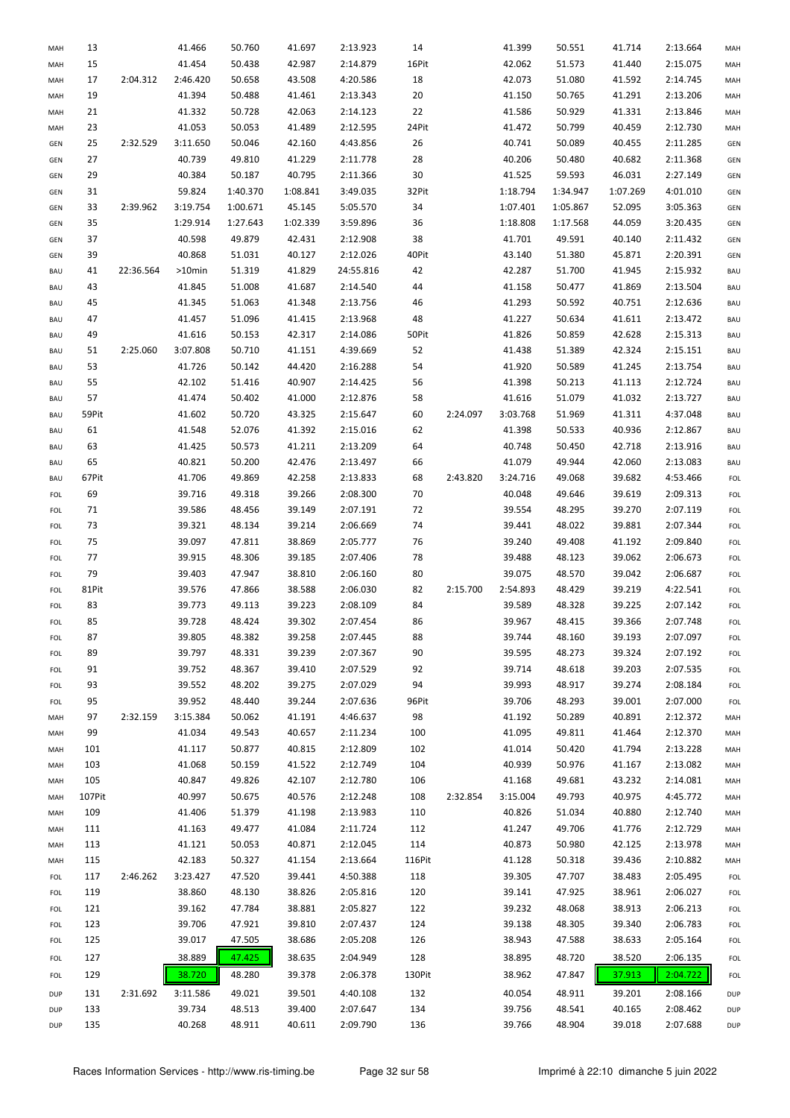| MAH        | 13     |           | 41.466   | 50.760   | 41.697   | 2:13.923  | 14     |          | 41.399   | 50.551   | 41.714   | 2:13.664 | MAH        |
|------------|--------|-----------|----------|----------|----------|-----------|--------|----------|----------|----------|----------|----------|------------|
| MAH        | 15     |           | 41.454   | 50.438   | 42.987   | 2:14.879  | 16Pit  |          | 42.062   | 51.573   | 41.440   | 2:15.075 | MAH        |
| MAH        | 17     | 2:04.312  | 2:46.420 | 50.658   | 43.508   | 4:20.586  | 18     |          | 42.073   | 51.080   | 41.592   | 2:14.745 | MAH        |
| MAH        | 19     |           | 41.394   | 50.488   | 41.461   | 2:13.343  | 20     |          | 41.150   | 50.765   | 41.291   | 2:13.206 | MAH        |
| MAH        | 21     |           | 41.332   | 50.728   | 42.063   | 2:14.123  | 22     |          | 41.586   | 50.929   | 41.331   | 2:13.846 | MAH        |
| MAH        | 23     |           | 41.053   | 50.053   | 41.489   | 2:12.595  | 24Pit  |          | 41.472   | 50.799   | 40.459   | 2:12.730 | MAH        |
| GEN        | 25     | 2:32.529  | 3:11.650 | 50.046   | 42.160   | 4:43.856  | 26     |          | 40.741   | 50.089   | 40.455   | 2:11.285 | GEN        |
|            | 27     |           | 40.739   | 49.810   | 41.229   | 2:11.778  | 28     |          | 40.206   | 50.480   | 40.682   | 2:11.368 |            |
| GEN        |        |           |          |          |          |           |        |          |          |          |          |          | GEN        |
| GEN        | 29     |           | 40.384   | 50.187   | 40.795   | 2:11.366  | 30     |          | 41.525   | 59.593   | 46.031   | 2:27.149 | GEN        |
| GEN        | 31     |           | 59.824   | 1:40.370 | 1:08.841 | 3:49.035  | 32Pit  |          | 1:18.794 | 1:34.947 | 1:07.269 | 4:01.010 | GEN        |
| GEN        | 33     | 2:39.962  | 3:19.754 | 1:00.671 | 45.145   | 5:05.570  | 34     |          | 1:07.401 | 1:05.867 | 52.095   | 3:05.363 | GEN        |
| GEN        | 35     |           | 1:29.914 | 1:27.643 | 1:02.339 | 3:59.896  | 36     |          | 1:18.808 | 1:17.568 | 44.059   | 3:20.435 | GEN        |
| GEN        | 37     |           | 40.598   | 49.879   | 42.431   | 2:12.908  | 38     |          | 41.701   | 49.591   | 40.140   | 2:11.432 | GEN        |
| GEN        | 39     |           | 40.868   | 51.031   | 40.127   | 2:12.026  | 40Pit  |          | 43.140   | 51.380   | 45.871   | 2:20.391 | GEN        |
| BAU        | 41     | 22:36.564 | >10min   | 51.319   | 41.829   | 24:55.816 | 42     |          | 42.287   | 51.700   | 41.945   | 2:15.932 | <b>BAU</b> |
| BAU        | 43     |           | 41.845   | 51.008   | 41.687   | 2:14.540  | 44     |          | 41.158   | 50.477   | 41.869   | 2:13.504 | <b>BAU</b> |
| BAU        | 45     |           | 41.345   | 51.063   | 41.348   | 2:13.756  | 46     |          | 41.293   | 50.592   | 40.751   | 2:12.636 | <b>BAU</b> |
| BAU        | 47     |           | 41.457   | 51.096   | 41.415   | 2:13.968  | 48     |          | 41.227   | 50.634   | 41.611   | 2:13.472 | <b>BAU</b> |
| BAU        | 49     |           | 41.616   | 50.153   | 42.317   | 2:14.086  | 50Pit  |          | 41.826   | 50.859   | 42.628   | 2:15.313 | <b>BAU</b> |
| BAU        | 51     | 2:25.060  | 3:07.808 | 50.710   | 41.151   | 4:39.669  | 52     |          | 41.438   | 51.389   | 42.324   | 2:15.151 | <b>BAU</b> |
| BAU        | 53     |           | 41.726   | 50.142   | 44.420   | 2:16.288  | 54     |          | 41.920   | 50.589   | 41.245   | 2:13.754 | <b>BAU</b> |
| BAU        | 55     |           | 42.102   | 51.416   | 40.907   | 2:14.425  | 56     |          | 41.398   | 50.213   | 41.113   | 2:12.724 | <b>BAU</b> |
| BAU        | 57     |           | 41.474   | 50.402   | 41.000   | 2:12.876  | 58     |          | 41.616   | 51.079   | 41.032   | 2:13.727 | <b>BAU</b> |
| BAU        | 59Pit  |           | 41.602   | 50.720   | 43.325   | 2:15.647  | 60     | 2:24.097 | 3:03.768 | 51.969   | 41.311   | 4:37.048 | <b>BAU</b> |
| BAU        | 61     |           | 41.548   | 52.076   | 41.392   | 2:15.016  | 62     |          | 41.398   | 50.533   | 40.936   | 2:12.867 | <b>BAU</b> |
|            | 63     |           | 41.425   | 50.573   | 41.211   | 2:13.209  | 64     |          | 40.748   | 50.450   | 42.718   | 2:13.916 |            |
| BAU        |        |           |          |          |          |           |        |          |          |          |          |          | <b>BAU</b> |
| BAU        | 65     |           | 40.821   | 50.200   | 42.476   | 2:13.497  | 66     |          | 41.079   | 49.944   | 42.060   | 2:13.083 | <b>BAU</b> |
| BAU        | 67Pit  |           | 41.706   | 49.869   | 42.258   | 2:13.833  | 68     | 2:43.820 | 3:24.716 | 49.068   | 39.682   | 4:53.466 | FOL        |
| FOL        | 69     |           | 39.716   | 49.318   | 39.266   | 2:08.300  | 70     |          | 40.048   | 49.646   | 39.619   | 2:09.313 | FOL        |
| FOL        | 71     |           | 39.586   | 48.456   | 39.149   | 2:07.191  | 72     |          | 39.554   | 48.295   | 39.270   | 2:07.119 | FOL        |
| FOL        | 73     |           | 39.321   | 48.134   | 39.214   | 2:06.669  | 74     |          | 39.441   | 48.022   | 39.881   | 2:07.344 | FOL        |
| FOL        | 75     |           | 39.097   | 47.811   | 38.869   | 2:05.777  | 76     |          | 39.240   | 49.408   | 41.192   | 2:09.840 | FOL        |
| FOL        | 77     |           | 39.915   | 48.306   | 39.185   | 2:07.406  | 78     |          | 39.488   | 48.123   | 39.062   | 2:06.673 | FOL        |
| FOL        | 79     |           | 39.403   | 47.947   | 38.810   | 2:06.160  | 80     |          | 39.075   | 48.570   | 39.042   | 2:06.687 | FOL        |
| FOL        | 81Pit  |           | 39.576   | 47.866   | 38.588   | 2:06.030  | 82     | 2:15.700 | 2:54.893 | 48.429   | 39.219   | 4:22.541 | FOL        |
| FOL        | 83     |           | 39.773   | 49.113   | 39.223   | 2:08.109  | 84     |          | 39.589   | 48.328   | 39.225   | 2:07.142 | FOL        |
| FOL        | 85     |           | 39.728   | 48.424   | 39.302   | 2:07.454  | 86     |          | 39.967   | 48.415   | 39.366   | 2:07.748 | FOL        |
| FOL        | 87     |           | 39.805   | 48.382   | 39.258   | 2:07.445  | 88     |          | 39.744   | 48.160   | 39.193   | 2:07.097 | <b>FOL</b> |
| FOL        | 89     |           | 39.797   | 48.331   | 39.239   | 2:07.367  | 90     |          | 39.595   | 48.273   | 39.324   | 2:07.192 | FOL        |
| FOL        | 91     |           | 39.752   | 48.367   | 39.410   | 2:07.529  | 92     |          | 39.714   | 48.618   | 39.203   | 2:07.535 | FOL        |
| FOL        | 93     |           | 39.552   | 48.202   | 39.275   | 2:07.029  | 94     |          | 39.993   | 48.917   | 39.274   | 2:08.184 | FOL        |
| <b>FOL</b> | 95     |           | 39.952   | 48.440   | 39.244   | 2:07.636  | 96Pit  |          | 39.706   | 48.293   | 39.001   | 2:07.000 | FOL        |
| MAH        | 97     | 2:32.159  | 3:15.384 | 50.062   | 41.191   | 4:46.637  | 98     |          | 41.192   | 50.289   | 40.891   | 2:12.372 | MAH        |
| MAH        | 99     |           | 41.034   | 49.543   | 40.657   | 2:11.234  | 100    |          | 41.095   | 49.811   | 41.464   | 2:12.370 | MAH        |
| MAH        | 101    |           | 41.117   | 50.877   | 40.815   | 2:12.809  | 102    |          | 41.014   | 50.420   | 41.794   | 2:13.228 | MAH        |
|            | 103    |           | 41.068   | 50.159   | 41.522   | 2:12.749  | 104    |          | 40.939   | 50.976   |          | 2:13.082 |            |
| MAH        |        |           |          |          |          |           |        |          |          |          | 41.167   |          | MAH        |
| MAH        | 105    |           | 40.847   | 49.826   | 42.107   | 2:12.780  | 106    |          | 41.168   | 49.681   | 43.232   | 2:14.081 | MAH        |
| MAH        | 107Pit |           | 40.997   | 50.675   | 40.576   | 2:12.248  | 108    | 2:32.854 | 3:15.004 | 49.793   | 40.975   | 4:45.772 | MAH        |
| MAH        | 109    |           | 41.406   | 51.379   | 41.198   | 2:13.983  | 110    |          | 40.826   | 51.034   | 40.880   | 2:12.740 | MAH        |
| MAH        | 111    |           | 41.163   | 49.477   | 41.084   | 2:11.724  | 112    |          | 41.247   | 49.706   | 41.776   | 2:12.729 | MAH        |
| MAH        | 113    |           | 41.121   | 50.053   | 40.871   | 2:12.045  | 114    |          | 40.873   | 50.980   | 42.125   | 2:13.978 | MAH        |
| MAH        | 115    |           | 42.183   | 50.327   | 41.154   | 2:13.664  | 116Pit |          | 41.128   | 50.318   | 39.436   | 2:10.882 | MAH        |
| <b>FOL</b> | 117    | 2:46.262  | 3:23.427 | 47.520   | 39.441   | 4:50.388  | 118    |          | 39.305   | 47.707   | 38.483   | 2:05.495 | FOL        |
| FOL        | 119    |           | 38.860   | 48.130   | 38.826   | 2:05.816  | 120    |          | 39.141   | 47.925   | 38.961   | 2:06.027 | FOL        |
| FOL        | 121    |           | 39.162   | 47.784   | 38.881   | 2:05.827  | 122    |          | 39.232   | 48.068   | 38.913   | 2:06.213 | FOL        |
| FOL        | 123    |           | 39.706   | 47.921   | 39.810   | 2:07.437  | 124    |          | 39.138   | 48.305   | 39.340   | 2:06.783 | FOL        |
| FOL        | 125    |           | 39.017   | 47.505   | 38.686   | 2:05.208  | 126    |          | 38.943   | 47.588   | 38.633   | 2:05.164 | FOL        |
| FOL        | 127    |           | 38.889   | 47.425   | 38.635   | 2:04.949  | 128    |          | 38.895   | 48.720   | 38.520   | 2:06.135 | FOL        |
| <b>FOL</b> | 129    |           | 38.720   | 48.280   | 39.378   | 2:06.378  | 130Pit |          | 38.962   | 47.847   | 37.913   | 2:04.722 | FOL        |
|            |        |           |          |          |          |           |        |          |          |          |          |          |            |
| <b>DUP</b> | 131    | 2:31.692  | 3:11.586 | 49.021   | 39.501   | 4:40.108  | 132    |          | 40.054   | 48.911   | 39.201   | 2:08.166 | <b>DUP</b> |
| <b>DUP</b> | 133    |           | 39.734   | 48.513   | 39.400   | 2:07.647  | 134    |          | 39.756   | 48.541   | 40.165   | 2:08.462 | <b>DUP</b> |
| <b>DUP</b> | 135    |           | 40.268   | 48.911   | 40.611   | 2:09.790  | 136    |          | 39.766   | 48.904   | 39.018   | 2:07.688 | <b>DUP</b> |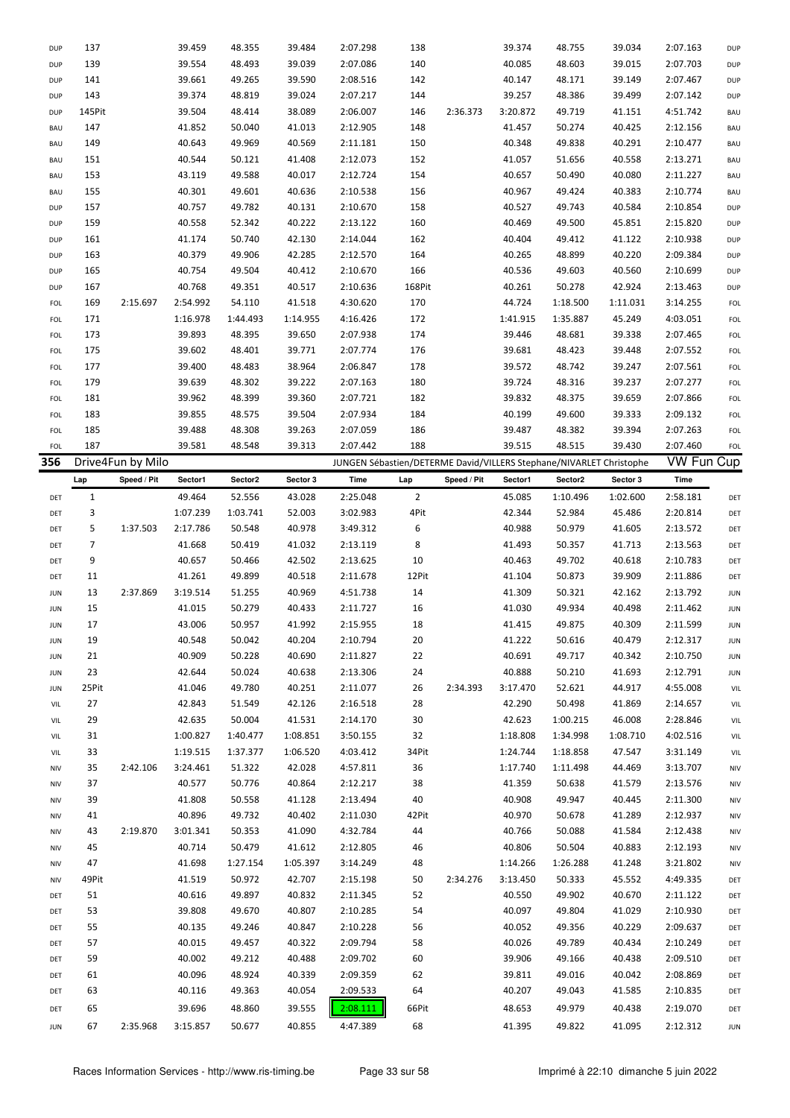| <b>DUP</b>        | 137          |                   | 39.459             | 48.355           | 39.484           | 2:07.298                                                            | 138            |             | 39.374             | 48.755           | 39.034           | 2:07.163             | <b>DUP</b> |
|-------------------|--------------|-------------------|--------------------|------------------|------------------|---------------------------------------------------------------------|----------------|-------------|--------------------|------------------|------------------|----------------------|------------|
| <b>DUP</b>        | 139          |                   | 39.554             | 48.493           | 39.039           | 2:07.086                                                            | 140            |             | 40.085             | 48.603           | 39.015           | 2:07.703             | <b>DUP</b> |
| <b>DUP</b>        | 141          |                   | 39.661             | 49.265           | 39.590           | 2:08.516                                                            | 142            |             | 40.147             | 48.171           | 39.149           | 2:07.467             | <b>DUP</b> |
| DUP               | 143          |                   | 39.374             | 48.819           | 39.024           | 2:07.217                                                            | 144            |             | 39.257             | 48.386           | 39.499           | 2:07.142             | <b>DUP</b> |
| DUP               | 145Pit       |                   | 39.504             | 48.414           | 38.089           | 2:06.007                                                            | 146            | 2:36.373    | 3:20.872           | 49.719           | 41.151           | 4:51.742             | <b>BAU</b> |
| BAU               | 147          |                   | 41.852             | 50.040           | 41.013           | 2:12.905                                                            | 148            |             | 41.457             | 50.274           | 40.425           | 2:12.156             | <b>BAU</b> |
| BAU               | 149          |                   | 40.643             | 49.969           | 40.569           | 2:11.181                                                            | 150            |             | 40.348             | 49.838           | 40.291           | 2:10.477             | <b>BAU</b> |
| BAU               | 151          |                   | 40.544             | 50.121           | 41.408           | 2:12.073                                                            | 152            |             | 41.057             | 51.656           | 40.558           | 2:13.271             | <b>BAU</b> |
| BAU               | 153          |                   | 43.119             | 49.588           | 40.017           | 2:12.724                                                            | 154            |             | 40.657             | 50.490           | 40.080           | 2:11.227             | <b>BAU</b> |
| BAU               | 155          |                   | 40.301             | 49.601           | 40.636           | 2:10.538                                                            | 156            |             | 40.967             | 49.424           | 40.383           | 2:10.774             | <b>BAU</b> |
| DUP               | 157          |                   | 40.757             | 49.782           | 40.131           | 2:10.670                                                            | 158            |             | 40.527             | 49.743           | 40.584           | 2:10.854             | <b>DUP</b> |
| DUP               | 159          |                   | 40.558             | 52.342           | 40.222           | 2:13.122                                                            | 160            |             | 40.469             | 49.500           | 45.851           | 2:15.820             | <b>DUP</b> |
| DUP               | 161          |                   | 41.174             | 50.740           | 42.130           | 2:14.044                                                            | 162            |             | 40.404             | 49.412           | 41.122           | 2:10.938             | <b>DUP</b> |
| DUP               | 163          |                   | 40.379             | 49.906           | 42.285           | 2:12.570                                                            | 164            |             | 40.265             | 48.899           | 40.220           | 2:09.384             | <b>DUP</b> |
| DUP               | 165          |                   | 40.754             | 49.504           | 40.412           | 2:10.670                                                            | 166            |             | 40.536             | 49.603           | 40.560           | 2:10.699             | <b>DUP</b> |
| DUP               | 167          |                   | 40.768             | 49.351           | 40.517           | 2:10.636                                                            | 168Pit         |             | 40.261             | 50.278           | 42.924           | 2:13.463             | <b>DUP</b> |
| FOL               | 169          | 2:15.697          | 2:54.992           | 54.110           | 41.518           | 4:30.620                                                            | 170            |             | 44.724             | 1:18.500         | 1:11.031         | 3:14.255             | FOL        |
| FOL               | 171          |                   | 1:16.978           | 1:44.493         | 1:14.955         | 4:16.426                                                            | 172            |             | 1:41.915           | 1:35.887         | 45.249           | 4:03.051             | FOL        |
| FOL               | 173          |                   | 39.893             | 48.395           | 39.650           | 2:07.938                                                            | 174            |             | 39.446             | 48.681           | 39.338           | 2:07.465             | FOL        |
| FOL               | 175          |                   | 39.602             | 48.401           | 39.771           | 2:07.774                                                            | 176            |             | 39.681             | 48.423           | 39.448           | 2:07.552             | FOL        |
| FOL               | 177          |                   | 39.400             | 48.483           | 38.964           | 2:06.847                                                            | 178            |             | 39.572             | 48.742           | 39.247           | 2:07.561             | FOL        |
| FOL               | 179          |                   | 39.639             | 48.302           | 39.222           | 2:07.163                                                            | 180            |             | 39.724             | 48.316           | 39.237           | 2:07.277             | FOL        |
| FOL               | 181          |                   | 39.962             | 48.399           | 39.360           | 2:07.721                                                            | 182            |             | 39.832             | 48.375           | 39.659           | 2:07.866             | FOL        |
| FOL               | 183          |                   | 39.855             | 48.575           | 39.504           | 2:07.934                                                            | 184            |             | 40.199             | 49.600           | 39.333           | 2:09.132             | FOL        |
| FOL               | 185          |                   | 39.488             | 48.308           | 39.263           | 2:07.059                                                            | 186            |             | 39.487             | 48.382           | 39.394           | 2:07.263             | FOL        |
| FOL               | 187          |                   | 39.581             | 48.548           | 39.313           | 2:07.442                                                            | 188            |             | 39.515             | 48.515           | 39.430           | 2:07.460             | FOL        |
| 356               |              | Drive4Fun by Milo |                    |                  |                  | JUNGEN Sébastien/DETERME David/VILLERS Stephane/NIVARLET Christophe |                |             |                    |                  |                  | <b>VW Fun Cup</b>    |            |
|                   |              |                   |                    |                  |                  |                                                                     |                |             |                    |                  |                  |                      |            |
|                   | Lap          | Speed / Pit       | Sector1            | Sector2          | Sector 3         | Time                                                                | Lap            | Speed / Pit | Sector1            | Sector2          | Sector 3         | <b>Time</b>          |            |
| DET               | $\mathbf{1}$ |                   | 49.464             | 52.556           | 43.028           | 2:25.048                                                            | $\overline{2}$ |             | 45.085             | 1:10.496         | 1:02.600         | 2:58.181             | DET        |
| DET               | 3            |                   | 1:07.239           | 1:03.741         | 52.003           | 3:02.983                                                            | 4Pit           |             | 42.344             | 52.984           | 45.486           | 2:20.814             | DET        |
| DET               | 5            | 1:37.503          | 2:17.786           | 50.548           | 40.978           | 3:49.312                                                            | 6              |             | 40.988             | 50.979           | 41.605           | 2:13.572             | DET        |
| DET               | 7            |                   | 41.668             | 50.419           | 41.032           | 2:13.119                                                            | 8              |             | 41.493             | 50.357           | 41.713           | 2:13.563             | DET        |
| DET               | 9            |                   | 40.657             | 50.466           | 42.502           | 2:13.625                                                            | 10             |             | 40.463             | 49.702           | 40.618           | 2:10.783             | DET        |
| DET               | 11           |                   | 41.261             | 49.899           | 40.518           | 2:11.678                                                            | 12Pit          |             | 41.104             | 50.873           | 39.909           | 2:11.886             | DET        |
| <b>JUN</b>        | 13           | 2:37.869          | 3:19.514           | 51.255           | 40.969           | 4:51.738                                                            | 14             |             | 41.309             | 50.321           | 42.162           | 2:13.792             | <b>JUN</b> |
| <b>JUN</b>        | 15           |                   | 41.015             | 50.279           | 40.433           | 2:11.727                                                            | 16             |             | 41.030             | 49.934           | 40.498           | 2:11.462             | JUN        |
| <b>JUN</b>        | 17           |                   |                    |                  |                  |                                                                     |                |             |                    |                  | 40.309           |                      | <b>JUN</b> |
| JUN               |              |                   | 43.006             | 50.957           | 41.992           | 2:15.955                                                            | 18             |             | 41.415             | 49.875           |                  | 2:11.599             |            |
| <b>JUN</b>        | 19           |                   | 40.548             | 50.042           | 40.204           | 2:10.794                                                            | 20             |             | 41.222             | 50.616           | 40.479           | 2:12.317             | JUN        |
| <b>JUN</b>        | 21           |                   | 40.909             | 50.228           | 40.690           | 2:11.827                                                            | 22             |             | 40.691             | 49.717           | 40.342           | 2:10.750             | JUN        |
|                   | 23           |                   | 42.644             | 50.024           | 40.638           | 2:13.306                                                            | 24             |             | 40.888             | 50.210           | 41.693           | 2:12.791             | <b>JUN</b> |
| <b>JUN</b>        | 25Pit        |                   | 41.046             | 49.780           | 40.251           | 2:11.077                                                            | 26             | 2:34.393    | 3:17.470           | 52.621           | 44.917           | 4:55.008             | VIL        |
| VIL               | 27           |                   | 42.843             | 51.549           | 42.126           | 2:16.518                                                            | 28             |             | 42.290             | 50.498           | 41.869           | 2:14.657             | VIL        |
| VIL               | 29           |                   | 42.635             | 50.004           | 41.531           | 2:14.170                                                            | 30             |             | 42.623             | 1:00.215         | 46.008           | 2:28.846             | VIL        |
| VIL               | 31           |                   | 1:00.827           | 1:40.477         | 1:08.851         | 3:50.155                                                            | 32             |             | 1:18.808           | 1:34.998         | 1:08.710         | 4:02.516             | VIL        |
| VIL               | 33           |                   | 1:19.515           | 1:37.377         | 1:06.520         | 4:03.412                                                            | 34Pit          |             | 1:24.744           | 1:18.858         | 47.547           | 3:31.149             | VIL        |
| <b>NIV</b>        | 35           | 2:42.106          | 3:24.461           | 51.322           | 42.028           | 4:57.811                                                            | 36             |             | 1:17.740           | 1:11.498         | 44.469           | 3:13.707             | <b>NIV</b> |
| <b>NIV</b>        | 37           |                   | 40.577             | 50.776           | 40.864           | 2:12.217                                                            | 38             |             | 41.359             | 50.638           | 41.579           | 2:13.576             | <b>NIV</b> |
| <b>NIV</b>        | 39           |                   | 41.808             | 50.558           | 41.128           | 2:13.494                                                            | 40             |             | 40.908             | 49.947           | 40.445           | 2:11.300             | <b>NIV</b> |
| <b>NIV</b>        | 41           |                   | 40.896             | 49.732           | 40.402           | 2:11.030                                                            | 42Pit          |             | 40.970             | 50.678           | 41.289           | 2:12.937             | <b>NIV</b> |
| <b>NIV</b>        | 43           | 2:19.870          | 3:01.341           | 50.353           | 41.090           | 4:32.784                                                            | 44             |             | 40.766             | 50.088           | 41.584           | 2:12.438             | <b>NIV</b> |
| <b>NIV</b>        | 45           |                   | 40.714             | 50.479           |                  |                                                                     | 46             |             |                    |                  |                  |                      | <b>NIV</b> |
|                   | 47           |                   |                    |                  | 41.612           | 2:12.805                                                            |                |             | 40.806             | 50.504           | 40.883           | 2:12.193             |            |
| <b>NIV</b>        |              |                   | 41.698             | 1:27.154         | 1:05.397         | 3:14.249                                                            | 48             |             | 1:14.266           | 1:26.288         | 41.248           | 3:21.802             | <b>NIV</b> |
| NIV<br>DET        | 49Pit        |                   | 41.519             | 50.972<br>49.897 | 42.707<br>40.832 | 2:15.198                                                            | 50<br>52       | 2:34.276    | 3:13.450<br>40.550 | 50.333<br>49.902 | 45.552<br>40.670 | 4:49.335             | DET<br>DET |
|                   | 51           |                   | 40.616             |                  |                  | 2:11.345                                                            |                |             |                    |                  |                  | 2:11.122             |            |
| DET               | 53           |                   | 39.808             | 49.670           | 40.807           | 2:10.285                                                            | 54             |             | 40.097             | 49.804           | 41.029           | 2:10.930             | DET        |
| DET               | 55           |                   | 40.135             | 49.246           | 40.847           | 2:10.228                                                            | 56             |             | 40.052             | 49.356           | 40.229           | 2:09.637             | DET        |
| DET               | 57           |                   | 40.015             | 49.457           | 40.322           | 2:09.794                                                            | 58             |             | 40.026             | 49.789           | 40.434           | 2:10.249             | DET        |
| DET               | 59           |                   | 40.002             | 49.212           | 40.488           | 2:09.702                                                            | 60             |             | 39.906             | 49.166           | 40.438           | 2:09.510             | DET        |
| DET               | 61           |                   | 40.096             | 48.924           | 40.339           | 2:09.359                                                            | 62             |             | 39.811             | 49.016           | 40.042           | 2:08.869             | DET        |
| DET               | 63           |                   | 40.116             | 49.363           | 40.054           | 2:09.533                                                            | 64             |             | 40.207             | 49.043           | 41.585           | 2:10.835             | DET        |
| DET<br><b>JUN</b> | 65<br>67     | 2:35.968          | 39.696<br>3:15.857 | 48.860<br>50.677 | 39.555<br>40.855 | 2:08.111<br>4:47.389                                                | 66Pit<br>68    |             | 48.653<br>41.395   | 49.979<br>49.822 | 40.438<br>41.095 | 2:19.070<br>2:12.312 | DET<br>JUN |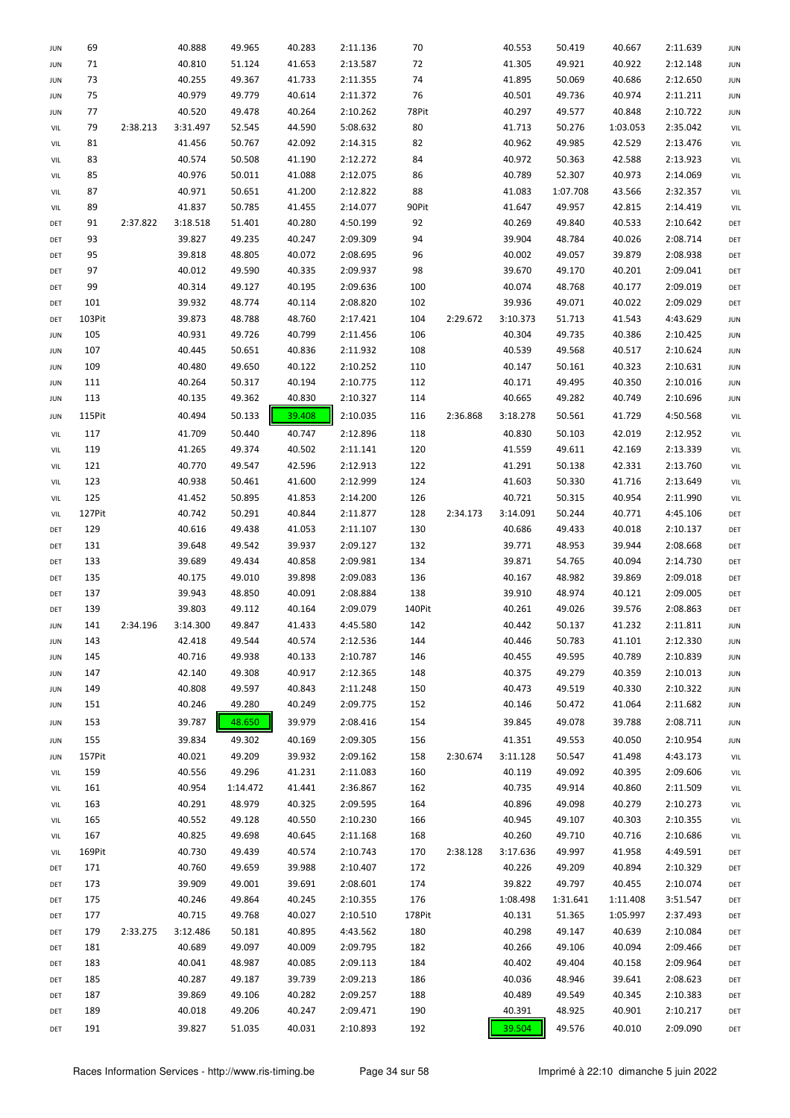| <b>JUN</b> | 69     |          | 40.888   | 49.965   | 40.283 | 2:11.136 | 70     |          | 40.553   | 50.419   | 40.667   | 2:11.639 | <b>JUN</b> |
|------------|--------|----------|----------|----------|--------|----------|--------|----------|----------|----------|----------|----------|------------|
| JUN        | 71     |          | 40.810   | 51.124   | 41.653 | 2:13.587 | 72     |          | 41.305   | 49.921   | 40.922   | 2:12.148 | JUN        |
| <b>JUN</b> | 73     |          | 40.255   | 49.367   | 41.733 | 2:11.355 | 74     |          | 41.895   | 50.069   | 40.686   | 2:12.650 | <b>JUN</b> |
| <b>JUN</b> | 75     |          | 40.979   | 49.779   | 40.614 | 2:11.372 | 76     |          | 40.501   | 49.736   | 40.974   | 2:11.211 | <b>JUN</b> |
| JUN        | 77     |          | 40.520   | 49.478   | 40.264 | 2:10.262 | 78Pit  |          | 40.297   | 49.577   | 40.848   | 2:10.722 | <b>JUN</b> |
| VIL        | 79     | 2:38.213 | 3:31.497 | 52.545   | 44.590 | 5:08.632 | 80     |          | 41.713   | 50.276   | 1:03.053 | 2:35.042 | VIL        |
| VIL        | 81     |          | 41.456   | 50.767   | 42.092 | 2:14.315 | 82     |          | 40.962   | 49.985   | 42.529   | 2:13.476 | VIL        |
| VIL        | 83     |          | 40.574   | 50.508   | 41.190 | 2:12.272 | 84     |          | 40.972   | 50.363   | 42.588   | 2:13.923 | VIL        |
| VIL        | 85     |          | 40.976   | 50.011   | 41.088 | 2:12.075 | 86     |          | 40.789   | 52.307   | 40.973   | 2:14.069 | VIL        |
| VIL        | 87     |          | 40.971   | 50.651   | 41.200 | 2:12.822 | 88     |          | 41.083   | 1:07.708 | 43.566   | 2:32.357 | VIL        |
| VIL        | 89     |          | 41.837   | 50.785   | 41.455 | 2:14.077 | 90Pit  |          | 41.647   | 49.957   | 42.815   | 2:14.419 | VIL        |
| DET        | 91     | 2:37.822 | 3:18.518 | 51.401   | 40.280 | 4:50.199 | 92     |          | 40.269   | 49.840   | 40.533   | 2:10.642 | DET        |
| DET        | 93     |          | 39.827   | 49.235   | 40.247 | 2:09.309 | 94     |          | 39.904   | 48.784   | 40.026   | 2:08.714 | DET        |
| DET        | 95     |          | 39.818   | 48.805   | 40.072 | 2:08.695 | 96     |          | 40.002   | 49.057   | 39.879   | 2:08.938 | DET        |
| DET        | 97     |          | 40.012   | 49.590   | 40.335 | 2:09.937 | 98     |          | 39.670   | 49.170   | 40.201   | 2:09.041 | DET        |
| DET        | 99     |          | 40.314   | 49.127   | 40.195 | 2:09.636 | 100    |          | 40.074   | 48.768   | 40.177   | 2:09.019 | DET        |
| DET        | 101    |          | 39.932   | 48.774   | 40.114 | 2:08.820 | 102    |          | 39.936   | 49.071   | 40.022   | 2:09.029 | DET        |
|            | 103Pit |          |          | 48.788   | 48.760 | 2:17.421 | 104    | 2:29.672 |          |          |          |          |            |
| DET        |        |          | 39.873   |          |        |          |        |          | 3:10.373 | 51.713   | 41.543   | 4:43.629 | <b>JUN</b> |
| <b>JUN</b> | 105    |          | 40.931   | 49.726   | 40.799 | 2:11.456 | 106    |          | 40.304   | 49.735   | 40.386   | 2:10.425 | <b>JUN</b> |
| <b>JUN</b> | 107    |          | 40.445   | 50.651   | 40.836 | 2:11.932 | 108    |          | 40.539   | 49.568   | 40.517   | 2:10.624 | <b>JUN</b> |
| <b>JUN</b> | 109    |          | 40.480   | 49.650   | 40.122 | 2:10.252 | 110    |          | 40.147   | 50.161   | 40.323   | 2:10.631 | <b>JUN</b> |
| <b>JUN</b> | 111    |          | 40.264   | 50.317   | 40.194 | 2:10.775 | 112    |          | 40.171   | 49.495   | 40.350   | 2:10.016 | <b>JUN</b> |
| <b>JUN</b> | 113    |          | 40.135   | 49.362   | 40.830 | 2:10.327 | 114    |          | 40.665   | 49.282   | 40.749   | 2:10.696 | <b>JUN</b> |
| <b>JUN</b> | 115Pit |          | 40.494   | 50.133   | 39.408 | 2:10.035 | 116    | 2:36.868 | 3:18.278 | 50.561   | 41.729   | 4:50.568 | VIL        |
| VIL        | 117    |          | 41.709   | 50.440   | 40.747 | 2:12.896 | 118    |          | 40.830   | 50.103   | 42.019   | 2:12.952 | VIL        |
| VIL        | 119    |          | 41.265   | 49.374   | 40.502 | 2:11.141 | 120    |          | 41.559   | 49.611   | 42.169   | 2:13.339 | VIL        |
| VIL        | 121    |          | 40.770   | 49.547   | 42.596 | 2:12.913 | 122    |          | 41.291   | 50.138   | 42.331   | 2:13.760 | VIL        |
| VIL        | 123    |          | 40.938   | 50.461   | 41.600 | 2:12.999 | 124    |          | 41.603   | 50.330   | 41.716   | 2:13.649 | VIL        |
| VIL        | 125    |          | 41.452   | 50.895   | 41.853 | 2:14.200 | 126    |          | 40.721   | 50.315   | 40.954   | 2:11.990 | VIL        |
| VIL        | 127Pit |          | 40.742   | 50.291   | 40.844 | 2:11.877 | 128    | 2:34.173 | 3:14.091 | 50.244   | 40.771   | 4:45.106 | DET        |
| DET        | 129    |          | 40.616   | 49.438   | 41.053 | 2:11.107 | 130    |          | 40.686   | 49.433   | 40.018   | 2:10.137 | DET        |
| DET        | 131    |          | 39.648   | 49.542   | 39.937 | 2:09.127 | 132    |          | 39.771   | 48.953   | 39.944   | 2:08.668 | DET        |
| DET        | 133    |          | 39.689   | 49.434   | 40.858 | 2:09.981 | 134    |          | 39.871   | 54.765   | 40.094   | 2:14.730 | DET        |
| DET        | 135    |          | 40.175   | 49.010   | 39.898 | 2:09.083 | 136    |          | 40.167   | 48.982   | 39.869   | 2:09.018 | DET        |
| DET        | 137    |          | 39.943   | 48.850   | 40.091 | 2:08.884 | 138    |          | 39.910   | 48.974   | 40.121   | 2:09.005 | DET        |
| DET        | 139    |          | 39.803   | 49.112   | 40.164 | 2:09.079 | 140Pit |          | 40.261   | 49.026   | 39.576   | 2:08.863 | DET        |
| <b>JUN</b> | 141    | 2:34.196 | 3:14.300 | 49.847   | 41.433 | 4:45.580 | 142    |          | 40.442   | 50.137   | 41.232   | 2:11.811 | <b>JUN</b> |
| <b>JUN</b> | 143    |          | 42.418   | 49.544   | 40.574 | 2:12.536 | 144    |          | 40.446   | 50.783   | 41.101   | 2:12.330 | JUN        |
| JUN        | 145    |          | 40.716   | 49.938   | 40.133 | 2:10.787 | 146    |          | 40.455   | 49.595   | 40.789   | 2:10.839 | <b>JUN</b> |
|            | 147    |          | 42.140   | 49.308   | 40.917 | 2:12.365 | 148    |          | 40.375   | 49.279   | 40.359   | 2:10.013 |            |
| JUN        | 149    |          |          | 49.597   |        |          |        |          | 40.473   |          |          |          | JUN        |
| JUN        |        |          | 40.808   |          | 40.843 | 2:11.248 | 150    |          |          | 49.519   | 40.330   | 2:10.322 | JUN        |
| <b>JUN</b> | 151    |          | 40.246   | 49.280   | 40.249 | 2:09.775 | 152    |          | 40.146   | 50.472   | 41.064   | 2:11.682 | JUN        |
| JUN        | 153    |          | 39.787   | 48.650   | 39.979 | 2:08.416 | 154    |          | 39.845   | 49.078   | 39.788   | 2:08.711 | JUN        |
| <b>JUN</b> | 155    |          | 39.834   | 49.302   | 40.169 | 2:09.305 | 156    |          | 41.351   | 49.553   | 40.050   | 2:10.954 | JUN        |
| JUN        | 157Pit |          | 40.021   | 49.209   | 39.932 | 2:09.162 | 158    | 2:30.674 | 3:11.128 | 50.547   | 41.498   | 4:43.173 | VIL        |
| VIL        | 159    |          | 40.556   | 49.296   | 41.231 | 2:11.083 | 160    |          | 40.119   | 49.092   | 40.395   | 2:09.606 | VIL        |
| VIL        | 161    |          | 40.954   | 1:14.472 | 41.441 | 2:36.867 | 162    |          | 40.735   | 49.914   | 40.860   | 2:11.509 | VIL        |
| VIL        | 163    |          | 40.291   | 48.979   | 40.325 | 2:09.595 | 164    |          | 40.896   | 49.098   | 40.279   | 2:10.273 | VIL        |
| VIL        | 165    |          | 40.552   | 49.128   | 40.550 | 2:10.230 | 166    |          | 40.945   | 49.107   | 40.303   | 2:10.355 | VIL        |
| VIL        | 167    |          | 40.825   | 49.698   | 40.645 | 2:11.168 | 168    |          | 40.260   | 49.710   | 40.716   | 2:10.686 | VIL        |
| VIL        | 169Pit |          | 40.730   | 49.439   | 40.574 | 2:10.743 | 170    | 2:38.128 | 3:17.636 | 49.997   | 41.958   | 4:49.591 | DET        |
| DET        | 171    |          | 40.760   | 49.659   | 39.988 | 2:10.407 | 172    |          | 40.226   | 49.209   | 40.894   | 2:10.329 | DET        |
| DET        | 173    |          | 39.909   | 49.001   | 39.691 | 2:08.601 | 174    |          | 39.822   | 49.797   | 40.455   | 2:10.074 | DET        |
| DET        | 175    |          | 40.246   | 49.864   | 40.245 | 2:10.355 | 176    |          | 1:08.498 | 1:31.641 | 1:11.408 | 3:51.547 | DET        |
| DET        | 177    |          | 40.715   | 49.768   | 40.027 | 2:10.510 | 178Pit |          | 40.131   | 51.365   | 1:05.997 | 2:37.493 | DET        |
| DET        | 179    | 2:33.275 | 3:12.486 | 50.181   | 40.895 | 4:43.562 | 180    |          | 40.298   | 49.147   | 40.639   | 2:10.084 | DET        |
| DET        | 181    |          | 40.689   | 49.097   | 40.009 | 2:09.795 | 182    |          | 40.266   | 49.106   | 40.094   | 2:09.466 | DET        |
| DET        | 183    |          | 40.041   | 48.987   | 40.085 | 2:09.113 | 184    |          | 40.402   | 49.404   | 40.158   | 2:09.964 | DET        |
| DET        | 185    |          | 40.287   | 49.187   | 39.739 | 2:09.213 | 186    |          | 40.036   | 48.946   | 39.641   | 2:08.623 | DET        |
| DET        | 187    |          | 39.869   | 49.106   | 40.282 | 2:09.257 | 188    |          | 40.489   | 49.549   | 40.345   | 2:10.383 | DET        |
| DET        | 189    |          | 40.018   | 49.206   | 40.247 | 2:09.471 | 190    |          | 40.391   | 48.925   | 40.901   | 2:10.217 | DET        |
|            |        |          |          |          |        |          |        |          |          |          |          |          |            |
| DET        | 191    |          | 39.827   | 51.035   | 40.031 | 2:10.893 | 192    |          | 39.504   | 49.576   | 40.010   | 2:09.090 | DET        |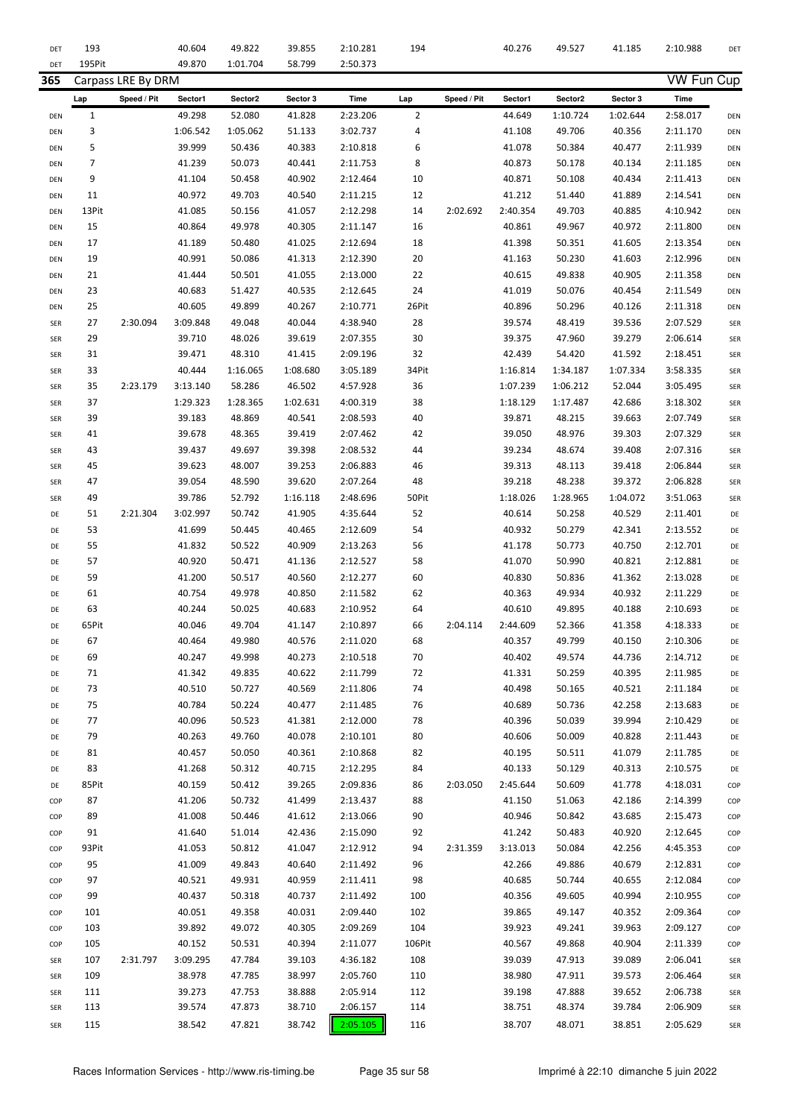| DET        | 193          |                    | 40.604   | 49.822   | 39.855   | 2:10.281 | 194            |             | 40.276   | 49.527   | 41.185   | 2:10.988          | DET        |
|------------|--------------|--------------------|----------|----------|----------|----------|----------------|-------------|----------|----------|----------|-------------------|------------|
| DET        | 195Pit       |                    | 49.870   | 1:01.704 | 58.799   | 2:50.373 |                |             |          |          |          |                   |            |
| 365        |              | Carpass LRE By DRM |          |          |          |          |                |             |          |          |          | <b>VW Fun Cup</b> |            |
|            | Lap          | Speed / Pit        | Sector1  | Sector2  | Sector 3 | Time     | Lap            | Speed / Pit | Sector1  | Sector2  | Sector 3 | Time              |            |
| DEN        | $\mathbf{1}$ |                    | 49.298   | 52.080   | 41.828   | 2:23.206 | $\overline{2}$ |             | 44.649   | 1:10.724 | 1:02.644 | 2:58.017          | DEN        |
| DEN        | 3            |                    | 1:06.542 | 1:05.062 | 51.133   | 3:02.737 | 4              |             | 41.108   | 49.706   | 40.356   | 2:11.170          | DEN        |
| DEN        | 5            |                    | 39.999   | 50.436   | 40.383   | 2:10.818 | 6              |             | 41.078   | 50.384   | 40.477   | 2:11.939          | DEN        |
| DEN        | 7            |                    | 41.239   | 50.073   | 40.441   | 2:11.753 | 8              |             | 40.873   | 50.178   | 40.134   | 2:11.185          | DEN        |
| DEN        | 9            |                    | 41.104   | 50.458   | 40.902   | 2:12.464 | 10             |             | 40.871   | 50.108   | 40.434   | 2:11.413          | DEN        |
| DEN        | 11           |                    | 40.972   | 49.703   | 40.540   | 2:11.215 | 12             |             | 41.212   | 51.440   | 41.889   | 2:14.541          | DEN        |
| DEN        | 13Pit        |                    | 41.085   | 50.156   | 41.057   | 2:12.298 | 14             | 2:02.692    | 2:40.354 | 49.703   | 40.885   | 4:10.942          | DEN        |
| DEN        | 15           |                    | 40.864   | 49.978   | 40.305   | 2:11.147 | 16             |             | 40.861   | 49.967   | 40.972   | 2:11.800          | DEN        |
| <b>DEN</b> | 17           |                    | 41.189   | 50.480   | 41.025   | 2:12.694 | 18             |             | 41.398   | 50.351   | 41.605   | 2:13.354          | DEN        |
| <b>DEN</b> | 19           |                    | 40.991   | 50.086   | 41.313   | 2:12.390 | 20             |             | 41.163   | 50.230   | 41.603   | 2:12.996          | DEN        |
| DEN        | 21           |                    | 41.444   | 50.501   | 41.055   | 2:13.000 | 22             |             | 40.615   | 49.838   | 40.905   | 2:11.358          | DEN        |
| DEN        | 23           |                    | 40.683   | 51.427   | 40.535   | 2:12.645 | 24             |             | 41.019   | 50.076   | 40.454   | 2:11.549          | DEN        |
| DEN        | 25           |                    | 40.605   | 49.899   | 40.267   | 2:10.771 | 26Pit          |             | 40.896   | 50.296   | 40.126   | 2:11.318          | DEN        |
| <b>SER</b> | 27           | 2:30.094           | 3:09.848 | 49.048   | 40.044   | 4:38.940 | 28             |             | 39.574   | 48.419   | 39.536   | 2:07.529          | <b>SER</b> |
| <b>SER</b> | 29           |                    | 39.710   | 48.026   | 39.619   | 2:07.355 | 30             |             | 39.375   | 47.960   | 39.279   | 2:06.614          | <b>SER</b> |
| <b>SER</b> | 31           |                    | 39.471   | 48.310   | 41.415   | 2:09.196 | 32             |             | 42.439   | 54.420   | 41.592   | 2:18.451          | <b>SER</b> |
| <b>SER</b> | 33           |                    | 40.444   | 1:16.065 | 1:08.680 | 3:05.189 | 34Pit          |             | 1:16.814 | 1:34.187 | 1:07.334 | 3:58.335          | <b>SER</b> |
| <b>SER</b> | 35           | 2:23.179           | 3:13.140 | 58.286   | 46.502   | 4:57.928 | 36             |             | 1:07.239 | 1:06.212 | 52.044   | 3:05.495          | <b>SER</b> |
| SER        | 37           |                    | 1:29.323 | 1:28.365 | 1:02.631 | 4:00.319 | 38             |             | 1:18.129 | 1:17.487 | 42.686   | 3:18.302          | <b>SER</b> |
| <b>SER</b> | 39           |                    | 39.183   | 48.869   | 40.541   | 2:08.593 | 40             |             | 39.871   | 48.215   | 39.663   | 2:07.749          | <b>SER</b> |
| <b>SER</b> | 41           |                    | 39.678   | 48.365   | 39.419   | 2:07.462 | 42             |             | 39.050   | 48.976   | 39.303   | 2:07.329          | <b>SER</b> |
| <b>SER</b> | 43           |                    | 39.437   | 49.697   | 39.398   | 2:08.532 | 44             |             | 39.234   | 48.674   | 39.408   | 2:07.316          | <b>SER</b> |
| SER        | 45           |                    | 39.623   | 48.007   | 39.253   | 2:06.883 | 46             |             | 39.313   | 48.113   | 39.418   | 2:06.844          | <b>SER</b> |
| <b>SER</b> | 47           |                    | 39.054   | 48.590   | 39.620   | 2:07.264 | 48             |             | 39.218   | 48.238   | 39.372   | 2:06.828          | <b>SER</b> |
| <b>SER</b> | 49           |                    | 39.786   | 52.792   | 1:16.118 | 2:48.696 | 50Pit          |             | 1:18.026 | 1:28.965 | 1:04.072 | 3:51.063          | <b>SER</b> |
| DE         | 51           | 2:21.304           | 3:02.997 | 50.742   | 41.905   | 4:35.644 | 52             |             | 40.614   | 50.258   | 40.529   | 2:11.401          | DE         |
| DE         | 53           |                    | 41.699   | 50.445   | 40.465   | 2:12.609 | 54             |             | 40.932   | 50.279   | 42.341   | 2:13.552          | DE         |
| DE         | 55           |                    | 41.832   | 50.522   | 40.909   | 2:13.263 | 56             |             | 41.178   | 50.773   | 40.750   | 2:12.701          | DE         |
| DE         | 57           |                    | 40.920   | 50.471   | 41.136   | 2:12.527 | 58             |             | 41.070   | 50.990   | 40.821   | 2:12.881          | DE         |
| DE         | 59           |                    | 41.200   | 50.517   | 40.560   | 2:12.277 | 60             |             | 40.830   | 50.836   | 41.362   | 2:13.028          | DE         |
| DE         | 61           |                    | 40.754   | 49.978   | 40.850   | 2:11.582 | 62             |             | 40.363   | 49.934   | 40.932   | 2:11.229          | DE         |
| DE         | 63           |                    | 40.244   | 50.025   | 40.683   | 2:10.952 | 64             |             | 40.610   | 49.895   | 40.188   | 2:10.693          | DE         |
| DE         | 65Pit        |                    | 40.046   | 49.704   | 41.147   | 2:10.897 | 66             | 2:04.114    | 2:44.609 | 52.366   | 41.358   | 4:18.333          | DE         |
| DE         | 67           |                    | 40.464   | 49.980   | 40.576   | 2:11.020 | 68             |             | 40.357   | 49.799   | 40.150   | 2:10.306          | DE         |
| DE         | 69           |                    | 40.247   | 49.998   | 40.273   | 2:10.518 | 70             |             | 40.402   | 49.574   | 44.736   | 2:14.712          | DE         |
| DE         | 71           |                    | 41.342   | 49.835   | 40.622   | 2:11.799 | 72             |             | 41.331   | 50.259   | 40.395   | 2:11.985          | DE         |
| DE         | 73           |                    | 40.510   | 50.727   | 40.569   | 2:11.806 | 74             |             | 40.498   | 50.165   | 40.521   | 2:11.184          | DE         |
| DE         | 75           |                    | 40.784   | 50.224   | 40.477   | 2:11.485 | 76             |             | 40.689   | 50.736   | 42.258   | 2:13.683          | DE         |
| DE         | 77           |                    | 40.096   | 50.523   | 41.381   | 2:12.000 | 78             |             | 40.396   | 50.039   | 39.994   | 2:10.429          | DE         |
| DE         | 79           |                    | 40.263   | 49.760   | 40.078   | 2:10.101 | 80             |             | 40.606   | 50.009   | 40.828   | 2:11.443          | DE         |
| DE         | 81           |                    | 40.457   | 50.050   | 40.361   | 2:10.868 | 82             |             | 40.195   | 50.511   | 41.079   | 2:11.785          | DE         |
| DE         | 83           |                    | 41.268   | 50.312   | 40.715   | 2:12.295 | 84             |             | 40.133   | 50.129   | 40.313   | 2:10.575          | DE         |
| DE         | 85Pit        |                    | 40.159   | 50.412   | 39.265   | 2:09.836 | 86             | 2:03.050    | 2:45.644 | 50.609   | 41.778   | 4:18.031          | COP        |
| COP        | 87           |                    | 41.206   | 50.732   | 41.499   | 2:13.437 | 88             |             | 41.150   | 51.063   | 42.186   | 2:14.399          | COP        |
| COP        | 89           |                    | 41.008   | 50.446   | 41.612   | 2:13.066 | 90             |             | 40.946   | 50.842   | 43.685   | 2:15.473          | COP        |
| COP        | 91           |                    | 41.640   | 51.014   | 42.436   | 2:15.090 | 92             |             | 41.242   | 50.483   | 40.920   | 2:12.645          | COP        |
| COP        | 93Pit        |                    | 41.053   | 50.812   | 41.047   | 2:12.912 | 94             | 2:31.359    | 3:13.013 | 50.084   | 42.256   | 4:45.353          | COP        |
| COP        | 95           |                    | 41.009   | 49.843   | 40.640   | 2:11.492 | 96             |             | 42.266   | 49.886   | 40.679   | 2:12.831          | COP        |
| COP        | 97           |                    | 40.521   | 49.931   | 40.959   | 2:11.411 | 98             |             | 40.685   | 50.744   | 40.655   | 2:12.084          | COP        |
| COP        | 99           |                    | 40.437   | 50.318   | 40.737   | 2:11.492 | 100            |             | 40.356   | 49.605   | 40.994   | 2:10.955          | COP        |
| COP        | 101          |                    | 40.051   | 49.358   | 40.031   | 2:09.440 | 102            |             | 39.865   | 49.147   | 40.352   | 2:09.364          | COP        |
| COP        | 103          |                    | 39.892   | 49.072   | 40.305   | 2:09.269 | 104            |             | 39.923   | 49.241   | 39.963   | 2:09.127          | COP        |
| COP        | 105          |                    | 40.152   | 50.531   | 40.394   | 2:11.077 | 106Pit         |             | 40.567   | 49.868   | 40.904   | 2:11.339          | COP        |
| SER        | 107          | 2:31.797           | 3:09.295 | 47.784   | 39.103   | 4:36.182 | 108            |             | 39.039   | 47.913   | 39.089   | 2:06.041          | SER        |
| SER        | 109          |                    | 38.978   | 47.785   | 38.997   | 2:05.760 | 110            |             | 38.980   | 47.911   | 39.573   | 2:06.464          | SER        |
| SER        | 111          |                    | 39.273   | 47.753   | 38.888   | 2:05.914 | 112            |             | 39.198   | 47.888   | 39.652   | 2:06.738          | SER        |
| <b>SER</b> | 113          |                    | 39.574   | 47.873   | 38.710   | 2:06.157 | 114            |             | 38.751   | 48.374   | 39.784   | 2:06.909          | SER        |
| <b>SER</b> | 115          |                    | 38.542   | 47.821   | 38.742   | 2:05.105 | 116            |             | 38.707   | 48.071   | 38.851   | 2:05.629          | SER        |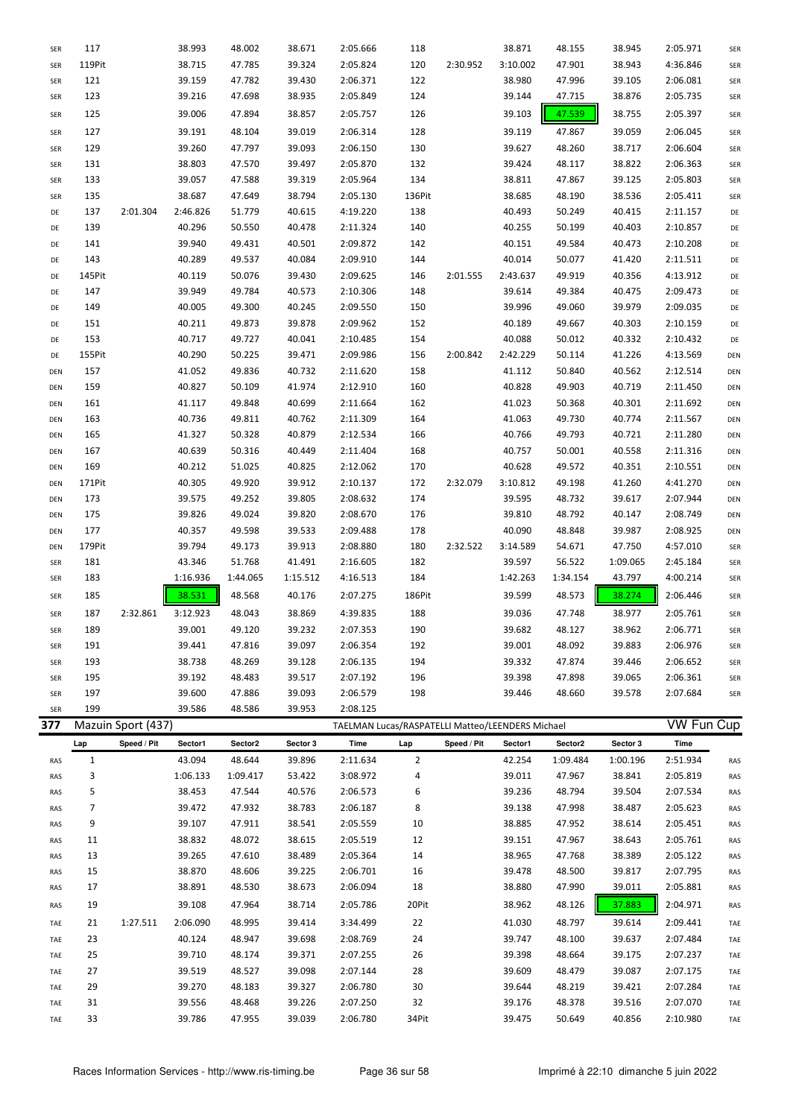|            | 117          |                    | 38.993           | 48.002           | 38.671           | 2:05.666                                         | 118         |             | 38.871           | 48.155           | 38.945           | 2:05.971             |            |
|------------|--------------|--------------------|------------------|------------------|------------------|--------------------------------------------------|-------------|-------------|------------------|------------------|------------------|----------------------|------------|
| SER        |              |                    |                  |                  |                  |                                                  |             |             |                  |                  |                  |                      | SER        |
| <b>SER</b> | 119Pit       |                    | 38.715           | 47.785           | 39.324           | 2:05.824                                         | 120         | 2:30.952    | 3:10.002         | 47.901           | 38.943           | 4:36.846             | SER        |
| <b>SER</b> | 121          |                    | 39.159           | 47.782           | 39.430           | 2:06.371                                         | 122         |             | 38.980           | 47.996           | 39.105           | 2:06.081             | SER        |
| SER        | 123          |                    | 39.216           | 47.698           | 38.935           | 2:05.849                                         | 124         |             | 39.144           | 47.715           | 38.876           | 2:05.735             | SER        |
| SER        | 125          |                    | 39.006           | 47.894           | 38.857           | 2:05.757                                         | 126         |             | 39.103           | 47.539           | 38.755           | 2:05.397             | SER        |
| SER        | 127          |                    | 39.191           | 48.104           | 39.019           | 2:06.314                                         | 128         |             | 39.119           | 47.867           | 39.059           | 2:06.045             | SER        |
| SER        | 129          |                    | 39.260           | 47.797           | 39.093           | 2:06.150                                         | 130         |             | 39.627           | 48.260           | 38.717           | 2:06.604             | SER        |
| SER        | 131          |                    | 38.803           | 47.570           | 39.497           | 2:05.870                                         | 132         |             | 39.424           | 48.117           | 38.822           | 2:06.363             | SER        |
| SER        | 133          |                    | 39.057           | 47.588           | 39.319           | 2:05.964                                         | 134         |             | 38.811           | 47.867           | 39.125           | 2:05.803             | SER        |
| SER        | 135          |                    | 38.687           | 47.649           | 38.794           | 2:05.130                                         | 136Pit      |             | 38.685           | 48.190           | 38.536           | 2:05.411             | SER        |
| DE         | 137          | 2:01.304           | 2:46.826         | 51.779           | 40.615           | 4:19.220                                         | 138         |             | 40.493           | 50.249           | 40.415           | 2:11.157             | DE         |
| DE         | 139          |                    | 40.296           | 50.550           | 40.478           | 2:11.324                                         | 140         |             | 40.255           | 50.199           | 40.403           | 2:10.857             | DE         |
| DE         | 141          |                    | 39.940           | 49.431           | 40.501           | 2:09.872                                         | 142         |             | 40.151           | 49.584           | 40.473           | 2:10.208             | DE         |
|            | 143          |                    | 40.289           | 49.537           | 40.084           | 2:09.910                                         | 144         |             | 40.014           | 50.077           | 41.420           | 2:11.511             |            |
| DE         |              |                    |                  |                  |                  |                                                  |             |             |                  |                  |                  |                      | DE         |
| DE         | 145Pit       |                    | 40.119           | 50.076           | 39.430           | 2:09.625                                         | 146         | 2:01.555    | 2:43.637         | 49.919           | 40.356           | 4:13.912             | DE         |
| DE         | 147          |                    | 39.949           | 49.784           | 40.573           | 2:10.306                                         | 148         |             | 39.614           | 49.384           | 40.475           | 2:09.473             | DE         |
| DE         | 149          |                    | 40.005           | 49.300           | 40.245           | 2:09.550                                         | 150         |             | 39.996           | 49.060           | 39.979           | 2:09.035             | DE         |
| DE         | 151          |                    | 40.211           | 49.873           | 39.878           | 2:09.962                                         | 152         |             | 40.189           | 49.667           | 40.303           | 2:10.159             | DE         |
| DE         | 153          |                    | 40.717           | 49.727           | 40.041           | 2:10.485                                         | 154         |             | 40.088           | 50.012           | 40.332           | 2:10.432             | DE         |
| DE         | 155Pit       |                    | 40.290           | 50.225           | 39.471           | 2:09.986                                         | 156         | 2:00.842    | 2:42.229         | 50.114           | 41.226           | 4:13.569             | DEN        |
| DEN        | 157          |                    | 41.052           | 49.836           | 40.732           | 2:11.620                                         | 158         |             | 41.112           | 50.840           | 40.562           | 2:12.514             | DEN        |
| DEN        | 159          |                    | 40.827           | 50.109           | 41.974           | 2:12.910                                         | 160         |             | 40.828           | 49.903           | 40.719           | 2:11.450             | DEN        |
| DEN        | 161          |                    | 41.117           | 49.848           | 40.699           | 2:11.664                                         | 162         |             | 41.023           | 50.368           | 40.301           | 2:11.692             | DEN        |
| DEN        | 163          |                    | 40.736           | 49.811           | 40.762           | 2:11.309                                         | 164         |             | 41.063           | 49.730           | 40.774           | 2:11.567             | DEN        |
| DEN        | 165          |                    | 41.327           | 50.328           | 40.879           | 2:12.534                                         | 166         |             | 40.766           | 49.793           | 40.721           | 2:11.280             | DEN        |
| DEN        | 167          |                    | 40.639           | 50.316           | 40.449           | 2:11.404                                         | 168         |             | 40.757           | 50.001           | 40.558           | 2:11.316             | DEN        |
| DEN        | 169          |                    | 40.212           | 51.025           | 40.825           | 2:12.062                                         | 170         |             | 40.628           | 49.572           | 40.351           | 2:10.551             | DEN        |
| DEN        | 171Pit       |                    | 40.305           | 49.920           | 39.912           | 2:10.137                                         | 172         | 2:32.079    | 3:10.812         | 49.198           | 41.260           | 4:41.270             | DEN        |
| DEN        | 173          |                    | 39.575           | 49.252           | 39.805           | 2:08.632                                         | 174         |             | 39.595           | 48.732           | 39.617           | 2:07.944             | DEN        |
| DEN        | 175          |                    | 39.826           | 49.024           | 39.820           | 2:08.670                                         | 176         |             | 39.810           | 48.792           | 40.147           | 2:08.749             | DEN        |
| DEN        | 177          |                    | 40.357           | 49.598           | 39.533           | 2:09.488                                         | 178         |             | 40.090           | 48.848           | 39.987           | 2:08.925             | DEN        |
|            |              |                    |                  |                  |                  |                                                  |             |             |                  |                  |                  |                      |            |
| DEN        | 179Pit       |                    | 39.794           | 49.173           | 39.913           | 2:08.880                                         | 180         | 2:32.522    | 3:14.589         | 54.671           | 47.750           | 4:57.010             | SER        |
| SER        | 181          |                    | 43.346           | 51.768           | 41.491           | 2:16.605                                         | 182         |             | 39.597           | 56.522           | 1:09.065         | 2:45.184             | SER        |
| SER        | 183          |                    | 1:16.936         | 1:44.065         | 1:15.512         | 4:16.513                                         | 184         |             | 1:42.263         | 1:34.154         | 43.797           | 4:00.214             | SER        |
| SER        | 185          |                    | 38.531           | 48.568           | 40.176           | 2:07.275                                         | 186Pit      |             | 39.599           | 48.573           | 38.274           | 2:06.446             | SER        |
| <b>SER</b> | 187          | 2:32.861           | 3:12.923         | 48.043           | 38.869           | 4:39.835                                         | 188         |             | 39.036           | 47.748           | 38.977           | 2:05.761             | SER        |
| <b>SER</b> | 189          |                    | 39.001           | 49.120           | 39.232           | 2:07.353                                         | 190         |             | 39.682           | 48.127           | 38.962           | 2:06.771             | SER        |
| SER        | 191          |                    | 39.441           | 47.816           | 39.097           | 2:06.354                                         | 192         |             | 39.001           | 48.092           | 39.883           | 2:06.976             | SER        |
| SER        | 193          |                    | 38.738           | 48.269           |                  |                                                  |             |             |                  |                  |                  |                      |            |
| <b>SER</b> |              |                    |                  |                  | 39.128           |                                                  |             |             |                  |                  |                  |                      |            |
|            |              |                    |                  |                  |                  | 2:06.135                                         | 194         |             | 39.332           | 47.874           | 39.446           | 2:06.652             | SER        |
|            | 195          |                    | 39.192           | 48.483           | 39.517           | 2:07.192                                         | 196         |             | 39.398           | 47.898           | 39.065           | 2:06.361             | SER        |
| <b>SER</b> | 197          |                    | 39.600           | 47.886           | 39.093           | 2:06.579                                         | 198         |             | 39.446           | 48.660           | 39.578           | 2:07.684             | SER        |
| SER        | 199          |                    | 39.586           | 48.586           | 39.953           | 2:08.125                                         |             |             |                  |                  |                  |                      |            |
| 377        |              | Mazuin Sport (437) |                  |                  |                  | TAELMAN Lucas/RASPATELLI Matteo/LEENDERS Michael |             |             |                  |                  |                  | <b>VW Fun Cup</b>    |            |
|            | Lap          | Speed / Pit        | Sector1          | Sector2          | Sector 3         | Time                                             | Lap         | Speed / Pit | Sector1          | Sector2          | Sector 3         | <b>Time</b>          |            |
| RAS        | $\mathbf{1}$ |                    | 43.094           | 48.644           | 39.896           | 2:11.634                                         | 2           |             | 42.254           | 1:09.484         | 1:00.196         | 2:51.934             | RAS        |
| RAS        | 3            |                    | 1:06.133         | 1:09.417         | 53.422           | 3:08.972                                         | 4           |             | 39.011           | 47.967           | 38.841           | 2:05.819             | RAS        |
| RAS        | 5            |                    | 38.453           | 47.544           | 40.576           | 2:06.573                                         | 6           |             | 39.236           | 48.794           | 39.504           | 2:07.534             | RAS        |
| RAS        | 7            |                    | 39.472           | 47.932           | 38.783           | 2:06.187                                         | 8           |             | 39.138           | 47.998           | 38.487           | 2:05.623             | RAS        |
| RAS        | 9            |                    | 39.107           | 47.911           | 38.541           | 2:05.559                                         | 10          |             | 38.885           | 47.952           | 38.614           | 2:05.451             | RAS        |
| RAS        | 11           |                    | 38.832           | 48.072           | 38.615           | 2:05.519                                         | 12          |             | 39.151           | 47.967           | 38.643           | 2:05.761             | RAS        |
| RAS        | 13           |                    | 39.265           | 47.610           | 38.489           | 2:05.364                                         | 14          |             | 38.965           | 47.768           | 38.389           | 2:05.122             | RAS        |
| RAS        | 15           |                    | 38.870           | 48.606           | 39.225           | 2:06.701                                         | 16          |             | 39.478           | 48.500           | 39.817           | 2:07.795             | RAS        |
| RAS        | 17           |                    | 38.891           | 48.530           | 38.673           | 2:06.094                                         | 18          |             | 38.880           | 47.990           | 39.011           | 2:05.881             | RAS        |
| RAS        | 19           |                    | 39.108           | 47.964           | 38.714           | 2:05.786                                         | 20Pit       |             | 38.962           | 48.126           | 37.883           | 2:04.971             | RAS        |
|            |              |                    |                  |                  |                  |                                                  |             |             |                  |                  |                  |                      |            |
| TAE        | 21           | 1:27.511           | 2:06.090         | 48.995           | 39.414           | 3:34.499                                         | 22          |             | 41.030           | 48.797           | 39.614           | 2:09.441             | TAE        |
| TAE        | 23           |                    | 40.124           | 48.947           | 39.698           | 2:08.769                                         | 24          |             | 39.747           | 48.100           | 39.637           | 2:07.484             | TAE        |
| TAE        | 25           |                    | 39.710           | 48.174           | 39.371           | 2:07.255                                         | 26          |             | 39.398           | 48.664           | 39.175           | 2:07.237             | TAE        |
| TAE        | 27           |                    | 39.519           | 48.527           | 39.098           | 2:07.144                                         | 28          |             | 39.609           | 48.479           | 39.087           | 2:07.175             | TAE        |
| TAE        | 29           |                    | 39.270           | 48.183           | 39.327           | 2:06.780                                         | 30          |             | 39.644           | 48.219           | 39.421           | 2:07.284             | TAE        |
| TAE<br>TAE | 31<br>33     |                    | 39.556<br>39.786 | 48.468<br>47.955 | 39.226<br>39.039 | 2:07.250<br>2:06.780                             | 32<br>34Pit |             | 39.176<br>39.475 | 48.378<br>50.649 | 39.516<br>40.856 | 2:07.070<br>2:10.980 | TAE<br>TAE |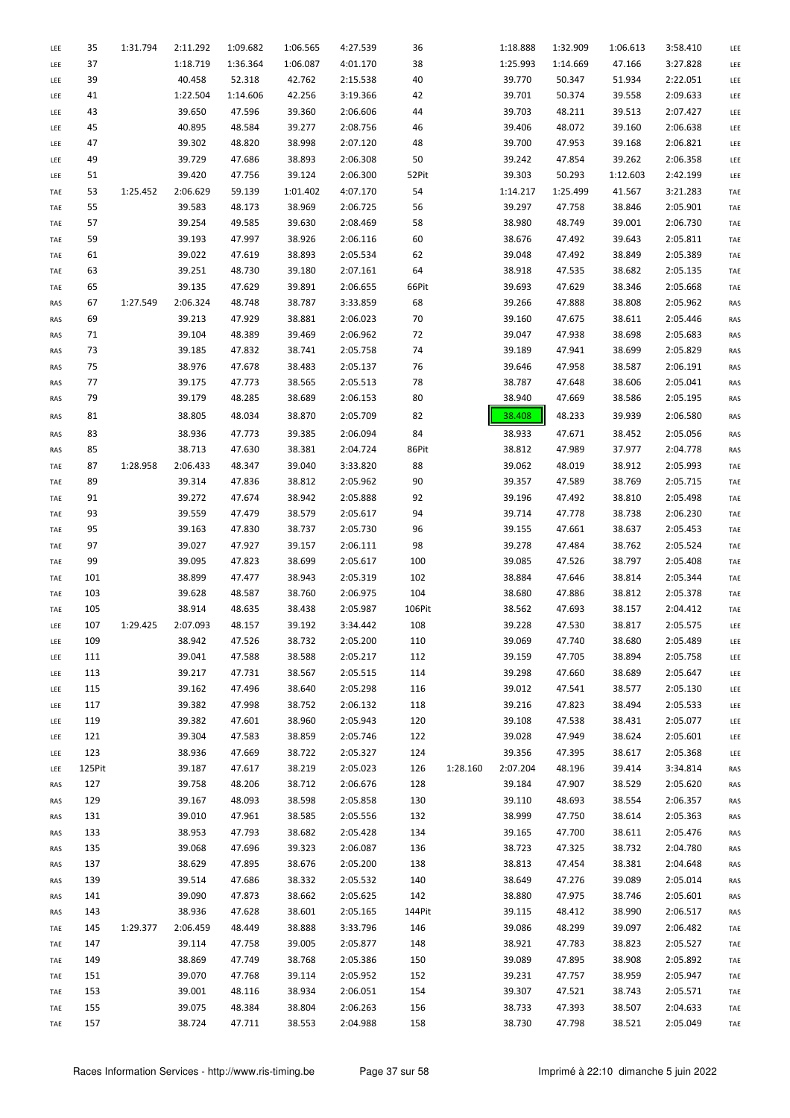| LEE | 35     | 1:31.794 | 2:11.292 | 1:09.682 | 1:06.565 | 4:27.539 | 36     |          | 1:18.888 | 1:32.909 | 1:06.613 | 3:58.410 | LEE |
|-----|--------|----------|----------|----------|----------|----------|--------|----------|----------|----------|----------|----------|-----|
| LEE | 37     |          | 1:18.719 | 1:36.364 | 1:06.087 | 4:01.170 | 38     |          | 1:25.993 | 1:14.669 | 47.166   | 3:27.828 | LEE |
| LEE | 39     |          | 40.458   | 52.318   | 42.762   | 2:15.538 | 40     |          | 39.770   | 50.347   | 51.934   | 2:22.051 | LEE |
| LEE | 41     |          | 1:22.504 | 1:14.606 | 42.256   | 3:19.366 | 42     |          | 39.701   | 50.374   | 39.558   | 2:09.633 | LEE |
| LEE | 43     |          | 39.650   | 47.596   | 39.360   | 2:06.606 | 44     |          | 39.703   | 48.211   | 39.513   | 2:07.427 | LEE |
| LEE | 45     |          | 40.895   | 48.584   | 39.277   | 2:08.756 | 46     |          | 39.406   | 48.072   | 39.160   | 2:06.638 | LEE |
| LEE | 47     |          | 39.302   | 48.820   | 38.998   | 2:07.120 | 48     |          | 39.700   | 47.953   | 39.168   | 2:06.821 | LEE |
| LEE | 49     |          | 39.729   | 47.686   | 38.893   | 2:06.308 | 50     |          | 39.242   | 47.854   | 39.262   | 2:06.358 | LEE |
| LEE | 51     |          | 39.420   | 47.756   | 39.124   | 2:06.300 | 52Pit  |          | 39.303   | 50.293   | 1:12.603 | 2:42.199 | LEE |
| TAE | 53     | 1:25.452 | 2:06.629 | 59.139   | 1:01.402 | 4:07.170 | 54     |          | 1:14.217 | 1:25.499 | 41.567   | 3:21.283 | TAE |
|     |        |          |          |          |          |          |        |          |          |          |          |          |     |
| TAE | 55     |          | 39.583   | 48.173   | 38.969   | 2:06.725 | 56     |          | 39.297   | 47.758   | 38.846   | 2:05.901 | TAE |
| TAE | 57     |          | 39.254   | 49.585   | 39.630   | 2:08.469 | 58     |          | 38.980   | 48.749   | 39.001   | 2:06.730 | TAE |
| TAE | 59     |          | 39.193   | 47.997   | 38.926   | 2:06.116 | 60     |          | 38.676   | 47.492   | 39.643   | 2:05.811 | TAE |
| TAE | 61     |          | 39.022   | 47.619   | 38.893   | 2:05.534 | 62     |          | 39.048   | 47.492   | 38.849   | 2:05.389 | TAE |
| TAE | 63     |          | 39.251   | 48.730   | 39.180   | 2:07.161 | 64     |          | 38.918   | 47.535   | 38.682   | 2:05.135 | TAE |
| TAE | 65     |          | 39.135   | 47.629   | 39.891   | 2:06.655 | 66Pit  |          | 39.693   | 47.629   | 38.346   | 2:05.668 | TAE |
| RAS | 67     | 1:27.549 | 2:06.324 | 48.748   | 38.787   | 3:33.859 | 68     |          | 39.266   | 47.888   | 38.808   | 2:05.962 | RAS |
| RAS | 69     |          | 39.213   | 47.929   | 38.881   | 2:06.023 | 70     |          | 39.160   | 47.675   | 38.611   | 2:05.446 | RAS |
| RAS | 71     |          | 39.104   | 48.389   | 39.469   | 2:06.962 | 72     |          | 39.047   | 47.938   | 38.698   | 2:05.683 | RAS |
| RAS | 73     |          | 39.185   | 47.832   | 38.741   | 2:05.758 | 74     |          | 39.189   | 47.941   | 38.699   | 2:05.829 | RAS |
| RAS | 75     |          | 38.976   | 47.678   | 38.483   | 2:05.137 | 76     |          | 39.646   | 47.958   | 38.587   | 2:06.191 | RAS |
| RAS | 77     |          | 39.175   | 47.773   | 38.565   | 2:05.513 | 78     |          | 38.787   | 47.648   | 38.606   | 2:05.041 | RAS |
| RAS | 79     |          | 39.179   | 48.285   | 38.689   | 2:06.153 | 80     |          | 38.940   | 47.669   | 38.586   | 2:05.195 | RAS |
|     |        |          |          |          |          |          |        |          |          |          |          |          |     |
| RAS | 81     |          | 38.805   | 48.034   | 38.870   | 2:05.709 | 82     |          | 38.408   | 48.233   | 39.939   | 2:06.580 | RAS |
| RAS | 83     |          | 38.936   | 47.773   | 39.385   | 2:06.094 | 84     |          | 38.933   | 47.671   | 38.452   | 2:05.056 | RAS |
| RAS | 85     |          | 38.713   | 47.630   | 38.381   | 2:04.724 | 86Pit  |          | 38.812   | 47.989   | 37.977   | 2:04.778 | RAS |
| TAE | 87     | 1:28.958 | 2:06.433 | 48.347   | 39.040   | 3:33.820 | 88     |          | 39.062   | 48.019   | 38.912   | 2:05.993 | TAE |
| TAE | 89     |          | 39.314   | 47.836   | 38.812   | 2:05.962 | 90     |          | 39.357   | 47.589   | 38.769   | 2:05.715 | TAE |
| TAE | 91     |          | 39.272   | 47.674   | 38.942   | 2:05.888 | 92     |          | 39.196   | 47.492   | 38.810   | 2:05.498 | TAE |
| TAE | 93     |          | 39.559   | 47.479   | 38.579   | 2:05.617 | 94     |          | 39.714   | 47.778   | 38.738   | 2:06.230 | TAE |
| TAE | 95     |          | 39.163   | 47.830   | 38.737   | 2:05.730 | 96     |          | 39.155   | 47.661   | 38.637   | 2:05.453 | TAE |
| TAE | 97     |          | 39.027   | 47.927   | 39.157   | 2:06.111 | 98     |          | 39.278   | 47.484   | 38.762   | 2:05.524 | TAE |
|     | 99     |          |          | 47.823   | 38.699   |          | 100    |          |          |          |          |          |     |
| TAE |        |          | 39.095   |          |          | 2:05.617 |        |          | 39.085   | 47.526   | 38.797   | 2:05.408 | TAE |
| TAE | 101    |          | 38.899   | 47.477   | 38.943   | 2:05.319 | 102    |          | 38.884   | 47.646   | 38.814   | 2:05.344 | TAE |
| TAE | 103    |          | 39.628   | 48.587   | 38.760   | 2:06.975 | 104    |          | 38.680   | 47.886   | 38.812   | 2:05.378 | TAE |
| TAE | 105    |          | 38.914   | 48.635   | 38.438   | 2:05.987 | 106Pit |          | 38.562   | 47.693   | 38.157   | 2:04.412 | TAE |
| LEE | 107    | 1:29.425 | 2:07.093 | 48.157   | 39.192   | 3:34.442 | 108    |          | 39.228   | 47.530   | 38.817   | 2:05.575 | LEE |
| LEE | 109    |          | 38.942   | 47.526   | 38.732   | 2:05.200 | 110    |          | 39.069   | 47.740   | 38.680   | 2:05.489 | LEE |
| LEE | 111    |          | 39.041   | 47.588   | 38.588   | 2:05.217 | 112    |          | 39.159   | 47.705   | 38.894   | 2:05.758 | LEE |
| LEE | 113    |          | 39.217   | 47.731   | 38.567   | 2:05.515 | 114    |          | 39.298   | 47.660   | 38.689   | 2:05.647 | LEE |
| LEE | 115    |          | 39.162   | 47.496   | 38.640   | 2:05.298 | 116    |          | 39.012   | 47.541   | 38.577   | 2:05.130 | LEE |
| LEE | 117    |          | 39.382   | 47.998   | 38.752   | 2:06.132 | 118    |          | 39.216   | 47.823   | 38.494   | 2:05.533 | LEE |
| LEE | 119    |          | 39.382   | 47.601   | 38.960   | 2:05.943 | 120    |          | 39.108   | 47.538   | 38.431   | 2:05.077 | LEE |
| LEE | 121    |          | 39.304   | 47.583   | 38.859   | 2:05.746 | 122    |          | 39.028   | 47.949   | 38.624   | 2:05.601 | LEE |
| LEE | 123    |          | 38.936   | 47.669   | 38.722   | 2:05.327 | 124    |          | 39.356   | 47.395   | 38.617   | 2:05.368 | LEE |
|     | 125Pit |          | 39.187   | 47.617   | 38.219   | 2:05.023 |        | 1:28.160 | 2:07.204 | 48.196   | 39.414   | 3:34.814 |     |
| LEE |        |          |          |          |          |          | 126    |          |          |          |          |          | RAS |
| RAS | 127    |          | 39.758   | 48.206   | 38.712   | 2:06.676 | 128    |          | 39.184   | 47.907   | 38.529   | 2:05.620 | RAS |
| RAS | 129    |          | 39.167   | 48.093   | 38.598   | 2:05.858 | 130    |          | 39.110   | 48.693   | 38.554   | 2:06.357 | RAS |
| RAS | 131    |          | 39.010   | 47.961   | 38.585   | 2:05.556 | 132    |          | 38.999   | 47.750   | 38.614   | 2:05.363 | RAS |
| RAS | 133    |          | 38.953   | 47.793   | 38.682   | 2:05.428 | 134    |          | 39.165   | 47.700   | 38.611   | 2:05.476 | RAS |
| RAS | 135    |          | 39.068   | 47.696   | 39.323   | 2:06.087 | 136    |          | 38.723   | 47.325   | 38.732   | 2:04.780 | RAS |
| RAS | 137    |          | 38.629   | 47.895   | 38.676   | 2:05.200 | 138    |          | 38.813   | 47.454   | 38.381   | 2:04.648 | RAS |
| RAS | 139    |          | 39.514   | 47.686   | 38.332   | 2:05.532 | 140    |          | 38.649   | 47.276   | 39.089   | 2:05.014 | RAS |
| RAS | 141    |          | 39.090   | 47.873   | 38.662   | 2:05.625 | 142    |          | 38.880   | 47.975   | 38.746   | 2:05.601 | RAS |
| RAS | 143    |          | 38.936   | 47.628   | 38.601   | 2:05.165 | 144Pit |          | 39.115   | 48.412   | 38.990   | 2:06.517 | RAS |
| TAE | 145    | 1:29.377 | 2:06.459 | 48.449   | 38.888   | 3:33.796 | 146    |          | 39.086   | 48.299   | 39.097   | 2:06.482 | TAE |
| TAE | 147    |          | 39.114   | 47.758   | 39.005   | 2:05.877 | 148    |          | 38.921   | 47.783   | 38.823   | 2:05.527 | TAE |
| TAE | 149    |          | 38.869   | 47.749   | 38.768   | 2:05.386 | 150    |          | 39.089   | 47.895   | 38.908   | 2:05.892 | TAE |
|     |        |          | 39.070   |          |          |          |        |          |          |          |          | 2:05.947 |     |
| TAE | 151    |          |          | 47.768   | 39.114   | 2:05.952 | 152    |          | 39.231   | 47.757   | 38.959   |          | TAE |
| TAE | 153    |          | 39.001   | 48.116   | 38.934   | 2:06.051 | 154    |          | 39.307   | 47.521   | 38.743   | 2:05.571 | TAE |
| TAE | 155    |          | 39.075   | 48.384   | 38.804   | 2:06.263 | 156    |          | 38.733   | 47.393   | 38.507   | 2:04.633 | TAE |
| TAE | 157    |          | 38.724   | 47.711   | 38.553   | 2:04.988 | 158    |          | 38.730   | 47.798   | 38.521   | 2:05.049 | TAE |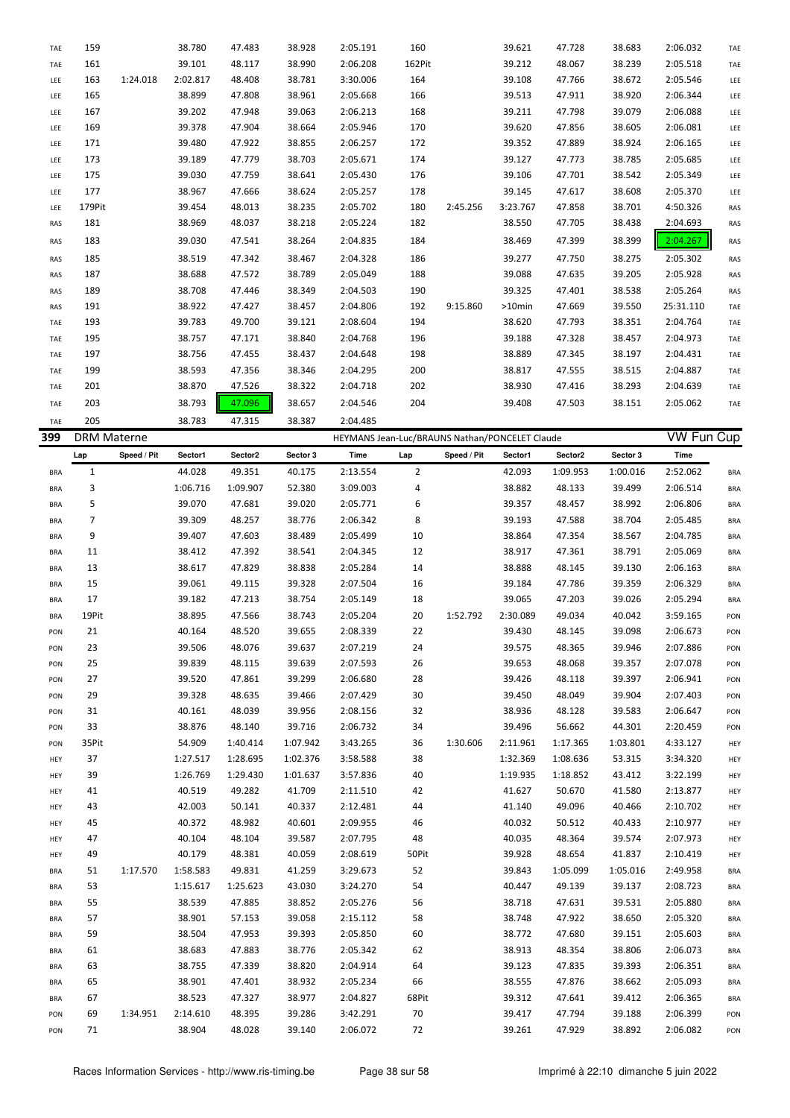| TAE        | 159                |             | 38.780             | 47.483           | 38.928           | 2:05.191                                       | 160            |             | 39.621           | 47.728           | 38.683           | 2:06.032             | TAE        |
|------------|--------------------|-------------|--------------------|------------------|------------------|------------------------------------------------|----------------|-------------|------------------|------------------|------------------|----------------------|------------|
| TAE        | 161                |             | 39.101             | 48.117           | 38.990           | 2:06.208                                       | 162Pit         |             | 39.212           | 48.067           | 38.239           | 2:05.518             | TAE        |
| LEE        | 163                | 1:24.018    | 2:02.817           | 48.408           | 38.781           | 3:30.006                                       | 164            |             | 39.108           | 47.766           | 38.672           | 2:05.546             | LEE        |
| LEE        | 165                |             | 38.899             | 47.808           | 38.961           | 2:05.668                                       | 166            |             | 39.513           | 47.911           | 38.920           | 2:06.344             | LEE        |
| LEE        | 167                |             | 39.202             | 47.948           | 39.063           | 2:06.213                                       | 168            |             | 39.211           | 47.798           | 39.079           | 2:06.088             | LEE        |
| LEE        | 169                |             | 39.378             | 47.904           | 38.664           | 2:05.946                                       | 170            |             | 39.620           | 47.856           | 38.605           | 2:06.081             | LEE        |
| LEE        | 171                |             | 39.480             | 47.922           | 38.855           | 2:06.257                                       | 172            |             | 39.352           | 47.889           | 38.924           | 2:06.165             | LEE        |
| LEE        | 173                |             | 39.189             | 47.779           | 38.703           | 2:05.671                                       | 174            |             | 39.127           | 47.773           | 38.785           | 2:05.685             | LEE        |
| LEE        | 175                |             | 39.030             | 47.759           | 38.641           | 2:05.430                                       | 176            |             | 39.106           | 47.701           | 38.542           | 2:05.349             | LEE        |
| LEE        | 177                |             | 38.967             | 47.666           | 38.624           | 2:05.257                                       | 178            |             | 39.145           | 47.617           | 38.608           | 2:05.370             | LEE        |
| LEE        | 179Pit             |             | 39.454             | 48.013           | 38.235           | 2:05.702                                       | 180            | 2:45.256    | 3:23.767         | 47.858           | 38.701           | 4:50.326             | RAS        |
| RAS        | 181                |             | 38.969             | 48.037           | 38.218           | 2:05.224                                       | 182            |             | 38.550           | 47.705           | 38.438           | 2:04.693             | RAS        |
|            |                    |             | 39.030             |                  |                  |                                                |                |             |                  |                  | 38.399           |                      |            |
| RAS        | 183                |             |                    | 47.541           | 38.264           | 2:04.835                                       | 184            |             | 38.469           | 47.399           |                  | 2:04.267             | RAS        |
| RAS        | 185                |             | 38.519             | 47.342           | 38.467           | 2:04.328                                       | 186            |             | 39.277           | 47.750           | 38.275           | 2:05.302             | RAS        |
| RAS        | 187                |             | 38.688             | 47.572           | 38.789           | 2:05.049                                       | 188            |             | 39.088           | 47.635           | 39.205           | 2:05.928             | RAS        |
| RAS        | 189                |             | 38.708             | 47.446           | 38.349           | 2:04.503                                       | 190            |             | 39.325           | 47.401           | 38.538           | 2:05.264             | RAS        |
| RAS        | 191                |             | 38.922             | 47.427           | 38.457           | 2:04.806                                       | 192            | 9:15.860    | >10min           | 47.669           | 39.550           | 25:31.110            | TAE        |
| TAE        | 193                |             | 39.783             | 49.700           | 39.121           | 2:08.604                                       | 194            |             | 38.620           | 47.793           | 38.351           | 2:04.764             | TAE        |
| TAE        | 195                |             | 38.757             | 47.171           | 38.840           | 2:04.768                                       | 196            |             | 39.188           | 47.328           | 38.457           | 2:04.973             | TAE        |
| TAE        | 197                |             | 38.756             | 47.455           | 38.437           | 2:04.648                                       | 198            |             | 38.889           | 47.345           | 38.197           | 2:04.431             | TAE        |
| TAE        | 199                |             | 38.593             | 47.356           | 38.346           | 2:04.295                                       | 200            |             | 38.817           | 47.555           | 38.515           | 2:04.887             | TAE        |
| TAE        | 201                |             | 38.870             | 47.526           | 38.322           | 2:04.718                                       | 202            |             | 38.930           | 47.416           | 38.293           | 2:04.639             | TAE        |
| TAE        | 203                |             | 38.793             | 47.096           | 38.657           | 2:04.546                                       | 204            |             | 39.408           | 47.503           | 38.151           | 2:05.062             | TAE        |
| TAE        | 205                |             | 38.783             | 47.315           | 38.387           | 2:04.485                                       |                |             |                  |                  |                  |                      |            |
| 399        | <b>DRM Materne</b> |             |                    |                  |                  | HEYMANS Jean-Luc/BRAUNS Nathan/PONCELET Claude |                |             |                  |                  |                  | <b>VW Fun Cup</b>    |            |
|            | Lap                | Speed / Pit | Sector1            | Sector2          | Sector 3         | Time                                           | Lap            | Speed / Pit | Sector1          | Sector2          | Sector 3         | <b>Time</b>          |            |
| <b>BRA</b> | $\mathbf{1}$       |             | 44.028             | 49.351           | 40.175           | 2:13.554                                       | $\overline{2}$ |             | 42.093           | 1:09.953         | 1:00.016         | 2:52.062             | <b>BRA</b> |
| <b>BRA</b> | 3                  |             | 1:06.716           | 1:09.907         | 52.380           | 3:09.003                                       | 4              |             | 38.882           | 48.133           | 39.499           | 2:06.514             | <b>BRA</b> |
| <b>BRA</b> | 5                  |             | 39.070             | 47.681           | 39.020           | 2:05.771                                       | 6              |             | 39.357           | 48.457           | 38.992           | 2:06.806             | <b>BRA</b> |
|            | $\overline{7}$     |             | 39.309             | 48.257           | 38.776           | 2:06.342                                       | 8              |             | 39.193           | 47.588           | 38.704           | 2:05.485             |            |
| <b>BRA</b> | 9                  |             | 39.407             | 47.603           | 38.489           | 2:05.499                                       | 10             |             |                  |                  |                  | 2:04.785             | <b>BRA</b> |
| <b>BRA</b> |                    |             |                    |                  |                  |                                                |                |             | 38.864           | 47.354           | 38.567           |                      | <b>BRA</b> |
| <b>BRA</b> | 11                 |             | 38.412             | 47.392           | 38.541           | 2:04.345                                       | 12             |             | 38.917           | 47.361           | 38.791           | 2:05.069             | <b>BRA</b> |
| <b>BRA</b> | 13                 |             | 38.617             | 47.829           | 38.838           | 2:05.284                                       | 14             |             | 38.888           | 48.145           | 39.130           | 2:06.163             | <b>BRA</b> |
| <b>BRA</b> | 15                 |             | 39.061             | 49.115           | 39.328           | 2:07.504                                       | 16             |             | 39.184           | 47.786           | 39.359           | 2:06.329             | <b>BRA</b> |
| <b>BRA</b> | 17                 |             | 39.182             | 47.213           | 38.754           | 2:05.149                                       | 18             |             | 39.065           | 47.203           | 39.026           | 2:05.294             | <b>BRA</b> |
| <b>BRA</b> | 19Pit              |             | 38.895             | 47.566           | 38.743           | 2:05.204                                       | 20             | 1:52.792    | 2:30.089         | 49.034           | 40.042           | 3:59.165             | PON        |
| PON        | 21                 |             | 40.164             | 48.520           | 39.655           | 2:08.339                                       | 22             |             | 39.430           | 48.145           | 39.098           | 2:06.673             | PON        |
| PON        | 23                 |             | 39.506             | 48.076           | 39.637           | 2:07.219                                       | 24             |             | 39.575           | 48.365           | 39.946           | 2:07.886             | PON        |
| PON        | 25                 |             | 39.839             | 48.115           | 39.639           | 2:07.593                                       | 26             |             | 39.653           | 48.068           | 39.357           | 2:07.078             | PON        |
| PON        | 27                 |             | 39.520             | 47.861           | 39.299           | 2:06.680                                       | 28             |             | 39.426           | 48.118           | 39.397           | 2:06.941             | PON        |
| PON        | 29                 |             | 39.328             | 48.635           | 39.466           | 2:07.429                                       | 30             |             | 39.450           | 48.049           | 39.904           | 2:07.403             | PON        |
| PON        | 31                 |             | 40.161             | 48.039           | 39.956           | 2:08.156                                       | 32             |             | 38.936           | 48.128           | 39.583           | 2:06.647             | PON        |
| PON        | 33                 |             | 38.876             | 48.140           | 39.716           | 2:06.732                                       | 34             |             | 39.496           | 56.662           | 44.301           | 2:20.459             | PON        |
| PON        | 35Pit              |             | 54.909             | 1:40.414         | 1:07.942         | 3:43.265                                       | 36             | 1:30.606    | 2:11.961         | 1:17.365         | 1:03.801         | 4:33.127             | HEY        |
| HEY        | 37                 |             | 1:27.517           | 1:28.695         | 1:02.376         | 3:58.588                                       | 38             |             | 1:32.369         | 1:08.636         | 53.315           | 3:34.320             | HEY        |
| HEY        | 39                 |             | 1:26.769           | 1:29.430         | 1:01.637         | 3:57.836                                       | 40             |             | 1:19.935         | 1:18.852         | 43.412           | 3:22.199             | HEY        |
| HEY        | 41                 |             | 40.519             | 49.282           | 41.709           | 2:11.510                                       | 42             |             | 41.627           | 50.670           | 41.580           | 2:13.877             | HEY        |
| HEY        | 43                 |             | 42.003             | 50.141           | 40.337           | 2:12.481                                       | 44             |             | 41.140           | 49.096           | 40.466           | 2:10.702             | HEY        |
| HEY        | 45                 |             | 40.372             | 48.982           | 40.601           | 2:09.955                                       | 46             |             | 40.032           | 50.512           | 40.433           | 2:10.977             | HEY        |
| HEY        | 47                 |             | 40.104             | 48.104           | 39.587           | 2:07.795                                       | 48             |             | 40.035           | 48.364           | 39.574           | 2:07.973             | HEY        |
| HEY        | 49                 |             | 40.179             | 48.381           | 40.059           | 2:08.619                                       | 50Pit          |             | 39.928           | 48.654           | 41.837           | 2:10.419             | HEY        |
| <b>BRA</b> | 51                 | 1:17.570    | 1:58.583           | 49.831           | 41.259           | 3:29.673                                       | 52             |             | 39.843           | 1:05.099         | 1:05.016         | 2:49.958             | <b>BRA</b> |
| <b>BRA</b> | 53                 |             | 1:15.617           | 1:25.623         | 43.030           | 3:24.270                                       | 54             |             | 40.447           | 49.139           | 39.137           | 2:08.723             | <b>BRA</b> |
| <b>BRA</b> | 55                 |             | 38.539             | 47.885           | 38.852           | 2:05.276                                       | 56             |             | 38.718           | 47.631           | 39.531           | 2:05.880             | <b>BRA</b> |
| <b>BRA</b> |                    |             | 38.901             | 57.153           | 39.058           | 2:15.112                                       | 58             |             | 38.748           | 47.922           | 38.650           | 2:05.320             | <b>BRA</b> |
| <b>BRA</b> | 57                 |             |                    |                  |                  |                                                | 60             |             | 38.772           | 47.680           | 39.151           | 2:05.603             | <b>BRA</b> |
| <b>BRA</b> | 59                 |             | 38.504             | 47.953           | 39.393           | 2:05.850                                       |                |             |                  |                  |                  |                      |            |
|            |                    |             |                    |                  |                  |                                                |                |             |                  |                  |                  |                      |            |
|            | 61                 |             | 38.683             | 47.883           | 38.776           | 2:05.342                                       | 62             |             | 38.913           | 48.354           | 38.806           | 2:06.073             | <b>BRA</b> |
| <b>BRA</b> | 63                 |             | 38.755             | 47.339           | 38.820           | 2:04.914                                       | 64             |             | 39.123           | 47.835           | 39.393           | 2:06.351             | <b>BRA</b> |
| <b>BRA</b> | 65                 |             | 38.901             | 47.401           | 38.932           | 2:05.234                                       | 66             |             | 38.555           | 47.876           | 38.662           | 2:05.093             | <b>BRA</b> |
| <b>BRA</b> | 67                 |             | 38.523             | 47.327           | 38.977           | 2:04.827                                       | 68Pit          |             | 39.312           | 47.641           | 39.412           | 2:06.365             | <b>BRA</b> |
| PON<br>PON | 69<br>71           | 1:34.951    | 2:14.610<br>38.904 | 48.395<br>48.028 | 39.286<br>39.140 | 3:42.291<br>2:06.072                           | 70<br>72       |             | 39.417<br>39.261 | 47.794<br>47.929 | 39.188<br>38.892 | 2:06.399<br>2:06.082 | PON<br>PON |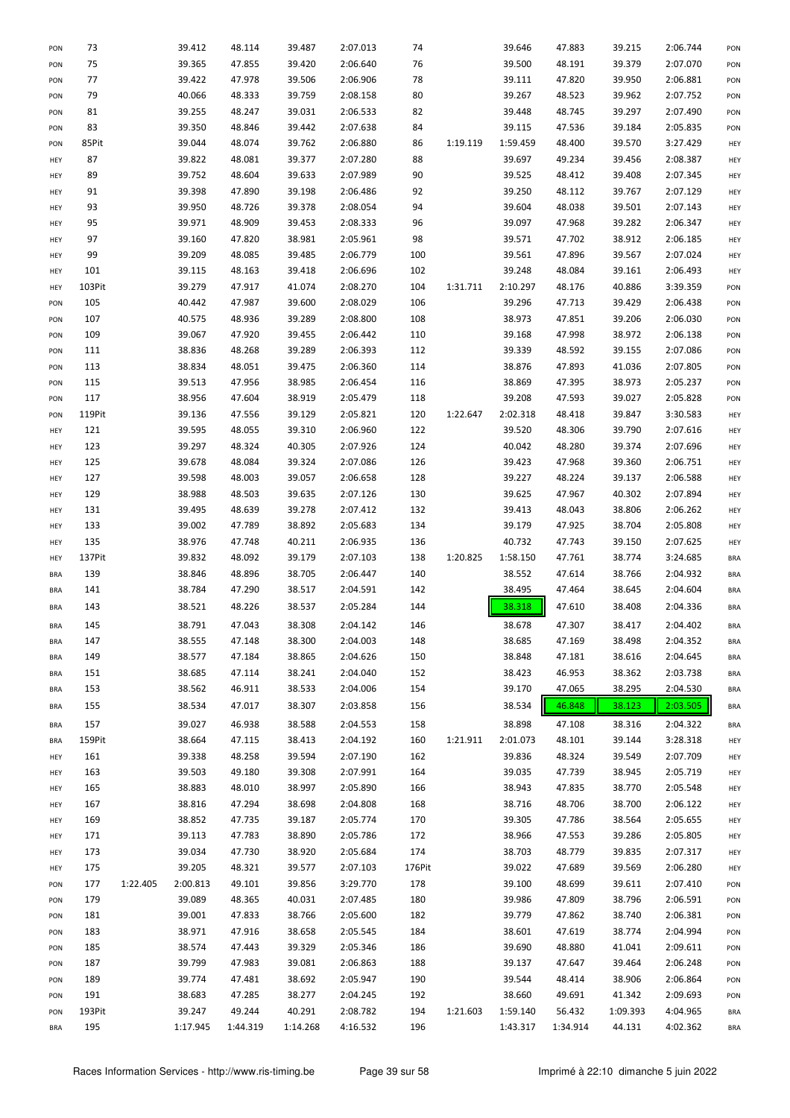| PON        | 73     |          | 39.412   | 48.114   | 39.487   | 2:07.013 | 74     |          | 39.646   | 47.883   | 39.215   | 2:06.744 | PON        |
|------------|--------|----------|----------|----------|----------|----------|--------|----------|----------|----------|----------|----------|------------|
| PON        | 75     |          | 39.365   | 47.855   | 39.420   | 2:06.640 | 76     |          | 39.500   | 48.191   | 39.379   | 2:07.070 | PON        |
|            |        |          |          |          |          |          |        |          |          |          |          |          |            |
| PON        | 77     |          | 39.422   | 47.978   | 39.506   | 2:06.906 | 78     |          | 39.111   | 47.820   | 39.950   | 2:06.881 | PON        |
| PON        | 79     |          | 40.066   | 48.333   | 39.759   | 2:08.158 | 80     |          | 39.267   | 48.523   | 39.962   | 2:07.752 | PON        |
| PON        | 81     |          | 39.255   | 48.247   | 39.031   | 2:06.533 | 82     |          | 39.448   | 48.745   | 39.297   | 2:07.490 | PON        |
| PON        | 83     |          | 39.350   | 48.846   | 39.442   | 2:07.638 | 84     |          | 39.115   | 47.536   | 39.184   | 2:05.835 | PON        |
| PON        | 85Pit  |          | 39.044   | 48.074   | 39.762   | 2:06.880 | 86     | 1:19.119 | 1:59.459 | 48.400   | 39.570   | 3:27.429 | HEY        |
|            |        |          |          |          |          |          |        |          |          |          |          |          |            |
| HEY        | 87     |          | 39.822   | 48.081   | 39.377   | 2:07.280 | 88     |          | 39.697   | 49.234   | 39.456   | 2:08.387 | HEY        |
| HEY        | 89     |          | 39.752   | 48.604   | 39.633   | 2:07.989 | 90     |          | 39.525   | 48.412   | 39.408   | 2:07.345 | HEY        |
| HEY        | 91     |          | 39.398   | 47.890   | 39.198   | 2:06.486 | 92     |          | 39.250   | 48.112   | 39.767   | 2:07.129 | HEY        |
| HEY        | 93     |          | 39.950   | 48.726   | 39.378   | 2:08.054 | 94     |          | 39.604   | 48.038   | 39.501   | 2:07.143 | HEY        |
|            | 95     |          | 39.971   | 48.909   | 39.453   | 2:08.333 | 96     |          | 39.097   | 47.968   | 39.282   | 2:06.347 |            |
| HEY        |        |          |          |          |          |          |        |          |          |          |          |          | HEY        |
| HEY        | 97     |          | 39.160   | 47.820   | 38.981   | 2:05.961 | 98     |          | 39.571   | 47.702   | 38.912   | 2:06.185 | HEY        |
| HEY        | 99     |          | 39.209   | 48.085   | 39.485   | 2:06.779 | 100    |          | 39.561   | 47.896   | 39.567   | 2:07.024 | HEY        |
| HEY        | 101    |          | 39.115   | 48.163   | 39.418   | 2:06.696 | 102    |          | 39.248   | 48.084   | 39.161   | 2:06.493 | HEY        |
| HEY        | 103Pit |          | 39.279   | 47.917   | 41.074   | 2:08.270 | 104    | 1:31.711 | 2:10.297 | 48.176   | 40.886   | 3:39.359 | PON        |
| PON        | 105    |          | 40.442   | 47.987   | 39.600   | 2:08.029 | 106    |          | 39.296   | 47.713   | 39.429   | 2:06.438 | PON        |
|            |        |          |          |          |          |          |        |          |          |          |          |          |            |
| PON        | 107    |          | 40.575   | 48.936   | 39.289   | 2:08.800 | 108    |          | 38.973   | 47.851   | 39.206   | 2:06.030 | PON        |
| PON        | 109    |          | 39.067   | 47.920   | 39.455   | 2:06.442 | 110    |          | 39.168   | 47.998   | 38.972   | 2:06.138 | PON        |
| PON        | 111    |          | 38.836   | 48.268   | 39.289   | 2:06.393 | 112    |          | 39.339   | 48.592   | 39.155   | 2:07.086 | PON        |
| PON        | 113    |          | 38.834   | 48.051   | 39.475   | 2:06.360 | 114    |          | 38.876   | 47.893   | 41.036   | 2:07.805 | PON        |
| PON        | 115    |          | 39.513   | 47.956   | 38.985   | 2:06.454 | 116    |          | 38.869   | 47.395   | 38.973   | 2:05.237 | PON        |
|            |        |          |          |          |          |          |        |          |          |          |          |          |            |
| PON        | 117    |          | 38.956   | 47.604   | 38.919   | 2:05.479 | 118    |          | 39.208   | 47.593   | 39.027   | 2:05.828 | PON        |
| PON        | 119Pit |          | 39.136   | 47.556   | 39.129   | 2:05.821 | 120    | 1:22.647 | 2:02.318 | 48.418   | 39.847   | 3:30.583 | HEY        |
| HEY        | 121    |          | 39.595   | 48.055   | 39.310   | 2:06.960 | 122    |          | 39.520   | 48.306   | 39.790   | 2:07.616 | HEY        |
| HEY        | 123    |          | 39.297   | 48.324   | 40.305   | 2:07.926 | 124    |          | 40.042   | 48.280   | 39.374   | 2:07.696 | HEY        |
| HEY        | 125    |          | 39.678   | 48.084   | 39.324   | 2:07.086 | 126    |          | 39.423   | 47.968   | 39.360   | 2:06.751 | HEY        |
|            |        |          |          |          |          |          |        |          |          |          |          |          |            |
| HEY        | 127    |          | 39.598   | 48.003   | 39.057   | 2:06.658 | 128    |          | 39.227   | 48.224   | 39.137   | 2:06.588 | HEY        |
| HEY        | 129    |          | 38.988   | 48.503   | 39.635   | 2:07.126 | 130    |          | 39.625   | 47.967   | 40.302   | 2:07.894 | HEY        |
| HEY        | 131    |          | 39.495   | 48.639   | 39.278   | 2:07.412 | 132    |          | 39.413   | 48.043   | 38.806   | 2:06.262 | HEY        |
| HEY        | 133    |          | 39.002   | 47.789   | 38.892   | 2:05.683 | 134    |          | 39.179   | 47.925   | 38.704   | 2:05.808 | HEY        |
| HEY        | 135    |          | 38.976   | 47.748   | 40.211   | 2:06.935 | 136    |          | 40.732   | 47.743   | 39.150   | 2:07.625 | HEY        |
|            | 137Pit |          | 39.832   | 48.092   | 39.179   | 2:07.103 | 138    | 1:20.825 | 1:58.150 | 47.761   | 38.774   | 3:24.685 |            |
| HEY        |        |          |          |          |          |          |        |          |          |          |          |          | <b>BRA</b> |
| <b>BRA</b> | 139    |          | 38.846   | 48.896   | 38.705   | 2:06.447 | 140    |          | 38.552   | 47.614   | 38.766   | 2:04.932 | <b>BRA</b> |
| <b>BRA</b> | 141    |          | 38.784   | 47.290   | 38.517   | 2:04.591 | 142    |          | 38.495   | 47.464   | 38.645   | 2:04.604 | <b>BRA</b> |
| <b>BRA</b> | 143    |          | 38.521   | 48.226   | 38.537   | 2:05.284 | 144    |          | 38.318   | 47.610   | 38.408   | 2:04.336 | <b>BRA</b> |
| <b>BRA</b> | 145    |          | 38.791   | 47.043   | 38.308   | 2:04.142 | 146    |          | 38.678   | 47.307   | 38.417   | 2:04.402 |            |
|            |        |          |          |          |          |          |        |          |          |          |          |          | <b>BRA</b> |
| <b>BRA</b> | 147    |          | 38.555   | 47.148   | 38.300   | 2:04.003 | 148    |          | 38.685   | 47.169   | 38.498   | 2:04.352 | <b>BRA</b> |
| <b>BRA</b> | 149    |          | 38.577   | 47.184   | 38.865   | 2:04.626 | 150    |          | 38.848   | 47.181   | 38.616   | 2:04.645 | <b>BRA</b> |
| <b>BRA</b> | 151    |          | 38.685   | 47.114   | 38.241   | 2:04.040 | 152    |          | 38.423   | 46.953   | 38.362   | 2:03.738 | <b>BRA</b> |
| <b>BRA</b> | 153    |          | 38.562   | 46.911   | 38.533   | 2:04.006 | 154    |          | 39.170   | 47.065   | 38.295   | 2:04.530 | <b>BRA</b> |
|            | 155    |          | 38.534   | 47.017   | 38.307   | 2:03.858 | 156    |          | 38.534   | 46.848   | 38.123   | 2:03.505 | <b>BRA</b> |
| <b>BRA</b> |        |          |          |          |          |          |        |          |          |          |          |          |            |
| <b>BRA</b> | 157    |          | 39.027   | 46.938   | 38.588   | 2:04.553 | 158    |          | 38.898   | 47.108   | 38.316   | 2:04.322 | <b>BRA</b> |
| <b>BRA</b> | 159Pit |          | 38.664   | 47.115   | 38.413   | 2:04.192 | 160    | 1:21.911 | 2:01.073 | 48.101   | 39.144   | 3:28.318 | HEY        |
| HEY        | 161    |          | 39.338   | 48.258   | 39.594   | 2:07.190 | 162    |          | 39.836   | 48.324   | 39.549   | 2:07.709 | HEY        |
| HEY        | 163    |          | 39.503   | 49.180   | 39.308   | 2:07.991 | 164    |          | 39.035   | 47.739   | 38.945   | 2:05.719 | HEY        |
|            |        |          | 38.883   |          |          | 2:05.890 |        |          |          |          |          |          |            |
| HEY        | 165    |          |          | 48.010   | 38.997   |          | 166    |          | 38.943   | 47.835   | 38.770   | 2:05.548 | HEY        |
| HEY        | 167    |          | 38.816   | 47.294   | 38.698   | 2:04.808 | 168    |          | 38.716   | 48.706   | 38.700   | 2:06.122 | HEY        |
| HEY        | 169    |          | 38.852   | 47.735   | 39.187   | 2:05.774 | 170    |          | 39.305   | 47.786   | 38.564   | 2:05.655 | HEY        |
| HEY        | 171    |          | 39.113   | 47.783   | 38.890   | 2:05.786 | 172    |          | 38.966   | 47.553   | 39.286   | 2:05.805 | HEY        |
| HEY        | 173    |          | 39.034   | 47.730   | 38.920   | 2:05.684 | 174    |          | 38.703   | 48.779   | 39.835   | 2:07.317 | HEY        |
|            |        |          |          |          |          |          |        |          |          |          |          |          |            |
| HEY        | 175    |          | 39.205   | 48.321   | 39.577   | 2:07.103 | 176Pit |          | 39.022   | 47.689   | 39.569   | 2:06.280 | HEY        |
| PON        | 177    | 1:22.405 | 2:00.813 | 49.101   | 39.856   | 3:29.770 | 178    |          | 39.100   | 48.699   | 39.611   | 2:07.410 | PON        |
| PON        | 179    |          | 39.089   | 48.365   | 40.031   | 2:07.485 | 180    |          | 39.986   | 47.809   | 38.796   | 2:06.591 | PON        |
| PON        | 181    |          | 39.001   | 47.833   | 38.766   | 2:05.600 | 182    |          | 39.779   | 47.862   | 38.740   | 2:06.381 | PON        |
| PON        | 183    |          | 38.971   | 47.916   | 38.658   | 2:05.545 | 184    |          | 38.601   | 47.619   | 38.774   | 2:04.994 | PON        |
| PON        | 185    |          | 38.574   | 47.443   | 39.329   | 2:05.346 | 186    |          | 39.690   | 48.880   | 41.041   | 2:09.611 | PON        |
|            |        |          |          |          |          |          |        |          |          |          |          |          |            |
| PON        | 187    |          | 39.799   | 47.983   | 39.081   | 2:06.863 | 188    |          | 39.137   | 47.647   | 39.464   | 2:06.248 | PON        |
| PON        | 189    |          | 39.774   | 47.481   | 38.692   | 2:05.947 | 190    |          | 39.544   | 48.414   | 38.906   | 2:06.864 | PON        |
| PON        | 191    |          | 38.683   | 47.285   | 38.277   | 2:04.245 | 192    |          | 38.660   | 49.691   | 41.342   | 2:09.693 | PON        |
| PON        | 193Pit |          | 39.247   | 49.244   | 40.291   | 2:08.782 | 194    | 1:21.603 | 1:59.140 | 56.432   | 1:09.393 | 4:04.965 | <b>BRA</b> |
| <b>BRA</b> | 195    |          | 1:17.945 | 1:44.319 | 1:14.268 | 4:16.532 | 196    |          | 1:43.317 | 1:34.914 | 44.131   | 4:02.362 | <b>BRA</b> |
|            |        |          |          |          |          |          |        |          |          |          |          |          |            |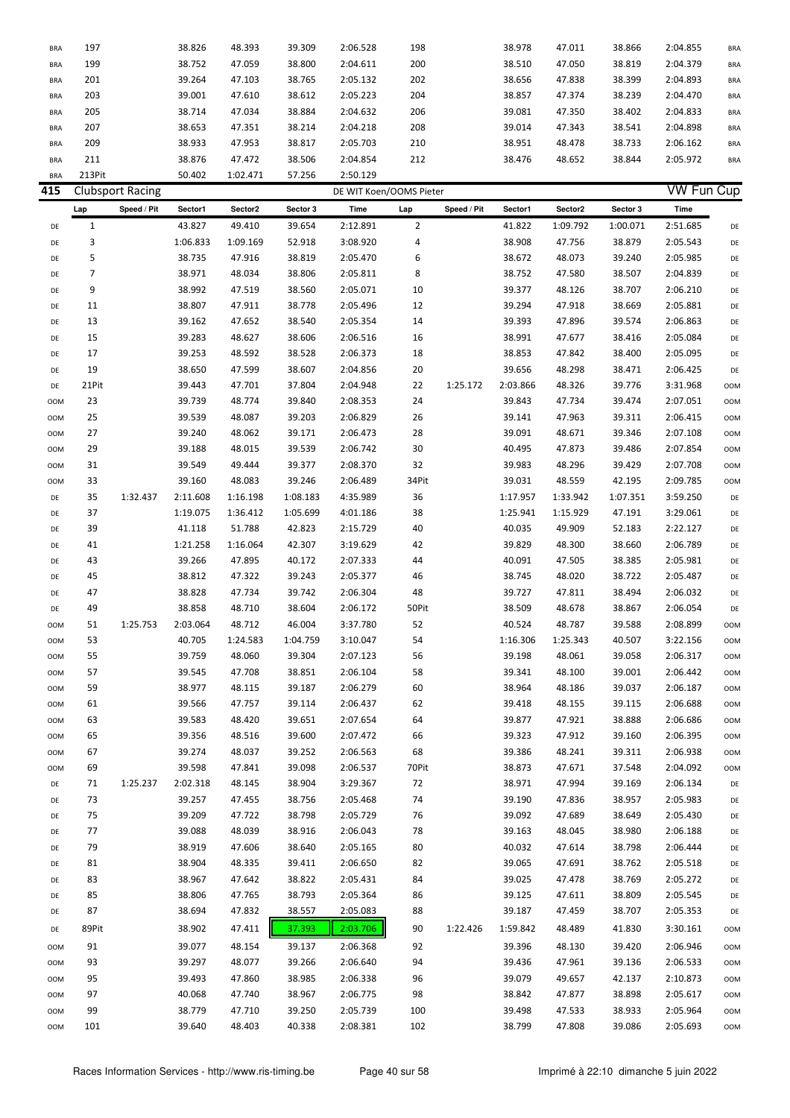| <b>BRA</b>       | 197          |                         | 38.826           | 48.393           | 39.309           | 2:06.528                | 198         |             | 38.978           | 47.011           | 38.866           | 2:04.855             | <b>BRA</b> |
|------------------|--------------|-------------------------|------------------|------------------|------------------|-------------------------|-------------|-------------|------------------|------------------|------------------|----------------------|------------|
| <b>BRA</b>       | 199          |                         | 38.752           | 47.059           | 38.800           | 2:04.611                | 200         |             | 38.510           | 47.050           | 38.819           | 2:04.379             | <b>BRA</b> |
| <b>BRA</b>       | 201          |                         | 39.264           | 47.103           | 38.765           | 2:05.132                | 202         |             | 38.656           | 47.838           | 38.399           | 2:04.893             | <b>BRA</b> |
| <b>BRA</b>       | 203          |                         | 39.001           | 47.610           | 38.612           | 2:05.223                | 204         |             | 38.857           | 47.374           | 38.239           | 2:04.470             | <b>BRA</b> |
| <b>BRA</b>       | 205          |                         | 38.714           | 47.034           | 38.884           | 2:04.632                | 206         |             | 39.081           | 47.350           | 38.402           | 2:04.833             | <b>BRA</b> |
| <b>BRA</b>       | 207          |                         | 38.653           | 47.351           | 38.214           | 2:04.218                | 208         |             | 39.014           | 47.343           | 38.541           | 2:04.898             | <b>BRA</b> |
| <b>BRA</b>       | 209          |                         | 38.933           | 47.953           | 38.817           | 2:05.703                | 210         |             | 38.951           | 48.478           | 38.733           | 2:06.162             | <b>BRA</b> |
| <b>BRA</b>       | 211          |                         | 38.876           | 47.472           | 38.506           | 2:04.854                | 212         |             | 38.476           | 48.652           | 38.844           | 2:05.972             | <b>BRA</b> |
| <b>BRA</b>       | 213Pit       |                         | 50.402           | 1:02.471         | 57.256           | 2:50.129                |             |             |                  |                  |                  |                      |            |
| 415              |              | <b>Clubsport Racing</b> |                  |                  |                  | DE WIT Koen/OOMS Pieter |             |             |                  |                  |                  | <b>VW Fun Cup</b>    |            |
|                  | Lap          | Speed / Pit             | Sector1          | Sector2          | Sector 3         | Time                    | Lap         | Speed / Pit | Sector1          | Sector2          | Sector 3         | <b>Time</b>          |            |
| DE               | $\mathbf{1}$ |                         | 43.827           | 49.410           | 39.654           | 2:12.891                | 2           |             | 41.822           | 1:09.792         | 1:00.071         | 2:51.685             | DE         |
| DE               | 3            |                         | 1:06.833         | 1:09.169         | 52.918           | 3:08.920                | 4           |             | 38.908           | 47.756           | 38.879           | 2:05.543             | DE         |
| DE               | 5            |                         | 38.735           | 47.916           | 38.819           | 2:05.470                | 6           |             | 38.672           | 48.073           | 39.240           | 2:05.985             | DE         |
| DE               | 7            |                         | 38.971           | 48.034           | 38.806           | 2:05.811                | 8           |             | 38.752           | 47.580           | 38.507           | 2:04.839             | DE         |
| DE               | 9            |                         | 38.992           | 47.519           | 38.560           | 2:05.071                | 10          |             | 39.377           | 48.126           | 38.707           | 2:06.210             | DE         |
| DE               | 11           |                         | 38.807           | 47.911           | 38.778           | 2:05.496                | 12          |             | 39.294           | 47.918           | 38.669           | 2:05.881             | DE         |
| DE               | 13           |                         | 39.162           | 47.652           | 38.540           | 2:05.354                | 14          |             | 39.393           | 47.896           | 39.574           | 2:06.863             | DE         |
| DE               | 15           |                         | 39.283           | 48.627           | 38.606           | 2:06.516                | 16          |             | 38.991           | 47.677           | 38.416           | 2:05.084             | DE         |
| DE               | 17           |                         | 39.253           | 48.592           | 38.528           | 2:06.373                | 18          |             | 38.853           | 47.842           | 38.400           | 2:05.095             | DE         |
| DE               | 19           |                         | 38.650           | 47.599           | 38.607           | 2:04.856                | 20          |             | 39.656           | 48.298           | 38.471           | 2:06.425             | DE         |
| DE               | 21Pit        |                         | 39.443           | 47.701           | 37.804           | 2:04.948                | 22          | 1:25.172    | 2:03.866         | 48.326           | 39.776           | 3:31.968             | OOM        |
| <b>OOM</b>       | 23           |                         | 39.739           | 48.774           | 39.840           | 2:08.353                | 24          |             | 39.843           | 47.734           | 39.474           | 2:07.051             | OOM        |
| <b>OOM</b>       | 25           |                         | 39.539           | 48.087           | 39.203           | 2:06.829                | 26          |             | 39.141           | 47.963           | 39.311           | 2:06.415             | OOM        |
| <b>OOM</b>       | 27           |                         | 39.240           | 48.062           | 39.171           | 2:06.473                | 28          |             | 39.091           | 48.671           | 39.346           | 2:07.108             | <b>OOM</b> |
| <b>OOM</b>       | 29           |                         | 39.188           | 48.015           | 39.539           | 2:06.742                | 30          |             | 40.495           | 47.873           | 39.486           | 2:07.854             | <b>OOM</b> |
| <b>OOM</b>       | 31           |                         | 39.549           | 49.444           | 39.377           | 2:08.370                | 32          |             | 39.983           | 48.296           | 39.429           | 2:07.708             | <b>OOM</b> |
| <b>OOM</b>       | 33           |                         | 39.160           | 48.083           | 39.246           | 2:06.489                | 34Pit       |             | 39.031           | 48.559           | 42.195           | 2:09.785             | <b>OOM</b> |
| DE               | 35           | 1:32.437                | 2:11.608         | 1:16.198         | 1:08.183         | 4:35.989                | 36          |             | 1:17.957         | 1:33.942         | 1:07.351         | 3:59.250             | DE         |
| DE               | 37           |                         | 1:19.075         | 1:36.412         | 1:05.699         | 4:01.186                | 38          |             | 1:25.941         | 1:15.929         | 47.191           | 3:29.061             | DE         |
| DE               | 39           |                         | 41.118           | 51.788           | 42.823           | 2:15.729                | 40          |             | 40.035           | 49.909           | 52.183           | 2:22.127             | DE         |
| DE               | 41           |                         | 1:21.258         | 1:16.064         | 42.307           | 3:19.629                | 42          |             | 39.829           | 48.300           | 38.660           | 2:06.789             | DE         |
| DE               | 43           |                         | 39.266           | 47.895           | 40.172           | 2:07.333                | 44          |             | 40.091           | 47.505           | 38.385           | 2:05.981             | DE         |
| DE               | 45           |                         | 38.812           | 47.322           | 39.243           | 2:05.377                | 46          |             | 38.745           | 48.020           | 38.722           | 2:05.487             | DE         |
| DE               | 47           |                         | 38.828           | 47.734           | 39.742           | 2:06.304                | 48          |             | 39.727           | 47.811           | 38.494           | 2:06.032             | DE         |
| DE               | 49           |                         | 38.858           | 48.710           | 38.604           | 2:06.172                | 50Pit       |             | 38.509           | 48.678           | 38.867           | 2:06.054             | DE         |
| <b>OOM</b>       | 51           | 1:25.753                | 2:03.064         | 48.712           | 46.004           | 3:37.780                | 52          |             | 40.524           | 48.787           | 39.588           | 2:08.899             | <b>OOM</b> |
| <b>OOM</b>       | 53           |                         | 40.705           | 1:24.583         | 1:04.759         | 3:10.047                | 54          |             | 1:16.306         | 1:25.343         | 40.507           | 3:22.156             | OOM        |
| <b>OOM</b>       | 55           |                         | 39.759           | 48.060           | 39.304           | 2:07.123                | 56          |             | 39.198           | 48.061           | 39.058           | 2:06.317             | <b>OOM</b> |
| <b>OOM</b>       | 57           |                         | 39.545           | 47.708           | 38.851           | 2:06.104                | 58          |             | 39.341           | 48.100           | 39.001           | 2:06.442             | <b>OOM</b> |
| <b>OOM</b>       | 59           |                         | 38.977           | 48.115           | 39.187           | 2:06.279                | 60          |             | 38.964           | 48.186           | 39.037           | 2:06.187             | OOM        |
| <b>OOM</b>       | 61           |                         | 39.566           | 47.757           | 39.114           | 2:06.437                | 62          |             | 39.418           | 48.155           | 39.115           | 2:06.688             | OOM        |
| <b>OOM</b>       | 63           |                         | 39.583           | 48.420           | 39.651           | 2:07.654                | 64          |             | 39.877           | 47.921           | 38.888           | 2:06.686             | OOM        |
| <b>OOM</b>       | 65           |                         | 39.356           | 48.516<br>48.037 | 39.600           | 2:07.472                | 66          |             | 39.323           | 47.912           | 39.160           | 2:06.395             | OOM        |
| <b>OOM</b>       | 67<br>69     |                         | 39.274<br>39.598 | 47.841           | 39.252<br>39.098 | 2:06.563<br>2:06.537    | 68<br>70Pit |             | 39.386<br>38.873 | 48.241<br>47.671 | 39.311<br>37.548 | 2:06.938<br>2:04.092 | OOM        |
| <b>OOM</b><br>DE | 71           | 1:25.237                | 2:02.318         | 48.145           | 38.904           | 3:29.367                | 72          |             | 38.971           | 47.994           | 39.169           | 2:06.134             | OOM<br>DE  |
| DE               | 73           |                         | 39.257           | 47.455           | 38.756           | 2:05.468                | 74          |             | 39.190           | 47.836           | 38.957           | 2:05.983             | DE         |
| DE               | 75           |                         | 39.209           | 47.722           | 38.798           | 2:05.729                | 76          |             | 39.092           | 47.689           | 38.649           | 2:05.430             | DE         |
| DE               | 77           |                         | 39.088           | 48.039           | 38.916           | 2:06.043                | 78          |             | 39.163           | 48.045           | 38.980           | 2:06.188             | DE         |
| DE               | 79           |                         | 38.919           | 47.606           | 38.640           | 2:05.165                | 80          |             | 40.032           | 47.614           | 38.798           | 2:06.444             | DE         |
| DE               | 81           |                         | 38.904           | 48.335           | 39.411           | 2:06.650                | 82          |             | 39.065           | 47.691           | 38.762           | 2:05.518             | DE         |
| DE               | 83           |                         | 38.967           | 47.642           | 38.822           | 2:05.431                | 84          |             | 39.025           | 47.478           | 38.769           | 2:05.272             | DE         |
| DE               | 85           |                         | 38.806           | 47.765           | 38.793           | 2:05.364                | 86          |             | 39.125           | 47.611           | 38.809           | 2:05.545             | DE         |
| DE               | 87           |                         | 38.694           | 47.832           | 38.557           | 2:05.083                | 88          |             | 39.187           | 47.459           | 38.707           | 2:05.353             | DE         |
| DE               | 89Pit        |                         | 38.902           | 47.411           | 37.393           | 2:03.706                | 90          | 1:22.426    | 1:59.842         | 48.489           | 41.830           | 3:30.161             | <b>OOM</b> |
| <b>OOM</b>       | 91           |                         | 39.077           | 48.154           | 39.137           | 2:06.368                | 92          |             | 39.396           | 48.130           | 39.420           | 2:06.946             | <b>OOM</b> |
| <b>OOM</b>       | 93           |                         | 39.297           | 48.077           | 39.266           | 2:06.640                | 94          |             | 39.436           | 47.961           | 39.136           | 2:06.533             | <b>OOM</b> |
| <b>OOM</b>       | 95           |                         | 39.493           | 47.860           | 38.985           | 2:06.338                | 96          |             | 39.079           | 49.657           | 42.137           | 2:10.873             | <b>OOM</b> |
| <b>OOM</b>       | 97           |                         | 40.068           | 47.740           | 38.967           | 2:06.775                | 98          |             | 38.842           | 47.877           | 38.898           | 2:05.617             | <b>OOM</b> |
| <b>OOM</b>       | 99           |                         | 38.779           | 47.710           | 39.250           | 2:05.739                | 100         |             | 39.498           | 47.533           | 38.933           | 2:05.964             | OOM        |
| <b>OOM</b>       | 101          |                         | 39.640           | 48.403           | 40.338           | 2:08.381                | 102         |             | 38.799           | 47.808           | 39.086           | 2:05.693             | OOM        |
|                  |              |                         |                  |                  |                  |                         |             |             |                  |                  |                  |                      |            |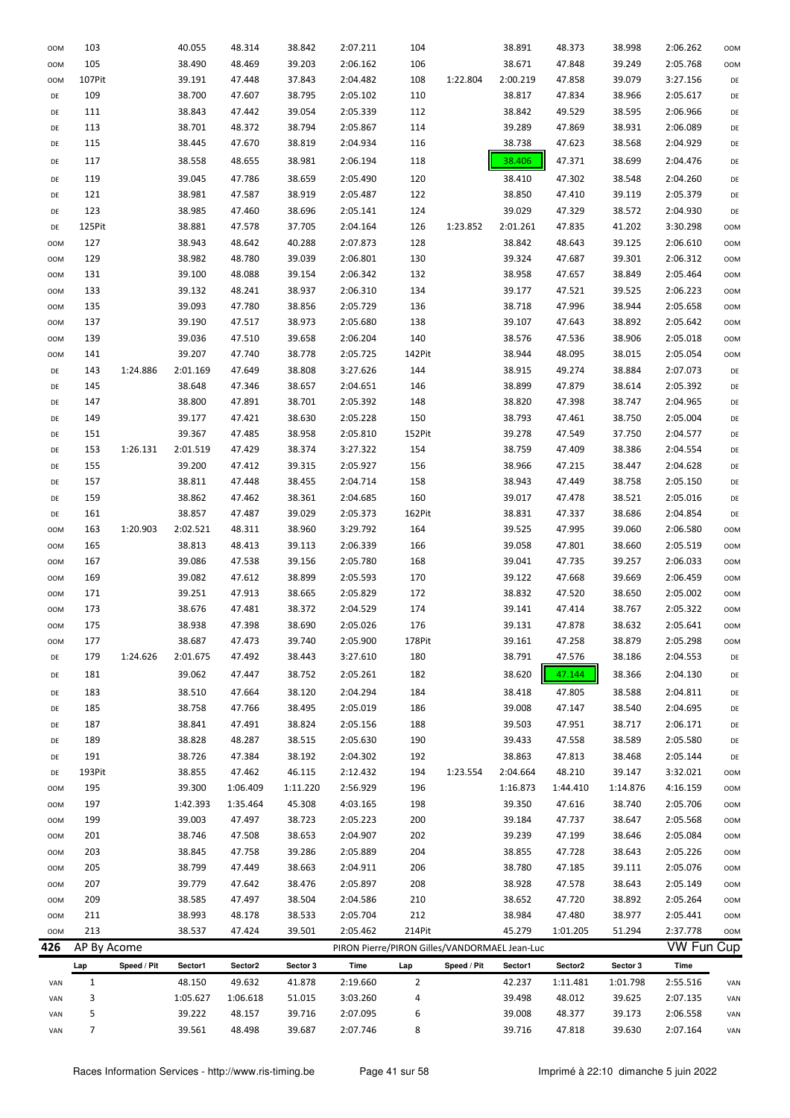| <b>OOM</b>               | 103            |             | 40.055   | 48.314   | 38.842           | 2:07.211                                      | 104            |             | 38.891   | 48.373   | 38.998   | 2:06.262             | <b>OOM</b> |
|--------------------------|----------------|-------------|----------|----------|------------------|-----------------------------------------------|----------------|-------------|----------|----------|----------|----------------------|------------|
| <b>OOM</b>               | 105            |             | 38.490   | 48.469   | 39.203           | 2:06.162                                      | 106            |             | 38.671   | 47.848   | 39.249   | 2:05.768             | <b>OOM</b> |
| <b>OOM</b>               | 107Pit         |             | 39.191   | 47.448   | 37.843           | 2:04.482                                      | 108            | 1:22.804    | 2:00.219 | 47.858   | 39.079   | 3:27.156             | DE         |
| DE                       | 109            |             | 38.700   | 47.607   | 38.795           | 2:05.102                                      | 110            |             | 38.817   | 47.834   | 38.966   | 2:05.617             | DE         |
| DE                       | 111            |             | 38.843   | 47.442   | 39.054           | 2:05.339                                      | 112            |             | 38.842   | 49.529   | 38.595   | 2:06.966             | DE         |
| DE                       | 113            |             | 38.701   | 48.372   | 38.794           | 2:05.867                                      | 114            |             | 39.289   | 47.869   | 38.931   | 2:06.089             | DE         |
| DE                       | 115            |             | 38.445   | 47.670   | 38.819           | 2:04.934                                      | 116            |             | 38.738   | 47.623   | 38.568   | 2:04.929             | DE         |
| DE                       | 117            |             | 38.558   | 48.655   | 38.981           | 2:06.194                                      | 118            |             | 38.406   | 47.371   | 38.699   | 2:04.476             | DE         |
| DE                       | 119            |             | 39.045   | 47.786   | 38.659           | 2:05.490                                      | 120            |             | 38.410   | 47.302   | 38.548   | 2:04.260             | DE         |
| DE                       | 121            |             | 38.981   | 47.587   | 38.919           | 2:05.487                                      | 122            |             | 38.850   | 47.410   | 39.119   | 2:05.379             | DE         |
| DE                       | 123            |             | 38.985   | 47.460   | 38.696           | 2:05.141                                      | 124            |             | 39.029   | 47.329   | 38.572   | 2:04.930             | DE         |
| DE                       | 125Pit         |             | 38.881   | 47.578   | 37.705           | 2:04.164                                      | 126            | 1:23.852    | 2:01.261 | 47.835   | 41.202   | 3:30.298             | <b>OOM</b> |
| <b>OOM</b>               | 127            |             | 38.943   | 48.642   | 40.288           | 2:07.873                                      | 128            |             | 38.842   | 48.643   | 39.125   | 2:06.610             | <b>OOM</b> |
| <b>OOM</b>               | 129            |             | 38.982   | 48.780   | 39.039           | 2:06.801                                      | 130            |             | 39.324   | 47.687   | 39.301   | 2:06.312             | <b>OOM</b> |
| OOM                      | 131            |             | 39.100   | 48.088   | 39.154           | 2:06.342                                      | 132            |             | 38.958   | 47.657   | 38.849   | 2:05.464             | OOM        |
| OOM                      | 133            |             | 39.132   | 48.241   | 38.937           | 2:06.310                                      | 134            |             | 39.177   | 47.521   | 39.525   | 2:06.223             | 00M        |
| <b>OOM</b>               | 135            |             | 39.093   | 47.780   | 38.856           | 2:05.729                                      | 136            |             | 38.718   | 47.996   | 38.944   | 2:05.658             | 00M        |
| <b>OOM</b>               | 137            |             | 39.190   | 47.517   | 38.973           | 2:05.680                                      | 138            |             | 39.107   | 47.643   | 38.892   | 2:05.642             | 00M        |
|                          | 139            |             | 39.036   | 47.510   | 39.658           | 2:06.204                                      | 140            |             | 38.576   | 47.536   | 38.906   | 2:05.018             |            |
| <b>OOM</b>               |                |             |          |          |                  |                                               |                |             |          |          |          |                      | 00M        |
| <b>OOM</b>               | 141            |             | 39.207   | 47.740   | 38.778           | 2:05.725                                      | 142Pit         |             | 38.944   | 48.095   | 38.015   | 2:05.054             | <b>OOM</b> |
| DE                       | 143            | 1:24.886    | 2:01.169 | 47.649   | 38.808           | 3:27.626                                      | 144            |             | 38.915   | 49.274   | 38.884   | 2:07.073             | DE         |
| DE                       | 145            |             | 38.648   | 47.346   | 38.657           | 2:04.651                                      | 146            |             | 38.899   | 47.879   | 38.614   | 2:05.392             | DE         |
| DE                       | 147            |             | 38.800   | 47.891   | 38.701           | 2:05.392                                      | 148            |             | 38.820   | 47.398   | 38.747   | 2:04.965             | DE         |
| DE                       | 149            |             | 39.177   | 47.421   | 38.630           | 2:05.228                                      | 150            |             | 38.793   | 47.461   | 38.750   | 2:05.004             | DE         |
| DE                       | 151            |             | 39.367   | 47.485   | 38.958           | 2:05.810                                      | 152Pit         |             | 39.278   | 47.549   | 37.750   | 2:04.577             | DE         |
| DE                       | 153            | 1:26.131    | 2:01.519 | 47.429   | 38.374           | 3:27.322                                      | 154            |             | 38.759   | 47.409   | 38.386   | 2:04.554             | DE         |
| DE                       | 155            |             | 39.200   | 47.412   | 39.315           | 2:05.927                                      | 156            |             | 38.966   | 47.215   | 38.447   | 2:04.628             | DE         |
| DE                       | 157            |             | 38.811   | 47.448   | 38.455           | 2:04.714                                      | 158            |             | 38.943   | 47.449   | 38.758   | 2:05.150             | DE         |
| DE                       | 159            |             | 38.862   | 47.462   | 38.361           | 2:04.685                                      | 160            |             | 39.017   | 47.478   | 38.521   | 2:05.016             | DE         |
| DE                       | 161            |             | 38.857   | 47.487   | 39.029           | 2:05.373                                      | 162Pit         |             | 38.831   | 47.337   | 38.686   | 2:04.854             | DE         |
| <b>OOM</b>               | 163            | 1:20.903    | 2:02.521 | 48.311   | 38.960           | 3:29.792                                      | 164            |             | 39.525   | 47.995   | 39.060   | 2:06.580             | <b>OOM</b> |
| OOM                      | 165            |             | 38.813   | 48.413   | 39.113           | 2:06.339                                      | 166            |             | 39.058   | 47.801   | 38.660   | 2:05.519             | <b>OOM</b> |
| OOM                      | 167            |             | 39.086   | 47.538   | 39.156           | 2:05.780                                      | 168            |             | 39.041   | 47.735   | 39.257   | 2:06.033             | <b>OOM</b> |
| OOM                      | 169            |             | 39.082   | 47.612   | 38.899           | 2:05.593                                      | 170            |             | 39.122   | 47.668   | 39.669   | 2:06.459             | <b>OOM</b> |
| OOM                      | 171            |             | 39.251   | 47.913   | 38.665           | 2:05.829                                      | 172            |             | 38.832   | 47.520   | 38.650   | 2:05.002             | OOM        |
| OOM                      | 173            |             | 38.676   | 47.481   | 38.372           | 2:04.529                                      | 174            |             | 39.141   | 47.414   | 38.767   | 2:05.322             | OOM        |
| <b>OOM</b>               | 175            |             | 38.938   | 47.398   | 38.690           | 2:05.026                                      | 176            |             | 39.131   | 47.878   | 38.632   | 2:05.641             | <b>OOM</b> |
| <b>OOM</b>               | 177            |             | 38.687   | 47.473   | 39.740           | 2:05.900                                      | 178Pit         |             | 39.161   | 47.258   | 38.879   | 2:05.298             | OOM        |
| DE                       | 179            | 1:24.626    | 2:01.675 | 47.492   | 38.443           | 3:27.610                                      | 180            |             | 38.791   | 47.576   | 38.186   | 2:04.553             | DE         |
| DE                       | 181            |             | 39.062   | 47.447   | 38.752           | 2:05.261                                      | 182            |             | 38.620   | 47.144   | 38.366   | 2:04.130             | DE         |
| DE                       | 183            |             | 38.510   | 47.664   | 38.120           | 2:04.294                                      | 184            |             | 38.418   | 47.805   | 38.588   | 2:04.811             | DE         |
| DE                       | 185            |             | 38.758   | 47.766   | 38.495           | 2:05.019                                      | 186            |             | 39.008   | 47.147   | 38.540   | 2:04.695             | DE         |
| DE                       | 187            |             | 38.841   | 47.491   | 38.824           | 2:05.156                                      | 188            |             | 39.503   | 47.951   | 38.717   | 2:06.171             | DE         |
| DE                       | 189            |             | 38.828   | 48.287   | 38.515           | 2:05.630                                      | 190            |             | 39.433   | 47.558   | 38.589   | 2:05.580             | DE         |
| DE                       | 191            |             | 38.726   | 47.384   | 38.192           | 2:04.302                                      | 192            |             | 38.863   | 47.813   | 38.468   | 2:05.144             | DE         |
| DE                       | 193Pit         |             | 38.855   | 47.462   | 46.115           | 2:12.432                                      | 194            | 1:23.554    | 2:04.664 | 48.210   | 39.147   | 3:32.021             | OOM        |
| <b>OOM</b>               | 195            |             | 39.300   | 1:06.409 | 1:11.220         | 2:56.929                                      | 196            |             | 1:16.873 | 1:44.410 | 1:14.876 | 4:16.159             | OOM        |
| <b>OOM</b>               | 197            |             | 1:42.393 | 1:35.464 | 45.308           | 4:03.165                                      | 198            |             | 39.350   | 47.616   | 38.740   | 2:05.706             | OOM        |
| <b>OOM</b>               | 199            |             | 39.003   | 47.497   | 38.723           | 2:05.223                                      | 200            |             | 39.184   | 47.737   | 38.647   | 2:05.568             | OOM        |
| <b>OOM</b>               | 201            |             | 38.746   | 47.508   | 38.653           | 2:04.907                                      | 202            |             | 39.239   | 47.199   | 38.646   | 2:05.084             | OOM        |
| <b>OOM</b>               | 203            |             | 38.845   | 47.758   | 39.286           | 2:05.889                                      | 204            |             | 38.855   | 47.728   | 38.643   | 2:05.226             | OOM        |
| <b>OOM</b>               | 205            |             | 38.799   | 47.449   | 38.663           | 2:04.911                                      | 206            |             | 38.780   | 47.185   | 39.111   | 2:05.076             | OOM        |
| <b>OOM</b>               | 207            |             | 39.779   | 47.642   | 38.476           | 2:05.897                                      | 208            |             | 38.928   | 47.578   | 38.643   | 2:05.149             |            |
| <b>OOM</b>               | 209            |             | 38.585   | 47.497   | 38.504           | 2:04.586                                      | 210            |             | 38.652   | 47.720   | 38.892   | 2:05.264             | OOM        |
|                          |                |             | 38.993   | 48.178   |                  |                                               | 212            |             | 38.984   | 47.480   | 38.977   |                      | OOM        |
| <b>OOM</b><br><b>OOM</b> | 211<br>213     |             | 38.537   | 47.424   | 38.533<br>39.501 | 2:05.704<br>2:05.462                          | 214Pit         |             | 45.279   | 1:01.205 | 51.294   | 2:05.441<br>2:37.778 | OOM        |
| 426                      | AP By Acome    |             |          |          |                  |                                               |                |             |          |          |          | <b>VW Fun Cup</b>    | OOM        |
|                          |                |             |          |          |                  | PIRON Pierre/PIRON Gilles/VANDORMAEL Jean-Luc |                |             |          |          |          |                      |            |
|                          | Lap            | Speed / Pit | Sector1  | Sector2  | Sector 3         | Time                                          | Lap            | Speed / Pit | Sector1  | Sector2  | Sector 3 | Time                 |            |
| VAN                      | $\mathbf{1}$   |             | 48.150   | 49.632   | 41.878           | 2:19.660                                      | $\overline{2}$ |             | 42.237   | 1:11.481 | 1:01.798 | 2:55.516             | VAN        |
| VAN                      | 3              |             | 1:05.627 | 1:06.618 | 51.015           | 3:03.260                                      | 4              |             | 39.498   | 48.012   | 39.625   | 2:07.135             | VAN        |
| VAN                      | 5              |             | 39.222   | 48.157   | 39.716           | 2:07.095                                      | 6              |             | 39.008   | 48.377   | 39.173   | 2:06.558             | VAN        |
| VAN                      | $\overline{7}$ |             | 39.561   | 48.498   | 39.687           | 2:07.746                                      | 8              |             | 39.716   | 47.818   | 39.630   | 2:07.164             | VAN        |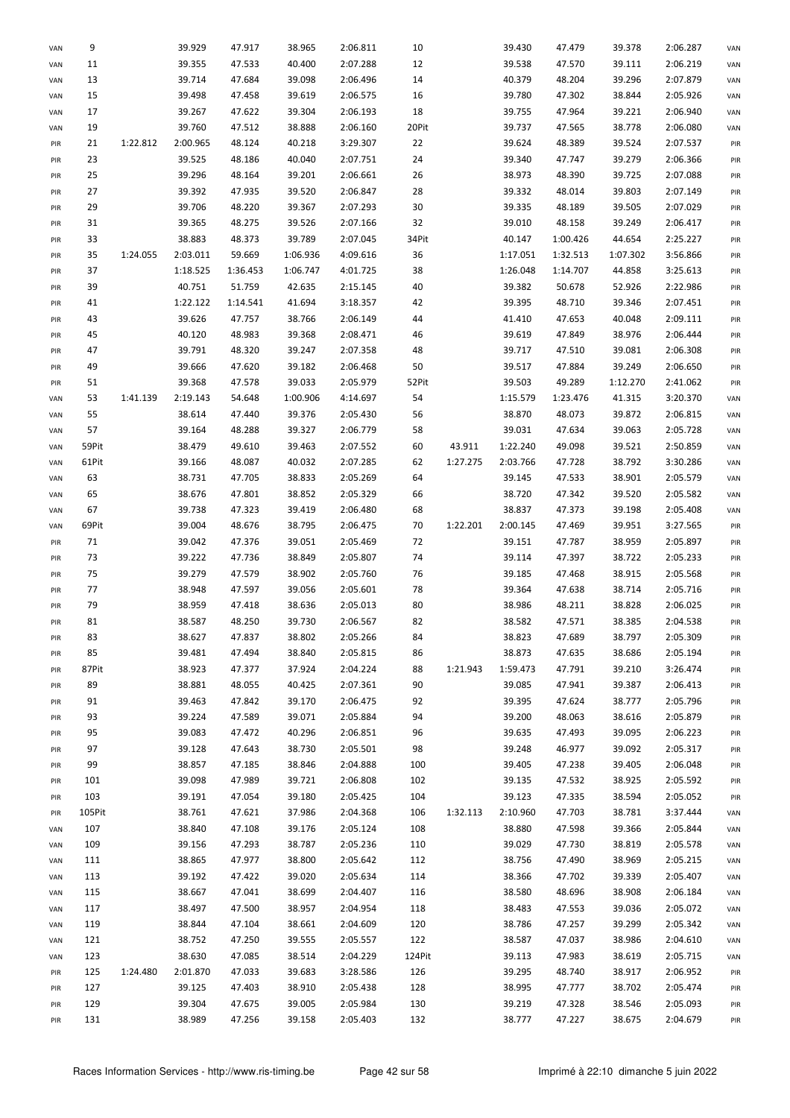| VAN | 9      |          | 39.929   | 47.917   | 38.965   | 2:06.811 | 10     |          | 39.430   | 47.479   | 39.378   | 2:06.287 | VAN |
|-----|--------|----------|----------|----------|----------|----------|--------|----------|----------|----------|----------|----------|-----|
| VAN | 11     |          | 39.355   | 47.533   | 40.400   | 2:07.288 | 12     |          | 39.538   | 47.570   | 39.111   | 2:06.219 | VAN |
| VAN | 13     |          | 39.714   | 47.684   | 39.098   | 2:06.496 | 14     |          | 40.379   | 48.204   | 39.296   | 2:07.879 | VAN |
| VAN | 15     |          | 39.498   | 47.458   | 39.619   | 2:06.575 | 16     |          | 39.780   | 47.302   | 38.844   | 2:05.926 | VAN |
| VAN | 17     |          | 39.267   | 47.622   | 39.304   | 2:06.193 | 18     |          | 39.755   | 47.964   | 39.221   | 2:06.940 | VAN |
| VAN | 19     |          | 39.760   | 47.512   | 38.888   | 2:06.160 | 20Pit  |          | 39.737   | 47.565   | 38.778   | 2:06.080 | VAN |
| PIR | 21     | 1:22.812 | 2:00.965 | 48.124   | 40.218   | 3:29.307 | 22     |          | 39.624   | 48.389   | 39.524   | 2:07.537 | PIR |
| PIR | 23     |          | 39.525   | 48.186   | 40.040   | 2:07.751 | 24     |          | 39.340   | 47.747   | 39.279   | 2:06.366 | PIR |
|     | 25     |          |          | 48.164   |          |          | 26     |          |          |          |          |          |     |
| PIR |        |          | 39.296   |          | 39.201   | 2:06.661 |        |          | 38.973   | 48.390   | 39.725   | 2:07.088 | PIR |
| PIR | 27     |          | 39.392   | 47.935   | 39.520   | 2:06.847 | 28     |          | 39.332   | 48.014   | 39.803   | 2:07.149 | PIR |
| PIR | 29     |          | 39.706   | 48.220   | 39.367   | 2:07.293 | 30     |          | 39.335   | 48.189   | 39.505   | 2:07.029 | PIR |
| PIR | 31     |          | 39.365   | 48.275   | 39.526   | 2:07.166 | 32     |          | 39.010   | 48.158   | 39.249   | 2:06.417 | PIR |
| PIR | 33     |          | 38.883   | 48.373   | 39.789   | 2:07.045 | 34Pit  |          | 40.147   | 1:00.426 | 44.654   | 2:25.227 | PIR |
| PIR | 35     | 1:24.055 | 2:03.011 | 59.669   | 1:06.936 | 4:09.616 | 36     |          | 1:17.051 | 1:32.513 | 1:07.302 | 3:56.866 | PIR |
| PIR | 37     |          | 1:18.525 | 1:36.453 | 1:06.747 | 4:01.725 | 38     |          | 1:26.048 | 1:14.707 | 44.858   | 3:25.613 | PIR |
| PIR | 39     |          | 40.751   | 51.759   | 42.635   | 2:15.145 | 40     |          | 39.382   | 50.678   | 52.926   | 2:22.986 | PIR |
| PIR | 41     |          | 1:22.122 | 1:14.541 | 41.694   | 3:18.357 | 42     |          | 39.395   | 48.710   | 39.346   | 2:07.451 | PIR |
| PIR | 43     |          | 39.626   | 47.757   | 38.766   | 2:06.149 | 44     |          | 41.410   | 47.653   | 40.048   | 2:09.111 | PIR |
| PIR | 45     |          | 40.120   | 48.983   | 39.368   | 2:08.471 | 46     |          | 39.619   | 47.849   | 38.976   | 2:06.444 | PIR |
| PIR | 47     |          | 39.791   | 48.320   | 39.247   | 2:07.358 | 48     |          | 39.717   | 47.510   | 39.081   | 2:06.308 | PIR |
| PIR | 49     |          | 39.666   | 47.620   | 39.182   | 2:06.468 | 50     |          | 39.517   | 47.884   | 39.249   | 2:06.650 | PIR |
| PIR | 51     |          | 39.368   | 47.578   | 39.033   | 2:05.979 | 52Pit  |          | 39.503   | 49.289   | 1:12.270 | 2:41.062 | PIR |
|     | 53     | 1:41.139 | 2:19.143 | 54.648   | 1:00.906 |          | 54     |          |          |          |          |          |     |
| VAN |        |          |          |          |          | 4:14.697 |        |          | 1:15.579 | 1:23.476 | 41.315   | 3:20.370 | VAN |
| VAN | 55     |          | 38.614   | 47.440   | 39.376   | 2:05.430 | 56     |          | 38.870   | 48.073   | 39.872   | 2:06.815 | VAN |
| VAN | 57     |          | 39.164   | 48.288   | 39.327   | 2:06.779 | 58     |          | 39.031   | 47.634   | 39.063   | 2:05.728 | VAN |
| VAN | 59Pit  |          | 38.479   | 49.610   | 39.463   | 2:07.552 | 60     | 43.911   | 1:22.240 | 49.098   | 39.521   | 2:50.859 | VAN |
| VAN | 61Pit  |          | 39.166   | 48.087   | 40.032   | 2:07.285 | 62     | 1:27.275 | 2:03.766 | 47.728   | 38.792   | 3:30.286 | VAN |
| VAN | 63     |          | 38.731   | 47.705   | 38.833   | 2:05.269 | 64     |          | 39.145   | 47.533   | 38.901   | 2:05.579 | VAN |
| VAN | 65     |          | 38.676   | 47.801   | 38.852   | 2:05.329 | 66     |          | 38.720   | 47.342   | 39.520   | 2:05.582 | VAN |
| VAN | 67     |          | 39.738   | 47.323   | 39.419   | 2:06.480 | 68     |          | 38.837   | 47.373   | 39.198   | 2:05.408 | VAN |
| VAN | 69Pit  |          | 39.004   | 48.676   | 38.795   | 2:06.475 | 70     | 1:22.201 | 2:00.145 | 47.469   | 39.951   | 3:27.565 | PIR |
| PIR | 71     |          | 39.042   | 47.376   | 39.051   | 2:05.469 | 72     |          | 39.151   | 47.787   | 38.959   | 2:05.897 | PIR |
| PIR | 73     |          | 39.222   | 47.736   | 38.849   | 2:05.807 | 74     |          | 39.114   | 47.397   | 38.722   | 2:05.233 | PIR |
| PIR | 75     |          | 39.279   | 47.579   | 38.902   | 2:05.760 | 76     |          | 39.185   | 47.468   | 38.915   | 2:05.568 | PIR |
| PIR | 77     |          | 38.948   | 47.597   | 39.056   | 2:05.601 | 78     |          | 39.364   | 47.638   | 38.714   | 2:05.716 | PIR |
| PIR | 79     |          | 38.959   | 47.418   | 38.636   | 2:05.013 | 80     |          | 38.986   | 48.211   | 38.828   | 2:06.025 | PIR |
| PIR | 81     |          | 38.587   | 48.250   | 39.730   | 2:06.567 | 82     |          | 38.582   | 47.571   | 38.385   | 2:04.538 | PIR |
| PIR | 83     |          | 38.627   | 47.837   | 38.802   | 2:05.266 | 84     |          | 38.823   | 47.689   | 38.797   | 2:05.309 | PIR |
| PIR | 85     |          | 39.481   | 47.494   | 38.840   | 2:05.815 | 86     |          | 38.873   | 47.635   | 38.686   | 2:05.194 | PIR |
|     |        |          |          | 47.377   | 37.924   |          |        | 1:21.943 |          |          |          |          |     |
| PIR | 87Pit  |          | 38.923   |          |          | 2:04.224 | 88     |          | 1:59.473 | 47.791   | 39.210   | 3:26.474 | PIR |
| PIR | 89     |          | 38.881   | 48.055   | 40.425   | 2:07.361 | 90     |          | 39.085   | 47.941   | 39.387   | 2:06.413 | PIR |
| PIR | 91     |          | 39.463   | 47.842   | 39.170   | 2:06.475 | 92     |          | 39.395   | 47.624   | 38.777   | 2:05.796 | PIR |
| PIR | 93     |          | 39.224   | 47.589   | 39.071   | 2:05.884 | 94     |          | 39.200   | 48.063   | 38.616   | 2:05.879 | PIR |
| PIR | 95     |          | 39.083   | 47.472   | 40.296   | 2:06.851 | 96     |          | 39.635   | 47.493   | 39.095   | 2:06.223 | PIR |
| PIR | 97     |          | 39.128   | 47.643   | 38.730   | 2:05.501 | 98     |          | 39.248   | 46.977   | 39.092   | 2:05.317 | PIR |
| PIR | 99     |          | 38.857   | 47.185   | 38.846   | 2:04.888 | 100    |          | 39.405   | 47.238   | 39.405   | 2:06.048 | PIR |
| PIR | 101    |          | 39.098   | 47.989   | 39.721   | 2:06.808 | 102    |          | 39.135   | 47.532   | 38.925   | 2:05.592 | PIR |
| PIR | 103    |          | 39.191   | 47.054   | 39.180   | 2:05.425 | 104    |          | 39.123   | 47.335   | 38.594   | 2:05.052 | PIR |
| PIR | 105Pit |          | 38.761   | 47.621   | 37.986   | 2:04.368 | 106    | 1:32.113 | 2:10.960 | 47.703   | 38.781   | 3:37.444 | VAN |
| VAN | 107    |          | 38.840   | 47.108   | 39.176   | 2:05.124 | 108    |          | 38.880   | 47.598   | 39.366   | 2:05.844 | VAN |
| VAN | 109    |          | 39.156   | 47.293   | 38.787   | 2:05.236 | 110    |          | 39.029   | 47.730   | 38.819   | 2:05.578 | VAN |
| VAN | 111    |          | 38.865   | 47.977   | 38.800   | 2:05.642 | 112    |          | 38.756   | 47.490   | 38.969   | 2:05.215 | VAN |
| VAN | 113    |          | 39.192   | 47.422   | 39.020   | 2:05.634 | 114    |          | 38.366   | 47.702   | 39.339   | 2:05.407 | VAN |
| VAN | 115    |          | 38.667   | 47.041   | 38.699   | 2:04.407 | 116    |          | 38.580   | 48.696   | 38.908   | 2:06.184 | VAN |
| VAN | 117    |          | 38.497   | 47.500   | 38.957   | 2:04.954 | 118    |          | 38.483   | 47.553   | 39.036   | 2:05.072 | VAN |
|     |        |          |          |          |          |          |        |          |          |          |          |          |     |
| VAN | 119    |          | 38.844   | 47.104   | 38.661   | 2:04.609 | 120    |          | 38.786   | 47.257   | 39.299   | 2:05.342 | VAN |
| VAN | 121    |          | 38.752   | 47.250   | 39.555   | 2:05.557 | 122    |          | 38.587   | 47.037   | 38.986   | 2:04.610 | VAN |
| VAN | 123    |          | 38.630   | 47.085   | 38.514   | 2:04.229 | 124Pit |          | 39.113   | 47.983   | 38.619   | 2:05.715 | VAN |
| PIR | 125    | 1:24.480 | 2:01.870 | 47.033   | 39.683   | 3:28.586 | 126    |          | 39.295   | 48.740   | 38.917   | 2:06.952 | PIR |
| PIR | 127    |          | 39.125   | 47.403   | 38.910   | 2:05.438 | 128    |          | 38.995   | 47.777   | 38.702   | 2:05.474 | PIR |
| PIR | 129    |          | 39.304   | 47.675   | 39.005   | 2:05.984 | 130    |          | 39.219   | 47.328   | 38.546   | 2:05.093 | PIR |
| PIR | 131    |          | 38.989   | 47.256   | 39.158   | 2:05.403 | 132    |          | 38.777   | 47.227   | 38.675   | 2:04.679 | PIR |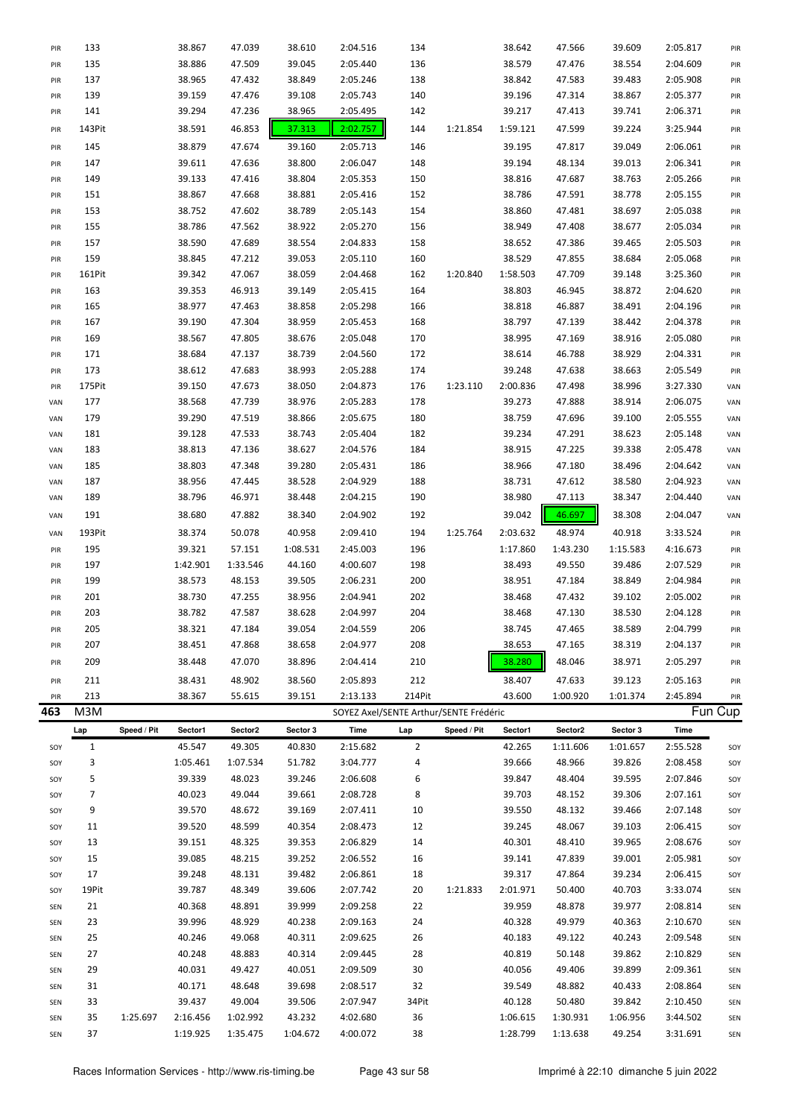| PIR        | 133          |             | 38.867               | 47.039               | 38.610             | 2:04.516                               | 134            |             | 38.642               | 47.566               | 39.609             | 2:05.817             | PIR        |
|------------|--------------|-------------|----------------------|----------------------|--------------------|----------------------------------------|----------------|-------------|----------------------|----------------------|--------------------|----------------------|------------|
| PIR        | 135          |             | 38.886               | 47.509               | 39.045             | 2:05.440                               | 136            |             | 38.579               | 47.476               | 38.554             | 2:04.609             | PIR        |
| PIR        | 137          |             | 38.965               | 47.432               | 38.849             | 2:05.246                               | 138            |             | 38.842               | 47.583               | 39.483             | 2:05.908             | PIR        |
| PIR        | 139          |             | 39.159               | 47.476               | 39.108             | 2:05.743                               | 140            |             | 39.196               | 47.314               | 38.867             | 2:05.377             | PIR        |
| PIR        | 141          |             | 39.294               | 47.236               | 38.965             | 2:05.495                               | 142            |             | 39.217               | 47.413               | 39.741             | 2:06.371             | PIR        |
| PIR        | 143Pit       |             | 38.591               | 46.853               | 37.313             | 2:02.757                               | 144            | 1:21.854    | 1:59.121             | 47.599               | 39.224             | 3:25.944             | PIR        |
| PIR        | 145          |             | 38.879               | 47.674               | 39.160             | 2:05.713                               | 146            |             | 39.195               | 47.817               | 39.049             | 2:06.061             | PIR        |
|            |              |             | 39.611               | 47.636               | 38.800             | 2:06.047                               |                |             |                      |                      |                    |                      |            |
| PIR        | 147          |             |                      |                      |                    |                                        | 148            |             | 39.194               | 48.134               | 39.013             | 2:06.341             | PIR        |
| PIR        | 149          |             | 39.133               | 47.416               | 38.804             | 2:05.353                               | 150            |             | 38.816               | 47.687               | 38.763             | 2:05.266             | PIR        |
| PIR        | 151          |             | 38.867               | 47.668               | 38.881             | 2:05.416                               | 152            |             | 38.786               | 47.591               | 38.778             | 2:05.155             | PIR        |
| PIR        | 153          |             | 38.752               | 47.602               | 38.789             | 2:05.143                               | 154            |             | 38.860               | 47.481               | 38.697             | 2:05.038             | PIR        |
| PIR        | 155          |             | 38.786               | 47.562               | 38.922             | 2:05.270                               | 156            |             | 38.949               | 47.408               | 38.677             | 2:05.034             | PIR        |
| PIR        | 157          |             | 38.590               | 47.689               | 38.554             | 2:04.833                               | 158            |             | 38.652               | 47.386               | 39.465             | 2:05.503             | PIR        |
| PIR        | 159          |             | 38.845               | 47.212               | 39.053             | 2:05.110                               | 160            |             | 38.529               | 47.855               | 38.684             | 2:05.068             | PIR        |
| PIR        | 161Pit       |             | 39.342               | 47.067               | 38.059             | 2:04.468                               | 162            | 1:20.840    | 1:58.503             | 47.709               | 39.148             | 3:25.360             | PIR        |
| PIR        | 163          |             | 39.353               | 46.913               | 39.149             | 2:05.415                               | 164            |             | 38.803               | 46.945               | 38.872             | 2:04.620             | PIR        |
| PIR        | 165          |             | 38.977               | 47.463               | 38.858             | 2:05.298                               | 166            |             | 38.818               | 46.887               | 38.491             | 2:04.196             | PIR        |
| PIR        | 167          |             | 39.190               | 47.304               | 38.959             | 2:05.453                               | 168            |             | 38.797               | 47.139               | 38.442             | 2:04.378             | PIR        |
| PIR        | 169          |             | 38.567               | 47.805               | 38.676             | 2:05.048                               | 170            |             | 38.995               | 47.169               | 38.916             | 2:05.080             | PIR        |
| PIR        | 171          |             | 38.684               | 47.137               | 38.739             | 2:04.560                               | 172            |             | 38.614               | 46.788               | 38.929             | 2:04.331             | PIR        |
| PIR        | 173          |             | 38.612               | 47.683               | 38.993             | 2:05.288                               | 174            |             | 39.248               | 47.638               | 38.663             | 2:05.549             | PIR        |
| PIR        | 175Pit       |             | 39.150               | 47.673               | 38.050             | 2:04.873                               | 176            | 1:23.110    | 2:00.836             | 47.498               | 38.996             | 3:27.330             | VAN        |
| VAN        | 177          |             | 38.568               | 47.739               | 38.976             | 2:05.283                               | 178            |             | 39.273               | 47.888               | 38.914             | 2:06.075             | VAN        |
| VAN        | 179          |             | 39.290               | 47.519               | 38.866             | 2:05.675                               | 180            |             | 38.759               | 47.696               | 39.100             | 2:05.555             | VAN        |
|            | 181          |             |                      |                      |                    |                                        |                |             |                      |                      |                    |                      |            |
| VAN        |              |             | 39.128               | 47.533               | 38.743             | 2:05.404                               | 182            |             | 39.234               | 47.291               | 38.623             | 2:05.148             | VAN        |
| VAN        | 183          |             | 38.813               | 47.136               | 38.627             | 2:04.576                               | 184            |             | 38.915               | 47.225               | 39.338             | 2:05.478             | VAN        |
| VAN        | 185          |             | 38.803               | 47.348               | 39.280             | 2:05.431                               | 186            |             | 38.966               | 47.180               | 38.496             | 2:04.642             | VAN        |
| VAN        | 187          |             | 38.956               | 47.445               | 38.528             | 2:04.929                               | 188            |             | 38.731               | 47.612               | 38.580             | 2:04.923             | VAN        |
| VAN        | 189          |             | 38.796               | 46.971               | 38.448             | 2:04.215                               | 190            |             | 38.980               | 47.113               | 38.347             | 2:04.440             | VAN        |
| VAN        | 191          |             | 38.680               | 47.882               | 38.340             | 2:04.902                               | 192            |             | 39.042               | 46.697               | 38.308             | 2:04.047             | VAN        |
| VAN        | 193Pit       |             | 38.374               | 50.078               | 40.958             | 2:09.410                               | 194            | 1:25.764    | 2:03.632             | 48.974               | 40.918             | 3:33.524             | PIR        |
| PIR        | 195          |             | 39.321               | 57.151               | 1:08.531           | 2:45.003                               | 196            |             | 1:17.860             | 1:43.230             | 1:15.583           | 4:16.673             | PIR        |
| PIR        | 197          |             | 1:42.901             | 1:33.546             | 44.160             | 4:00.607                               | 198            |             | 38.493               | 49.550               | 39.486             | 2:07.529             | PIR        |
| PIR        | 199          |             | 38.573               | 48.153               | 39.505             | 2:06.231                               | 200            |             | 38.951               | 47.184               | 38.849             | 2:04.984             | PIR        |
| PIR        | 201          |             | 38.730               | 47.255               | 38.956             | 2:04.941                               | 202            |             | 38.468               | 47.432               | 39.102             | 2:05.002             | PIR        |
| PIR        | 203          |             | 38.782               | 47.587               | 38.628             | 2:04.997                               | 204            |             | 38.468               | 47.130               | 38.530             | 2:04.128             | PIR        |
| PIR        | 205          |             | 38.321               | 47.184               | 39.054             | 2:04.559                               | 206            |             | 38.745               | 47.465               | 38.589             | 2:04.799             | PIR        |
| PIR        | 207          |             | 38.451               | 47.868               | 38.658             | 2:04.977                               | 208            |             | 38.653               | 47.165               | 38.319             | 2:04.137             | PIR        |
| PIR        | 209          |             | 38.448               | 47.070               | 38.896             | 2:04.414                               | 210            |             | 38.280               | 48.046               | 38.971             | 2:05.297             | PIR        |
|            |              |             |                      |                      |                    |                                        |                |             |                      |                      |                    |                      |            |
| PIR        | 211          |             |                      |                      |                    |                                        |                |             |                      |                      |                    |                      | PIR        |
| PIR        |              |             | 38.431               | 48.902               | 38.560             | 2:05.893                               | 212            |             | 38.407               | 47.633               | 39.123             | 2:05.163             |            |
|            | 213          |             | 38.367               | 55.615               | 39.151             | 2:13.133                               | 214Pit         |             | 43.600               | 1:00.920             | 1:01.374           | 2:45.894             | PIR        |
| 463        | M3M          |             |                      |                      |                    | SOYEZ Axel/SENTE Arthur/SENTE Frédéric |                |             |                      |                      |                    |                      | Fun Cup    |
|            | Lap          | Speed / Pit | Sector1              | Sector2              | Sector 3           | Time                                   | Lap            | Speed / Pit | Sector1              | Sector2              | Sector 3           | Time                 |            |
| SOY        | $\mathbf{1}$ |             | 45.547               | 49.305               | 40.830             | 2:15.682                               | $\overline{2}$ |             | 42.265               | 1:11.606             | 1:01.657           | 2:55.528             | SOY        |
| SOY        | 3            |             | 1:05.461             | 1:07.534             | 51.782             | 3:04.777                               | 4              |             | 39.666               | 48.966               | 39.826             | 2:08.458             | SOY        |
| SOY        | 5            |             | 39.339               | 48.023               | 39.246             | 2:06.608                               | 6              |             | 39.847               | 48.404               | 39.595             | 2:07.846             | SOY        |
| SOY        | 7            |             | 40.023               | 49.044               | 39.661             | 2:08.728                               | 8              |             | 39.703               | 48.152               | 39.306             | 2:07.161             | SOY        |
| SOY        | 9            |             | 39.570               | 48.672               | 39.169             | 2:07.411                               | 10             |             | 39.550               | 48.132               | 39.466             | 2:07.148             | SOY        |
| SOY        | 11           |             | 39.520               | 48.599               | 40.354             | 2:08.473                               | 12             |             | 39.245               | 48.067               | 39.103             | 2:06.415             | SOY        |
| SOY        | 13           |             | 39.151               | 48.325               | 39.353             | 2:06.829                               | 14             |             | 40.301               | 48.410               | 39.965             | 2:08.676             | SOY        |
| SOY        | 15           |             | 39.085               | 48.215               | 39.252             | 2:06.552                               | 16             |             | 39.141               | 47.839               | 39.001             | 2:05.981             | SOY        |
| SOY        | 17           |             | 39.248               | 48.131               | 39.482             | 2:06.861                               | 18             |             | 39.317               | 47.864               | 39.234             | 2:06.415             | SOY        |
| SOY        | 19Pit        |             | 39.787               | 48.349               | 39.606             | 2:07.742                               | 20             | 1:21.833    | 2:01.971             | 50.400               | 40.703             | 3:33.074             | SEN        |
| SEN        | 21           |             | 40.368               | 48.891               | 39.999             | 2:09.258                               | 22             |             | 39.959               | 48.878               | 39.977             | 2:08.814             | SEN        |
| SEN        | 23           |             | 39.996               | 48.929               | 40.238             |                                        |                |             |                      | 49.979               | 40.363             |                      | SEN        |
|            |              |             |                      |                      |                    | 2:09.163                               | 24             |             | 40.328               |                      |                    | 2:10.670             |            |
| SEN        | 25           |             | 40.246               | 49.068               | 40.311             | 2:09.625                               | 26             |             | 40.183               | 49.122               | 40.243             | 2:09.548             | SEN        |
| SEN        | 27           |             | 40.248               | 48.883               | 40.314             | 2:09.445                               | 28             |             | 40.819               | 50.148               | 39.862             | 2:10.829             | SEN        |
| SEN        | 29           |             | 40.031               | 49.427               | 40.051             | 2:09.509                               | 30             |             | 40.056               | 49.406               | 39.899             | 2:09.361             | SEN        |
| SEN        | 31           |             | 40.171               | 48.648               | 39.698             | 2:08.517                               | 32             |             | 39.549               | 48.882               | 40.433             | 2:08.864             | SEN        |
| SEN        | 33           |             | 39.437               | 49.004               | 39.506             | 2:07.947                               | 34Pit          |             | 40.128               | 50.480               | 39.842             | 2:10.450             | SEN        |
| SEN<br>SEN | 35<br>37     | 1:25.697    | 2:16.456<br>1:19.925 | 1:02.992<br>1:35.475 | 43.232<br>1:04.672 | 4:02.680<br>4:00.072                   | 36<br>38       |             | 1:06.615<br>1:28.799 | 1:30.931<br>1:13.638 | 1:06.956<br>49.254 | 3:44.502<br>3:31.691 | SEN<br>SEN |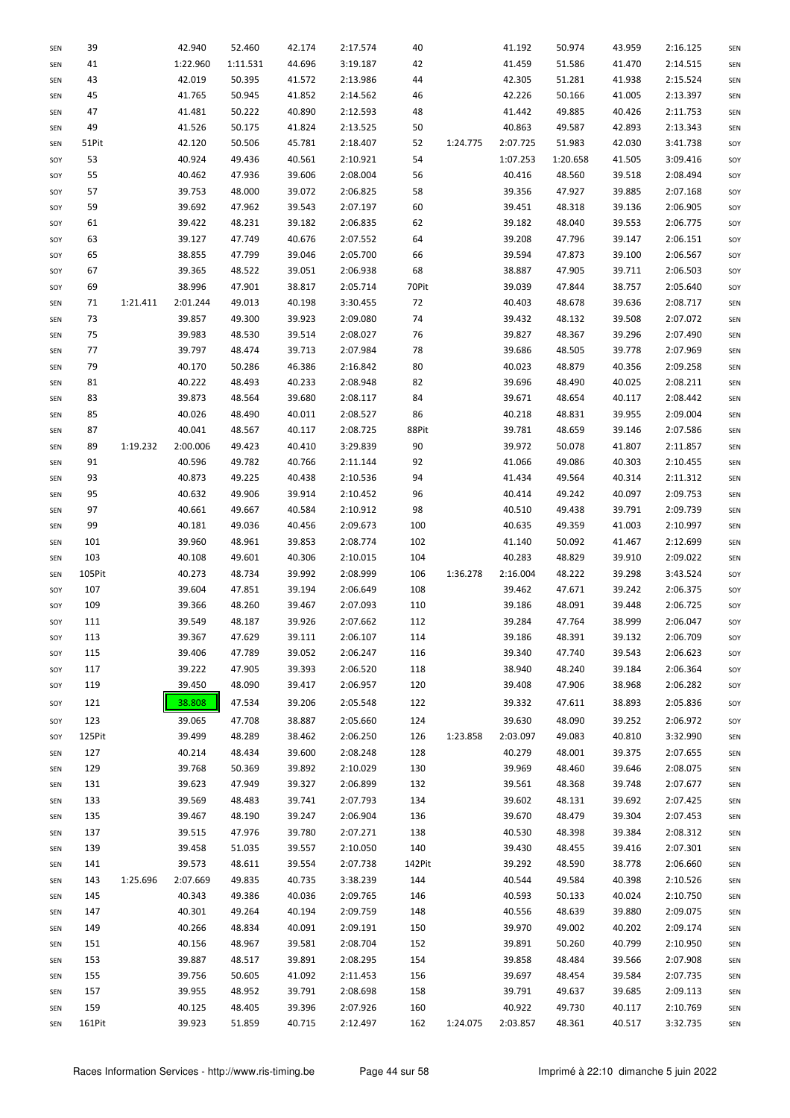| SEN | 39     |          | 42.940   | 52.460   | 42.174 | 2:17.574 | 40     |          | 41.192   | 50.974   | 43.959 | 2:16.125 | SEN |
|-----|--------|----------|----------|----------|--------|----------|--------|----------|----------|----------|--------|----------|-----|
| SEN | 41     |          | 1:22.960 | 1:11.531 | 44.696 | 3:19.187 | 42     |          | 41.459   | 51.586   | 41.470 | 2:14.515 | SEN |
| SEN | 43     |          | 42.019   | 50.395   | 41.572 | 2:13.986 | 44     |          | 42.305   | 51.281   | 41.938 | 2:15.524 | SEN |
| SEN | 45     |          | 41.765   | 50.945   | 41.852 | 2:14.562 | 46     |          | 42.226   | 50.166   | 41.005 | 2:13.397 | SEN |
| SEN | 47     |          | 41.481   | 50.222   | 40.890 | 2:12.593 | 48     |          | 41.442   | 49.885   | 40.426 | 2:11.753 | SEN |
| SEN | 49     |          | 41.526   | 50.175   | 41.824 | 2:13.525 | 50     |          | 40.863   | 49.587   | 42.893 | 2:13.343 | SEN |
| SEN | 51Pit  |          | 42.120   | 50.506   | 45.781 | 2:18.407 | 52     | 1:24.775 | 2:07.725 | 51.983   | 42.030 | 3:41.738 | SOY |
| SOY | 53     |          | 40.924   | 49.436   | 40.561 | 2:10.921 | 54     |          | 1:07.253 | 1:20.658 | 41.505 | 3:09.416 | SOY |
| SOY | 55     |          | 40.462   | 47.936   | 39.606 | 2:08.004 | 56     |          | 40.416   | 48.560   | 39.518 | 2:08.494 | SOY |
|     |        |          |          |          |        |          |        |          |          |          |        |          |     |
| SOY | 57     |          | 39.753   | 48.000   | 39.072 | 2:06.825 | 58     |          | 39.356   | 47.927   | 39.885 | 2:07.168 | SOY |
| SOY | 59     |          | 39.692   | 47.962   | 39.543 | 2:07.197 | 60     |          | 39.451   | 48.318   | 39.136 | 2:06.905 | SOY |
| SOY | 61     |          | 39.422   | 48.231   | 39.182 | 2:06.835 | 62     |          | 39.182   | 48.040   | 39.553 | 2:06.775 | SOY |
| SOY | 63     |          | 39.127   | 47.749   | 40.676 | 2:07.552 | 64     |          | 39.208   | 47.796   | 39.147 | 2:06.151 | SOY |
| SOY | 65     |          | 38.855   | 47.799   | 39.046 | 2:05.700 | 66     |          | 39.594   | 47.873   | 39.100 | 2:06.567 | SOY |
| SOY | 67     |          | 39.365   | 48.522   | 39.051 | 2:06.938 | 68     |          | 38.887   | 47.905   | 39.711 | 2:06.503 | SOY |
| SOY | 69     |          | 38.996   | 47.901   | 38.817 | 2:05.714 | 70Pit  |          | 39.039   | 47.844   | 38.757 | 2:05.640 | SOY |
| SEN | 71     | 1:21.411 | 2:01.244 | 49.013   | 40.198 | 3:30.455 | 72     |          | 40.403   | 48.678   | 39.636 | 2:08.717 | SEN |
|     |        |          |          |          |        |          |        |          |          |          |        |          |     |
| SEN | 73     |          | 39.857   | 49.300   | 39.923 | 2:09.080 | 74     |          | 39.432   | 48.132   | 39.508 | 2:07.072 | SEN |
| SEN | 75     |          | 39.983   | 48.530   | 39.514 | 2:08.027 | 76     |          | 39.827   | 48.367   | 39.296 | 2:07.490 | SEN |
| SEN | 77     |          | 39.797   | 48.474   | 39.713 | 2:07.984 | 78     |          | 39.686   | 48.505   | 39.778 | 2:07.969 | SEN |
| SEN | 79     |          | 40.170   | 50.286   | 46.386 | 2:16.842 | 80     |          | 40.023   | 48.879   | 40.356 | 2:09.258 | SEN |
| SEN | 81     |          | 40.222   | 48.493   | 40.233 | 2:08.948 | 82     |          | 39.696   | 48.490   | 40.025 | 2:08.211 | SEN |
| SEN | 83     |          | 39.873   | 48.564   | 39.680 | 2:08.117 | 84     |          | 39.671   | 48.654   | 40.117 | 2:08.442 | SEN |
| SEN | 85     |          | 40.026   | 48.490   | 40.011 | 2:08.527 | 86     |          | 40.218   | 48.831   | 39.955 | 2:09.004 | SEN |
| SEN | 87     |          | 40.041   | 48.567   | 40.117 | 2:08.725 | 88Pit  |          | 39.781   | 48.659   | 39.146 | 2:07.586 | SEN |
|     | 89     | 1:19.232 | 2:00.006 | 49.423   | 40.410 | 3:29.839 | 90     |          | 39.972   | 50.078   | 41.807 | 2:11.857 |     |
| SEN |        |          |          |          |        |          |        |          |          |          |        |          | SEN |
| SEN | 91     |          | 40.596   | 49.782   | 40.766 | 2:11.144 | 92     |          | 41.066   | 49.086   | 40.303 | 2:10.455 | SEN |
| SEN | 93     |          | 40.873   | 49.225   | 40.438 | 2:10.536 | 94     |          | 41.434   | 49.564   | 40.314 | 2:11.312 | SEN |
| SEN | 95     |          | 40.632   | 49.906   | 39.914 | 2:10.452 | 96     |          | 40.414   | 49.242   | 40.097 | 2:09.753 | SEN |
| SEN | 97     |          | 40.661   | 49.667   | 40.584 | 2:10.912 | 98     |          | 40.510   | 49.438   | 39.791 | 2:09.739 | SEN |
| SEN | 99     |          | 40.181   | 49.036   | 40.456 | 2:09.673 | 100    |          | 40.635   | 49.359   | 41.003 | 2:10.997 | SEN |
| SEN | 101    |          | 39.960   | 48.961   | 39.853 | 2:08.774 | 102    |          | 41.140   | 50.092   | 41.467 | 2:12.699 | SEN |
| SEN | 103    |          | 40.108   | 49.601   | 40.306 | 2:10.015 | 104    |          | 40.283   | 48.829   | 39.910 | 2:09.022 | SEN |
| SEN | 105Pit |          | 40.273   | 48.734   | 39.992 | 2:08.999 | 106    | 1:36.278 | 2:16.004 | 48.222   | 39.298 | 3:43.524 | SOY |
| SOY | 107    |          | 39.604   | 47.851   | 39.194 | 2:06.649 | 108    |          | 39.462   | 47.671   | 39.242 | 2:06.375 | SOY |
|     | 109    |          | 39.366   |          |        |          |        |          |          |          |        |          |     |
| SOY |        |          |          | 48.260   | 39.467 | 2:07.093 | 110    |          | 39.186   | 48.091   | 39.448 | 2:06.725 | SOY |
| SOY | 111    |          | 39.549   | 48.187   | 39.926 | 2:07.662 | 112    |          | 39.284   | 47.764   | 38.999 | 2:06.047 | SOY |
| SOY | 113    |          | 39.367   | 47.629   | 39.111 | 2:06.107 | 114    |          | 39.186   | 48.391   | 39.132 | 2:06.709 | SOY |
| SOY | 115    |          | 39.406   | 47.789   | 39.052 | 2:06.247 | 116    |          | 39.340   | 47.740   | 39.543 | 2:06.623 | SOY |
| SOY | 117    |          | 39.222   | 47.905   | 39.393 | 2:06.520 | 118    |          | 38.940   | 48.240   | 39.184 | 2:06.364 | SOY |
| SOY | 119    |          | 39.450   | 48.090   | 39.417 | 2:06.957 | 120    |          | 39.408   | 47.906   | 38.968 | 2:06.282 | SOY |
| SOY | 121    |          | 38.808   | 47.534   | 39.206 | 2:05.548 | 122    |          | 39.332   | 47.611   | 38.893 | 2:05.836 | SOY |
|     | 123    |          | 39.065   | 47.708   | 38.887 | 2:05.660 | 124    |          | 39.630   | 48.090   | 39.252 | 2:06.972 | SOY |
| SOY |        |          |          |          |        |          |        |          |          |          |        |          |     |
| SOY | 125Pit |          | 39.499   | 48.289   | 38.462 | 2:06.250 | 126    | 1:23.858 | 2:03.097 | 49.083   | 40.810 | 3:32.990 | SEN |
| SEN | 127    |          | 40.214   | 48.434   | 39.600 | 2:08.248 | 128    |          | 40.279   | 48.001   | 39.375 | 2:07.655 | SEN |
| SEN | 129    |          | 39.768   | 50.369   | 39.892 | 2:10.029 | 130    |          | 39.969   | 48.460   | 39.646 | 2:08.075 | SEN |
| SEN | 131    |          | 39.623   | 47.949   | 39.327 | 2:06.899 | 132    |          | 39.561   | 48.368   | 39.748 | 2:07.677 | SEN |
| SEN | 133    |          | 39.569   | 48.483   | 39.741 | 2:07.793 | 134    |          | 39.602   | 48.131   | 39.692 | 2:07.425 | SEN |
| SEN | 135    |          | 39.467   | 48.190   | 39.247 | 2:06.904 | 136    |          | 39.670   | 48.479   | 39.304 | 2:07.453 | SEN |
| SEN | 137    |          | 39.515   | 47.976   | 39.780 | 2:07.271 | 138    |          | 40.530   | 48.398   | 39.384 | 2:08.312 | SEN |
| SEN | 139    |          | 39.458   | 51.035   | 39.557 | 2:10.050 | 140    |          | 39.430   | 48.455   | 39.416 | 2:07.301 | SEN |
| SEN | 141    |          | 39.573   | 48.611   | 39.554 | 2:07.738 | 142Pit |          | 39.292   | 48.590   | 38.778 | 2:06.660 | SEN |
|     |        |          |          |          |        |          |        |          |          |          |        |          |     |
| SEN | 143    | 1:25.696 | 2:07.669 | 49.835   | 40.735 | 3:38.239 | 144    |          | 40.544   | 49.584   | 40.398 | 2:10.526 | SEN |
| SEN | 145    |          | 40.343   | 49.386   | 40.036 | 2:09.765 | 146    |          | 40.593   | 50.133   | 40.024 | 2:10.750 | SEN |
| SEN | 147    |          | 40.301   | 49.264   | 40.194 | 2:09.759 | 148    |          | 40.556   | 48.639   | 39.880 | 2:09.075 | SEN |
| SEN | 149    |          | 40.266   | 48.834   | 40.091 | 2:09.191 | 150    |          | 39.970   | 49.002   | 40.202 | 2:09.174 | SEN |
| SEN | 151    |          | 40.156   | 48.967   | 39.581 | 2:08.704 | 152    |          | 39.891   | 50.260   | 40.799 | 2:10.950 | SEN |
| SEN | 153    |          | 39.887   | 48.517   | 39.891 | 2:08.295 | 154    |          | 39.858   | 48.484   | 39.566 | 2:07.908 | SEN |
| SEN | 155    |          | 39.756   | 50.605   | 41.092 | 2:11.453 | 156    |          | 39.697   | 48.454   | 39.584 | 2:07.735 | SEN |
| SEN | 157    |          | 39.955   | 48.952   | 39.791 | 2:08.698 | 158    |          | 39.791   | 49.637   | 39.685 | 2:09.113 | SEN |
| SEN | 159    |          | 40.125   | 48.405   | 39.396 | 2:07.926 | 160    |          | 40.922   | 49.730   | 40.117 | 2:10.769 | SEN |
| SEN | 161Pit |          | 39.923   | 51.859   | 40.715 | 2:12.497 | 162    | 1:24.075 | 2:03.857 | 48.361   | 40.517 | 3:32.735 | SEN |
|     |        |          |          |          |        |          |        |          |          |          |        |          |     |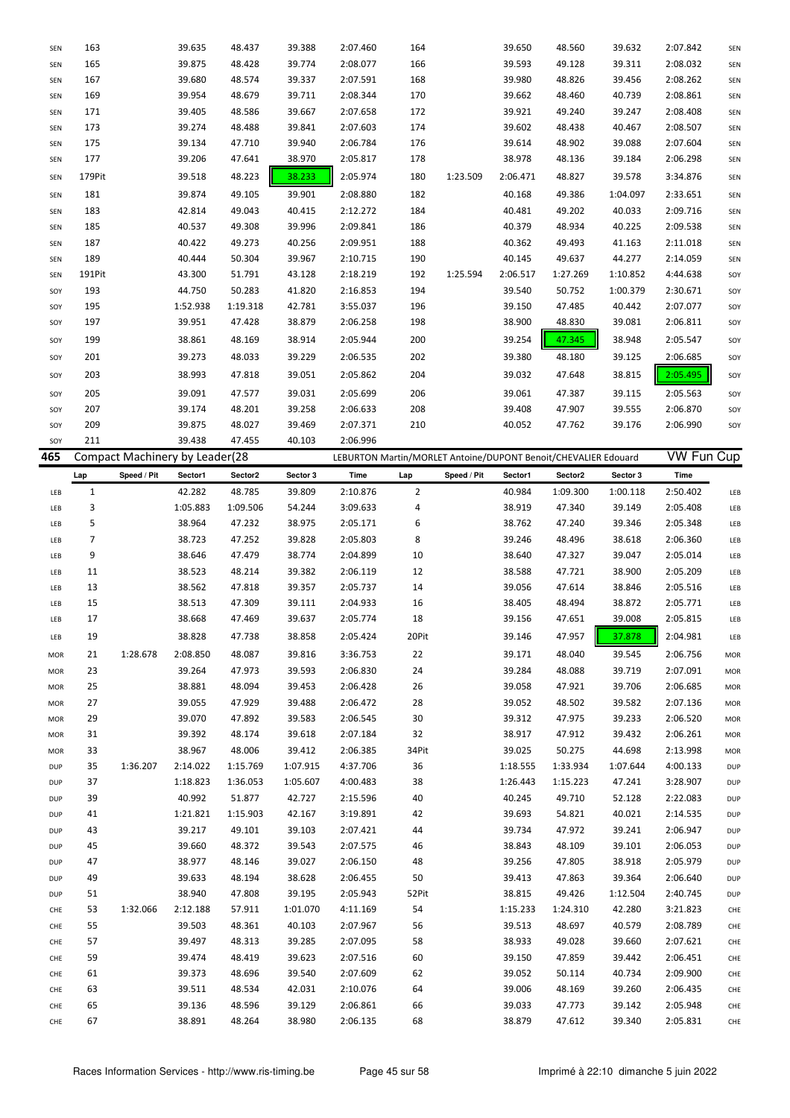| SEN        | 163            |                                | 39.635           | 48.437           | 39.388           | 2:07.460             | 164      |             | 39.650           | 48.560                                                         | 39.632           | 2:07.842             | SEN        |
|------------|----------------|--------------------------------|------------------|------------------|------------------|----------------------|----------|-------------|------------------|----------------------------------------------------------------|------------------|----------------------|------------|
| SEN        | 165            |                                | 39.875           | 48.428           | 39.774           | 2:08.077             | 166      |             | 39.593           | 49.128                                                         | 39.311           | 2:08.032             | SEN        |
| SEN        | 167            |                                | 39.680           | 48.574           | 39.337           | 2:07.591             | 168      |             | 39.980           | 48.826                                                         | 39.456           | 2:08.262             | SEN        |
| SEN        | 169            |                                | 39.954           | 48.679           | 39.711           | 2:08.344             | 170      |             | 39.662           | 48.460                                                         | 40.739           | 2:08.861             | SEN        |
| SEN        | 171            |                                | 39.405           | 48.586           | 39.667           | 2:07.658             | 172      |             | 39.921           | 49.240                                                         | 39.247           | 2:08.408             | SEN        |
| SEN        | 173            |                                | 39.274           | 48.488           | 39.841           | 2:07.603             | 174      |             | 39.602           | 48.438                                                         | 40.467           | 2:08.507             | SEN        |
| SEN        | 175            |                                | 39.134           | 47.710           | 39.940           | 2:06.784             | 176      |             | 39.614           | 48.902                                                         | 39.088           | 2:07.604             | SEN        |
| SEN        | 177            |                                | 39.206           | 47.641           | 38.970           | 2:05.817             | 178      |             | 38.978           | 48.136                                                         | 39.184           | 2:06.298             | SEN        |
|            |                |                                |                  |                  |                  |                      |          |             |                  |                                                                |                  |                      |            |
| SEN        | 179Pit         |                                | 39.518           | 48.223           | 38.233           | 2:05.974             | 180      | 1:23.509    | 2:06.471         | 48.827                                                         | 39.578           | 3:34.876             | SEN        |
| SEN        | 181            |                                | 39.874           | 49.105           | 39.901           | 2:08.880             | 182      |             | 40.168           | 49.386                                                         | 1:04.097         | 2:33.651             | SEN        |
| SEN        | 183            |                                | 42.814           | 49.043           | 40.415           | 2:12.272             | 184      |             | 40.481           | 49.202                                                         | 40.033           | 2:09.716             | SEN        |
| SEN        | 185            |                                | 40.537           | 49.308           | 39.996           | 2:09.841             | 186      |             | 40.379           | 48.934                                                         | 40.225           | 2:09.538             | SEN        |
| SEN        | 187            |                                | 40.422           | 49.273           | 40.256           | 2:09.951             | 188      |             | 40.362           | 49.493                                                         | 41.163           | 2:11.018             | SEN        |
| SEN        | 189            |                                | 40.444           | 50.304           | 39.967           | 2:10.715             | 190      |             | 40.145           | 49.637                                                         | 44.277           | 2:14.059             | SEN        |
| SEN        | 191Pit         |                                | 43.300           | 51.791           | 43.128           | 2:18.219             | 192      | 1:25.594    | 2:06.517         | 1:27.269                                                       | 1:10.852         | 4:44.638             | SOY        |
| SOY        | 193            |                                | 44.750           | 50.283           | 41.820           | 2:16.853             | 194      |             | 39.540           | 50.752                                                         | 1:00.379         | 2:30.671             | SOY        |
| SOY        | 195            |                                | 1:52.938         | 1:19.318         | 42.781           | 3:55.037             | 196      |             | 39.150           | 47.485                                                         | 40.442           | 2:07.077             | SOY        |
| SOY        | 197            |                                | 39.951           | 47.428           | 38.879           | 2:06.258             | 198      |             | 38.900           | 48.830                                                         | 39.081           | 2:06.811             | SOY        |
| SOY        | 199            |                                | 38.861           | 48.169           | 38.914           | 2:05.944             | 200      |             | 39.254           | 47.345                                                         | 38.948           | 2:05.547             | SOY        |
| SOY        | 201            |                                | 39.273           | 48.033           | 39.229           | 2:06.535             | 202      |             | 39.380           | 48.180                                                         | 39.125           | 2:06.685             | SOY        |
| SOY        | 203            |                                | 38.993           | 47.818           | 39.051           | 2:05.862             | 204      |             | 39.032           | 47.648                                                         | 38.815           | 2:05.495             | SOY        |
| SOY        | 205            |                                | 39.091           | 47.577           | 39.031           | 2:05.699             | 206      |             | 39.061           | 47.387                                                         | 39.115           | 2:05.563             | SOY        |
|            | 207            |                                | 39.174           | 48.201           | 39.258           | 2:06.633             |          |             |                  | 47.907                                                         |                  | 2:06.870             |            |
| SOY        | 209            |                                | 39.875           |                  | 39.469           |                      | 208      |             | 39.408           |                                                                | 39.555           |                      | SOY        |
| SOY        | 211            |                                | 39.438           | 48.027<br>47.455 |                  | 2:07.371             | 210      |             | 40.052           | 47.762                                                         | 39.176           | 2:06.990             | SOY        |
| SOY<br>465 |                |                                |                  |                  | 40.103           | 2:06.996             |          |             |                  |                                                                |                  | <b>VW Fun Cup</b>    |            |
|            |                | Compact Machinery by Leader(28 |                  |                  |                  |                      |          |             |                  | LEBURTON Martin/MORLET Antoine/DUPONT Benoit/CHEVALIER Edouard |                  |                      |            |
|            | Lap            | Speed / Pit                    | Sector1          | Sector2          | Sector 3         | Time                 | Lap      | Speed / Pit | Sector1          | Sector2                                                        | Sector 3         | Time                 |            |
| LEB        | 1              |                                | 42.282           | 48.785           | 39.809           | 2:10.876             | 2        |             | 40.984           | 1:09.300                                                       | 1:00.118         | 2:50.402             | LEB        |
| LEB        | 3              |                                | 1:05.883         | 1:09.506         | 54.244           | 3:09.633             | 4        |             | 38.919           | 47.340                                                         | 39.149           | 2:05.408             | LEB        |
|            |                |                                |                  |                  |                  |                      |          |             |                  |                                                                |                  |                      |            |
| LEB        | 5              |                                | 38.964           | 47.232           | 38.975           | 2:05.171             | 6        |             | 38.762           | 47.240                                                         | 39.346           | 2:05.348             | LEB        |
| LEB        | $\overline{7}$ |                                | 38.723           | 47.252           | 39.828           | 2:05.803             | 8        |             | 39.246           | 48.496                                                         | 38.618           | 2:06.360             | LEB        |
| LEB        | 9              |                                | 38.646           | 47.479           | 38.774           | 2:04.899             | 10       |             | 38.640           | 47.327                                                         | 39.047           | 2:05.014             | LEB        |
| LEB        | 11             |                                | 38.523           | 48.214           | 39.382           | 2:06.119             | 12       |             | 38.588           | 47.721                                                         | 38.900           | 2:05.209             | LEB        |
| LEB        | 13             |                                | 38.562           | 47.818           | 39.357           | 2:05.737             | 14       |             | 39.056           | 47.614                                                         | 38.846           | 2:05.516             | LEB        |
| LEB        | 15             |                                | 38.513           | 47.309           | 39.111           | 2:04.933             | 16       |             | 38.405           | 48.494                                                         | 38.872           | 2:05.771             | LEB        |
| LEB        | 17             |                                | 38.668           | 47.469           | 39.637           | 2:05.774             | 18       |             | 39.156           | 47.651                                                         | 39.008           | 2:05.815             | LEB        |
| LEB        | 19             |                                | 38.828           | 47.738           | 38.858           | 2:05.424             | 20Pit    |             | 39.146           | 47.957                                                         | 37.878           | 2:04.981             | LEB        |
| MOR        | 21             | 1:28.678                       | 2:08.850         | 48.087           | 39.816           | 3:36.753             | 22       |             | 39.171           | 48.040                                                         | 39.545           | 2:06.756             | <b>MOR</b> |
| MOR        | 23             |                                | 39.264           | 47.973           | 39.593           | 2:06.830             | 24       |             | 39.284           | 48.088                                                         | 39.719           | 2:07.091             | <b>MOR</b> |
| MOR        | 25             |                                | 38.881           | 48.094           | 39.453           | 2:06.428             | 26       |             | 39.058           | 47.921                                                         | 39.706           | 2:06.685             | <b>MOR</b> |
| <b>MOR</b> | 27             |                                | 39.055           | 47.929           | 39.488           | 2:06.472             | 28       |             | 39.052           | 48.502                                                         | 39.582           | 2:07.136             | <b>MOR</b> |
| MOR        | 29             |                                | 39.070           | 47.892           | 39.583           | 2:06.545             | 30       |             | 39.312           | 47.975                                                         | 39.233           | 2:06.520             | <b>MOR</b> |
| MOR        | 31             |                                | 39.392           | 48.174           | 39.618           | 2:07.184             | 32       |             | 38.917           | 47.912                                                         | 39.432           | 2:06.261             | <b>MOR</b> |
| MOR        | 33             |                                | 38.967           | 48.006           | 39.412           | 2:06.385             | 34Pit    |             | 39.025           | 50.275                                                         | 44.698           | 2:13.998             | MOR        |
| DUP        | 35             |                                |                  |                  |                  |                      |          |             |                  |                                                                |                  |                      | <b>DUP</b> |
|            |                | 1:36.207                       | 2:14.022         | 1:15.769         | 1:07.915         | 4:37.706             | 36       |             | 1:18.555         | 1:33.934                                                       | 1:07.644         | 4:00.133             |            |
| <b>DUP</b> | 37             |                                | 1:18.823         | 1:36.053         | 1:05.607         | 4:00.483             | 38       |             | 1:26.443         | 1:15.223                                                       | 47.241           | 3:28.907             | <b>DUP</b> |
| <b>DUP</b> | 39             |                                | 40.992           | 51.877           | 42.727           | 2:15.596             | 40       |             | 40.245           | 49.710                                                         | 52.128           | 2:22.083             | <b>DUP</b> |
| <b>DUP</b> | 41             |                                | 1:21.821         | 1:15.903         | 42.167           | 3:19.891             | 42       |             | 39.693           | 54.821                                                         | 40.021           | 2:14.535             | <b>DUP</b> |
| <b>DUP</b> | 43             |                                | 39.217           | 49.101           | 39.103           | 2:07.421             | 44       |             | 39.734           | 47.972                                                         | 39.241           | 2:06.947             | <b>DUP</b> |
| <b>DUP</b> | 45             |                                | 39.660           | 48.372           | 39.543           | 2:07.575             | 46       |             | 38.843           | 48.109                                                         | 39.101           | 2:06.053             | <b>DUP</b> |
| <b>DUP</b> | 47             |                                | 38.977           | 48.146           | 39.027           | 2:06.150             | 48       |             | 39.256           | 47.805                                                         | 38.918           | 2:05.979             | <b>DUP</b> |
| <b>DUP</b> | 49             |                                | 39.633           | 48.194           | 38.628           | 2:06.455             | 50       |             | 39.413           | 47.863                                                         | 39.364           | 2:06.640             | <b>DUP</b> |
| DUP        | 51             |                                | 38.940           | 47.808           | 39.195           | 2:05.943             | 52Pit    |             | 38.815           | 49.426                                                         | 1:12.504         | 2:40.745             | <b>DUP</b> |
| CHE        | 53             | 1:32.066                       | 2:12.188         | 57.911           | 1:01.070         | 4:11.169             | 54       |             | 1:15.233         | 1:24.310                                                       | 42.280           | 3:21.823             | CHE        |
| CHE        | 55             |                                | 39.503           | 48.361           | 40.103           | 2:07.967             | 56       |             | 39.513           | 48.697                                                         | 40.579           | 2:08.789             | CHE        |
| CHE        | 57             |                                | 39.497           | 48.313           | 39.285           | 2:07.095             | 58       |             | 38.933           | 49.028                                                         | 39.660           | 2:07.621             | CHE        |
| CHE        | 59             |                                | 39.474           | 48.419           | 39.623           | 2:07.516             | 60       |             | 39.150           | 47.859                                                         | 39.442           | 2:06.451             | CHE        |
| CHE        | 61             |                                | 39.373           | 48.696           | 39.540           | 2:07.609             | 62       |             | 39.052           | 50.114                                                         | 40.734           | 2:09.900             | CHE        |
| CHE        | 63             |                                | 39.511           | 48.534           | 42.031           | 2:10.076             | 64       |             | 39.006           | 48.169                                                         | 39.260           | 2:06.435             | CHE        |
| CHE<br>CHE | 65<br>67       |                                | 39.136<br>38.891 | 48.596<br>48.264 | 39.129<br>38.980 | 2:06.861<br>2:06.135 | 66<br>68 |             | 39.033<br>38.879 | 47.773<br>47.612                                               | 39.142<br>39.340 | 2:05.948<br>2:05.831 | CHE<br>CHE |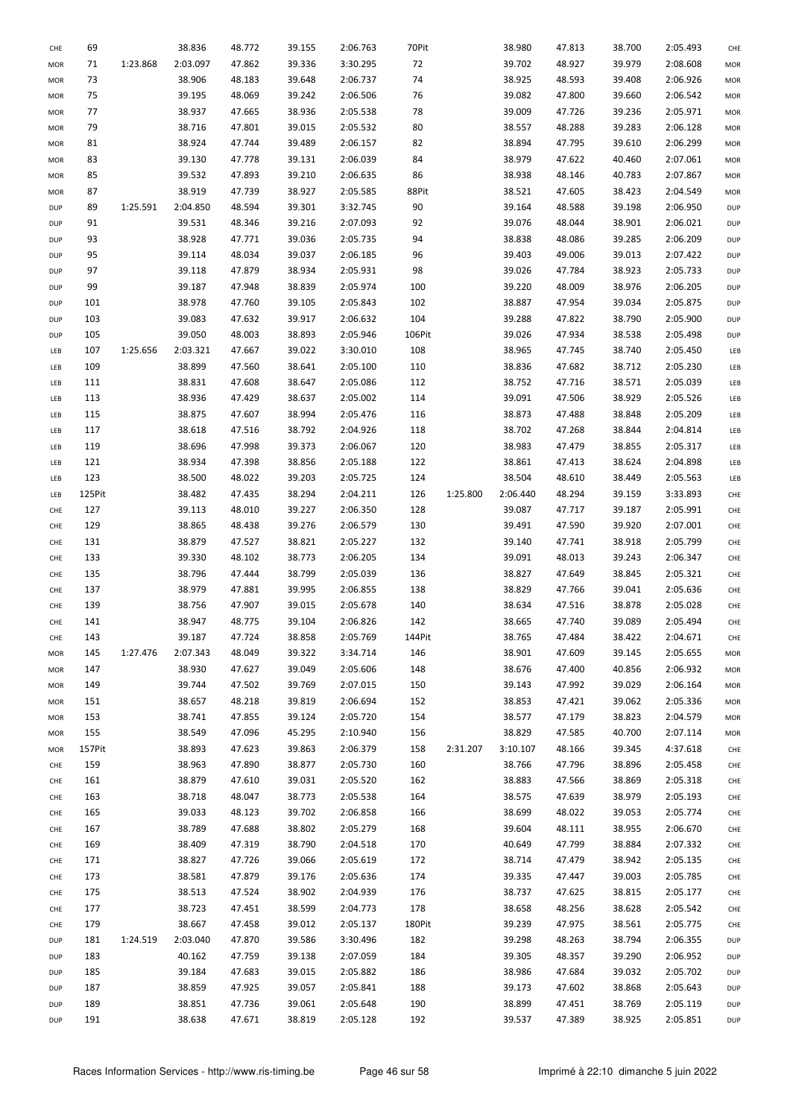| CHE        | 69     |          | 38.836   | 48.772 | 39.155 | 2:06.763 | 70Pit  |          | 38.980   | 47.813 | 38.700 | 2:05.493 | CHE        |
|------------|--------|----------|----------|--------|--------|----------|--------|----------|----------|--------|--------|----------|------------|
| MOR        | 71     | 1:23.868 | 2:03.097 | 47.862 | 39.336 | 3:30.295 | 72     |          | 39.702   | 48.927 | 39.979 | 2:08.608 | MOR        |
| MOR        | 73     |          | 38.906   | 48.183 | 39.648 | 2:06.737 | 74     |          | 38.925   | 48.593 | 39.408 | 2:06.926 | MOR        |
| MOR        | 75     |          | 39.195   | 48.069 | 39.242 | 2:06.506 | 76     |          | 39.082   | 47.800 | 39.660 | 2:06.542 | <b>MOR</b> |
| MOR        | 77     |          | 38.937   | 47.665 | 38.936 | 2:05.538 | 78     |          | 39.009   | 47.726 | 39.236 | 2:05.971 | <b>MOR</b> |
| MOR        | 79     |          | 38.716   | 47.801 | 39.015 | 2:05.532 | 80     |          | 38.557   | 48.288 | 39.283 | 2:06.128 | <b>MOR</b> |
| MOR        | 81     |          | 38.924   | 47.744 | 39.489 | 2:06.157 | 82     |          | 38.894   | 47.795 | 39.610 | 2:06.299 | <b>MOR</b> |
| MOR        | 83     |          | 39.130   | 47.778 | 39.131 | 2:06.039 | 84     |          | 38.979   | 47.622 | 40.460 | 2:07.061 | <b>MOR</b> |
| MOR        | 85     |          | 39.532   | 47.893 | 39.210 | 2:06.635 | 86     |          | 38.938   | 48.146 | 40.783 | 2:07.867 | <b>MOR</b> |
| MOR        | 87     |          | 38.919   | 47.739 | 38.927 | 2:05.585 | 88Pit  |          | 38.521   | 47.605 | 38.423 | 2:04.549 | <b>MOR</b> |
| DUP        | 89     | 1:25.591 | 2:04.850 | 48.594 | 39.301 | 3:32.745 | 90     |          | 39.164   | 48.588 | 39.198 | 2:06.950 | <b>DUP</b> |
| DUP        | 91     |          | 39.531   | 48.346 | 39.216 | 2:07.093 | 92     |          | 39.076   | 48.044 | 38.901 | 2:06.021 | <b>DUP</b> |
|            | 93     |          | 38.928   | 47.771 | 39.036 |          | 94     |          | 38.838   | 48.086 |        |          |            |
| <b>DUP</b> | 95     |          |          |        |        | 2:05.735 |        |          |          |        | 39.285 | 2:06.209 | <b>DUP</b> |
| <b>DUP</b> |        |          | 39.114   | 48.034 | 39.037 | 2:06.185 | 96     |          | 39.403   | 49.006 | 39.013 | 2:07.422 | <b>DUP</b> |
| <b>DUP</b> | 97     |          | 39.118   | 47.879 | 38.934 | 2:05.931 | 98     |          | 39.026   | 47.784 | 38.923 | 2:05.733 | <b>DUP</b> |
| <b>DUP</b> | 99     |          | 39.187   | 47.948 | 38.839 | 2:05.974 | 100    |          | 39.220   | 48.009 | 38.976 | 2:06.205 | <b>DUP</b> |
| DUP        | 101    |          | 38.978   | 47.760 | 39.105 | 2:05.843 | 102    |          | 38.887   | 47.954 | 39.034 | 2:05.875 | <b>DUP</b> |
| <b>DUP</b> | 103    |          | 39.083   | 47.632 | 39.917 | 2:06.632 | 104    |          | 39.288   | 47.822 | 38.790 | 2:05.900 | <b>DUP</b> |
| <b>DUP</b> | 105    |          | 39.050   | 48.003 | 38.893 | 2:05.946 | 106Pit |          | 39.026   | 47.934 | 38.538 | 2:05.498 | <b>DUP</b> |
| LEB        | 107    | 1:25.656 | 2:03.321 | 47.667 | 39.022 | 3:30.010 | 108    |          | 38.965   | 47.745 | 38.740 | 2:05.450 | LEB        |
| LEB        | 109    |          | 38.899   | 47.560 | 38.641 | 2:05.100 | 110    |          | 38.836   | 47.682 | 38.712 | 2:05.230 | LEB        |
| LEB        | 111    |          | 38.831   | 47.608 | 38.647 | 2:05.086 | 112    |          | 38.752   | 47.716 | 38.571 | 2:05.039 | LEB        |
| LEB        | 113    |          | 38.936   | 47.429 | 38.637 | 2:05.002 | 114    |          | 39.091   | 47.506 | 38.929 | 2:05.526 | LEB        |
| LEB        | 115    |          | 38.875   | 47.607 | 38.994 | 2:05.476 | 116    |          | 38.873   | 47.488 | 38.848 | 2:05.209 | LEB        |
| LEB        | 117    |          | 38.618   | 47.516 | 38.792 | 2:04.926 | 118    |          | 38.702   | 47.268 | 38.844 | 2:04.814 | LEB        |
| LEB        | 119    |          | 38.696   | 47.998 | 39.373 | 2:06.067 | 120    |          | 38.983   | 47.479 | 38.855 | 2:05.317 | LEB        |
| LEB        | 121    |          | 38.934   | 47.398 | 38.856 | 2:05.188 | 122    |          | 38.861   | 47.413 | 38.624 | 2:04.898 | LEB        |
| LEB        | 123    |          | 38.500   | 48.022 | 39.203 | 2:05.725 | 124    |          | 38.504   | 48.610 | 38.449 | 2:05.563 | LEB        |
| LEB        | 125Pit |          | 38.482   | 47.435 | 38.294 | 2:04.211 | 126    | 1:25.800 | 2:06.440 | 48.294 | 39.159 | 3:33.893 | CHE        |
| CHE        | 127    |          | 39.113   | 48.010 | 39.227 | 2:06.350 | 128    |          | 39.087   | 47.717 | 39.187 | 2:05.991 | CHE        |
| CHE        | 129    |          | 38.865   | 48.438 | 39.276 | 2:06.579 | 130    |          | 39.491   | 47.590 | 39.920 | 2:07.001 | CHE        |
| CHE        | 131    |          | 38.879   | 47.527 | 38.821 | 2:05.227 | 132    |          | 39.140   | 47.741 | 38.918 | 2:05.799 | CHE        |
| CHE        | 133    |          | 39.330   | 48.102 | 38.773 | 2:06.205 | 134    |          | 39.091   | 48.013 | 39.243 | 2:06.347 | CHE        |
| CHE        | 135    |          | 38.796   | 47.444 | 38.799 | 2:05.039 | 136    |          | 38.827   | 47.649 | 38.845 | 2:05.321 | CHE        |
| CHE        | 137    |          | 38.979   | 47.881 | 39.995 | 2:06.855 | 138    |          | 38.829   | 47.766 | 39.041 | 2:05.636 | CHE        |
| CHE        | 139    |          | 38.756   | 47.907 | 39.015 | 2:05.678 | 140    |          | 38.634   | 47.516 | 38.878 | 2:05.028 | CHE        |
| CHE        | 141    |          | 38.947   | 48.775 | 39.104 | 2:06.826 | 142    |          | 38.665   | 47.740 | 39.089 | 2:05.494 | CHE        |
| CHE        | 143    |          | 39.187   | 47.724 | 38.858 | 2:05.769 | 144Pit |          | 38.765   | 47.484 | 38.422 | 2:04.671 | CHE        |
| MOR        | 145    | 1:27.476 | 2:07.343 | 48.049 | 39.322 | 3:34.714 | 146    |          | 38.901   | 47.609 | 39.145 | 2:05.655 | MOR        |
| MOR        | 147    |          | 38.930   | 47.627 | 39.049 | 2:05.606 | 148    |          | 38.676   | 47.400 | 40.856 | 2:06.932 | MOR        |
| MOR        | 149    |          | 39.744   | 47.502 | 39.769 | 2:07.015 | 150    |          | 39.143   | 47.992 | 39.029 | 2:06.164 | <b>MOR</b> |
| MOR        | 151    |          | 38.657   | 48.218 | 39.819 | 2:06.694 | 152    |          | 38.853   | 47.421 | 39.062 | 2:05.336 | MOR        |
| MOR        | 153    |          | 38.741   | 47.855 | 39.124 | 2:05.720 | 154    |          | 38.577   | 47.179 | 38.823 | 2:04.579 | MOR        |
| MOR        | 155    |          | 38.549   | 47.096 | 45.295 | 2:10.940 | 156    |          | 38.829   | 47.585 | 40.700 | 2:07.114 | <b>MOR</b> |
| <b>MOR</b> | 157Pit |          | 38.893   | 47.623 | 39.863 | 2:06.379 | 158    | 2:31.207 | 3:10.107 | 48.166 | 39.345 | 4:37.618 | CHE        |
|            | 159    |          |          | 47.890 | 38.877 |          | 160    |          |          |        |        |          |            |
| CHE        |        |          | 38.963   |        |        | 2:05.730 |        |          | 38.766   | 47.796 | 38.896 | 2:05.458 | CHE        |
| CHE        | 161    |          | 38.879   | 47.610 | 39.031 | 2:05.520 | 162    |          | 38.883   | 47.566 | 38.869 | 2:05.318 | CHE        |
| CHE        | 163    |          | 38.718   | 48.047 | 38.773 | 2:05.538 | 164    |          | 38.575   | 47.639 | 38.979 | 2:05.193 | CHE        |
| CHE        | 165    |          | 39.033   | 48.123 | 39.702 | 2:06.858 | 166    |          | 38.699   | 48.022 | 39.053 | 2:05.774 | CHE        |
| CHE        | 167    |          | 38.789   | 47.688 | 38.802 | 2:05.279 | 168    |          | 39.604   | 48.111 | 38.955 | 2:06.670 | CHE        |
| CHE        | 169    |          | 38.409   | 47.319 | 38.790 | 2:04.518 | 170    |          | 40.649   | 47.799 | 38.884 | 2:07.332 | CHE        |
| CHE        | 171    |          | 38.827   | 47.726 | 39.066 | 2:05.619 | 172    |          | 38.714   | 47.479 | 38.942 | 2:05.135 | CHE        |
| CHE        | 173    |          | 38.581   | 47.879 | 39.176 | 2:05.636 | 174    |          | 39.335   | 47.447 | 39.003 | 2:05.785 | CHE        |
| CHE        | 175    |          | 38.513   | 47.524 | 38.902 | 2:04.939 | 176    |          | 38.737   | 47.625 | 38.815 | 2:05.177 | CHE        |
| CHE        | 177    |          | 38.723   | 47.451 | 38.599 | 2:04.773 | 178    |          | 38.658   | 48.256 | 38.628 | 2:05.542 | CHE        |
| CHE        | 179    |          | 38.667   | 47.458 | 39.012 | 2:05.137 | 180Pit |          | 39.239   | 47.975 | 38.561 | 2:05.775 | CHE        |
| DUP        | 181    | 1:24.519 | 2:03.040 | 47.870 | 39.586 | 3:30.496 | 182    |          | 39.298   | 48.263 | 38.794 | 2:06.355 | <b>DUP</b> |
| DUP        | 183    |          | 40.162   | 47.759 | 39.138 | 2:07.059 | 184    |          | 39.305   | 48.357 | 39.290 | 2:06.952 | <b>DUP</b> |
| DUP        | 185    |          | 39.184   | 47.683 | 39.015 | 2:05.882 | 186    |          | 38.986   | 47.684 | 39.032 | 2:05.702 | <b>DUP</b> |
| DUP        | 187    |          | 38.859   | 47.925 | 39.057 | 2:05.841 | 188    |          | 39.173   | 47.602 | 38.868 | 2:05.643 | <b>DUP</b> |
| DUP        | 189    |          | 38.851   | 47.736 | 39.061 | 2:05.648 | 190    |          | 38.899   | 47.451 | 38.769 | 2:05.119 | <b>DUP</b> |
| DUP        | 191    |          | 38.638   | 47.671 | 38.819 | 2:05.128 | 192    |          | 39.537   | 47.389 | 38.925 | 2:05.851 | <b>DUP</b> |
|            |        |          |          |        |        |          |        |          |          |        |        |          |            |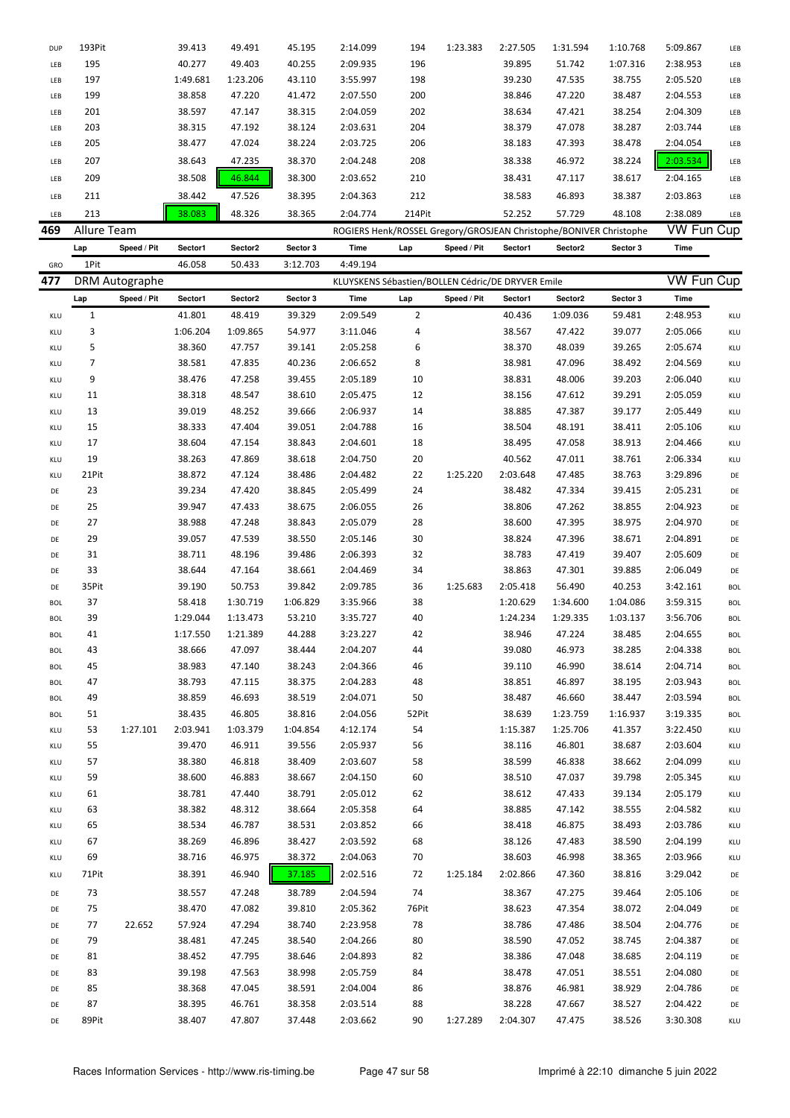| 469        | Allure Team |          |          |        | ROGIERS Henk/ROSSEL Gregory/GROSJEAN Christophe/BONIVER Christophe |        |          |          |          |          | <b>VW Fun Cup</b> |     |
|------------|-------------|----------|----------|--------|--------------------------------------------------------------------|--------|----------|----------|----------|----------|-------------------|-----|
| LEB        | 213         | 38.083   | 48.326   | 38.365 | 2:04.774                                                           | 214Pit |          | 52.252   | 57.729   | 48.108   | 2:38.089          | LEB |
| LEB        | 211         | 38.442   | 47.526   | 38.395 | 2:04.363                                                           | 212    |          | 38.583   | 46.893   | 38.387   | 2:03.863          | LEB |
| LEB        | 209         | 38.508   | 46.844   | 38.300 | 2:03.652                                                           | 210    |          | 38.431   | 47.117   | 38.617   | 2:04.165          | LEB |
| LEB        | 207         | 38.643   | 47.235   | 38.370 | 2:04.248                                                           | 208    |          | 38.338   | 46.972   | 38.224   | 2:03.534          | LEB |
| LEB        | 205         | 38.477   | 47.024   | 38.224 | 2:03.725                                                           | 206    |          | 38.183   | 47.393   | 38.478   | 2:04.054          | LEB |
| LEB        | 203         | 38.315   | 47.192   | 38.124 | 2:03.631                                                           | 204    |          | 38.379   | 47.078   | 38.287   | 2:03.744          | LEB |
| LEB        | 201         | 38.597   | 47.147   | 38.315 | 2:04.059                                                           | 202    |          | 38.634   | 47.421   | 38.254   | 2:04.309          | LEB |
| LEB        | 199         | 38.858   | 47.220   | 41.472 | 2:07.550                                                           | 200    |          | 38.846   | 47.220   | 38.487   | 2:04.553          | LEB |
| LEB        | 197         | 1:49.681 | 1:23.206 | 43.110 | 3:55.997                                                           | 198    |          | 39.230   | 47.535   | 38.755   | 2:05.520          | LEB |
| LEB        | 195         | 40.277   | 49.403   | 40.255 | 2:09.935                                                           | 196    |          | 39.895   | 51.742   | 1:07.316 | 2:38.953          | LEB |
| <b>DUP</b> | 193Pit      | 39.413   | 49.491   | 45.195 | 2:14.099                                                           | 194    | 1:23.383 | 2:27.505 | 1:31.594 | 1:10.768 | 5:09.867          | LEB |
|            |             |          |          |        |                                                                    |        |          |          |          |          |                   |     |

**Lap Speed / Pit Sector1 Sector2 Sector 3 Time Lap Speed / Pit Sector1 Sector2 Sector 3 Time**

| GRO        | 1Pit           |                       | 46.058   | 50.433   | 3:12.703 | 4:49.194                                          |                |             |          |          |          |                   |            |
|------------|----------------|-----------------------|----------|----------|----------|---------------------------------------------------|----------------|-------------|----------|----------|----------|-------------------|------------|
| 477        |                | <b>DRM</b> Autographe |          |          |          | KLUYSKENS Sébastien/BOLLEN Cédric/DE DRYVER Emile |                |             |          |          |          | <b>VW Fun Cup</b> |            |
|            | Lap            | Speed / Pit           | Sector1  | Sector2  | Sector 3 | Time                                              | Lap            | Speed / Pit | Sector1  | Sector2  | Sector 3 | Time              |            |
| KLU        | $\mathbf{1}$   |                       | 41.801   | 48.419   | 39.329   | 2:09.549                                          | $\overline{2}$ |             | 40.436   | 1:09.036 | 59.481   | 2:48.953          | KLU        |
| KLU        | 3              |                       | 1:06.204 | 1:09.865 | 54.977   | 3:11.046                                          | 4              |             | 38.567   | 47.422   | 39.077   | 2:05.066          | KLU        |
| KLU        | 5              |                       | 38.360   | 47.757   | 39.141   | 2:05.258                                          | 6              |             | 38.370   | 48.039   | 39.265   | 2:05.674          | KLU        |
| KLU        | $\overline{7}$ |                       | 38.581   | 47.835   | 40.236   | 2:06.652                                          | 8              |             | 38.981   | 47.096   | 38.492   | 2:04.569          | KLU        |
| KLU        | 9              |                       | 38.476   | 47.258   | 39.455   | 2:05.189                                          | 10             |             | 38.831   | 48.006   | 39.203   | 2:06.040          | KLU        |
| KLU        | 11             |                       | 38.318   | 48.547   | 38.610   | 2:05.475                                          | 12             |             | 38.156   | 47.612   | 39.291   | 2:05.059          | KLU        |
| KLU        | 13             |                       | 39.019   | 48.252   | 39.666   | 2:06.937                                          | 14             |             | 38.885   | 47.387   | 39.177   | 2:05.449          | KLU        |
| KLU        | 15             |                       | 38.333   | 47.404   | 39.051   | 2:04.788                                          | 16             |             | 38.504   | 48.191   | 38.411   | 2:05.106          | KLU        |
| KLU        | 17             |                       | 38.604   | 47.154   | 38.843   | 2:04.601                                          | 18             |             | 38.495   | 47.058   | 38.913   | 2:04.466          | KLU        |
| KLU        | 19             |                       | 38.263   | 47.869   | 38.618   | 2:04.750                                          | 20             |             | 40.562   | 47.011   | 38.761   | 2:06.334          | KLU        |
| KLU        | 21Pit          |                       | 38.872   | 47.124   | 38.486   | 2:04.482                                          | 22             | 1:25.220    | 2:03.648 | 47.485   | 38.763   | 3:29.896          | DE         |
| DE         | 23             |                       | 39.234   | 47.420   | 38.845   | 2:05.499                                          | 24             |             | 38.482   | 47.334   | 39.415   | 2:05.231          | DE         |
| DE         | 25             |                       | 39.947   | 47.433   | 38.675   | 2:06.055                                          | 26             |             | 38.806   | 47.262   | 38.855   | 2:04.923          | DE         |
| DE         | 27             |                       | 38.988   | 47.248   | 38.843   | 2:05.079                                          | 28             |             | 38.600   | 47.395   | 38.975   | 2:04.970          | DE         |
| DE         | 29             |                       | 39.057   | 47.539   | 38.550   | 2:05.146                                          | 30             |             | 38.824   | 47.396   | 38.671   | 2:04.891          | DE         |
| DE         | 31             |                       | 38.711   | 48.196   | 39.486   | 2:06.393                                          | 32             |             | 38.783   | 47.419   | 39.407   | 2:05.609          | DE         |
| DE         | 33             |                       | 38.644   | 47.164   | 38.661   | 2:04.469                                          | 34             |             | 38.863   | 47.301   | 39.885   | 2:06.049          | DE         |
| DE         | 35Pit          |                       | 39.190   | 50.753   | 39.842   | 2:09.785                                          | 36             | 1:25.683    | 2:05.418 | 56.490   | 40.253   | 3:42.161          | <b>BOL</b> |
| <b>BOL</b> | 37             |                       | 58.418   | 1:30.719 | 1:06.829 | 3:35.966                                          | 38             |             | 1:20.629 | 1:34.600 | 1:04.086 | 3:59.315          | <b>BOL</b> |
| <b>BOL</b> | 39             |                       | 1:29.044 | 1:13.473 | 53.210   | 3:35.727                                          | 40             |             | 1:24.234 | 1:29.335 | 1:03.137 | 3:56.706          | <b>BOL</b> |
| <b>BOL</b> | 41             |                       | 1:17.550 | 1:21.389 | 44.288   | 3:23.227                                          | 42             |             | 38.946   | 47.224   | 38.485   | 2:04.655          | <b>BOL</b> |
| <b>BOL</b> | 43             |                       | 38.666   | 47.097   | 38.444   | 2:04.207                                          | 44             |             | 39.080   | 46.973   | 38.285   | 2:04.338          | <b>BOL</b> |
| <b>BOL</b> | 45             |                       | 38.983   | 47.140   | 38.243   | 2:04.366                                          | 46             |             | 39.110   | 46.990   | 38.614   | 2:04.714          | <b>BOL</b> |
| <b>BOL</b> | 47             |                       | 38.793   | 47.115   | 38.375   | 2:04.283                                          | 48             |             | 38.851   | 46.897   | 38.195   | 2:03.943          | <b>BOL</b> |
| <b>BOL</b> | 49             |                       | 38.859   | 46.693   | 38.519   | 2:04.071                                          | 50             |             | 38.487   | 46.660   | 38.447   | 2:03.594          | <b>BOL</b> |
| <b>BOL</b> | 51             |                       | 38.435   | 46.805   | 38.816   | 2:04.056                                          | 52Pit          |             | 38.639   | 1:23.759 | 1:16.937 | 3:19.335          | <b>BOL</b> |
| KLU        | 53             | 1:27.101              | 2:03.941 | 1:03.379 | 1:04.854 | 4:12.174                                          | 54             |             | 1:15.387 | 1:25.706 | 41.357   | 3:22.450          | KLU        |
| KLU        | 55             |                       | 39.470   | 46.911   | 39.556   | 2:05.937                                          | 56             |             | 38.116   | 46.801   | 38.687   | 2:03.604          | KLU        |
| KLU        | 57             |                       | 38.380   | 46.818   | 38.409   | 2:03.607                                          | 58             |             | 38.599   | 46.838   | 38.662   | 2:04.099          | KLU        |
| KLU        | 59             |                       | 38.600   | 46.883   | 38.667   | 2:04.150                                          | 60             |             | 38.510   | 47.037   | 39.798   | 2:05.345          | KLU        |
| KLU        | 61             |                       | 38.781   | 47.440   | 38.791   | 2:05.012                                          | 62             |             | 38.612   | 47.433   | 39.134   | 2:05.179          | KLU        |
| KLU        | 63             |                       | 38.382   | 48.312   | 38.664   | 2:05.358                                          | 64             |             | 38.885   | 47.142   | 38.555   | 2:04.582          |            |
| KLU        | 65             |                       | 38.534   | 46.787   | 38.531   | 2:03.852                                          | 66             |             | 38.418   | 46.875   | 38.493   | 2:03.786          | KLU        |
| KLU        | 67             |                       | 38.269   | 46.896   | 38.427   | 2:03.592                                          | 68             |             | 38.126   | 47.483   | 38.590   | 2:04.199          | KLU<br>KLU |
| KLU        | 69             |                       | 38.716   | 46.975   | 38.372   | 2:04.063                                          | 70             |             | 38.603   | 46.998   | 38.365   | 2:03.966          | KLU        |
|            |                |                       |          |          |          |                                                   |                |             |          |          |          |                   |            |
| KLU        | 71Pit          |                       | 38.391   | 46.940   | 37.185   | 2:02.516                                          | 72             | 1:25.184    | 2:02.866 | 47.360   | 38.816   | 3:29.042          | DE         |
| DE         | 73             |                       | 38.557   | 47.248   | 38.789   | 2:04.594                                          | 74             |             | 38.367   | 47.275   | 39.464   | 2:05.106          | DE         |
| DE         | 75             |                       | 38.470   | 47.082   | 39.810   | 2:05.362                                          | 76Pit          |             | 38.623   | 47.354   | 38.072   | 2:04.049          | DE         |
| DE         | 77             | 22.652                | 57.924   | 47.294   | 38.740   | 2:23.958                                          | 78             |             | 38.786   | 47.486   | 38.504   | 2:04.776          | DE         |
| DE         | 79             |                       | 38.481   | 47.245   | 38.540   | 2:04.266                                          | 80             |             | 38.590   | 47.052   | 38.745   | 2:04.387          | DE         |
| DE         | 81             |                       | 38.452   | 47.795   | 38.646   | 2:04.893                                          | 82             |             | 38.386   | 47.048   | 38.685   | 2:04.119          | DE         |
| DE         | 83             |                       | 39.198   | 47.563   | 38.998   | 2:05.759                                          | 84             |             | 38.478   | 47.051   | 38.551   | 2:04.080          | DE         |
| DE         | 85             |                       | 38.368   | 47.045   | 38.591   | 2:04.004                                          | 86             |             | 38.876   | 46.981   | 38.929   | 2:04.786          | DE         |
| DE         | 87             |                       | 38.395   | 46.761   | 38.358   | 2:03.514                                          | 88             |             | 38.228   | 47.667   | 38.527   | 2:04.422          | DE         |
| DE         | 89Pit          |                       | 38.407   | 47.807   | 37.448   | 2:03.662                                          | 90             | 1:27.289    | 2:04.307 | 47.475   | 38.526   | 3:30.308          | KLU        |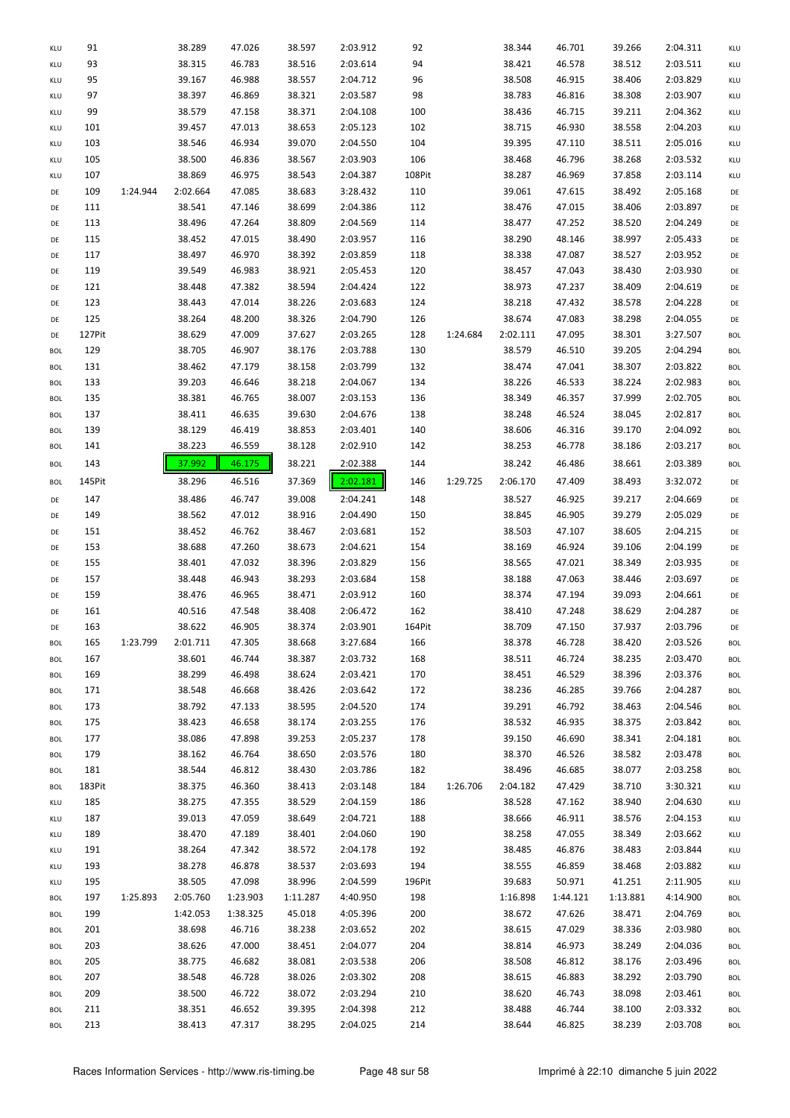| KLU        | 91     |          | 38.289   | 47.026   | 38.597   | 2:03.912 | 92     |          | 38.344   | 46.701   | 39.266   | 2:04.311 | KLU        |
|------------|--------|----------|----------|----------|----------|----------|--------|----------|----------|----------|----------|----------|------------|
| KLU        | 93     |          | 38.315   | 46.783   | 38.516   | 2:03.614 | 94     |          | 38.421   | 46.578   | 38.512   | 2:03.511 | KLU        |
| KLU        | 95     |          | 39.167   | 46.988   | 38.557   | 2:04.712 | 96     |          | 38.508   | 46.915   | 38.406   | 2:03.829 | KLU        |
| KLU        | 97     |          | 38.397   | 46.869   | 38.321   | 2:03.587 | 98     |          | 38.783   | 46.816   | 38.308   | 2:03.907 | KLU        |
| KLU        | 99     |          | 38.579   | 47.158   | 38.371   | 2:04.108 | 100    |          | 38.436   | 46.715   | 39.211   | 2:04.362 | KLU        |
| KLU        | 101    |          | 39.457   | 47.013   | 38.653   | 2:05.123 | 102    |          | 38.715   | 46.930   | 38.558   | 2:04.203 | KLU        |
| KLU        | 103    |          | 38.546   | 46.934   | 39.070   | 2:04.550 | 104    |          | 39.395   | 47.110   | 38.511   | 2:05.016 | KLU        |
|            |        |          | 38.500   | 46.836   | 38.567   |          |        |          | 38.468   | 46.796   | 38.268   |          |            |
| KLU        | 105    |          |          |          |          | 2:03.903 | 106    |          |          |          |          | 2:03.532 | KLU        |
| KLU        | 107    |          | 38.869   | 46.975   | 38.543   | 2:04.387 | 108Pit |          | 38.287   | 46.969   | 37.858   | 2:03.114 | KLU        |
| DE         | 109    | 1:24.944 | 2:02.664 | 47.085   | 38.683   | 3:28.432 | 110    |          | 39.061   | 47.615   | 38.492   | 2:05.168 | DE         |
| DE         | 111    |          | 38.541   | 47.146   | 38.699   | 2:04.386 | 112    |          | 38.476   | 47.015   | 38.406   | 2:03.897 | DE         |
| DE         | 113    |          | 38.496   | 47.264   | 38.809   | 2:04.569 | 114    |          | 38.477   | 47.252   | 38.520   | 2:04.249 | DE         |
| DE         | 115    |          | 38.452   | 47.015   | 38.490   | 2:03.957 | 116    |          | 38.290   | 48.146   | 38.997   | 2:05.433 | DE         |
| DE         | 117    |          | 38.497   | 46.970   | 38.392   | 2:03.859 | 118    |          | 38.338   | 47.087   | 38.527   | 2:03.952 | DE         |
| DE         | 119    |          | 39.549   | 46.983   | 38.921   | 2:05.453 | 120    |          | 38.457   | 47.043   | 38.430   | 2:03.930 | DE         |
| DE         | 121    |          | 38.448   | 47.382   | 38.594   | 2:04.424 | 122    |          | 38.973   | 47.237   | 38.409   | 2:04.619 | DE         |
|            |        |          |          |          |          |          |        |          |          |          |          |          |            |
| DE         | 123    |          | 38.443   | 47.014   | 38.226   | 2:03.683 | 124    |          | 38.218   | 47.432   | 38.578   | 2:04.228 | DE         |
| DE         | 125    |          | 38.264   | 48.200   | 38.326   | 2:04.790 | 126    |          | 38.674   | 47.083   | 38.298   | 2:04.055 | DE         |
| DE         | 127Pit |          | 38.629   | 47.009   | 37.627   | 2:03.265 | 128    | 1:24.684 | 2:02.111 | 47.095   | 38.301   | 3:27.507 | <b>BOL</b> |
| <b>BOL</b> | 129    |          | 38.705   | 46.907   | 38.176   | 2:03.788 | 130    |          | 38.579   | 46.510   | 39.205   | 2:04.294 | <b>BOL</b> |
| <b>BOL</b> | 131    |          | 38.462   | 47.179   | 38.158   | 2:03.799 | 132    |          | 38.474   | 47.041   | 38.307   | 2:03.822 | <b>BOL</b> |
| <b>BOL</b> | 133    |          | 39.203   | 46.646   | 38.218   | 2:04.067 | 134    |          | 38.226   | 46.533   | 38.224   | 2:02.983 | <b>BOL</b> |
| <b>BOL</b> | 135    |          | 38.381   | 46.765   | 38.007   | 2:03.153 | 136    |          | 38.349   | 46.357   | 37.999   | 2:02.705 | <b>BOL</b> |
| <b>BOL</b> | 137    |          | 38.411   | 46.635   | 39.630   | 2:04.676 | 138    |          | 38.248   | 46.524   | 38.045   | 2:02.817 | <b>BOL</b> |
| <b>BOL</b> | 139    |          | 38.129   | 46.419   | 38.853   | 2:03.401 | 140    |          | 38.606   | 46.316   | 39.170   | 2:04.092 | <b>BOL</b> |
| <b>BOL</b> | 141    |          | 38.223   | 46.559   | 38.128   | 2:02.910 | 142    |          | 38.253   | 46.778   | 38.186   | 2:03.217 | <b>BOL</b> |
|            |        |          |          |          |          |          |        |          |          |          |          |          |            |
| <b>BOL</b> | 143    |          | 37.992   | 46.175   | 38.221   | 2:02.388 | 144    |          | 38.242   | 46.486   | 38.661   | 2:03.389 | <b>BOL</b> |
| <b>BOL</b> | 145Pit |          | 38.296   | 46.516   | 37.369   | 2:02.181 | 146    | 1:29.725 | 2:06.170 | 47.409   | 38.493   | 3:32.072 | DE         |
| DE         | 147    |          | 38.486   | 46.747   | 39.008   | 2:04.241 | 148    |          | 38.527   | 46.925   | 39.217   | 2:04.669 | DE         |
| DE         | 149    |          | 38.562   | 47.012   | 38.916   | 2:04.490 | 150    |          | 38.845   | 46.905   | 39.279   | 2:05.029 | DE         |
| DE         | 151    |          | 38.452   | 46.762   | 38.467   | 2:03.681 | 152    |          | 38.503   | 47.107   | 38.605   | 2:04.215 | DE         |
| DE         | 153    |          | 38.688   | 47.260   | 38.673   | 2:04.621 | 154    |          | 38.169   | 46.924   | 39.106   | 2:04.199 | DE         |
|            | 155    |          | 38.401   | 47.032   | 38.396   | 2:03.829 |        |          | 38.565   | 47.021   | 38.349   |          |            |
| DE         |        |          |          |          |          |          | 156    |          |          |          |          | 2:03.935 | DE         |
| DE         | 157    |          | 38.448   | 46.943   | 38.293   | 2:03.684 | 158    |          | 38.188   | 47.063   | 38.446   | 2:03.697 | DE         |
| DE         | 159    |          | 38.476   | 46.965   | 38.471   | 2:03.912 | 160    |          | 38.374   | 47.194   | 39.093   | 2:04.661 | DE         |
| DE         | 161    |          | 40.516   | 47.548   | 38.408   | 2:06.472 | 162    |          | 38.410   | 47.248   | 38.629   | 2:04.287 | DE         |
| DE         | 163    |          | 38.622   | 46.905   | 38.374   | 2:03.901 | 164Pit |          | 38.709   | 47.150   | 37.937   | 2:03.796 | DE         |
| <b>BOL</b> | 165    | 1:23.799 | 2:01.711 | 47.305   | 38.668   | 3:27.684 | 166    |          | 38.378   | 46.728   | 38.420   | 2:03.526 | <b>BOL</b> |
| <b>BOL</b> | 167    |          | 38.601   | 46.744   | 38.387   | 2:03.732 | 168    |          | 38.511   | 46.724   | 38.235   | 2:03.470 | <b>BOL</b> |
| BOL        | 169    |          | 38.299   | 46.498   | 38.624   | 2:03.421 | 170    |          | 38.451   | 46.529   | 38.396   | 2:03.376 | <b>BOL</b> |
| <b>BOL</b> | 171    |          | 38.548   | 46.668   | 38.426   | 2:03.642 | 172    |          | 38.236   | 46.285   | 39.766   | 2:04.287 | <b>BOL</b> |
| <b>BOL</b> | 173    |          | 38.792   | 47.133   | 38.595   | 2:04.520 | 174    |          | 39.291   | 46.792   | 38.463   | 2:04.546 | <b>BOL</b> |
| BOL        | 175    |          | 38.423   | 46.658   | 38.174   | 2:03.255 | 176    |          | 38.532   | 46.935   | 38.375   | 2:03.842 | <b>BOL</b> |
| <b>BOL</b> | 177    |          | 38.086   | 47.898   | 39.253   | 2:05.237 | 178    |          | 39.150   | 46.690   | 38.341   | 2:04.181 | <b>BOL</b> |
|            |        |          |          |          |          |          |        |          |          |          |          |          |            |
| BOL        | 179    |          | 38.162   | 46.764   | 38.650   | 2:03.576 | 180    |          | 38.370   | 46.526   | 38.582   | 2:03.478 | <b>BOL</b> |
| <b>BOL</b> | 181    |          | 38.544   | 46.812   | 38.430   | 2:03.786 | 182    |          | 38.496   | 46.685   | 38.077   | 2:03.258 | <b>BOL</b> |
| <b>BOL</b> | 183Pit |          | 38.375   | 46.360   | 38.413   | 2:03.148 | 184    | 1:26.706 | 2:04.182 | 47.429   | 38.710   | 3:30.321 | KLU        |
| KLU        | 185    |          | 38.275   | 47.355   | 38.529   | 2:04.159 | 186    |          | 38.528   | 47.162   | 38.940   | 2:04.630 | KLU        |
| KLU        | 187    |          | 39.013   | 47.059   | 38.649   | 2:04.721 | 188    |          | 38.666   | 46.911   | 38.576   | 2:04.153 | KLU        |
| KLU        | 189    |          | 38.470   | 47.189   | 38.401   | 2:04.060 | 190    |          | 38.258   | 47.055   | 38.349   | 2:03.662 | KLU        |
| KLU        | 191    |          | 38.264   | 47.342   | 38.572   | 2:04.178 | 192    |          | 38.485   | 46.876   | 38.483   | 2:03.844 | KLU        |
| KLU        | 193    |          | 38.278   | 46.878   | 38.537   | 2:03.693 | 194    |          | 38.555   | 46.859   | 38.468   | 2:03.882 | KLU        |
| KLU        | 195    |          | 38.505   | 47.098   | 38.996   | 2:04.599 | 196Pit |          | 39.683   | 50.971   | 41.251   | 2:11.905 | KLU        |
| <b>BOL</b> | 197    | 1:25.893 | 2:05.760 | 1:23.903 | 1:11.287 | 4:40.950 | 198    |          | 1:16.898 | 1:44.121 | 1:13.881 | 4:14.900 | <b>BOL</b> |
|            | 199    |          | 1:42.053 | 1:38.325 | 45.018   | 4:05.396 | 200    |          | 38.672   | 47.626   | 38.471   | 2:04.769 |            |
| <b>BOL</b> |        |          |          |          |          |          |        |          |          |          |          |          | <b>BOL</b> |
| BOL        | 201    |          | 38.698   | 46.716   | 38.238   | 2:03.652 | 202    |          | 38.615   | 47.029   | 38.336   | 2:03.980 | <b>BOL</b> |
| BOL        | 203    |          | 38.626   | 47.000   | 38.451   | 2:04.077 | 204    |          | 38.814   | 46.973   | 38.249   | 2:04.036 | <b>BOL</b> |
| <b>BOL</b> | 205    |          | 38.775   | 46.682   | 38.081   | 2:03.538 | 206    |          | 38.508   | 46.812   | 38.176   | 2:03.496 | <b>BOL</b> |
| BOL        | 207    |          | 38.548   | 46.728   | 38.026   | 2:03.302 | 208    |          | 38.615   | 46.883   | 38.292   | 2:03.790 | <b>BOL</b> |
| BOL        | 209    |          | 38.500   | 46.722   | 38.072   | 2:03.294 | 210    |          | 38.620   | 46.743   | 38.098   | 2:03.461 | <b>BOL</b> |
| <b>BOL</b> | 211    |          | 38.351   | 46.652   | 39.395   | 2:04.398 | 212    |          | 38.488   | 46.744   | 38.100   | 2:03.332 | <b>BOL</b> |
| <b>BOL</b> | 213    |          | 38.413   | 47.317   | 38.295   | 2:04.025 | 214    |          | 38.644   | 46.825   | 38.239   | 2:03.708 | <b>BOL</b> |
|            |        |          |          |          |          |          |        |          |          |          |          |          |            |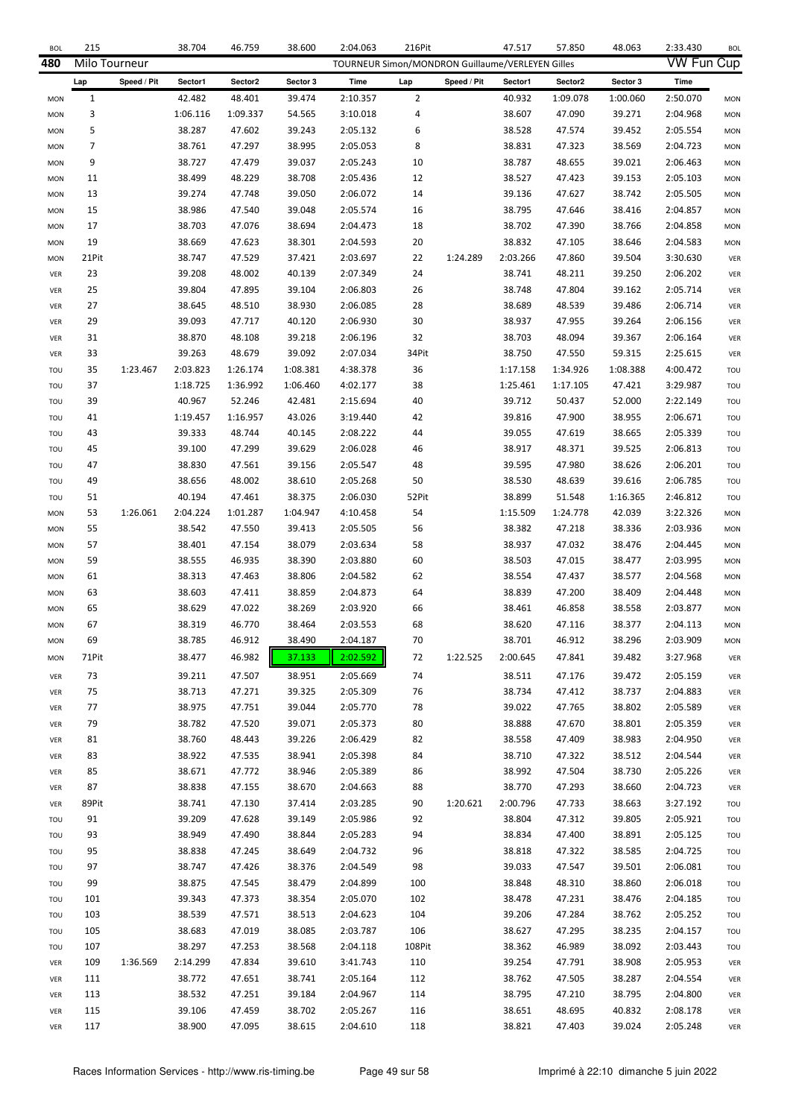| <b>BOL</b> | 215           |             | 38.704   | 46.759   | 38.600   | 2:04.063                                         | 216Pit         |             | 47.517   | 57.850   | 48.063   | 2:33.430          | <b>BOL</b> |
|------------|---------------|-------------|----------|----------|----------|--------------------------------------------------|----------------|-------------|----------|----------|----------|-------------------|------------|
| 480        | Milo Tourneur |             |          |          |          | TOURNEUR Simon/MONDRON Guillaume/VERLEYEN Gilles |                |             |          |          |          | <b>VW Fun Cup</b> |            |
|            | Lap           | Speed / Pit | Sector1  | Sector2  | Sector 3 | Time                                             | Lap            | Speed / Pit | Sector1  | Sector2  | Sector 3 | Time              |            |
| <b>MON</b> | $\mathbf{1}$  |             | 42.482   | 48.401   | 39.474   | 2:10.357                                         | $\overline{2}$ |             | 40.932   | 1:09.078 | 1:00.060 | 2:50.070          | <b>MON</b> |
| <b>MON</b> | 3             |             | 1:06.116 | 1:09.337 | 54.565   | 3:10.018                                         | 4              |             | 38.607   | 47.090   | 39.271   | 2:04.968          | <b>MON</b> |
| <b>MON</b> | 5             |             | 38.287   | 47.602   | 39.243   | 2:05.132                                         | 6              |             | 38.528   | 47.574   | 39.452   | 2:05.554          | <b>MON</b> |
| <b>MON</b> | 7             |             | 38.761   | 47.297   | 38.995   | 2:05.053                                         | 8              |             | 38.831   | 47.323   | 38.569   | 2:04.723          | <b>MON</b> |
| <b>MON</b> | 9             |             | 38.727   | 47.479   | 39.037   | 2:05.243                                         | 10             |             | 38.787   | 48.655   | 39.021   | 2:06.463          | <b>MON</b> |
| <b>MON</b> | 11            |             | 38.499   | 48.229   | 38.708   | 2:05.436                                         | 12             |             | 38.527   | 47.423   | 39.153   | 2:05.103          | <b>MON</b> |
| <b>MON</b> | 13            |             | 39.274   | 47.748   | 39.050   | 2:06.072                                         | 14             |             | 39.136   | 47.627   | 38.742   | 2:05.505          | <b>MON</b> |
| <b>MON</b> | 15            |             | 38.986   | 47.540   | 39.048   | 2:05.574                                         | 16             |             | 38.795   | 47.646   | 38.416   | 2:04.857          | <b>MON</b> |
| <b>MON</b> | 17            |             | 38.703   | 47.076   | 38.694   | 2:04.473                                         | 18             |             | 38.702   | 47.390   | 38.766   | 2:04.858          | <b>MON</b> |
| <b>MON</b> | 19            |             | 38.669   | 47.623   | 38.301   | 2:04.593                                         | 20             |             | 38.832   | 47.105   | 38.646   | 2:04.583          | <b>MON</b> |
| <b>MON</b> | 21Pit         |             | 38.747   | 47.529   | 37.421   | 2:03.697                                         | 22             | 1:24.289    | 2:03.266 | 47.860   | 39.504   | 3:30.630          | VER        |
| VER        | 23            |             | 39.208   | 48.002   | 40.139   | 2:07.349                                         | 24             |             | 38.741   | 48.211   | 39.250   | 2:06.202          | VER        |
| VER        | 25            |             | 39.804   | 47.895   | 39.104   | 2:06.803                                         | 26             |             | 38.748   | 47.804   | 39.162   | 2:05.714          | VER        |
| VER        | 27            |             | 38.645   | 48.510   | 38.930   | 2:06.085                                         | 28             |             | 38.689   | 48.539   | 39.486   | 2:06.714          | VER        |
| VER        | 29            |             | 39.093   | 47.717   | 40.120   | 2:06.930                                         | 30             |             | 38.937   | 47.955   | 39.264   | 2:06.156          | VER        |
| VER        | 31            |             | 38.870   | 48.108   | 39.218   | 2:06.196                                         | 32             |             | 38.703   | 48.094   | 39.367   | 2:06.164          | VER        |
| VER        | 33            |             | 39.263   | 48.679   | 39.092   | 2:07.034                                         | 34Pit          |             | 38.750   | 47.550   | 59.315   | 2:25.615          | VER        |
| TOU        | 35            | 1:23.467    | 2:03.823 | 1:26.174 | 1:08.381 | 4:38.378                                         | 36             |             | 1:17.158 | 1:34.926 | 1:08.388 | 4:00.472          | TOU        |
| TOU        | 37            |             | 1:18.725 | 1:36.992 | 1:06.460 | 4:02.177                                         | 38             |             | 1:25.461 | 1:17.105 | 47.421   | 3:29.987          | TOU        |
| TOU        | 39            |             | 40.967   | 52.246   | 42.481   | 2:15.694                                         | 40             |             | 39.712   | 50.437   | 52.000   | 2:22.149          | TOU        |
| TOU        | 41            |             | 1:19.457 | 1:16.957 | 43.026   | 3:19.440                                         | 42             |             | 39.816   | 47.900   | 38.955   | 2:06.671          | TOU        |
| TOU        | 43            |             | 39.333   | 48.744   | 40.145   | 2:08.222                                         | 44             |             | 39.055   | 47.619   | 38.665   | 2:05.339          | TOU        |
| TOU        | 45            |             | 39.100   | 47.299   | 39.629   | 2:06.028                                         | 46             |             | 38.917   | 48.371   | 39.525   | 2:06.813          | TOU        |
| TOU        | 47            |             | 38.830   | 47.561   | 39.156   | 2:05.547                                         | 48             |             | 39.595   | 47.980   | 38.626   | 2:06.201          | TOU        |
| TOU        | 49            |             | 38.656   | 48.002   | 38.610   | 2:05.268                                         | 50             |             | 38.530   | 48.639   | 39.616   | 2:06.785          | TOU        |
| TOU        | 51            |             | 40.194   | 47.461   | 38.375   | 2:06.030                                         | 52Pit          |             | 38.899   | 51.548   | 1:16.365 | 2:46.812          | TOU        |
| <b>MON</b> | 53            | 1:26.061    | 2:04.224 | 1:01.287 | 1:04.947 | 4:10.458                                         | 54             |             | 1:15.509 | 1:24.778 | 42.039   | 3:22.326          | <b>MON</b> |
| <b>MON</b> | 55            |             | 38.542   | 47.550   | 39.413   | 2:05.505                                         | 56             |             | 38.382   | 47.218   | 38.336   | 2:03.936          | <b>MON</b> |
| <b>MON</b> | 57            |             | 38.401   | 47.154   | 38.079   | 2:03.634                                         | 58             |             | 38.937   | 47.032   | 38.476   | 2:04.445          | <b>MON</b> |
| <b>MON</b> | 59            |             | 38.555   | 46.935   | 38.390   | 2:03.880                                         | 60             |             | 38.503   | 47.015   | 38.477   | 2:03.995          | <b>MON</b> |
| <b>MON</b> | 61            |             | 38.313   | 47.463   | 38.806   | 2:04.582                                         | 62             |             | 38.554   | 47.437   | 38.577   | 2:04.568          | <b>MON</b> |
| <b>MON</b> | 63            |             | 38.603   | 47.411   | 38.859   | 2:04.873                                         | 64             |             | 38.839   | 47.200   | 38.409   | 2:04.448          | <b>MON</b> |
| <b>MON</b> | 65            |             | 38.629   | 47.022   | 38.269   | 2:03.920                                         | 66             |             | 38.461   | 46.858   | 38.558   | 2:03.877          | <b>MON</b> |
| <b>MON</b> | 67            |             | 38.319   | 46.770   | 38.464   | 2:03.553                                         | 68             |             | 38.620   | 47.116   | 38.377   | 2:04.113          | <b>MON</b> |
| <b>MON</b> | 69            |             | 38.785   | 46.912   | 38.490   | 2:04.187                                         | 70             |             | 38.701   | 46.912   | 38.296   | 2:03.909          | <b>MON</b> |
| <b>MON</b> | 71Pit         |             | 38.477   | 46.982   | 37.133   | 2:02.592                                         | 72             | 1:22.525    | 2:00.645 | 47.841   | 39.482   | 3:27.968          | VER        |
| VER        | 73            |             | 39.211   | 47.507   | 38.951   | 2:05.669                                         | 74             |             | 38.511   | 47.176   | 39.472   | 2:05.159          | VER        |
| VER        | 75            |             | 38.713   | 47.271   | 39.325   | 2:05.309                                         | 76             |             | 38.734   | 47.412   | 38.737   | 2:04.883          | VER        |
| VER        | 77            |             | 38.975   | 47.751   | 39.044   | 2:05.770                                         | 78             |             | 39.022   | 47.765   | 38.802   | 2:05.589          | VER        |
| VER        | 79            |             | 38.782   | 47.520   | 39.071   | 2:05.373                                         | 80             |             | 38.888   | 47.670   | 38.801   | 2:05.359          | VER        |
| VER        | 81            |             | 38.760   | 48.443   | 39.226   | 2:06.429                                         | 82             |             | 38.558   | 47.409   | 38.983   | 2:04.950          | VER        |
| VER        | 83            |             | 38.922   | 47.535   | 38.941   | 2:05.398                                         | 84             |             | 38.710   | 47.322   | 38.512   | 2:04.544          | VER        |
| VER        | 85            |             | 38.671   | 47.772   | 38.946   | 2:05.389                                         | 86             |             | 38.992   | 47.504   | 38.730   | 2:05.226          | VER        |
| VER        | 87            |             | 38.838   | 47.155   | 38.670   | 2:04.663                                         | 88             |             | 38.770   | 47.293   | 38.660   | 2:04.723          | VER        |
| VER        | 89Pit         |             | 38.741   | 47.130   | 37.414   | 2:03.285                                         | 90             | 1:20.621    | 2:00.796 | 47.733   | 38.663   | 3:27.192          | TOU        |
| TOU        | 91            |             | 39.209   | 47.628   | 39.149   | 2:05.986                                         | 92             |             | 38.804   | 47.312   | 39.805   | 2:05.921          | TOU        |
| TOU        | 93            |             | 38.949   | 47.490   | 38.844   | 2:05.283                                         | 94             |             | 38.834   | 47.400   | 38.891   | 2:05.125          | TOU        |
| TOU        | 95            |             | 38.838   | 47.245   | 38.649   | 2:04.732                                         | 96             |             | 38.818   | 47.322   | 38.585   | 2:04.725          | TOU        |
| TOU        | 97            |             | 38.747   | 47.426   | 38.376   | 2:04.549                                         | 98             |             | 39.033   | 47.547   | 39.501   | 2:06.081          | TOU        |
| TOU        | 99            |             | 38.875   | 47.545   | 38.479   | 2:04.899                                         | 100            |             | 38.848   | 48.310   | 38.860   | 2:06.018          | TOU        |
| TOU        | 101           |             | 39.343   | 47.373   | 38.354   | 2:05.070                                         | 102            |             | 38.478   | 47.231   | 38.476   | 2:04.185          | TOU        |
| TOU        | 103           |             | 38.539   | 47.571   | 38.513   | 2:04.623                                         | 104            |             | 39.206   | 47.284   | 38.762   | 2:05.252          | TOU        |
| TOU        | 105           |             | 38.683   | 47.019   | 38.085   | 2:03.787                                         | 106            |             | 38.627   | 47.295   | 38.235   | 2:04.157          | TOU        |
| TOU        | 107           |             | 38.297   | 47.253   | 38.568   | 2:04.118                                         | 108Pit         |             | 38.362   | 46.989   | 38.092   | 2:03.443          | TOU        |
| VER        | 109           | 1:36.569    | 2:14.299 | 47.834   | 39.610   | 3:41.743                                         | 110            |             | 39.254   | 47.791   | 38.908   | 2:05.953          | VER        |
| VER        | 111           |             | 38.772   | 47.651   | 38.741   | 2:05.164                                         | 112            |             | 38.762   | 47.505   | 38.287   | 2:04.554          | VER        |
| VER        | 113           |             | 38.532   | 47.251   | 39.184   | 2:04.967                                         | 114            |             | 38.795   | 47.210   | 38.795   | 2:04.800          | VER        |
| VER        | 115           |             | 39.106   | 47.459   | 38.702   | 2:05.267                                         | 116            |             | 38.651   | 48.695   | 40.832   | 2:08.178          | VER        |
| VER        | 117           |             | 38.900   | 47.095   | 38.615   | 2:04.610                                         | 118            |             | 38.821   | 47.403   | 39.024   | 2:05.248          | VER        |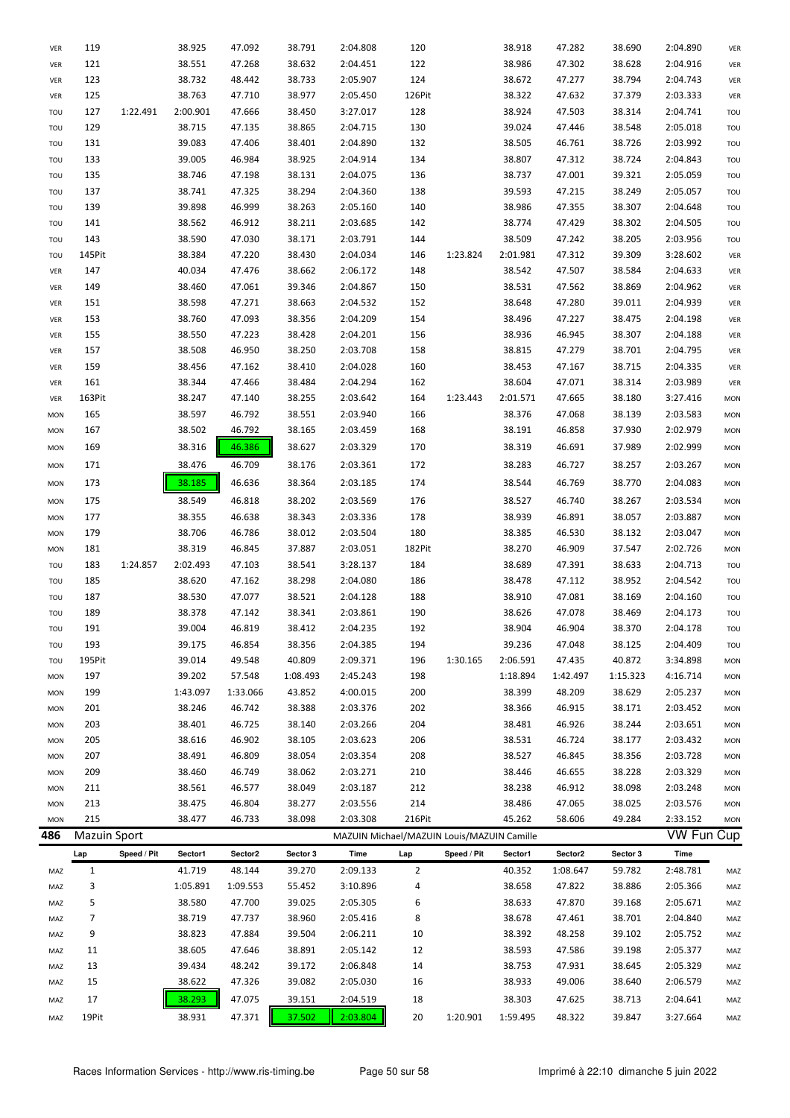| VER        | 119                 |             | 38.925   | 47.092   | 38.791   | 2:04.808                                   | 120    |             | 38.918   | 47.282   | 38.690   | 2:04.890          | VER        |
|------------|---------------------|-------------|----------|----------|----------|--------------------------------------------|--------|-------------|----------|----------|----------|-------------------|------------|
| VER        | 121                 |             | 38.551   | 47.268   | 38.632   | 2:04.451                                   | 122    |             | 38.986   | 47.302   | 38.628   | 2:04.916          | VER        |
| VER        | 123                 |             | 38.732   | 48.442   | 38.733   | 2:05.907                                   | 124    |             | 38.672   | 47.277   | 38.794   | 2:04.743          | VER        |
| VER        | 125                 |             | 38.763   | 47.710   | 38.977   | 2:05.450                                   | 126Pit |             | 38.322   | 47.632   | 37.379   | 2:03.333          | VER        |
| TOU        | 127                 | 1:22.491    | 2:00.901 | 47.666   | 38.450   | 3:27.017                                   | 128    |             | 38.924   | 47.503   | 38.314   | 2:04.741          | TOU        |
| TOU        | 129                 |             | 38.715   | 47.135   | 38.865   | 2:04.715                                   | 130    |             | 39.024   | 47.446   | 38.548   | 2:05.018          | TOU        |
| TOU        | 131                 |             | 39.083   | 47.406   | 38.401   | 2:04.890                                   | 132    |             | 38.505   | 46.761   | 38.726   | 2:03.992          | TOU        |
| TOU        | 133                 |             | 39.005   | 46.984   | 38.925   | 2:04.914                                   | 134    |             | 38.807   | 47.312   | 38.724   | 2:04.843          | TOU        |
| TOU        | 135                 |             | 38.746   | 47.198   | 38.131   | 2:04.075                                   | 136    |             | 38.737   | 47.001   | 39.321   | 2:05.059          | TOU        |
|            | 137                 |             | 38.741   | 47.325   | 38.294   | 2:04.360                                   | 138    |             | 39.593   | 47.215   | 38.249   | 2:05.057          | TOU        |
| TOU        |                     |             |          |          |          |                                            |        |             |          |          |          |                   |            |
| TOU        | 139                 |             | 39.898   | 46.999   | 38.263   | 2:05.160                                   | 140    |             | 38.986   | 47.355   | 38.307   | 2:04.648          | TOU        |
| TOU        | 141                 |             | 38.562   | 46.912   | 38.211   | 2:03.685                                   | 142    |             | 38.774   | 47.429   | 38.302   | 2:04.505          | TOU        |
| TOU        | 143                 |             | 38.590   | 47.030   | 38.171   | 2:03.791                                   | 144    |             | 38.509   | 47.242   | 38.205   | 2:03.956          | TOU        |
| TOU        | 145Pit              |             | 38.384   | 47.220   | 38.430   | 2:04.034                                   | 146    | 1:23.824    | 2:01.981 | 47.312   | 39.309   | 3:28.602          | VER        |
| VER        | 147                 |             | 40.034   | 47.476   | 38.662   | 2:06.172                                   | 148    |             | 38.542   | 47.507   | 38.584   | 2:04.633          | VER        |
| VER        | 149                 |             | 38.460   | 47.061   | 39.346   | 2:04.867                                   | 150    |             | 38.531   | 47.562   | 38.869   | 2:04.962          | VER        |
| VER        | 151                 |             | 38.598   | 47.271   | 38.663   | 2:04.532                                   | 152    |             | 38.648   | 47.280   | 39.011   | 2:04.939          | VER        |
| VER        | 153                 |             | 38.760   | 47.093   | 38.356   | 2:04.209                                   | 154    |             | 38.496   | 47.227   | 38.475   | 2:04.198          | VER        |
| VER        | 155                 |             | 38.550   | 47.223   | 38.428   | 2:04.201                                   | 156    |             | 38.936   | 46.945   | 38.307   | 2:04.188          | VER        |
| VER        | 157                 |             | 38.508   | 46.950   | 38.250   | 2:03.708                                   | 158    |             | 38.815   | 47.279   | 38.701   | 2:04.795          | VER        |
| VER        | 159                 |             | 38.456   | 47.162   | 38.410   | 2:04.028                                   | 160    |             | 38.453   | 47.167   | 38.715   | 2:04.335          | VER        |
| VER        | 161                 |             | 38.344   | 47.466   | 38.484   | 2:04.294                                   | 162    |             | 38.604   | 47.071   | 38.314   | 2:03.989          | VER        |
|            | 163Pit              |             | 38.247   | 47.140   | 38.255   | 2:03.642                                   | 164    | 1:23.443    | 2:01.571 | 47.665   | 38.180   | 3:27.416          |            |
| VER        |                     |             |          |          |          |                                            |        |             |          |          |          |                   | <b>MON</b> |
| <b>MON</b> | 165                 |             | 38.597   | 46.792   | 38.551   | 2:03.940                                   | 166    |             | 38.376   | 47.068   | 38.139   | 2:03.583          | <b>MON</b> |
| <b>MON</b> | 167                 |             | 38.502   | 46.792   | 38.165   | 2:03.459                                   | 168    |             | 38.191   | 46.858   | 37.930   | 2:02.979          | <b>MON</b> |
| <b>MON</b> | 169                 |             | 38.316   | 46.386   | 38.627   | 2:03.329                                   | 170    |             | 38.319   | 46.691   | 37.989   | 2:02.999          | <b>MON</b> |
| <b>MON</b> | 171                 |             | 38.476   | 46.709   | 38.176   | 2:03.361                                   | 172    |             | 38.283   | 46.727   | 38.257   | 2:03.267          | <b>MON</b> |
| MON        | 173                 |             | 38.185   | 46.636   | 38.364   | 2:03.185                                   | 174    |             | 38.544   | 46.769   | 38.770   | 2:04.083          | <b>MON</b> |
| <b>MON</b> | 175                 |             | 38.549   | 46.818   | 38.202   | 2:03.569                                   | 176    |             | 38.527   | 46.740   | 38.267   | 2:03.534          | <b>MON</b> |
| <b>MON</b> | 177                 |             | 38.355   | 46.638   | 38.343   | 2:03.336                                   | 178    |             | 38.939   | 46.891   | 38.057   | 2:03.887          | <b>MON</b> |
|            |                     |             |          |          |          |                                            |        |             |          |          |          |                   |            |
| <b>MON</b> | 179                 |             | 38.706   | 46.786   | 38.012   | 2:03.504                                   | 180    |             | 38.385   | 46.530   | 38.132   | 2:03.047          | <b>MON</b> |
| <b>MON</b> | 181                 |             | 38.319   | 46.845   | 37.887   | 2:03.051                                   | 182Pit |             | 38.270   | 46.909   | 37.547   | 2:02.726          | <b>MON</b> |
| TOU        | 183                 | 1:24.857    | 2:02.493 | 47.103   | 38.541   | 3:28.137                                   | 184    |             | 38.689   | 47.391   | 38.633   | 2:04.713          | TOU        |
| TOU        | 185                 |             | 38.620   | 47.162   | 38.298   | 2:04.080                                   | 186    |             | 38.478   | 47.112   | 38.952   | 2:04.542          | TOU        |
| TOU        | 187                 |             | 38.530   | 47.077   | 38.521   | 2:04.128                                   | 188    |             | 38.910   | 47.081   | 38.169   | 2:04.160          | TOU        |
| TOU        |                     |             |          |          |          |                                            |        |             |          |          |          |                   | TOU        |
| TOU        | 189                 |             | 38.378   | 47.142   | 38.341   | 2:03.861                                   | 190    |             | 38.626   | 47.078   | 38.469   | 2:04.173          |            |
|            | 191                 |             | 39.004   | 46.819   | 38.412   | 2:04.235                                   | 192    |             | 38.904   | 46.904   | 38.370   | 2:04.178          | TOU        |
| TOU        | 193                 |             | 39.175   | 46.854   | 38.356   | 2:04.385                                   | 194    |             | 39.236   | 47.048   | 38.125   | 2:04.409          | TOU        |
| TOU        | 195Pit              |             |          | 49.548   |          |                                            |        |             |          |          |          |                   |            |
|            |                     |             | 39.014   |          | 40.809   | 2:09.371                                   | 196    | 1:30.165    | 2:06.591 | 47.435   | 40.872   | 3:34.898          | <b>MON</b> |
| <b>MON</b> | 197                 |             | 39.202   | 57.548   | 1:08.493 | 2:45.243                                   | 198    |             | 1:18.894 | 1:42.497 | 1:15.323 | 4:16.714          | <b>MON</b> |
| <b>MON</b> | 199                 |             | 1:43.097 | 1:33.066 | 43.852   | 4:00.015                                   | 200    |             | 38.399   | 48.209   | 38.629   | 2:05.237          | <b>MON</b> |
| <b>MON</b> | 201                 |             | 38.246   | 46.742   | 38.388   | 2:03.376                                   | 202    |             | 38.366   | 46.915   | 38.171   | 2:03.452          | <b>MON</b> |
| <b>MON</b> | 203                 |             | 38.401   | 46.725   | 38.140   | 2:03.266                                   | 204    |             | 38.481   | 46.926   | 38.244   | 2:03.651          | <b>MON</b> |
| <b>MON</b> | 205                 |             | 38.616   | 46.902   | 38.105   | 2:03.623                                   | 206    |             | 38.531   | 46.724   | 38.177   | 2:03.432          | <b>MON</b> |
| MON        | 207                 |             | 38.491   | 46.809   | 38.054   | 2:03.354                                   | 208    |             | 38.527   | 46.845   | 38.356   | 2:03.728          | <b>MON</b> |
| MON        | 209                 |             | 38.460   | 46.749   | 38.062   | 2:03.271                                   | 210    |             | 38.446   | 46.655   | 38.228   | 2:03.329          | <b>MON</b> |
| MON        | 211                 |             | 38.561   | 46.577   | 38.049   | 2:03.187                                   | 212    |             | 38.238   | 46.912   | 38.098   | 2:03.248          | <b>MON</b> |
| <b>MON</b> | 213                 |             | 38.475   | 46.804   | 38.277   | 2:03.556                                   | 214    |             | 38.486   | 47.065   | 38.025   | 2:03.576          | <b>MON</b> |
| <b>MON</b> | 215                 |             | 38.477   | 46.733   | 38.098   | 2:03.308                                   | 216Pit |             | 45.262   | 58.606   | 49.284   | 2:33.152          | <b>MON</b> |
| 486        | <b>Mazuin Sport</b> |             |          |          |          | MAZUIN Michael/MAZUIN Louis/MAZUIN Camille |        |             |          |          |          | <b>VW Fun Cup</b> |            |
|            |                     |             |          |          |          |                                            |        |             |          |          |          |                   |            |
|            | Lap                 | Speed / Pit | Sector1  | Sector2  | Sector 3 | Time                                       | Lap    | Speed / Pit | Sector1  | Sector2  | Sector 3 | Time              |            |
| MAZ        | $\mathbf{1}$        |             | 41.719   | 48.144   | 39.270   | 2:09.133                                   | 2      |             | 40.352   | 1:08.647 | 59.782   | 2:48.781          | MAZ        |
| MAZ        | 3                   |             | 1:05.891 | 1:09.553 | 55.452   | 3:10.896                                   | 4      |             | 38.658   | 47.822   | 38.886   | 2:05.366          | MAZ        |
| MAZ        | 5                   |             | 38.580   | 47.700   | 39.025   | 2:05.305                                   | 6      |             | 38.633   | 47.870   | 39.168   | 2:05.671          | MAZ        |
| MAZ        | 7                   |             | 38.719   | 47.737   | 38.960   | 2:05.416                                   | 8      |             | 38.678   | 47.461   | 38.701   | 2:04.840          | MAZ        |
| MAZ        | 9                   |             | 38.823   | 47.884   | 39.504   | 2:06.211                                   | 10     |             | 38.392   | 48.258   | 39.102   | 2:05.752          | MAZ        |
| MAZ        | 11                  |             | 38.605   | 47.646   | 38.891   | 2:05.142                                   | 12     |             | 38.593   | 47.586   | 39.198   | 2:05.377          | MAZ        |
| MAZ        | 13                  |             | 39.434   | 48.242   | 39.172   | 2:06.848                                   | 14     |             | 38.753   | 47.931   | 38.645   | 2:05.329          | MAZ        |
| MAZ        | 15                  |             | 38.622   | 47.326   | 39.082   | 2:05.030                                   | 16     |             | 38.933   | 49.006   | 38.640   | 2:06.579          | MAZ        |
| MAZ        | 17                  |             | 38.293   | 47.075   | 39.151   | 2:04.519                                   | 18     |             | 38.303   | 47.625   | 38.713   | 2:04.641          | MAZ        |
| MAZ        | 19Pit               |             | 38.931   | 47.371   | 37.502   | 2:03.804                                   | 20     | 1:20.901    | 1:59.495 | 48.322   | 39.847   | 3:27.664          | MAZ        |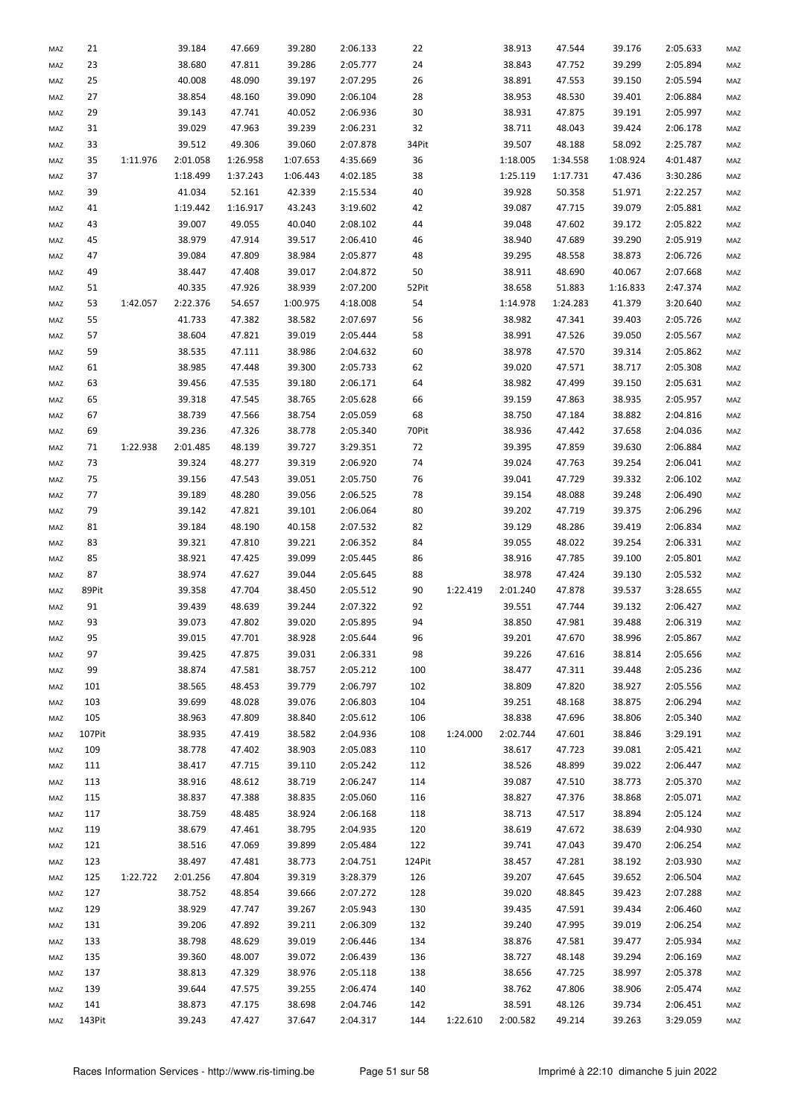| MAZ | 21     |          | 39.184   | 47.669   | 39.280   | 2:06.133 | 22     |          | 38.913   | 47.544   | 39.176   | 2:05.633 | MAZ |
|-----|--------|----------|----------|----------|----------|----------|--------|----------|----------|----------|----------|----------|-----|
| MAZ | 23     |          | 38.680   | 47.811   | 39.286   | 2:05.777 | 24     |          | 38.843   | 47.752   | 39.299   | 2:05.894 | MAZ |
| MAZ | 25     |          | 40.008   | 48.090   | 39.197   | 2:07.295 | 26     |          | 38.891   | 47.553   | 39.150   | 2:05.594 | MAZ |
| MAZ | 27     |          | 38.854   | 48.160   | 39.090   | 2:06.104 | 28     |          | 38.953   | 48.530   | 39.401   | 2:06.884 | MAZ |
| MAZ | 29     |          | 39.143   | 47.741   | 40.052   | 2:06.936 | 30     |          | 38.931   | 47.875   | 39.191   | 2:05.997 | MAZ |
| MAZ | 31     |          | 39.029   | 47.963   | 39.239   | 2:06.231 | 32     |          | 38.711   | 48.043   | 39.424   | 2:06.178 | MAZ |
| MAZ | 33     |          | 39.512   | 49.306   | 39.060   | 2:07.878 | 34Pit  |          | 39.507   | 48.188   | 58.092   | 2:25.787 | MAZ |
| MAZ | 35     | 1:11.976 | 2:01.058 | 1:26.958 | 1:07.653 | 4:35.669 | 36     |          | 1:18.005 | 1:34.558 | 1:08.924 | 4:01.487 | MAZ |
| MAZ | 37     |          | 1:18.499 | 1:37.243 | 1:06.443 | 4:02.185 | 38     |          | 1:25.119 | 1:17.731 | 47.436   | 3:30.286 | MAZ |
| MAZ | 39     |          | 41.034   | 52.161   | 42.339   | 2:15.534 | 40     |          | 39.928   | 50.358   | 51.971   | 2:22.257 | MAZ |
| MAZ | 41     |          | 1:19.442 | 1:16.917 | 43.243   | 3:19.602 | 42     |          | 39.087   | 47.715   | 39.079   | 2:05.881 | MAZ |
| MAZ | 43     |          | 39.007   | 49.055   | 40.040   | 2:08.102 | 44     |          | 39.048   | 47.602   | 39.172   | 2:05.822 | MAZ |
| MAZ | 45     |          | 38.979   | 47.914   | 39.517   | 2:06.410 | 46     |          | 38.940   | 47.689   | 39.290   | 2:05.919 | MAZ |
| MAZ | 47     |          | 39.084   | 47.809   | 38.984   | 2:05.877 | 48     |          | 39.295   | 48.558   | 38.873   | 2:06.726 | MAZ |
| MAZ | 49     |          | 38.447   | 47.408   | 39.017   | 2:04.872 | 50     |          | 38.911   | 48.690   | 40.067   | 2:07.668 | MAZ |
| MAZ | 51     |          | 40.335   | 47.926   | 38.939   | 2:07.200 | 52Pit  |          | 38.658   | 51.883   | 1:16.833 | 2:47.374 | MAZ |
| MAZ | 53     | 1:42.057 | 2:22.376 | 54.657   | 1:00.975 | 4:18.008 | 54     |          | 1:14.978 | 1:24.283 | 41.379   | 3:20.640 | MAZ |
| MAZ | 55     |          | 41.733   | 47.382   | 38.582   | 2:07.697 | 56     |          | 38.982   | 47.341   | 39.403   | 2:05.726 | MAZ |
| MAZ | 57     |          | 38.604   | 47.821   | 39.019   | 2:05.444 | 58     |          | 38.991   | 47.526   | 39.050   | 2:05.567 | MAZ |
| MAZ | 59     |          | 38.535   | 47.111   | 38.986   | 2:04.632 | 60     |          | 38.978   | 47.570   | 39.314   | 2:05.862 | MAZ |
| MAZ | 61     |          | 38.985   | 47.448   | 39.300   | 2:05.733 | 62     |          | 39.020   | 47.571   | 38.717   | 2:05.308 | MAZ |
| MAZ | 63     |          | 39.456   | 47.535   | 39.180   | 2:06.171 | 64     |          | 38.982   | 47.499   | 39.150   | 2:05.631 | MAZ |
| MAZ | 65     |          | 39.318   | 47.545   | 38.765   | 2:05.628 | 66     |          | 39.159   | 47.863   | 38.935   | 2:05.957 | MAZ |
| MAZ | 67     |          | 38.739   | 47.566   | 38.754   | 2:05.059 | 68     |          | 38.750   | 47.184   | 38.882   | 2:04.816 | MAZ |
|     | 69     |          | 39.236   | 47.326   | 38.778   | 2:05.340 | 70Pit  |          | 38.936   | 47.442   | 37.658   | 2:04.036 | MAZ |
| MAZ |        | 1:22.938 |          |          |          |          |        |          |          |          |          |          |     |
| MAZ | 71     |          | 2:01.485 | 48.139   | 39.727   | 3:29.351 | 72     |          | 39.395   | 47.859   | 39.630   | 2:06.884 | MAZ |
| MAZ | 73     |          | 39.324   | 48.277   | 39.319   | 2:06.920 | 74     |          | 39.024   | 47.763   | 39.254   | 2:06.041 | MAZ |
| MAZ | 75     |          | 39.156   | 47.543   | 39.051   | 2:05.750 | 76     |          | 39.041   | 47.729   | 39.332   | 2:06.102 | MAZ |
| MAZ | 77     |          | 39.189   | 48.280   | 39.056   | 2:06.525 | 78     |          | 39.154   | 48.088   | 39.248   | 2:06.490 | MAZ |
| MAZ | 79     |          | 39.142   | 47.821   | 39.101   | 2:06.064 | 80     |          | 39.202   | 47.719   | 39.375   | 2:06.296 | MAZ |
| MAZ | 81     |          | 39.184   | 48.190   | 40.158   | 2:07.532 | 82     |          | 39.129   | 48.286   | 39.419   | 2:06.834 | MAZ |
| MAZ | 83     |          | 39.321   | 47.810   | 39.221   | 2:06.352 | 84     |          | 39.055   | 48.022   | 39.254   | 2:06.331 | MAZ |
| MAZ | 85     |          | 38.921   | 47.425   | 39.099   | 2:05.445 | 86     |          | 38.916   | 47.785   | 39.100   | 2:05.801 | MAZ |
| MAZ | 87     |          | 38.974   | 47.627   | 39.044   | 2:05.645 | 88     |          | 38.978   | 47.424   | 39.130   | 2:05.532 | MAZ |
| MAZ | 89Pit  |          | 39.358   | 47.704   | 38.450   | 2:05.512 | 90     | 1:22.419 | 2:01.240 | 47.878   | 39.537   | 3:28.655 | MAZ |
| MAZ | 91     |          | 39.439   | 48.639   | 39.244   | 2:07.322 | 92     |          | 39.551   | 47.744   | 39.132   | 2:06.427 | MAZ |
| MAZ | 93     |          | 39.073   | 47.802   | 39.020   | 2:05.895 | 94     |          | 38.850   | 47.981   | 39.488   | 2:06.319 | MAZ |
| MAZ | 95     |          | 39.015   | 47.701   | 38.928   | 2:05.644 | 96     |          | 39.201   | 47.670   | 38.996   | 2:05.867 | MAZ |
| MAZ | 97     |          | 39.425   | 47.875   | 39.031   | 2:06.331 | 98     |          | 39.226   | 47.616   | 38.814   | 2:05.656 | MAZ |
| MAZ | 99     |          | 38.874   | 47.581   | 38.757   | 2:05.212 | 100    |          | 38.477   | 47.311   | 39.448   | 2:05.236 | MAZ |
| MAZ | 101    |          | 38.565   | 48.453   | 39.779   | 2:06.797 | 102    |          | 38.809   | 47.820   | 38.927   | 2:05.556 | MAZ |
| MAZ | 103    |          | 39.699   | 48.028   | 39.076   | 2:06.803 | 104    |          | 39.251   | 48.168   | 38.875   | 2:06.294 | MAZ |
| MAZ | 105    |          | 38.963   | 47.809   | 38.840   | 2:05.612 | 106    |          | 38.838   | 47.696   | 38.806   | 2:05.340 | MAZ |
| MAZ | 107Pit |          | 38.935   | 47.419   | 38.582   | 2:04.936 | 108    | 1:24.000 | 2:02.744 | 47.601   | 38.846   | 3:29.191 | MAZ |
| MAZ | 109    |          | 38.778   | 47.402   | 38.903   | 2:05.083 | 110    |          | 38.617   | 47.723   | 39.081   | 2:05.421 | MAZ |
| MAZ | 111    |          | 38.417   | 47.715   | 39.110   | 2:05.242 | 112    |          | 38.526   | 48.899   | 39.022   | 2:06.447 | MAZ |
| MAZ | 113    |          | 38.916   | 48.612   | 38.719   | 2:06.247 | 114    |          | 39.087   | 47.510   | 38.773   | 2:05.370 | MAZ |
| MAZ | 115    |          | 38.837   | 47.388   | 38.835   | 2:05.060 | 116    |          | 38.827   | 47.376   | 38.868   | 2:05.071 | MAZ |
| MAZ | 117    |          | 38.759   | 48.485   | 38.924   | 2:06.168 | 118    |          | 38.713   | 47.517   | 38.894   | 2:05.124 | MAZ |
| MAZ | 119    |          | 38.679   | 47.461   | 38.795   | 2:04.935 | 120    |          | 38.619   | 47.672   | 38.639   | 2:04.930 | MAZ |
| MAZ | 121    |          | 38.516   | 47.069   | 39.899   | 2:05.484 | 122    |          | 39.741   | 47.043   | 39.470   | 2:06.254 | MAZ |
| MAZ | 123    |          | 38.497   | 47.481   | 38.773   | 2:04.751 | 124Pit |          | 38.457   | 47.281   | 38.192   | 2:03.930 | MAZ |
| MAZ | 125    | 1:22.722 | 2:01.256 | 47.804   | 39.319   | 3:28.379 | 126    |          | 39.207   | 47.645   | 39.652   | 2:06.504 | MAZ |
| MAZ | 127    |          | 38.752   | 48.854   | 39.666   | 2:07.272 | 128    |          | 39.020   | 48.845   | 39.423   | 2:07.288 | MAZ |
| MAZ | 129    |          | 38.929   | 47.747   | 39.267   | 2:05.943 | 130    |          | 39.435   | 47.591   | 39.434   | 2:06.460 | MAZ |
| MAZ | 131    |          | 39.206   | 47.892   | 39.211   | 2:06.309 | 132    |          | 39.240   | 47.995   | 39.019   | 2:06.254 | MAZ |
| MAZ | 133    |          | 38.798   | 48.629   | 39.019   | 2:06.446 | 134    |          | 38.876   | 47.581   | 39.477   | 2:05.934 | MAZ |
| MAZ | 135    |          | 39.360   | 48.007   | 39.072   | 2:06.439 | 136    |          | 38.727   | 48.148   | 39.294   | 2:06.169 | MAZ |
| MAZ | 137    |          | 38.813   | 47.329   | 38.976   | 2:05.118 | 138    |          | 38.656   | 47.725   | 38.997   | 2:05.378 | MAZ |
| MAZ | 139    |          | 39.644   | 47.575   | 39.255   | 2:06.474 | 140    |          | 38.762   | 47.806   | 38.906   | 2:05.474 | MAZ |
| MAZ | 141    |          | 38.873   | 47.175   | 38.698   | 2:04.746 | 142    |          | 38.591   | 48.126   | 39.734   | 2:06.451 | MAZ |
| MAZ | 143Pit |          | 39.243   | 47.427   | 37.647   | 2:04.317 | 144    | 1:22.610 | 2:00.582 | 49.214   | 39.263   | 3:29.059 | MAZ |
|     |        |          |          |          |          |          |        |          |          |          |          |          |     |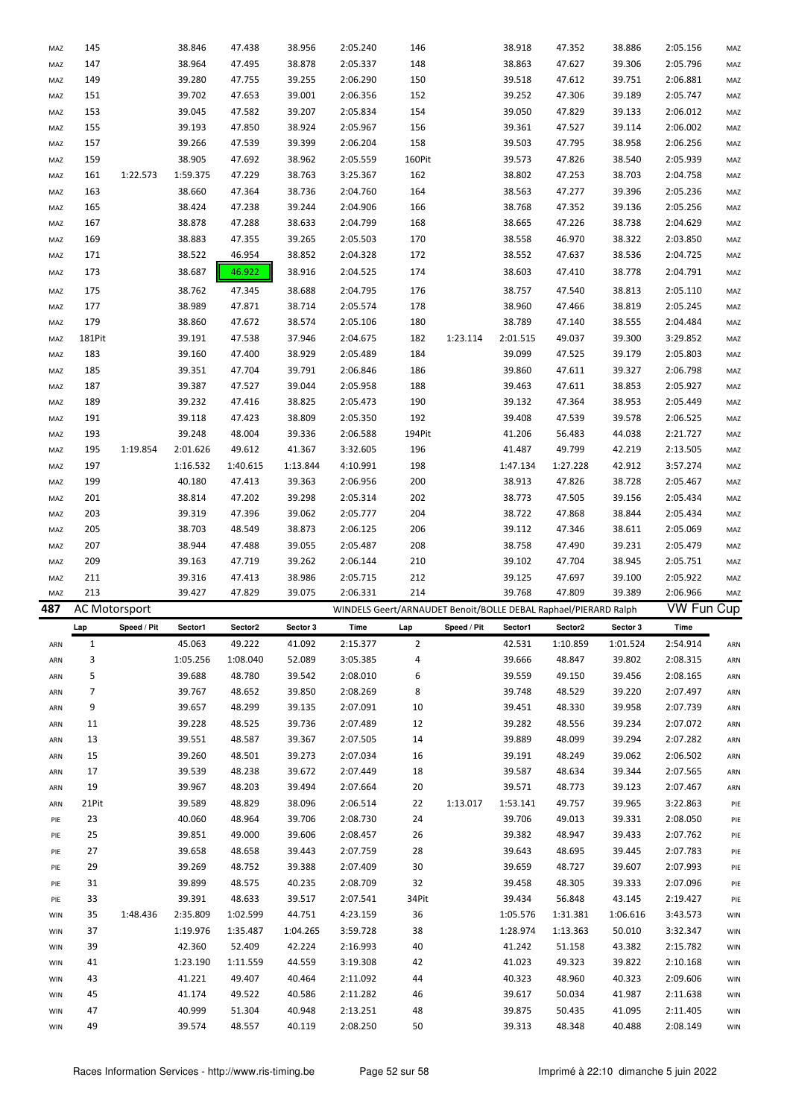| MAZ        | 145      |                      | 38.846           | 47.438           | 38.956           | 2:05.240                                                        | 146            |             | 38.918           | 47.352           | 38.886           | 2:05.156             | MAZ               |
|------------|----------|----------------------|------------------|------------------|------------------|-----------------------------------------------------------------|----------------|-------------|------------------|------------------|------------------|----------------------|-------------------|
| MAZ        | 147      |                      | 38.964           | 47.495           | 38.878           | 2:05.337                                                        | 148            |             | 38.863           | 47.627           | 39.306           | 2:05.796             | MAZ               |
| MAZ        | 149      |                      | 39.280           | 47.755           | 39.255           | 2:06.290                                                        | 150            |             | 39.518           | 47.612           | 39.751           | 2:06.881             | MAZ               |
| MAZ        | 151      |                      | 39.702           | 47.653           | 39.001           | 2:06.356                                                        | 152            |             | 39.252           | 47.306           | 39.189           | 2:05.747             | MAZ               |
| MAZ        | 153      |                      | 39.045           | 47.582           | 39.207           | 2:05.834                                                        | 154            |             | 39.050           | 47.829           | 39.133           | 2:06.012             | MAZ               |
| MAZ        | 155      |                      | 39.193           | 47.850           | 38.924           | 2:05.967                                                        | 156            |             | 39.361           | 47.527           | 39.114           | 2:06.002             | MAZ               |
| MAZ        | 157      |                      | 39.266           | 47.539           | 39.399           | 2:06.204                                                        | 158            |             | 39.503           | 47.795           | 38.958           | 2:06.256             | MAZ               |
| MAZ        | 159      |                      | 38.905           | 47.692           | 38.962           | 2:05.559                                                        | 160Pit         |             | 39.573           | 47.826           | 38.540           | 2:05.939             | MAZ               |
| MAZ        | 161      | 1:22.573             | 1:59.375         | 47.229           | 38.763           | 3:25.367                                                        | 162            |             | 38.802           | 47.253           | 38.703           | 2:04.758             | MAZ               |
| MAZ        | 163      |                      | 38.660           | 47.364           | 38.736           | 2:04.760                                                        | 164            |             | 38.563           | 47.277           | 39.396           | 2:05.236             | MAZ               |
| MAZ        | 165      |                      | 38.424           | 47.238           | 39.244           | 2:04.906                                                        | 166            |             | 38.768           | 47.352           | 39.136           | 2:05.256             | MAZ               |
| MAZ        | 167      |                      | 38.878           | 47.288           | 38.633           | 2:04.799                                                        | 168            |             | 38.665           | 47.226           | 38.738           | 2:04.629             | MAZ               |
| MAZ        | 169      |                      | 38.883           | 47.355           | 39.265           | 2:05.503                                                        | 170            |             | 38.558           | 46.970           | 38.322           | 2:03.850             | MAZ               |
| MAZ        | 171      |                      | 38.522           | 46.954           | 38.852           | 2:04.328                                                        | 172            |             | 38.552           | 47.637           | 38.536           | 2:04.725             | MAZ               |
|            |          |                      |                  |                  |                  |                                                                 |                |             |                  |                  |                  |                      |                   |
| MAZ        | 173      |                      | 38.687           | 46.922           | 38.916           | 2:04.525                                                        | 174            |             | 38.603           | 47.410           | 38.778           | 2:04.791             | MAZ               |
| MAZ        | 175      |                      | 38.762           | 47.345           | 38.688           | 2:04.795                                                        | 176            |             | 38.757           | 47.540           | 38.813           | 2:05.110             | MAZ               |
| MAZ        | 177      |                      | 38.989           | 47.871           | 38.714           | 2:05.574                                                        | 178            |             | 38.960           | 47.466           | 38.819           | 2:05.245             | MAZ               |
| MAZ        | 179      |                      | 38.860           | 47.672           | 38.574           | 2:05.106                                                        | 180            |             | 38.789           | 47.140           | 38.555           | 2:04.484             | MAZ               |
| MAZ        | 181Pit   |                      | 39.191           | 47.538           | 37.946           | 2:04.675                                                        | 182            | 1:23.114    | 2:01.515         | 49.037           | 39.300           | 3:29.852             | MAZ               |
| MAZ        | 183      |                      | 39.160           | 47.400           | 38.929           | 2:05.489                                                        | 184            |             | 39.099           | 47.525           | 39.179           | 2:05.803             | MAZ               |
| MAZ        | 185      |                      | 39.351           | 47.704           | 39.791           | 2:06.846                                                        | 186            |             | 39.860           | 47.611           | 39.327           | 2:06.798             | MAZ               |
| MAZ        | 187      |                      | 39.387           | 47.527           | 39.044           | 2:05.958                                                        | 188            |             | 39.463           | 47.611           | 38.853           | 2:05.927             | MAZ               |
| MAZ        | 189      |                      | 39.232           | 47.416           | 38.825           | 2:05.473                                                        | 190            |             | 39.132           | 47.364           | 38.953           | 2:05.449             | MAZ               |
| MAZ        | 191      |                      | 39.118           | 47.423           | 38.809           | 2:05.350                                                        | 192            |             | 39.408           | 47.539           | 39.578           | 2:06.525             | MAZ               |
| MAZ        | 193      |                      | 39.248           | 48.004           | 39.336           | 2:06.588                                                        | 194Pit         |             | 41.206           | 56.483           | 44.038           | 2:21.727             | MAZ               |
| MAZ        | 195      | 1:19.854             | 2:01.626         | 49.612           | 41.367           | 3:32.605                                                        | 196            |             | 41.487           | 49.799           | 42.219           | 2:13.505             | MAZ               |
| MAZ        | 197      |                      | 1:16.532         | 1:40.615         | 1:13.844         | 4:10.991                                                        | 198            |             | 1:47.134         | 1:27.228         | 42.912           | 3:57.274             | MAZ               |
| MAZ        | 199      |                      | 40.180           | 47.413           | 39.363           | 2:06.956                                                        | 200            |             | 38.913           | 47.826           | 38.728           | 2:05.467             | MAZ               |
| MAZ        | 201      |                      | 38.814           | 47.202           | 39.298           | 2:05.314                                                        | 202            |             | 38.773           | 47.505           | 39.156           | 2:05.434             | MAZ               |
| MAZ        | 203      |                      | 39.319           | 47.396           | 39.062           | 2:05.777                                                        | 204            |             | 38.722           | 47.868           | 38.844           | 2:05.434             | MAZ               |
| MAZ        | 205      |                      | 38.703           | 48.549           | 38.873           |                                                                 |                |             | 39.112           | 47.346           | 38.611           | 2:05.069             | MAZ               |
|            |          |                      |                  |                  |                  |                                                                 |                |             |                  |                  |                  |                      |                   |
|            |          |                      |                  |                  |                  | 2:06.125                                                        | 206            |             |                  |                  |                  |                      |                   |
| MAZ        | 207      |                      | 38.944           | 47.488           | 39.055           | 2:05.487                                                        | 208            |             | 38.758           | 47.490           | 39.231           | 2:05.479             | MAZ               |
| MAZ        | 209      |                      | 39.163           | 47.719           | 39.262           | 2:06.144                                                        | 210            |             | 39.102           | 47.704           | 38.945           | 2:05.751             | MAZ               |
| MAZ        | 211      |                      | 39.316           | 47.413           | 38.986           | 2:05.715                                                        | 212            |             | 39.125           | 47.697           | 39.100           | 2:05.922             | MAZ               |
| MAZ        | 213      |                      | 39.427           | 47.829           | 39.075           | 2:06.331                                                        | 214            |             | 39.768           | 47.809           | 39.389           | 2:06.966             | MAZ               |
| 487        |          | <b>AC Motorsport</b> |                  |                  |                  | WINDELS Geert/ARNAUDET Benoit/BOLLE DEBAL Raphael/PIERARD Ralph |                |             |                  |                  |                  | VW Fun Cup           |                   |
|            | Lap      | Speed / Pit          | Sector1          | Sector2          | Sector 3         | Time                                                            | Lap            | Speed / Pit | Sector1          | Sector2          | Sector 3         | Time                 |                   |
| ARN        | 1        |                      | 45.063           | 49.222           | 41.092           | 2:15.377                                                        | $\overline{2}$ |             | 42.531           | 1:10.859         | 1:01.524         | 2:54.914             | ARN               |
| ARN        | 3        |                      | 1:05.256         | 1:08.040         | 52.089           | 3:05.385                                                        | 4              |             | 39.666           | 48.847           | 39.802           | 2:08.315             | ARN               |
| ARN        | 5        |                      | 39.688           | 48.780           | 39.542           | 2:08.010                                                        | 6              |             | 39.559           | 49.150           | 39.456           | 2:08.165             | ARN               |
| ARN        | 7        |                      | 39.767           | 48.652           | 39.850           | 2:08.269                                                        | 8              |             | 39.748           | 48.529           | 39.220           | 2:07.497             | ARN               |
| ARN        | 9        |                      | 39.657           | 48.299           | 39.135           | 2:07.091                                                        | 10             |             | 39.451           | 48.330           | 39.958           | 2:07.739             | ARN               |
| ARN        | 11       |                      | 39.228           | 48.525           | 39.736           | 2:07.489                                                        | 12             |             | 39.282           | 48.556           | 39.234           | 2:07.072             | ARN               |
| ARN        | 13       |                      | 39.551           | 48.587           | 39.367           | 2:07.505                                                        | 14             |             | 39.889           | 48.099           | 39.294           | 2:07.282             | ARN               |
| ARN        | 15       |                      | 39.260           | 48.501           | 39.273           | 2:07.034                                                        | 16             |             | 39.191           | 48.249           | 39.062           | 2:06.502             | ARN               |
| ARN        | 17       |                      | 39.539           | 48.238           | 39.672           | 2:07.449                                                        | 18             |             | 39.587           | 48.634           | 39.344           | 2:07.565             | ARN               |
| ARN        | 19       |                      | 39.967           | 48.203           | 39.494           | 2:07.664                                                        | 20             |             | 39.571           | 48.773           | 39.123           | 2:07.467             | ARN               |
| ARN        | 21Pit    |                      | 39.589           | 48.829           | 38.096           | 2:06.514                                                        | 22             | 1:13.017    | 1:53.141         | 49.757           | 39.965           | 3:22.863             | PIE               |
| PIE        | 23       |                      | 40.060           | 48.964           | 39.706           | 2:08.730                                                        | 24             |             | 39.706           | 49.013           | 39.331           | 2:08.050             | PIE               |
| PIE        | 25       |                      | 39.851           | 49.000           | 39.606           | 2:08.457                                                        | 26             |             | 39.382           | 48.947           | 39.433           | 2:07.762             | PIE               |
| PIE        | 27       |                      | 39.658           | 48.658           | 39.443           | 2:07.759                                                        | 28             |             | 39.643           | 48.695           | 39.445           | 2:07.783             | PIE               |
|            | 29       |                      |                  |                  |                  |                                                                 |                |             | 39.659           |                  |                  |                      |                   |
| PIE<br>PIE | 31       |                      | 39.269<br>39.899 | 48.752<br>48.575 | 39.388<br>40.235 | 2:07.409<br>2:08.709                                            | 30<br>32       |             | 39.458           | 48.727<br>48.305 | 39.607<br>39.333 | 2:07.993<br>2:07.096 | PIE<br>PIE        |
|            |          |                      |                  |                  |                  |                                                                 |                |             |                  |                  |                  |                      |                   |
| PIE        | 33       |                      | 39.391           | 48.633           | 39.517           | 2:07.541                                                        | 34Pit          |             | 39.434           | 56.848           | 43.145           | 2:19.427             | PIE               |
| WIN        | 35       | 1:48.436             | 2:35.809         | 1:02.599         | 44.751           | 4:23.159                                                        | 36             |             | 1:05.576         | 1:31.381         | 1:06.616         | 3:43.573             | WIN               |
| WIN        | 37       |                      | 1:19.976         | 1:35.487         | 1:04.265         | 3:59.728                                                        | 38             |             | 1:28.974         | 1:13.363         | 50.010           | 3:32.347             | WIN               |
| WIN        | 39       |                      | 42.360           | 52.409           | 42.224           | 2:16.993                                                        | 40             |             | 41.242           | 51.158           | 43.382           | 2:15.782             | WIN               |
| WIN        | 41       |                      | 1:23.190         | 1:11.559         | 44.559           | 3:19.308                                                        | 42             |             | 41.023           | 49.323           | 39.822           | 2:10.168             | WIN               |
| WIN        | 43       |                      | 41.221           | 49.407           | 40.464           | 2:11.092                                                        | 44             |             | 40.323           | 48.960           | 40.323           | 2:09.606             | WIN               |
| WIN        | 45       |                      | 41.174           | 49.522           | 40.586           | 2:11.282                                                        | 46             |             | 39.617           | 50.034           | 41.987           | 2:11.638             | WIN               |
| WIN<br>WIN | 47<br>49 |                      | 40.999<br>39.574 | 51.304<br>48.557 | 40.948<br>40.119 | 2:13.251<br>2:08.250                                            | 48<br>50       |             | 39.875<br>39.313 | 50.435<br>48.348 | 41.095<br>40.488 | 2:11.405<br>2:08.149 | <b>WIN</b><br>WIN |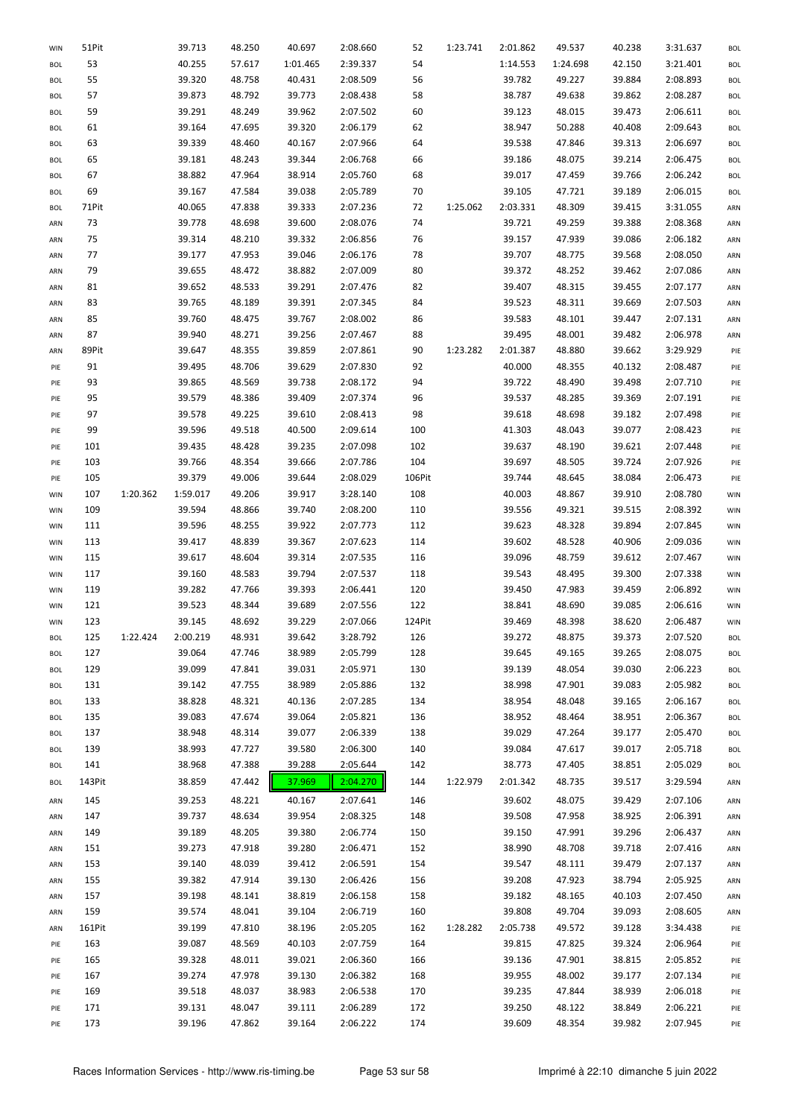| <b>WIN</b> | 51Pit  |          | 39.713   | 48.250 | 40.697   | 2:08.660 | 52     | 1:23.741 | 2:01.862 | 49.537   | 40.238 | 3:31.637 | <b>BOL</b> |
|------------|--------|----------|----------|--------|----------|----------|--------|----------|----------|----------|--------|----------|------------|
| <b>BOL</b> | 53     |          | 40.255   | 57.617 | 1:01.465 | 2:39.337 | 54     |          | 1:14.553 | 1:24.698 | 42.150 | 3:21.401 | <b>BOL</b> |
| <b>BOL</b> | 55     |          | 39.320   | 48.758 | 40.431   | 2:08.509 | 56     |          | 39.782   | 49.227   | 39.884 | 2:08.893 | <b>BOL</b> |
| <b>BOL</b> | 57     |          | 39.873   | 48.792 | 39.773   | 2:08.438 | 58     |          | 38.787   | 49.638   | 39.862 | 2:08.287 | <b>BOL</b> |
| <b>BOL</b> | 59     |          | 39.291   | 48.249 | 39.962   | 2:07.502 | 60     |          | 39.123   | 48.015   | 39.473 | 2:06.611 | <b>BOL</b> |
| <b>BOL</b> | 61     |          | 39.164   | 47.695 | 39.320   | 2:06.179 | 62     |          | 38.947   | 50.288   | 40.408 | 2:09.643 | <b>BOL</b> |
| <b>BOL</b> | 63     |          | 39.339   | 48.460 | 40.167   | 2:07.966 | 64     |          | 39.538   | 47.846   | 39.313 | 2:06.697 | <b>BOL</b> |
| <b>BOL</b> | 65     |          | 39.181   | 48.243 | 39.344   | 2:06.768 | 66     |          | 39.186   | 48.075   | 39.214 | 2:06.475 | <b>BOL</b> |
|            |        |          |          |        |          |          |        |          |          |          |        |          |            |
| <b>BOL</b> | 67     |          | 38.882   | 47.964 | 38.914   | 2:05.760 | 68     |          | 39.017   | 47.459   | 39.766 | 2:06.242 | <b>BOL</b> |
| <b>BOL</b> | 69     |          | 39.167   | 47.584 | 39.038   | 2:05.789 | 70     |          | 39.105   | 47.721   | 39.189 | 2:06.015 | <b>BOL</b> |
| <b>BOL</b> | 71Pit  |          | 40.065   | 47.838 | 39.333   | 2:07.236 | 72     | 1:25.062 | 2:03.331 | 48.309   | 39.415 | 3:31.055 | ARN        |
| ARN        | 73     |          | 39.778   | 48.698 | 39.600   | 2:08.076 | 74     |          | 39.721   | 49.259   | 39.388 | 2:08.368 | ARN        |
| ARN        | 75     |          | 39.314   | 48.210 | 39.332   | 2:06.856 | 76     |          | 39.157   | 47.939   | 39.086 | 2:06.182 | ARN        |
| ARN        | 77     |          | 39.177   | 47.953 | 39.046   | 2:06.176 | 78     |          | 39.707   | 48.775   | 39.568 | 2:08.050 | ARN        |
| ARN        | 79     |          | 39.655   | 48.472 | 38.882   | 2:07.009 | 80     |          | 39.372   | 48.252   | 39.462 | 2:07.086 | ARN        |
| ARN        | 81     |          | 39.652   | 48.533 | 39.291   | 2:07.476 | 82     |          | 39.407   | 48.315   | 39.455 | 2:07.177 | ARN        |
|            | 83     |          | 39.765   |        |          |          |        |          |          |          |        |          |            |
| ARN        |        |          |          | 48.189 | 39.391   | 2:07.345 | 84     |          | 39.523   | 48.311   | 39.669 | 2:07.503 | ARN        |
| ARN        | 85     |          | 39.760   | 48.475 | 39.767   | 2:08.002 | 86     |          | 39.583   | 48.101   | 39.447 | 2:07.131 | ARN        |
| ARN        | 87     |          | 39.940   | 48.271 | 39.256   | 2:07.467 | 88     |          | 39.495   | 48.001   | 39.482 | 2:06.978 | ARN        |
| ARN        | 89Pit  |          | 39.647   | 48.355 | 39.859   | 2:07.861 | 90     | 1:23.282 | 2:01.387 | 48.880   | 39.662 | 3:29.929 | PIE        |
| PIE        | 91     |          | 39.495   | 48.706 | 39.629   | 2:07.830 | 92     |          | 40.000   | 48.355   | 40.132 | 2:08.487 | PIE        |
| PIE        | 93     |          | 39.865   | 48.569 | 39.738   | 2:08.172 | 94     |          | 39.722   | 48.490   | 39.498 | 2:07.710 | PIE        |
| PIE        | 95     |          | 39.579   | 48.386 | 39.409   | 2:07.374 | 96     |          | 39.537   | 48.285   | 39.369 | 2:07.191 | PIE        |
| PIE        | 97     |          | 39.578   | 49.225 | 39.610   | 2:08.413 | 98     |          | 39.618   | 48.698   | 39.182 | 2:07.498 | PIE        |
| PIE        | 99     |          | 39.596   | 49.518 | 40.500   | 2:09.614 | 100    |          | 41.303   | 48.043   | 39.077 | 2:08.423 | PIE        |
| PIE        | 101    |          | 39.435   | 48.428 | 39.235   | 2:07.098 | 102    |          | 39.637   | 48.190   | 39.621 | 2:07.448 | PIE        |
| PIE        | 103    |          | 39.766   | 48.354 | 39.666   | 2:07.786 | 104    |          | 39.697   | 48.505   | 39.724 | 2:07.926 | PIE        |
|            | 105    |          | 39.379   | 49.006 | 39.644   | 2:08.029 | 106Pit |          | 39.744   | 48.645   | 38.084 | 2:06.473 | PIE        |
| PIE        |        |          |          |        |          |          |        |          |          |          |        |          |            |
| <b>WIN</b> | 107    | 1:20.362 | 1:59.017 | 49.206 | 39.917   | 3:28.140 | 108    |          | 40.003   | 48.867   | 39.910 | 2:08.780 | WIN        |
| <b>WIN</b> | 109    |          | 39.594   | 48.866 | 39.740   | 2:08.200 | 110    |          | 39.556   | 49.321   | 39.515 | 2:08.392 | WIN        |
| WIN        | 111    |          | 39.596   | 48.255 | 39.922   | 2:07.773 | 112    |          | 39.623   | 48.328   | 39.894 | 2:07.845 | WIN        |
| <b>WIN</b> | 113    |          | 39.417   | 48.839 | 39.367   | 2:07.623 | 114    |          | 39.602   | 48.528   | 40.906 | 2:09.036 | WIN        |
| <b>WIN</b> | 115    |          | 39.617   | 48.604 | 39.314   | 2:07.535 | 116    |          | 39.096   | 48.759   | 39.612 | 2:07.467 | WIN        |
| <b>WIN</b> | 117    |          | 39.160   | 48.583 | 39.794   | 2:07.537 | 118    |          | 39.543   | 48.495   | 39.300 | 2:07.338 | WIN        |
| <b>WIN</b> | 119    |          | 39.282   | 47.766 | 39.393   | 2:06.441 | 120    |          | 39.450   | 47.983   | 39.459 | 2:06.892 | WIN        |
| <b>WIN</b> | 121    |          | 39.523   | 48.344 | 39.689   | 2:07.556 | 122    |          | 38.841   | 48.690   | 39.085 | 2:06.616 | WIN        |
| <b>WIN</b> | 123    |          | 39.145   | 48.692 | 39.229   | 2:07.066 | 124Pit |          | 39.469   | 48.398   | 38.620 | 2:06.487 | WIN        |
| <b>BOL</b> | 125    | 1:22.424 | 2:00.219 | 48.931 | 39.642   | 3:28.792 | 126    |          | 39.272   | 48.875   | 39.373 | 2:07.520 | <b>BOL</b> |
| BOL        | 127    |          | 39.064   | 47.746 | 38.989   | 2:05.799 | 128    |          | 39.645   | 49.165   | 39.265 | 2:08.075 | <b>BOL</b> |
| <b>BOL</b> | 129    |          | 39.099   | 47.841 | 39.031   | 2:05.971 | 130    |          | 39.139   | 48.054   | 39.030 | 2:06.223 | <b>BOL</b> |
| <b>BOL</b> | 131    |          | 39.142   | 47.755 | 38.989   | 2:05.886 | 132    |          | 38.998   | 47.901   | 39.083 | 2:05.982 | <b>BOL</b> |
| <b>BOL</b> | 133    |          | 38.828   | 48.321 | 40.136   | 2:07.285 | 134    |          | 38.954   | 48.048   | 39.165 | 2:06.167 | <b>BOL</b> |
|            |        |          |          |        |          |          |        |          |          |          |        |          |            |
| <b>BOL</b> | 135    |          | 39.083   | 47.674 | 39.064   | 2:05.821 | 136    |          | 38.952   | 48.464   | 38.951 | 2:06.367 | <b>BOL</b> |
| <b>BOL</b> | 137    |          | 38.948   | 48.314 | 39.077   | 2:06.339 | 138    |          | 39.029   | 47.264   | 39.177 | 2:05.470 | <b>BOL</b> |
| <b>BOL</b> | 139    |          | 38.993   | 47.727 | 39.580   | 2:06.300 | 140    |          | 39.084   | 47.617   | 39.017 | 2:05.718 | <b>BOL</b> |
| <b>BOL</b> | 141    |          | 38.968   | 47.388 | 39.288   | 2:05.644 | 142    |          | 38.773   | 47.405   | 38.851 | 2:05.029 | <b>BOL</b> |
| <b>BOL</b> | 143Pit |          | 38.859   | 47.442 | 37.969   | 2:04.270 | 144    | 1:22.979 | 2:01.342 | 48.735   | 39.517 | 3:29.594 | ARN        |
| ARN        | 145    |          | 39.253   | 48.221 | 40.167   | 2:07.641 | 146    |          | 39.602   | 48.075   | 39.429 | 2:07.106 | ARN        |
| ARN        | 147    |          | 39.737   | 48.634 | 39.954   | 2:08.325 | 148    |          | 39.508   | 47.958   | 38.925 | 2:06.391 | ARN        |
| ARN        | 149    |          | 39.189   | 48.205 | 39.380   | 2:06.774 | 150    |          | 39.150   | 47.991   | 39.296 | 2:06.437 | ARN        |
|            | 151    |          | 39.273   | 47.918 | 39.280   | 2:06.471 | 152    |          | 38.990   | 48.708   | 39.718 | 2:07.416 |            |
| ARN        |        |          |          |        |          |          |        |          |          |          |        |          | ARN        |
| ARN        | 153    |          | 39.140   | 48.039 | 39.412   | 2:06.591 | 154    |          | 39.547   | 48.111   | 39.479 | 2:07.137 | ARN        |
| ARN        | 155    |          | 39.382   | 47.914 | 39.130   | 2:06.426 | 156    |          | 39.208   | 47.923   | 38.794 | 2:05.925 | ARN        |
| ARN        | 157    |          | 39.198   | 48.141 | 38.819   | 2:06.158 | 158    |          | 39.182   | 48.165   | 40.103 | 2:07.450 | ARN        |
| ARN        | 159    |          | 39.574   | 48.041 | 39.104   | 2:06.719 | 160    |          | 39.808   | 49.704   | 39.093 | 2:08.605 | ARN        |
| ARN        | 161Pit |          | 39.199   | 47.810 | 38.196   | 2:05.205 | 162    | 1:28.282 | 2:05.738 | 49.572   | 39.128 | 3:34.438 | PIE        |
| PIE        | 163    |          | 39.087   | 48.569 | 40.103   | 2:07.759 | 164    |          | 39.815   | 47.825   | 39.324 | 2:06.964 | PIE        |
| PIE        | 165    |          | 39.328   | 48.011 | 39.021   | 2:06.360 | 166    |          | 39.136   | 47.901   | 38.815 | 2:05.852 | PIE        |
| PIE        | 167    |          | 39.274   | 47.978 | 39.130   | 2:06.382 | 168    |          | 39.955   | 48.002   | 39.177 | 2:07.134 | PIE        |
| PIE        | 169    |          | 39.518   | 48.037 | 38.983   | 2:06.538 | 170    |          | 39.235   | 47.844   | 38.939 | 2:06.018 | PIE        |
| PIE        | 171    |          | 39.131   | 48.047 | 39.111   | 2:06.289 | 172    |          | 39.250   | 48.122   | 38.849 | 2:06.221 | PIE        |
|            |        |          |          |        |          |          |        |          |          |          |        |          |            |
| PIE        | 173    |          | 39.196   | 47.862 | 39.164   | 2:06.222 | 174    |          | 39.609   | 48.354   | 39.982 | 2:07.945 | PIE        |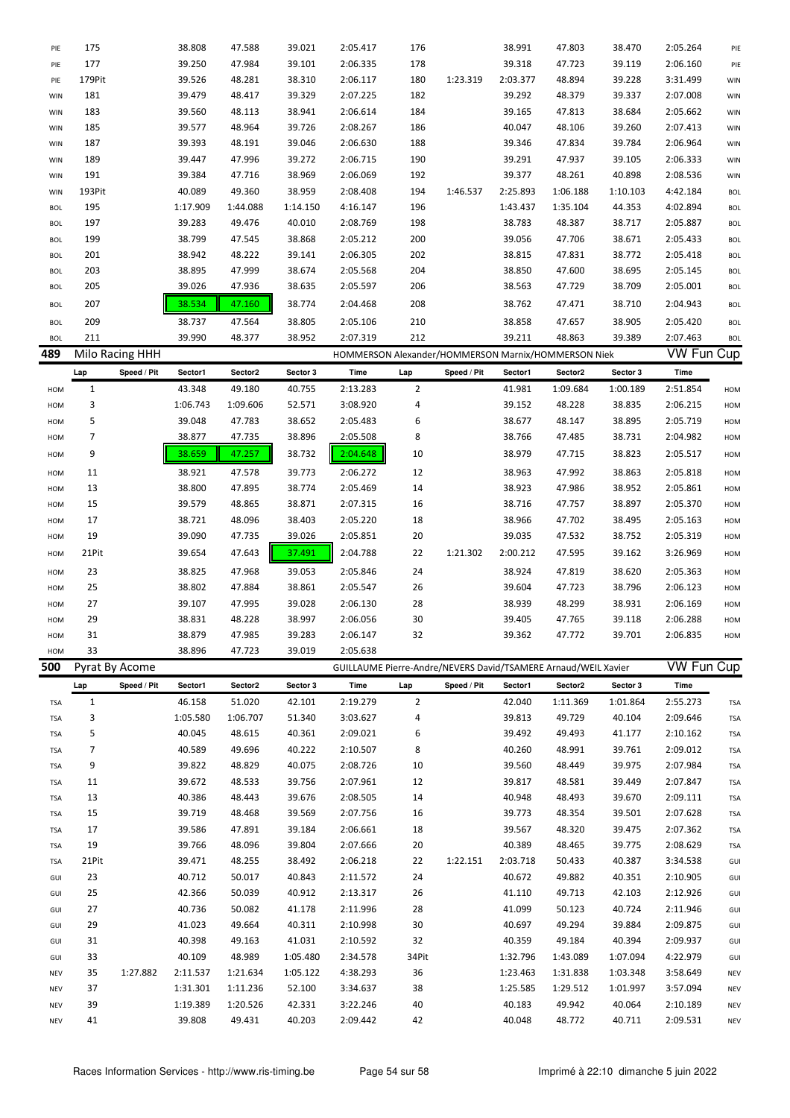| PIE        | 175            |                 | 38.808             | 47.588             | 39.021           | 2:05.417                                                       | 176            |             | 38.991           | 47.803           | 38.470           | 2:05.264             | PIE                      |
|------------|----------------|-----------------|--------------------|--------------------|------------------|----------------------------------------------------------------|----------------|-------------|------------------|------------------|------------------|----------------------|--------------------------|
| PIE        | 177            |                 | 39.250             | 47.984             | 39.101           | 2:06.335                                                       | 178            |             | 39.318           | 47.723           | 39.119           | 2:06.160             | PIE                      |
| PIE        | 179Pit         |                 | 39.526             | 48.281             | 38.310           | 2:06.117                                                       | 180            | 1:23.319    | 2:03.377         | 48.894           | 39.228           | 3:31.499             | WIN                      |
| WIN        | 181            |                 | 39.479             | 48.417             | 39.329           | 2:07.225                                                       | 182            |             | 39.292           | 48.379           | 39.337           | 2:07.008             | WIN                      |
| WIN        | 183            |                 | 39.560             | 48.113             | 38.941           | 2:06.614                                                       | 184            |             | 39.165           | 47.813           | 38.684           | 2:05.662             | WIN                      |
| WIN        | 185            |                 | 39.577             | 48.964             | 39.726           | 2:08.267                                                       | 186            |             | 40.047           | 48.106           | 39.260           | 2:07.413             | WIN                      |
| WIN        | 187            |                 | 39.393             | 48.191             | 39.046           | 2:06.630                                                       | 188            |             | 39.346           | 47.834           | 39.784           | 2:06.964             | WIN                      |
| WIN        | 189            |                 | 39.447             | 47.996             | 39.272           | 2:06.715                                                       | 190            |             | 39.291           | 47.937           | 39.105           | 2:06.333             | WIN                      |
| WIN        | 191            |                 | 39.384             | 47.716             | 38.969           | 2:06.069                                                       | 192            |             | 39.377           | 48.261           | 40.898           | 2:08.536             | WIN                      |
| WIN        | 193Pit         |                 | 40.089             | 49.360             | 38.959           | 2:08.408                                                       | 194            | 1:46.537    | 2:25.893         | 1:06.188         | 1:10.103         | 4:42.184             | <b>BOL</b>               |
| <b>BOL</b> | 195            |                 | 1:17.909           | 1:44.088           | 1:14.150         | 4:16.147                                                       | 196            |             | 1:43.437         | 1:35.104         | 44.353           | 4:02.894             | <b>BOL</b>               |
| <b>BOL</b> | 197            |                 | 39.283             | 49.476             | 40.010           | 2:08.769                                                       | 198            |             | 38.783           | 48.387           | 38.717           | 2:05.887             | <b>BOL</b>               |
| <b>BOL</b> | 199            |                 | 38.799             | 47.545             | 38.868           | 2:05.212                                                       | 200            |             | 39.056           | 47.706           | 38.671           | 2:05.433             | <b>BOL</b>               |
| <b>BOL</b> | 201            |                 | 38.942             | 48.222             | 39.141           | 2:06.305                                                       | 202            |             | 38.815           | 47.831           | 38.772           | 2:05.418             | <b>BOL</b>               |
| <b>BOL</b> | 203            |                 | 38.895             | 47.999             | 38.674           | 2:05.568                                                       | 204            |             | 38.850           | 47.600           | 38.695           | 2:05.145             | <b>BOL</b>               |
| <b>BOL</b> | 205            |                 | 39.026             | 47.936             | 38.635           | 2:05.597                                                       | 206            |             | 38.563           | 47.729           | 38.709           | 2:05.001             | <b>BOL</b>               |
| <b>BOL</b> | 207            |                 | 38.534             | 47.160             | 38.774           | 2:04.468                                                       | 208            |             | 38.762           | 47.471           | 38.710           | 2:04.943             | <b>BOL</b>               |
|            |                |                 |                    |                    |                  |                                                                |                |             |                  |                  |                  |                      |                          |
| <b>BOL</b> | 209            |                 | 38.737             | 47.564             | 38.805           | 2:05.106                                                       | 210            |             | 38.858           | 47.657           | 38.905           | 2:05.420             | <b>BOL</b>               |
| BOL        | 211            |                 | 39.990             | 48.377             | 38.952           | 2:07.319                                                       | 212            |             | 39.211           | 48.863           | 39.389           | 2:07.463             | <b>BOL</b>               |
| 489        |                | Milo Racing HHH |                    |                    |                  | HOMMERSON Alexander/HOMMERSON Marnix/HOMMERSON Niek            |                |             |                  |                  |                  | VW Fun Cup           |                          |
|            | Lap            | Speed / Pit     | Sector1            | Sector2            | Sector 3         | Time                                                           | Lap            | Speed / Pit | Sector1          | Sector2          | Sector 3         | Time                 |                          |
| HOM        | $\mathbf{1}$   |                 | 43.348             | 49.180             | 40.755           | 2:13.283                                                       | $\overline{2}$ |             | 41.981           | 1:09.684         | 1:00.189         | 2:51.854             | HOM                      |
| HOM        | 3              |                 | 1:06.743           | 1:09.606           | 52.571           | 3:08.920                                                       | 4              |             | 39.152           | 48.228           | 38.835           | 2:06.215             | HOM                      |
| HOM        | 5              |                 | 39.048             | 47.783             | 38.652           | 2:05.483                                                       | 6              |             | 38.677           | 48.147           | 38.895           | 2:05.719             | HOM                      |
| HOM        | 7              |                 | 38.877             | 47.735             | 38.896           | 2:05.508                                                       | 8              |             | 38.766           | 47.485           | 38.731           | 2:04.982             | HOM                      |
| HOM        | 9              |                 | 38.659             | 47.257             | 38.732           | 2:04.648                                                       | 10             |             | 38.979           | 47.715           | 38.823           | 2:05.517             | HOM                      |
| HOM        | 11             |                 | 38.921             | 47.578             | 39.773           | 2:06.272                                                       | 12             |             | 38.963           | 47.992           | 38.863           | 2:05.818             | HOM                      |
| HOM        | 13             |                 | 38.800             | 47.895             | 38.774           | 2:05.469                                                       | 14             |             | 38.923           | 47.986           | 38.952           | 2:05.861             | HOM                      |
| HOM        | 15             |                 | 39.579             | 48.865             | 38.871           | 2:07.315                                                       | 16             |             | 38.716           | 47.757           | 38.897           | 2:05.370             | HOM                      |
| HOM        | 17             |                 | 38.721             | 48.096             | 38.403           | 2:05.220                                                       | 18             |             | 38.966           | 47.702           | 38.495           | 2:05.163             | HOM                      |
| HOM        | 19             |                 | 39.090             | 47.735             | 39.026           | 2:05.851                                                       | 20             |             | 39.035           | 47.532           | 38.752           | 2:05.319             | HOM                      |
| HOM        | 21Pit          |                 | 39.654             | 47.643             | 37.491           | 2:04.788                                                       | 22             | 1:21.302    | 2:00.212         | 47.595           | 39.162           | 3:26.969             | HOM                      |
|            |                |                 |                    |                    |                  |                                                                |                |             |                  |                  |                  |                      |                          |
| HOM        | 23             |                 | 38.825             | 47.968             | 39.053           | 2:05.846                                                       | 24             |             | 38.924           | 47.819           | 38.620           | 2:05.363             | HOM                      |
| HOM        | 25             |                 | 38.802             | 47.884             | 38.861           | 2:05.547                                                       | 26             |             | 39.604           | 47.723           | 38.796           | 2:06.123             | HOM                      |
| HOM        | 27             |                 | 39.107             | 47.995             | 39.028           | 2:06.130                                                       | 28             |             | 38.939           | 48.299           | 38.931           | 2:06.169             | HOM                      |
| HOM        | 29             |                 | 38.831             | 48.228             | 38.997           | 2:06.056                                                       | 30             |             | 39.405           | 47.765           | 39.118           | 2:06.288             | HOM                      |
| HOM        | 31             |                 | 38.879             | 47.985             | 39.283           | 2:06.147                                                       | 32             |             | 39.362           | 47.772           | 39.701           | 2:06.835             | HOM                      |
| HOM        | 33             |                 |                    |                    |                  |                                                                |                |             |                  |                  |                  |                      |                          |
| 500        |                |                 | 38.896             | 47.723             | 39.019           | 2:05.638                                                       |                |             |                  |                  |                  |                      |                          |
|            |                | Pyrat By Acome  |                    |                    |                  | GUILLAUME Pierre-Andre/NEVERS David/TSAMERE Arnaud/WEIL Xavier |                |             |                  |                  |                  | <b>VW Fun Cup</b>    |                          |
|            | Lap            | Speed / Pit     | Sector1            | Sector2            | Sector 3         | Time                                                           | Lap            | Speed / Pit | Sector1          | Sector2          | Sector 3         | Time                 |                          |
| <b>TSA</b> | $\mathbf{1}$   |                 | 46.158             | 51.020             | 42.101           | 2:19.279                                                       | $\overline{2}$ |             | 42.040           | 1:11.369         | 1:01.864         | 2:55.273             | <b>TSA</b>               |
| <b>TSA</b> | 3              |                 | 1:05.580           | 1:06.707           | 51.340           | 3:03.627                                                       | 4              |             | 39.813           | 49.729           | 40.104           | 2:09.646             | <b>TSA</b>               |
| <b>TSA</b> | 5              |                 | 40.045             | 48.615             | 40.361           | 2:09.021                                                       | 6              |             | 39.492           | 49.493           | 41.177           | 2:10.162             | <b>TSA</b>               |
| <b>TSA</b> | $\overline{7}$ |                 | 40.589             | 49.696             | 40.222           | 2:10.507                                                       | 8              |             | 40.260           | 48.991           | 39.761           | 2:09.012             | <b>TSA</b>               |
| <b>TSA</b> | 9              |                 | 39.822             | 48.829             | 40.075           | 2:08.726                                                       | 10             |             | 39.560           | 48.449           | 39.975           | 2:07.984             | <b>TSA</b>               |
| <b>TSA</b> | 11             |                 | 39.672             | 48.533             | 39.756           | 2:07.961                                                       | 12             |             | 39.817           | 48.581           | 39.449           | 2:07.847             | <b>TSA</b>               |
| <b>TSA</b> | 13             |                 | 40.386             | 48.443             | 39.676           | 2:08.505                                                       | 14             |             | 40.948           | 48.493           | 39.670           | 2:09.111             | <b>TSA</b>               |
| <b>TSA</b> | 15             |                 | 39.719             | 48.468             | 39.569           | 2:07.756                                                       | 16             |             | 39.773           | 48.354           | 39.501           | 2:07.628             | <b>TSA</b>               |
|            | 17             |                 |                    |                    |                  |                                                                |                |             |                  |                  |                  |                      |                          |
| <b>TSA</b> |                |                 | 39.586             | 47.891             | 39.184           | 2:06.661                                                       | 18             |             | 39.567           | 48.320           | 39.475           | 2:07.362             | <b>TSA</b>               |
| <b>TSA</b> | 19             |                 | 39.766             | 48.096             | 39.804           | 2:07.666                                                       | 20             |             | 40.389           | 48.465           | 39.775           | 2:08.629             | <b>TSA</b>               |
| <b>TSA</b> | 21Pit          |                 | 39.471             | 48.255             | 38.492           | 2:06.218                                                       | 22             | 1:22.151    | 2:03.718         | 50.433           | 40.387           | 3:34.538             | GUI                      |
| GUI        | 23             |                 | 40.712             | 50.017             | 40.843           | 2:11.572                                                       | 24             |             | 40.672           | 49.882           | 40.351           | 2:10.905             | GUI                      |
| GUI        | 25             |                 | 42.366             | 50.039             | 40.912           | 2:13.317                                                       | 26             |             | 41.110           | 49.713           | 42.103           | 2:12.926             | GUI                      |
| GUI        | 27             |                 | 40.736             | 50.082             | 41.178           | 2:11.996                                                       | 28             |             | 41.099           | 50.123           | 40.724           | 2:11.946             | GUI                      |
| GUI        | 29             |                 | 41.023             | 49.664             | 40.311           | 2:10.998                                                       | 30             |             | 40.697           | 49.294           | 39.884           | 2:09.875             | GUI                      |
| GUI        | 31             |                 | 40.398             | 49.163             | 41.031           | 2:10.592                                                       | 32             |             | 40.359           | 49.184           | 40.394           | 2:09.937             | GUI                      |
| GUI        | 33             |                 | 40.109             | 48.989             | 1:05.480         | 2:34.578                                                       | 34Pit          |             | 1:32.796         | 1:43.089         | 1:07.094         | 4:22.979             | GUI                      |
| NEV        | 35             | 1:27.882        | 2:11.537           | 1:21.634           | 1:05.122         | 4:38.293                                                       | 36             |             | 1:23.463         | 1:31.838         | 1:03.348         | 3:58.649             | <b>NEV</b>               |
| NEV        | 37             |                 | 1:31.301           | 1:11.236           | 52.100           | 3:34.637                                                       | 38             |             | 1:25.585         | 1:29.512         | 1:01.997         | 3:57.094             | <b>NEV</b>               |
| NEV<br>NEV | 39<br>41       |                 | 1:19.389<br>39.808 | 1:20.526<br>49.431 | 42.331<br>40.203 | 3:22.246<br>2:09.442                                           | 40<br>42       |             | 40.183<br>40.048 | 49.942<br>48.772 | 40.064<br>40.711 | 2:10.189<br>2:09.531 | <b>NEV</b><br><b>NEV</b> |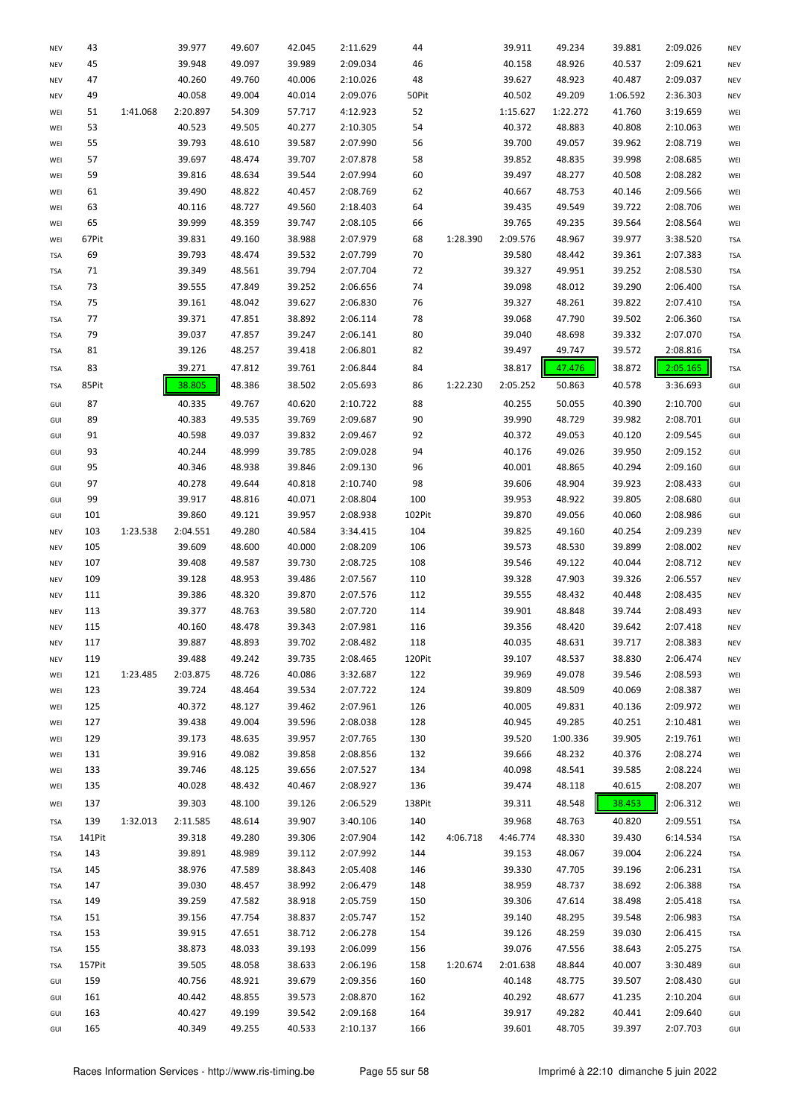| <b>NEV</b> | 43     |          | 39.977   | 49.607 | 42.045 | 2:11.629 | 44     |          | 39.911   | 49.234   | 39.881   | 2:09.026 | <b>NEV</b> |
|------------|--------|----------|----------|--------|--------|----------|--------|----------|----------|----------|----------|----------|------------|
| <b>NEV</b> | 45     |          | 39.948   | 49.097 | 39.989 | 2:09.034 | 46     |          | 40.158   | 48.926   | 40.537   | 2:09.621 | <b>NEV</b> |
| <b>NEV</b> | 47     |          | 40.260   | 49.760 | 40.006 | 2:10.026 | 48     |          | 39.627   | 48.923   | 40.487   | 2:09.037 | <b>NEV</b> |
| <b>NEV</b> | 49     |          | 40.058   | 49.004 | 40.014 | 2:09.076 | 50Pit  |          | 40.502   | 49.209   | 1:06.592 | 2:36.303 | <b>NEV</b> |
| WEI        | 51     | 1:41.068 | 2:20.897 | 54.309 | 57.717 | 4:12.923 | 52     |          | 1:15.627 | 1:22.272 | 41.760   | 3:19.659 | WEI        |
| WEI        | 53     |          | 40.523   | 49.505 | 40.277 | 2:10.305 | 54     |          | 40.372   | 48.883   | 40.808   | 2:10.063 | WEI        |
| WEI        | 55     |          | 39.793   | 48.610 | 39.587 | 2:07.990 | 56     |          | 39.700   | 49.057   | 39.962   | 2:08.719 | WEI        |
|            | 57     |          | 39.697   | 48.474 | 39.707 | 2:07.878 | 58     |          | 39.852   | 48.835   | 39.998   | 2:08.685 | WEI        |
| WEI        |        |          |          |        |        |          |        |          |          |          |          |          |            |
| WEI        | 59     |          | 39.816   | 48.634 | 39.544 | 2:07.994 | 60     |          | 39.497   | 48.277   | 40.508   | 2:08.282 | WEI        |
| WEI        | 61     |          | 39.490   | 48.822 | 40.457 | 2:08.769 | 62     |          | 40.667   | 48.753   | 40.146   | 2:09.566 | WEI        |
| WEI        | 63     |          | 40.116   | 48.727 | 49.560 | 2:18.403 | 64     |          | 39.435   | 49.549   | 39.722   | 2:08.706 | WEI        |
| WEI        | 65     |          | 39.999   | 48.359 | 39.747 | 2:08.105 | 66     |          | 39.765   | 49.235   | 39.564   | 2:08.564 | WEI        |
| WEI        | 67Pit  |          | 39.831   | 49.160 | 38.988 | 2:07.979 | 68     | 1:28.390 | 2:09.576 | 48.967   | 39.977   | 3:38.520 | <b>TSA</b> |
| <b>TSA</b> | 69     |          | 39.793   | 48.474 | 39.532 | 2:07.799 | 70     |          | 39.580   | 48.442   | 39.361   | 2:07.383 | <b>TSA</b> |
| <b>TSA</b> | 71     |          | 39.349   | 48.561 | 39.794 | 2:07.704 | 72     |          | 39.327   | 49.951   | 39.252   | 2:08.530 | <b>TSA</b> |
| <b>TSA</b> | 73     |          | 39.555   | 47.849 | 39.252 | 2:06.656 | 74     |          | 39.098   | 48.012   | 39.290   | 2:06.400 | <b>TSA</b> |
| <b>TSA</b> | 75     |          | 39.161   | 48.042 | 39.627 | 2:06.830 | 76     |          | 39.327   | 48.261   | 39.822   | 2:07.410 | <b>TSA</b> |
|            | 77     |          | 39.371   | 47.851 | 38.892 | 2:06.114 | 78     |          | 39.068   | 47.790   | 39.502   | 2:06.360 |            |
| <b>TSA</b> |        |          |          |        |        |          |        |          |          |          |          |          | <b>TSA</b> |
| <b>TSA</b> | 79     |          | 39.037   | 47.857 | 39.247 | 2:06.141 | 80     |          | 39.040   | 48.698   | 39.332   | 2:07.070 | <b>TSA</b> |
| <b>TSA</b> | 81     |          | 39.126   | 48.257 | 39.418 | 2:06.801 | 82     |          | 39.497   | 49.747   | 39.572   | 2:08.816 | <b>TSA</b> |
| TSA        | 83     |          | 39.271   | 47.812 | 39.761 | 2:06.844 | 84     |          | 38.817   | 47.476   | 38.872   | 2:05.165 | <b>TSA</b> |
| <b>TSA</b> | 85Pit  |          | 38.805   | 48.386 | 38.502 | 2:05.693 | 86     | 1:22.230 | 2:05.252 | 50.863   | 40.578   | 3:36.693 | GUI        |
| GUI        | 87     |          | 40.335   | 49.767 | 40.620 | 2:10.722 | 88     |          | 40.255   | 50.055   | 40.390   | 2:10.700 | GUI        |
| GUI        | 89     |          | 40.383   | 49.535 | 39.769 | 2:09.687 | 90     |          | 39.990   | 48.729   | 39.982   | 2:08.701 | GUI        |
| GUI        | 91     |          | 40.598   | 49.037 | 39.832 | 2:09.467 | 92     |          | 40.372   | 49.053   | 40.120   | 2:09.545 | GUI        |
|            | 93     |          |          | 48.999 |        |          | 94     |          |          |          |          |          |            |
| GUI        |        |          | 40.244   |        | 39.785 | 2:09.028 |        |          | 40.176   | 49.026   | 39.950   | 2:09.152 | GUI        |
| GUI        | 95     |          | 40.346   | 48.938 | 39.846 | 2:09.130 | 96     |          | 40.001   | 48.865   | 40.294   | 2:09.160 | GUI        |
| GUI        | 97     |          | 40.278   | 49.644 | 40.818 | 2:10.740 | 98     |          | 39.606   | 48.904   | 39.923   | 2:08.433 | GUI        |
| GUI        | 99     |          | 39.917   | 48.816 | 40.071 | 2:08.804 | 100    |          | 39.953   | 48.922   | 39.805   | 2:08.680 | GUI        |
| GUI        | 101    |          | 39.860   | 49.121 | 39.957 | 2:08.938 | 102Pit |          | 39.870   | 49.056   | 40.060   | 2:08.986 | GUI        |
| <b>NEV</b> | 103    | 1:23.538 | 2:04.551 | 49.280 | 40.584 | 3:34.415 | 104    |          | 39.825   | 49.160   | 40.254   | 2:09.239 | <b>NEV</b> |
| <b>NEV</b> | 105    |          | 39.609   | 48.600 | 40.000 | 2:08.209 | 106    |          | 39.573   | 48.530   | 39.899   | 2:08.002 | <b>NEV</b> |
| <b>NEV</b> | 107    |          | 39.408   | 49.587 | 39.730 | 2:08.725 | 108    |          | 39.546   | 49.122   | 40.044   | 2:08.712 | <b>NEV</b> |
| <b>NEV</b> | 109    |          | 39.128   | 48.953 | 39.486 | 2:07.567 | 110    |          | 39.328   | 47.903   | 39.326   | 2:06.557 | <b>NEV</b> |
| <b>NEV</b> | 111    |          | 39.386   | 48.320 | 39.870 | 2:07.576 | 112    |          | 39.555   | 48.432   | 40.448   | 2:08.435 | <b>NEV</b> |
| <b>NEV</b> | 113    |          | 39.377   | 48.763 | 39.580 | 2:07.720 | 114    |          | 39.901   | 48.848   | 39.744   | 2:08.493 | <b>NEV</b> |
| <b>NEV</b> | 115    |          | 40.160   | 48.478 | 39.343 | 2:07.981 | 116    |          | 39.356   | 48.420   | 39.642   | 2:07.418 | <b>NEV</b> |
|            | 117    |          | 39.887   | 48.893 | 39.702 | 2:08.482 | 118    |          | 40.035   | 48.631   | 39.717   | 2:08.383 |            |
| <b>NEV</b> |        |          |          |        |        |          |        |          |          |          |          |          | <b>NEV</b> |
| <b>NEV</b> | 119    |          | 39.488   | 49.242 | 39.735 | 2:08.465 | 120Pit |          | 39.107   | 48.537   | 38.830   | 2:06.474 | <b>NEV</b> |
| WEI        | 121    | 1:23.485 | 2:03.875 | 48.726 | 40.086 | 3:32.687 | 122    |          | 39.969   | 49.078   | 39.546   | 2:08.593 | WEI        |
| WEI        | 123    |          | 39.724   | 48.464 | 39.534 | 2:07.722 | 124    |          | 39.809   | 48.509   | 40.069   | 2:08.387 | WEI        |
| WEI        | 125    |          | 40.372   | 48.127 | 39.462 | 2:07.961 | 126    |          | 40.005   | 49.831   | 40.136   | 2:09.972 | WEI        |
| WEI        | 127    |          | 39.438   | 49.004 | 39.596 | 2:08.038 | 128    |          | 40.945   | 49.285   | 40.251   | 2:10.481 | WEI        |
| WEI        | 129    |          | 39.173   | 48.635 | 39.957 | 2:07.765 | 130    |          | 39.520   | 1:00.336 | 39.905   | 2:19.761 | WEI        |
| WEI        | 131    |          | 39.916   | 49.082 | 39.858 | 2:08.856 | 132    |          | 39.666   | 48.232   | 40.376   | 2:08.274 | WEI        |
| WEI        | 133    |          | 39.746   | 48.125 | 39.656 | 2:07.527 | 134    |          | 40.098   | 48.541   | 39.585   | 2:08.224 | WEI        |
| WEI        | 135    |          | 40.028   | 48.432 | 40.467 | 2:08.927 | 136    |          | 39.474   | 48.118   | 40.615   | 2:08.207 | WEI        |
| WEI        | 137    |          | 39.303   | 48.100 | 39.126 | 2:06.529 | 138Pit |          | 39.311   | 48.548   | 38.453   | 2:06.312 | WEI        |
|            |        |          |          |        |        |          |        |          |          |          |          |          |            |
| <b>TSA</b> | 139    | 1:32.013 | 2:11.585 | 48.614 | 39.907 | 3:40.106 | 140    |          | 39.968   | 48.763   | 40.820   | 2:09.551 | <b>TSA</b> |
| <b>TSA</b> | 141Pit |          | 39.318   | 49.280 | 39.306 | 2:07.904 | 142    | 4:06.718 | 4:46.774 | 48.330   | 39.430   | 6:14.534 | <b>TSA</b> |
| <b>TSA</b> | 143    |          | 39.891   | 48.989 | 39.112 | 2:07.992 | 144    |          | 39.153   | 48.067   | 39.004   | 2:06.224 | <b>TSA</b> |
| <b>TSA</b> | 145    |          | 38.976   | 47.589 | 38.843 | 2:05.408 | 146    |          | 39.330   | 47.705   | 39.196   | 2:06.231 | <b>TSA</b> |
| <b>TSA</b> | 147    |          | 39.030   | 48.457 | 38.992 | 2:06.479 | 148    |          | 38.959   | 48.737   | 38.692   | 2:06.388 | <b>TSA</b> |
| <b>TSA</b> | 149    |          | 39.259   | 47.582 | 38.918 | 2:05.759 | 150    |          | 39.306   | 47.614   | 38.498   | 2:05.418 | <b>TSA</b> |
| TSA        | 151    |          | 39.156   | 47.754 | 38.837 | 2:05.747 | 152    |          | 39.140   | 48.295   | 39.548   | 2:06.983 | <b>TSA</b> |
| TSA        | 153    |          | 39.915   | 47.651 | 38.712 | 2:06.278 | 154    |          | 39.126   | 48.259   | 39.030   | 2:06.415 | <b>TSA</b> |
| TSA        | 155    |          | 38.873   | 48.033 | 39.193 | 2:06.099 | 156    |          | 39.076   | 47.556   | 38.643   | 2:05.275 | <b>TSA</b> |
|            | 157Pit |          | 39.505   | 48.058 | 38.633 | 2:06.196 | 158    | 1:20.674 | 2:01.638 | 48.844   | 40.007   | 3:30.489 |            |
| TSA        |        |          |          |        |        |          |        |          |          |          |          |          | GUI        |
| GUI        | 159    |          | 40.756   | 48.921 | 39.679 | 2:09.356 | 160    |          | 40.148   | 48.775   | 39.507   | 2:08.430 | GUI        |
| GUI        | 161    |          | 40.442   | 48.855 | 39.573 | 2:08.870 | 162    |          | 40.292   | 48.677   | 41.235   | 2:10.204 | GUI        |
| GUI        | 163    |          | 40.427   | 49.199 | 39.542 | 2:09.168 | 164    |          | 39.917   | 49.282   | 40.441   | 2:09.640 | GUI        |
| GUI        | 165    |          | 40.349   | 49.255 | 40.533 | 2:10.137 | 166    |          | 39.601   | 48.705   | 39.397   | 2:07.703 | GUI        |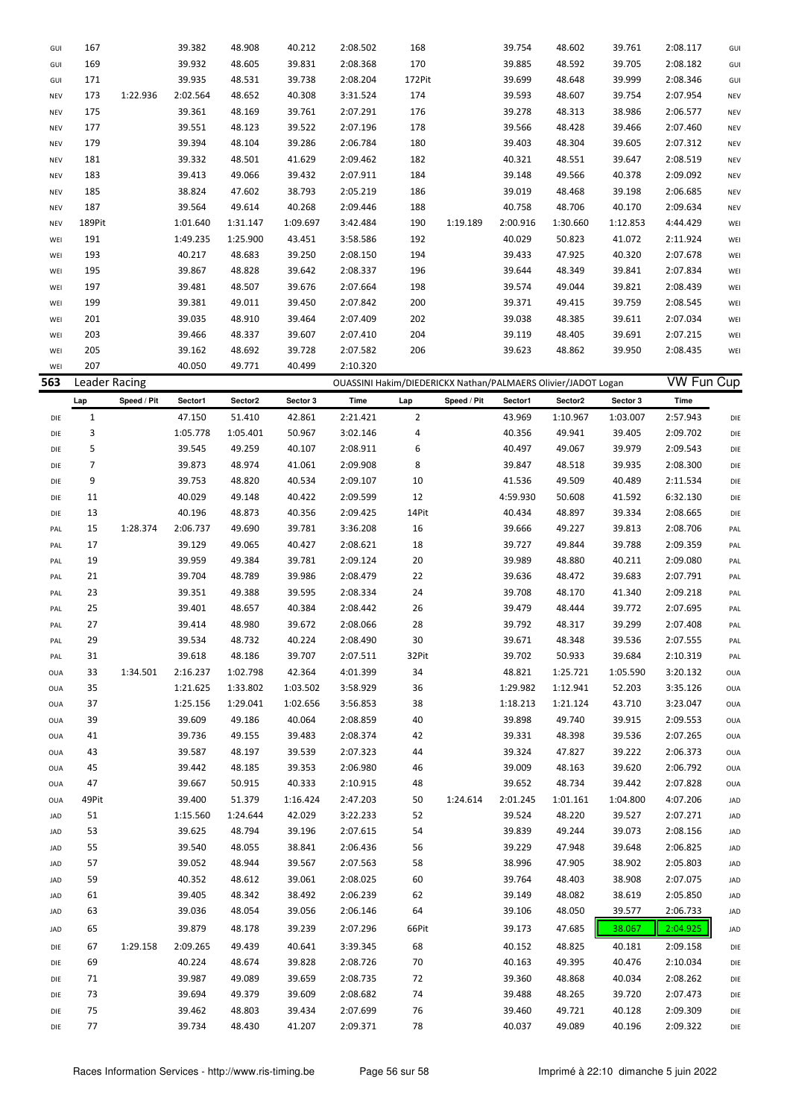| GUI        | 167           |             | 39.382             | 48.908               | 40.212             | 2:08.502             | 168            |             | 39.754             | 48.602                                                        | 39.761           | 2:08.117             | GUI        |
|------------|---------------|-------------|--------------------|----------------------|--------------------|----------------------|----------------|-------------|--------------------|---------------------------------------------------------------|------------------|----------------------|------------|
| GUI        | 169           |             | 39.932             | 48.605               | 39.831             | 2:08.368             | 170            |             | 39.885             | 48.592                                                        | 39.705           | 2:08.182             | GUI        |
| GUI        | 171           |             | 39.935             | 48.531               | 39.738             | 2:08.204             | 172Pit         |             | 39.699             | 48.648                                                        | 39.999           | 2:08.346             | GUI        |
| <b>NEV</b> | 173           | 1:22.936    | 2:02.564           | 48.652               | 40.308             | 3:31.524             | 174            |             | 39.593             | 48.607                                                        | 39.754           | 2:07.954             | <b>NEV</b> |
| <b>NEV</b> | 175           |             | 39.361             | 48.169               | 39.761             | 2:07.291             | 176            |             | 39.278             | 48.313                                                        | 38.986           | 2:06.577             | <b>NEV</b> |
| <b>NEV</b> | 177           |             | 39.551             | 48.123               | 39.522             | 2:07.196             | 178            |             | 39.566             | 48.428                                                        | 39.466           | 2:07.460             | <b>NEV</b> |
| <b>NEV</b> | 179           |             | 39.394             | 48.104               | 39.286             | 2:06.784             | 180            |             | 39.403             | 48.304                                                        | 39.605           | 2:07.312             | <b>NEV</b> |
| <b>NEV</b> | 181           |             | 39.332             | 48.501               | 41.629             | 2:09.462             | 182            |             | 40.321             | 48.551                                                        | 39.647           | 2:08.519             | <b>NEV</b> |
| <b>NEV</b> | 183           |             | 39.413             | 49.066               | 39.432             | 2:07.911             | 184            |             | 39.148             | 49.566                                                        | 40.378           | 2:09.092             | <b>NEV</b> |
| <b>NEV</b> | 185           |             | 38.824             | 47.602               | 38.793             | 2:05.219             | 186            |             | 39.019             | 48.468                                                        | 39.198           | 2:06.685             | <b>NEV</b> |
| <b>NEV</b> | 187           |             | 39.564             | 49.614               | 40.268             | 2:09.446             | 188            |             | 40.758             | 48.706                                                        | 40.170           | 2:09.634             | <b>NEV</b> |
| <b>NEV</b> | 189Pit        |             | 1:01.640           | 1:31.147             | 1:09.697           | 3:42.484             | 190            | 1:19.189    | 2:00.916           | 1:30.660                                                      | 1:12.853         | 4:44.429             | WEI        |
| WEI        | 191           |             | 1:49.235           | 1:25.900             | 43.451             | 3:58.586             | 192            |             | 40.029             | 50.823                                                        | 41.072           | 2:11.924             | WEI        |
| WEI        | 193           |             | 40.217             | 48.683               | 39.250             | 2:08.150             | 194            |             | 39.433             | 47.925                                                        | 40.320           | 2:07.678             | WEI        |
| WEI        | 195           |             | 39.867             | 48.828               | 39.642             | 2:08.337             | 196            |             | 39.644             | 48.349                                                        | 39.841           | 2:07.834             | WEI        |
| WEI        | 197           |             | 39.481             | 48.507               | 39.676             | 2:07.664             | 198            |             | 39.574             | 49.044                                                        | 39.821           | 2:08.439             | WEI        |
| WEI        | 199           |             | 39.381             | 49.011               | 39.450             | 2:07.842             | 200            |             | 39.371             | 49.415                                                        | 39.759           | 2:08.545             | WEI        |
| WEI        | 201           |             | 39.035             | 48.910               | 39.464             | 2:07.409             | 202            |             | 39.038             | 48.385                                                        | 39.611           | 2:07.034             | WEI        |
| WEI        | 203           |             | 39.466             | 48.337               | 39.607             | 2:07.410             | 204            |             | 39.119             | 48.405                                                        | 39.691           | 2:07.215             | WEI        |
| WEI        | 205           |             | 39.162             | 48.692               | 39.728             | 2:07.582             | 206            |             | 39.623             | 48.862                                                        | 39.950           | 2:08.435             | WEI        |
| WEI        | 207           |             | 40.050             | 49.771               | 40.499             | 2:10.320             |                |             |                    |                                                               |                  |                      |            |
| 563        | Leader Racing |             |                    |                      |                    |                      |                |             |                    | OUASSINI Hakim/DIEDERICKX Nathan/PALMAERS Olivier/JADOT Logan |                  | <b>VW Fun Cup</b>    |            |
|            | Lap           | Speed / Pit | Sector1            | Sector2              | Sector 3           | Time                 | Lap            | Speed / Pit | Sector1            | Sector2                                                       | Sector 3         | Time                 |            |
| DIE        | 1             |             | 47.150             | 51.410               | 42.861             | 2:21.421             | $\overline{2}$ |             | 43.969             | 1:10.967                                                      | 1:03.007         | 2:57.943             | DIE        |
| DIE        | 3             |             | 1:05.778           | 1:05.401             | 50.967             | 3:02.146             | 4              |             | 40.356             | 49.941                                                        | 39.405           | 2:09.702             | DIE        |
| DIE        | 5             |             | 39.545             | 49.259               | 40.107             | 2:08.911             | 6              |             | 40.497             | 49.067                                                        | 39.979           | 2:09.543             | DIE        |
| DIE        | 7             |             | 39.873             | 48.974               | 41.061             | 2:09.908             | 8              |             | 39.847             | 48.518                                                        | 39.935           | 2:08.300             | DIE        |
| DIE        | 9             |             | 39.753             | 48.820               | 40.534             | 2:09.107             | 10             |             | 41.536             | 49.509                                                        | 40.489           | 2:11.534             | DIE        |
| DIE        | 11            |             | 40.029             | 49.148               | 40.422             | 2:09.599             | 12             |             | 4:59.930           | 50.608                                                        | 41.592           | 6:32.130             | DIE        |
| DIE        | 13            |             | 40.196             | 48.873               | 40.356             | 2:09.425             | 14Pit          |             | 40.434             | 48.897                                                        | 39.334           | 2:08.665             | DIE        |
| PAL        | 15            | 1:28.374    | 2:06.737           | 49.690               | 39.781             | 3:36.208             | 16             |             | 39.666             | 49.227                                                        | 39.813           | 2:08.706             | PAL        |
| PAL        | 17            |             | 39.129             | 49.065               | 40.427             | 2:08.621             | 18             |             | 39.727             | 49.844                                                        | 39.788           | 2:09.359             | PAL        |
| PAL        | 19            |             | 39.959             | 49.384               | 39.781             | 2:09.124             | 20             |             | 39.989             | 48.880                                                        | 40.211           | 2:09.080             | PAL        |
| PAL        | 21            |             | 39.704             | 48.789               | 39.986             | 2:08.479             | 22             |             | 39.636             | 48.472                                                        | 39.683           | 2:07.791             | PAL        |
| PAL        | 23            |             | 39.351             | 49.388               | 39.595             | 2:08.334             | 24             |             | 39.708             | 48.170                                                        | 41.340           | 2:09.218             | PAL        |
| PAL        | 25            |             | 39.401             | 48.657               | 40.384             | 2:08.442             | 26             |             | 39.479             | 48.444                                                        | 39.772           | 2:07.695             |            |
| PAL        | 27            |             | 39.414             | 48.980               | 39.672             | 2:08.066             | 28             |             | 39.792             | 48.317                                                        | 39.299           | 2:07.408             | PAL<br>PAL |
|            | 29            |             | 39.534             | 48.732               | 40.224             | 2:08.490             | 30             |             | 39.671             | 48.348                                                        | 39.536           | 2:07.555             |            |
| PAL        | 31            |             | 39.618             | 48.186               | 39.707             | 2:07.511             | 32Pit          |             | 39.702             | 50.933                                                        | 39.684           | 2:10.319             | PAL        |
| PAL        | 33            | 1:34.501    | 2:16.237           | 1:02.798             | 42.364             | 4:01.399             | 34             |             | 48.821             |                                                               | 1:05.590         |                      | PAL        |
| OUA        | 35            |             |                    |                      |                    | 3:58.929             |                |             | 1:29.982           | 1:25.721                                                      |                  | 3:20.132             | <b>OUA</b> |
| <b>OUA</b> | 37            |             | 1:21.625           | 1:33.802<br>1:29.041 | 1:03.502           |                      | 36             |             |                    | 1:12.941                                                      | 52.203<br>43.710 | 3:35.126<br>3:23.047 | <b>OUA</b> |
| <b>OUA</b> | 39            |             | 1:25.156<br>39.609 | 49.186               | 1:02.656<br>40.064 | 3:56.853<br>2:08.859 | 38<br>40       |             | 1:18.213<br>39.898 | 1:21.124<br>49.740                                            | 39.915           | 2:09.553             | <b>OUA</b> |
| <b>OUA</b> | 41            |             | 39.736             | 49.155               | 39.483             | 2:08.374             | 42             |             | 39.331             | 48.398                                                        | 39.536           | 2:07.265             | <b>OUA</b> |
| <b>OUA</b> | 43            |             | 39.587             | 48.197               | 39.539             | 2:07.323             | 44             |             | 39.324             | 47.827                                                        | 39.222           | 2:06.373             | <b>OUA</b> |
| <b>OUA</b> | 45            |             | 39.442             | 48.185               | 39.353             | 2:06.980             | 46             |             | 39.009             | 48.163                                                        | 39.620           | 2:06.792             | <b>OUA</b> |
| <b>OUA</b> | 47            |             | 39.667             | 50.915               | 40.333             | 2:10.915             | 48             |             | 39.652             | 48.734                                                        | 39.442           | 2:07.828             | <b>OUA</b> |
| OUA        | 49Pit         |             | 39.400             | 51.379               | 1:16.424           | 2:47.203             | 50             | 1:24.614    | 2:01.245           | 1:01.161                                                      |                  | 4:07.206             | <b>OUA</b> |
| OUA        |               |             |                    | 1:24.644             |                    |                      |                |             |                    |                                                               | 1:04.800         |                      | JAD        |
| JAD        | 51            |             | 1:15.560<br>39.625 |                      | 42.029             | 3:22.233             | 52             |             | 39.524<br>39.839   | 48.220                                                        | 39.527           | 2:07.271             | JAD        |
| JAD        | 53            |             |                    | 48.794               | 39.196             | 2:07.615             | 54             |             |                    | 49.244                                                        | 39.073           | 2:08.156             | JAD        |
| JAD<br>JAD | 55<br>57      |             | 39.540<br>39.052   | 48.055<br>48.944     | 38.841<br>39.567   | 2:06.436<br>2:07.563 | 56<br>58       |             | 39.229<br>38.996   | 47.948<br>47.905                                              | 39.648<br>38.902 | 2:06.825<br>2:05.803 | JAD<br>JAD |
|            |               |             |                    |                      |                    |                      |                |             |                    |                                                               |                  |                      |            |
| JAD        | 59            |             | 40.352             | 48.612               | 39.061             | 2:08.025             | 60             |             | 39.764             | 48.403                                                        | 38.908           | 2:07.075             | JAD        |
| JAD        | 61            |             | 39.405             | 48.342               | 38.492             | 2:06.239             | 62             |             | 39.149             | 48.082                                                        | 38.619           | 2:05.850             | JAD        |
| JAD        | 63            |             | 39.036             | 48.054               | 39.056             | 2:06.146             | 64             |             | 39.106             | 48.050                                                        | 39.577           | 2:06.733             | JAD        |
| JAD        | 65            |             | 39.879             | 48.178               | 39.239             | 2:07.296             | 66Pit          |             | 39.173             | 47.685                                                        | 38.067           | 2:04.925             | JAD        |
| DIE        | 67            | 1:29.158    | 2:09.265           | 49.439               | 40.641             | 3:39.345             | 68             |             | 40.152             | 48.825                                                        | 40.181           | 2:09.158             | DIE        |
| DIE        | 69            |             | 40.224             | 48.674               | 39.828             | 2:08.726             | 70             |             | 40.163             | 49.395                                                        | 40.476           | 2:10.034             | DIE        |
| DIE        | 71            |             | 39.987             | 49.089               | 39.659             | 2:08.735             | 72             |             | 39.360             | 48.868                                                        | 40.034           | 2:08.262             | DIE        |
| DIE        | 73            |             | 39.694             | 49.379               | 39.609             | 2:08.682             | 74             |             | 39.488             | 48.265                                                        | 39.720           | 2:07.473             | DIE        |
| DIE        | 75            |             | 39.462             | 48.803               | 39.434             | 2:07.699             | 76             |             | 39.460             | 49.721                                                        | 40.128           | 2:09.309             | DIE        |
|            | 77            |             | 39.734             | 48.430               | 41.207             | 2:09.371             | 78             |             | 40.037             | 49.089                                                        | 40.196           | 2:09.322             | DIE        |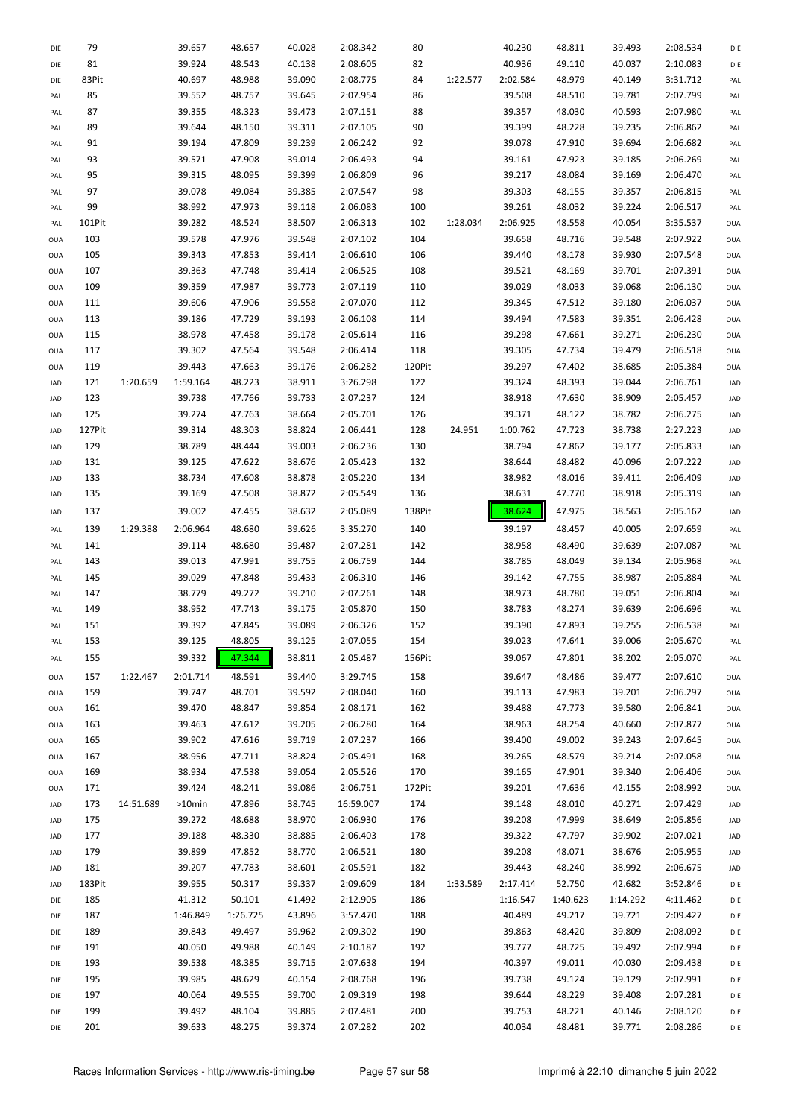| DIE        | 79     |           | 39.657   | 48.657   | 40.028 | 2:08.342  | 80     |          | 40.230   | 48.811   | 39.493   | 2:08.534 | DIE        |
|------------|--------|-----------|----------|----------|--------|-----------|--------|----------|----------|----------|----------|----------|------------|
| DIE        | 81     |           | 39.924   | 48.543   | 40.138 | 2:08.605  | 82     |          | 40.936   | 49.110   | 40.037   | 2:10.083 | DIE        |
| DIE        | 83Pit  |           | 40.697   | 48.988   | 39.090 | 2:08.775  | 84     | 1:22.577 | 2:02.584 | 48.979   | 40.149   | 3:31.712 | PAL        |
| PAL        | 85     |           | 39.552   | 48.757   | 39.645 | 2:07.954  | 86     |          | 39.508   | 48.510   | 39.781   | 2:07.799 | PAL        |
| PAL        | 87     |           | 39.355   | 48.323   | 39.473 | 2:07.151  | 88     |          | 39.357   | 48.030   | 40.593   | 2:07.980 | PAL        |
| PAL        | 89     |           | 39.644   | 48.150   | 39.311 | 2:07.105  | 90     |          | 39.399   | 48.228   | 39.235   | 2:06.862 | PAL        |
| PAL        | 91     |           | 39.194   | 47.809   | 39.239 | 2:06.242  | 92     |          | 39.078   | 47.910   | 39.694   | 2:06.682 | PAL        |
| PAL        | 93     |           | 39.571   | 47.908   | 39.014 | 2:06.493  | 94     |          | 39.161   | 47.923   | 39.185   | 2:06.269 | PAL        |
| PAL        | 95     |           | 39.315   | 48.095   | 39.399 | 2:06.809  | 96     |          | 39.217   | 48.084   | 39.169   | 2:06.470 | PAL        |
| PAL        | 97     |           | 39.078   | 49.084   | 39.385 | 2:07.547  | 98     |          | 39.303   | 48.155   | 39.357   | 2:06.815 | PAL        |
| PAL        | 99     |           | 38.992   | 47.973   | 39.118 | 2:06.083  | 100    |          | 39.261   | 48.032   | 39.224   | 2:06.517 | PAL        |
| PAL        | 101Pit |           | 39.282   | 48.524   | 38.507 | 2:06.313  | 102    | 1:28.034 | 2:06.925 | 48.558   | 40.054   | 3:35.537 | <b>OUA</b> |
| <b>OUA</b> | 103    |           | 39.578   | 47.976   | 39.548 | 2:07.102  | 104    |          | 39.658   | 48.716   | 39.548   | 2:07.922 | <b>OUA</b> |
| <b>OUA</b> | 105    |           | 39.343   | 47.853   | 39.414 | 2:06.610  | 106    |          | 39.440   | 48.178   | 39.930   | 2:07.548 | <b>OUA</b> |
| <b>OUA</b> | 107    |           | 39.363   | 47.748   | 39.414 | 2:06.525  | 108    |          | 39.521   | 48.169   | 39.701   | 2:07.391 | <b>OUA</b> |
|            | 109    |           | 39.359   | 47.987   | 39.773 | 2:07.119  | 110    |          | 39.029   | 48.033   | 39.068   | 2:06.130 |            |
| <b>OUA</b> |        |           |          |          |        |           |        |          |          |          |          |          | <b>OUA</b> |
| <b>OUA</b> | 111    |           | 39.606   | 47.906   | 39.558 | 2:07.070  | 112    |          | 39.345   | 47.512   | 39.180   | 2:06.037 | <b>OUA</b> |
| <b>OUA</b> | 113    |           | 39.186   | 47.729   | 39.193 | 2:06.108  | 114    |          | 39.494   | 47.583   | 39.351   | 2:06.428 | <b>OUA</b> |
| <b>OUA</b> | 115    |           | 38.978   | 47.458   | 39.178 | 2:05.614  | 116    |          | 39.298   | 47.661   | 39.271   | 2:06.230 | <b>OUA</b> |
| <b>OUA</b> | 117    |           | 39.302   | 47.564   | 39.548 | 2:06.414  | 118    |          | 39.305   | 47.734   | 39.479   | 2:06.518 | <b>OUA</b> |
| <b>OUA</b> | 119    |           | 39.443   | 47.663   | 39.176 | 2:06.282  | 120Pit |          | 39.297   | 47.402   | 38.685   | 2:05.384 | <b>OUA</b> |
| JAD        | 121    | 1:20.659  | 1:59.164 | 48.223   | 38.911 | 3:26.298  | 122    |          | 39.324   | 48.393   | 39.044   | 2:06.761 | <b>JAD</b> |
| JAD        | 123    |           | 39.738   | 47.766   | 39.733 | 2:07.237  | 124    |          | 38.918   | 47.630   | 38.909   | 2:05.457 | <b>JAD</b> |
| JAD        | 125    |           | 39.274   | 47.763   | 38.664 | 2:05.701  | 126    |          | 39.371   | 48.122   | 38.782   | 2:06.275 | <b>JAD</b> |
| JAD        | 127Pit |           | 39.314   | 48.303   | 38.824 | 2:06.441  | 128    | 24.951   | 1:00.762 | 47.723   | 38.738   | 2:27.223 | <b>JAD</b> |
| JAD        | 129    |           | 38.789   | 48.444   | 39.003 | 2:06.236  | 130    |          | 38.794   | 47.862   | 39.177   | 2:05.833 | <b>JAD</b> |
| JAD        | 131    |           | 39.125   | 47.622   | 38.676 | 2:05.423  | 132    |          | 38.644   | 48.482   | 40.096   | 2:07.222 | <b>JAD</b> |
| JAD        | 133    |           | 38.734   | 47.608   | 38.878 | 2:05.220  | 134    |          | 38.982   | 48.016   | 39.411   | 2:06.409 | <b>JAD</b> |
| JAD        | 135    |           | 39.169   | 47.508   | 38.872 | 2:05.549  | 136    |          | 38.631   | 47.770   | 38.918   | 2:05.319 | JAD        |
| JAD        | 137    |           | 39.002   | 47.455   | 38.632 | 2:05.089  | 138Pit |          | 38.624   | 47.975   | 38.563   | 2:05.162 | <b>JAD</b> |
| PAL        | 139    | 1:29.388  | 2:06.964 | 48.680   | 39.626 | 3:35.270  | 140    |          | 39.197   | 48.457   | 40.005   | 2:07.659 | PAL        |
| PAL        | 141    |           | 39.114   | 48.680   | 39.487 | 2:07.281  | 142    |          | 38.958   | 48.490   | 39.639   | 2:07.087 | PAL        |
| PAL        | 143    |           | 39.013   | 47.991   | 39.755 | 2:06.759  | 144    |          | 38.785   | 48.049   | 39.134   | 2:05.968 | PAL        |
| PAL        | 145    |           | 39.029   | 47.848   | 39.433 | 2:06.310  | 146    |          | 39.142   | 47.755   | 38.987   | 2:05.884 | PAL        |
| PAL        | 147    |           | 38.779   | 49.272   | 39.210 | 2:07.261  | 148    |          | 38.973   | 48.780   | 39.051   | 2:06.804 | PAL        |
| PAL        | 149    |           | 38.952   | 47.743   | 39.175 | 2:05.870  | 150    |          | 38.783   | 48.274   | 39.639   | 2:06.696 |            |
|            | 151    |           | 39.392   | 47.845   | 39.089 | 2:06.326  | 152    |          | 39.390   | 47.893   | 39.255   | 2:06.538 | PAL        |
| PAL        |        |           |          |          |        |           |        |          |          |          |          |          | PAL        |
| PAL        | 153    |           | 39.125   | 48.805   | 39.125 | 2:07.055  | 154    |          | 39.023   | 47.641   | 39.006   | 2:05.670 | PAL        |
| PAL        | 155    |           | 39.332   | 47.344   | 38.811 | 2:05.487  | 156Pit |          | 39.067   | 47.801   | 38.202   | 2:05.070 | PAL        |
| OUA        | 157    | 1:22.467  | 2:01.714 | 48.591   | 39.440 | 3:29.745  | 158    |          | 39.647   | 48.486   | 39.477   | 2:07.610 | <b>OUA</b> |
| OUA        | 159    |           | 39.747   | 48.701   | 39.592 | 2:08.040  | 160    |          | 39.113   | 47.983   | 39.201   | 2:06.297 | <b>OUA</b> |
| OUA        | 161    |           | 39.470   | 48.847   | 39.854 | 2:08.171  | 162    |          | 39.488   | 47.773   | 39.580   | 2:06.841 | <b>OUA</b> |
| OUA        | 163    |           | 39.463   | 47.612   | 39.205 | 2:06.280  | 164    |          | 38.963   | 48.254   | 40.660   | 2:07.877 | <b>OUA</b> |
| OUA        | 165    |           | 39.902   | 47.616   | 39.719 | 2:07.237  | 166    |          | 39.400   | 49.002   | 39.243   | 2:07.645 | <b>OUA</b> |
| OUA        | 167    |           | 38.956   | 47.711   | 38.824 | 2:05.491  | 168    |          | 39.265   | 48.579   | 39.214   | 2:07.058 | <b>OUA</b> |
| OUA        | 169    |           | 38.934   | 47.538   | 39.054 | 2:05.526  | 170    |          | 39.165   | 47.901   | 39.340   | 2:06.406 | <b>OUA</b> |
| OUA        | 171    |           | 39.424   | 48.241   | 39.086 | 2:06.751  | 172Pit |          | 39.201   | 47.636   | 42.155   | 2:08.992 | <b>OUA</b> |
| JAD        | 173    | 14:51.689 | >10min   | 47.896   | 38.745 | 16:59.007 | 174    |          | 39.148   | 48.010   | 40.271   | 2:07.429 | <b>JAD</b> |
| JAD        | 175    |           | 39.272   | 48.688   | 38.970 | 2:06.930  | 176    |          | 39.208   | 47.999   | 38.649   | 2:05.856 | JAD        |
| JAD        | 177    |           | 39.188   | 48.330   | 38.885 | 2:06.403  | 178    |          | 39.322   | 47.797   | 39.902   | 2:07.021 | JAD        |
| JAD        | 179    |           | 39.899   | 47.852   | 38.770 | 2:06.521  | 180    |          | 39.208   | 48.071   | 38.676   | 2:05.955 | <b>JAD</b> |
| JAD        | 181    |           | 39.207   | 47.783   | 38.601 | 2:05.591  | 182    |          | 39.443   | 48.240   | 38.992   | 2:06.675 | JAD        |
| JAD        | 183Pit |           | 39.955   | 50.317   | 39.337 | 2:09.609  | 184    | 1:33.589 | 2:17.414 | 52.750   | 42.682   | 3:52.846 | DIE        |
| DIE        | 185    |           | 41.312   | 50.101   | 41.492 | 2:12.905  | 186    |          | 1:16.547 | 1:40.623 | 1:14.292 | 4:11.462 | DIE        |
| DIE        | 187    |           | 1:46.849 | 1:26.725 | 43.896 | 3:57.470  | 188    |          | 40.489   | 49.217   | 39.721   | 2:09.427 | DIE        |
| DIE        | 189    |           | 39.843   | 49.497   | 39.962 | 2:09.302  | 190    |          | 39.863   | 48.420   | 39.809   | 2:08.092 | DIE        |
| DIE        | 191    |           | 40.050   | 49.988   | 40.149 | 2:10.187  | 192    |          | 39.777   | 48.725   | 39.492   | 2:07.994 | DIE        |
| DIE        | 193    |           | 39.538   | 48.385   | 39.715 | 2:07.638  | 194    |          | 40.397   | 49.011   | 40.030   | 2:09.438 | DIE        |
|            | 195    |           | 39.985   | 48.629   | 40.154 | 2:08.768  | 196    |          | 39.738   | 49.124   | 39.129   | 2:07.991 |            |
| DIE        | 197    |           |          |          |        |           |        |          |          |          |          |          | DIE        |
| DIE        |        |           | 40.064   | 49.555   | 39.700 | 2:09.319  | 198    |          | 39.644   | 48.229   | 39.408   | 2:07.281 | DIE        |
| DIE        | 199    |           | 39.492   | 48.104   | 39.885 | 2:07.481  | 200    |          | 39.753   | 48.221   | 40.146   | 2:08.120 | DIE        |
| DIE        | 201    |           | 39.633   | 48.275   | 39.374 | 2:07.282  | 202    |          | 40.034   | 48.481   | 39.771   | 2:08.286 | DIE        |